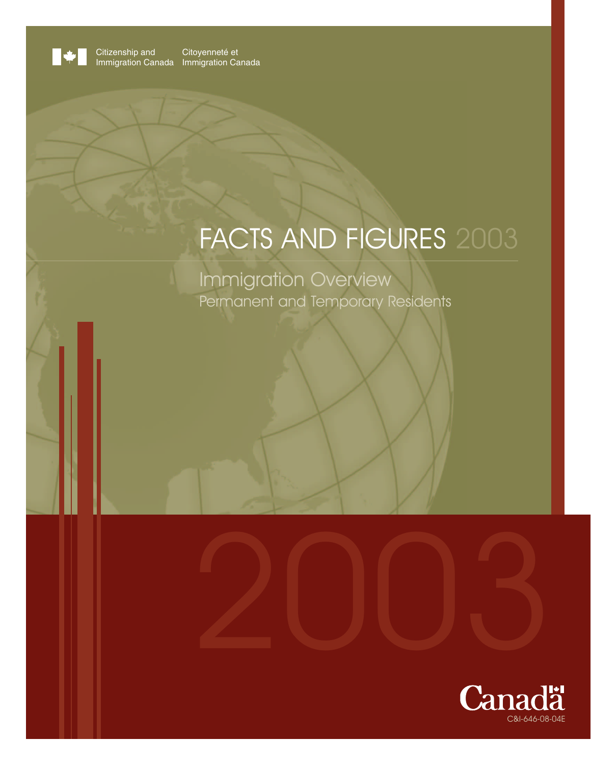

Citizenship and Immigration Canada Citoyenneté et mmigration Canada

# FACTS AND FIGURES 2003

2003

Immigration Overview Permanent and Temporary Residents

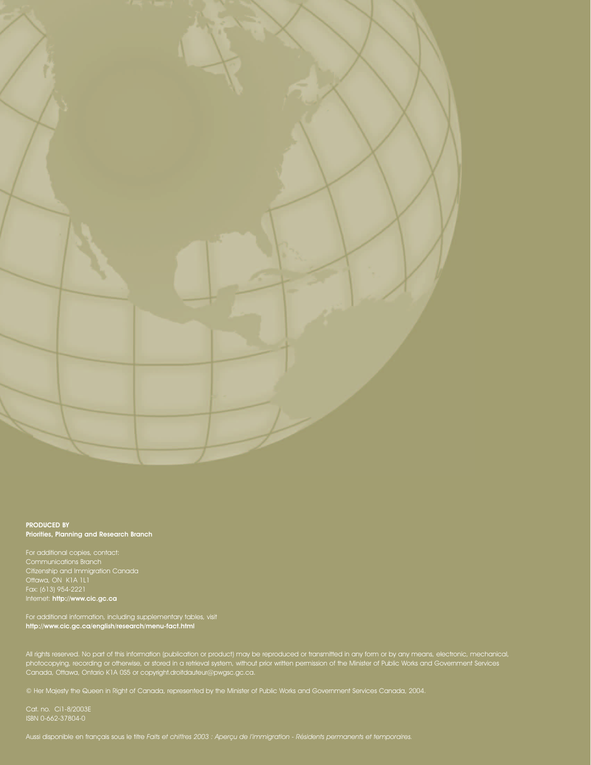

#### PRODUCED BY Priorities, Planning and Research Branch

Communications Branch Citizenship and Immigration Canada Ottawa, ON K1A 1L1 Fax: (613) 954-2221 Internet: http://www.cic.gc.ca

For additional information, including supplementary tables, visit http://www.cic.gc.ca/english/research/menu-fact.html

All rights reserved. No part of this information (publication or product) may be reproduced or transmitted in any form or by any means, electronic, mechanical, photocopying, recording or otherwise, or stored in a retrieval system, without prior written permission of the Minister of Public Works and Government Services Canada, Ottawa, Ontario K1A 0S5 or copyright.droitdauteur@pwgsc.gc.ca.

© Her Majesty the Queen in Right of Canada, represented by the Minister of Public Works and Government Services Canada, 2004.

Cat. no. Ci1-8/2003E ISBN 0-662-37804-0

Aussi disponible en français sous le titre Faits et chiffres 2003 : Aperçu de l'immigration - Résidents permanents et temporaires.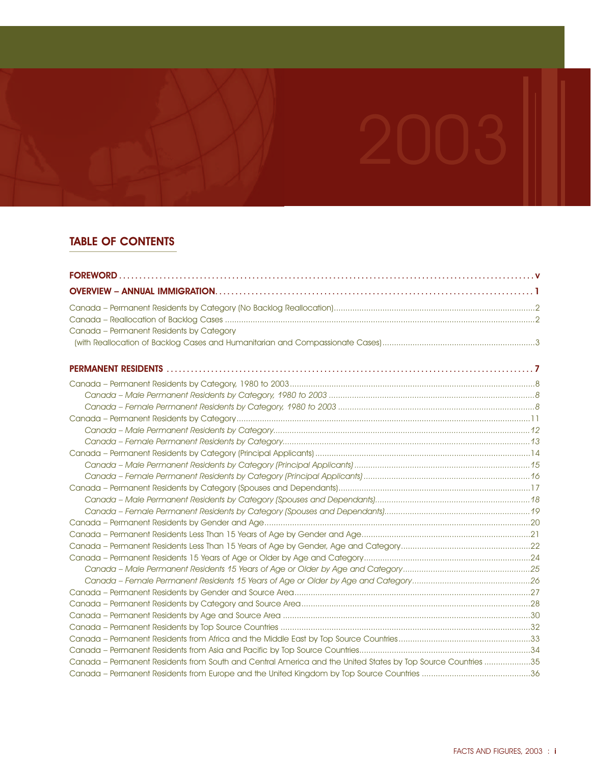# TABLE OF CONTENTS

| Canada - Permanent Residents by Category                                                                     |  |
|--------------------------------------------------------------------------------------------------------------|--|
|                                                                                                              |  |
|                                                                                                              |  |
|                                                                                                              |  |
|                                                                                                              |  |
|                                                                                                              |  |
|                                                                                                              |  |
|                                                                                                              |  |
|                                                                                                              |  |
|                                                                                                              |  |
|                                                                                                              |  |
|                                                                                                              |  |
|                                                                                                              |  |
|                                                                                                              |  |
|                                                                                                              |  |
|                                                                                                              |  |
|                                                                                                              |  |
|                                                                                                              |  |
|                                                                                                              |  |
|                                                                                                              |  |
|                                                                                                              |  |
|                                                                                                              |  |
|                                                                                                              |  |
|                                                                                                              |  |
|                                                                                                              |  |
|                                                                                                              |  |
|                                                                                                              |  |
| Canada - Permanent Residents from South and Central America and the United States by Top Source Countries 35 |  |
|                                                                                                              |  |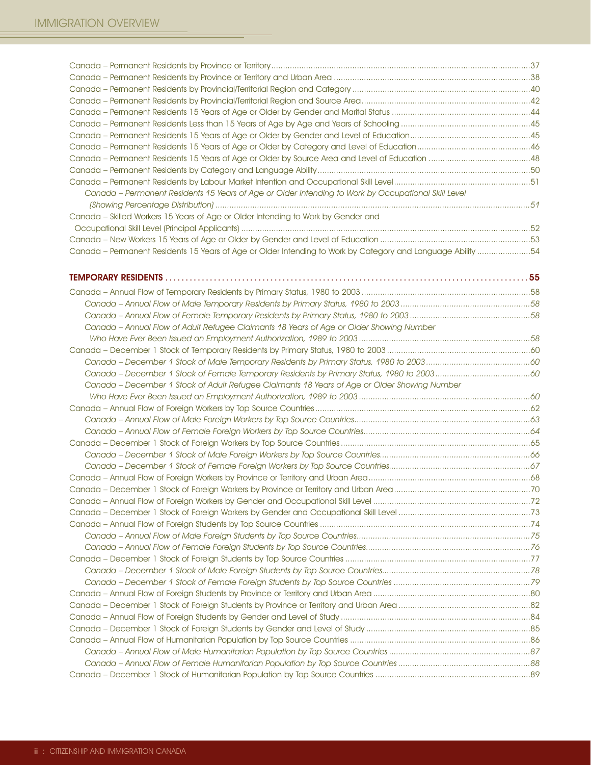| Canada - Permanent Residents 15 Years of Age or Older Intending to Work by Occupational Skill Level         |  |
|-------------------------------------------------------------------------------------------------------------|--|
|                                                                                                             |  |
| Canada - Skilled Workers 15 Years of Age or Older Intending to Work by Gender and                           |  |
|                                                                                                             |  |
|                                                                                                             |  |
| Canada - Permanent Residents 15 Years of Age or Older Intending to Work by Category and Language Ability 54 |  |
|                                                                                                             |  |
|                                                                                                             |  |
|                                                                                                             |  |
|                                                                                                             |  |
|                                                                                                             |  |
|                                                                                                             |  |
| Canada - Annual Flow of Adult Refugee Claimants 18 Years of Age or Older Showing Number                     |  |
|                                                                                                             |  |
|                                                                                                             |  |
|                                                                                                             |  |
|                                                                                                             |  |
| Canada - December 1 Stock of Adult Refugee Claimants 18 Years of Age or Older Showing Number                |  |
|                                                                                                             |  |
|                                                                                                             |  |
|                                                                                                             |  |
|                                                                                                             |  |
|                                                                                                             |  |
|                                                                                                             |  |
|                                                                                                             |  |
|                                                                                                             |  |
|                                                                                                             |  |
|                                                                                                             |  |
|                                                                                                             |  |
|                                                                                                             |  |
|                                                                                                             |  |
|                                                                                                             |  |
|                                                                                                             |  |
|                                                                                                             |  |
|                                                                                                             |  |
|                                                                                                             |  |
|                                                                                                             |  |
|                                                                                                             |  |
|                                                                                                             |  |
|                                                                                                             |  |
|                                                                                                             |  |
|                                                                                                             |  |
|                                                                                                             |  |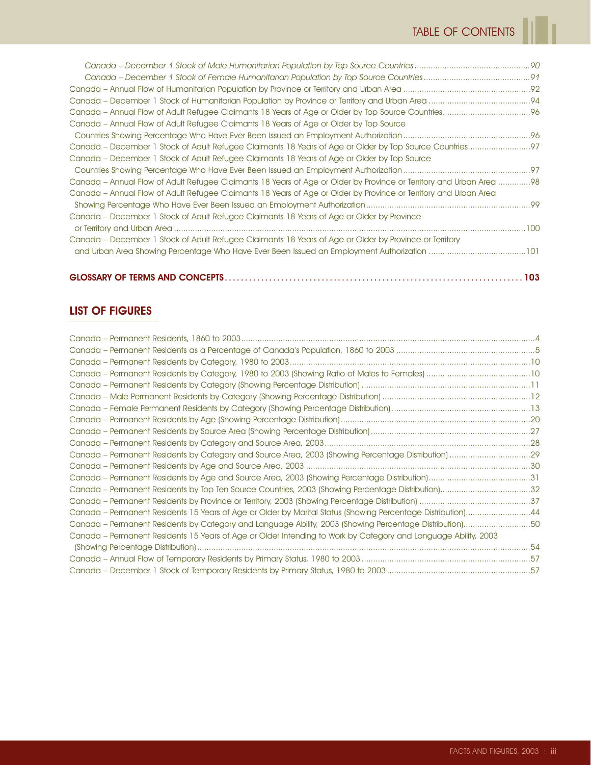ï

| Canada – Annual Flow of Adult Refugee Claimants 18 Years of Age or Older by Top Source                              |  |
|---------------------------------------------------------------------------------------------------------------------|--|
|                                                                                                                     |  |
|                                                                                                                     |  |
| Canada – December 1 Stock of Adult Refugee Claimants 18 Years of Age or Older by Top Source                         |  |
|                                                                                                                     |  |
| Canada – Annual Flow of Adult Refugee Claimants 18 Years of Age or Older by Province or Territory and Urban Area 98 |  |
| Canada – Annual Flow of Adult Refugee Claimants 18 Years of Age or Older by Province or Territory and Urban Area    |  |
|                                                                                                                     |  |
| Canada – December 1 Stock of Adult Refugee Claimants 18 Years of Age or Older by Province                           |  |
|                                                                                                                     |  |
| Canada – December 1 Stock of Adult Refugee Claimants 18 Years of Age or Older by Province or Territory              |  |
|                                                                                                                     |  |
|                                                                                                                     |  |

# LIST OF FIGURES

| Canada - Permanent Residents by Top Ten Source Countries, 2003 (Showing Percentage Distribution)32             |  |
|----------------------------------------------------------------------------------------------------------------|--|
|                                                                                                                |  |
| Canada – Permanent Residents 15 Years of Age or Older by Marital Status (Showing Percentage Distribution)44    |  |
| Canada – Permanent Residents by Category and Language Ability, 2003 (Showing Percentage Distribution)50        |  |
| Canada – Permanent Residents 15 Years of Age or Older Intending to Work by Category and Language Ability, 2003 |  |
|                                                                                                                |  |
|                                                                                                                |  |
|                                                                                                                |  |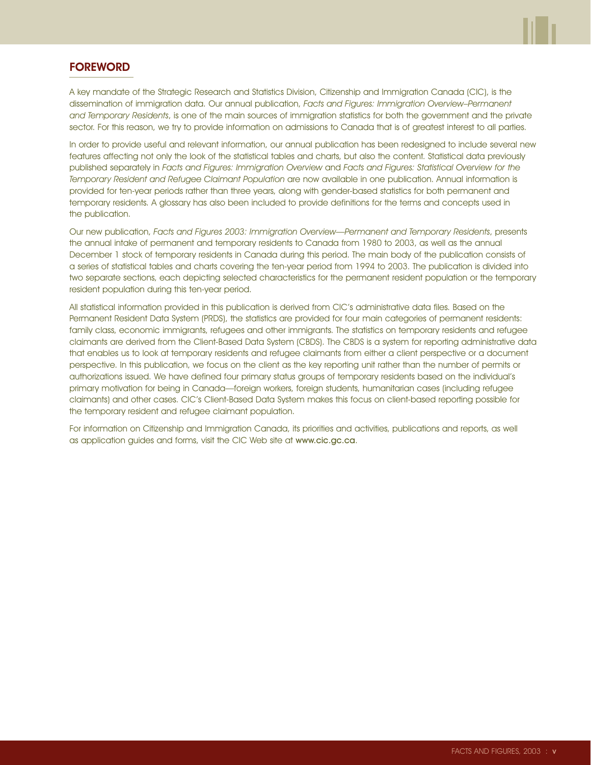

# **FOREWORD**

A key mandate of the Strategic Research and Statistics Division, Citizenship and Immigration Canada (CIC), is the dissemination of immigration data. Our annual publication, Facts and Figures: Immigration Overview–Permanent and Temporary Residents, is one of the main sources of immigration statistics for both the government and the private sector. For this reason, we try to provide information on admissions to Canada that is of greatest interest to all parties.

In order to provide useful and relevant information, our annual publication has been redesigned to include several new features affecting not only the look of the statistical tables and charts, but also the content. Statistical data previously published separately in Facts and Figures: Immigration Overview and Facts and Figures: Statistical Overview for the Temporary Resident and Refugee Claimant Population are now available in one publication. Annual information is provided for ten-year periods rather than three years, along with gender-based statistics for both permanent and temporary residents. A glossary has also been included to provide definitions for the terms and concepts used in the publication.

Our new publication, Facts and Figures 2003: Immigration Overview—Permanent and Temporary Residents, presents the annual intake of permanent and temporary residents to Canada from 1980 to 2003, as well as the annual December 1 stock of temporary residents in Canada during this period. The main body of the publication consists of a series of statistical tables and charts covering the ten-year period from 1994 to 2003. The publication is divided into two separate sections, each depicting selected characteristics for the permanent resident population or the temporary resident population during this ten-year period.

All statistical information provided in this publication is derived from CIC's administrative data files. Based on the Permanent Resident Data System (PRDS), the statistics are provided for four main categories of permanent residents: family class, economic immigrants, refugees and other immigrants. The statistics on temporary residents and refugee claimants are derived from the Client-Based Data System (CBDS). The CBDS is a system for reporting administrative data that enables us to look at temporary residents and refugee claimants from either a client perspective or a document perspective. In this publication, we focus on the client as the key reporting unit rather than the number of permits or authorizations issued. We have defined four primary status groups of temporary residents based on the individual's primary motivation for being in Canada—foreign workers, foreign students, humanitarian cases (including refugee claimants) and other cases. CIC's Client-Based Data System makes this focus on client-based reporting possible for the temporary resident and refugee claimant population.

For information on Citizenship and Immigration Canada, its priorities and activities, publications and reports, as well as application guides and forms, visit the CIC Web site at www.cic.gc.ca.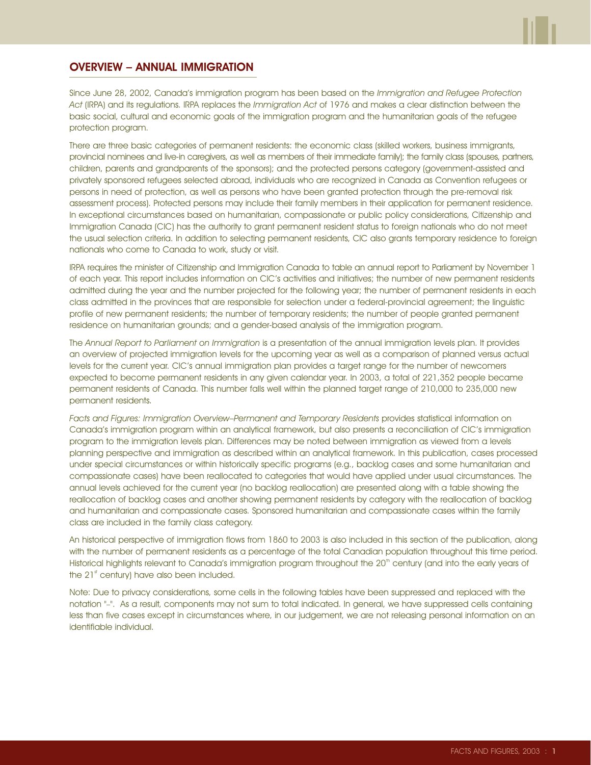

#### OVERVIEW – ANNUAL IMMIGRATION

Since June 28, 2002, Canada's immigration program has been based on the Immigration and Refugee Protection Act (IRPA) and its regulations. IRPA replaces the Immigration Act of 1976 and makes a clear distinction between the basic social, cultural and economic goals of the immigration program and the humanitarian goals of the refugee protection program.

There are three basic categories of permanent residents: the economic class (skilled workers, business immigrants, provincial nominees and live-in caregivers, as well as members of their immediate family); the family class (spouses, partners, children, parents and grandparents of the sponsors); and the protected persons category (government-assisted and privately sponsored refugees selected abroad, individuals who are recognized in Canada as Convention refugees or persons in need of protection, as well as persons who have been granted protection through the pre-removal risk assessment process). Protected persons may include their family members in their application for permanent residence. In exceptional circumstances based on humanitarian, compassionate or public policy considerations, Citizenship and Immigration Canada (CIC) has the authority to grant permanent resident status to foreign nationals who do not meet the usual selection criteria. In addition to selecting permanent residents, CIC also grants temporary residence to foreign nationals who come to Canada to work, study or visit.

IRPA requires the minister of Citizenship and Immigration Canada to table an annual report to Parliament by November 1 of each year. This report includes information on CIC's activities and initiatives; the number of new permanent residents admitted during the year and the number projected for the following year; the number of permanent residents in each class admitted in the provinces that are responsible for selection under a federal-provincial agreement; the linguistic profile of new permanent residents; the number of temporary residents; the number of people granted permanent residence on humanitarian grounds; and a gender-based analysis of the immigration program.

The Annual Report to Parliament on Immigration is a presentation of the annual immigration levels plan. It provides an overview of projected immigration levels for the upcoming year as well as a comparison of planned versus actual levels for the current year. CIC's annual immigration plan provides a target range for the number of newcomers expected to become permanent residents in any given calendar year. In 2003, a total of 221,352 people became permanent residents of Canada. This number falls well within the planned target range of 210,000 to 235,000 new permanent residents.

Facts and Figures: Immigration Overview–Permanent and Temporary Residents provides statistical information on Canada's immigration program within an analytical framework, but also presents a reconciliation of CIC's immigration program to the immigration levels plan. Differences may be noted between immigration as viewed from a levels planning perspective and immigration as described within an analytical framework. In this publication, cases processed under special circumstances or within historically specific programs (e.g., backlog cases and some humanitarian and compassionate cases) have been reallocated to categories that would have applied under usual circumstances. The annual levels achieved for the current year (no backlog reallocation) are presented along with a table showing the reallocation of backlog cases and another showing permanent residents by category with the reallocation of backlog and humanitarian and compassionate cases. Sponsored humanitarian and compassionate cases within the family class are included in the family class category.

An historical perspective of immigration flows from 1860 to 2003 is also included in this section of the publication, along with the number of permanent residents as a percentage of the total Canadian population throughout this time period. Historical highlights relevant to Canada's immigration program throughout the 20<sup>th</sup> century (and into the early years of the  $21<sup>st</sup>$  century) have also been included.

Note: Due to privacy considerations, some cells in the following tables have been suppressed and replaced with the notation "–". As a result, components may not sum to total indicated. In general, we have suppressed cells containing less than five cases except in circumstances where, in our judgement, we are not releasing personal information on an identifiable individual.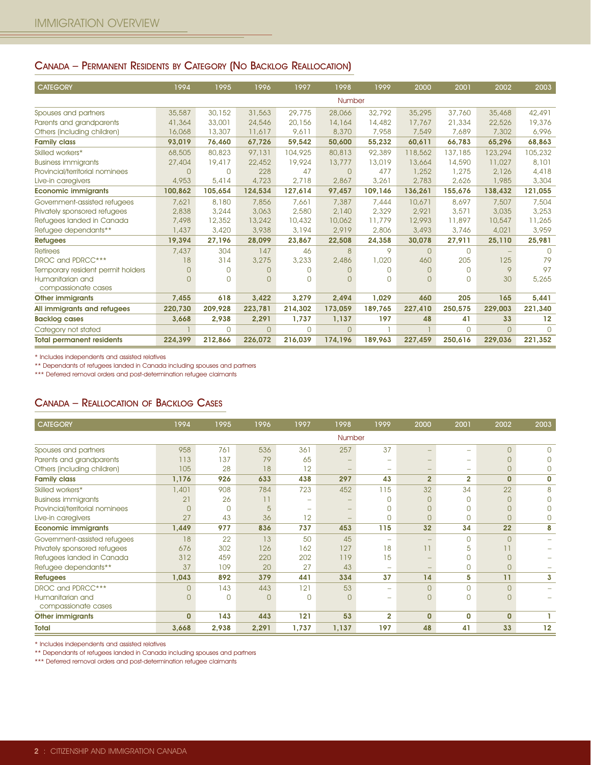#### CANADA – PERMANENT RESIDENTS BY CATEGORY (NO BACKLOG REALLOCATION)

| <b>CATEGORY</b>                   | 1994     | 1995     | 1996     | 1997     | 1998     | 1999     | 2000           | 2001         | 2002     | 2003     |
|-----------------------------------|----------|----------|----------|----------|----------|----------|----------------|--------------|----------|----------|
|                                   |          |          |          |          | Number   |          |                |              |          |          |
| Spouses and partners              | 35,587   | 30,152   | 31,563   | 29,775   | 28,066   | 32,792   | 35,295         | 37,760       | 35,468   | 42,491   |
| Parents and grandparents          | 41,364   | 33,001   | 24,546   | 20,156   | 14,164   | 14,482   | 17,767         | 21,334       | 22,526   | 19,376   |
| Others (including children)       | 16,068   | 13,307   | 11,617   | 9,611    | 8,370    | 7,958    | 7,549          | 7,689        | 7,302    | 6,996    |
| <b>Family class</b>               | 93,019   | 76,460   | 67,726   | 59,542   | 50,600   | 55,232   | 60,611         | 66,783       | 65,296   | 68,863   |
| Skilled workers*                  | 68,505   | 80,823   | 97,131   | 104,925  | 80,813   | 92,389   | 118,562        | 137,185      | 123,294  | 105,232  |
| <b>Business immigrants</b>        | 27,404   | 19,417   | 22,452   | 19,924   | 13,777   | 13,019   | 13,664         | 14,590       | 11,027   | 8,101    |
| Provincial/territorial nominees   | $\Omega$ | $\Omega$ | 228      | 47       | $\Omega$ | 477      | 1,252          | 1,275        | 2,126    | 4,418    |
| Live-in caregivers                | 4,953    | 5,414    | 4,723    | 2,718    | 2,867    | 3,261    | 2,783          | 2,626        | 1,985    | 3,304    |
| <b>Economic immigrants</b>        | 100,862  | 105,654  | 124,534  | 127,614  | 97,457   | 109,146  | 136,261        | 155,676      | 138,432  | 121,055  |
| Government-assisted refugees      | 7,621    | 8,180    | 7,856    | 7,661    | 7,387    | 7,444    | 10,671         | 8,697        | 7,507    | 7,504    |
| Privately sponsored refugees      | 2,838    | 3,244    | 3,063    | 2,580    | 2,140    | 2,329    | 2.921          | 3,571        | 3,035    | 3,253    |
| Refugees landed in Canada         | 7,498    | 12,352   | 13,242   | 10,432   | 10,062   | 11,779   | 12,993         | 11,897       | 10,547   | 11,265   |
| Refugee dependants**              | 1,437    | 3,420    | 3,938    | 3,194    | 2,919    | 2,806    | 3,493          | 3,746        | 4,021    | 3,959    |
| <b>Refugees</b>                   | 19,394   | 27,196   | 28,099   | 23,867   | 22,508   | 24,358   | 30,078         | 27,911       | 25,110   | 25,981   |
| <b>Retirees</b>                   | 7,437    | 304      | 147      | 46       | 8        | 9        | $\overline{0}$ | $\mathbf{O}$ | -        | $\Omega$ |
| DROC and PDRCC***                 | 18       | 314      | 3,275    | 3,233    | 2,486    | 1,020    | 460            | 205          | 125      | 79       |
| Temporary resident permit holders | 0        | $\Omega$ | 0        | $\Omega$ | 0        | $\Box$   | $\Omega$       | $\mathbf 0$  | 9        | 97       |
| Humanitarian and                  | $\Omega$ | $\Omega$ | $\Omega$ | $\Omega$ | $\Omega$ | $\Omega$ | $\Omega$       | $\circ$      | 30       | 5,265    |
| compassionate cases               |          |          |          |          |          |          |                |              |          |          |
| <b>Other immigrants</b>           | 7,455    | 618      | 3,422    | 3,279    | 2,494    | 1,029    | 460            | 205          | 165      | 5,441    |
| All immigrants and refugees       | 220,730  | 209,928  | 223,781  | 214,302  | 173,059  | 189,765  | 227,410        | 250,575      | 229,003  | 221,340  |
| <b>Backlog cases</b>              | 3,668    | 2,938    | 2,291    | 1,737    | 1,137    | 197      | 48             | 41           | 33       | 12       |
| Category not stated               |          | $\Omega$ | $\Omega$ | $\Omega$ | $\Omega$ |          |                | $\Omega$     | $\Omega$ | $\Omega$ |
| <b>Total permanent residents</b>  | 224,399  | 212,866  | 226,072  | 216,039  | 174,196  | 189,963  | 227,459        | 250,616      | 229,036  | 221,352  |

\* Includes independents and assisted relatives

\*\* Dependants of refugees landed in Canada including spouses and partners

\*\*\* Deferred removal orders and post-determination refugee claimants

#### CANADA – REALLOCATION OF BACKLOG CASES

| <b>CATEGORY</b>                 | 1994           | 1995      | 1996     | 1997     | 1998     | 1999           | 2000           | 2001           | 2002           | 2003     |
|---------------------------------|----------------|-----------|----------|----------|----------|----------------|----------------|----------------|----------------|----------|
|                                 |                |           |          |          | Number   |                |                |                |                |          |
| Spouses and partners            | 958            | 761       | 536      | 361      | 257      | 37             |                | -              | $\overline{0}$ | $\Omega$ |
| Parents and grandparents        | 113            | 137       | 79       | 65       |          | -              |                | -              | 0              |          |
| Others (including children)     | 105            | 28        | 18       | 12       |          | -              |                | -              | $\overline{0}$ |          |
| <b>Family class</b>             | 1,176          | 926       | 633      | 438      | 297      | 43             | $\overline{2}$ | $\overline{2}$ | $\mathbf{0}$   | 0        |
| Skilled workers*                | 1,401          | 908       | 784      | 723      | 452      | 115            | 32             | 34             | 22             | 8        |
| <b>Business immigrants</b>      | 21             | 26        | 11       |          |          | <sup>n</sup>   | C              | $\circ$        | 0              |          |
| Provincial/territorial nominees | $\Omega$       | $\bigcap$ | 5        |          |          | <sup>n</sup>   |                | $\circ$        | 0              |          |
| Live-in caregivers              | 27             | 43        | 36       | 12       |          | $\Omega$       | $\Omega$       | $\overline{0}$ | 0              |          |
| <b>Economic immigrants</b>      | 1,449          | 977       | 836      | 737      | 453      | 115            | 32             | 34             | 22             | 8        |
| Government-assisted refugees    | 18             | 22        | 13       | 50       | 45       |                |                | $\mathbf 0$    | $\Omega$       |          |
| Privately sponsored refugees    | 676            | 302       | 126      | 162      | 127      | 18             | 11             | 5              |                |          |
| Refugees landed in Canada       | 312            | 459       | 220      | 202      | 119      | 15             |                | $\mathbf 0$    | 0              |          |
| Refugee dependants**            | 37             | 109       | 20       | 27       | 43       |                |                | $\mathbf 0$    | 0              |          |
| <b>Refugees</b>                 | 1,043          | 892       | 379      | 441      | 334      | 37             | 14             | 5              | 11             | 3        |
| DROC and PDRCC***               | $\overline{O}$ | 143       | 443      | 121      | 53       | -              | $\Omega$       | $\mathbf 0$    | $\overline{0}$ |          |
| Humanitarian and                | $\overline{O}$ | $\Omega$  | $\Omega$ | $\Omega$ | $\Omega$ |                | $\Omega$       | $\circ$        | $\Omega$       |          |
| compassionate cases             |                |           |          |          |          |                |                |                |                |          |
| <b>Other immigrants</b>         | $\mathbf{0}$   | 143       | 443      | 121      | 53       | $\overline{2}$ | $\Omega$       | $\mathbf{0}$   | $\mathbf{0}$   |          |
| <b>Total</b>                    | 3,668          | 2,938     | 2,291    | 1,737    | 1,137    | 197            | 48             | 41             | 33             | 12       |

\* Includes independents and assisted relatives

\*\* Dependants of refugees landed in Canada including spouses and partners

\*\*\* Deferred removal orders and post-determination refugee claimants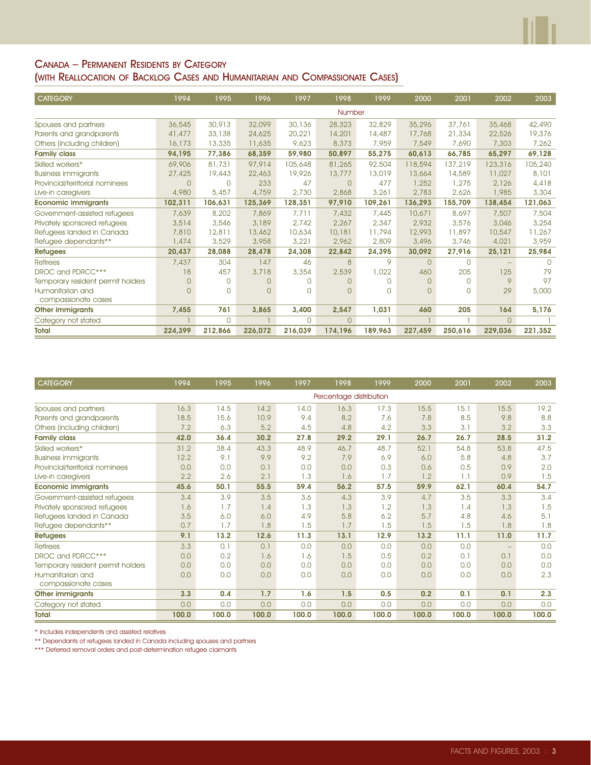#### CANADA – PERMANENT RESIDENTS BY CATEGORY (WITH REALLOCATION OF BACKLOG CASES AND HUMANITARIAN AND COMPASSIONATE CASES)

| <b>CATEGORY</b>                   | 1994     | 1995     | 1996    | 1997         | 1998     | 1999    | 2000           | 2001        | 2002     | 2003    |
|-----------------------------------|----------|----------|---------|--------------|----------|---------|----------------|-------------|----------|---------|
|                                   |          |          |         |              | Number   |         |                |             |          |         |
| Spouses and partners              | 36,545   | 30,913   | 32,099  | 30,136       | 28,323   | 32,829  | 35,296         | 37.761      | 35,468   | 42,490  |
| Parents and grandparents          | 41,477   | 33,138   | 24,625  | 20,221       | 14,201   | 14,487  | 17,768         | 21,334      | 22,526   | 19,376  |
| Others (including children)       | 16,173   | 13,335   | 11,635  | 9,623        | 8,373    | 7,959   | 7,549          | 7,690       | 7,303    | 7,262   |
| <b>Family class</b>               | 94,195   | 77,386   | 68,359  | 59,980       | 50,897   | 55,275  | 60,613         | 66,785      | 65,297   | 69,128  |
| Skilled workers*                  | 69,906   | 81,731   | 97,914  | 105,648      | 81,265   | 92,504  | 118,594        | 137,219     | 123,316  | 105,240 |
| <b>Business immigrants</b>        | 27,425   | 19,443   | 22,463  | 19,926       | 13,777   | 13,019  | 13,664         | 14,589      | 11,027   | 8,101   |
| Provincial/territorial nominees   | $\Omega$ | $\Omega$ | 233     | 47           | $\Omega$ | 477     | 1,252          | 1,275       | 2.126    | 4,418   |
| Live-in caregivers                | 4,980    | 5,457    | 4,759   | 2,730        | 2,868    | 3,261   | 2,783          | 2.626       | 1,985    | 3,304   |
| <b>Economic immigrants</b>        | 102,311  | 106,631  | 125,369 | 128,351      | 97,910   | 109,261 | 136,293        | 155,709     | 138,454  | 121,063 |
| Government-assisted refugees      | 7,639    | 8,202    | 7,869   | 7,711        | 7,432    | 7,445   | 10,671         | 8.697       | 7,507    | 7,504   |
| Privately sponsored refugees      | 3,514    | 3,546    | 3,189   | 2,742        | 2,267    | 2,347   | 2,932          | 3,576       | 3,046    | 3,254   |
| Refugees landed in Canada         | 7,810    | 12,811   | 13,462  | 10,634       | 10,181   | 11,794  | 12,993         | 11,897      | 10,547   | 11,267  |
| Refugee dependants**              | 1,474    | 3,529    | 3,958   | 3,221        | 2,962    | 2,809   | 3,496          | 3,746       | 4,021    | 3,959   |
| <b>Refugees</b>                   | 20,437   | 28,088   | 28,478  | 24,308       | 22,842   | 24,395  | 30,092         | 27,916      | 25,121   | 25,984  |
| <b>Retirees</b>                   | 7,437    | 304      | 147     | 46           | 8        | 9       | $\overline{0}$ | $\mathbf 0$ |          | $\cap$  |
| DROC and PDRCC***                 | 18       | 457      | 3,718   | 3,354        | 2,539    | 1,022   | 460            | 205         | 125      | 79      |
| Temporary resident permit holders | 0        | $\Box$   | U       | <sup>n</sup> | $\Omega$ | $\Box$  | $\Omega$       | $\mathbf 0$ | 9        | 97      |
| Humanitarian and                  | $\Omega$ | $\Omega$ | $\cap$  | <sup>n</sup> | $\Omega$ | $\Box$  | U              | $\Omega$    | 29       | 5,000   |
| compassionate cases               |          |          |         |              |          |         |                |             |          |         |
| <b>Other immigrants</b>           | 7,455    | 761      | 3,865   | 3,400        | 2,547    | 1,031   | 460            | 205         | 164      | 5,176   |
| Category not stated               |          | $\Omega$ |         | $\Omega$     | $\Omega$ |         |                |             | $\Omega$ |         |
| <b>Total</b>                      | 224.399  | 212.866  | 226.072 | 216.039      | 174.196  | 189.963 | 227.459        | 250.616     | 229,036  | 221,352 |

| <b>CATEGORY</b>                   | 1994  | 1995  | 1996  | 1997  | 1998                    | 1999  | 2000  | 2001  | 2002              | 2003  |
|-----------------------------------|-------|-------|-------|-------|-------------------------|-------|-------|-------|-------------------|-------|
|                                   |       |       |       |       | Percentage distribution |       |       |       |                   |       |
| Spouses and partners              | 16.3  | 14.5  | 14.2  | 14.0  | 16.3                    | 17.3  | 15.5  | 15.1  | 15.5              | 19.2  |
| Parents and grandparents          | 18.5  | 15.6  | 10.9  | 9.4   | 8.2                     | 7.6   | 7.8   | 8.5   | 9.8               | 8.8   |
| Others (including children)       | 7.2   | 6.3   | 5.2   | 4.5   | 4.8                     | 4.2   | 3.3   | 3.1   | 3.2               | 3.3   |
| <b>Family class</b>               | 42.0  | 36.4  | 30.2  | 27.8  | 29.2                    | 29.1  | 26.7  | 26.7  | 28.5              | 31.2  |
| Skilled workers*                  | 31.2  | 38.4  | 43.3  | 48.9  | 46.7                    | 48.7  | 52.1  | 54.8  | 53.8              | 47.5  |
| <b>Business immigrants</b>        | 12.2  | 9.1   | 9.9   | 9.2   | 7.9                     | 6.9   | 6.0   | 5.8   | 4.8               | 3.7   |
| Provincial/territorial nominees   | 0.0   | 0.0   | 0.1   | 0.0   | 0.0                     | 0.3   | 0.6   | 0.5   | 0.9               | 2.0   |
| Live-in caregivers                | 2.2   | 2.6   | 2.1   | 1.3   | 1.6                     | 1.7   | 1.2   | 1.1   | 0.9               | 1.5   |
| <b>Economic immigrants</b>        | 45.6  | 50.1  | 55.5  | 59.4  | 56.2                    | 57.5  | 59.9  | 62.1  | 60.4              | 54.7  |
| Government-assisted refugees      | 3.4   | 3.9   | 3.5   | 3.6   | 4.3                     | 3.9   | 4.7   | 3.5   | 3.3               | 3.4   |
| Privately sponsored refugees      | 1.6   | 1.7   | 1.4   | 1.3   | 1.3                     | 1.2   | 1.3   | 1.4   | 1.3               | 1.5   |
| Refugees landed in Canada         | 3.5   | 6.0   | 6.0   | 4.9   | 5.8                     | 6.2   | 5.7   | 4.8   | 4.6               | 5.1   |
| Refugee dependants**              | 0.7   | 1.7   | 1.8   | 1.5   | 1.7                     | 1.5   | 1.5   | 1.5   | 1.8               | 1.8   |
| <b>Refugees</b>                   | 9.1   | 13.2  | 12.6  | 11.3  | 13.1                    | 12.9  | 13.2  | 11.1  | 11.0              | 11.7  |
| <b>Retirees</b>                   | 3.3   | 0.1   | 0.1   | 0.0   | 0.0                     | 0.0   | 0.0   | 0.0   | $\qquad \qquad -$ | 0.0   |
| DROC and PDRCC***                 | 0.0   | 0.2   | 1.6   | 1.6   | 1.5                     | 0.5   | 0.2   | 0.1   | 0.1               | 0.0   |
| Temporary resident permit holders | 0.0   | 0.0   | 0.0   | 0.0   | 0.0                     | 0.0   | 0.0   | 0.0   | 0.0               | 0.0   |
| Humanitarian and                  | 0.0   | 0.0   | 0.0   | 0.0   | 0.0                     | 0.0   | 0.0   | 0.0   | 0.0               | 2.3   |
| compassionate cases               |       |       |       |       |                         |       |       |       |                   |       |
| <b>Other immigrants</b>           | 3.3   | 0.4   | 1.7   | 1.6   | 1.5                     | 0.5   | 0.2   | 0.1   | 0.1               | 2.3   |
| Category not stated               | 0.0   | 0.0   | 0.0   | 0.0   | 0.0                     | 0.0   | 0.0   | 0.0   | 0.0               | 0.0   |
| <b>Total</b>                      | 100.0 | 100.0 | 100.0 | 100.0 | 100.0                   | 100.0 | 100.0 | 100.0 | 100.0             | 100.0 |

\* Includes independents and assisted relatives

\*\* Dependants of refugees landed in Canada including spouses and partners

\*\*\* Deferred removal orders and post-determination refugee claimants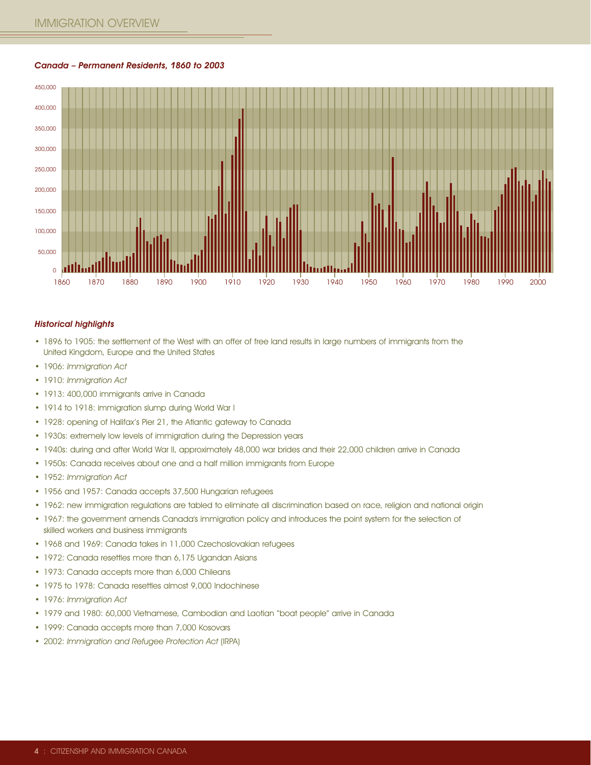#### Canada – Permanent Residents, 1860 to 2003



#### Historical highlights

- 1896 to 1905: the settlement of the West with an offer of free land results in large numbers of immigrants from the United Kingdom, Europe and the United States
- 1906: Immigration Act
- 1910: Immigration Act
- 1913: 400,000 immigrants arrive in Canada
- 1914 to 1918: immigration slump during World War I
- 1928: opening of Halifax's Pier 21, the Atlantic gateway to Canada
- 1930s: extremely low levels of immigration during the Depression years
- 1940s: during and after World War II, approximately 48,000 war brides and their 22,000 children arrive in Canada
- 1950s: Canada receives about one and a half million immigrants from Europe
- 1952: Immigration Act
- 1956 and 1957: Canada accepts 37,500 Hungarian refugees
- 1962: new immigration regulations are tabled to eliminate all discrimination based on race, religion and national origin
- 1967: the government amends Canada's immigration policy and introduces the point system for the selection of skilled workers and business immigrants
- 1968 and 1969: Canada takes in 11,000 Czechoslovakian refugees
- 1972: Canada resettles more than 6,175 Ugandan Asians
- 1973: Canada accepts more than 6,000 Chileans
- 1975 to 1978: Canada resettles almost 9,000 Indochinese
- 1976: Immigration Act
- 1979 and 1980: 60,000 Vietnamese, Cambodian and Laotian "boat people" arrive in Canada
- 1999: Canada accepts more than 7,000 Kosovars
- 2002: Immigration and Refugee Protection Act (IRPA)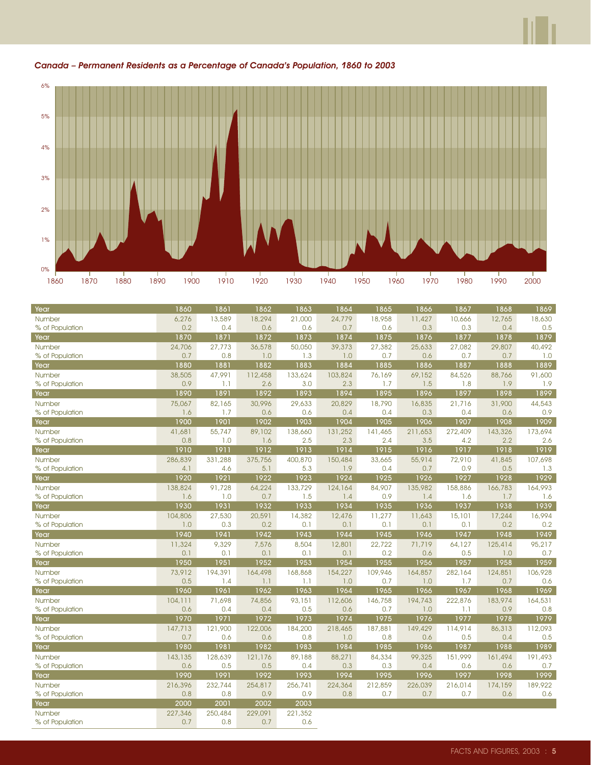

#### Canada – Permanent Residents as a Percentage of Canada's Population, 1860 to 2003

| Year            | 1860    | 1861    | 1862    | 1863    | 1864    | 1865    | 1866    | 1867    | 1868    | 1869    |
|-----------------|---------|---------|---------|---------|---------|---------|---------|---------|---------|---------|
| Number          | 6,276   | 13,589  | 18,294  | 21,000  | 24,779  | 18,958  | 11,427  | 10,666  | 12,765  | 18,630  |
| % of Population | 0.2     | 0.4     | 0.6     | 0.6     | 0.7     | 0.6     | 0.3     | 0.3     | 0.4     | 0.5     |
| Year            | 1870    | 1871    | 1872    | 1873    | 1874    | 1875    | 1876    | 1877    | 1878    | 1879    |
| Number          | 24,706  | 27,773  | 36,578  | 50,050  | 39,373  | 27,382  | 25,633  | 27,082  | 29,807  | 40,492  |
| % of Population | 0.7     | 0.8     | 1.0     | 1.3     | 1.0     | 0.7     | 0.6     | 0.7     | 0.7     | 1.0     |
| Year            | 1880    | 1881    | 1882    | 1883    | 1884    | 1885    | 1886    | 1887    | 1888    | 1889    |
| Number          | 38,505  | 47,991  | 112,458 | 133,624 | 103,824 | 76,169  | 69,152  | 84,526  | 88,766  | 91,600  |
| % of Population | 0.9     | 1.1     | 2.6     | 3.0     | 2.3     | 1.7     | 1.5     | 1.8     | 1.9     | 1.9     |
| Year            | 1890    | 1891    | 1892    | 1893    | 1894    | 1895    | 1896    | 1897    | 1898    | 1899    |
| Number          | 75,067  | 82,165  | 30,996  | 29,633  | 20,829  | 18,790  | 16,835  | 21,716  | 31,900  | 44,543  |
| % of Population | 1.6     | 1.7     | 0.6     | 0.6     | 0.4     | 0.4     | 0.3     | 0.4     | 0.6     | 0.9     |
| Year            | 1900    | 1901    | 1902    | 1903    | 1904    | 1905    | 1906    | 1907    | 1908    | 1909    |
| Number          | 41,681  | 55,747  | 89,102  | 138,660 | 131,252 | 141,465 | 211,653 | 272,409 | 143,326 | 173,694 |
| % of Population | 0.8     | 1.0     | 1.6     | 2.5     | 2.3     | 2.4     | 3.5     | 4.2     | 2.2     | 2.6     |
| Year            | 1910    | 1911    | 1912    | 1913    | 1914    | 1915    | 1916    | 1917    | 1918    | 1919    |
| Number          | 286,839 | 331,288 | 375,756 | 400,870 | 150,484 | 33,665  | 55,914  | 72,910  | 41,845  | 107,698 |
| % of Population | 4.1     | 4.6     | 5.1     | 5.3     | 1.9     | 0.4     | 0.7     | 0.9     | 0.5     | 1.3     |
| Year            | 1920    | 1921    | 1922    | 1923    | 1924    | 1925    | 1926    | 1927    | 1928    | 1929    |
| Number          | 138,824 | 91,728  | 64,224  | 133,729 | 124,164 | 84,907  | 135,982 | 158,886 | 166,783 | 164,993 |
| % of Population | 1.6     | 1.0     | 0.7     | 1.5     | 1.4     | 0.9     | 1.4     | 1.6     | 1.7     | 1.6     |
| Year            | 1930    | 1931    | 1932    | 1933    | 1934    | 1935    | 1936    | 1937    | 1938    | 1939    |
| Number          | 104,806 | 27,530  | 20,591  | 14,382  | 12,476  | 11,277  | 11,643  | 15,101  | 17,244  | 16,994  |
| % of Population | 1.0     | 0.3     | 0.2     | 0.1     | 0.1     | 0.1     | 0.1     | 0.1     | 0.2     | 0.2     |
| Year            | 1940    | 1941    | 1942    | 1943    | 1944    | 1945    | 1946    | 1947    | 1948    | 1949    |
| Number          | 11,324  | 9,329   | 7,576   | 8,504   | 12,801  | 22,722  | 71,719  | 64,127  | 125,414 | 95,217  |
| % of Population | 0.1     | 0.1     | 0.1     | 0.1     | 0.1     | 0.2     | 0.6     | 0.5     | 1.0     | 0.7     |
| Year            | 1950    | 1951    | 1952    | 1953    | 1954    | 1955    | 1956    | 1957    | 1958    | 1959    |
| Number          | 73,912  | 194,391 | 164,498 | 168,868 | 154,227 | 109,946 | 164,857 | 282,164 | 124,851 | 106,928 |
| % of Population | 0.5     | 1.4     | 1.1     | 1.1     | 1.0     | 0.7     | 1.0     | 1.7     | 0.7     | 0.6     |
| Year            | 1960    | 1961    | 1962    | 1963    | 1964    | 1965    | 1966    | 1967    | 1968    | 1969    |
| Number          | 104,111 | 71,698  | 74,856  | 93,151  | 112,606 | 146,758 | 194,743 | 222,876 | 183,974 | 164,531 |
| % of Population | 0.6     | 0.4     | 0.4     | 0.5     | 0.6     | 0.7     | 1.0     | 1.1     | 0.9     | 0.8     |
| Year            | 1970    | 1971    | 1972    | 1973    | 1974    | 1975    | 1976    | 1977    | 1978    | 1979    |
| Number          | 147,713 | 121,900 | 122,006 | 184,200 | 218,465 | 187,881 | 149,429 | 114,914 | 86,313  | 112,093 |
| % of Population | 0.7     | 0.6     | 0.6     | 0.8     | 1.0     | 0.8     | 0.6     | 0.5     | 0.4     | 0.5     |
| Year            | 1980    | 1981    | 1982    | 1983    | 1984    | 1985    | 1986    | 1987    | 1988    | 1989    |
| Number          | 143,135 | 128,639 | 121,176 | 89,188  | 88,271  | 84,334  | 99,325  | 151,999 | 161,494 | 191,493 |
| % of Population | 0.6     | 0.5     | 0.5     | 0.4     | 0.3     | 0.3     | 0.4     | 0.6     | 0.6     | 0.7     |
| Year            | 1990    | 1991    | 1992    | 1993    | 1994    | 1995    | 1996    | 1997    | 1998    | 1999    |
| Number          | 216,396 | 232,744 | 254,817 | 256,741 | 224,364 | 212,859 | 226,039 | 216,014 | 174,159 | 189,922 |
| % of Population | 0.8     | 0.8     | 0.9     | 0.9     | 0.8     | 0.7     | 0.7     | 0.7     | 0.6     | 0.6     |
| Year            | 2000    | 2001    | 2002    | 2003    |         |         |         |         |         |         |
| Number          | 227,346 | 250,484 | 229,091 | 221,352 |         |         |         |         |         |         |
| % of Population | 0.7     | 0.8     | 0.7     | 0.6     |         |         |         |         |         |         |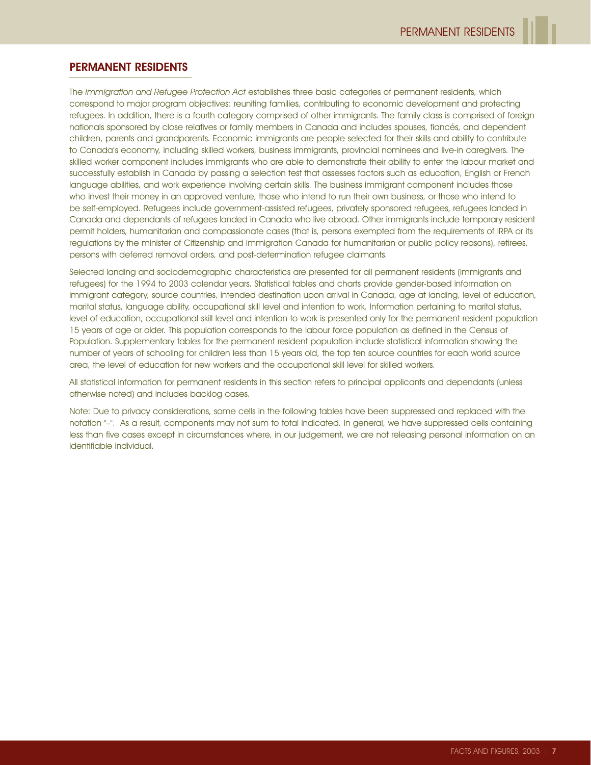#### PERMANENT RESIDENTS

The Immigration and Refugee Protection Act establishes three basic categories of permanent residents, which correspond to major program objectives: reuniting families, contributing to economic development and protecting refugees. In addition, there is a fourth category comprised of other immigrants. The family class is comprised of foreign nationals sponsored by close relatives or family members in Canada and includes spouses, fiancés, and dependent children, parents and grandparents. Economic immigrants are people selected for their skills and ability to contribute to Canada's economy, including skilled workers, business immigrants, provincial nominees and live-in caregivers. The skilled worker component includes immigrants who are able to demonstrate their ability to enter the labour market and successfully establish in Canada by passing a selection test that assesses factors such as education, English or French language abilities, and work experience involving certain skills. The business immigrant component includes those who invest their money in an approved venture, those who intend to run their own business, or those who intend to be self-employed. Refugees include government-assisted refugees, privately sponsored refugees, refugees landed in Canada and dependants of refugees landed in Canada who live abroad. Other immigrants include temporary resident permit holders, humanitarian and compassionate cases (that is, persons exempted from the requirements of IRPA or its regulations by the minister of Citizenship and Immigration Canada for humanitarian or public policy reasons), retirees, persons with deferred removal orders, and post-determination refugee claimants.

Selected landing and sociodemographic characteristics are presented for all permanent residents (immigrants and refugees) for the 1994 to 2003 calendar years. Statistical tables and charts provide gender-based information on immigrant category, source countries, intended destination upon arrival in Canada, age at landing, level of education, marital status, language ability, occupational skill level and intention to work. Information pertaining to marital status, level of education, occupational skill level and intention to work is presented only for the permanent resident population 15 years of age or older. This population corresponds to the labour force population as defined in the Census of Population. Supplementary tables for the permanent resident population include statistical information showing the number of years of schooling for children less than 15 years old, the top ten source countries for each world source area, the level of education for new workers and the occupational skill level for skilled workers.

All statistical information for permanent residents in this section refers to principal applicants and dependants (unless otherwise noted) and includes backlog cases.

Note: Due to privacy considerations, some cells in the following tables have been suppressed and replaced with the notation "–". As a result, components may not sum to total indicated. In general, we have suppressed cells containing less than five cases except in circumstances where, in our judgement, we are not releasing personal information on an identifiable individual.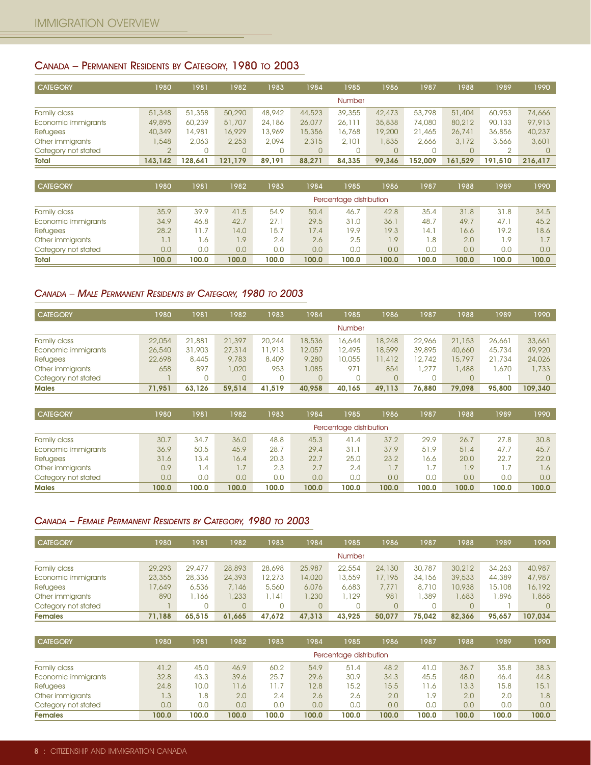# CANADA – PERMANENT RESIDENTS BY CATEGORY, 1980 TO 2003

| <b>CATEGORY</b>     | 1980    | 1981    | 1982    | 1983   | 1984     | 1985          | 1986   | 1987    | 1988    | 1989     | 1990    |
|---------------------|---------|---------|---------|--------|----------|---------------|--------|---------|---------|----------|---------|
|                     |         |         |         |        |          | <b>Number</b> |        |         |         |          |         |
| Family class        | 51,348  | 51,358  | 50,290  | 48,942 | 44,523   | 39,355        | 42,473 | 53,798  | 51,404  | 60,953   | 74,666  |
| Economic immigrants | 49,895  | 60,239  | 51,707  | 24,186 | 26,077   | 26,111        | 35,838 | 74,080  | 80,212  | 90,133   | 97,913  |
| <b>Refugees</b>     | 40,349  | 14,981  | 16,929  | 13,969 | 15,356   | 16,768        | 19,200 | 21,465  | 26,741  | 36,856   | 40,237  |
| Other immigrants    | .548    | 2.063   | 2,253   | 2.094  | 2,315    | 2.101         | 1,835  | 2.666   | 3,172   | 3,566    | 3,601   |
| Category not stated |         |         |         |        | $\Omega$ |               |        |         |         | $\Omega$ |         |
| <b>Total</b>        | 143.142 | 128.641 | 121.179 | 89.191 | 88.271   | 84.335        | 99.346 | 152.009 | 161.529 | 191.510  | 216.417 |

| <b>CATEGORY</b>     | 1980  | 1981       | 1982  | 1983  | 1984  | 1985                    | 1986  | 1987  | 1988  | 1989  | 1990  |
|---------------------|-------|------------|-------|-------|-------|-------------------------|-------|-------|-------|-------|-------|
|                     |       |            |       |       |       | Percentage distribution |       |       |       |       |       |
| Family class        | 35.9  | 39.9       | 41.5  | 54.9  | 50.4  | 46.7                    | 42.8  | 35.4  | 31.8  | 31.8  | 34.5  |
| Economic immigrants | 34.9  | 46.8       | 42.7  | 27.1  | 29.5  | 31.0                    | 36.1  | 48.7  | 49.7  | 47.1  | 45.2  |
| <b>Refugees</b>     | 28.2  | 11.7       | 14.0  | 15.7  | 17.4  | 19.9                    | 19.3  | 14.1  | 16.6  | 19.2  | 18.6  |
| Other immigrants    | 1.1   | $\cdot$ .6 | 1.9   | 2.4   | 2.6   | 2.5                     | 1.9   | 1.8   | 2.0   | 1.9   |       |
| Category not stated | 0.0   | 0.0        | 0.0   | 0.0   | 0.0   | 0.0                     | 0.0   | 0.0   | 0.0   | 0.0   | 0.0   |
| <b>Total</b>        | 100.0 | 100.0      | 100.0 | 100.0 | 100.0 | 100.0                   | 100.0 | 100.0 | 100.0 | 100.0 | 100.0 |

#### CANADA – MALE PERMANENT RESIDENTS BY CATEGORY, 1980 TO 2003

| <b>CATEGORY</b>     | 1980   | 1981   | 1982      | 1983   | 1984   | 1985          | 1986   | 1987   | 1988   | 1989   | 1990    |
|---------------------|--------|--------|-----------|--------|--------|---------------|--------|--------|--------|--------|---------|
|                     |        |        |           |        |        | <b>Number</b> |        |        |        |        |         |
| Family class        | 22,054 | 21,881 | 21,397    | 20,244 | 8,536  | 16,644        | 18,248 | 22,966 | 21,153 | 26,661 | 33,661  |
| Economic immigrants | 26,540 | 31,903 | 27,314    | 11,913 | 2,057  | 12,495        | 18,599 | 39,895 | 40,660 | 45,734 | 49,920  |
| <b>Refugees</b>     | 22,698 | 8,445  | 9,783     | 8,409  | 9,280  | 10,055        | 11,412 | 12,742 | 15,797 | 21,734 | 24,026  |
| Other immigrants    | 658    | 897    | $0.020$ . | 953    | 1,085  | 971           | 854    | .277   | .488   | .670   | 1,733   |
| Category not stated |        |        | $\Omega$  |        | 0.     |               | 0      |        |        |        |         |
| <b>Males</b>        | 71.951 | 63,126 | 59,514    | 41,519 | 40,958 | 40,165        | 49.113 | 76,880 | 79,098 | 95,800 | 109,340 |

| <b>CATEGORY</b>     | 1980  | 1981  | 1982  | 1983  | 1984  | 985                     | 1986  | 1987  | 1988  | 1989  | 1990  |
|---------------------|-------|-------|-------|-------|-------|-------------------------|-------|-------|-------|-------|-------|
|                     |       |       |       |       |       | Percentage distribution |       |       |       |       |       |
| Family class        | 30.7  | 34.7  | 36.0  | 48.8  | 45.3  | 41.4                    | 37.2  | 29.9  | 26.7  | 27.8  | 30.8  |
| Economic immigrants | 36.9  | 50.5  | 45.9  | 28.7  | 29.4  | 31.1                    | 37.9  | 51.9  | 51.4  | 47.7  | 45.7  |
| <b>Refugees</b>     | 31.6  | 13.4  | 16.4  | 20.3  | 22.7  | 25.0                    | 23.2  | 16.6  | 20.0  | 22.7  | 22.0  |
| Other immigrants    | 0.9   | .4    | 1.7   | 2.3   | 2.7   | 2.4                     | 1.7   |       | 1.9   | 1.7   | 1.6   |
| Category not stated | 0.0   | 0.0   | 0.0   | 0.0   | 0.0   | 0.0                     | 0,0   | 0.0   | 0,0   | 0.0   | 0.0   |
| <b>Males</b>        | 100.0 | 100.0 | 100.0 | 100.0 | 100.0 | 100.0                   | 100.0 | 100.0 | 100.0 | 100.0 | 100.0 |

#### CANADA – FEMALE PERMANENT RESIDENTS BY CATEGORY, 1980 TO 2003

| <b>CATEGORY</b>     | 980    | 1981   | 1982   | 1983   | 1984   | 1985          | 1986   | 1987   | 1988   | 1989   | 1990    |
|---------------------|--------|--------|--------|--------|--------|---------------|--------|--------|--------|--------|---------|
|                     |        |        |        |        |        | <b>Number</b> |        |        |        |        |         |
| Family class        | 29,293 | 29,477 | 28,893 | 28,698 | 25,987 | 22,554        | 24,130 | 30,787 | 30,212 | 34,263 | 40,987  |
| Economic immigrants | 23,355 | 28,336 | 24,393 | 12,273 | 14,020 | 13,559        | 17,195 | 34,156 | 39,533 | 44,389 | 47,987  |
| Refugees            | 7,649  | 6,536  | 7.146  | 5,560  | 6,076  | 6,683         | 7,771  | 8,710  | 10,938 | 15,108 | 16,192  |
| Other immigrants    | 890    | 1,166  | 1.233  | .141   | 1,230  | . . 129       | 981    | 1.389  | .683   | .896   | 868.    |
| Category not stated |        |        |        |        | 0.     | 0             |        | 0      |        |        |         |
| <b>Females</b>      | 71.188 | 65,515 | 61,665 | 47.672 | 47,313 | 43,925        | 50,077 | 75.042 | 82,366 | 95.657 | 107,034 |

| <b>CATEGORY</b>     | 980   | 1981  | 1982  | 1983  | 1984  | 1985                    | 1986  | 1987  | 1988  | 1989  | 1990  |
|---------------------|-------|-------|-------|-------|-------|-------------------------|-------|-------|-------|-------|-------|
|                     |       |       |       |       |       | Percentage distribution |       |       |       |       |       |
| Family class        | 41.2  | 45.0  | 46.9  | 60.2  | 54.9  | 51.4                    | 48.2  | 41.0  | 36.7  | 35.8  | 38.3  |
| Economic immigrants | 32.8  | 43.3  | 39.6  | 25.7  | 29.6  | 30.9                    | 34.3  | 45.5  | 48.0  | 46.4  | 44.8  |
| Refugees            | 24.8  | 10.0  | 11.6  | 1.7   | 12.8  | 15.2                    | 15.5  | 11.6  | 13.3  | 15.8  | 15.1  |
| Other immigrants    | .3    | 8.1   | 2.0   | 2.4   | 2.6   | 2.6                     | 2.0   | . . 9 | 2.0   | 2.0   | 1.8   |
| Category not stated | 0.0   | 0.0   | 0.0   | 0.0   | 0.0   | 0.0                     | 0.0   | 0.0   | 0.0   | 0.0   | 0.0   |
| <b>Females</b>      | 100.0 | 100.0 | 100.0 | 100.0 | 100.0 | 100.0                   | 100.0 | 100.0 | 100.0 | 100.0 | 100.0 |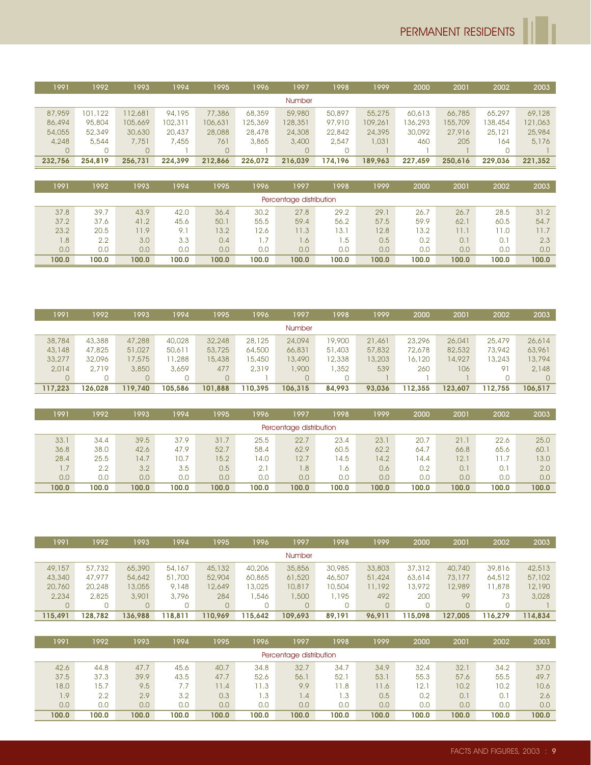| 1991    | 1992    | 1993           | 1994    | 1995    | 996     | 1997    | 1998    | 1999    | 2000    | 2001    | 2002    | 2003    |
|---------|---------|----------------|---------|---------|---------|---------|---------|---------|---------|---------|---------|---------|
|         |         |                |         |         |         | Number  |         |         |         |         |         |         |
| 87,959  | 101,122 | 112,681        | 94,195  | 77,386  | 68,359  | 59,980  | 50,897  | 55,275  | 60,613  | 66,785  | 65,297  | 69,128  |
| 86,494  | 95,804  | 105,669        | 102,311 | 106,631 | 25,369  | 128,351 | 97,910  | 109,261 | 136,293 | 155,709 | 138,454 | 121,063 |
| 54,055  | 52,349  | 30,630         | 20,437  | 28,088  | 28,478  | 24,308  | 22,842  | 24,395  | 30,092  | 27,916  | 25,121  | 25,984  |
| 4,248   | 5,544   | 7,751          | 7,455   | 761     | 3,865   | 3,400   | 2,547   | 1,031   | 460     | 205     | 164     | 5,176   |
|         | 0       | $\overline{0}$ |         |         |         | 0       |         |         |         |         |         |         |
| 232.756 | 254.819 | 256.731        | 224.399 | 212.866 | 226.072 | 216.039 | 174.196 | 189.963 | 227.459 | 250.616 | 229.036 | 221.352 |

| 1991  | 1992  | 1993  | 1994  | 1995  | 1996  | 1997                    | 1998' | 1999  | 2000  | 2001  | 2002  | 2003  |
|-------|-------|-------|-------|-------|-------|-------------------------|-------|-------|-------|-------|-------|-------|
|       |       |       |       |       |       | Percentage distribution |       |       |       |       |       |       |
| 37.8  | 39.7  | 43.9  | 42.0  | 36.4  | 30.2  | 27.8                    | 29.2  | 29.1  | 26.7  | 26.7  | 28.5  | 31.2  |
| 37.2  | 37.6  | 41.2  | 45.6  | 50.1  | 55.5  | 59.4                    | 56.2  | 57.5  | 59.9  | 62.1  | 60.5  | 54.7  |
| 23.2  | 20.5  | 11.9  | 9.1   | 13.2  | 12.6  | 11.3                    | 13.1  | 12.8  | 13.2  | 1.1   | 1.0   | 11.7  |
| 1.8   | 2.2   | 3.0   | 3.3   | 0.4   |       | .6                      | 1.5   | 0.5   | 0.2   | 0.1   | 0.1   | 2.3   |
| 0.0   | 0.0   | 0.0   | 0.0   | 0.0   | 0.0   | 0.0                     | 0,0   | 0.0   | 0.0   | 0.0   | 0.0   | 0.0   |
| 100.0 | 100.0 | 100.0 | 100.0 | 100.0 | 100.0 | 100.0                   | 100.0 | 100.0 | 100.0 | 100.0 | 100.0 | 100.0 |

| 1991    | 1992    | 1993           | 1994    | 1995    | 1996    | 1997    | 1998   | 1999   | 2000    | 2001    | 2002    | 2003    |
|---------|---------|----------------|---------|---------|---------|---------|--------|--------|---------|---------|---------|---------|
|         |         |                |         |         |         | Number  |        |        |         |         |         |         |
| 38,784  | 43,388  | 47,288         | 40,028  | 32,248  | 28,125  | 24,094  | 19,900 | 21,461 | 23,296  | 26,041  | 25,479  | 26,614  |
| 43,148  | 47,825  | 51,027         | 50,611  | 53,725  | 64,500  | 66,831  | 51,403 | 57,832 | 72,678  | 82,532  | 73,942  | 63,961  |
| 33,277  | 32,096  | 17,575         | 1,288   | 15,438  | 15,450  | 13,490  | 12,338 | 13,203 | 16,120  | 14,927  | 13,243  | 13,794  |
| 2,014   | 2.719   | 3,850          | 3,659   | 477     | 2,319   | 1,900   | .352   | 539    | 260     | 106     | 91      | 2,148   |
|         |         | $\overline{0}$ |         |         |         |         |        |        |         |         |         |         |
| 117.223 | 126.028 | 119.740        | 105.586 | 101.888 | 110.395 | 106.315 | 84.993 | 93.036 | 112.355 | 123.607 | 112.755 | 106.517 |

| 1991             | 1992  | 1993             | 1994  | 1995  | 1996  | 1997                    | 1998  | 1999  | 2000  | 2001  | 2002  | 2003  |
|------------------|-------|------------------|-------|-------|-------|-------------------------|-------|-------|-------|-------|-------|-------|
|                  |       |                  |       |       |       | Percentage distribution |       |       |       |       |       |       |
| 33.1             | 34.4  | 39.5             | 37.9  | 31.7  | 25.5  | 22.7                    | 23.4  | 23.1  | 20.7  | 21.1  | 22.6  | 25.0  |
| 36.8             | 38.0  | 42.6             | 47.9  | 52.7  | 58.4  | 62.9                    | 60.5  | 62.2  | 64.7  | 66.8  | 65.6  | 60.1  |
| 28.4             | 25.5  | 4.7              | 10.7  | 15.2  | 14.0  | 12.7                    | 4.5   | 14.2  | 14.4  | 12.1  |       | 13.0  |
| $\overline{1.7}$ | 2.2   | 3.2              | 3.5   | 0.5   | 2.    | 1.8                     | . .6  | 0.6   | 0.2   | 0.1   | 0.1   | 2.0   |
| 0.0              | 0.0   | 0.0 <sub>1</sub> | 0.0   | 0.0   | 0.0   | 0.0                     | 0.0   | 0.0   | 0.0   | 0.0   | 0.0   | 0.0   |
| 100.0            | 100.0 | 100.0            | 100.0 | 100.0 | 100.0 | 100.0                   | 100.0 | 100.0 | 100.0 | 100.0 | 100.0 | 100.0 |

| 1991    | 1992    | 1993     | 1994   | 1995    | 1996    | 1997          | 1998   | 1999   | 2000    | 2001     | 2002    | 2003    |
|---------|---------|----------|--------|---------|---------|---------------|--------|--------|---------|----------|---------|---------|
|         |         |          |        |         |         | <b>Number</b> |        |        |         |          |         |         |
| 49,157  | 57,732  | 65,390   | 54,167 | 45,132  | 40,206  | 35,856        | 30,985 | 33,803 | 37,312  | 40,740   | 39,816  | 42,513  |
| 43,340  | 47.977  | 54,642   | 51,700 | 52,904  | 60,865  | 61,520        | 46,507 | 51,424 | 63,614  | 73,177   | 64,512  | 57,102  |
| 20,760  | 20,248  | 13,055   | 9,148  | 12,649  | 13,025  | 10,817        | 10,504 | 11,192 | 13,972  | 12,989   | 1,878   | 12,190  |
| 2,234   | 2.825   | 3,901    | 3,796  | 284     | .546    | ,500          | 1,195  | 492    | 200     | 99       | 73      | 3,028   |
|         |         | $\Omega$ |        |         |         | $\Omega$      |        |        |         | $\Omega$ |         |         |
| 115.491 | 128.782 | 136.988  | 18.811 | 110.969 | 115.642 | 109.693       | 89,191 | 96.911 | 115.098 | 127.005  | 116.279 | 114.834 |

| 1991  | 1992  | 1993  | 1994  | 1995  | 1996  | 1997                    | 1998  | 1999  | 2000  | 2001  | 2002  | 2003  |
|-------|-------|-------|-------|-------|-------|-------------------------|-------|-------|-------|-------|-------|-------|
|       |       |       |       |       |       | Percentage distribution |       |       |       |       |       |       |
| 42.6  | 44.8  | 47.7  | 45.6  | 40.7  | 34.8  | 32.7                    | 34.7  | 34.9  | 32.4  | 32.1  | 34.2  | 37.0  |
| 37.5  | 37.3  | 39.9  | 43.5  | 47.7  | 52.6  | 56.1                    | 52.1  | 53.1  | 55.3  | 57.6  | 55.5  | 49.7  |
| 18.0  | 15.7  | 9.5   | 7.7   | 11.4  | 11.3  | 9.9                     | 1.8   | 11.6  | 12.1  | 10.2  | 10.2  | 10.6  |
| 1.9   | 2.2   | 2.9   | 3.2   | 0.3   | .3    | $\overline{1.4}$        | 1.3   | 0.5   | 0.2   | 0.1   | 0.1   | 2.6   |
| 0.0   | 0.0   | 0.0   | 0.0   | 0.0   | 0.0   | 0.0                     | 0.0   | 0.0   | 0.0   | 0.0   | 0.0   | 0.0   |
| 100.0 | 100.0 | 100.0 | 100.0 | 100.0 | 100.0 | 100.0                   | 100.0 | 100.0 | 100.0 | 100.0 | 100.0 | 100.0 |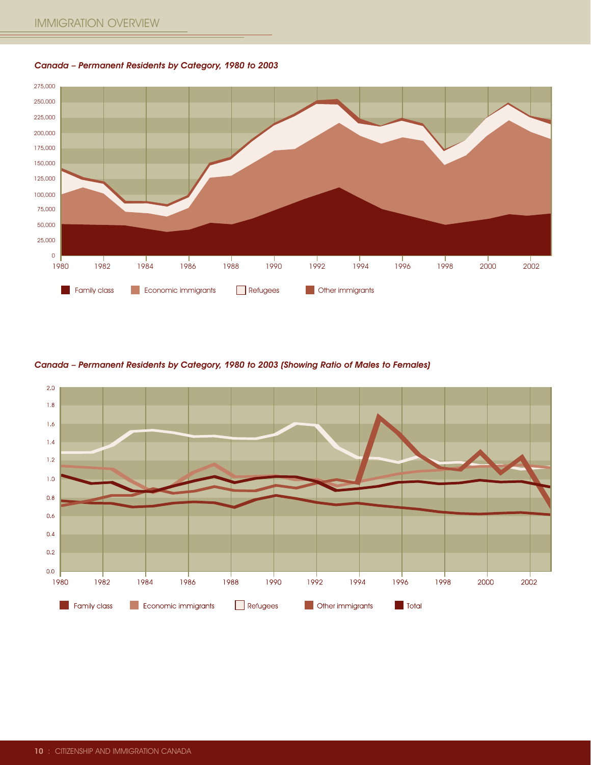Canada – Permanent Residents by Category, 1980 to 2003



#### Canada – Permanent Residents by Category, 1980 to 2003 (Showing Ratio of Males to Females)

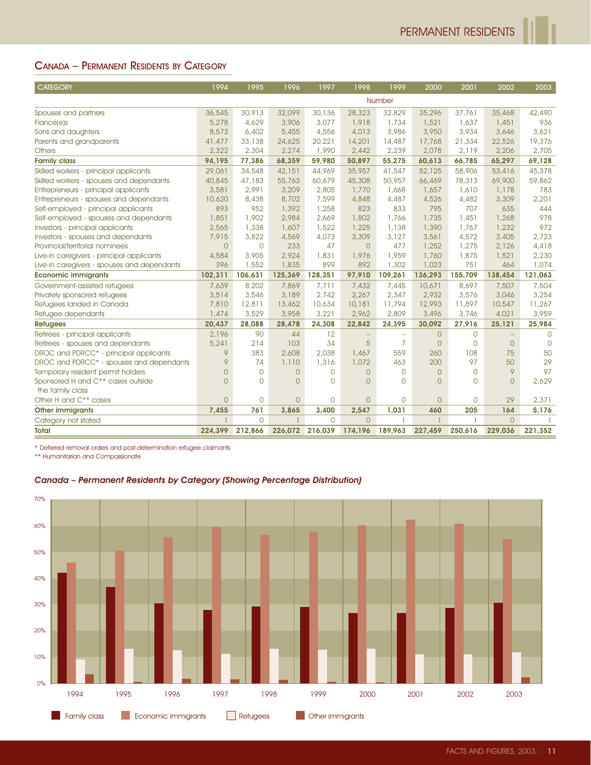# CANADA – PERMANENT RESIDENTS BY CATEGORY

| <b>CATEGORY</b>                                                                                                        | 1994                           | 1995                       | 1996                         | 1997                       | 1998                             | 1999                     | 2000            | 2001                          | 2002                     | 2003            |
|------------------------------------------------------------------------------------------------------------------------|--------------------------------|----------------------------|------------------------------|----------------------------|----------------------------------|--------------------------|-----------------|-------------------------------|--------------------------|-----------------|
|                                                                                                                        |                                |                            |                              |                            |                                  | Number                   |                 |                               |                          |                 |
| Spouses and partners                                                                                                   | 36,545                         | 30,913                     | 32,099                       | 30,136                     | 28,323                           | 32,829                   | 35,296          | 37,761                        | 35,468                   | 42,490          |
| Fiancé(e)s                                                                                                             | 5,278                          | 4,629                      | 3,906                        | 3,077                      | 1,918                            | 1,734                    | 1,521           | 1,637                         | 1,451                    | 936             |
| Sons and daughters                                                                                                     | 8,573                          | 6,402                      | 5,455                        | 4,556                      | 4,013                            | 3,986                    | 3,950           | 3,934                         | 3,646                    | 3,621           |
| Parents and grandparents                                                                                               | 41,477                         | 33,138                     | 24,625                       | 20,221                     | 14,201                           | 14,487                   | 17,768          | 21,334                        | 22,526                   | 19,376          |
| <b>Others</b>                                                                                                          | 2,322<br>94,195                | 2,304<br>77,386            | 2,274<br>68,359              | 1,990<br>59,980            | 2,442<br>50,897                  | 2,239<br>55,275          | 2,078<br>60,613 | 2,119<br>66,785               | 2,206<br>65,297          | 2,705<br>69,128 |
| <b>Family class</b><br>Skilled workers - principal applicants                                                          | 29,061                         | 34,548                     | 42,151                       | 44,969                     | 35,957                           | 41,547                   | 52,125          | 58,906                        | 53,416                   | 45,378          |
| Skilled workers - spouses and dependants                                                                               | 40,845                         | 47,183                     | 55,763                       | 60,679                     | 45,308                           | 50,957                   | 66,469          | 78,313                        | 69,900                   | 59,862          |
| Entrepreneurs - principal applicants                                                                                   | 3,581                          | 2,991                      | 3,209                        | 2,805                      | 1,770                            | 1,668                    | 1,657           | 1,610                         | 1,178                    | 783             |
| Entrepreneurs - spouses and dependants                                                                                 | 10,620                         | 8,438                      | 8,702                        | 7,599                      | 4,848                            | 4,487                    | 4,526           | 4,482                         | 3,309                    | 2,201           |
| Self-employed - principal applicants                                                                                   | 893                            | 952                        | 1,392                        | 1,258                      | 823                              | 833                      | 795             | 707                           | 635                      | 444             |
| Self-employed - spouses and dependants<br>Investors - principal applicants                                             | 1,851<br>2,565                 | 1,902<br>1,338             | 2,984<br>1,607               | 2,669<br>1,522             | 1,802<br>1,225                   | 1,766<br>1,138           | 1,735<br>1,390  | 1,451<br>1,767                | 1,268<br>1,232           | 978<br>972      |
| Investors - spouses and dependants                                                                                     | 7,915                          | 3,822                      | 4,569                        | 4,073                      | 3,309                            | 3,127                    | 3,561           | 4,572                         | 3,405                    | 2,723           |
| Provincial/territorial nominees                                                                                        | $\theta$                       | $\mathbf 0$                | 233                          | 47                         | $\overline{0}$                   | 477                      | 1,252           | 1,275                         | 2,126                    | 4,418           |
| Live-in caregivers - principal applicants                                                                              | 4,584                          | 3,905                      | 2,924                        | 1,831                      | 1,976                            | 1,959                    | 1,760           | 1,875                         | 1,521                    | 2,230           |
| Live-in caregivers - spouses and dependants                                                                            | 396                            | 1,552                      | 1,835                        | 899                        | 892                              | 1,302                    | 1,023           | 751                           | 464                      | 1,074           |
| <b>Economic immigrants</b>                                                                                             | 102,311                        | 106,631                    | 125,369                      | 128,351                    | 97,910                           | 109,261                  | 136,293         | 155,709                       | 138,454                  | 121,063         |
| Government-assisted refugees                                                                                           | 7,639                          | 8,202                      | 7,869                        | 7,711                      | 7,432                            | 7,445                    | 10,671          | 8,697                         | 7,507                    | 7,504           |
| Privately sponsored refugees<br>Refugees landed in Canada                                                              | 3,514<br>7,810                 | 3,546<br>12,811            | 3,189<br>13,462              | 2,742<br>10,634            | 2,267<br>10,181                  | 2,347<br>11,794          | 2,932<br>12,993 | 3,576<br>11,897               | 3,046<br>10,547          | 3,254<br>11,267 |
| Refugee dependants                                                                                                     | 1,474                          | 3,529                      | 3,958                        | 3,221                      | 2,962                            | 2,809                    | 3,496           | 3,746                         | 4,021                    | 3,959           |
| <b>Refugees</b>                                                                                                        | 20,437                         | 28,088                     | 28,478                       | 24,308                     | 22,842                           | 24,395                   | 30,092          | 27,916                        | 25,121                   | 25,984          |
| Retirees - principal applicants                                                                                        | 2,196                          | 90                         | 44                           | 12                         | $\overline{\phantom{m}}$         | $\overline{\phantom{0}}$ | $\overline{0}$  | 0                             | $\overline{\phantom{m}}$ | 0               |
| Retirees - spouses and dependants                                                                                      | 5,241                          | 214                        | 103                          | 34                         | 5                                | $\overline{7}$           | $\theta$        | $\mathbf{O}$                  | $\mathbf{0}$             | $\overline{0}$  |
| DROC and PDRCC* - principal applicants                                                                                 | 9                              | 383                        | 2,608                        | 2,038                      | 1,467                            | 559                      | 260             | 108                           | 75                       | 50              |
| DROC and PDRCC* - spouses and dependants                                                                               | 9                              | 74                         | 1,110                        | 1,316                      | 1,072                            | 463                      | 200             | 97                            | 50                       | 29              |
| Temporary resident permit holders<br>Sponsored H and C** cases outside                                                 | $\overline{0}$<br>$\mathbf{O}$ | $\mathbf 0$<br>$\mathbf 0$ | $\mathbf{O}$<br>$\mathbf{O}$ | $\mathbf 0$<br>$\mathbf 0$ | $\overline{0}$<br>$\overline{0}$ | 0<br>0                   | 0<br>0          | $\overline{0}$<br>$\mathbf 0$ | 9<br>$\overline{0}$      | 97<br>2,629     |
|                                                                                                                        |                                |                            |                              |                            |                                  |                          |                 |                               |                          |                 |
|                                                                                                                        |                                |                            |                              |                            |                                  |                          |                 |                               |                          |                 |
| the family class<br>Other H and C** cases                                                                              | $\overline{0}$                 | $\mathbf 0$                | $\mathbf{O}$                 | $\overline{0}$             | $\overline{0}$                   | 0                        | 0               | $\mathbf 0$                   | 29                       | 2,371           |
| <b>Other immigrants</b>                                                                                                | 7,455                          | 761                        | 3,865                        | 3,400                      | 2,547                            | 1,031                    | 460             | 205                           | 164                      | 5,176           |
| Category not stated                                                                                                    | 1                              | $\overline{0}$             |                              | $\overline{0}$             | $\overline{O}$                   | ı                        | ı               | 1                             | $\overline{0}$           |                 |
| Total<br>* Deferred removal orders and post-determination refugee claimants                                            | 224,399                        | 212,866                    | 226,072 216,039              |                            | 174,196                          | 189,963                  | 227,459         | 250,616                       | 229,036                  | 221,352         |
| ** Humanitarian and Compassionate<br>Canada - Permanent Residents by Category (Showing Percentage Distribution)<br>70% |                                |                            |                              |                            |                                  |                          |                 |                               |                          |                 |
|                                                                                                                        |                                |                            |                              |                            |                                  |                          |                 |                               |                          |                 |
| 60%<br>50%<br>40%                                                                                                      |                                |                            |                              |                            |                                  |                          |                 |                               |                          |                 |
| 30%<br>20%                                                                                                             |                                |                            |                              |                            |                                  |                          |                 |                               |                          |                 |
| 10%<br>0%<br>1994<br>1995<br>1996                                                                                      | 1997                           |                            | 1998                         | 1999                       | 2000                             |                          | 2001            | 2002                          | 2003                     |                 |

#### Canada – Permanent Residents by Category (Showing Percentage Distribution)

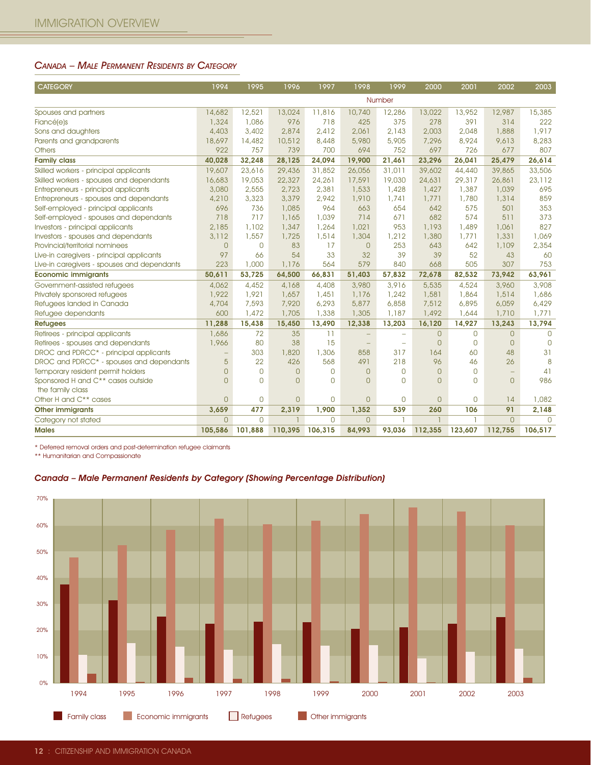#### CANADA – MALE PERMANENT RESIDENTS BY CATEGORY

| <b>CATEGORY</b>                                                                                                                                                                                   | 1994                      | 1995                   | 1996                    | 1997                   | 1998                     | 1999                                                 | 2000                             | 2001             | 2002                           | 2003                          |
|---------------------------------------------------------------------------------------------------------------------------------------------------------------------------------------------------|---------------------------|------------------------|-------------------------|------------------------|--------------------------|------------------------------------------------------|----------------------------------|------------------|--------------------------------|-------------------------------|
|                                                                                                                                                                                                   |                           |                        |                         |                        |                          | Number                                               |                                  |                  |                                |                               |
| Spouses and partners                                                                                                                                                                              | 14,682                    | 12,521                 | 13,024                  | 11,816                 | 10,740                   | 12,286                                               | 13,022                           | 13,952           | 12,987                         | 15,385                        |
| Fiancé(e)s                                                                                                                                                                                        | 1,324                     | 1,086                  | 976                     | 718                    | 425                      | 375                                                  | 278                              | 391              | 314                            | 222                           |
| Sons and daughters                                                                                                                                                                                | 4,403                     | 3,402                  | 2,874                   | 2,412                  | 2,061                    | 2,143                                                | 2,003                            | 2,048            | 1,888                          | 1,917                         |
| Parents and grandparents                                                                                                                                                                          | 18,697                    | 14,482                 | 10,512                  | 8,448                  | 5,980                    | 5,905                                                | 7,296                            | 8,924            | 9,613                          | 8,283                         |
| <b>Others</b>                                                                                                                                                                                     | 922                       | 757                    | 739                     | 700                    | 694                      | 752                                                  | 697                              | 726              | 677                            | 807                           |
| <b>Family class</b><br>Skilled workers - principal applicants                                                                                                                                     | 40,028<br>19,607          | 32,248<br>23,616       | 28,125<br>29,436        | 24,094<br>31,852       | 19,900<br>26,056         | 21,461<br>31,011                                     | 23,296<br>39,602                 | 26,041<br>44,440 | 25,479<br>39,865               | 26,614<br>33,506              |
| Skilled workers - spouses and dependants                                                                                                                                                          | 16,683                    | 19,053                 | 22,327                  | 24,261                 | 17,591                   | 19,030                                               | 24,631                           | 29,317           | 26,861                         | 23,112                        |
| Entrepreneurs - principal applicants                                                                                                                                                              | 3,080                     | 2,555                  | 2,723                   | 2,381                  | 1,533                    | 1,428                                                | 1,427                            | 1,387            | 1,039                          | 695                           |
| Entrepreneurs - spouses and dependants                                                                                                                                                            | 4,210                     | 3,323                  | 3,379                   | 2,942                  | 1,910                    | 1,741                                                | 1,771                            | 1,780            | 1,314                          | 859                           |
| Self-employed - principal applicants                                                                                                                                                              | 696                       | 736                    | 1,085                   | 964                    | 663                      | 654                                                  | 642                              | 575              | 501                            | 353                           |
| Self-employed - spouses and dependants                                                                                                                                                            | 718                       | 717                    | 1,165                   | 1,039                  | 714                      | 671                                                  | 682                              | 574              | 511                            | 373                           |
| Investors - principal applicants                                                                                                                                                                  | 2,185                     | 1,102                  | 1,347                   | 1,264                  | 1,021                    | 953                                                  | 1,193                            | 1,489            | 1,061                          | 827                           |
| Investors - spouses and dependants<br>Provincial/territorial nominees                                                                                                                             | 3,112<br>$\overline{0}$   | 1,557<br>$\mathsf{O}$  | 1,725<br>83             | 1,514<br>17            | 1,304<br>$\theta$        | 1,212<br>253                                         | 1,380<br>643                     | 1,771<br>642     | 1,331<br>1,109                 | 1,069<br>2,354                |
| Live-in caregivers - principal applicants                                                                                                                                                         | 97                        | 66                     | 54                      | 33                     | 32                       | 39                                                   | 39                               | 52               | 43                             | 60                            |
| Live-in caregivers - spouses and dependants                                                                                                                                                       | 223                       | 1,000                  | 1,176                   | 564                    | 579                      | 840                                                  | 668                              | 505              | 307                            | 753                           |
| <b>Economic immigrants</b>                                                                                                                                                                        | 50,611                    | 53,725                 | 64,500                  | 66,831                 | 51,403                   | 57,832                                               | 72,678                           | 82,532           | 73,942                         | 63,961                        |
| Government-assisted refugees                                                                                                                                                                      | 4,062                     | 4,452                  | 4,168                   | 4,408                  | 3,980                    | 3,916                                                | 5,535                            | 4,524            | 3,960                          | 3,908                         |
| Privately sponsored refugees                                                                                                                                                                      | 1,922                     | 1,921                  | 1,657                   | 1,451                  | 1,176                    | 1,242                                                | 1,581                            | 1,864            | 1,514                          | 1,686                         |
| Refugees landed in Canada                                                                                                                                                                         | 4,704                     | 7,593                  | 7,920                   | 6,293                  | 5,877                    | 6,858                                                | 7,512                            | 6,895            | 6,059                          | 6,429                         |
| Refugee dependants                                                                                                                                                                                | 600                       | 1,472                  | 1,705                   | 1,338                  | 1,305                    | 1,187                                                | 1,492                            | 1,644            | 1,710                          | 1,771                         |
| <b>Refugees</b>                                                                                                                                                                                   | 11,288                    | 15,438                 | 15,450                  | 13,490                 | 12,338                   | 13,203                                               | 16,120                           | 14,927           | 13,243                         | 13,794                        |
| Retirees - principal applicants<br>Retirees - spouses and dependants                                                                                                                              | 1,686<br>1,966            | 72<br>80               | 35<br>38                | 11<br>15               | $\equiv$                 | $\overline{\phantom{m}}$<br>$\overline{\phantom{0}}$ | $\overline{0}$<br>$\overline{0}$ | 0<br>$\mathbf 0$ | $\overline{0}$<br>$\mathbf{0}$ | $\mathbf 0$<br>$\overline{0}$ |
| DROC and PDRCC* - principal applicants                                                                                                                                                            | $\qquad \qquad -$         | 303                    | 1,820                   | 1,306                  | 858                      | 317                                                  | 164                              | 60               | 48                             | 31                            |
| DROC and PDRCC* - spouses and dependants                                                                                                                                                          | 5                         | 22                     | 426                     | 568                    | 491                      | 218                                                  | 96                               | 46               | 26                             | 8                             |
| Temporary resident permit holders                                                                                                                                                                 | $\overline{0}$            | 0                      | $\overline{0}$          | 0                      | $\overline{O}$           | $\overline{0}$                                       | $\mathbf{0}$                     | $\overline{0}$   | $\overline{\phantom{m}}$       | 41                            |
| Sponsored H and C** cases outside                                                                                                                                                                 | $\mathbf{O}$              | $\overline{0}$         | $\overline{0}$          | $\mathbf 0$            | $\overline{O}$           | $\overline{0}$                                       | $\mathbf{O}$                     | $\Omega$         | $\overline{0}$                 | 986                           |
| the family class                                                                                                                                                                                  |                           |                        |                         |                        |                          |                                                      |                                  |                  |                                |                               |
| Other H and C** cases                                                                                                                                                                             | $\overline{0}$            | 0                      | $\overline{0}$          | 0                      | $\overline{O}$           | 0                                                    | $\overline{0}$                   | 0                | 14                             | 1,082                         |
| <b>Other immigrants</b>                                                                                                                                                                           | 3,659                     | 477                    | 2,319                   | 1,900                  | 1,352                    | 539                                                  | 260                              | 106              | 91                             | 2,148                         |
| Category not stated<br><b>Males</b>                                                                                                                                                               | $\overline{O}$<br>105,586 | $\mathbf 0$<br>101,888 | $\mathbf{1}$<br>110,395 | $\mathbf 0$<br>106,315 | $\overline{0}$<br>84,993 | $\mathbf{1}$<br>93,036                               | $\mathbf{1}$<br>112,355          | ı.<br>123,607    | $\overline{0}$<br>112,755      | $\mathbf 0$<br>106,517        |
| * Deferred removal orders and post-determination refugee claimants<br>** Humanitarian and Compassionate<br>Canada - Male Permanent Residents by Category (Showing Percentage Distribution)<br>70% |                           |                        |                         |                        |                          |                                                      |                                  |                  |                                |                               |
| 60%                                                                                                                                                                                               |                           |                        |                         |                        |                          |                                                      | <b>The Contract of Street</b>    |                  |                                |                               |
| 50%                                                                                                                                                                                               |                           |                        |                         |                        |                          |                                                      |                                  |                  |                                |                               |
| 40%                                                                                                                                                                                               |                           |                        |                         |                        |                          |                                                      |                                  |                  |                                |                               |
| 30%                                                                                                                                                                                               |                           |                        |                         |                        |                          |                                                      |                                  |                  |                                |                               |
| 20%                                                                                                                                                                                               |                           |                        |                         |                        |                          |                                                      |                                  |                  |                                |                               |
| 10%<br>0%                                                                                                                                                                                         |                           |                        |                         |                        |                          |                                                      |                                  |                  |                                |                               |
| 1994<br>1995<br>1996                                                                                                                                                                              | 1997                      |                        | 1998                    | 1999                   | 2000                     |                                                      | 2001                             | 2002             | 2003                           |                               |

#### Canada – Male Permanent Residents by Category (Showing Percentage Distribution)

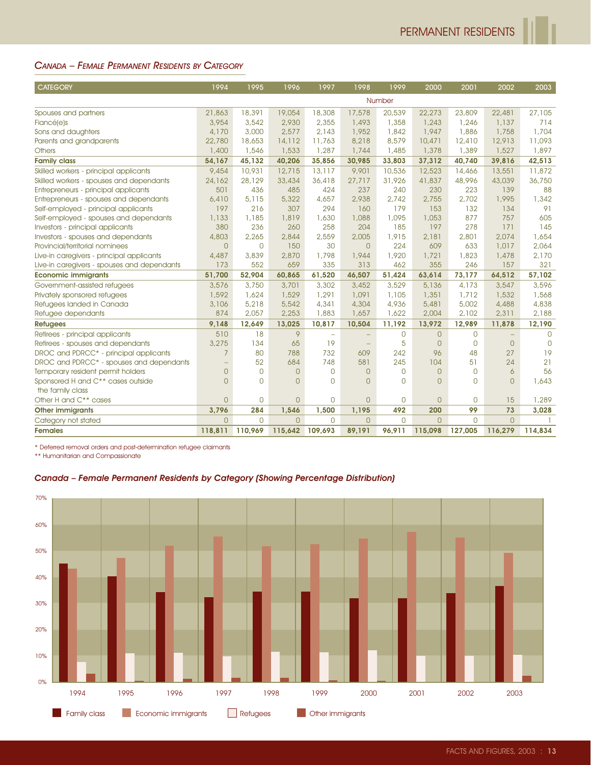#### CANADA – FEMALE PERMANENT RESIDENTS BY CATEGORY

| <b>CATEGORY</b>                                                                                                                                                         | 1994                                | 1995                  | 1996                  | 1997                     | 1998                    | 1999                | 2000                  | 2001            | 2002                 | 2003                 |
|-------------------------------------------------------------------------------------------------------------------------------------------------------------------------|-------------------------------------|-----------------------|-----------------------|--------------------------|-------------------------|---------------------|-----------------------|-----------------|----------------------|----------------------|
|                                                                                                                                                                         |                                     |                       |                       |                          |                         | Number              |                       |                 |                      |                      |
| Spouses and partners                                                                                                                                                    | 21,863                              | 18,391                | 19,054                | 18,308                   | 17,578                  | 20,539              | 22,273                | 23,809          | 22,481               | 27,105               |
| Fiancé(e)s                                                                                                                                                              | 3,954                               | 3,542                 | 2,930                 | 2,355                    | 1,493                   | 1,358               | 1,243                 | 1,246           | 1,137                | 714                  |
| Sons and daughters                                                                                                                                                      | 4,170                               | 3,000                 | 2,577                 | 2,143                    | 1,952                   | 1,842               | 1,947                 | 1,886           | 1,758                | 1,704                |
| Parents and grandparents                                                                                                                                                | 22,780                              | 18,653                | 14,112                | 11,763                   | 8,218                   | 8,579               | 10,471                | 12,410          | 12,913               | 11,093               |
| <b>Others</b><br><b>Family class</b>                                                                                                                                    | 1,400<br>54,167                     | 1,546<br>45,132       | 1,533<br>40,206       | 1,287<br>35,856          | 1,744<br>30,985         | 1,485<br>33,803     | 1,378<br>37,312       | 1,389<br>40,740 | 1,527<br>39,816      | 1,897<br>42,513      |
| Skilled workers - principal applicants                                                                                                                                  | 9,454                               | 10,931                | 12,715                | 13,117                   | 9,901                   | 10,536              | 12,523                | 14,466          | 13,551               | 11,872               |
| Skilled workers - spouses and dependants                                                                                                                                | 24,162                              | 28,129                | 33,434                | 36,418                   | 27,717                  | 31,926              | 41,837                | 48,996          | 43,039               | 36,750               |
| Entrepreneurs - principal applicants                                                                                                                                    | 501                                 | 436                   | 485                   | 424                      | 237                     | 240                 | 230                   | 223             | 139                  | 88                   |
| Entrepreneurs - spouses and dependants                                                                                                                                  | 6,410                               | 5,115                 | 5,322                 | 4,657                    | 2,938                   | 2,742               | 2,755                 | 2,702           | 1,995                | 1,342                |
| Self-employed - principal applicants<br>Self-employed - spouses and dependants                                                                                          | 197                                 | 216                   | 307                   | 294                      | 160                     | 179                 | 153                   | 132             | 134                  | 91                   |
| Investors - principal applicants                                                                                                                                        | 1,133<br>380                        | 1,185<br>236          | 1,819<br>260          | 1,630<br>258             | 1,088<br>204            | 1,095<br>185        | 1,053<br>197          | 877<br>278      | 757<br>171           | 605<br>145           |
| Investors - spouses and dependants                                                                                                                                      | 4,803                               | 2,265                 | 2,844                 | 2,559                    | 2,005                   | 1,915               | 2,181                 | 2,801           | 2,074                | 1,654                |
| Provincial/territorial nominees                                                                                                                                         | $\overline{0}$                      | $\mathbf 0$           | 150                   | 30                       | $\overline{0}$          | 224                 | 609                   | 633             | 1,017                | 2,064                |
| Live-in caregivers - principal applicants                                                                                                                               | 4,487                               | 3,839                 | 2,870                 | 1,798                    | 1,944                   | 1,920               | 1,721                 | 1,823           | 1,478                | 2,170                |
| Live-in caregivers - spouses and dependants                                                                                                                             | 173                                 | 552                   | 659                   | 335                      | 313                     | 462                 | 355                   | 246             | 157                  | 321                  |
| <b>Economic immigrants</b>                                                                                                                                              | 51,700                              | 52,904                | 60,865                | 61,520                   | 46,507                  | 51,424              | 63,614                | 73,177          | 64,512               | 57,102               |
| Government-assisted refugees<br>Privately sponsored refugees                                                                                                            | 3,576<br>1,592                      | 3,750<br>1,624        | 3,701<br>1,529        | 3,302<br>1,291           | 3,452<br>1,091          | 3,529<br>1,105      | 5,136<br>1,351        | 4,173<br>1,712  | 3,547<br>1,532       | 3,596<br>1,568       |
| Refugees landed in Canada                                                                                                                                               | 3,106                               | 5,218                 | 5,542                 | 4,341                    | 4,304                   | 4,936               | 5,481                 | 5,002           | 4,488                | 4,838                |
| Refugee dependants                                                                                                                                                      | 874                                 | 2,057                 | 2,253                 | 1,883                    | 1,657                   | 1,622               | 2,004                 | 2,102           | 2,311                | 2,188                |
| <b>Refugees</b>                                                                                                                                                         | 9,148                               | 12,649                | 13,025                | 10,817                   | 10,504                  | 11,192              | 13,972                | 12,989          | 11,878               | 12,190               |
| Retirees - principal applicants                                                                                                                                         | 510                                 | 18                    | 9                     | $\overline{\phantom{0}}$ |                         | 0                   | $\mathsf{O}$          | $\mathbf 0$     | $\qquad \qquad -$    | $\mathbf 0$          |
| Retirees - spouses and dependants                                                                                                                                       | 3,275                               | 134                   | 65                    | 19                       | $\equiv$                | 5                   | $\overline{0}$        | $\circ$         | $\overline{0}$       | $\overline{0}$<br>19 |
| DROC and PDRCC* - principal applicants<br>DROC and PDRCC* - spouses and dependants                                                                                      | $\overline{7}$<br>$\qquad \qquad -$ | 80<br>52              | 788<br>684            | 732<br>748               | 609<br>581              | 242<br>245          | 96<br>104             | 48<br>51        | 27<br>24             | 21                   |
| Temporary resident permit holders                                                                                                                                       | $\theta$                            | $\mathbf 0$           | $\mathbf{O}$          | $\overline{0}$           | $\overline{0}$          | 0                   | 0                     | $\circ$         | 6                    | 56                   |
| Sponsored H and C** cases outside                                                                                                                                       | $\overline{0}$                      | $\overline{0}$        | $\mathbf{O}$          | $\overline{0}$           | $\overline{0}$          | $\Omega$            | $\overline{0}$        | $\circ$         | $\overline{0}$       | 1,643                |
| the family class                                                                                                                                                        |                                     |                       |                       |                          |                         |                     |                       |                 |                      |                      |
| Other H and C** cases                                                                                                                                                   | $\overline{0}$                      | $\mathbf 0$           | $\mathbf{O}$          | $\mathbf 0$              | $\overline{0}$          | 0                   | $\overline{0}$        | $\overline{0}$  | 15                   | 1,289                |
| <b>Other immigrants</b>                                                                                                                                                 | 3,796<br>$\overline{0}$             | 284<br>$\overline{0}$ | 1,546<br>$\mathbf{O}$ | 1,500<br>$\mathbf{0}$    | 1,195<br>$\overline{O}$ | 492<br>$\mathbf{O}$ | 200<br>$\overline{0}$ | 99<br>$\circ$   | 73<br>$\overline{0}$ | 3,028                |
| Category not stated<br><b>Females</b>                                                                                                                                   | 118,811                             | 110,969               | 115,642               | 109,693                  | 89,191                  | 96,911              | 115,098               | 127,005         | 116,279              | 114,834              |
| ** Humanitarian and Compassionate<br>Canada - Female Permanent Residents by Category (Showing Percentage Distribution)<br>70%<br>60%<br>50%<br>40%<br>30%<br>20%<br>10% |                                     |                       |                       |                          |                         |                     |                       |                 |                      |                      |
| 0%<br>1994<br>1995<br>1996                                                                                                                                              | 1997                                |                       | 1998                  | 1999                     | 2000                    |                     | 2001                  | 2002            | 2003                 |                      |

#### Canada – Female Permanent Residents by Category (Showing Percentage Distribution)

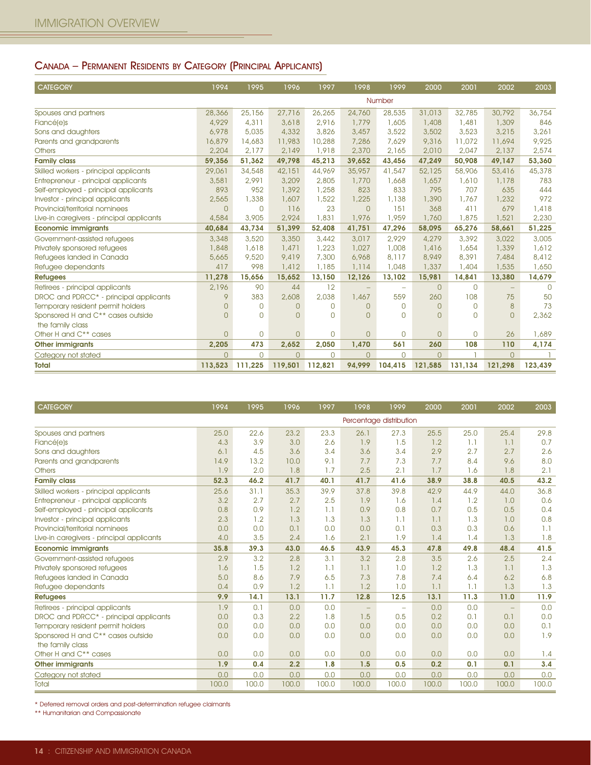# CANADA – PERMANENT RESIDENTS BY CATEGORY (PRINCIPAL APPLICANTS)

| <b>CATEGORY</b>                           | 1994           | 1995           | 1996           | 1997           | 1998           | 1999     | 2000           | 2001         | 2002           | 2003     |
|-------------------------------------------|----------------|----------------|----------------|----------------|----------------|----------|----------------|--------------|----------------|----------|
|                                           |                |                |                |                |                | Number   |                |              |                |          |
| Spouses and partners                      | 28,366         | 25,156         | 27,716         | 26,265         | 24,760         | 28,535   | 31,013         | 32,785       | 30,792         | 36,754   |
| Fiancé(e)s                                | 4,929          | 4,311          | 3,618          | 2.916          | 1,779          | 1,605    | 1,408          | 1,481        | 1,309          | 846      |
| Sons and daughters                        | 6,978          | 5,035          | 4,332          | 3,826          | 3,457          | 3,522    | 3,502          | 3,523        | 3,215          | 3,261    |
| Parents and grandparents                  | 16,879         | 14,683         | 11,983         | 10,288         | 7,286          | 7,629    | 9,316          | 11,072       | 11,694         | 9,925    |
| <b>Others</b>                             | 2,204          | 2.177          | 2,149          | 1,918          | 2,370          | 2.165    | 2,010          | 2,047        | 2,137          | 2,574    |
| <b>Family class</b>                       | 59,356         | 51,362         | 49,798         | 45,213         | 39,652         | 43,456   | 47,249         | 50,908       | 49,147         | 53,360   |
| Skilled workers - principal applicants    | 29,061         | 34,548         | 42,151         | 44,969         | 35,957         | 41,547   | 52,125         | 58,906       | 53,416         | 45,378   |
| Entrepreneur - principal applicants       | 3,581          | 2,991          | 3,209          | 2,805          | 1,770          | 1,668    | 1,657          | 1,610        | 1,178          | 783      |
| Self-employed - principal applicants      | 893            | 952            | 1,392          | 1,258          | 823            | 833      | 795            | 707          | 635            | 444      |
| Investor - principal applicants           | 2,565          | 1,338          | 1,607          | 1,522          | 1,225          | 1,138    | 1,390          | 1,767        | 1,232          | 972      |
| Provincial/territorial nominees           | $\mathbf{O}$   | $\mathbf 0$    | 116            | 23             | $\bigcap$      | 151      | 368            | 411          | 679            | 1,418    |
| Live-in caregivers - principal applicants | 4,584          | 3,905          | 2,924          | 1,831          | 1,976          | 1,959    | 1,760          | 1,875        | 1,521          | 2,230    |
| <b>Economic immigrants</b>                | 40,684         | 43,734         | 51,399         | 52,408         | 41,751         | 47,296   | 58,095         | 65,276       | 58,661         | 51,225   |
| Government-assisted refugees              | 3,348          | 3,520          | 3,350          | 3,442          | 3,017          | 2,929    | 4,279          | 3,392        | 3,022          | 3,005    |
| Privately sponsored refugees              | 1,848          | 1,618          | 1,471          | 1,223          | 1,027          | 1,008    | 1,416          | 1,654        | 1,339          | 1,612    |
| Refugees landed in Canada                 | 5,665          | 9,520          | 9,419          | 7,300          | 6,968          | 8,117    | 8,949          | 8,391        | 7,484          | 8,412    |
| Refugee dependants                        | 417            | 998            | 1,412          | 1,185          | 1,114          | 1,048    | 1,337          | 1,404        | 1,535          | 1,650    |
| <b>Refugees</b>                           | 11,278         | 15,656         | 15,652         | 13,150         | 12,126         | 13,102   | 15,981         | 14,841       | 13,380         | 14,679   |
| Retirees - principal applicants           | 2,196          | 90             | 44             | 12             |                |          | $\mathbf{0}$   | $\mathbf 0$  |                | $\Omega$ |
| DROC and PDRCC* - principal applicants    | 9              | 383            | 2,608          | 2,038          | 1,467          | 559      | 260            | 108          | 75             | 50       |
| Temporary resident permit holders         | $\Omega$       | $\mathbf 0$    | $\Omega$       | $\circ$        | $\Omega$       | $\Omega$ | 0              | $\Omega$     | 8              | 73       |
| Sponsored H and C** cases outside         | $\Omega$       | $\overline{0}$ | $\Omega$       | $\overline{0}$ | $\Omega$       | $\Omega$ | 0              | $\Omega$     | $\overline{0}$ | 2,362    |
| the family class                          |                |                |                |                |                |          |                |              |                |          |
| Other H and C <sup>**</sup> cases         | $\Omega$       | $\overline{0}$ | $\mathbf{0}$   | $\mathbf 0$    | $\Omega$       | $\Omega$ | $\Omega$       | $\mathbf{O}$ | 26             | 1,689    |
| <b>Other immigrants</b>                   | 2,205          | 473            | 2,652          | 2,050          | 1,470          | 561      | 260            | 108          | 110            | 4,174    |
| Category not stated                       | $\overline{0}$ | $\mathbf{O}$   | $\overline{O}$ | $\mathbf{0}$   | $\overline{0}$ | $\Omega$ | $\overline{0}$ |              | $\overline{0}$ |          |
| <b>Total</b>                              | 113,523        | 111,225        | 119,501        | 112,821        | 94.999         | 104,415  | 121,585        | 131,134      | 121,298        | 123,439  |

| <b>CATEGORY</b>                                    | 1994  | 1995  | 1996  | 1997  | 1998                    | 1999                     | 2000  | 2001  | 2002                     | 2003  |
|----------------------------------------------------|-------|-------|-------|-------|-------------------------|--------------------------|-------|-------|--------------------------|-------|
|                                                    |       |       |       |       | Percentage distribution |                          |       |       |                          |       |
| Spouses and partners                               | 25.0  | 22.6  | 23.2  | 23.3  | 26.1                    | 27.3                     | 25.5  | 25.0  | 25.4                     | 29.8  |
| Fiancé(e)s                                         | 4.3   | 3.9   | 3.0   | 2.6   | 1.9                     | 1.5                      | 1.2   | 1.1   | 1.1                      | 0.7   |
| Sons and daughters                                 | 6.1   | 4.5   | 3.6   | 3.4   | 3.6                     | 3.4                      | 2.9   | 2.7   | 2.7                      | 2.6   |
| Parents and grandparents                           | 14.9  | 13.2  | 10.0  | 9.1   | 7.7                     | 7.3                      | 7.7   | 8.4   | 9.6                      | 8.0   |
| <b>Others</b>                                      | 1.9   | 2.0   | 1.8   | 1.7   | 2.5                     | 2.1                      | 1.7   | 1.6   | 1.8                      | 2.1   |
| <b>Family class</b>                                | 52.3  | 46.2  | 41.7  | 40.1  | 41.7                    | 41.6                     | 38.9  | 38.8  | 40.5                     | 43.2  |
| Skilled workers - principal applicants             | 25.6  | 31.1  | 35.3  | 39.9  | 37.8                    | 39.8                     | 42.9  | 44.9  | 44.0                     | 36.8  |
| Entrepreneur - principal applicants                | 3.2   | 2.7   | 2.7   | 2.5   | 1.9                     | 1.6                      | 1.4   | 1.2   | 1.0                      | 0.6   |
| Self-employed - principal applicants               | 0.8   | 0.9   | 1.2   | 1.1   | 0.9                     | 0.8                      | 0.7   | 0.5   | 0.5                      | 0.4   |
| Investor - principal applicants                    | 2.3   | 1.2   | 1.3   | 1.3   | 1.3                     | 1.1                      | 1.1   | 1.3   | 1.0                      | 0.8   |
| Provincial/territorial nominees                    | 0.0   | 0.0   | 0.1   | 0.0   | 0.0                     | 0.1                      | 0.3   | 0.3   | 0.6                      | 1.1   |
| Live-in caregivers - principal applicants          | 4.0   | 3.5   | 2.4   | 1.6   | 2.1                     | 1.9                      | 1.4   | 1.4   | 1.3                      | 1.8   |
| <b>Economic immigrants</b>                         | 35.8  | 39.3  | 43.0  | 46.5  | 43.9                    | 45.3                     | 47.8  | 49.8  | 48.4                     | 41.5  |
| Government-assisted refugees                       | 2.9   | 3.2   | 2.8   | 3.1   | 3.2                     | 2.8                      | 3.5   | 2.6   | 2.5                      | 2.4   |
| Privately sponsored refugees                       | 1.6   | 1.5   | 1.2   | 1.1   | 1.1                     | 1.0                      | 1.2   | 1.3   | 1.1                      | 1.3   |
| Refugees landed in Canada                          | 5.0   | 8.6   | 7.9   | 6.5   | 7.3                     | 7.8                      | 7.4   | 6.4   | 6.2                      | 6.8   |
| Refugee dependants                                 | 0.4   | 0.9   | 1.2   | 1.1   | 1.2                     | 1.0                      | 1.1   | 1.1   | 1.3                      | 1.3   |
| <b>Refugees</b>                                    | 9.9   | 14.1  | 13.1  | 11.7  | 12.8                    | 12.5                     | 13.1  | 11.3  | 11.0                     | 11.9  |
| Retirees - principal applicants                    | 1.9   | 0.1   | 0.0   | 0.0   |                         | $\overline{\phantom{m}}$ | 0.0   | 0.0   | $\overline{\phantom{m}}$ | 0.0   |
| DROC and PDRCC <sup>*</sup> - principal applicants | 0.0   | 0.3   | 2.2   | 1.8   | 1.5                     | 0.5                      | 0.2   | 0.1   | 0.1                      | 0.0   |
| Temporary resident permit holders                  | 0.0   | 0.0   | 0.0   | 0.0   | 0.0                     | 0.0                      | 0.0   | 0.0   | 0.0                      | 0.1   |
| Sponsored H and C** cases outside                  | 0.0   | 0.0   | 0.0   | 0.0   | 0.0                     | 0.0                      | 0.0   | 0.0   | 0.0                      | 1.9   |
| the family class                                   |       |       |       |       |                         |                          |       |       |                          |       |
| Other H and C** cases                              | 0.0   | 0.0   | 0.0   | 0.0   | 0.0                     | 0.0                      | 0.0   | 0.0   | 0.0                      | 1.4   |
| Other immigrants                                   | 1.9   | 0.4   | 2.2   | 1.8   | 1.5                     | 0.5                      | 0.2   | 0.1   | 0.1                      | 3.4   |
| Category not stated                                | 0.0   | 0.0   | 0.0   | 0.0   | 0.0                     | 0.0                      | 0.0   | 0.0   | 0.0                      | 0.0   |
| Total                                              | 100.0 | 100.0 | 100.0 | 100.0 | 100.0                   | 100.0                    | 100.0 | 100.0 | 100.0                    | 100.0 |

\* Deferred removal orders and post-determination refugee claimants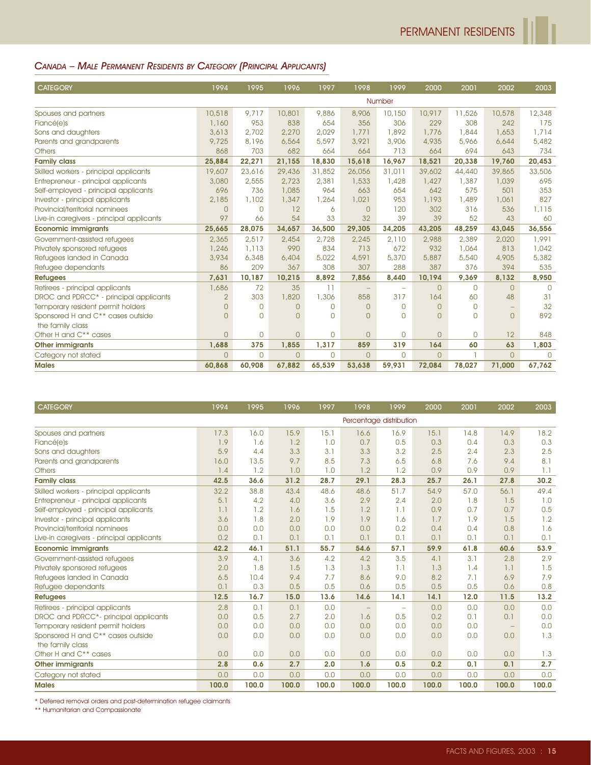# CANADA – MALE PERMANENT RESIDENTS BY CATEGORY (PRINCIPAL APPLICANTS)

| <b>CATEGORY</b>                                    | 1994           | 1995           | 1996     | 1997           | 1998     | 1999     | 2000           | 2001           | 2002                     | 2003     |
|----------------------------------------------------|----------------|----------------|----------|----------------|----------|----------|----------------|----------------|--------------------------|----------|
|                                                    |                |                |          |                |          | Number   |                |                |                          |          |
| Spouses and partners                               | 10,518         | 9.717          | 10,801   | 9,886          | 8,906    | 10,150   | 10,917         | 11,526         | 10,578                   | 12,348   |
| Fiancé(e)s                                         | 1,160          | 953            | 838      | 654            | 356      | 306      | 229            | 308            | 242                      | 175      |
| Sons and daughters                                 | 3,613          | 2,702          | 2,270    | 2,029          | 1.771    | 1,892    | 1,776          | 1,844          | 1,653                    | 1,714    |
| Parents and grandparents                           | 9,725          | 8,196          | 6,564    | 5,597          | 3,921    | 3,906    | 4,935          | 5,966          | 6,644                    | 5,482    |
| <b>Others</b>                                      | 868            | 703            | 682      | 664            | 664      | 713      | 664            | 694            | 643                      | 734      |
| <b>Family class</b>                                | 25,884         | 22,271         | 21,155   | 18,830         | 15,618   | 16,967   | 18,521         | 20,338         | 19,760                   | 20,453   |
| Skilled workers - principal applicants             | 19,607         | 23,616         | 29,436   | 31,852         | 26,056   | 31,011   | 39,602         | 44,440         | 39,865                   | 33,506   |
| Entrepreneur - principal applicants                | 3,080          | 2,555          | 2,723    | 2,381          | 1,533    | 1,428    | 1,427          | 1,387          | 1,039                    | 695      |
| Self-employed - principal applicants               | 696            | 736            | 1,085    | 964            | 663      | 654      | 642            | 575            | 501                      | 353      |
| Investor - principal applicants                    | 2,185          | 1,102          | 1,347    | 1,264          | 1,021    | 953      | 1,193          | 1,489          | 1,061                    | 827      |
| Provincial/territorial nominees                    | $\Omega$       | $\overline{0}$ | 12       | 6              | $\cap$   | 120      | 302            | 316            | 536                      | 1,115    |
| Live-in caregivers - principal applicants          | 97             | 66             | 54       | 33             | 32       | 39       | 39             | 52             | 43                       | 60       |
| <b>Economic immigrants</b>                         | 25,665         | 28,075         | 34,657   | 36,500         | 29,305   | 34,205   | 43,205         | 48.259         | 43,045                   | 36,556   |
| Government-assisted refugees                       | 2,365          | 2,517          | 2,454    | 2,728          | 2,245    | 2,110    | 2,988          | 2,389          | 2,020                    | 1,991    |
| Privately sponsored refugees                       | 1,246          | 1,113          | 990      | 834            | 713      | 672      | 932            | 1,064          | 813                      | 1,042    |
| Refugees landed in Canada                          | 3,934          | 6,348          | 6,404    | 5,022          | 4,591    | 5,370    | 5,887          | 5,540          | 4,905                    | 5,382    |
| Refugee dependants                                 | 86             | 209            | 367      | 308            | 307      | 288      | 387            | 376            | 394                      | 535      |
| <b>Refugees</b>                                    | 7,631          | 10,187         | 10,215   | 8,892          | 7,856    | 8,440    | 10,194         | 9,369          | 8,132                    | 8,950    |
| Retirees - principal applicants                    | 1,686          | 72             | 35       | 11             |          | $\equiv$ | $\Omega$       | $\Omega$       | $\Omega$                 | $\Omega$ |
| DROC and PDRCC <sup>*</sup> - principal applicants | $\overline{2}$ | 303            | 1,820    | 1,306          | 858      | 317      | 164            | 60             | 48                       | 31       |
| Temporary resident permit holders                  | $\Omega$       | $\circ$        | $\Omega$ | $\mathbf{0}$   | $\Omega$ | $\Omega$ | $\overline{0}$ | $\Omega$       | $\overline{\phantom{m}}$ | 32       |
| Sponsored H and C <sup>**</sup> cases outside      | $\Omega$       | $\Omega$       | $\Omega$ | $\Omega$       | $\Omega$ | $\Omega$ | $\Omega$       | $\Omega$       | $\Omega$                 | 892      |
| the family class                                   |                |                |          |                |          |          |                |                |                          |          |
| Other H and C <sup>**</sup> cases                  | $\Omega$       | $\overline{0}$ | $\Omega$ | $\overline{0}$ | $\Omega$ | 0        | $\overline{0}$ | $\overline{0}$ | 12                       | 848      |
| <b>Other immigrants</b>                            | 1,688          | 375            | 1,855    | 1,317          | 859      | 319      | 164            | 60             | 63                       | 1,803    |
| Category not stated                                | $\Omega$       | $\circ$        | $\Omega$ | $\Omega$       | $\Omega$ | $\Omega$ | $\Omega$       |                | $\Omega$                 | $\Omega$ |
| <b>Males</b>                                       | 60,868         | 60,908         | 67,882   | 65,539         | 53,638   | 59,931   | 72,084         | 78,027         | 71,000                   | 67,762   |

| <b>CATEGORY</b>                           | 1994  | 1995  | 1996  | 1997  | 1998                    | 1999                     | 2000  | 2001  | 2002                     | 2003  |
|-------------------------------------------|-------|-------|-------|-------|-------------------------|--------------------------|-------|-------|--------------------------|-------|
|                                           |       |       |       |       | Percentage distribution |                          |       |       |                          |       |
| Spouses and partners                      | 17.3  | 16.0  | 15.9  | 15.1  | 16.6                    | 16.9                     | 15.1  | 14.8  | 14.9                     | 18.2  |
| <b>Fiancé(e)s</b>                         | 1.9   | 1.6   | 1.2   | 1.0   | 0.7                     | 0.5                      | 0.3   | 0.4   | 0.3                      | 0.3   |
| Sons and daughters                        | 5.9   | 4.4   | 3.3   | 3.1   | 3.3                     | 3.2                      | 2.5   | 2.4   | 2.3                      | 2.5   |
| Parents and grandparents                  | 16.0  | 13.5  | 9.7   | 8.5   | 7.3                     | 6.5                      | 6,8   | 7.6   | 9.4                      | 8.1   |
| <b>Others</b>                             | 1.4   | 1.2   | 1.0   | 1.0   | 1.2                     | 1.2                      | 0.9   | 0.9   | 0.9                      | 1.1   |
| <b>Family class</b>                       | 42.5  | 36.6  | 31.2  | 28.7  | 29.1                    | 28.3                     | 25.7  | 26.1  | 27.8                     | 30.2  |
| Skilled workers - principal applicants    | 32.2  | 38.8  | 43.4  | 48.6  | 48.6                    | 51.7                     | 54.9  | 57.0  | 56.1                     | 49.4  |
| Entrepreneur - principal applicants       | 5.1   | 4.2   | 4.0   | 3.6   | 2.9                     | 2.4                      | 2.0   | 1.8   | 1.5                      | 1.0   |
| Self-employed - principal applicants      | 1.1   | 1.2   | 1.6   | 1.5   | 1.2                     | 1.1                      | 0.9   | 0.7   | 0.7                      | 0.5   |
| Investor - principal applicants           | 3.6   | 1.8   | 2.0   | 1.9   | 1.9                     | 1.6                      | 1.7   | 1.9   | 1.5                      | 1.2   |
| Provincial/territorial nominees           | 0.0   | 0.0   | 0.0   | 0.0   | 0.0                     | 0.2                      | 0.4   | 0.4   | 0.8                      | 1.6   |
| Live-in caregivers - principal applicants | 0.2   | 0.1   | 0.1   | 0.1   | 0.1                     | 0.1                      | 0.1   | 0.1   | 0.1                      | 0.1   |
| <b>Economic immigrants</b>                | 42.2  | 46.1  | 51.1  | 55.7  | 54.6                    | 57.1                     | 59.9  | 61.8  | 60.6                     | 53.9  |
| Government-assisted refugees              | 3.9   | 4.1   | 3.6   | 4.2   | 4.2                     | 3.5                      | 4.1   | 3.1   | 2.8                      | 2.9   |
| Privately sponsored refugees              | 2.0   | 1.8   | 1.5   | 1.3   | 1.3                     | 1.1                      | 1.3   | 1.4   | 1.1                      | 1.5   |
| Refugees landed in Canada                 | 6.5   | 10.4  | 9.4   | 7.7   | 8.6                     | 9.0                      | 8.2   | 7.1   | 6.9                      | 7.9   |
| Refugee dependants                        | 0.1   | 0.3   | 0.5   | 0.5   | 0.6                     | 0.5                      | 0.5   | 0.5   | 0.6                      | 0.8   |
| <b>Refugees</b>                           | 12.5  | 16.7  | 15.0  | 13.6  | 14.6                    | 14.1                     | 14.1  | 12.0  | 11.5                     | 13.2  |
| Retirees - principal applicants           | 2.8   | 0.1   | 0.1   | 0.0   |                         | $\overline{\phantom{m}}$ | 0.0   | 0.0   | 0,0                      | 0.0   |
| DROC and PDRCC*- principal applicants     | 0.0   | 0.5   | 2.7   | 2.0   | 1.6                     | 0.5                      | 0.2   | 0.1   | 0.1                      | 0.0   |
| Temporary resident permit holders         | 0.0   | 0.0   | 0.0   | 0.0   | 0.0                     | 0.0                      | 0.0   | 0.0   | $\overline{\phantom{m}}$ | 0.0   |
| Sponsored H and C** cases outside         | 0.0   | 0.0   | 0.0   | 0.0   | 0.0                     | 0.0                      | 0.0   | 0.0   | 0.0                      | 1.3   |
| the family class                          |       |       |       |       |                         |                          |       |       |                          |       |
| Other H and C** cases                     | 0,0   | 0,0   | 0.0   | 0.0   | 0.0                     | 0,0                      | 0.0   | 0.0   | 0.0                      | 1.3   |
| <b>Other immigrants</b>                   | 2.8   | 0.6   | 2.7   | 2.0   | 1.6                     | 0.5                      | 0.2   | 0.1   | 0.1                      | 2.7   |
| Category not stated                       | 0,0   | 0.0   | 0.0   | 0.0   | 0.0                     | 0.0                      | 0.0   | 0.0   | 0.0                      | 0.0   |
| <b>Males</b>                              | 100.0 | 100.0 | 100.0 | 100.0 | 100.0                   | 100.0                    | 100.0 | 100.0 | 100.0                    | 100.0 |

\* Deferred removal orders and post-determination refugee claimants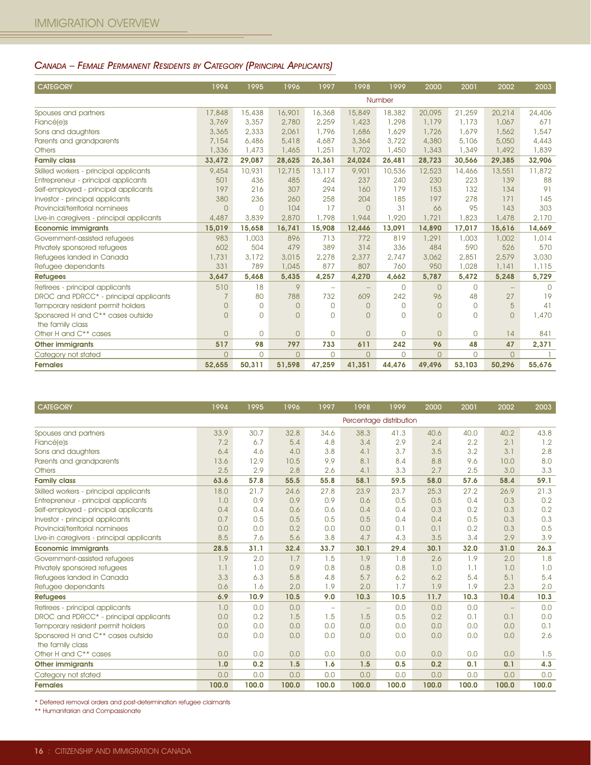#### CANADA – FEMALE PERMANENT RESIDENTS BY CATEGORY (PRINCIPAL APPLICANTS)

| <b>CATEGORY</b>                                    | 1994           | 1995           | 1996         | 1997           | 1998     | 1999     | 2000           | 2001           | 2002     | 2003      |
|----------------------------------------------------|----------------|----------------|--------------|----------------|----------|----------|----------------|----------------|----------|-----------|
|                                                    |                |                |              |                |          | Number   |                |                |          |           |
| Spouses and partners                               | 17,848         | 15,438         | 16,901       | 16,368         | 15,849   | 18,382   | 20,095         | 21,259         | 20,214   | 24,406    |
| Fiancé(e)s                                         | 3,769          | 3,357          | 2,780        | 2,259          | 1,423    | 1,298    | 1,179          | 1,173          | 1,067    | 671       |
| Sons and daughters                                 | 3,365          | 2,333          | 2,061        | 1,796          | 1,686    | 1,629    | 1,726          | 1,679          | 1,562    | 1,547     |
| Parents and grandparents                           | 7,154          | 6,486          | 5,418        | 4,687          | 3,364    | 3,722    | 4,380          | 5,106          | 5,050    | 4,443     |
| <b>Others</b>                                      | 1,336          | 1,473          | 1,465        | 1,251          | 1,702    | 1,450    | 1,343          | 1,349          | 1,492    | 1,839     |
| <b>Family class</b>                                | 33,472         | 29,087         | 28,625       | 26,361         | 24,024   | 26,481   | 28,723         | 30,566         | 29,385   | 32,906    |
| Skilled workers - principal applicants             | 9,454          | 10,931         | 12,715       | 13,117         | 9,901    | 10,536   | 12,523         | 14,466         | 13,551   | 11,872    |
| Entrepreneur - principal applicants                | 501            | 436            | 485          | 424            | 237      | 240      | 230            | 223            | 139      | 88        |
| Self-employed - principal applicants               | 197            | 216            | 307          | 294            | 160      | 179      | 153            | 132            | 134      | 91        |
| Investor - principal applicants                    | 380            | 236            | 260          | 258            | 204      | 185      | 197            | 278            | 171      | 145       |
| Provincial/territorial nominees                    | $\Omega$       | $\Omega$       | 104          | 17             | $\Omega$ | 31       | 66             | 95             | 143      | 303       |
| Live-in caregivers - principal applicants          | 4,487          | 3,839          | 2,870        | 1,798          | 1,944    | 1,920    | 1,721          | 1,823          | 1,478    | 2,170     |
| <b>Economic immigrants</b>                         | 15,019         | 15,658         | 16,741       | 15.908         | 12,446   | 13,091   | 14.890         | 17.017         | 15,616   | 14,669    |
| Government-assisted refugees                       | 983            | 1,003          | 896          | 713            | 772      | 819      | 1,291          | 1,003          | 1,002    | 1,014     |
| Privately sponsored refugees                       | 602            | 504            | 479          | 389            | 314      | 336      | 484            | 590            | 526      | 570       |
| Refugees landed in Canada                          | 1,731          | 3,172          | 3,015        | 2,278          | 2,377    | 2,747    | 3,062          | 2,851          | 2,579    | 3,030     |
| Refugee dependants                                 | 331            | 789            | 1,045        | 877            | 807      | 760      | 950            | 1,028          | 1,141    | 1,115     |
| <b>Refugees</b>                                    | 3,647          | 5,468          | 5,435        | 4,257          | 4,270    | 4,662    | 5,787          | 5,472          | 5,248    | 5,729     |
| Retirees - principal applicants                    | 510            | 18             | 9            | ÷              |          | 0        | $\Omega$       | $\Omega$       |          | $\bigcap$ |
| DROC and PDRCC <sup>*</sup> - principal applicants | 7              | 80             | 788          | 732            | 609      | 242      | 96             | 48             | 27       | 19        |
| Temporary resident permit holders                  | $\Omega$       | $\mathbf{0}$   | $\mathbf{O}$ | $\overline{0}$ | $\Omega$ | $\Omega$ | $\overline{0}$ | $\circ$        | 5        | 41        |
| Sponsored H and C** cases outside                  | $\Omega$       | $\Omega$       | $\Omega$     | $\bigcap$      | $\Omega$ | $\Omega$ | $\overline{0}$ | $\Omega$       | $\Omega$ | 1,470     |
| the family class                                   |                |                |              |                |          |          |                |                |          |           |
| Other H and C <sup>**</sup> cases                  | $\overline{0}$ | $\overline{0}$ | $\Omega$     | $\mathbf{O}$   | $\Omega$ | 0        | $\overline{0}$ | $\overline{0}$ | 14       | 841       |
| <b>Other immigrants</b>                            | 517            | 98             | 797          | 733            | 611      | 242      | 96             | 48             | 47       | 2,371     |
| Category not stated                                | $\Omega$       | $\Omega$       | $\Omega$     | $\Omega$       | $\Omega$ | $\Omega$ | $\overline{0}$ | $\circ$        | $\Omega$ |           |
| <b>Females</b>                                     | 52,655         | 50,311         | 51,598       | 47,259         | 41,351   | 44,476   | 49,496         | 53,103         | 50,296   | 55,676    |

| <b>CATEGORY</b>                               | 1994  | 1995  | 1996  | 1997                     | 1998                    | 1999  | 2000  | 2001  | 2002              | 2003  |
|-----------------------------------------------|-------|-------|-------|--------------------------|-------------------------|-------|-------|-------|-------------------|-------|
|                                               |       |       |       |                          | Percentage distribution |       |       |       |                   |       |
| Spouses and partners                          | 33.9  | 30.7  | 32.8  | 34.6                     | 38.3                    | 41.3  | 40.6  | 40.0  | 40.2              | 43.8  |
| Fiancé(e)s                                    | 7.2   | 6.7   | 5.4   | 4.8                      | 3.4                     | 2.9   | 2.4   | 2.2   | 2.1               | 1.2   |
| Sons and daughters                            | 6.4   | 4.6   | 4.0   | 3.8                      | 4.1                     | 3.7   | 3.5   | 3.2   | 3.1               | 2.8   |
| Parents and grandparents                      | 13.6  | 12.9  | 10.5  | 9.9                      | 8.1                     | 8.4   | 8.8   | 9.6   | 10.0              | 8.0   |
| <b>Others</b>                                 | 2.5   | 2.9   | 2.8   | 2.6                      | 4.1                     | 3.3   | 2.7   | 2.5   | 3.0               | 3.3   |
| <b>Family class</b>                           | 63.6  | 57.8  | 55.5  | 55.8                     | 58.1                    | 59.5  | 58.0  | 57.6  | 58.4              | 59.1  |
| Skilled workers - principal applicants        | 18.0  | 21.7  | 24.6  | 27.8                     | 23.9                    | 23.7  | 25.3  | 27.2  | 26.9              | 21.3  |
| Entrepreneur - principal applicants           | 1.0   | 0.9   | 0.9   | 0.9                      | 0.6                     | 0.5   | 0.5   | 0.4   | 0.3               | 0.2   |
| Self-employed - principal applicants          | 0.4   | 0.4   | 0.6   | 0.6                      | 0.4                     | 0.4   | 0.3   | 0.2   | 0.3               | 0.2   |
| Investor - principal applicants               | 0.7   | 0.5   | 0.5   | 0.5                      | 0.5                     | 0.4   | 0.4   | 0.5   | 0.3               | 0.3   |
| Provincial/territorial nominees               | 0.0   | 0.0   | 0.2   | 0.0                      | 0.0                     | 0.1   | 0.1   | 0.2   | 0.3               | 0.5   |
| Live-in caregivers - principal applicants     | 8.5   | 7.6   | 5.6   | 3.8                      | 4.7                     | 4.3   | 3.5   | 3.4   | 2.9               | 3.9   |
| <b>Economic immigrants</b>                    | 28.5  | 31.1  | 32.4  | 33.7                     | 30.1                    | 29.4  | 30.1  | 32.0  | 31.0              | 26.3  |
| Government-assisted refugees                  | 1.9   | 2.0   | 1.7   | 1.5                      | 1.9                     | 1.8   | 2.6   | 1.9   | 2.0               | 1.8   |
| Privately sponsored refugees                  | 1.1   | 1.0   | 0.9   | 0.8                      | 0.8                     | 0.8   | 1.0   | 1.1   | 1.0               | 1.0   |
| Refugees landed in Canada                     | 3.3   | 6.3   | 5.8   | 4.8                      | 5.7                     | 6.2   | 6.2   | 5.4   | 5.1               | 5.4   |
| Refugee dependants                            | 0.6   | 1.6   | 2.0   | 1.9                      | 2.0                     | 1.7   | 1.9   | 1.9   | 2.3               | 2.0   |
| <b>Refugees</b>                               | 6.9   | 10.9  | 10.5  | 9.0                      | 10.3                    | 10.5  | 11.7  | 10.3  | 10.4              | 10.3  |
| Retirees - principal applicants               | 1.0   | 0.0   | 0.0   | $\overline{\phantom{m}}$ |                         | 0.0   | 0,0   | 0.0   | $\qquad \qquad -$ | 0.0   |
| DROC and PDRCC* - principal applicants        | 0.0   | 0.2   | 1.5   | 1.5                      | 1.5                     | 0.5   | 0.2   | 0.1   | 0.1               | 0.0   |
| Temporary resident permit holders             | 0.0   | 0.0   | 0.0   | 0.0                      | 0.0                     | 0.0   | 0.0   | 0.0   | 0.0               | 0.1   |
| Sponsored H and C <sup>**</sup> cases outside | 0.0   | 0.0   | 0.0   | 0.0                      | 0.0                     | 0.0   | 0.0   | 0.0   | 0.0               | 2.6   |
| the family class                              |       |       |       |                          |                         |       |       |       |                   |       |
| Other H and C <sup>**</sup> cases             | 0,0   | 0.0   | 0.0   | 0.0                      | 0.0                     | 0.0   | 0.0   | 0.0   | 0.0               | 1.5   |
| <b>Other immigrants</b>                       | 1.0   | 0.2   | 1.5   | 1.6                      | 1.5                     | 0.5   | 0.2   | 0.1   | 0.1               | 4.3   |
| Category not stated                           | 0.0   | 0.0   | 0.0   | 0.0                      | 0.0                     | 0.0   | 0.0   | 0.0   | 0.0               | 0.0   |
| <b>Females</b>                                | 100.0 | 100.0 | 100.0 | 100.0                    | 100.0                   | 100.0 | 100.0 | 100.0 | 100.0             | 100.0 |

\* Deferred removal orders and post-determination refugee claimants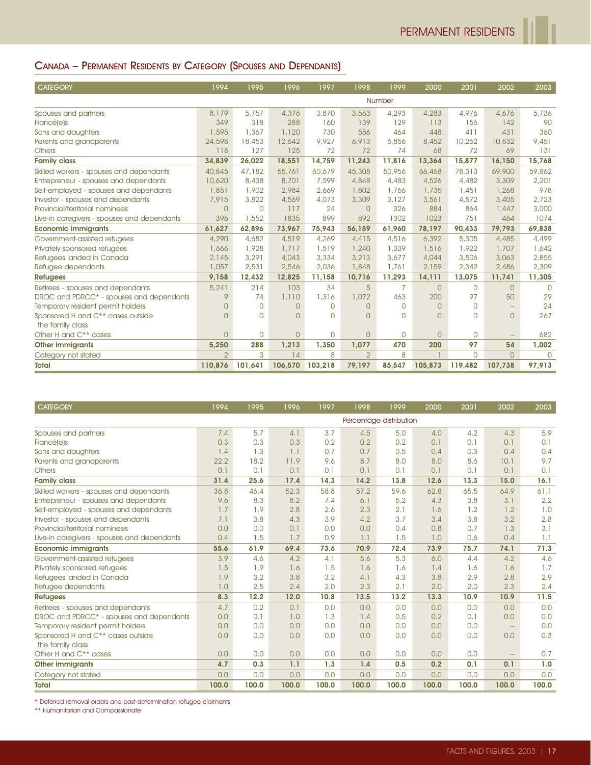# CANADA – PERMANENT RESIDENTS BY CATEGORY (SPOUSES AND DEPENDANTS)

| <b>CATEGORY</b>                             | 1994           | 1995         | 1996     | 1997     | 1998           | 1999           | 2000           | 2001      | 2002                     | 2003     |
|---------------------------------------------|----------------|--------------|----------|----------|----------------|----------------|----------------|-----------|--------------------------|----------|
|                                             |                |              |          |          |                | Number         |                |           |                          |          |
| Spouses and partners                        | 8,179          | 5,757        | 4,376    | 3,870    | 3,563          | 4,293          | 4,283          | 4,976     | 4,676                    | 5,736    |
| Fiancé(e)s                                  | 349            | 318          | 288      | 160      | 139            | 129            | 113            | 156       | 142                      | 90       |
| Sons and daughters                          | 1,595          | 1,367        | 1,120    | 730      | 556            | 464            | 448            | 411       | 431                      | 360      |
| Parents and grandparents                    | 24,598         | 18,453       | 12,642   | 9,927    | 6,913          | 6,856          | 8,452          | 10,262    | 10,832                   | 9,451    |
| <b>Others</b>                               | 118            | 127          | 125      | 72       | 72             | 74             | 68             | 72        | 69                       | 131      |
| <b>Family class</b>                         | 34,839         | 26,022       | 18,551   | 14,759   | 11,243         | 11,816         | 13,364         | 15,877    | 16,150                   | 15,768   |
| Skilled workers - spouses and dependants    | 40,845         | 47,182       | 55,761   | 60,679   | 45,308         | 50,956         | 66,468         | 78,313    | 69,900                   | 59,862   |
| Entrepreneur - spouses and dependants       | 10,620         | 8,438        | 8,701    | 7,599    | 4,848          | 4,483          | 4,526          | 4,482     | 3,309                    | 2,201    |
| Self-employed - spouses and dependants      | 1,851          | 1,902        | 2,984    | 2.669    | 1,802          | 1,766          | 1,735          | 1,451     | 1,268                    | 978      |
| Investor - spouses and dependants           | 7,915          | 3,822        | 4,569    | 4,073    | 3,309          | 3,127          | 3,561          | 4,572     | 3,405                    | 2.723    |
| Provincial/territorial nominees             | $\overline{0}$ | $\Omega$     | 117      | 24       | $\Omega$       | 326            | 884            | 864       | 1,447                    | 3,000    |
| Live-in caregivers - spouses and dependants | 396            | 1,552        | 1835     | 899      | 892            | 1302           | 1023           | 751       | 464                      | 1074     |
| <b>Economic immigrants</b>                  | 61,627         | 62,896       | 73,967   | 75,943   | 56,159         | 61,960         | 78,197         | 90,433    | 79,793                   | 69,838   |
| Government-assisted refugees                | 4,290          | 4,682        | 4,519    | 4,269    | 4,415          | 4,516          | 6,392          | 5,305     | 4,485                    | 4,499    |
| Privately sponsored refugees                | 1,666          | 1,928        | 1,717    | 1,519    | 1,240          | 1,339          | 1,516          | 1,922     | 1,707                    | 1,642    |
| Refugees landed in Canada                   | 2,145          | 3,291        | 4,043    | 3,334    | 3,213          | 3,677          | 4,044          | 3,506     | 3,063                    | 2,855    |
| Refugee dependants                          | 1,057          | 2,531        | 2,546    | 2,036    | 1,848          | 1,761          | 2,159          | 2,342     | 2,486                    | 2,309    |
| <b>Refugees</b>                             | 9,158          | 12,432       | 12,825   | 11,158   | 10,716         | 11,293         | 14,111         | 13,075    | 11,741                   | 11,305   |
| Retirees - spouses and dependants           | 5,241          | 214          | 103      | 34       | 5              | $\overline{7}$ | $\overline{0}$ | $\Omega$  | $\Omega$                 | $\cap$   |
| DROC and PDRCC* - spouses and dependants    | 9              | 74           | 1,110    | 1,316    | 1,072          | 463            | 200            | 97        | 50                       | 29       |
| Temporary resident permit holders           | $\Omega$       | $\mathbf{0}$ | $\Omega$ | $\Omega$ | $\Omega$       | $\Omega$       | $\overline{0}$ | $\Omega$  |                          | 24       |
| Sponsored H and C** cases outside           | $\Omega$       | $\Omega$     | $\Omega$ | $\Omega$ | <sup>n</sup>   | $\Omega$       | $\Omega$       | $\bigcap$ | $\Omega$                 | 267      |
| the family class                            |                |              |          |          |                |                |                |           |                          |          |
| Other H and C <sup>**</sup> cases           | $\overline{0}$ | 0            | $\Omega$ | $\Omega$ | $\Omega$       | 0              | $\overline{0}$ | $\Omega$  | $\overline{\phantom{a}}$ | 682      |
| <b>Other immigrants</b>                     | 5,250          | 288          | 1,213    | 1,350    | 1,077          | 470            | 200            | 97        | 54                       | 1,002    |
| Category not stated                         | $\overline{2}$ | 3            | 14       | 8        | $\overline{2}$ | 8              |                | $\Omega$  | $\Omega$                 | $\Omega$ |
| <b>Total</b>                                | 110,876        | 101,641      | 106,570  | 103,218  | 79,197         | 85,547         | 105,873        | 119,482   | 107,738                  | 97,913   |

| <b>CATEGORY</b>                             | 1994  | 1995  | 1996  | 1997  | 1998                    | 1999  | 2000  | 2001  | 2002                     | 2003  |
|---------------------------------------------|-------|-------|-------|-------|-------------------------|-------|-------|-------|--------------------------|-------|
|                                             |       |       |       |       | Percentage distribution |       |       |       |                          |       |
| Spouses and partners                        | 7.4   | 5.7   | 4.1   | 3.7   | 4.5                     | 5.0   | 4.0   | 4.2   | 4.3                      | 5.9   |
| <b>Fiancé(e)s</b>                           | 0.3   | 0.3   | 0.3   | 0.2   | 0.2                     | 0.2   | 0.1   | 0.1   | 0.1                      | 0.1   |
| Sons and daughters                          | 1.4   | 1.3   | 1.1   | 0.7   | 0.7                     | 0.5   | 0.4   | 0.3   | 0.4                      | 0.4   |
| Parents and grandparents                    | 22.2  | 18.2  | 11.9  | 9.6   | 8.7                     | 8.0   | 8.0   | 8.6   | 10.1                     | 9.7   |
| <b>Others</b>                               | 0.1   | 0.1   | 0.1   | 0.1   | 0.1                     | 0.1   | 0.1   | 0.1   | 0.1                      | 0.1   |
| <b>Family class</b>                         | 31.4  | 25.6  | 17.4  | 14.3  | 14.2                    | 13.8  | 12.6  | 13.3  | 15.0                     | 16.1  |
| Skilled workers - spouses and dependants    | 36.8  | 46.4  | 52.3  | 58.8  | 57.2                    | 59.6  | 62.8  | 65.5  | 64.9                     | 61.1  |
| Entrepreneur - spouses and dependants       | 9.6   | 8.3   | 8.2   | 7.4   | 6.1                     | 5.2   | 4.3   | 3.8   | 3.1                      | 2.2   |
| Self-employed - spouses and dependants      | 1.7   | 1.9   | 2.8   | 2.6   | 2.3                     | 2.1   | 1.6   | 1.2   | 1.2                      | 1.0   |
| Investor - spouses and dependants           | 7.1   | 3.8   | 4.3   | 3.9   | 4.2                     | 3.7   | 3.4   | 3.8   | 3.2                      | 2.8   |
| Provincial/territorial nominees             | 0.0   | 0.0   | 0.1   | 0.0   | 0.0                     | 0.4   | 0,8   | 0.7   | 1.3                      | 3.1   |
| Live-in caregivers - spouses and dependants | 0.4   | 1.5   | 1.7   | 0.9   | 1.1                     | 1.5   | 1.0   | 0.6   | 0.4                      | 1.1   |
| <b>Economic immigrants</b>                  | 55.6  | 61.9  | 69.4  | 73.6  | 70.9                    | 72.4  | 73.9  | 75.7  | 74.1                     | 71.3  |
| Government-assisted refugees                | 3.9   | 4.6   | 4.2   | 4.1   | 5.6                     | 5.3   | 6.0   | 4.4   | 4.2                      | 4.6   |
| Privately sponsored refugees                | 1.5   | 1.9   | 1.6   | 1.5   | 1.6                     | 1.6   | 1.4   | 1.6   | 1.6                      | 1.7   |
| Refugees landed in Canada                   | 1.9   | 3.2   | 3.8   | 3.2   | 4.1                     | 4.3   | 3.8   | 2.9   | 2.8                      | 2.9   |
| Refugee dependants                          | 1.0   | 2.5   | 2.4   | 2.0   | 2.3                     | 2.1   | 2.0   | 2.0   | 2.3                      | 2.4   |
| <b>Refugees</b>                             | 8.3   | 12.2  | 12.0  | 10.8  | 13.5                    | 13.2  | 13.3  | 10.9  | 10.9                     | 11.5  |
| Retirees - spouses and dependants           | 4.7   | 0.2   | 0.1   | 0.0   | 0.0                     | 0.0   | 0.0   | 0.0   | 0.0                      | 0.0   |
| DROC and PDRCC* - spouses and dependants    | 0.0   | 0.1   | 1.0   | 1.3   | 1.4                     | 0.5   | 0.2   | 0.1   | 0.0                      | 0.0   |
| Temporary resident permit holders           | 0.0   | 0.0   | 0.0   | 0.0   | 0.0                     | 0.0   | 0,0   | 0.0   | $\overline{\phantom{m}}$ | 0.0   |
| Sponsored H and C** cases outside           | 0.0   | 0.0   | 0.0   | 0.0   | 0.0                     | 0.0   | 0.0   | 0.0   | 0.0                      | 0.3   |
| the family class                            |       |       |       |       |                         |       |       |       |                          |       |
| Other H and C** cases                       | 0,0   | 0.0   | 0.0   | 0.0   | 0.0                     | 0.0   | 0.0   | 0.0   | $\qquad \qquad -$        | 0.7   |
| <b>Other immigrants</b>                     | 4.7   | 0.3   | 1.1   | 1.3   | 1.4                     | 0.5   | 0.2   | 0.1   | 0.1                      | 1.0   |
| Category not stated                         | 0.0   | 0.0   | 0.0   | 0.0   | 0.0                     | 0.0   | 0.0   | 0.0   | 0.0                      | 0.0   |
| <b>Total</b>                                | 100.0 | 100.0 | 100.0 | 100.0 | 100.0                   | 100.0 | 100.0 | 100.0 | 100.0                    | 100.0 |

\* Deferred removal orders and post-determination refugee claimants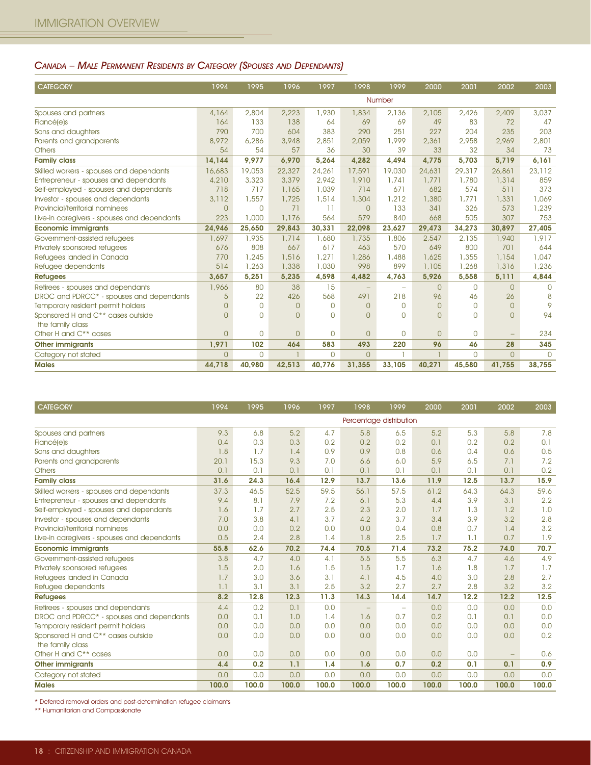#### CANADA – MALE PERMANENT RESIDENTS BY CATEGORY (SPOUSES AND DEPENDANTS)

| <b>CATEGORY</b>                             | 1994           | 1995           | 1996           | 1997           | 1998     | 1999                     | 2000           | 2001     | 2002           | 2003     |
|---------------------------------------------|----------------|----------------|----------------|----------------|----------|--------------------------|----------------|----------|----------------|----------|
|                                             |                |                |                |                |          | Number                   |                |          |                |          |
| Spouses and partners                        | 4,164          | 2,804          | 2,223          | 1,930          | 1,834    | 2.136                    | 2,105          | 2.426    | 2,409          | 3,037    |
| Fiancé(e)s                                  | 164            | 133            | 138            | 64             | 69       | 69                       | 49             | 83       | 72             | 47       |
| Sons and daughters                          | 790            | 700            | 604            | 383            | 290      | 251                      | 227            | 204      | 235            | 203      |
| Parents and grandparents                    | 8,972          | 6,286          | 3,948          | 2,851          | 2,059    | 1,999                    | 2,361          | 2,958    | 2,969          | 2,801    |
| <b>Others</b>                               | 54             | 54             | 57             | 36             | 30       | 39                       | 33             | 32       | 34             | 73       |
| <b>Family class</b>                         | 14,144         | 9,977          | 6,970          | 5,264          | 4,282    | 4.494                    | 4,775          | 5,703    | 5,719          | 6,161    |
| Skilled workers - spouses and dependants    | 16,683         | 19,053         | 22,327         | 24,261         | 17,591   | 19,030                   | 24,631         | 29,317   | 26,861         | 23,112   |
| Entrepreneur - spouses and dependants       | 4,210          | 3,323          | 3,379          | 2,942          | 1,910    | 1,741                    | 1,771          | 1,780    | 1,314          | 859      |
| Self-employed - spouses and dependants      | 718            | 717            | 1,165          | 1,039          | 714      | 671                      | 682            | 574      | 511            | 373      |
| Investor - spouses and dependants           | 3.112          | 1,557          | 1,725          | 1,514          | 1,304    | 1,212                    | 1,380          | 1,771    | 1,331          | 1,069    |
| Provincial/territorial nominees             | $\Omega$       | $\Omega$       | 71             | 11             | $\Omega$ | 133                      | 341            | 326      | 573            | 1,239    |
| Live-in caregivers - spouses and dependants | 223            | 1,000          | 1,176          | 564            | 579      | 840                      | 668            | 505      | 307            | 753      |
| <b>Economic immigrants</b>                  | 24.946         | 25.650         | 29.843         | 30.331         | 22.098   | 23.627                   | 29,473         | 34.273   | 30.897         | 27.405   |
| Government-assisted refugees                | 1,697          | 1,935          | 1,714          | 1,680          | 1,735    | 1,806                    | 2,547          | 2.135    | 1,940          | 1,917    |
| Privately sponsored refugees                | 676            | 808            | 667            | 617            | 463      | 570                      | 649            | 800      | 701            | 644      |
| Refugees landed in Canada                   | 770            | 1,245          | 1,516          | 1,271          | 1,286    | 1,488                    | 1,625          | 1,355    | 1,154          | 1,047    |
| Refugee dependants                          | 514            | 1,263          | 1,338          | 1,030          | 998      | 899                      | 1,105          | 1,268    | 1,316          | 1,236    |
| <b>Refugees</b>                             | 3,657          | 5,251          | 5,235          | 4,598          | 4,482    | 4,763                    | 5,926          | 5,558    | 5,111          | 4,844    |
| Retirees - spouses and dependants           | 1,966          | 80             | 38             | 15             |          | $\overline{\phantom{m}}$ | $\overline{0}$ | $\circ$  | $\Omega$       | $\Omega$ |
| DROC and PDRCC* - spouses and dependants    | 5              | 22             | 426            | 568            | 491      | 218                      | 96             | 46       | 26             | 8        |
| Temporary resident permit holders           | $\Omega$       | $\mathbf{0}$   | $\overline{0}$ | $\overline{0}$ | $\Omega$ | $\Omega$                 | $\overline{0}$ | $\circ$  | $\overline{0}$ | 9        |
| Sponsored H and C** cases outside           | $\Omega$       | $\Omega$       | $\Omega$       | $\Omega$       | $\Omega$ | $\Omega$                 | $\overline{0}$ | $\Omega$ | $\Omega$       | 94       |
| the family class                            |                |                |                |                |          |                          |                |          |                |          |
| Other H and C** cases                       | $\Omega$       | $\Omega$       | $\Omega$       | $\Omega$       | $\Omega$ | $\Omega$                 | $\overline{0}$ | $\Omega$ |                | 234      |
| <b>Other immigrants</b>                     | 1,971          | 102            | 464            | 583            | 493      | 220                      | 96             | 46       | 28             | 345      |
| Category not stated                         | $\overline{0}$ | $\overline{0}$ |                | $\overline{0}$ | $\Omega$ |                          |                | $\circ$  | $\Omega$       | $\Omega$ |
| <b>Males</b>                                | 44,718         | 40.980         | 42.513         | 40.776         | 31.355   | 33,105                   | 40.271         | 45.580   | 41.755         | 38,755   |

| <b>CATEGORY</b>                                      | 1994  | 1995  | 1996  | 1997  | 1998                    | 1999                     | 2000  | 2001  | 2002  | 2003  |
|------------------------------------------------------|-------|-------|-------|-------|-------------------------|--------------------------|-------|-------|-------|-------|
|                                                      |       |       |       |       | Percentage distribution |                          |       |       |       |       |
| Spouses and partners                                 | 9.3   | 6,8   | 5.2   | 4.7   | 5.8                     | 6.5                      | 5.2   | 5.3   | 5.8   | 7.8   |
| <b>Fiancé(e)s</b>                                    | 0.4   | 0.3   | 0.3   | 0.2   | 0.2                     | 0.2                      | 0.1   | 0.2   | 0.2   | 0.1   |
| Sons and daughters                                   | 1.8   | 1.7   | 1.4   | 0.9   | 0.9                     | 0.8                      | 0.6   | 0.4   | 0.6   | 0.5   |
| Parents and grandparents                             | 20.1  | 15.3  | 9.3   | 7.0   | 6.6                     | 6.0                      | 5.9   | 6.5   | 7.1   | 7.2   |
| <b>Others</b>                                        | 0.1   | 0.1   | 0.1   | 0.1   | 0.1                     | 0.1                      | 0.1   | 0.1   | 0.1   | 0.2   |
| <b>Family class</b>                                  | 31.6  | 24.3  | 16.4  | 12.9  | 13.7                    | 13.6                     | 11.9  | 12.5  | 13.7  | 15.9  |
| Skilled workers - spouses and dependants             | 37.3  | 46.5  | 52.5  | 59.5  | 56.1                    | 57.5                     | 61.2  | 64.3  | 64.3  | 59.6  |
| Entrepreneur - spouses and dependants                | 9.4   | 8.1   | 7.9   | 7.2   | 6.1                     | 5.3                      | 4.4   | 3.9   | 3.1   | 2.2   |
| Self-employed - spouses and dependants               | 1.6   | 1.7   | 2.7   | 2.5   | 2.3                     | 2.0                      | 1.7   | 1.3   | 1.2   | 1.0   |
| Investor - spouses and dependants                    | 7.0   | 3.8   | 4.1   | 3.7   | 4.2                     | 3.7                      | 3.4   | 3.9   | 3.2   | 2.8   |
| Provincial/territorial nominees                      | 0.0   | 0.0   | 0.2   | 0.0   | 0.0                     | 0.4                      | 0,8   | 0.7   | 1.4   | 3.2   |
| Live-in caregivers - spouses and dependants          | 0.5   | 2.4   | 2.8   | 1.4   | 1.8                     | 2.5                      | 1.7   | 1.1   | 0.7   | 1.9   |
| <b>Economic immigrants</b>                           | 55.8  | 62.6  | 70.2  | 74.4  | 70.5                    | 71.4                     | 73.2  | 75.2  | 74.0  | 70.7  |
| Government-assisted refugees                         | 3.8   | 4.7   | 4.0   | 4.1   | 5.5                     | 5.5                      | 6.3   | 4.7   | 4.6   | 4.9   |
| Privately sponsored refugees                         | 1.5   | 2.0   | 1.6   | 1.5   | 1.5                     | 1.7                      | 1.6   | 1.8   | 1.7   | 1.7   |
| Refugees landed in Canada                            | 1.7   | 3.0   | 3.6   | 3.1   | 4.1                     | 4.5                      | 4.0   | 3.0   | 2.8   | 2.7   |
| Refugee dependants                                   | 1.1   | 3.1   | 3.1   | 2.5   | 3.2                     | 2.7                      | 2.7   | 2.8   | 3.2   | 3.2   |
| <b>Refugees</b>                                      | 8.2   | 12.8  | 12.3  | 11.3  | 14.3                    | 14.4                     | 14.7  | 12.2  | 12.2  | 12.5  |
| Retirees - spouses and dependants                    | 4.4   | 0.2   | 0.1   | 0.0   |                         | $\overline{\phantom{m}}$ | 0.0   | 0.0   | 0.0   | 0.0   |
| DROC and PDRCC <sup>*</sup> - spouses and dependants | 0.0   | 0.1   | 1.0   | 1.4   | 1.6                     | 0.7                      | 0.2   | 0.1   | 0.1   | 0.0   |
| Temporary resident permit holders                    | 0.0   | 0.0   | 0.0   | 0.0   | 0.0                     | 0.0                      | 0.0   | 0.0   | 0.0   | 0.0   |
| Sponsored H and C <sup>**</sup> cases outside        | 0.0   | 0.0   | 0.0   | 0.0   | 0.0                     | 0.0                      | 0.0   | 0.0   | 0.0   | 0.2   |
| the family class                                     |       |       |       |       |                         |                          |       |       |       |       |
| Other H and C <sup>**</sup> cases                    | 0.0   | 0.0   | 0.0   | 0.0   | 0.0                     | 0.0                      | 0.0   | 0.0   |       | 0.6   |
| <b>Other immigrants</b>                              | 4.4   | 0.2   | 1.1   | 1.4   | 1.6                     | 0.7                      | 0.2   | 0.1   | 0.1   | 0.9   |
| Category not stated                                  | 0.0   | 0.0   | 0.0   | 0.0   | 0.0                     | 0.0                      | 0.0   | 0.0   | 0.0   | 0.0   |
| <b>Males</b>                                         | 100.0 | 100.0 | 100.0 | 100.0 | 100.0                   | 100.0                    | 100.0 | 100.0 | 100.0 | 100.0 |

\* Deferred removal orders and post-determination refugee claimants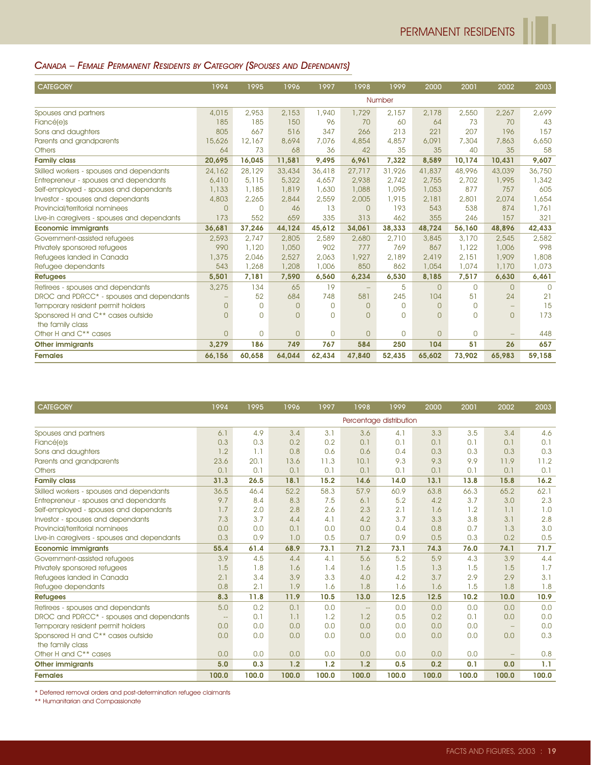#### CANADA – FEMALE PERMANENT RESIDENTS BY CATEGORY (SPOUSES AND DEPENDANTS)

| <b>CATEGORY</b>                             | 1994           | 1995     | 1996     | 1997     | 1998              | 1999         | 2000           | 2001        | 2002              | 2003   |
|---------------------------------------------|----------------|----------|----------|----------|-------------------|--------------|----------------|-------------|-------------------|--------|
|                                             |                |          |          |          |                   | Number       |                |             |                   |        |
| Spouses and partners                        | 4,015          | 2,953    | 2.153    | 1,940    | 1,729             | 2.157        | 2,178          | 2,550       | 2,267             | 2,699  |
| Fiancé(e)s                                  | 185            | 185      | 150      | 96       | 70                | 60           | 64             | 73          | 70                | 43     |
| Sons and daughters                          | 805            | 667      | 516      | 347      | 266               | 213          | 221            | 207         | 196               | 157    |
| Parents and grandparents                    | 15,626         | 12,167   | 8,694    | 7,076    | 4,854             | 4,857        | 6,091          | 7,304       | 7,863             | 6,650  |
| <b>Others</b>                               | 64             | 73       | 68       | 36       | 42                | 35           | 35             | 40          | 35                | 58     |
| <b>Family class</b>                         | 20,695         | 16,045   | 11,581   | 9,495    | 6,961             | 7,322        | 8,589          | 10,174      | 10,431            | 9,607  |
| Skilled workers - spouses and dependants    | 24,162         | 28,129   | 33,434   | 36,418   | 27,717            | 31,926       | 41,837         | 48,996      | 43,039            | 36,750 |
| Entrepreneur - spouses and dependants       | 6,410          | 5,115    | 5,322    | 4,657    | 2,938             | 2.742        | 2,755          | 2,702       | 1,995             | 1,342  |
| Self-employed - spouses and dependants      | 1,133          | 1,185    | 1,819    | 1,630    | 1,088             | 1,095        | 1,053          | 877         | 757               | 605    |
| Investor - spouses and dependants           | 4,803          | 2,265    | 2,844    | 2,559    | 2,005             | 1,915        | 2,181          | 2,801       | 2,074             | 1,654  |
| Provincial/territorial nominees             | $\Omega$       | 0        | 46       | 13       | $\Omega$          | 193          | 543            | 538         | 874               | 1,761  |
| Live-in caregivers - spouses and dependants | 173            | 552      | 659      | 335      | 313               | 462          | 355            | 246         | 157               | 321    |
| <b>Economic immigrants</b>                  | 36,681         | 37,246   | 44,124   | 45,612   | 34,061            | 38,333       | 48,724         | 56,160      | 48,896            | 42,433 |
| Government-assisted refugees                | 2,593          | 2.747    | 2,805    | 2,589    | 2,680             | 2,710        | 3,845          | 3,170       | 2,545             | 2,582  |
| Privately sponsored refugees                | 990            | 1,120    | 1,050    | 902      | 777               | 769          | 867            | 1,122       | 1,006             | 998    |
| Refugees landed in Canada                   | 1,375          | 2.046    | 2,527    | 2.063    | 1,927             | 2,189        | 2,419          | 2.151       | 1,909             | 1,808  |
| Refugee dependants                          | 543            | 1,268    | 1,208    | 1,006    | 850               | 862          | 1,054          | 1,074       | 1,170             | 1,073  |
| <b>Refugees</b>                             | 5,501          | 7,181    | 7,590    | 6.560    | 6,234             | 6,530        | 8,185          | 7,517       | 6,630             | 6,461  |
| Retirees - spouses and dependants           | 3,275          | 134      | 65       | 19       | $\qquad \qquad -$ | 5            | $\overline{0}$ | $\Omega$    | $\Omega$          | $\cap$ |
| DROC and PDRCC* - spouses and dependants    |                | 52       | 684      | 748      | 581               | 245          | 104            | 51          | 24                | 21     |
| Temporary resident permit holders           | $\overline{0}$ | 0        | $\Omega$ | $\Omega$ | $\Omega$          | $\Omega$     | $\overline{0}$ | $\Omega$    | $\qquad \qquad -$ | 15     |
| Sponsored H and C** cases outside           | $\Omega$       | $\Omega$ | n        | $\Omega$ | $\Omega$          | <sup>n</sup> | $\Omega$       | $\cap$      | $\Omega$          | 173    |
| the family class                            |                |          |          |          |                   |              |                |             |                   |        |
| Other H and C <sup>**</sup> cases           | $\overline{0}$ | 0        | $\Omega$ | 0        | $\Omega$          | $\Omega$     | $\overline{0}$ | $\mathbf 0$ |                   | 448    |
| <b>Other immigrants</b>                     | 3,279          | 186      | 749      | 767      | 584               | 250          | 104            | 51          | 26                | 657    |
| <b>Females</b>                              | 66,156         | 60,658   | 64.044   | 62,434   | 47,840            | 52,435       | 65,602         | 73,902      | 65.983            | 59,158 |

| <b>CATEGORY</b>                               | 1994          | 1995  | 1996  | 1997  | 1998                    | 1999  | 2000  | 2001  | 2002              | 2003  |
|-----------------------------------------------|---------------|-------|-------|-------|-------------------------|-------|-------|-------|-------------------|-------|
|                                               |               |       |       |       | Percentage distribution |       |       |       |                   |       |
| Spouses and partners                          | 6.1           | 4.9   | 3.4   | 3.1   | 3.6                     | 4.1   | 3.3   | 3.5   | 3.4               | 4.6   |
| Fiancé(e)s                                    | 0.3           | 0.3   | 0.2   | 0.2   | 0.1                     | 0.1   | 0.1   | 0.1   | 0.1               | 0.1   |
| Sons and daughters                            | 1.2           | 1.1   | 0.8   | 0.6   | 0.6                     | 0.4   | 0.3   | 0.3   | 0.3               | 0.3   |
| Parents and grandparents                      | 23.6          | 20.1  | 13.6  | 11.3  | 10.1                    | 9.3   | 9.3   | 9.9   | 11.9              | 11.2  |
| <b>Others</b>                                 | 0.1           | 0.1   | 0.1   | 0.1   | 0.1                     | 0.1   | 0.1   | 0.1   | 0.1               | 0.1   |
| <b>Family class</b>                           | 31.3          | 26.5  | 18.1  | 15.2  | 14.6                    | 14.0  | 13.1  | 13.8  | 15.8              | 16.2  |
| Skilled workers - spouses and dependants      | 36.5          | 46.4  | 52.2  | 58.3  | 57.9                    | 60.9  | 63.8  | 66.3  | 65.2              | 62.1  |
| Entrepreneur - spouses and dependants         | 9.7           | 8.4   | 8.3   | 7.5   | 6.1                     | 5.2   | 4.2   | 3.7   | 3.0               | 2.3   |
| Self-employed - spouses and dependants        | 1.7           | 2.0   | 2.8   | 2.6   | 2.3                     | 2.1   | 1.6   | 1.2   | 1.1               | 1.0   |
| Investor - spouses and dependants             | 7.3           | 3.7   | 4.4   | 4.1   | 4.2                     | 3.7   | 3.3   | 3.8   | 3.1               | 2.8   |
| Provincial/territorial nominees               | 0.0           | 0.0   | 0.1   | 0.0   | 0.0                     | 0.4   | 0.8   | 0.7   | 1.3               | 3.0   |
| Live-in caregivers - spouses and dependants   | 0.3           | 0.9   | 1.0   | 0.5   | 0.7                     | 0.9   | 0.5   | 0.3   | 0.2               | 0.5   |
| <b>Economic immigrants</b>                    | 55.4          | 61.4  | 68.9  | 73.1  | 71.2                    | 73.1  | 74.3  | 76.0  | 74.1              | 71.7  |
| Government-assisted refugees                  | 3.9           | 4.5   | 4.4   | 4.1   | 5.6                     | 5.2   | 5.9   | 4.3   | 3.9               | 4.4   |
| Privately sponsored refugees                  | 1.5           | 1.8   | 1.6   | 1.4   | 1.6                     | 1.5   | 1.3   | 1.5   | 1.5               | 1.7   |
| Refugees landed in Canada                     | 2.1           | 3.4   | 3.9   | 3.3   | 4.0                     | 4.2   | 3.7   | 2.9   | 2.9               | 3.1   |
| Refugee dependants                            | 0.8           | 2.1   | 1.9   | 1.6   | 1.8                     | 1.6   | 1.6   | 1.5   | 1.8               | 1.8   |
| <b>Refugees</b>                               | 8.3           | 11.8  | 11.9  | 10.5  | 13.0                    | 12.5  | 12.5  | 10.2  | 10.0              | 10.9  |
| Retirees - spouses and dependants             | 5.0           | 0.2   | 0.1   | 0.0   | $\sim$ $\sim$           | 0.0   | 0.0   | 0.0   | 0.0               | 0.0   |
| DROC and PDRCC* - spouses and dependants      | $\sim$ $\sim$ | 0.1   | 1.1   | 1.2   | 1.2                     | 0.5   | 0.2   | 0.1   | 0.0               | 0.0   |
| Temporary resident permit holders             | 0.0           | 0.0   | 0.0   | 0.0   | 0.0                     | 0.0   | 0.0   | 0.0   | $\qquad \qquad -$ | 0.0   |
| Sponsored H and C <sup>**</sup> cases outside | 0.0           | 0.0   | 0.0   | 0.0   | 0.0                     | 0.0   | 0.0   | 0.0   | 0.0               | 0.3   |
| the family class                              |               |       |       |       |                         |       |       |       |                   |       |
| Other H and C <sup>**</sup> cases             | 0.0           | 0.0   | 0.0   | 0.0   | 0.0                     | 0.0   | 0.0   | 0.0   | $\qquad \qquad -$ | 0.8   |
| <b>Other immigrants</b>                       | 5.0           | 0.3   | 1.2   | 1.2   | 1.2                     | 0.5   | 0.2   | 0.1   | 0.0               | 1.1   |
| <b>Females</b>                                | 100.0         | 100.0 | 100.0 | 100.0 | 100.0                   | 100.0 | 100.0 | 100.0 | 100.0             | 100.0 |

\* Deferred removal orders and post-determination refugee claimants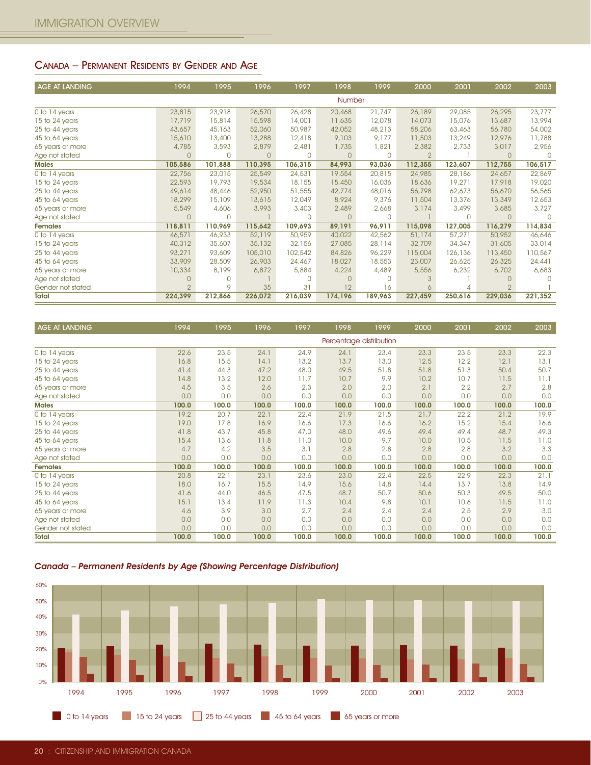#### CANADA – PERMANENT RESIDENTS BY GENDER AND AGE

| <b>AGE AT LANDING</b> | 1994           | 1995     | 1996     | 1997         | 1998          | 1999     | 2000           | 2001     | 2002           | 2003     |
|-----------------------|----------------|----------|----------|--------------|---------------|----------|----------------|----------|----------------|----------|
|                       |                |          |          |              | <b>Number</b> |          |                |          |                |          |
| 0 to 14 years         | 23,815         | 23,918   | 26,570   | 26,428       | 20,468        | 21,747   | 26,189         | 29,085   | 26,295         | 23,777   |
| 15 to 24 years        | 17,719         | 15,814   | 15,598   | 14,001       | 11,635        | 12,078   | 14,073         | 15,076   | 13,687         | 13,994   |
| 25 to 44 years        | 43,657         | 45,163   | 52,060   | 50,987       | 42,052        | 48,213   | 58,206         | 63,463   | 56,780         | 54,002   |
| 45 to 64 years        | 15,610         | 13,400   | 13,288   | 12,418       | 9,103         | 9,177    | 11,503         | 13,249   | 12,976         | 11,788   |
| 65 years or more      | 4,785          | 3,593    | 2,879    | 2,481        | 1,735         | 1,821    | 2,382          | 2,733    | 3,017          | 2,956    |
| Age not stated        | $\Omega$       | $\Omega$ | $\Omega$ | $\mathbf{0}$ | $\Omega$      | $\Omega$ | $\overline{2}$ |          | $\overline{0}$ | $\Omega$ |
| <b>Males</b>          | 105,586        | 101,888  | 110,395  | 106,315      | 84,993        | 93,036   | 112,355        | 123,607  | 112,755        | 106,517  |
| 0 to 14 years         | 22,756         | 23,015   | 25,549   | 24,531       | 19,554        | 20,815   | 24,985         | 28,186   | 24,657         | 22,869   |
| 15 to 24 years        | 22,593         | 19,793   | 19,534   | 18,155       | 15,450        | 16,036   | 18,636         | 19,271   | 17,918         | 19,020   |
| 25 to 44 years        | 49,614         | 48,446   | 52,950   | 51,555       | 42,774        | 48,016   | 56,798         | 62,673   | 56,670         | 56,565   |
| 45 to 64 years        | 18,299         | 15,109   | 13,615   | 12,049       | 8,924         | 9,376    | 11,504         | 13,376   | 13,349         | 12,653   |
| 65 years or more      | 5,549          | 4,606    | 3,993    | 3,403        | 2,489         | 2,668    | 3,174          | 3,499    | 3,685          | 3,727    |
| Age not stated        | $\Omega$       | $\Omega$ |          | $\Omega$     | $\Omega$      | $\Box$   |                | $\Omega$ | $\Omega$       | $\cap$   |
| <b>Females</b>        | 118,811        | 110,969  | 115,642  | 109,693      | 89,191        | 96,911   | 115,098        | 127,005  | 116,279        | 114,834  |
| 0 to 14 years         | 46,571         | 46,933   | 52,119   | 50,959       | 40,022        | 42,562   | 51,174         | 57,271   | 50,952         | 46,646   |
| 15 to 24 years        | 40,312         | 35,607   | 35,132   | 32,156       | 27,085        | 28,114   | 32,709         | 34,347   | 31,605         | 33,014   |
| 25 to 44 years        | 93,271         | 93,609   | 105,010  | 102,542      | 84,826        | 96,229   | 115,004        | 126,136  | 113,450        | 110,567  |
| 45 to 64 years        | 33,909         | 28,509   | 26,903   | 24,467       | 18,027        | 18,553   | 23,007         | 26,625   | 26,325         | 24,441   |
| 65 years or more      | 10,334         | 8,199    | 6,872    | 5,884        | 4,224         | 4,489    | 5,556          | 6,232    | 6,702          | 6,683    |
| Age not stated        |                | $\Omega$ |          | $\Omega$     | n             | $\Omega$ |                |          |                |          |
| Gender not stated     | $\overline{2}$ | 9        | 35       | 31           | 12            | 16       | 6              | 4        | $\overline{2}$ |          |
| <b>Total</b>          | 224,399        | 212,866  | 226,072  | 216,039      | 174,196       | 189,963  | 227,459        | 250,616  | 229,036        | 221,352  |

| 45 TO 64 years                                                               | 18,299         | 15,109       | 13,015         | 12,049         | 6,924          | 9,370                   | 11,504       | 13,3/0       | 13,349         | 12,003      |
|------------------------------------------------------------------------------|----------------|--------------|----------------|----------------|----------------|-------------------------|--------------|--------------|----------------|-------------|
| 65 years or more                                                             | 5,549          | 4,606        | 3,993          | 3,403          | 2,489          | 2,668                   | 3,174        | 3,499        | 3,685          | 3,727       |
| Age not stated                                                               | $\overline{0}$ | $\mathbf{O}$ | $\overline{1}$ | $\mathbf 0$    | $\overline{0}$ | $\mathbf{0}$            | $\mathbf{1}$ | $\mathsf{O}$ | $\mathbf{0}$   | $\mathbf 0$ |
| <b>Females</b>                                                               | 118,811        | 110,969      | 115,642        | 109,693        | 89,191         | 96,911                  | 115,098      | 127,005      | 116,279        | 114,834     |
| 0 to 14 years                                                                | 46,571         | 46,933       | 52,119         | 50,959         | 40,022         | 42,562                  | 51,174       | 57,271       | 50,952         | 46,646      |
| 15 to 24 years                                                               | 40,312         | 35,607       | 35,132         | 32,156         | 27,085         | 28,114                  | 32,709       | 34,347       | 31,605         | 33,014      |
| 25 to 44 years                                                               | 93,271         | 93,609       | 105,010        | 102,542        | 84,826         | 96,229                  | 115,004      | 126,136      | 113,450        | 110,567     |
| 45 to 64 years                                                               | 33,909         | 28,509       | 26,903         | 24,467         | 18,027         | 18,553                  | 23,007       | 26,625       | 26,325         | 24,441      |
| 65 years or more                                                             | 10,334         | 8,199        | 6,872          | 5,884          | 4,224          | 4,489                   | 5,556        | 6,232        | 6,702          | 6,683       |
| Age not stated                                                               | $\mathsf{O}$   | 0            | -1             | $\overline{0}$ | $\circ$        | 0                       | 3            | Т.           | $\mathbf{0}$   | $\mathbf 0$ |
| Gender not stated                                                            | $\overline{2}$ | 9            | 35             | 31             | 12             | 16                      | 6            | 4            | $\overline{2}$ | -1          |
|                                                                              | 224,399        |              | 226,072        |                | 174,196        |                         |              |              |                |             |
| <b>Total</b>                                                                 |                | 212,866      |                | 216,039        |                | 189,963                 | 227,459      | 250,616      | 229,036        | 221,352     |
|                                                                              |                |              |                |                |                |                         |              |              |                |             |
|                                                                              | 1994           |              |                |                |                |                         |              |              |                |             |
| AGE AT LANDING                                                               |                | 1995         | 1996           | 1997           | 1998           | 1999                    | 2000         | 2001         | 2002           | 2003        |
|                                                                              |                |              |                |                |                | Percentage distribution |              |              |                |             |
| 0 to 14 years                                                                | 22.6           | 23.5         | 24.1           | 24.9           | 24.1           | 23.4                    | 23.3         | 23.5         | 23.3           | 22.3        |
| 15 to 24 years                                                               | 16.8           | 15.5         | 14.1           | 13.2           | 13.7           | 13.0                    | 12.5         | 12.2         | 12.1           | 13.1        |
| 25 to 44 years                                                               | 41.4           | 44.3         | 47.2           | 48.0           | 49.5           | 51.8                    | 51.8         | 51.3         | 50.4           | 50.7        |
| 45 to 64 years                                                               | 14.8           | 13.2         | 12.0           | 11.7           | 10.7           | 9.9                     | 10.2         | 10.7         | 11.5           | 11.1        |
| 65 years or more                                                             | 4.5            | 3.5          | 2.6            | 2.3            | 2.0            | 2.0                     | 2.1          | 2.2          | 2.7            | 2.8         |
| Age not stated                                                               | 0.0            | 0.0          | 0.0            | 0.0            | 0.0            | 0.0                     | 0.0          | 0.0          | 0.0            | 0.0         |
| <b>Males</b>                                                                 | 100.0          | 100.0        | 100.0          | 100.0          | 100.0          | 100.0                   | 100.0        | 100.0        | 100.0          | 100.0       |
| 0 to 14 years                                                                | 19.2           | 20.7         | 22.1           | 22.4           | 21.9           | 21.5                    | 21.7         | 22.2         | 21.2           | 19.9        |
| 15 to 24 years                                                               | 19.0           | 17.8         | 16.9           | 16.6           | 17.3           | 16.6                    | 16.2         | 15.2         | 15.4           | 16.6        |
| 25 to 44 years                                                               | 41.8           | 43.7         | 45.8           | 47.0           | 48.0           | 49.6                    | 49.4         | 49.4         | 48.7           | 49.3        |
| 45 to 64 years                                                               | 15.4           | 13.6         | 11.8           | 11.0           | 10.0           | 9.7                     | 10.0         | 10.5         | 11.5           | 11.0        |
| 65 years or more                                                             | 4.7            | 4.2          | 3.5            | 3.1            | 2.8            | 2.8                     | 2.8          | 2.8          | 3.2            | 3.3         |
|                                                                              | 0.0            | 0.0          | 0.0            | 0.0            | 0.0            | 0.0                     | 0.0          | 0.0          | 0.0            | 0.0         |
| Age not stated                                                               |                |              |                |                |                |                         |              |              |                |             |
| <b>Females</b>                                                               | 100.0          | 100.0        | 100.0          | 100.0          | 100.0          | 100.0                   | 100.0        | 100.0        | 100.0          | 100.0       |
| 0 to 14 years                                                                | 20.8           | 22.1         | 23.1           | 23.6           | 23.0           | 22.4                    | 22.5         | 22.9         | 22.3           | 21.1        |
| 15 to 24 years                                                               | 18.0           | 16.7         | 15.5           | 14.9           | 15.6           | 14.8                    | 14.4         | 13.7         | 13.8           | 14.9        |
| 25 to 44 years                                                               | 41.6           | 44.0         | 46.5           | 47.5           | 48.7           | 50.7                    | 50.6         | 50.3         | 49.5           | 50.0        |
| 45 to 64 years                                                               | 15.1           | 13.4         | 11.9           | 11.3           | 10.4           | 9.8                     | 10.1         | 10.6         | 11.5           | 11.0        |
| 65 years or more                                                             | 4.6            | 3.9          | 3.0            | 2.7            | 2.4            | 2.4                     | 2.4          | 2.5          | 2.9            | 3.0         |
| Age not stated                                                               | 0.0            | 0.0          | 0.0            | 0.0            | 0.0            | 0.0                     | 0.0          | 0.0          | 0.0            | 0.0         |
| Gender not stated                                                            | 0.0            | 0.0          | 0.0            | 0.0            | 0.0            | 0.0                     | 0.0          | 0.0          | 0.0            | 0.0         |
| <b>Total</b>                                                                 | 100.0          | 100.0        | 100.0          | 100.0          | 100.0          | 100.0                   | 100.0        | 100.0        | 100.0          | 100.0       |
| Canada - Permanent Residents by Age (Showing Percentage Distribution)<br>60% |                |              |                |                |                |                         |              |              |                |             |
| 50%                                                                          |                |              |                |                |                |                         |              |              |                |             |
| 40%                                                                          |                |              |                |                |                |                         |              |              |                |             |
|                                                                              |                |              |                |                |                |                         |              |              |                |             |
| 30%                                                                          |                |              |                |                |                |                         |              |              |                |             |
| 20%                                                                          |                |              |                |                |                |                         |              |              |                |             |
|                                                                              |                |              |                |                |                |                         |              |              |                |             |
| 10%                                                                          |                |              |                |                |                |                         |              |              |                |             |
|                                                                              |                |              |                |                |                |                         |              |              |                |             |
| 0%                                                                           |                |              |                |                |                |                         |              |              |                |             |
| 1994<br>1995                                                                 | 1996           | 1997         | 1998           |                | 1999           | 2000                    | 2001         | 2002         | 2003           |             |
|                                                                              |                |              |                |                |                |                         |              |              |                |             |
|                                                                              |                |              |                |                |                |                         |              |              |                |             |



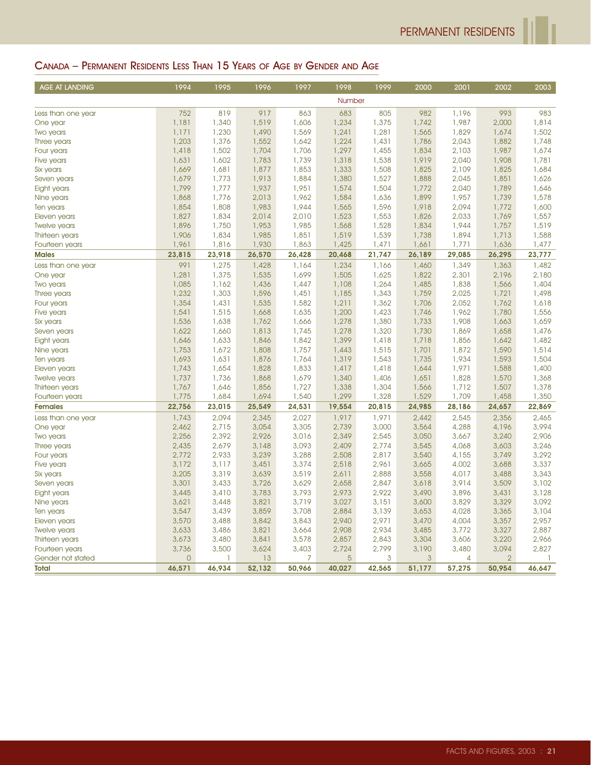## CANADA – PERMANENT RESIDENTS LESS THAN 15 YEARS OF AGE BY GENDER AND AGE

| AGE AT LANDING      | 1994           | 1995         | 1996   | 1997   | 1998   | 1999   | 2000   | 2001           | 2002           | 2003         |
|---------------------|----------------|--------------|--------|--------|--------|--------|--------|----------------|----------------|--------------|
|                     |                |              |        |        | Number |        |        |                |                |              |
| Less than one year  | 752            | 819          | 917    | 863    | 683    | 805    | 982    | 1,196          | 993            | 983          |
| One year            | 1,181          | 1,340        | 1,519  | 1,606  | 1,234  | 1,375  | 1,742  | 1,987          | 2,000          | 1,814        |
| Two years           | 1,171          | 1,230        | 1,490  | 1,569  | 1,241  | 1,281  | 1,565  | 1,829          | 1,674          | 1,502        |
| Three years         | 1,203          | 1,376        | 1,552  | 1,642  | 1,224  | 1,431  | 1,786  | 2,043          | 1,882          | 1,748        |
| Four years          | 1,418          | 1,502        | 1,704  | 1,706  | 1,297  | 1,455  | 1,834  | 2,103          | 1,987          | 1,674        |
| Five years          | 1,631          | 1,602        | 1,783  | 1,739  | 1,318  | 1,538  | 1,919  | 2,040          | 1,908          | 1,781        |
| Six years           | 1,669          | 1,681        | 1,877  | 1,853  | 1,333  | 1,508  | 1,825  | 2,109          | 1,825          | 1,684        |
| Seven years         | 1,679          | 1,773        | 1,913  | 1,884  | 1,380  | 1,527  | 1,888  | 2,045          | 1,851          | 1,626        |
| Eight years         | 1,799          | 1,777        | 1,937  | 1,951  | 1,574  | 1,504  | 1,772  | 2,040          | 1,789          | 1,646        |
| Nine years          | 1,868          | 1,776        | 2,013  | 1,962  | 1,584  | 1,636  | 1,899  | 1,957          | 1,739          | 1,578        |
| Ten years           | 1,854          | 1,808        | 1,983  | 1,944  | 1,565  | 1,596  | 1,918  | 2,094          | 1,772          | 1,600        |
| Eleven years        | 1,827          | 1,834        | 2,014  | 2,010  | 1,523  | 1,553  | 1,826  | 2,033          | 1,769          | 1,557        |
| <b>Twelve years</b> | 1,896          | 1,750        | 1,953  | 1,985  | 1,568  | 1,528  | 1,834  | 1,944          | 1,757          | 1,519        |
| Thirteen years      | 1,906          | 1,834        | 1,985  | 1,851  | 1,519  | 1,539  | 1,738  | 1,894          | 1,713          | 1,588        |
| Fourteen years      | 1,961          | 1,816        | 1,930  | 1,863  | 1,425  | 1,471  | 1,661  | 1,771          | 1,636          | 1,477        |
| <b>Males</b>        | 23,815         | 23,918       | 26,570 | 26,428 | 20,468 | 21,747 | 26,189 | 29,085         | 26,295         | 23,777       |
| Less than one year  | 991            | 1,275        | 1,428  | 1,164  | 1,234  | 1,166  | 1,460  | 1,349          | 1,363          | 1,482        |
| One year            | 1,281          | 1,375        | 1,535  | 1,699  | 1,505  | 1,625  | 1,822  | 2,301          | 2,196          | 2,180        |
| Two years           | 1,085          | 1,162        | 1,436  | 1,447  | 1,108  | 1,264  | 1,485  | 1,838          | 1,566          | 1,404        |
| Three years         | 1,232          | 1,303        | 1,596  | 1,451  | 1,185  | 1,343  | 1,759  | 2,025          | 1,721          | 1,498        |
| Four years          | 1,354          | 1,431        | 1,535  | 1,582  | 1,211  | 1,362  | 1,706  | 2,052          | 1,762          | 1,618        |
| Five years          | 1,541          | 1,515        | 1,668  | 1,635  | 1,200  | 1,423  | 1,746  | 1,962          | 1,780          | 1,556        |
| Six years           | 1,536          | 1,638        | 1,762  | 1,666  | 1,278  | 1,380  | 1,733  | 1,908          | 1,663          | 1,659        |
| Seven years         | 1,622          | 1,660        | 1,813  | 1,745  | 1,278  | 1,320  | 1,730  | 1,869          | 1,658          | 1,476        |
| Eight years         | 1,646          | 1,633        | 1,846  | 1,842  | 1,399  | 1,418  | 1,718  | 1,856          | 1,642          | 1,482        |
| Nine years          | 1,753          | 1,672        | 1,808  | 1,757  | 1,443  | 1,515  | 1,701  | 1,872          | 1,590          | 1,514        |
| Ten years           | 1,693          | 1,631        | 1,876  | 1,764  | 1,319  | 1,543  | 1,735  | 1,934          | 1,593          | 1,504        |
| Eleven years        | 1,743          | 1,654        | 1,828  | 1,833  | 1.417  | 1,418  | 1,644  | 1,971          | 1,588          | 1,400        |
| Twelve years        | 1,737          | 1,736        | 1,868  | 1,679  | 1,340  | 1,406  | 1,651  | 1,828          | 1,570          | 1,368        |
| Thirteen years      | 1,767          | 1,646        | 1,856  | 1,727  | 1,338  | 1,304  | 1,566  | 1,712          | 1,507          | 1,378        |
| Fourteen years      | 1,775          | 1,684        | 1,694  | 1,540  | 1,299  | 1,328  | 1,529  | 1,709          | 1,458          | 1,350        |
| <b>Females</b>      | 22,756         | 23,015       | 25,549 | 24,531 | 19,554 | 20,815 | 24,985 | 28,186         | 24,657         | 22,869       |
| Less than one year  | 1,743          | 2,094        | 2,345  | 2,027  | 1,917  | 1,971  | 2,442  | 2,545          | 2,356          | 2,465        |
| One year            | 2,462          | 2,715        | 3,054  | 3,305  | 2,739  | 3,000  | 3,564  | 4,288          | 4,196          | 3,994        |
| Two years           | 2,256          | 2,392        | 2,926  | 3,016  | 2,349  | 2,545  | 3,050  | 3,667          | 3,240          | 2,906        |
| Three years         | 2,435          | 2,679        | 3,148  | 3,093  | 2,409  | 2,774  | 3,545  | 4,068          | 3,603          | 3,246        |
| Four years          | 2,772          | 2,933        | 3,239  | 3,288  | 2,508  | 2,817  | 3,540  | 4,155          | 3,749          | 3,292        |
| Five years          | 3,172          | 3,117        | 3,451  | 3,374  | 2,518  | 2,961  | 3,665  | 4,002          | 3,688          | 3,337        |
| Six years           | 3,205          | 3,319        | 3,639  | 3,519  | 2,611  | 2,888  | 3,558  | 4,017          | 3,488          | 3,343        |
| Seven years         | 3,301          | 3,433        | 3,726  | 3,629  | 2,658  | 2,847  | 3,618  | 3,914          | 3,509          | 3,102        |
| Eight years         | 3,445          | 3,410        | 3,783  | 3,793  | 2,973  | 2,922  | 3,490  | 3,896          | 3,431          | 3,128        |
| Nine years          | 3,621          | 3,448        | 3,821  | 3,719  | 3,027  | 3,151  | 3,600  | 3,829          | 3,329          | 3,092        |
| Ten years           | 3,547          | 3,439        | 3,859  | 3,708  | 2,884  | 3,139  | 3,653  | 4,028          | 3,365          | 3,104        |
| Eleven years        | 3,570          | 3,488        | 3,842  | 3,843  | 2,940  | 2,971  | 3,470  | 4,004          | 3,357          | 2,957        |
| Twelve years        | 3,633          | 3,486        | 3,821  | 3,664  | 2,908  | 2,934  | 3,485  | 3,772          | 3,327          | 2,887        |
| Thirteen years      | 3,673          | 3,480        | 3,841  | 3,578  | 2,857  | 2,843  | 3,304  | 3,606          | 3,220          | 2,966        |
| Fourteen years      | 3,736          | 3,500        | 3,624  | 3,403  | 2,724  | 2,799  | 3,190  | 3,480          | 3,094          | 2,827        |
| Gender not stated   | $\overline{0}$ | $\mathbf{1}$ | 13     | 7      | 5      | 3      | 3      | $\overline{4}$ | $\overline{2}$ | $\mathbb{I}$ |
| <b>Total</b>        | 46,571         | 46,934       | 52,132 | 50,966 | 40,027 | 42,565 | 51,177 | 57,275         | 50,954         | 46,647       |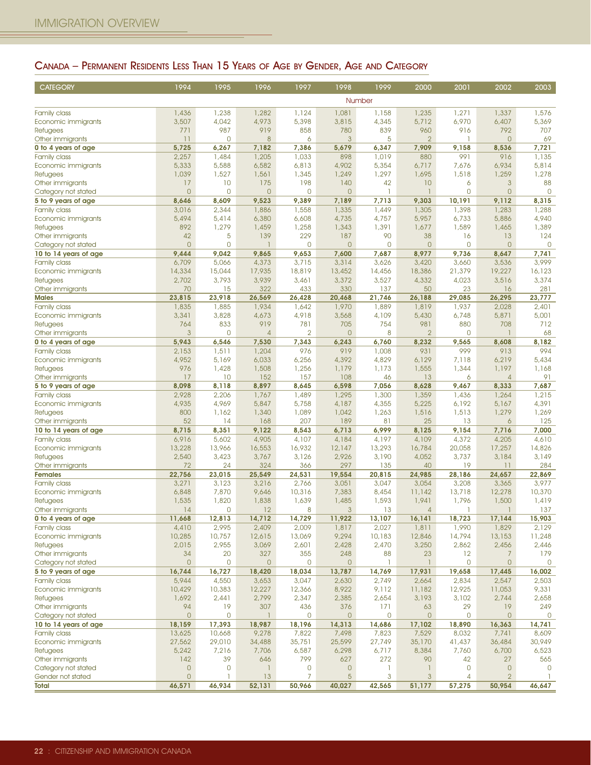# CANADA – PERMANENT RESIDENTS LESS THAN 15 YEARS OF AGE BY GENDER, AGE AND CATEGORY

| <b>CATEGORY</b>                              | 1994                                  | 1995            | 1996            | 1997                  | 1998                | 1999            | 2000                    | 2001                  | 2002                     | 2003                  |
|----------------------------------------------|---------------------------------------|-----------------|-----------------|-----------------------|---------------------|-----------------|-------------------------|-----------------------|--------------------------|-----------------------|
|                                              |                                       |                 |                 |                       |                     | Number          |                         |                       |                          |                       |
| Family class                                 | 1,436                                 | 1,238           | 1,282           | 1,124                 | 1,081               | 1,158           | 1,235                   | 1,271                 | 1,337                    | 1,576                 |
| Economic immigrants                          | 3,507                                 | 4,042           | 4,973           | 5,398                 | 3,815               | 4,345           | 5,712                   | 6,970                 | 6,407                    | 5,369                 |
| Refugees                                     | 771                                   | 987             | 919             | 858                   | 780                 | 839             | 960                     | 916                   | 792                      | 707                   |
| Other immigrants<br>0 to 4 years of age      | 11<br>5,725                           | 0<br>6,267      | 8<br>7,182      | 6<br>7,386            | 3<br>5,679          | 5<br>6,347      | $\overline{2}$<br>7,909 | 9,158                 | $\overline{0}$<br>8,536  | 69<br>7,721           |
| Family class                                 | 2,257                                 | 1,484           | 1,205           | 1,033                 | 898                 | 1,019           | 880                     | 991                   | 916                      | 1,135                 |
| Economic immigrants                          | 5,333                                 | 5,588           | 6,582           | 6,813                 | 4,902               | 5,354           | 6,717                   | 7,676                 | 6,934                    | 5,814                 |
| Refugees                                     | 1,039                                 | 1,527           | 1,561           | 1,345                 | 1,249               | 1,297           | 1,695                   | 1,518                 | 1,259                    | 1,278                 |
| Other immigrants                             | 17                                    | 10              | 175             | 198                   | 140                 | 42              | 10                      | 6                     | $\mathbf{3}$             | 88                    |
| Category not stated                          | $\overline{0}$                        | 0               | $\circ$         | $\mathbf 0$           | $\overline{0}$      | l,              | ı                       | $\mathbf 0$           | $\overline{0}$           | $\mathbf{0}$          |
| 5 to 9 years of age<br>Family class          | 8,646<br>3,016                        | 8,609<br>2,344  | 9,523<br>1,886  | 9,389<br>1,558        | 7,189<br>1,335      | 7,713<br>1,449  | 9,303<br>1,305          | 10,191<br>1,398       | 9,112<br>1,283           | 8,315<br>1,288        |
| Economic immigrants                          | 5,494                                 | 5,414           | 6,380           | 6,608                 | 4,735               | 4,757           | 5,957                   | 6,733                 | 5,886                    | 4,940                 |
| <b>Refugees</b>                              | 892                                   | 1,279           | 1,459           | 1,258                 | 1,343               | 1,391           | 1,677                   | 1,589                 | 1,465                    | 1,389                 |
| Other immigrants                             | 42                                    | 5               | 139             | 229                   | 187                 | 90              | 38                      | 16                    | 13                       | 124                   |
| Category not stated                          | $\overline{0}$                        | 0               | $\mathbf{1}$    | $\mathbf 0$           | $\circ$             | $\mathbf 0$     | $\theta$                | $\mathbf 0$           | $\overline{0}$           | $\mathbf 0$           |
| 10 to 14 years of age                        | 9,444                                 | 9,042           | 9,865           | 9,653                 | 7,600               | 7,687           | 8,977                   | 9,736                 | 8,647                    | 7,741                 |
| Family class                                 | 6,709                                 | 5,066           | 4,373           | 3,715                 | 3,314<br>13,452     | 3,626           | 3,420                   | 3,660                 | 3,536                    | 3,999<br>16,123       |
| Economic immigrants<br><b>Refugees</b>       | 14,334<br>2,702                       | 15,044<br>3,793 | 17,935<br>3,939 | 18,819<br>3,461       | 3,372               | 14,456<br>3,527 | 18,386<br>4,332         | 21,379<br>4,023       | 19,227<br>3,516          | 3,374                 |
| Other immigrants                             | 70                                    | 15              | 322             | 433                   | 330                 | 137             | 50                      | 23                    | 16                       | 281                   |
| <b>Males</b>                                 | 23,815                                | 23,918          | 26,569          | 26,428                | 20,468              | 21,746          | 26,188                  | 29,085                | 26,295                   | 23,777                |
| Family class                                 | 1,835                                 | 1,885           | 1,934           | 1,642                 | 1,970               | 1,889           | 1,819                   | 1,937                 | 2,028                    | 2,401                 |
| Economic immigrants                          | 3,341                                 | 3,828           | 4,673           | 4,918                 | 3,568               | 4,109           | 5,430                   | 6,748                 | 5,871                    | 5,001                 |
| Refugees                                     | 764                                   | 833             | 919             | 781                   | 705                 | 754             | 981                     | 880                   | 708                      | 712                   |
| Other immigrants                             | 3                                     | 0               | $\overline{4}$  | $\overline{2}$        | $\overline{0}$      | 8               | $\overline{2}$          | $\mathbf 0$           |                          | 68                    |
| 0 to 4 years of age                          | 5,943<br>2,153                        | 6,546<br>1,511  | 7,530<br>1,204  | 7,343<br>976          | 6,243<br>919        | 6,760<br>1,008  | 8,232<br>931            | 9,565<br>999          | 8,608<br>913             | 8,182<br>994          |
| Family class<br>Economic immigrants          | 4,952                                 | 5,169           | 6,033           | 6,256                 | 4,392               | 4,829           | 6,129                   | 7,118                 | 6,219                    | 5,434                 |
| <b>Refugees</b>                              | 976                                   | 1,428           | 1,508           | 1,256                 | 1,179               | 1,173           | 1,555                   | 1,344                 | 1,197                    | 1,168                 |
| Other immigrants                             | 17                                    | 10              | 152             | 157                   | 108                 | 46              | 13                      | 6                     | 4                        | 91                    |
| 5 to 9 years of age                          | 8,098                                 | 8,118           | 8,897           | 8,645                 | 6,598               | 7,056           | 8,628                   | 9,467                 | 8,333                    | 7,687                 |
| Family class                                 | 2,928                                 | 2,206           | 1,767           | 1,489                 | 1,295               | 1,300           | 1,359                   | 1,436                 | 1,264                    | 1,215                 |
| Economic immigrants                          | 4,935                                 | 4,969           | 5,847           | 5,758                 | 4,187               | 4,355           | 5,225                   | 6,192                 | 5,167                    | 4,391                 |
| Refugees<br>Other immigrants                 | 800<br>52                             | 1,162<br>14     | 1,340<br>168    | 1,089<br>207          | 1,042<br>189        | 1,263<br>81     | 1,516<br>25             | 1,513<br>13           | 1,279<br>$\ddot{\circ}$  | 1,269<br>125          |
| 10 to 14 years of age                        | 8,715                                 | 8,351           | 9,122           | 8,543                 | 6,713               | 6,999           | 8,125                   | 9,154                 | 7,716                    | 7,000                 |
| Family class                                 | 6,916                                 | 5,602           | 4,905           | 4,107                 | 4,184               | 4,197           | 4,109                   | 4,372                 | 4,205                    | 4,610                 |
| Economic immigrants                          | 13,228                                | 13,966          | 16,553          | 16,932                | 12,147              | 13,293          | 16,784                  | 20,058                | 17,257                   | 14,826                |
| <b>Refugees</b>                              | 2,540                                 | 3,423           | 3,767           | 3,126                 | 2,926               | 3,190           | 4,052                   | 3,737                 | 3,184                    | 3,149                 |
| Other immigrants                             | 72                                    | 24              | 324             | 366                   | 297                 | 135             | 40                      | 19                    | 11                       | 284                   |
| <b>Females</b>                               | 22,756                                | 23,015          | 25,549          | 24,531                | 19,554              | 20,815          | 24,985                  | 28,186                | 24,657                   | 22,869                |
| Family class<br>Economic immigrants          | 3,271<br>6,848                        | 3,123<br>7,870  | 3,216<br>9,646  | 2,766<br>10,316       | 3,051<br>7,383      | 3,047<br>8,454  | 3,054<br>11,142         | 3,208<br>13,718       | 3,365<br>12,278          | 3,977<br>10,370       |
| <b>Refugees</b>                              | 1,535                                 | 1,820           | 1,838           | 1,639                 | 1,485               | 1,593           | 1,941                   | 1,796                 | 1,500                    | 1,419                 |
| Other immigrants                             | 14                                    | 0               | 12              | 8                     | 3                   | 13              | $\overline{4}$          |                       | 1                        | 137                   |
| 0 to 4 years of age                          | 11,668                                | 12,813          | 14,712          | 14,729                | 11,922              | 13,107          | 16,141                  | 18,723                | 17,144                   | 15,903                |
| Family class                                 | 4,410                                 | 2,995           | 2,409           | 2,009                 | 1,817               | 2,027           | 1,811                   | 1,990                 | 1,829                    | 2,129                 |
| Economic immigrants                          | 10,285                                | 10,757          | 12,615          | 13,069                | 9,294               | 10,183          | 12,846                  | 14,794                | 13,153                   | 11,248                |
| Refugees<br>Other immigrants                 | 2,015<br>34                           | 2,955<br>20     | 3,069<br>327    | 2,601<br>355          | 2,428<br>248        | 2,470<br>88     | 3,250<br>23             | 2,862<br>12           | 2,456<br>7               | 2,446<br>179          |
| Category not stated                          | $\overline{0}$                        | 0               | $\mathsf{O}$    | $\mathbf 0$           | $\mathsf{O}\xspace$ | 1               |                         | $\mathbf 0$           | $\mathsf{O}$             | 0                     |
| 5 to 9 years of age                          | 16,744                                | 16,727          | 18,420          | 18,034                | 13,787              | 14,769          | 17,931                  | 19,658                | 17,445                   | 16,002                |
| Family class                                 | 5,944                                 | 4,550           | 3,653           | 3,047                 | 2,630               | 2,749           | 2,664                   | 2,834                 | 2,547                    | 2,503                 |
| Economic immigrants                          | 10,429                                | 10,383          | 12,227          | 12,366                | 8,922               | 9,112           | 11,182                  | 12,925                | 11,053                   | 9,331                 |
| Refugees                                     | 1,692                                 | 2,441           | 2,799           | 2,347                 | 2,385               | 2,654           | 3,193                   | 3,102                 | 2,744                    | 2,658                 |
| Other immigrants                             | 94                                    | 19              | 307             | 436                   | 376                 | 171             | 63                      | 29                    | 19                       | 249                   |
| Category not stated<br>10 to 14 years of age | $\circ$<br>18,159                     | 0<br>17,393     | -1<br>18,987    | $\mathbf 0$<br>18,196 | $\circ$<br>14,313   | 0<br>14,686     | $\circ$<br>17,102       | $\mathbf 0$<br>18,890 | $\overline{0}$<br>16,363 | $\mathbf 0$<br>14,741 |
| Family class                                 | 13,625                                | 10,668          | 9,278           | 7,822                 | 7,498               | 7,823           | 7,529                   | 8,032                 | 7,741                    | 8,609                 |
| Economic immigrants                          | 27,562                                | 29,010          | 34,488          | 35,751                | 25,599              | 27,749          | 35,170                  | 41,437                | 36,484                   | 30,949                |
| Refugees                                     | 5,242                                 | 7,216           | 7,706           | 6,587                 | 6,298               | 6,717           | 8,384                   | 7,760                 | 6,700                    | 6,523                 |
| Other immigrants                             | 142                                   | 39              | 646             | 799                   | 627                 | 272             | 90                      | 42                    | 27                       | 565                   |
| Category not stated                          | $\begin{array}{c} 0 \\ 0 \end{array}$ | $\mathbf 0$     | -1              | 0                     | $\circ$             | T               | 1                       | 0                     | $\circ$                  | $\mathbf 0$           |
| Gender not stated                            | $\overline{0}$                        |                 | 13              | $\overline{7}$        | $\overline{5}$      | 3               | $\mathbf{3}$            | 4                     | $\overline{2}$           | $\mathbf{1}$          |
| Total                                        | 46,571                                | 46,934          | 52,131          | 50,966                | 40,027              | 42,565          | 51,177                  | 57,275                | 50,954                   | 46,647                |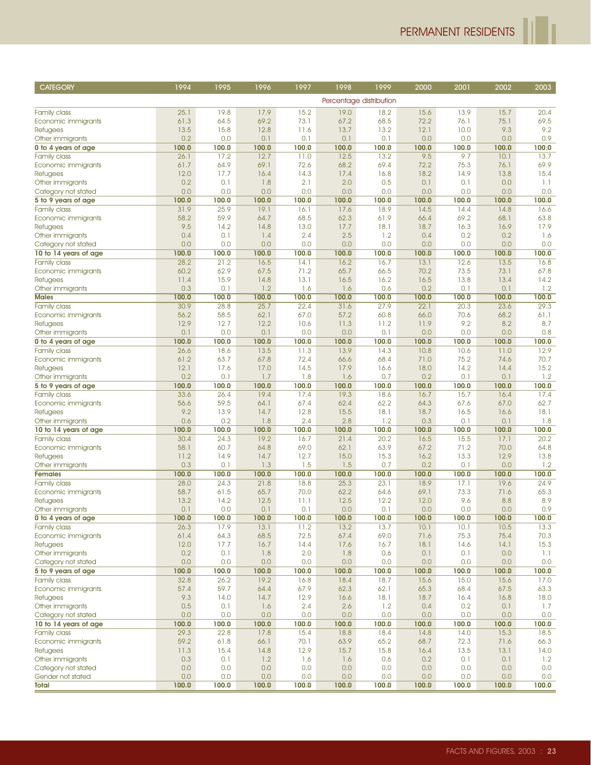| <b>CATEGORY</b>                        | 1994          | 1995          | 1996          | 1997         | 1998          | 1999                    | 2000          | 2001          | 2002          | 2003          |
|----------------------------------------|---------------|---------------|---------------|--------------|---------------|-------------------------|---------------|---------------|---------------|---------------|
|                                        |               |               |               |              |               | Percentage distribution |               |               |               |               |
|                                        |               |               |               |              |               |                         |               |               |               |               |
| Family class                           | 25.1          | 19.8          | 17.9          | 15.2         | 19.0          | 18.2                    | 15.6          | 13.9          | 15.7          | 20.4          |
| Economic immigrants                    | 61.3          | 64.5          | 69.2          | 73.1         | 67.2          | 68.5                    | 72.2          | 76.1          | 75.1          | 69.5<br>9.2   |
| Refugees                               | 13.5<br>0.2   | 15.8<br>0.0   | 12.8<br>0.1   | 11.6<br>0.1  | 13.7<br>0.1   | 13.2<br>0.1             | 12.1<br>0.0   | 10.0<br>0.0   | 9.3<br>0.0    | 0.9           |
| Other immigrants                       |               |               |               | 100.0        |               |                         |               |               |               |               |
| 0 to 4 years of age                    | 100.0<br>26.1 | 100.0<br>17.2 | 100.0<br>12.7 | 11.0         | 100.0<br>12.5 | 100.0<br>13.2           | 100.0<br>9.5  | 100.0<br>9.7  | 100.0<br>10.1 | 100.0<br>13.7 |
| <b>Family class</b>                    | 61.7          | 64.9          | 69.1          | 72.6         | 68.2          | 69.4                    | 72.2          | 75.3          | 76.1          | 69.9          |
| Economic immigrants<br>Refugees        | 12.0          | 17.7          | 16.4          | 14.3         | 17.4          | 16.8                    | 18.2          | 14.9          | 13.8          | 15.4          |
| Other immigrants                       | 0.2           | 0.1           | 1.8           | 2.1          | 2.0           | 0.5                     | 0.1           | 0.1           | 0.0           | 1.1           |
| Category not stated                    | 0.0           | 0.0           | 0.0           | 0.0          | 0.0           | 0.0                     | 0.0           | 0.0           | 0.0           | 0.0           |
| 5 to 9 years of age                    | 100.0         | 100.0         | 100.0         | 100.0        | 100.0         | 100.0                   | 100.0         | 100.0         | 100.0         | 100.0         |
| <b>Family class</b>                    | 31.9          | 25.9          | 19.1          | 16.1         | 17.6          | 18.9                    | 14.5          | 14.4          | 14.8          | 16.6          |
| Economic immigrants                    | 58.2          | 59.9          | 64.7          | 68.5         | 62.3          | 61.9                    | 66.4          | 69.2          | 68.1          | 63.8          |
| <b>Refugees</b>                        | 9.5           | 14.2          | 14.8          | 13.0         | 17.7          | 18.1                    | 18.7          | 16.3          | 16.9          | 17.9          |
| Other immigrants                       | 0.4           | 0.1           | 1.4           | 2.4          | 2.5           | 1.2                     | 0.4           | 0.2           | 0.2           | 1.6           |
| Category not stated                    | 0.0           | 0.0           | 0.0           | 0.0          | 0.0           | 0.0                     | 0.0           | 0.0           | 0.0           | 0.0           |
| 10 to 14 years of age                  | 100.0         | 100.0         | 100.0         | 100.0        | 100.0         | 100.0                   | 100.0         | 100.0         | 100.0         | 100.0         |
| <b>Family class</b>                    | 28.2          | 21.2          | 16.5          | 14.1         | 16.2          | 16.7                    | 13.1          | 12.6          | 13.5          | 16.8          |
| Economic immigrants                    | 60.2          | 62.9          | 67.5          | 71.2         | 65.7          | 66.5                    | 70.2          | 73.5          | 73.1          | 67.8          |
| Refugees                               | 11.4          | 15.9          | 14.8          | 13.1         | 16.5          | 16.2                    | 16.5          | 13.8          | 13.4          | 14.2          |
| Other immigrants                       | 0.3           | 0.1           | 1.2           | 1.6          | 1.6           | 0.6                     | 0.2           | 0.1           | 0.1           | 1.2           |
| <b>Males</b>                           | 100.0         | 100.0         | 100.0         | 100.0        | 100.0         | 100.0                   | 100.0         | 100.0         | 100.0         | 100.0         |
| <b>Family class</b>                    | 30.9          | 28.8          | 25.7          | 22.4         | 31.6          | 27.9                    | 22.1          | 20.3          | 23.6          | 29.3          |
| Economic immigrants                    | 56.2          | 58.5          | 62.1          | 67.0         | 57.2          | 60.8                    | 66.0          | 70.6          | 68.2          | 61.1          |
| <b>Refugees</b>                        | 12.9          | 12.7          | 12.2          | 10.6         | 11.3          | 11.2                    | 11.9          | 9.2           | 8.2           | 8.7           |
| Other immigrants                       | 0.1           | 0.0           | 0.1           | 0.0          | 0.0           | 0.1                     | 0.0           | 0.0           | 0.0           | 0.8           |
| 0 to 4 years of age                    | 100.0         | 100.0         | 100.0         | 100.0        | 100.0         | 100.0                   | 100.0         | 100.0         | 100.0         | 100.0         |
| <b>Family class</b>                    | 26.6          | 18.6          | 13.5          | 11.3         | 13.9          | 14.3                    | 10.8          | 10.6          | 11.0          | 12.9          |
| Economic immigrants                    | 61.2          | 63.7          | 67.8          | 72.4         | 66.6          | 68.4                    | 71.0          | 75.2          | 74.6          | 70.7          |
| Refugees                               | 12.1          | 17.6          | 17.0          | 14.5         | 17.9          | 16.6                    | 18.0          | 14.2          | 14.4          | 15.2          |
| Other immigrants                       | 0.2           | 0.1           | 1.7           | 1.8          | 1.6           | 0.7                     | 0.2           | 0.1           | 0.1           | 1.2           |
| 5 to 9 years of age                    | 100.0         | 100.0         | 100.0         | 100.0        | 100.0         | 100.0                   | 100.0         | 100.0         | 100.0         | 100.0         |
| <b>Family class</b>                    | 33.6          | 26.4          | 19.4          | 17.4         | 19.3          | 18.6                    | 16.7          | 15.7          | 16.4          | 17.4          |
| Economic immigrants                    | 56.6          | 59.5          | 64.1          | 67.4         | 62.4          | 62.2                    | 64.3          | 67.6          | 67.0          | 62.7          |
| Refugees                               | 9.2           | 13.9          | 14.7          | 12.8         | 15.5          | 18.1                    | 18.7          | 16.5          | 16.6          | 18.1          |
| Other immigrants                       | 0.6           | 0.2           | 1.8           | 2.4          | 2.8           | 1.2                     | 0.3           | 0.1           | 0.1           | 1.8           |
| 10 to 14 years of age                  | 100.0         | 100.0         | 100.0         | 100.0        | 100.0         | 100.0                   | 100.0         | 100.0         | 100.0         | 100.0         |
| <b>Family class</b>                    | 30.4          | 24.3          | 19.2          | 16.7         | 21.4          | 20.2                    | 16.5          | 15.5          | 17.1          | 20.2          |
| Economic immigrants                    | 58.1          | 60.7          | 64.8          | 69.0         | 62.1          | 63.9                    | 67.2          | 71.2          | 70.0          | 64.8          |
| Refugees                               | 11.2          | 14.9          | 14.7          | 12.7         | 15.0          | 15.3                    | 16.2          | 13.3          | 12.9          | 13.8          |
| Other immigrants                       | 0.3           | 0.1           | 1.3           | 1.5          | 1.5           | 0.7                     | 0.2           | 0.1           | 0.0           | 1.2           |
| <b>Females</b>                         | 100.0         | 100.0         | 100.0         | 100.0        | 100.0         | 100.0                   | 100.0         | 100.0         | 100.0         | 100.0         |
| <b>Family class</b>                    | 28.0          | 24.3          | 21.8          | 18.8         | 25.3          | 23.1                    | 18.9          | 17.1          | 19.6          | 24.9          |
| Economic immigrants                    | 58.7          | 61.5          | 65.7          | 70.0         | 62.2          | 64.6                    | 69.1          | 73.3          | 71.6          | 65.3          |
| Refugees                               | 13.2          | 14.2          | 12.5          | 11.1         | 12.5          | 12.2                    | 12.0          | 9.6           | 8.8           | 8.9           |
| Other immigrants                       | 0.1           | 0.0           | 0.1           | 0.1          | 0.0           | 0.1                     | 0.0           | 0.0           | 0.0           | 0.9           |
| 0 to 4 years of age                    | 100.0<br>26.3 | 100.0<br>17.9 | 100.0         | 100.0        | 100.0<br>13.2 | 100.0<br>13.7           | 100.0<br>10.1 | 100.0<br>10.1 | 100.0<br>10.5 | 100.0<br>13.3 |
| <b>Family class</b>                    |               | 64.3          | 13.1          | 11.2<br>72.5 |               | 69.0                    |               | 75.3          |               |               |
| Economic immigrants<br><b>Refugees</b> | 61.4<br>12.0  | 17.7          | 68.5<br>16.7  | 14.4         | 67.4<br>17.6  | 16.7                    | 71.6<br>18.1  | 14.6          | 75.4<br>14.1  | 70.3<br>15.3  |
| Other immigrants                       | 0.2           | 0.1           | 1.8           | 2.0          | 1.8           | 0.6                     | 0.1           | 0.1           | 0.0           | 1.1           |
| Category not stated                    | 0.0           | 0.0           | 0.0           | 0.0          | 0.0           | 0.0                     | 0.0           | 0.0           | 0.0           | 0.0           |
| 5 to 9 years of age                    | 100.0         | 100.0         | 100.0         | 100.0        | 100.0         | 100.0                   | 100.0         | 100.0         | 100.0         | 100.0         |
| <b>Family class</b>                    | 32.8          | 26.2          | 19.2          | 16.8         | 18.4          | 18.7                    | 15.6          | 15.0          | 15.6          | 17.0          |
| Economic immigrants                    | 57.4          | 59.7          | 64.4          | 67.9         | 62.3          | 62.1                    | 65.3          | 68.4          | 67.5          | 63.3          |
| <b>Refugees</b>                        | 9.3           | 14.0          | 14.7          | 12.9         | 16.6          | 18.1                    | 18.7          | 16.4          | 16.8          | 18.0          |
| Other immigrants                       | 0.5           | 0.1           | 1.6           | 2.4          | 2.6           | 1.2                     | 0.4           | 0.2           | 0.1           | 1.7           |
| Category not stated                    | 0.0           | 0.0           | 0.0           | 0.0          | 0.0           | 0.0                     | 0.0           | 0.0           | 0.0           | 0.0           |
| 10 to 14 years of age                  | 100.0         | 100.0         | 100.0         | 100.0        | 100.0         | 100.0                   | 100.0         | 100.0         | 100.0         | 100.0         |
| <b>Family class</b>                    | 29.3          | 22.8          | 17.8          | 15.4         | 18.8          | 18.4                    | 14.8          | 14.0          | 15.3          | 18.5          |
| Economic immigrants                    | 59.2          | 61.8          | 66.1          | 70.1         | 63.9          | 65.2                    | 68.7          | 72.3          | 71.6          | 66.3          |
| <b>Refugees</b>                        | 11.3          | 15.4          | 14.8          | 12.9         | 15.7          | 15.8                    | 16.4          | 13.5          | 13.1          | 14.0          |
| Other immigrants                       | 0.3           | 0.1           | 1.2           | 1.6          | 1.6           | 0.6                     | 0.2           | 0.1           | 0.1           | 1.2           |
| Category not stated                    | 0.0           | 0.0           | 0.0           | 0.0          | 0.0           | 0.0                     | 0.0           | 0.0           | 0.0           | 0.0           |
| Gender not stated                      | 0.0           | 0.0           | 0.0           | 0.0          | 0.0           | 0.0                     | 0.0           | 0.0           | 0.0           | 0.0           |
| Total                                  | 100.0         | 100.0         | 100.0         | 100.0        | 100.0         | 100.0                   | 100.0         | 100.0         | 100.0         | 100.0         |
|                                        |               |               |               |              |               |                         |               |               |               |               |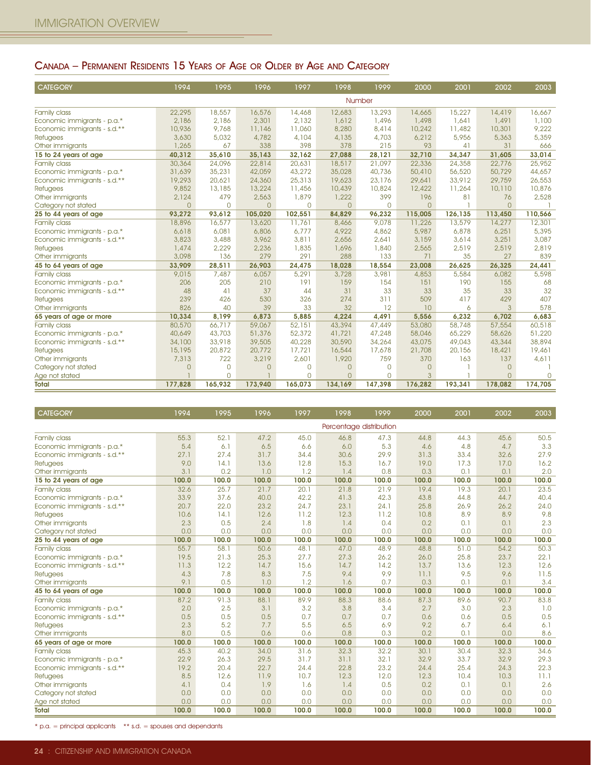### CANADA – PERMANENT RESIDENTS 15 YEARS OF AGE OR OLDER BY AGE AND CATEGORY

| <b>CATEGORY</b>              | 1994           | 1995     | 1996     | 1997     | 1998     | 1999     | 2000           | 2001    | 2002     | 2003    |
|------------------------------|----------------|----------|----------|----------|----------|----------|----------------|---------|----------|---------|
|                              |                |          |          |          |          | Number   |                |         |          |         |
| Family class                 | 22,295         | 18,557   | 16,576   | 14,468   | 12,683   | 13,293   | 14,665         | 15,227  | 14,419   | 16,667  |
| Economic immigrants - p.a.*  | 2,186          | 2.186    | 2,301    | 2.132    | 1,612    | 1,496    | 1,498          | 1,641   | 1,491    | 1,100   |
| Economic immigrants - s.d.** | 10,936         | 9,768    | 11,146   | 11,060   | 8,280    | 8,414    | 10,242         | 11,482  | 10,301   | 9,222   |
| <b>Refugees</b>              | 3,630          | 5,032    | 4,782    | 4,104    | 4,135    | 4,703    | 6,212          | 5,956   | 5,363    | 5,359   |
| Other immigrants             | 1,265          | 67       | 338      | 398      | 378      | 215      | 93             | 41      | 31       | 666     |
| 15 to 24 years of age        | 40,312         | 35,610   | 35,143   | 32,162   | 27,088   | 28,121   | 32,710         | 34,347  | 31,605   | 33,014  |
| Family class                 | 30,364         | 24,096   | 22,814   | 20,631   | 18,517   | 21,097   | 22,336         | 24,358  | 22,776   | 25,952  |
| Economic immigrants - p.a.*  | 31,639         | 35,231   | 42,059   | 43,272   | 35,028   | 40,736   | 50,410         | 56,520  | 50,729   | 44,657  |
| Economic immigrants - s.d.** | 19,293         | 20,621   | 24,360   | 25,313   | 19,623   | 23,176   | 29,641         | 33,912  | 29,759   | 26,553  |
| <b>Refugees</b>              | 9,852          | 13,185   | 13,224   | 11,456   | 10,439   | 10,824   | 12,422         | 11,264  | 10,110   | 10,876  |
| Other immigrants             | 2,124          | 479      | 2,563    | 1,879    | 1,222    | 399      | 196            | 81      | 76       | 2,528   |
| Category not stated          | $\overline{0}$ | $\Omega$ | $\Omega$ | $\Omega$ | $\Omega$ | $\Omega$ | $\Omega$       |         | $\Omega$ |         |
| 25 to 44 years of age        | 93,272         | 93,612   | 105,020  | 102,551  | 84,829   | 96,232   | 115,005        | 126,135 | 113,450  | 110,566 |
| <b>Family class</b>          | 18,896         | 16,577   | 13,620   | 11,761   | 8,466    | 9,078    | 11,226         | 13,579  | 14,277   | 12,301  |
| Economic immigrants - p.a.*  | 6,618          | 6,081    | 6,806    | 6.777    | 4,922    | 4,862    | 5,987          | 6,878   | 6,251    | 5,395   |
| Economic immigrants - s.d.** | 3,823          | 3,488    | 3,962    | 3,811    | 2,656    | 2.641    | 3,159          | 3.614   | 3.251    | 3,087   |
| <b>Refugees</b>              | 1,474          | 2,229    | 2,236    | 1,835    | 1,696    | 1,840    | 2,565          | 2,519   | 2,519    | 2,819   |
| Other immigrants             | 3,098          | 136      | 279      | 291      | 288      | 133      | 71             | 35      | 27       | 839     |
| 45 to 64 years of age        | 33,909         | 28,511   | 26,903   | 24,475   | 18,028   | 18,554   | 23,008         | 26,625  | 26,325   | 24,441  |
| <b>Family class</b>          | 9,015          | 7.487    | 6,057    | 5,291    | 3,728    | 3,981    | 4,853          | 5,584   | 6,082    | 5,598   |
| Economic immigrants - p.a.*  | 206            | 205      | 210      | 191      | 159      | 154      | 151            | 190     | 155      | 68      |
| Economic immigrants - s.d.** | 48             | 41       | 37       | 44       | 31       | 33       | 33             | 35      | 33       | 32      |
| <b>Refugees</b>              | 239            | 426      | 530      | 326      | 274      | 311      | 509            | 417     | 429      | 407     |
| Other immigrants             | 826            | 40       | 39       | 33       | 32       | 12       | 10             | 6       | 3        | 578     |
| 65 years of age or more      | 10,334         | 8,199    | 6,873    | 5,885    | 4,224    | 4,491    | 5,556          | 6,232   | 6,702    | 6,683   |
| <b>Family class</b>          | 80,570         | 66,717   | 59,067   | 52,151   | 43,394   | 47,449   | 53,080         | 58,748  | 57,554   | 60,518  |
| Economic immigrants - p.a.*  | 40,649         | 43,703   | 51,376   | 52,372   | 41,721   | 47,248   | 58,046         | 65,229  | 58,626   | 51,220  |
| Economic immigrants - s.d.** | 34,100         | 33,918   | 39,505   | 40,228   | 30,590   | 34,264   | 43,075         | 49,043  | 43,344   | 38,894  |
| <b>Refugees</b>              | 15,195         | 20,872   | 20,772   | 17,721   | 16,544   | 17,678   | 21,708         | 20,156  | 18,421   | 19,461  |
| Other immigrants             | 7,313          | 722      | 3,219    | 2,601    | 1,920    | 759      | 370            | 163     | 137      | 4,611   |
| Category not stated          | $\overline{O}$ | $\Omega$ | $\Omega$ | $\Omega$ | $\Omega$ | $\Omega$ | $\Omega$       |         | $\Omega$ |         |
| Age not stated               |                | $\Omega$ |          | $\Omega$ | $\Omega$ | $\Omega$ | $\overline{3}$ |         | $\Omega$ | $\Box$  |
| <b>Total</b>                 | 177,828        | 165,932  | 173,940  | 165,073  | 134,169  | 147,398  | 176,282        | 193,341 | 178,082  | 174,705 |

| <b>CATEGORY</b>              | 1994  | 1995  | 1996  | 1997  | 1998  | 1999                    | 2000  | 2001  | 2002  | 2003  |
|------------------------------|-------|-------|-------|-------|-------|-------------------------|-------|-------|-------|-------|
|                              |       |       |       |       |       | Percentage distribution |       |       |       |       |
| Family class                 | 55.3  | 52.1  | 47.2  | 45.0  | 46.8  | 47.3                    | 44.8  | 44.3  | 45.6  | 50.5  |
| Economic immigrants - p.a.*  | 5.4   | 6.1   | 6.5   | 6.6   | 6.0   | 5.3                     | 4.6   | 4.8   | 4.7   | 3.3   |
| Economic immigrants - s.d.** | 27.1  | 27.4  | 31.7  | 34.4  | 30.6  | 29.9                    | 31.3  | 33.4  | 32.6  | 27.9  |
| <b>Refugees</b>              | 9.0   | 14.1  | 13.6  | 12.8  | 15.3  | 16.7                    | 19.0  | 17.3  | 17.0  | 16.2  |
| Other immigrants             | 3.1   | 0.2   | 1.0   | 1.2   | 1.4   | 0.8                     | 0.3   | 0.1   | 0.1   | 2.0   |
| 15 to 24 years of age        | 100.0 | 100.0 | 100.0 | 100.0 | 100.0 | 100.0                   | 100.0 | 100.0 | 100.0 | 100.0 |
| Family class                 | 32.6  | 25.7  | 21.7  | 20.1  | 21.8  | 21.9                    | 19.4  | 19.3  | 20.1  | 23.5  |
| Economic immigrants - p.a.*  | 33.9  | 37.6  | 40.0  | 42.2  | 41.3  | 42.3                    | 43.8  | 44.8  | 44.7  | 40.4  |
| Economic immigrants - s.d.** | 20.7  | 22.0  | 23.2  | 24.7  | 23.1  | 24.1                    | 25.8  | 26.9  | 26.2  | 24.0  |
| <b>Refugees</b>              | 10.6  | 14.1  | 12.6  | 11.2  | 12.3  | 11.2                    | 10.8  | 8.9   | 8.9   | 9.8   |
| Other immigrants             | 2.3   | 0.5   | 2.4   | 1.8   | 1.4   | 0.4                     | 0.2   | 0.1   | 0.1   | 2.3   |
| Category not stated          | 0.0   | 0.0   | 0.0   | 0.0   | 0.0   | 0.0                     | 0.0   | 0.0   | 0.0   | 0.0   |
| 25 to 44 years of age        | 100.0 | 100.0 | 100.0 | 100.0 | 100.0 | 100.0                   | 100.0 | 100.0 | 100.0 | 100.0 |
| Family class                 | 55.7  | 58.1  | 50.6  | 48.1  | 47.0  | 48.9                    | 48.8  | 51.0  | 54.2  | 50.3  |
| Economic immigrants - p.a.*  | 19.5  | 21.3  | 25.3  | 27.7  | 27.3  | 26.2                    | 26.0  | 25.8  | 23.7  | 22.1  |
| Economic immigrants - s.d.** | 11.3  | 12.2  | 14.7  | 15.6  | 14.7  | 14.2                    | 13.7  | 13.6  | 12.3  | 12.6  |
| <b>Refugees</b>              | 4.3   | 7.8   | 8.3   | 7.5   | 9.4   | 9.9                     | 11.1  | 9.5   | 9.6   | 11.5  |
| Other immigrants             | 9.1   | 0.5   | 1.0   | 1.2   | 1.6   | 0.7                     | 0.3   | 0.1   | 0.1   | 3.4   |
| 45 to 64 years of age        | 100.0 | 100.0 | 100.0 | 100.0 | 100.0 | 100.0                   | 100.0 | 100.0 | 100.0 | 100.0 |
| Family class                 | 87.2  | 91.3  | 88.1  | 89.9  | 88.3  | 88.6                    | 87.3  | 89.6  | 90.7  | 83.8  |
| Economic immigrants - p.a.*  | 2.0   | 2.5   | 3.1   | 3.2   | 3.8   | 3.4                     | 2.7   | 3.0   | 2.3   | 1.0   |
| Economic immigrants - s.d.** | 0.5   | 0.5   | 0.5   | 0.7   | 0.7   | 0.7                     | 0.6   | 0.6   | 0.5   | 0.5   |
| <b>Refugees</b>              | 2.3   | 5.2   | 7.7   | 5.5   | 6.5   | 6.9                     | 9.2   | 6.7   | 6.4   | 6.1   |
| Other immigrants             | 8.0   | 0.5   | 0.6   | 0.6   | 0.8   | 0.3                     | 0.2   | 0.1   | 0.0   | 8.6   |
| 65 years of age or more      | 100.0 | 100.0 | 100.0 | 100.0 | 100.0 | 100.0                   | 100.0 | 100.0 | 100.0 | 100.0 |
| <b>Family class</b>          | 45.3  | 40.2  | 34.0  | 31.6  | 32.3  | 32.2                    | 30.1  | 30.4  | 32.3  | 34.6  |
| Economic immigrants - p.a.*  | 22.9  | 26.3  | 29.5  | 31.7  | 31.1  | 32.1                    | 32.9  | 33.7  | 32.9  | 29.3  |
| Economic immigrants - s.d.** | 19.2  | 20.4  | 22.7  | 24.4  | 22.8  | 23.2                    | 24.4  | 25.4  | 24.3  | 22.3  |
| <b>Refugees</b>              | 8.5   | 12.6  | 11.9  | 10.7  | 12.3  | 12.0                    | 12.3  | 10.4  | 10.3  | 11.1  |
| Other immigrants             | 4.1   | 0.4   | 1.9   | 1.6   | 1.4   | 0.5                     | 0.2   | 0.1   | 0.1   | 2.6   |
| Category not stated          | 0.0   | 0.0   | 0.0   | 0.0   | 0.0   | 0.0                     | 0.0   | 0.0   | 0.0   | 0.0   |
| Age not stated               | 0.0   | 0.0   | 0.0   | 0.0   | 0.0   | 0.0                     | 0.0   | 0.0   | 0.0   | 0.0   |
| <b>Total</b>                 | 100.0 | 100.0 | 100.0 | 100.0 | 100.0 | 100.0                   | 100.0 | 100.0 | 100.0 | 100.0 |

\* p.a. = principal applicants \*\* s.d. = spouses and dependants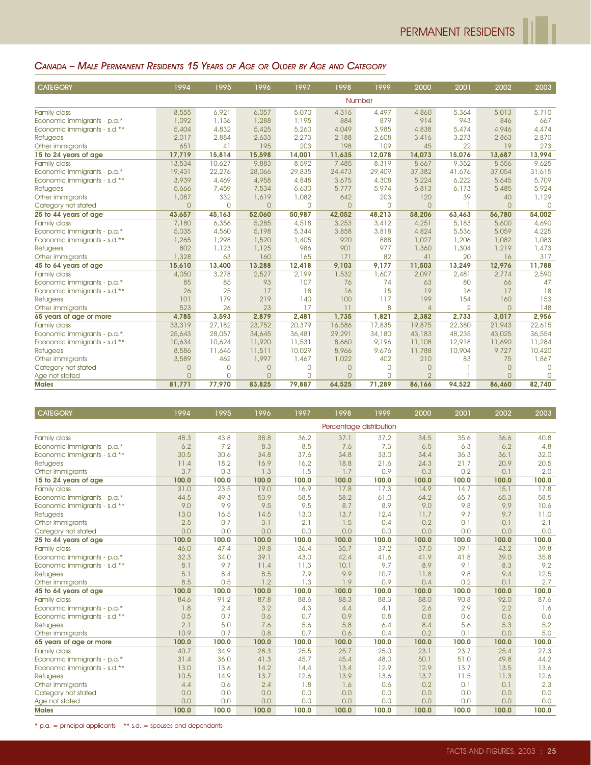#### CANADA – MALE PERMANENT RESIDENTS 15 YEARS OF AGE OR OLDER BY AGE AND CATEGORY

| <b>CATEGORY</b>              | 1994           | 1995     | 1996     | 1997     | 1998           | 1999          | 2000           | 2001           | 2002         | 2003     |
|------------------------------|----------------|----------|----------|----------|----------------|---------------|----------------|----------------|--------------|----------|
|                              |                |          |          |          |                | <b>Number</b> |                |                |              |          |
| Family class                 | 8,555          | 6,921    | 6,057    | 5,070    | 4,316          | 4,497         | 4,860          | 5,364          | 5,013        | 5,710    |
| Economic immigrants - p.a.*  | 1,092          | 1,136    | 1,288    | 1,195    | 884            | 879           | 914            | 943            | 846          | 667      |
| Economic immigrants - s.d.** | 5,404          | 4,832    | 5,425    | 5,260    | 4,049          | 3,985         | 4,838          | 5,474          | 4,946        | 4,474    |
| Refugees                     | 2,017          | 2,884    | 2,633    | 2,273    | 2,188          | 2,608         | 3,416          | 3,273          | 2,863        | 2,870    |
| Other immigrants             | 651            | 41       | 195      | 203      | 198            | 109           | 45             | 22             | 19           | 273      |
| 15 to 24 years of age        | 17,719         | 15,814   | 15,598   | 14,001   | 11,635         | 12,078        | 14,073         | 15,076         | 13.687       | 13,994   |
| Family class                 | 13,534         | 10,627   | 9,883    | 8,592    | 7,485          | 8,319         | 8,667          | 9,352          | 8,556        | 9,625    |
| Economic immigrants - p.a.*  | 19,431         | 22,276   | 28,066   | 29,835   | 24,473         | 29,409        | 37,382         | 41.676         | 37,054       | 31,615   |
| Economic immigrants - s.d.** | 3,939          | 4,469    | 4,958    | 4,848    | 3,675          | 4,308         | 5,224          | 6,222          | 5,645        | 5,709    |
| <b>Refugees</b>              | 5,666          | 7,459    | 7,534    | 6,630    | 5,777          | 5,974         | 6,813          | 6.173          | 5,485        | 5,924    |
| Other immigrants             | 1,087          | 332      | 1,619    | 1,082    | 642            | 203           | 120            | 39             | 40           | 1,129    |
| Category not stated          | $\overline{O}$ | $\Omega$ | $\Omega$ | $\Omega$ | $\overline{O}$ | $\bigcap$     | $\Omega$       |                | $\Omega$     | $\Box$   |
| 25 to 44 years of age        | 43,657         | 45,163   | 52,060   | 50,987   | 42,052         | 48,213        | 58,206         | 63,463         | 56,780       | 54,002   |
| Family class                 | 7,180          | 6,356    | 5,285    | 4,518    | 3,253          | 3,412         | 4,251          | 5,183          | 5,600        | 4,690    |
| Economic immigrants - p.a.*  | 5,035          | 4,560    | 5,198    | 5,344    | 3,858          | 3,818         | 4,824          | 5,536          | 5,059        | 4,225    |
| Economic immigrants - s.d.** | 1,265          | 1,298    | 1,520    | 1,405    | 920            | 888           | 1,027          | 1,206          | 1,082        | 1,083    |
| Refugees                     | 802            | 1,123    | 1,125    | 986      | 901            | 977           | 1,360          | 1,304          | 1,219        | 1,473    |
| Other immigrants             | 1,328          | 63       | 160      | 165      | 171            | 82            | 41             | 20             | 16           | 317      |
| 45 to 64 years of age        | 15,610         | 13,400   | 13,288   | 12,418   | 9,103          | 9,177         | 11,503         | 13,249         | 12,976       | 11,788   |
| Family class                 | 4,050          | 3,278    | 2,527    | 2.199    | 1,532          | 1,607         | 2,097          | 2,481          | 2,774        | 2,590    |
| Economic immigrants - p.a.*  | 85             | 85       | 93       | 107      | 76             | 74            | 63             | 80             | 66           | 47       |
| Economic immigrants - s.d.** | 26             | 25       | 17       | 18       | 16             | 15            | 19             | 16             | 17           | 18       |
| Refugees                     | 101            | 179      | 219      | 140      | 100            | 117           | 199            | 154            | 160          | 153      |
| Other immigrants             | 523            | 26       | 23       | 17       | 11             | 8             | $\overline{4}$ | $\overline{2}$ | $\mathbf{O}$ | 148      |
| 65 years of age or more      | 4,785          | 3,593    | 2,879    | 2,481    | 1,735          | 1,821         | 2,382          | 2,733          | 3,017        | 2,956    |
| <b>Family class</b>          | 33,319         | 27,182   | 23,752   | 20,379   | 16,586         | 17,835        | 19,875         | 22,380         | 21,943       | 22,615   |
| Economic immigrants - p.a.*  | 25,643         | 28,057   | 34,645   | 36,481   | 29,291         | 34,180        | 43,183         | 48,235         | 43,025       | 36,554   |
| Economic immigrants - s.d.** | 10,634         | 10,624   | 11,920   | 11,531   | 8,660          | 9,196         | 11,108         | 12,918         | 11,690       | 11,284   |
| Refugees                     | 8,586          | 11,645   | 11,511   | 10,029   | 8,966          | 9,676         | 11,788         | 10,904         | 9,727        | 10,420   |
| Other immigrants             | 3,589          | 462      | 1,997    | 1,467    | 1,022          | 402           | 210            | 83             | 75           | 1,867    |
| Category not stated          | $\mathbf{0}$   | $\Omega$ | $\Omega$ | 0        | $\overline{0}$ | $\Omega$      | $\Omega$       |                | $\mathbf{O}$ | $\Omega$ |
| Age not stated               | $\Omega$       | $\Omega$ | $\cap$   | $\Omega$ | $\Omega$       | $\Omega$      | $\overline{2}$ |                | $\Omega$     | $\cap$   |
| <b>Males</b>                 | 81,771         | 77,970   | 83,825   | 79,887   | 64,525         | 71,289        | 86,166         | 94,522         | 86,460       | 82,740   |

| <b>CATEGORY</b>              | 1994  | 1995  | 1996  | 1997  | 1998  | 1999                    | 2000  | 2001  | 2002  | 2003  |
|------------------------------|-------|-------|-------|-------|-------|-------------------------|-------|-------|-------|-------|
|                              |       |       |       |       |       | Percentage distribution |       |       |       |       |
| <b>Family class</b>          | 48.3  | 43.8  | 38.8  | 36.2  | 37.1  | 37.2                    | 34.5  | 35.6  | 36.6  | 40.8  |
| Economic immigrants - p.a.*  | 6.2   | 7.2   | 8.3   | 8.5   | 7.6   | 7.3                     | 6.5   | 6.3   | 6.2   | 4.8   |
| Economic immigrants - s.d.** | 30.5  | 30.6  | 34.8  | 37.6  | 34.8  | 33.0                    | 34.4  | 36.3  | 36.1  | 32.0  |
| Refugees                     | 11.4  | 18.2  | 16.9  | 16.2  | 18.8  | 21.6                    | 24.3  | 21.7  | 20.9  | 20.5  |
| Other immigrants             | 3.7   | 0.3   | 1.3   | 1.5   | 1.7   | 0.9                     | 0.3   | 0.2   | 0.1   | 2.0   |
| 15 to 24 years of age        | 100.0 | 100.0 | 100.0 | 100.0 | 100.0 | 100.0                   | 100.0 | 100.0 | 100.0 | 100.0 |
| Family class                 | 31.0  | 23.5  | 19.0  | 16.9  | 17.8  | 17.3                    | 14.9  | 14.7  | 15.1  | 17.8  |
| Economic immigrants - p.a.*  | 44.5  | 49.3  | 53.9  | 58.5  | 58.2  | 61.0                    | 64.2  | 65.7  | 65.3  | 58.5  |
| Economic immigrants - s.d.** | 9.0   | 9.9   | 9.5   | 9.5   | 8.7   | 8.9                     | 9.0   | 9.8   | 9.9   | 10.6  |
| <b>Refugees</b>              | 13.0  | 16.5  | 14.5  | 13.0  | 13.7  | 12.4                    | 11.7  | 9.7   | 9.7   | 11.0  |
| Other immigrants             | 2.5   | 0.7   | 3.1   | 2.1   | 1.5   | 0.4                     | 0.2   | 0.1   | 0.1   | 2.1   |
| Category not stated          | 0.0   | 0.0   | 0.0   | 0.0   | 0.0   | 0.0                     | 0.0   | 0.0   | 0.0   | 0.0   |
| 25 to 44 years of age        | 100.0 | 100.0 | 100.0 | 100.0 | 100.0 | 100.0                   | 100.0 | 100.0 | 100.0 | 100.0 |
| <b>Family class</b>          | 46.0  | 47.4  | 39.8  | 36.4  | 35.7  | 37.2                    | 37.0  | 39.1  | 43.2  | 39.8  |
| Economic immigrants - p.a.*  | 32.3  | 34.0  | 39.1  | 43.0  | 42.4  | 41.6                    | 41.9  | 41.8  | 39.0  | 35.8  |
| Economic immigrants - s.d.** | 8.1   | 9.7   | 11.4  | 11.3  | 10.1  | 9.7                     | 8.9   | 9.1   | 8.3   | 9.2   |
| Refugees                     | 5.1   | 8.4   | 8.5   | 7.9   | 9.9   | 10.7                    | 11.8  | 9.8   | 9.4   | 12.5  |
| Other immigrants             | 8.5   | 0.5   | 1.2   | 1.3   | 1.9   | 0.9                     | 0.4   | 0.2   | 0.1   | 2.7   |
| 45 to 64 years of age        | 100.0 | 100.0 | 100.0 | 100.0 | 100.0 | 100.0                   | 100.0 | 100.0 | 100.0 | 100.0 |
| <b>Family class</b>          | 84.6  | 91.2  | 87.8  | 88.6  | 88.3  | 88.3                    | 88.0  | 90.8  | 92.0  | 87.6  |
| Economic immigrants - p.a.*  | 1.8   | 2.4   | 3.2   | 4.3   | 4.4   | 4.1                     | 2.6   | 2.9   | 2.2   | 1.6   |
| Economic immigrants - s.d.** | 0.5   | 0.7   | 0.6   | 0.7   | 0.9   | 0.8                     | 0.8   | 0.6   | 0.6   | 0.6   |
| Refugees                     | 2.1   | 5.0   | 7.6   | 5.6   | 5.8   | 6.4                     | 8.4   | 5.6   | 5.3   | 5.2   |
| Other immigrants             | 10.9  | 0.7   | 0.8   | 0.7   | 0.6   | 0.4                     | 0.2   | 0.1   | 0.0   | 5.0   |
| 65 years of age or more      | 100.0 | 100.0 | 100.0 | 100.0 | 100.0 | 100.0                   | 100.0 | 100.0 | 100.0 | 100.0 |
| Family class                 | 40.7  | 34.9  | 28.3  | 25.5  | 25.7  | 25.0                    | 23.1  | 23.7  | 25.4  | 27.3  |
| Economic immigrants - p.a.*  | 31.4  | 36.0  | 41.3  | 45.7  | 45.4  | 48.0                    | 50.1  | 51.0  | 49.8  | 44.2  |
| Economic immigrants - s.d.** | 13.0  | 13.6  | 14.2  | 14.4  | 13.4  | 12.9                    | 12.9  | 13.7  | 13.5  | 13.6  |
| Refugees                     | 10.5  | 14.9  | 13.7  | 12.6  | 13.9  | 13.6                    | 13.7  | 11.5  | 11.3  | 12.6  |
| Other immigrants             | 4.4   | 0.6   | 2.4   | 1.8   | 1.6   | 0.6                     | 0.2   | 0.1   | 0.1   | 2.3   |
| Category not stated          | 0.0   | 0.0   | 0.0   | 0.0   | 0.0   | 0.0                     | 0.0   | 0.0   | 0.0   | 0.0   |
| Age not stated               | 0.0   | 0.0   | 0.0   | 0.0   | 0.0   | 0.0                     | 0.0   | 0.0   | 0.0   | 0.0   |
| <b>Males</b>                 | 100.0 | 100.0 | 100.0 | 100.0 | 100.0 | 100.0                   | 100.0 | 100.0 | 100.0 | 100.0 |

 $*$  p.a. = principal applicants  $*$   $*$  s.d. = spouses and dependants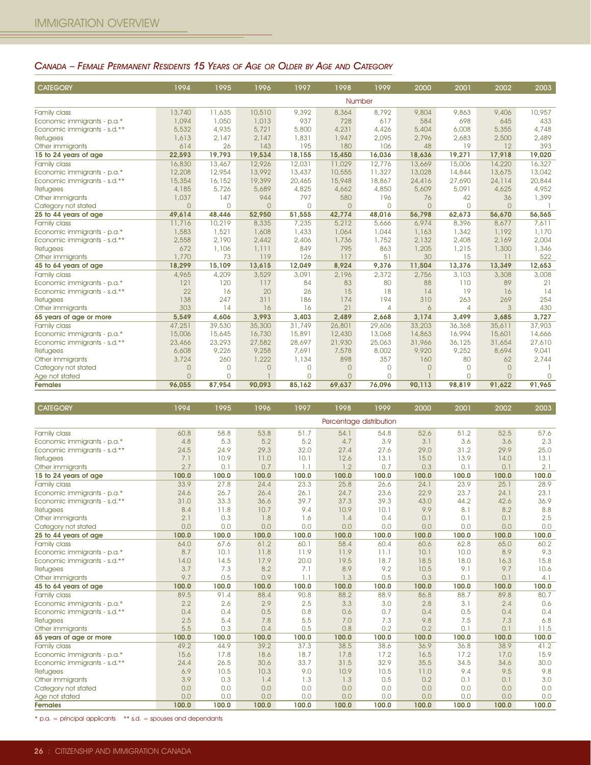#### CANADA – FEMALE PERMANENT RESIDENTS 15 YEARS OF AGE OR OLDER BY AGE AND CATEGORY

| <b>CATEGORY</b>              | 1994           | 1995     | 1996     | 1997     | 1998           | 1999     | 2000           | 2001     | 2002     | 2003         |
|------------------------------|----------------|----------|----------|----------|----------------|----------|----------------|----------|----------|--------------|
|                              |                |          |          |          |                | Number   |                |          |          |              |
| Family class                 | 13,740         | 11,635   | 10,510   | 9,392    | 8,364          | 8,792    | 9,804          | 9,863    | 9,406    | 10,957       |
| Economic immigrants - p.a.*  | 1.094          | 1,050    | 1,013    | 937      | 728            | 617      | 584            | 698      | 645      | 433          |
| Economic immigrants - s.d.** | 5,532          | 4,935    | 5,721    | 5,800    | 4,231          | 4,426    | 5,404          | 6,008    | 5,355    | 4,748        |
| <b>Refugees</b>              | 1,613          | 2,147    | 2,147    | 1,831    | 1,947          | 2,095    | 2,796          | 2,683    | 2,500    | 2,489        |
| Other immigrants             | 614            | 26       | 143      | 195      | 180            | 106      | 48             | 19       | 12       | 393          |
| 15 to 24 years of age        | 22,593         | 19,793   | 19,534   | 18,155   | 15,450         | 16,036   | 18,636         | 19,271   | 17.918   | 19,020       |
| Family class                 | 16,830         | 13,467   | 12,926   | 12,031   | 11,029         | 12,776   | 13,669         | 15,006   | 14,220   | 16,327       |
| Economic immigrants - p.a.*  | 12,208         | 12,954   | 13,992   | 13,437   | 10,555         | 11,327   | 13,028         | 14,844   | 13,675   | 13,042       |
| Economic immigrants - s.d.** | 15,354         | 16,152   | 19,399   | 20,465   | 15,948         | 18,867   | 24,416         | 27,690   | 24,114   | 20,844       |
| <b>Refugees</b>              | 4,185          | 5,726    | 5,689    | 4,825    | 4,662          | 4,850    | 5,609          | 5,091    | 4,625    | 4,952        |
| Other immigrants             | 1,037          | 147      | 944      | 797      | 580            | 196      | 76             | 42       | 36       | 1,399        |
| Category not stated          | $\overline{O}$ | $\Omega$ | $\Omega$ | $\Omega$ | $\Omega$       | $\Omega$ | $\Omega$       | $\Omega$ | $\Omega$ |              |
| 25 to 44 years of age        | 49,614         | 48,446   | 52,950   | 51,555   | 42,774         | 48,016   | 56,798         | 62,673   | 56,670   | 56,565       |
| <b>Family class</b>          | 11,716         | 10,219   | 8,335    | 7,235    | 5,212          | 5,666    | 6,974          | 8,396    | 8.677    | 7.611        |
| Economic immigrants - p.a.*  | 1,583          | 1,521    | 1,608    | 1,433    | 1,064          | 1.044    | 1,163          | 1,342    | 1,192    | 1,170        |
| Economic immigrants - s.d.** | 2,558          | 2,190    | 2,442    | 2,406    | 1,736          | 1,752    | 2,132          | 2,408    | 2,169    | 2,004        |
| <b>Refugees</b>              | 672            | 1,106    | 1,111    | 849      | 795            | 863      | 1,205          | 1,215    | 1,300    | 1,346        |
| Other immigrants             | 1,770          | 73       | 119      | 126      | 117            | 51       | 30             | 15       | 11       | 522          |
| 45 to 64 years of age        | 18,299         | 15,109   | 13,615   | 12,049   | 8,924          | 9,376    | 11,504         | 13,376   | 13,349   | 12,653       |
| Family class                 | 4,965          | 4,209    | 3,529    | 3,091    | 2,196          | 2,372    | 2,756          | 3,103    | 3,308    | 3,008        |
| Economic immigrants - p.a.*  | 121            | 120      | 117      | 84       | 83             | 80       | 88             | 110      | 89       | 21           |
| Economic immigrants - s.d.** | 22             | 16       | 20       | 26       | 15             | 18       | 14             | 19       | 16       | 14           |
| <b>Refugees</b>              | 138            | 247      | 311      | 186      | 174            | 194      | 310            | 263      | 269      | 254          |
| Other immigrants             | 303            | 14       | 16       | 16       | 21             | 4        | $\ddot{\circ}$ | 4        | 3        | 430          |
| 65 years of age or more      | 5,549          | 4,606    | 3,993    | 3,403    | 2,489          | 2,668    | 3,174          | 3,499    | 3,685    | 3,727        |
| Family class                 | 47,251         | 39,530   | 35,300   | 31,749   | 26,801         | 29,606   | 33,203         | 36,368   | 35,611   | 37,903       |
| Economic immigrants - p.a.*  | 15,006         | 15,645   | 16,730   | 15,891   | 12,430         | 13,068   | 14,863         | 16,994   | 15,601   | 14,666       |
| Economic immigrants - s.d.** | 23,466         | 23,293   | 27,582   | 28,697   | 21,930         | 25,063   | 31,966         | 36,125   | 31,654   | 27,610       |
| Refugees                     | 6,608          | 9,226    | 9,258    | 7.691    | 7,578          | 8,002    | 9,920          | 9.252    | 8,694    | 9,041        |
| Other immigrants             | 3,724          | 260      | 1,222    | 1,134    | 898            | 357      | 160            | 80       | 62       | 2,744        |
| Category not stated          | $\overline{0}$ | $\Omega$ | $\Omega$ | $\Omega$ | $\Omega$       | $\Omega$ | $\Omega$       | $\Omega$ | $\Omega$ |              |
| Age not stated               | $\overline{0}$ | $\Omega$ |          | $\Omega$ | $\overline{O}$ | O.       |                | $\Omega$ | $\Omega$ | <sup>n</sup> |
| <b>Females</b>               | 96,055         | 87,954   | 90,093   | 85,162   | 69,637         | 76,096   | 90,113         | 98,819   | 91,622   | 91,965       |

| <b>CATEGORY</b>              | 1994  | 1995  | 1996  | 1997  | 1998  | 1999                    | 2000  | 2001  | 2002  | 2003  |
|------------------------------|-------|-------|-------|-------|-------|-------------------------|-------|-------|-------|-------|
|                              |       |       |       |       |       | Percentage distribution |       |       |       |       |
| Family class                 | 60.8  | 58.8  | 53.8  | 51.7  | 54.1  | 54.8                    | 52.6  | 51.2  | 52.5  | 57.6  |
| Economic immigrants - p.a.*  | 4.8   | 5.3   | 5.2   | 5.2   | 4.7   | 3.9                     | 3.1   | 3.6   | 3.6   | 2.3   |
| Economic immigrants - s.d.** | 24.5  | 24.9  | 29.3  | 32.0  | 27.4  | 27.6                    | 29.0  | 31.2  | 29.9  | 25.0  |
| Refugees                     | 7.1   | 10.9  | 11.0  | 10.1  | 12.6  | 13.1                    | 15.0  | 13.9  | 14.0  | 13.1  |
| Other immigrants             | 2.7   | 0.1   | 0.7   | 1.1   | 1.2   | 0.7                     | 0.3   | 0.1   | 0.1   | 2.1   |
| 15 to 24 years of age        | 100.0 | 100.0 | 100.0 | 100.0 | 100.0 | 100.0                   | 100.0 | 100.0 | 100.0 | 100.0 |
| Family class                 | 33.9  | 27.8  | 24.4  | 23.3  | 25.8  | 26.6                    | 24.1  | 23.9  | 25.1  | 28.9  |
| Economic immigrants - p.a.*  | 24.6  | 26.7  | 26.4  | 26.1  | 24.7  | 23.6                    | 22.9  | 23.7  | 24.1  | 23.1  |
| Economic immigrants - s.d.** | 31.0  | 33.3  | 36.6  | 39.7  | 37.3  | 39.3                    | 43.0  | 44.2  | 42.6  | 36.9  |
| Refugees                     | 8.4   | 11.8  | 10.7  | 9.4   | 10.9  | 10.1                    | 9.9   | 8.1   | 8.2   | 8.8   |
| Other immigrants             | 2.1   | 0.3   | 1.8   | 1.6   | 1.4   | 0.4                     | 0.1   | 0.1   | 0.1   | 2.5   |
| Category not stated          | 0.0   | 0.0   | 0.0   | 0.0   | 0.0   | 0.0                     | 0.0   | 0.0   | 0.0   | 0.0   |
| 25 to 44 years of age        | 100.0 | 100.0 | 100.0 | 100.0 | 100.0 | 100.0                   | 100.0 | 100.0 | 100.0 | 100.0 |
| Family class                 | 64.0  | 67.6  | 61.2  | 60.1  | 58.4  | 60.4                    | 60.6  | 62.8  | 65.0  | 60.2  |
| Economic immigrants - p.a.*  | 8.7   | 10.1  | 11.8  | 11.9  | 11.9  | 11.1                    | 10.1  | 10.0  | 8.9   | 9.3   |
| Economic immigrants - s.d.** | 14.0  | 14.5  | 17.9  | 20.0  | 19.5  | 18.7                    | 18.5  | 18.0  | 16.3  | 15.8  |
| <b>Refugees</b>              | 3.7   | 7.3   | 8.2   | 7.1   | 8.9   | 9.2                     | 10.5  | 9.1   | 9.7   | 10.6  |
| Other immigrants             | 9.7   | 0.5   | 0.9   | 1.1   | 1.3   | 0.5                     | 0.3   | 0.1   | 0.1   | 4.1   |
| 45 to 64 years of age        | 100.0 | 100.0 | 100.0 | 100.0 | 100.0 | 100.0                   | 100.0 | 100.0 | 100.0 | 100.0 |
| Family class                 | 89.5  | 91.4  | 88.4  | 90.8  | 88.2  | 88.9                    | 86.8  | 88.7  | 89.8  | 80.7  |
| Economic immigrants - p.a.*  | 2.2   | 2.6   | 2.9   | 2.5   | 3.3   | 3.0                     | 2.8   | 3.1   | 2.4   | 0.6   |
| Economic immigrants - s.d.** | 0.4   | 0.4   | 0.5   | 0.8   | 0.6   | 0.7                     | 0.4   | 0.5   | 0.4   | 0.4   |
| Refugees                     | 2.5   | 5.4   | 7.8   | 5.5   | 7.0   | 7.3                     | 9.8   | 7.5   | 7.3   | 6.8   |
| Other immigrants             | 5.5   | 0.3   | 0.4   | 0.5   | 0.8   | 0.2                     | 0.2   | 0.1   | 0.1   | 11.5  |
| 65 years of age or more      | 100.0 | 100.0 | 100.0 | 100.0 | 100.0 | 100.0                   | 100.0 | 100.0 | 100.0 | 100.0 |
| Family class                 | 49.2  | 44.9  | 39.2  | 37.3  | 38.5  | 38.6                    | 36.9  | 36.8  | 38.9  | 41.2  |
| Economic immigrants - p.a.*  | 15.6  | 17.8  | 18.6  | 18.7  | 17.8  | 17.2                    | 16.5  | 17.2  | 17.0  | 15.9  |
| Economic immigrants - s.d.** | 24.4  | 26.5  | 30.6  | 33.7  | 31.5  | 32.9                    | 35.5  | 34.5  | 34.6  | 30.0  |
| <b>Refugees</b>              | 6.9   | 10.5  | 10.3  | 9.0   | 10.9  | 10.5                    | 11.0  | 9.4   | 9.5   | 9.8   |
| Other immigrants             | 3.9   | 0.3   | 1.4   | 1.3   | 1.3   | 0.5                     | 0.2   | 0.1   | 0.1   | 3.0   |
| Category not stated          | 0.0   | 0.0   | 0.0   | 0.0   | 0.0   | 0.0                     | 0.0   | 0.0   | 0.0   | 0.0   |
| Age not stated               | 0.0   | 0.0   | 0.0   | 0.0   | 0.0   | 0.0                     | 0.0   | 0.0   | 0.0   | 0.0   |
| <b>Females</b>               | 100.0 | 100.0 | 100.0 | 100.0 | 100.0 | 100.0                   | 100.0 | 100.0 | 100.0 | 100.0 |

 $*$  p.a. = principal applicants  $*$   $*$  s.d. = spouses and dependants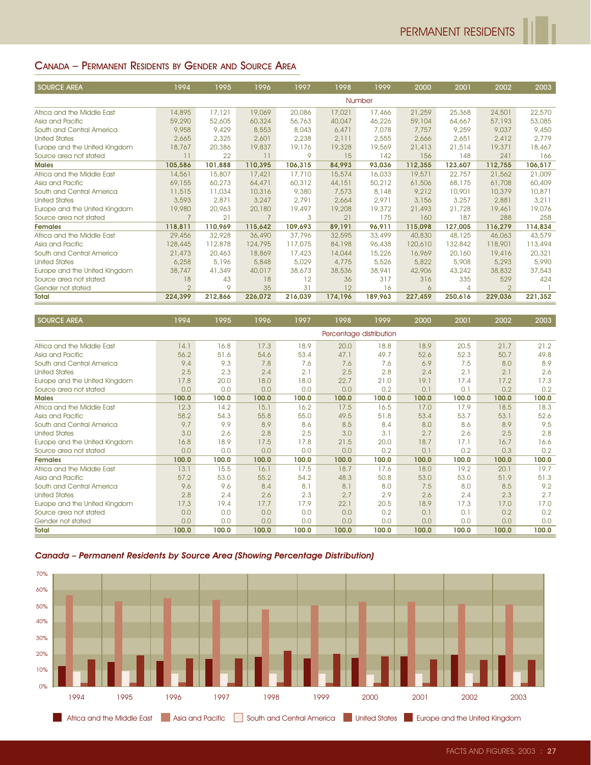#### CANADA – PERMANENT RESIDENTS BY GENDER AND SOURCE AREA

| <b>SOURCE AREA</b>            | 1994           | 1995    | 1996    | 1997    | 1998    | 1999    | 2000    | 2001    | 2002           | 2003    |
|-------------------------------|----------------|---------|---------|---------|---------|---------|---------|---------|----------------|---------|
|                               |                |         |         |         |         | Number  |         |         |                |         |
| Africa and the Middle East    | 14,895         | 17,121  | 19,069  | 20,086  | 17,021  | 17,466  | 21,259  | 25,368  | 24,501         | 22,570  |
| Asia and Pacific              | 59,290         | 52,605  | 60,324  | 56,763  | 40,047  | 46,226  | 59,104  | 64,667  | 57,193         | 53,085  |
| South and Central America     | 9,958          | 9,429   | 8,553   | 8,043   | 6,471   | 7,078   | 7.757   | 9,259   | 9,037          | 9,450   |
| <b>United States</b>          | 2,665          | 2,325   | 2,601   | 2,238   | 2,111   | 2,555   | 2,666   | 2,651   | 2,412          | 2,779   |
| Europe and the United Kingdom | 18,767         | 20,386  | 19,837  | 19,176  | 19,328  | 19,569  | 21,413  | 21,514  | 19,371         | 18,467  |
| Source area not stated        | 11             | 22      | 11      | 9       | 15      | 142     | 156     | 148     | 241            | 166     |
| <b>Males</b>                  | 105,586        | 101,888 | 110,395 | 106,315 | 84,993  | 93,036  | 112,355 | 123,607 | 112,755        | 106,517 |
| Africa and the Middle East    | 14,561         | 15,807  | 17,421  | 17,710  | 15,574  | 16,033  | 19,571  | 22,757  | 21,562         | 21,009  |
| Asia and Pacific              | 69,155         | 60,273  | 64,471  | 60,312  | 44,151  | 50,212  | 61,506  | 68,175  | 61,708         | 60,409  |
| South and Central America     | 11,515         | 11,034  | 10,316  | 9,380   | 7,573   | 8,148   | 9,212   | 10,901  | 10,379         | 10,871  |
| <b>United States</b>          | 3,593          | 2,871   | 3,247   | 2.791   | 2,664   | 2.971   | 3,156   | 3,257   | 2,881          | 3,211   |
| Europe and the United Kingdom | 19,980         | 20,963  | 20,180  | 19,497  | 19,208  | 19,372  | 21,493  | 21,728  | 19,461         | 19,076  |
| Source area not stated        | $\overline{7}$ | 21      |         | 3       | 21      | 175     | 160     | 187     | 288            | 258     |
| <b>Females</b>                | 118,811        | 110,969 | 115,642 | 109,693 | 89,191  | 96,911  | 115,098 | 127,005 | 116,279        | 114,834 |
| Africa and the Middle East    | 29,456         | 32,928  | 36,490  | 37,796  | 32,595  | 33,499  | 40,830  | 48,125  | 46,063         | 43,579  |
| Asia and Pacific              | 128,445        | 112,878 | 124,795 | 117,075 | 84,198  | 96,438  | 120,610 | 132,842 | 118,901        | 113,494 |
| South and Central America     | 21,473         | 20,463  | 18,869  | 17,423  | 14,044  | 15,226  | 16,969  | 20,160  | 19,416         | 20,321  |
| <b>United States</b>          | 6,258          | 5,196   | 5,848   | 5,029   | 4,775   | 5,526   | 5,822   | 5,908   | 5,293          | 5,990   |
| Europe and the United Kingdom | 38,747         | 41,349  | 40,017  | 38,673  | 38,536  | 38,941  | 42,906  | 43,242  | 38,832         | 37,543  |
| Source area not stated        | 18             | 43      | 18      | 12      | 36      | 317     | 316     | 335     | 529            | 424     |
| Gender not stated             | $\overline{2}$ | 9       | 35      | 31      | 12      | 16      | 6       | 4       | $\overline{2}$ |         |
| <b>Total</b>                  | 224,399        | 212,866 | 226,072 | 216,039 | 174,196 | 189,963 | 227,459 | 250,616 | 229,036        | 221,352 |

| Europe and the United Kingdom                                                 | 19,980         | 20,963       | 20,180         | 19,497       | 19,208       | 19,372                  | 21,493       | 21,728         | 19,461         | 19,076       |
|-------------------------------------------------------------------------------|----------------|--------------|----------------|--------------|--------------|-------------------------|--------------|----------------|----------------|--------------|
| Source area not stated                                                        | $\overline{7}$ | 21           | $\overline{7}$ | 3            | 21           | 175                     | 160          | 187            | 288            | 258          |
| Females                                                                       | 118,811        | 110,969      | 115,642        | 109,693      | 89,191       | 96,911                  | 115,098      | 127,005        | 116,279        | 114,834      |
| Africa and the Middle East                                                    | 29,456         | 32,928       | 36,490         | 37,796       | 32,595       | 33,499                  | 40,830       | 48,125         | 46,063         | 43,579       |
| Asia and Pacific                                                              | 128,445        | 112,878      | 124,795        | 117,075      | 84,198       | 96,438                  | 120,610      | 132,842        | 118,901        | 113,494      |
| South and Central America                                                     | 21,473         | 20,463       | 18,869         | 17,423       | 14,044       | 15,226                  | 16,969       | 20,160         | 19,416         | 20,321       |
| <b>United States</b>                                                          | 6,258          | 5,196        | 5,848          | 5,029        | 4,775        | 5,526                   | 5,822        | 5,908          | 5,293          | 5,990        |
| Europe and the United Kingdom                                                 | 38,747         | 41,349       | 40,017         | 38,673       | 38,536       | 38,941                  | 42,906       | 43,242         | 38,832         | 37,543       |
| Source area not stated                                                        | 18             | 43           | 18             | 12           | 36           | 317                     | 316          | 335            | 529            | 424          |
| Gender not stated                                                             | $\overline{2}$ | 9            | 35             | 31           | 12           | 16                      | 6            | $\overline{4}$ | $\overline{2}$ | -1           |
| Total                                                                         | 224,399        | 212,866      | 226,072        | 216,039      | 174,196      | 189,963                 | 227,459      | 250,616        | 229,036        | 221,352      |
|                                                                               |                |              |                |              |              |                         |              |                |                |              |
| <b>SOURCE AREA</b>                                                            | 1994           | 1995         | 1996           | 1997         | 1998         | 1999                    | 2000         | 2001           | 2002           | 2003         |
|                                                                               |                |              |                |              |              | Percentage distribution |              |                |                |              |
| Africa and the Middle East                                                    | 14.1           | 16.8         | 17.3           | 18.9         | 20.0         | 18.8                    | 18.9         | 20.5           | 21.7           | 21.2         |
| Asia and Pacific                                                              | 56.2           | 51.6         | 54.6           | 53.4         | 47.1         | 49.7                    | 52.6         | 52.3           | 50.7           | 49.8         |
| South and Central America                                                     | 9.4            | 9.3          | 7.8            | 7.6          | 7.6          | 7.6                     | 6.9          | 7.5            | 8.0            | 8.9          |
| <b>United States</b>                                                          | 2.5            | 2.3          | 2.4            | 2.1          | 2.5          | 2.8                     | 2.4          | 2.1            | 2.1            | 2.6          |
| Europe and the United Kingdom                                                 | 17.8           | 20.0         | 18.0           | 18.0         | 22.7         | 21.0                    | 19.1         | 17.4           | 17.2           | 17.3         |
| Source area not stated                                                        | 0.0            | 0.0          | 0.0            | 0.0          | 0.0          | 0.2                     | 0.1          | 0.1            | 0.2            | 0.2          |
| <b>Males</b>                                                                  | 100.0          | 100.0        | 100.0          | 100.0        | 100.0        | 100.0                   | 100.0        | 100.0          | 100.0          | 100.0        |
| Africa and the Middle East                                                    | 12.3           | 14.2         | 15.1           | 16.2         | 17.5         | 16.5                    | 17.0         | 17.9           | 18.5           | 18.3         |
| Asia and Pacific                                                              | 58.2           | 54.3         | 55.8           | 55.0         | 49.5         | 51.8                    | 53.4         | 53.7           | 53.1           | 52.6         |
| South and Central America                                                     | 9.7            | 9.9          | 8.9            | 8.6          | 8.5          | 8.4                     | 8.0          | 8.6            | 8.9            | 9.5          |
| <b>United States</b>                                                          | 3.0            | 2.6          | 2.8            | 2.5          | 3.0          | 3.1                     | 2.7          | 2.6            | 2.5            | 2.8          |
| Europe and the United Kingdom                                                 | 16.8           | 18.9         | 17.5           | 17.8         | 21.5         | 20.0                    | 18.7         | 17.1           | 16.7           | 16.6         |
| Source area not stated                                                        | 0.0            | 0.0          | 0.0            | 0.0          | 0.0          | 0.2                     | 0.1          | 0.2            | 0.3            | 0.2          |
| <b>Females</b>                                                                | 100.0          | 100.0        | 100.0          | 100.0        | 100.0        | 100.0                   | 100.0        | 100.0          | 100.0          | 100.0        |
| Africa and the Middle East                                                    | 13.1           | 15.5         | 16.1           | 17.5         | 18.7         | 17.6                    | 18.0         | 19.2           | 20.1           | 19.7         |
| Asia and Pacific                                                              | 57.2           | 53.0         | 55.2           | 54.2         | 48.3         | 50.8                    | 53.0         | 53.0           | 51.9           | 51.3         |
| South and Central America                                                     | 9.6            | 9.6          | 8.4            | 8.1          | 8.1          | 8.0                     | 7.5          | 8.0            | 8.5            | 9.2          |
| <b>United States</b>                                                          | 2.8            | 2.4          | 2.6            | 2.3          | 2.7          | 2.9                     | 2.6          | 2.4            | 2.3            | 2.7          |
|                                                                               | 17.3           | 19.4         | 17.7           | 17.9         | 22.1         | 20.5                    | 18.9         | 17.3           | 17.0           | 17.0         |
| Europe and the United Kingdom                                                 |                |              |                |              |              |                         |              |                |                | 0.2          |
| Source area not stated                                                        | 0.0            | 0.0          | 0.0            | 0.0          | 0.0          | 0.2                     | 0.1          | 0.1            | 0.2            |              |
| Gender not stated<br>Total                                                    | 0.0<br>100.0   | 0.0<br>100.0 | 0.0<br>100.0   | 0.0<br>100.0 | 0.0<br>100.0 | 0.0<br>100.0            | 0.0<br>100.0 | 0.0<br>100.0   | 0.0<br>100.0   | 0.0<br>100.0 |
| Canada - Permanent Residents by Source Area (Showing Percentage Distribution) |                |              |                |              |              |                         |              |                |                |              |
| 70%                                                                           |                |              |                |              |              |                         |              |                |                |              |
|                                                                               |                |              |                |              |              |                         |              |                |                |              |
| 60%                                                                           |                |              |                |              |              |                         |              |                |                |              |
| 50%                                                                           |                |              |                |              |              |                         |              |                |                |              |
| 40%                                                                           |                |              |                |              |              |                         |              |                |                |              |
|                                                                               |                |              |                |              |              |                         |              |                |                |              |
| 30%                                                                           |                |              |                |              |              |                         |              |                |                |              |
| 20%                                                                           |                |              |                |              |              |                         |              |                |                |              |
| 10%                                                                           |                |              |                |              |              |                         |              |                |                |              |
|                                                                               |                |              |                |              |              |                         |              |                |                |              |
| 0%                                                                            |                |              |                |              |              |                         |              |                |                |              |
| 1994<br>1995                                                                  | 1996           | 1997         | 1998           |              | 1999         | 2000                    | 2001         | 2002           |                | 2003         |



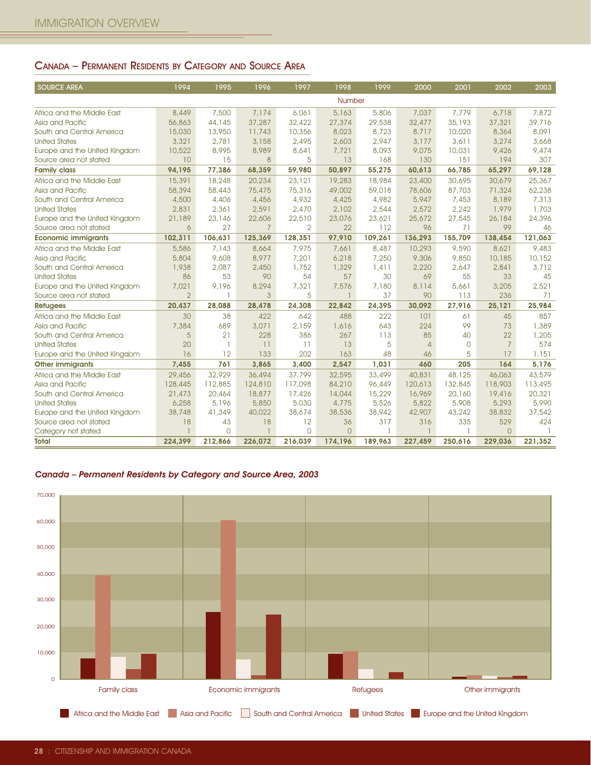#### CANADA – PERMANENT RESIDENTS BY CATEGORY AND SOURCE AREA

| <b>SOURCE AREA</b>            | 1994           | 1995           | 1996           | 1997           | 1998     | 1999    | 2000           | 2001           | 2002           | 2003    |  |
|-------------------------------|----------------|----------------|----------------|----------------|----------|---------|----------------|----------------|----------------|---------|--|
|                               | <b>Number</b>  |                |                |                |          |         |                |                |                |         |  |
| Africa and the Middle East    | 8,449          | 7,500          | 7,174          | 6,061          | 5,163    | 5,806   | 7,037          | 7,779          | 6,718          | 7,872   |  |
| Asia and Pacific              | 56,863         | 44,145         | 37,287         | 32,422         | 27,374   | 29,538  | 32,477         | 35,193         | 37,321         | 39,716  |  |
| South and Central America     | 15,030         | 13,950         | 11,743         | 10,356         | 8,023    | 8,723   | 8,717          | 10,020         | 8,364          | 8,091   |  |
| <b>United States</b>          | 3,321          | 2,781          | 3,158          | 2,495          | 2,603    | 2,947   | 3,177          | 3,611          | 3,274          | 3,668   |  |
| Europe and the United Kingdom | 10,522         | 8,995          | 8,989          | 8,641          | 7,721    | 8,093   | 9,075          | 10,031         | 9,426          | 9,474   |  |
| Source area not stated        | 10             | 15             | 8              | 5              | 13       | 168     | 130            | 151            | 194            | 307     |  |
| <b>Family class</b>           | 94,195         | 77,386         | 68,359         | 59,980         | 50,897   | 55,275  | 60,613         | 66,785         | 65,297         | 69,128  |  |
| Africa and the Middle East    | 15,391         | 18,248         | 20,234         | 23,121         | 19,283   | 18,984  | 23,400         | 30,695         | 30,679         | 25,367  |  |
| Asia and Pacific              | 58,394         | 58,443         | 75,475         | 75,316         | 49,002   | 59,018  | 78,606         | 87,703         | 71,324         | 62,238  |  |
| South and Central America     | 4,500          | 4,406          | 4,456          | 4,932          | 4,425    | 4,982   | 5,947          | 7,453          | 8,189          | 7,313   |  |
| <b>United States</b>          | 2,831          | 2,361          | 2,591          | 2,470          | 2,102    | 2,544   | 2,572          | 2,242          | 1,979          | 1,703   |  |
| Europe and the United Kingdom | 21,189         | 23,146         | 22,606         | 22,510         | 23,076   | 23,621  | 25,672         | 27,545         | 26,184         | 24,396  |  |
| Source area not stated        | 6              | 27             | $\overline{7}$ | $\overline{2}$ | 22       | 112     | 96             | 71             | 99             | 46      |  |
| <b>Economic immigrants</b>    | 102,311        | 106,631        | 125,369        | 128,351        | 97,910   | 109,261 | 136,293        | 155,709        | 138,454        | 121,063 |  |
| Africa and the Middle East    | 5,586          | 7,143          | 8,664          | 7,975          | 7,661    | 8,487   | 10,293         | 9,590          | 8,621          | 9,483   |  |
| Asia and Pacific              | 5,804          | 9,608          | 8,977          | 7,201          | 6,218    | 7,250   | 9,306          | 9,850          | 10,185         | 10,152  |  |
| South and Central America     | 1,938          | 2,087          | 2,450          | 1,752          | 1,329    | 1,411   | 2,220          | 2,647          | 2,841          | 3,712   |  |
| <b>United States</b>          | 86             | 53             | 90             | 54             | 57       | 30      | 69             | 55             | 33             | 45      |  |
| Europe and the United Kingdom | 7,021          | 9,196          | 8,294          | 7,321          | 7,576    | 7,180   | 8,114          | 5,661          | 3,205          | 2.521   |  |
| Source area not stated        | $\overline{2}$ | $\overline{1}$ | 3              | 5              |          | 37      | 90             | 113            | 236            | 71      |  |
| <b>Refugees</b>               | 20,437         | 28,088         | 28,478         | 24,308         | 22,842   | 24,395  | 30,092         | 27,916         | 25,121         | 25,984  |  |
| Africa and the Middle East    | 30             | 38             | 422            | 642            | 488      | 222     | 101            | 61             | 45             | 857     |  |
| Asia and Pacific              | 7,384          | 689            | 3,071          | 2,159          | 1,616    | 643     | 224            | 99             | 73             | 1,389   |  |
| South and Central America     | 5              | 21             | 228            | 386            | 267      | 113     | 85             | 40             | 22             | 1,205   |  |
| <b>United States</b>          | 20             | $\overline{1}$ | 11             | 11             | 13       | 5       | $\overline{4}$ | $\overline{0}$ | $\overline{7}$ | 574     |  |
| Europe and the United Kingdom | 16             | 12             | 133            | 202            | 163      | 48      | 46             | 5              | 17             | 1,151   |  |
| <b>Other immigrants</b>       | 7,455          | 761            | 3,865          | 3,400          | 2,547    | 1,031   | 460            | 205            | 164            | 5,176   |  |
| Africa and the Middle East    | 29,456         | 32,929         | 36,494         | 37,799         | 32,595   | 33,499  | 40,831         | 48,125         | 46,063         | 43,579  |  |
| Asia and Pacific              | 128,445        | 112,885        | 124,810        | 117,098        | 84,210   | 96,449  | 120,613        | 132,845        | 118,903        | 113,495 |  |
| South and Central America     | 21,473         | 20,464         | 18,877         | 17,426         | 14,044   | 15,229  | 16,969         | 20,160         | 19,416         | 20,321  |  |
| <b>United States</b>          | 6,258          | 5,196          | 5,850          | 5,030          | 4,775    | 5,526   | 5,822          | 5,908          | 5,293          | 5,990   |  |
| Europe and the United Kingdom | 38,748         | 41,349         | 40,022         | 38,674         | 38,536   | 38,942  | 42,907         | 43,242         | 38,832         | 37,542  |  |
| Source area not stated        | 18             | 43             | 18             | 12             | 36       | 317     | 316            | 335            | 529            | 424     |  |
| Category not stated           |                | $\Omega$       | $\overline{1}$ | $\Omega$       | $\Omega$ |         |                |                | $\Omega$       |         |  |
| Total                         | 224,399        | 212,866        | 226,072        | 216,039        | 174,196  | 189,963 | 227,459        | 250,616        | 229,036        | 221,352 |  |

Canada – Permanent Residents by Category and Source Area, 2003

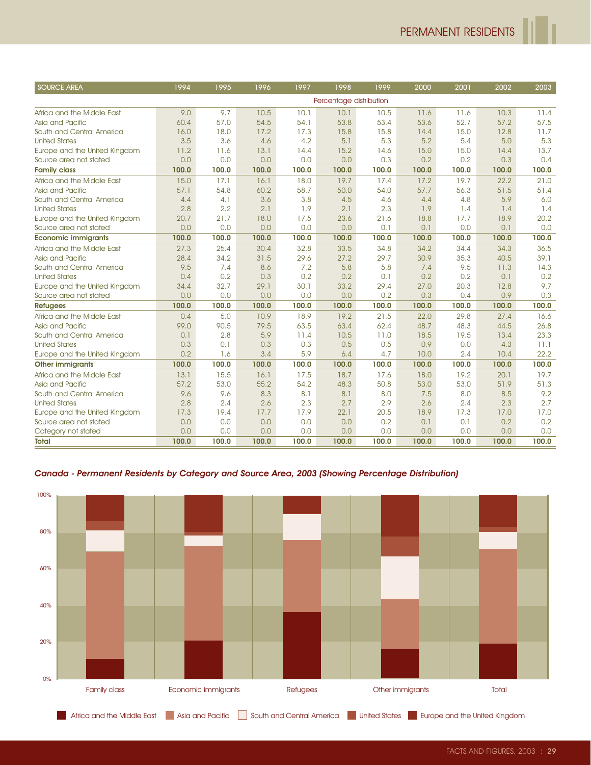| <b>SOURCE AREA</b>            | 1994  | 1995  | 1996  | 1997  | 1998                    | 1999  | 2000  | 2001  | 2002  | 2003  |
|-------------------------------|-------|-------|-------|-------|-------------------------|-------|-------|-------|-------|-------|
|                               |       |       |       |       | Percentage distribution |       |       |       |       |       |
| Africa and the Middle East    | 9.0   | 9.7   | 10.5  | 10.1  | 10.1                    | 10.5  | 11.6  | 11.6  | 10.3  | 11.4  |
| Asia and Pacific              | 60.4  | 57.0  | 54.5  | 54.1  | 53.8                    | 53.4  | 53.6  | 52.7  | 57.2  | 57.5  |
| South and Central America     | 16.0  | 18.0  | 17.2  | 17.3  | 15.8                    | 15.8  | 14.4  | 15.0  | 12.8  | 11.7  |
| <b>United States</b>          | 3.5   | 3.6   | 4.6   | 4.2   | 5.1                     | 5.3   | 5.2   | 5.4   | 5.0   | 5.3   |
| Europe and the United Kingdom | 11.2  | 11.6  | 13.1  | 14.4  | 15.2                    | 14.6  | 15.0  | 15.0  | 14.4  | 13.7  |
| Source area not stated        | 0.0   | 0,0   | 0.0   | 0.0   | 0.0                     | 0.3   | 0.2   | 0.2   | 0.3   | 0.4   |
| <b>Family class</b>           | 100.0 | 100.0 | 100.0 | 100.0 | 100.0                   | 100.0 | 100.0 | 100.0 | 100.0 | 100.0 |
| Africa and the Middle East    | 15.0  | 17.1  | 16.1  | 18.0  | 19.7                    | 17.4  | 17.2  | 19.7  | 22.2  | 21.0  |
| Asia and Pacific              | 57.1  | 54.8  | 60.2  | 58.7  | 50.0                    | 54.0  | 57.7  | 56.3  | 51.5  | 51.4  |
| South and Central America     | 4.4   | 4.1   | 3.6   | 3.8   | 4.5                     | 4.6   | 4.4   | 4.8   | 5.9   | 6.0   |
| <b>United States</b>          | 2.8   | 2.2   | 2.1   | 1.9   | 2.1                     | 2.3   | 1.9   | 1.4   | 1.4   | 1.4   |
| Europe and the United Kingdom | 20.7  | 21.7  | 18.0  | 17.5  | 23.6                    | 21.6  | 18.8  | 17.7  | 18.9  | 20.2  |
| Source area not stated        | 0.0   | 0,0   | 0.0   | 0.0   | 0.0                     | 0.1   | 0.1   | 0.0   | 0.1   | 0.0   |
| <b>Economic immigrants</b>    | 100.0 | 100.0 | 100.0 | 100.0 | 100.0                   | 100.0 | 100.0 | 100.0 | 100.0 | 100.0 |
| Africa and the Middle East    | 27.3  | 25.4  | 30.4  | 32.8  | 33.5                    | 34.8  | 34.2  | 34.4  | 34.3  | 36.5  |
| Asia and Pacific              | 28.4  | 34.2  | 31.5  | 29.6  | 27.2                    | 29.7  | 30.9  | 35.3  | 40.5  | 39.1  |
| South and Central America     | 9.5   | 7.4   | 8.6   | 7.2   | 5.8                     | 5.8   | 7.4   | 9.5   | 11.3  | 14.3  |
| <b>United States</b>          | 0.4   | 0.2   | 0.3   | 0.2   | 0.2                     | 0.1   | 0.2   | 0.2   | 0.1   | 0.2   |
| Europe and the United Kingdom | 34.4  | 32.7  | 29.1  | 30.1  | 33.2                    | 29.4  | 27.0  | 20.3  | 12.8  | 9.7   |
| Source area not stated        | 0.0   | 0,0   | 0.0   | 0.0   | 0.0                     | 0.2   | 0.3   | 0.4   | 0.9   | 0.3   |
| <b>Refugees</b>               | 100.0 | 100.0 | 100.0 | 100.0 | 100.0                   | 100.0 | 100.0 | 100.0 | 100.0 | 100.0 |
| Africa and the Middle East    | 0.4   | 5.0   | 10.9  | 18.9  | 19.2                    | 21.5  | 22.0  | 29.8  | 27.4  | 16.6  |
| Asia and Pacific              | 99.0  | 90.5  | 79.5  | 63.5  | 63.4                    | 62.4  | 48.7  | 48.3  | 44.5  | 26.8  |
| South and Central America     | 0.1   | 2.8   | 5.9   | 11.4  | 10.5                    | 11.0  | 18.5  | 19.5  | 13.4  | 23.3  |
| <b>United States</b>          | 0.3   | 0.1   | 0.3   | 0.3   | 0.5                     | 0.5   | 0.9   | 0.0   | 4.3   | 11.1  |
| Europe and the United Kingdom | 0.2   | 1.6   | 3.4   | 5.9   | 6.4                     | 4.7   | 10.0  | 2.4   | 10.4  | 22.2  |
| <b>Other immigrants</b>       | 100.0 | 100.0 | 100.0 | 100.0 | 100.0                   | 100.0 | 100.0 | 100.0 | 100.0 | 100.0 |
| Africa and the Middle East    | 13.1  | 15.5  | 16.1  | 17.5  | 18.7                    | 17.6  | 18.0  | 19.2  | 20.1  | 19.7  |
| Asia and Pacific              | 57.2  | 53.0  | 55.2  | 54.2  | 48.3                    | 50.8  | 53.0  | 53.0  | 51.9  | 51.3  |
| South and Central America     | 9.6   | 9.6   | 8.3   | 8.1   | 8.1                     | 8.0   | 7.5   | 8.0   | 8.5   | 9.2   |
| <b>United States</b>          | 2.8   | 2.4   | 2.6   | 2.3   | 2.7                     | 2.9   | 2.6   | 2.4   | 2.3   | 2.7   |
| Europe and the United Kingdom | 17.3  | 19.4  | 17.7  | 17.9  | 22.1                    | 20.5  | 18.9  | 17.3  | 17.0  | 17.0  |
| Source area not stated        | 0.0   | 0.0   | 0.0   | 0.0   | 0.0                     | 0.2   | 0.1   | 0.1   | 0.2   | 0.2   |
| Category not stated           | 0.0   | 0,0   | 0.0   | 0.0   | 0.0                     | 0.0   | 0,0   | 0.0   | 0.0   | 0.0   |
| <b>Total</b>                  | 100.0 | 100.0 | 100.0 | 100.0 | 100.0                   | 100.0 | 100.0 | 100.0 | 100.0 | 100.0 |



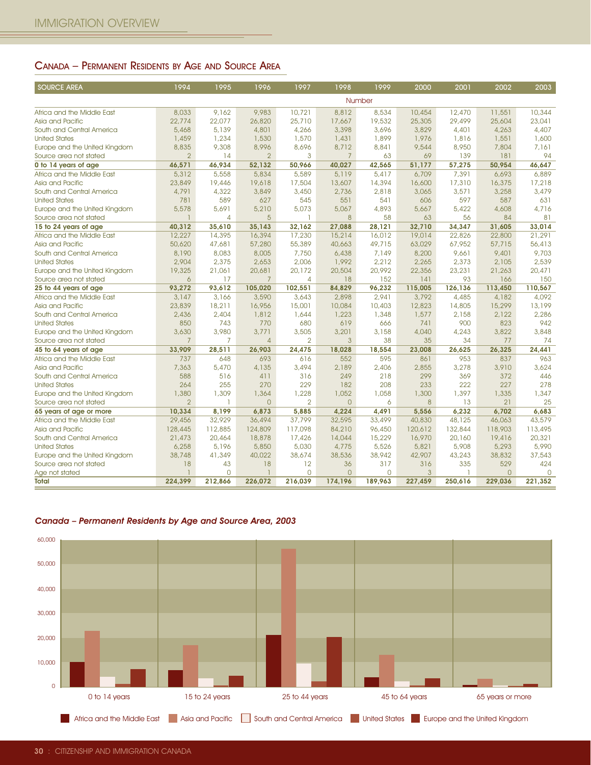### CANADA – PERMANENT RESIDENTS BY AGE AND SOURCE AREA

| <b>SOURCE AREA</b>                                                  | 1994                     | 1995            | 1996                    | 1997                    | 1998                    | 1999            | 2000            | 2001            | 2002             | 2003            |
|---------------------------------------------------------------------|--------------------------|-----------------|-------------------------|-------------------------|-------------------------|-----------------|-----------------|-----------------|------------------|-----------------|
|                                                                     |                          |                 |                         |                         |                         | Number          |                 |                 |                  |                 |
| Africa and the Middle East                                          | 8,033                    | 9,162           | 9,983                   | 10,721                  | 8,812                   | 8,534           | 10,454          | 12,470          | 11,551           | 10,344          |
| Asia and Pacific                                                    | 22,774                   | 22,077          | 26,820                  | 25,710                  | 17,667                  | 19,532          | 25,305          | 29,499          | 25,604           | 23,041          |
| South and Central America                                           | 5,468                    | 5,139           | 4,801                   | 4,266                   | 3,398                   | 3,696           | 3,829           | 4,401           | 4,263            | 4,407           |
| <b>United States</b><br>Europe and the United Kingdom               | 1,459<br>8,835           | 1,234<br>9,308  | 1,530<br>8,996          | 1,570<br>8,696          | 1,431<br>8,712          | 1,899<br>8,841  | 1,976<br>9,544  | 1,816<br>8,950  | 1,551<br>7,804   | 1,600<br>7,161  |
| Source area not stated                                              | $\overline{2}$           | 14              | $\overline{2}$          | 3                       | $\overline{7}$          | 63              | 69              | 139             | 181              | 94              |
| 0 to 14 years of age                                                | 46,571                   | 46,934          | 52,132                  | 50,966                  | 40,027                  | 42,565          | 51,177          | 57,275          | 50,954           | 46,647          |
| Africa and the Middle East                                          | 5,312                    | 5,558           | 5,834                   | 5,589                   | 5,119                   | 5,417           | 6,709           | 7,391           | 6,693            | 6,889           |
| Asia and Pacific                                                    | 23,849                   | 19,446          | 19,618                  | 17,504                  | 13,607                  | 14,394          | 16,600          | 17,310          | 16,375           | 17,218          |
| South and Central America<br><b>United States</b>                   | 4,791<br>781             | 4,322<br>589    | 3,849<br>627            | 3,450<br>545            | 2,736<br>551            | 2,818<br>541    | 3,065<br>606    | 3,571<br>597    | 3,258<br>587     | 3,479<br>631    |
| Europe and the United Kingdom                                       | 5,578                    | 5,691           | 5,210                   | 5,073                   | 5,067                   | 4,893           | 5,667           | 5,422           | 4,608            | 4,716           |
| Source area not stated                                              |                          | $\overline{4}$  | 5                       | ı                       | 8                       | 58              | 63              | 56              | 84               | 81              |
| 15 to 24 years of age                                               | 40,312                   | 35,610          | 35,143                  | 32,162                  | 27,088                  | 28,121          | 32,710          | 34,347          | 31,605           | 33,014          |
| Africa and the Middle East                                          | 12,227                   | 14,395          | 16,394                  | 17,230                  | 15,214                  | 16,012          | 19,014          | 22,826          | 22,800           | 21,291          |
| Asia and Pacific<br>South and Central America                       | 50,620<br>8,190          | 47,681<br>8,083 | 57,280<br>8,005         | 55,389<br>7,750         | 40,663<br>6,438         | 49,715<br>7,149 | 63,029<br>8,200 | 67,952<br>9,661 | 57,715<br>9,401  | 56,413<br>9,703 |
| <b>United States</b>                                                | 2,904                    | 2,375           | 2,653                   | 2,006                   | 1,992                   | 2,212           | 2,265           | 2,373           | 2,105            | 2,539           |
| Europe and the United Kingdom                                       | 19,325                   | 21,061          | 20,681                  | 20,172                  | 20,504                  | 20,992          | 22,356          | 23,231          | 21,263           | 20,471          |
| Source area not stated                                              | 6                        | 17              | 7                       | 4                       | 18                      | 152             | 141             | 93              | 166              | 150             |
| 25 to 44 years of age                                               | 93,272                   | 93.612          | 105,020                 | 102,551                 | 84,829                  | 96.232          | 115,005         | 126,136         | 113,450          | 110,567         |
| Africa and the Middle East<br>Asia and Pacific                      | 3,147<br>23,839          | 3,166<br>18,211 | 3,590<br>16,956         | 3,643<br>15,001         | 2,898<br>10,084         | 2,941<br>10,403 | 3,792<br>12,823 | 4,485<br>14,805 | 4,182<br>15,299  | 4,092<br>13,199 |
| South and Central America                                           | 2,436                    | 2,404           | 1,812                   | 1,644                   | 1,223                   | 1,348           | 1,577           | 2,158           | 2,122            | 2,286           |
| <b>United States</b>                                                | 850                      | 743             | 770                     | 680                     | 619                     | 666             | 741             | 900             | 823              | 942             |
| Europe and the United Kingdom                                       | 3,630                    | 3,980           | 3,771                   | 3,505                   | 3,201                   | 3,158           | 4,040           | 4,243           | 3,822            | 3,848           |
| Source area not stated                                              | $\overline{7}$           | $\overline{7}$  | $\overline{4}$          | $\overline{2}$          | $\mathbf{3}$            | 38              | 35              | 34              | 77               | 74              |
| 45 to 64 years of age<br>Africa and the Middle East                 | 33,909<br>737            | 28,511<br>648   | 26,903<br>693           | 24,475<br>616           | 18,028<br>552           | 18,554<br>595   | 23,008<br>861   | 26,625<br>953   | 26,325<br>837    | 24,441<br>963   |
| Asia and Pacific                                                    | 7,363                    | 5,470           | 4,135                   | 3,494                   | 2,189                   | 2,406           | 2,855           | 3,278           | 3,910            | 3,624           |
| South and Central America                                           | 588                      | 516             | 411                     | 316                     | 249                     | 218             | 299             | 369             | 372              | 446             |
| <b>United States</b>                                                | 264                      | 255             | 270                     | 229                     | 182                     | 208             | 233             | 222             | 227              | 278             |
| Europe and the United Kingdom                                       | 1,380                    | 1,309<br>ı      | 1,364                   | 1,228                   | 1,052                   | 1,058           | 1,300           | 1,397           | 1,335            | 1,347           |
| Source area not stated<br>65 years of age or more                   | $\overline{2}$<br>10,334 | 8,199           | $\overline{0}$<br>6,873 | $\overline{2}$<br>5,885 | $\overline{O}$<br>4,224 | 6<br>4,491      | 8<br>5,556      | 13<br>6,232     | 21<br>6,702      | 25<br>6,683     |
| Africa and the Middle East                                          | 29,456                   | 32,929          | 36,494                  | 37,799                  | 32,595                  | 33,499          | 40,830          | 48,125          | 46,063           | 43,579          |
| Asia and Pacific                                                    | 128,445                  | 112,885         | 124,809                 | 117,098                 | 84,210                  | 96,450          | 120,612         | 132,844         | 118,903          | 113,495         |
| South and Central America                                           | 21,473                   | 20,464          | 18,878                  | 17,426                  | 14,044                  | 15,229          | 16,970          | 20,160          | 19,416           | 20,321          |
| <b>United States</b>                                                | 6,258<br>38,748          | 5,196<br>41,349 | 5,850<br>40,022         | 5,030<br>38,674         | 4,775<br>38,536         | 5,526<br>38,942 | 5,821<br>42,907 | 5,908<br>43,243 | 5,293<br>38,832  | 5,990<br>37,543 |
| Europe and the United Kingdom<br>Source area not stated             | 18                       | 43              | 18                      | 12                      | 36                      | 317             | 316             | 335             | 529              | 424             |
| Age not stated                                                      | $\mathbf{1}$             | $\mathbf 0$     | $\mathbf{1}$            | $\mathbf 0$             | $\overline{0}$          | 0               | 3               | 1               | $\overline{O}$   | $\overline{0}$  |
| Total                                                               | 224,399                  | 212,866         | 226,072                 | 216,039                 | 174,196                 | 189,963         | 227,459         | 250,616         | 229,036          | 221,352         |
| Canada - Permanent Residents by Age and Source Area, 2003<br>60,000 |                          |                 |                         |                         |                         |                 |                 |                 |                  |                 |
| 50,000                                                              |                          |                 |                         |                         |                         |                 |                 |                 |                  |                 |
| 40,000                                                              |                          |                 |                         |                         |                         |                 |                 |                 |                  |                 |
| 30,000                                                              |                          |                 |                         |                         |                         |                 |                 |                 |                  |                 |
| 20,000                                                              |                          |                 |                         |                         |                         |                 |                 |                 |                  |                 |
| 10,000                                                              |                          |                 |                         |                         |                         |                 |                 |                 |                  |                 |
| $\circ$                                                             |                          |                 |                         |                         |                         |                 |                 |                 |                  |                 |
| 0 to 14 years                                                       |                          | 15 to 24 years  |                         | 25 to 44 years          |                         |                 | 45 to 64 years  |                 | 65 years or more |                 |

### Canada – Permanent Residents by Age and Source Area, 2003

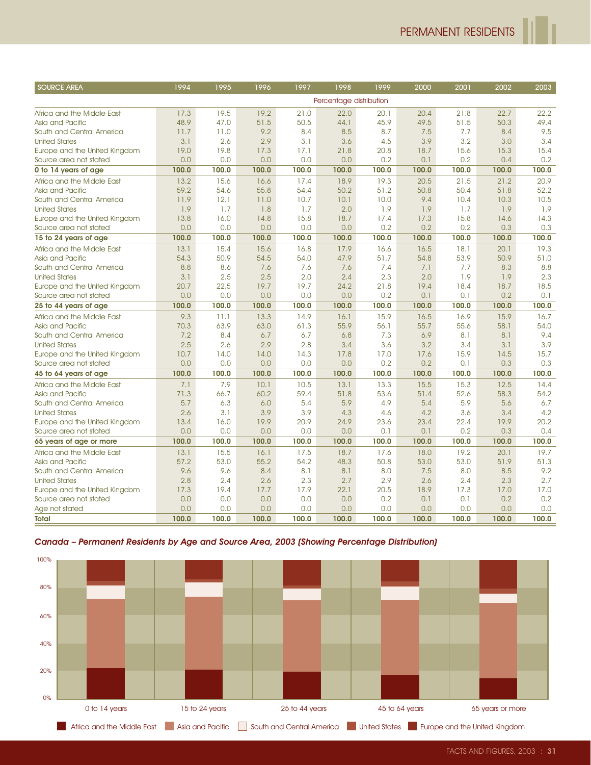| <b>SOURCE AREA</b>                                                                                                              | 1994         | 1995           | 1996         | 1997           | 1998                    | 1999         | 2000           | 2001         | 2002             | 2003         |
|---------------------------------------------------------------------------------------------------------------------------------|--------------|----------------|--------------|----------------|-------------------------|--------------|----------------|--------------|------------------|--------------|
|                                                                                                                                 |              |                |              |                | Percentage distribution |              |                |              |                  |              |
| Africa and the Middle East                                                                                                      | 17.3         | 19.5           | 19.2         | 21.0           | 22.0                    | 20.1         | 20.4           | 21.8         | 22.7             | 22.2         |
| Asia and Pacific                                                                                                                | 48.9         | 47.0           | 51.5         | 50.5           | 44.1                    | 45.9         | 49.5           | 51.5         | 50.3             | 49.4         |
| South and Central America                                                                                                       | 11.7         | 11.0           | 9.2          | 8.4            | 8.5                     | 8.7          | 7.5            | 7.7          | 8.4              | 9.5          |
| <b>United States</b>                                                                                                            | 3.1          | 2.6            | 2.9          | 3.1            | 3.6                     | 4.5          | 3.9            | 3.2          | 3.0              | 3.4          |
| Europe and the United Kingdom                                                                                                   | 19.0         | 19.8           | 17.3         | 17.1           | 21.8                    | 20.8         | 18.7           | 15.6         | 15.3             | 15.4         |
| Source area not stated                                                                                                          | 0.0          | 0.0            | 0.0          | 0.0            | 0.0                     | 0.2          | 0.1            | 0.2          | 0.4              | 0.2          |
| 0 to 14 years of age                                                                                                            | 100.0        | 100.0          | 100.0        | 100.0          | 100.0                   | 100.0        | 100.0          | 100.0        | 100.0            | 100.0        |
| Africa and the Middle East<br>Asia and Pacific                                                                                  | 13.2<br>59.2 | 15.6<br>54.6   | 16.6<br>55.8 | 17.4<br>54.4   | 18.9<br>50.2            | 19.3<br>51.2 | 20.5<br>50.8   | 21.5<br>50.4 | 21.2<br>51.8     | 20.9<br>52.2 |
| South and Central America                                                                                                       | 11.9         | 12.1           | 11.0         | 10.7           | 10.1                    | 10.0         | 9.4            | 10.4         | 10.3             | 10.5         |
| <b>United States</b>                                                                                                            | 1.9          | 1.7            | 1.8          | 1.7            | 2.0                     | 1.9          | 1.9            | 1.7          | 1.9              | 1.9          |
| Europe and the United Kingdom                                                                                                   | 13.8         | 16.0           | 14.8         | 15.8           | 18.7                    | 17.4         | 17.3           | 15.8         | 14.6             | 14.3         |
| Source area not stated                                                                                                          | 0.0          | 0.0            | 0.0          | 0.0            | 0.0                     | 0.2          | 0.2            | 0.2          | 0.3              | 0.3          |
| 15 to 24 years of age                                                                                                           | 100.0        | 100.0          | 100.0        | 100.0          | 100.0                   | 100.0        | 100.0          | 100.0        | 100.0            | 100.0        |
| Africa and the Middle East                                                                                                      | 13.1         | 15.4           | 15.6         | 16.8           | 17.9                    | 16.6         | 16.5           | 18.1         | 20.1             | 19.3         |
| Asia and Pacific                                                                                                                | 54.3         | 50.9           | 54.5         | 54.0           | 47.9                    | 51.7         | 54.8           | 53.9         | 50.9             | 51.0         |
| South and Central America                                                                                                       | 8.8<br>3.1   | 8.6<br>2.5     | 7.6<br>2.5   | 7.6<br>2.0     | 7.6<br>2.4              | 7.4<br>2.3   | 7.1<br>2.0     | 7.7<br>1.9   | 8.3<br>1.9       | 8.8<br>2.3   |
| <b>United States</b><br>Europe and the United Kingdom                                                                           | 20.7         | 22.5           | 19.7         | 19.7           | 24.2                    | 21.8         | 19.4           | 18.4         | 18.7             | 18.5         |
| Source area not stated                                                                                                          | 0.0          | 0.0            | 0.0          | 0.0            | 0.0                     | 0.2          | 0.1            | 0.1          | 0.2              | 0.1          |
| 25 to 44 years of age                                                                                                           | 100.0        | 100.0          | 100.0        | 100.0          | 100.0                   | 100.0        | 100.0          | 100.0        | 100.0            | 100.0        |
| Africa and the Middle East                                                                                                      | 9.3          | 11.1           | 13.3         | 14.9           | 16.1                    | 15.9         | 16.5           | 16.9         | 15.9             | 16.7         |
| Asia and Pacific                                                                                                                | 70.3         | 63.9           | 63.0         | 61.3           | 55.9                    | 56.1         | 55.7           | 55.6         | 58.1             | 54.0         |
| South and Central America                                                                                                       | 7.2          | 8.4            | 6.7          | 6.7            | 6.8                     | 7.3          | 6.9            | 8.1          | 8.1              | 9.4          |
| <b>United States</b>                                                                                                            | 2.5          | 2.6            | 2.9          | 2.8            | 3.4                     | 3.6          | 3.2            | 3.4          | 3.1              | 3.9          |
| Europe and the United Kingdom                                                                                                   | 10.7         | 14.0           | 14.0         | 14.3           | 17.8                    | 17.0         | 17.6           | 15.9         | 14.5             | 15.7         |
| Source area not stated<br>45 to 64 years of age                                                                                 | 0.0<br>100.0 | 0.0<br>100.0   | 0.0<br>100.0 | 0.0<br>100.0   | 0.0<br>100.0            | 0.2<br>100.0 | 0.2<br>100.0   | 0.1<br>100.0 | 0.3<br>100.0     | 0.3<br>100.0 |
| Africa and the Middle East                                                                                                      | 7.1          | 7.9            | 10.1         | 10.5           | 13.1                    | 13.3         | 15.5           | 15.3         | 12.5             | 14.4         |
| Asia and Pacific                                                                                                                | 71.3         | 66.7           | 60.2         | 59.4           | 51.8                    | 53.6         | 51.4           | 52.6         | 58.3             | 54.2         |
| South and Central America                                                                                                       | 5.7          | 6.3            | 6.0          | 5.4            | 5.9                     | 4.9          | 5.4            | 5.9          | 5.6              | 6.7          |
| <b>United States</b>                                                                                                            | 2.6          | 3.1            | 3.9          | 3.9            | 4.3                     | 4.6          | 4.2            | 3.6          | 3.4              | 4.2          |
| Europe and the United Kingdom                                                                                                   | 13.4         | 16.0           | 19.9         | 20.9           | 24.9                    | 23.6         | 23.4           | 22.4         | 19.9             | 20.2         |
| Source area not stated                                                                                                          | 0.0          | 0.0            | 0.0          | 0.0            | 0.0                     | 0.1          | 0.1            | 0.2          | 0.3              | 0.4          |
| 65 years of age or more                                                                                                         | 100.0        | 100.0          | 100.0        | 100.0          | 100.0                   | 100.0        | 100.0          | 100.0        | 100.0            | 100.0        |
| Africa and the Middle East<br>Asia and Pacific                                                                                  | 13.1<br>57.2 | 15.5<br>53.0   | 16.1<br>55.2 | 17.5<br>54.2   | 18.7<br>48.3            | 17.6<br>50.8 | 18.0<br>53.0   | 19.2<br>53.0 | 20.1<br>51.9     | 19.7<br>51.3 |
| South and Central America                                                                                                       | 9.6          | 9.6            | 8.4          | 8.1            | 8.1                     | 8.0          | 7.5            | 8.0          | 8.5              | 9.2          |
| <b>United States</b>                                                                                                            | 2.8          | 2.4            | 2.6          | 2.3            | 2.7                     | 2.9          | 2.6            | 2.4          | 2.3              | 2.7          |
| Europe and the United Kingdom                                                                                                   | 17.3         | 19.4           | 17.7         | 17.9           | 22.1                    | 20.5         | 18.9           | 17.3         | 17.0             | 17.0         |
| Source area not stated                                                                                                          | 0.0          | 0.0            | 0.0          | 0.0            | 0.0                     | 0.2          | 0.1            | 0.1          | 0.2              | 0.2          |
| Age not stated                                                                                                                  | 0.0          | 0.0            | 0.0          | 0.0            | 0.0                     | 0.0          | 0.0            | 0.0          | 0.0              | 0.0          |
| <b>Total</b>                                                                                                                    | 100.0        | 100.0          | 100.0        | 100.0          | 100.0                   | 100.0        | 100.0          | 100.0        | 100.0            | 100.0        |
| Canada - Permanent Residents by Age and Source Area, 2003 (Showing Percentage Distribution)<br>100%<br>80%<br>60%<br>40%<br>20% |              |                |              |                |                         |              |                |              |                  |              |
| 0%<br>0 to 14 years                                                                                                             |              | 15 to 24 years |              | 25 to 44 years |                         |              | 45 to 64 years |              | 65 years or more |              |
|                                                                                                                                 |              |                |              |                |                         |              |                |              |                  |              |

### Canada – Permanent Residents by Age and Source Area, 2003 (Showing Percentage Distribution)

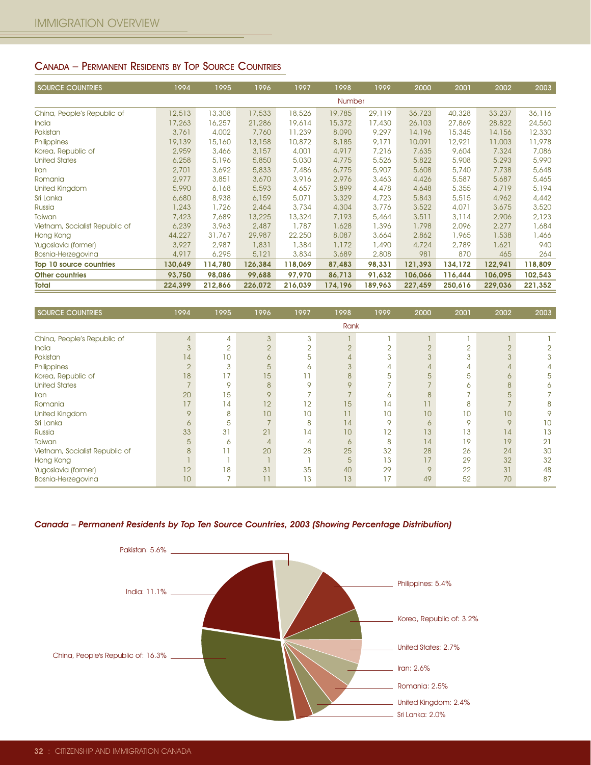# CANADA – PERMANENT RESIDENTS BY TOP SOURCE COUNTRIES

| <b>SOURCE COUNTRIES</b>        | 1994    | 1995    | 1996    | 1997    | 1998    | 1999    | 2000    | 2001    | 2002    | 2003    |
|--------------------------------|---------|---------|---------|---------|---------|---------|---------|---------|---------|---------|
|                                |         |         |         |         | Number  |         |         |         |         |         |
| China, People's Republic of    | 12,513  | 13,308  | 17,533  | 18,526  | 19,785  | 29,119  | 36,723  | 40,328  | 33,237  | 36,116  |
| India                          | 17,263  | 16,257  | 21,286  | 19,614  | 15,372  | 17,430  | 26,103  | 27,869  | 28,822  | 24,560  |
| Pakistan                       | 3,761   | 4,002   | 7,760   | 11,239  | 8,090   | 9,297   | 14,196  | 15,345  | 14,156  | 12,330  |
| Philippines                    | 19,139  | 15,160  | 13,158  | 10,872  | 8,185   | 9,171   | 10,091  | 12,921  | 11,003  | 11,978  |
| Korea, Republic of             | 2,959   | 3,466   | 3,157   | 4,001   | 4,917   | 7,216   | 7,635   | 9,604   | 7,324   | 7,086   |
| <b>United States</b>           | 6,258   | 5,196   | 5,850   | 5,030   | 4,775   | 5,526   | 5,822   | 5,908   | 5,293   | 5,990   |
| Iran                           | 2,701   | 3,692   | 5,833   | 7,486   | 6,775   | 5,907   | 5,608   | 5,740   | 7,738   | 5,648   |
| Romania                        | 2,977   | 3,851   | 3,670   | 3,916   | 2,976   | 3,463   | 4,426   | 5,587   | 5,687   | 5,465   |
| United Kingdom                 | 5,990   | 6,168   | 5,593   | 4,657   | 3,899   | 4,478   | 4,648   | 5,355   | 4,719   | 5,194   |
| Sri Lanka                      | 6,680   | 8,938   | 6,159   | 5,071   | 3,329   | 4,723   | 5,843   | 5,515   | 4,962   | 4,442   |
| Russia                         | 1,243   | 1,726   | 2,464   | 3,734   | 4,304   | 3,776   | 3,522   | 4,071   | 3,675   | 3,520   |
| Taiwan                         | 7,423   | 7,689   | 13,225  | 13,324  | 7,193   | 5,464   | 3,511   | 3,114   | 2,906   | 2,123   |
| Vietnam, Socialist Republic of | 6,239   | 3,963   | 2,487   | 1,787   | 1,628   | 1,396   | 1,798   | 2,096   | 2,277   | 1,684   |
| Hong Kong                      | 44,227  | 31,767  | 29,987  | 22,250  | 8,087   | 3,664   | 2,862   | 1,965   | 1,538   | 1,466   |
| Yugoslavia (former)            | 3,927   | 2,987   | 1,831   | 1,384   | 1,172   | 1,490   | 4,724   | 2,789   | 1,621   | 940     |
| Bosnia-Herzegovina             | 4,917   | 6,295   | 5,121   | 3,834   | 3,689   | 2,808   | 981     | 870     | 465     | 264     |
| Top 10 source countries        | 130,649 | 114,780 | 126,384 | 118,069 | 87,483  | 98,331  | 121,393 | 134,172 | 122,941 | 118,809 |
| <b>Other countries</b>         | 93,750  | 98,086  | 99,688  | 97,970  | 86,713  | 91,632  | 106,066 | 116,444 | 106,095 | 102,543 |
| Total                          | 224,399 | 212,866 | 226,072 | 216,039 | 174,196 | 189,963 | 227,459 | 250,616 | 229,036 | 221,352 |

| <b>SOURCE COUNTRIES</b>        | 1994           | 1995           | 1996     | 1997           | 1998           | 1999           | 2000   | 2001           | 2002           | 2003 |
|--------------------------------|----------------|----------------|----------|----------------|----------------|----------------|--------|----------------|----------------|------|
|                                |                |                |          |                | <b>Rank</b>    |                |        |                |                |      |
| China, People's Republic of    | $\overline{4}$ | 4              | 3        | 3              |                |                |        |                |                |      |
| India                          | 3              | $\overline{2}$ | $\Omega$ | $\overline{2}$ | $\overline{2}$ | $\overline{2}$ | $\cap$ | $\overline{2}$ | $\overline{2}$ |      |
| Pakistan                       | 4              | 10             | 6        | 5              |                | 3              | 3      | 3              | 3              | 3    |
| Philippines                    | $\overline{2}$ | 3              | 5        | 6              |                |                |        | 4              | $\overline{4}$ | 4    |
| Korea, Republic of             | 18             | 17             | 15       |                | 8              | 5              | 5      | 5              | 6              | 5    |
| <b>United States</b>           |                | 9              | 8        | 9              | $\mathsf Q$    |                |        | 6              | 8              | 6    |
| Iran                           | 20             | 15             | 9        |                |                | 6              | 8      |                | 5              |      |
| Romania                        | 17             | 14             | 12       | 12             | 15             | 14             | 11     | 8              |                | 8    |
| United Kingdom                 | 9              | 8              | 10       | 10             |                | 10             | 10     | 10             | 10             | 9    |
| Sri Lanka                      | 6              | 5              |          | 8              | 14             | 9              | 6      | 9              | 9              | 10   |
| Russia                         | 33             | 31             | 21       | 14             | 10             | 12             | 13     | 13             | 14             | 13   |
| Taiwan                         | 5              | 6              |          | 4              | 6              | 8              | 14     | 19             | 19             | 21   |
| Vietnam, Socialist Republic of | 8              |                | 20       | 28             | 25             | 32             | 28     | 26             | 24             | 30   |
| Hong Kong                      |                |                |          |                | 5              | 13             | 17     | 29             | 32             | 32   |
| Yugoslavia (former)            | 12             | 18             | 31       | 35             | 40             | 29             | 9      | 22             | 31             | 48   |
| Bosnia-Herzegovina             | 10             | -              | 11       | 13             | 13             | 17             | 49     | 52             | 70             | 87   |

#### Canada – Permanent Residents by Top Ten Source Countries, 2003 (Showing Percentage Distribution)

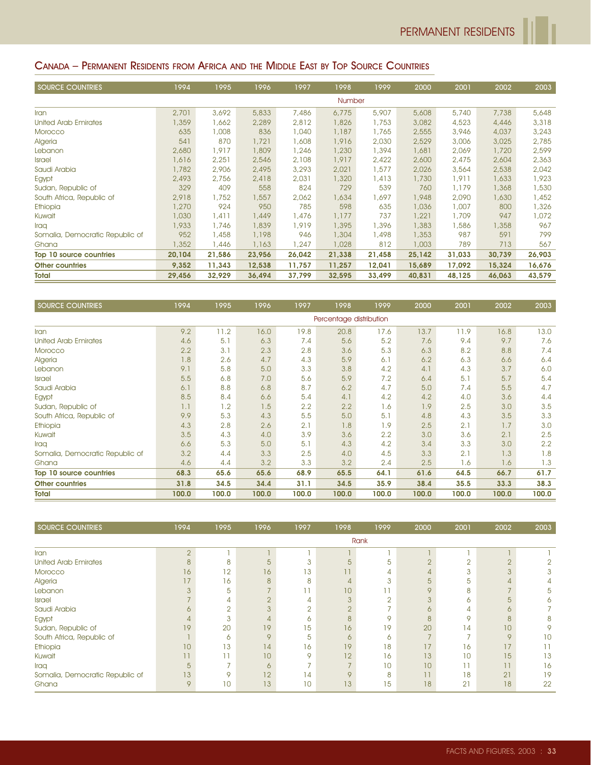## CANADA – PERMANENT RESIDENTS FROM AFRICA AND THE MIDDLE EAST BY TOP SOURCE COUNTRIES

| <b>SOURCE COUNTRIES</b>         | 1994   | 1995   | 1996   | 1997   | 1998   | 1999   | 2000   | 2001   | 2002   | 2003   |
|---------------------------------|--------|--------|--------|--------|--------|--------|--------|--------|--------|--------|
|                                 |        |        |        |        | Number |        |        |        |        |        |
| Iran                            | 2,701  | 3,692  | 5,833  | 7,486  | 6,775  | 5,907  | 5,608  | 5,740  | 7,738  | 5,648  |
| United Arab Emirates            | 1,359  | 1,662  | 2,289  | 2,812  | 1,826  | 1,753  | 3,082  | 4,523  | 4,446  | 3,318  |
| Morocco                         | 635    | 1,008  | 836    | 1,040  | 1,187  | 1,765  | 2,555  | 3,946  | 4,037  | 3,243  |
| Algeria                         | 541    | 870    | 1,721  | 1,608  | 1,916  | 2,030  | 2,529  | 3,006  | 3,025  | 2,785  |
| Lebanon                         | 2,680  | 1,917  | 1,809  | 1,246  | 1,230  | 1,394  | 1,681  | 2,069  | 1,720  | 2,599  |
| <b>Israel</b>                   | 1,616  | 2,251  | 2,546  | 2,108  | 1,917  | 2,422  | 2,600  | 2,475  | 2,604  | 2,363  |
| Saudi Arabia                    | 1,782  | 2,906  | 2,495  | 3,293  | 2,021  | 1,577  | 2,026  | 3,564  | 2,538  | 2,042  |
| Egypt                           | 2,493  | 2,756  | 2,418  | 2,031  | 1,320  | 1,413  | 1,730  | 1,911  | 1,633  | 1,923  |
| Sudan, Republic of              | 329    | 409    | 558    | 824    | 729    | 539    | 760    | 1,179  | 1,368  | 1,530  |
| South Africa, Republic of       | 2,918  | 1,752  | 1,557  | 2,062  | 1,634  | 1,697  | 1,948  | 2,090  | 1,630  | 1,452  |
| Ethiopia                        | 1,270  | 924    | 950    | 785    | 598    | 635    | 1,036  | 1,007  | 800    | 1,326  |
| Kuwait                          | 1,030  | 1,411  | 1,449  | 1,476  | 1,177  | 737    | 1,221  | 1,709  | 947    | 1,072  |
| Iraq                            | 1,933  | 1,746  | 1,839  | 1,919  | 1,395  | 1,396  | 1,383  | 586,   | 1,358  | 967    |
| Somalia, Democratic Republic of | 952    | 1,458  | 1,198  | 946    | 1,304  | 1,498  | 1,353  | 987    | 591    | 799    |
| Ghana                           | 1,352  | 1,446  | 1,163  | 1,247  | 1,028  | 812    | 1,003  | 789    | 713    | 567    |
| Top 10 source countries         | 20,104 | 21,586 | 23,956 | 26,042 | 21,338 | 21,458 | 25,142 | 31,033 | 30,739 | 26,903 |
| <b>Other countries</b>          | 9,352  | 11,343 | 12,538 | 11,757 | 11,257 | 12,041 | 15,689 | 17,092 | 15,324 | 16,676 |
| <b>Total</b>                    | 29,456 | 32,929 | 36,494 | 37,799 | 32,595 | 33,499 | 40,831 | 48,125 | 46,063 | 43,579 |

| <b>SOURCE COUNTRIES</b>         | 1994  | 1995  | 1996  | 1997  | 1998                    | 1999  | 2000  | 2001  | 2002  | 2003  |
|---------------------------------|-------|-------|-------|-------|-------------------------|-------|-------|-------|-------|-------|
|                                 |       |       |       |       | Percentage distribution |       |       |       |       |       |
| Iran                            | 9.2   | 11.2  | 16.0  | 19.8  | 20.8                    | 17.6  | 13.7  | 11.9  | 16.8  | 13.0  |
| United Arab Emirates            | 4.6   | 5.1   | 6,3   | 7.4   | 5.6                     | 5.2   | 7.6   | 9.4   | 9.7   | 7.6   |
| Morocco                         | 2.2   | 3.1   | 2.3   | 2.8   | 3.6                     | 5.3   | 6.3   | 8.2   | 8.8   | 7.4   |
| Algeria                         | 1.8   | 2.6   | 4.7   | 4.3   | 5.9                     | 6.1   | 6.2   | 6.3   | 6.6   | 6.4   |
| Lebanon                         | 9.1   | 5.8   | 5.0   | 3.3   | 3.8                     | 4.2   | 4.1   | 4.3   | 3.7   | 6.0   |
| <b>Israel</b>                   | 5.5   | 6.8   | 7.0   | 5.6   | 5.9                     | 7.2   | 6.4   | 5.1   | 5.7   | 5.4   |
| Saudi Arabia                    | 6.1   | 8.8   | 6,8   | 8.7   | 6.2                     | 4.7   | 5.0   | 7.4   | 5.5   | 4.7   |
| Egypt                           | 8.5   | 8.4   | 6.6   | 5.4   | 4.1                     | 4.2   | 4.2   | 4.0   | 3.6   | 4.4   |
| Sudan, Republic of              | 1.1   | 1.2   | 1.5   | 2.2   | 2.2                     | 1.6   | 1.9   | 2.5   | 3.0   | 3.5   |
| South Africa, Republic of       | 9.9   | 5.3   | 4.3   | 5.5   | 5.0                     | 5.1   | 4.8   | 4.3   | 3.5   | 3.3   |
| Ethiopia                        | 4.3   | 2.8   | 2.6   | 2.1   | 1.8                     | 1.9   | 2.5   | 2.1   | 1.7   | 3.0   |
| Kuwait                          | 3.5   | 4.3   | 4.0   | 3.9   | 3.6                     | 2.2   | 3.0   | 3.6   | 2.1   | 2.5   |
| Iraa                            | 6.6   | 5.3   | 5.0   | 5.1   | 4.3                     | 4.2   | 3.4   | 3.3   | 3.0   | 2.2   |
| Somalia, Democratic Republic of | 3.2   | 4.4   | 3.3   | 2.5   | 4.0                     | 4.5   | 3.3   | 2.1   | 1.3   | 1.8   |
| Ghana                           | 4.6   | 4.4   | 3.2   | 3.3   | 3.2                     | 2.4   | 2.5   | 1.6   | 1.6   | 1.3   |
| Top 10 source countries         | 68.3  | 65.6  | 65.6  | 68.9  | 65.5                    | 64.1  | 61.6  | 64.5  | 66.7  | 61.7  |
| <b>Other countries</b>          | 31.8  | 34.5  | 34.4  | 31.1  | 34.5                    | 35.9  | 38.4  | 35.5  | 33.3  | 38.3  |
| <b>Total</b>                    | 100.0 | 100.0 | 100.0 | 100.0 | 100.0                   | 100.0 | 100.0 | 100.0 | 100.0 | 100.0 |

| <b>SOURCE COUNTRIES</b>         | 1994           | 1995           | 1996           | 1997           | 1998    | 1999     | 2000        | 2001 | 2002            | 2003           |
|---------------------------------|----------------|----------------|----------------|----------------|---------|----------|-------------|------|-----------------|----------------|
|                                 |                |                |                |                |         | Rank     |             |      |                 |                |
| Iran                            | $\overline{2}$ |                |                |                |         |          |             |      |                 |                |
| <b>United Arab Emirates</b>     | 8              | 8              | $\overline{5}$ |                | 5       | 5        |             |      | $\overline{2}$  | $\overline{2}$ |
| Morocco                         | 16             | 12             | 16             | 13             |         |          |             | 3    | 3               | 3              |
| Algeria                         | 17             | 16             | 8              | 8              |         | 3        | 5           | 5    | 4               |                |
| Lebanon                         | 3              | 5              |                |                | 10      |          | $\mathsf Q$ | 8    |                 | 5              |
| Israel                          |                | 4              |                | 4              |         | $\Omega$ |             | 6    | 5               |                |
| Saudi Arabia                    | Ô.             | $\overline{2}$ |                | $\overline{2}$ | $\cap$  |          | $\sigma$    | 4    | 6               |                |
| Egypt                           | 4              | 3              |                | 6              | 8       | Q        | 8           | 9    | 8               | 8              |
| Sudan, Republic of              | 19             | 20             | 19             | 15             | 16      | 19       | 20          | 14   | 10 <sup>°</sup> | 9              |
| South Africa, Republic of       |                | 6              | $\circ$        | 5              | 6       | 6        |             |      | 9               | 10             |
| Ethiopia                        | 10             | 13             | 14             | 16             | 19      | 18       | 17          | 16   | 17              |                |
| Kuwait                          |                |                | 10             | 9              | 12      | 16       | 13          | 10   | 15              | 13             |
| Iraa                            | 5              |                |                |                |         | 10       | 10          | 11   | 11              | 16             |
| Somalia, Democratic Republic of | 13             | Q              | 12             | 14             | $\circ$ | 8        | 11          | 18   | 21              | 19             |
| Ghana                           | 9              | 10             | 13             | 10             | 13      | 15       | 18          | 21   | 18              | 22             |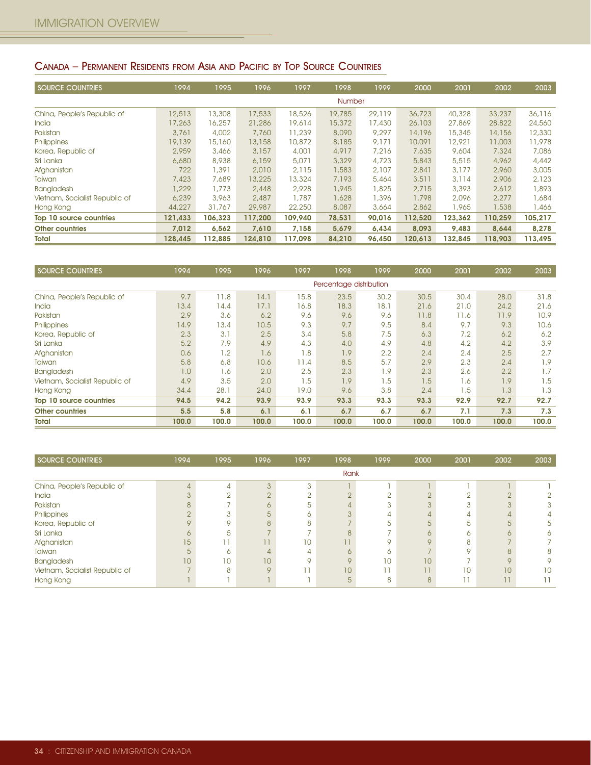## CANADA – PERMANENT RESIDENTS FROM ASIA AND PACIFIC BY TOP SOURCE COUNTRIES

| <b>SOURCE COUNTRIES</b>        | 1994    | 1995    | 1996    | 1997    | 1998          | 1999   | 2000    | 2001    | 2002    | 2003    |
|--------------------------------|---------|---------|---------|---------|---------------|--------|---------|---------|---------|---------|
|                                |         |         |         |         | <b>Number</b> |        |         |         |         |         |
| China, People's Republic of    | 12,513  | 13,308  | 17,533  | 18,526  | 19,785        | 29,119 | 36,723  | 40,328  | 33,237  | 36,116  |
| <b>India</b>                   | 17,263  | 16,257  | 21,286  | 19,614  | 15,372        | 17,430 | 26,103  | 27,869  | 28,822  | 24,560  |
| Pakistan                       | 3,761   | 4,002   | 7,760   | 11,239  | 8,090         | 9,297  | 14,196  | 15,345  | 14,156  | 12,330  |
| Philippines                    | 19,139  | 15,160  | 13,158  | 10,872  | 8,185         | 9.171  | 10,091  | 12.921  | 11,003  | 11,978  |
| Korea, Republic of             | 2,959   | 3,466   | 3,157   | 4,001   | 4,917         | 7,216  | 7,635   | 9,604   | 7,324   | 7,086   |
| Sri Lanka                      | 6,680   | 8,938   | 6,159   | 5,071   | 3,329         | 4,723  | 5,843   | 5,515   | 4,962   | 4,442   |
| Afghanistan                    | 722     | 1,391   | 2,010   | 2,115   | 1,583         | 2,107  | 2,841   | 3,177   | 2,960   | 3,005   |
| Taiwan                         | 7,423   | 7,689   | 13,225  | 13,324  | 7,193         | 5,464  | 3,511   | 3,114   | 2,906   | 2,123   |
| <b>Bangladesh</b>              | 1.229   | 1,773   | 2,448   | 2,928   | 1,945         | 1,825  | 2,715   | 3,393   | 2,612   | 1,893   |
| Vietnam, Socialist Republic of | 6,239   | 3,963   | 2,487   | 1,787   | 1,628         | 1,396  | 1,798   | 2.096   | 2,277   | 1,684   |
| Hong Kong                      | 44,227  | 31,767  | 29,987  | 22,250  | 8,087         | 3,664  | 2,862   | 1,965   | 1,538   | 1,466   |
| Top 10 source countries        | 121,433 | 106,323 | 117,200 | 109,940 | 78,531        | 90,016 | 112,520 | 123,362 | 110,259 | 105,217 |
| <b>Other countries</b>         | 7,012   | 6,562   | 7,610   | 7,158   | 5,679         | 6,434  | 8,093   | 9,483   | 8,644   | 8,278   |
| <b>Total</b>                   | 128,445 | 112,885 | 124,810 | 117,098 | 84,210        | 96,450 | 120,613 | 132,845 | 118,903 | 113,495 |

| <b>SOURCE COUNTRIES</b>        | 1994  | 1995  | 1996  | 1997  | 1998                    | 1999  | 2000  | 2001  | 2002  | 2003  |
|--------------------------------|-------|-------|-------|-------|-------------------------|-------|-------|-------|-------|-------|
|                                |       |       |       |       | Percentage distribution |       |       |       |       |       |
| China, People's Republic of    | 9.7   | 11.8  | 14.1  | 15.8  | 23.5                    | 30.2  | 30.5  | 30.4  | 28.0  | 31.8  |
| India                          | 13.4  | 14.4  | 17.1  | 16.8  | 18.3                    | 18.1  | 21.6  | 21.0  | 24.2  | 21.6  |
| Pakistan                       | 2.9   | 3.6   | 6.2   | 9.6   | 9.6                     | 9.6   | 11.8  | 11.6  | 11.9  | 10.9  |
| Philippines                    | 14.9  | 13.4  | 10.5  | 9.3   | 9.7                     | 9.5   | 8.4   | 9.7   | 9.3   | 10.6  |
| Korea, Republic of             | 2.3   | 3.1   | 2.5   | 3.4   | 5.8                     | 7.5   | 6,3   | 7.2   | 6.2   | 6.2   |
| Sri Lanka                      | 5.2   | 7.9   | 4.9   | 4.3   | 4.0                     | 4.9   | 4.8   | 4.2   | 4.2   | 3.9   |
| Afghanistan                    | 0.6   | 1.2   | 1.6   | 1.8   | 1.9                     | 2.2   | 2.4   | 2.4   | 2.5   | 2.7   |
| Taiwan                         | 5.8   | 6,8   | 10.6  | 11.4  | 8.5                     | 5.7   | 2.9   | 2.3   | 2.4   | 1.9   |
| <b>Bangladesh</b>              | 1.0   | 1.6   | 2.0   | 2.5   | 2.3                     | 1.9   | 2.3   | 2.6   | 2.2   | 1.7   |
| Vietnam, Socialist Republic of | 4.9   | 3.5   | 2.0   | 1.5   | 1.9                     | 1.5   | 1.5   | 1.6   | 1.9   | 1.5   |
| Hong Kong                      | 34.4  | 28.1  | 24.0  | 19.0  | 9.6                     | 3.8   | 2.4   | 1.5   | 1.3   | 1.3   |
| Top 10 source countries        | 94.5  | 94.2  | 93.9  | 93.9  | 93.3                    | 93.3  | 93.3  | 92.9  | 92.7  | 92.7  |
| <b>Other countries</b>         | 5.5   | 5.8   | 6.1   | 6.1   | 6.7                     | 6.7   | 6.7   | 7.1   | 7.3   | 7.3   |
| <b>Total</b>                   | 100.0 | 100.0 | 100.0 | 100.0 | 100.0                   | 100.0 | 100.0 | 100.0 | 100.0 | 100.0 |

| SOURCE COUNTRIES               | 1994 | 1995 | 1996 | 1997   | 1998            | 1999 | 2000 | 2001    | 2002    | 2003 |
|--------------------------------|------|------|------|--------|-----------------|------|------|---------|---------|------|
|                                |      |      |      |        | Rank            |      |      |         |         |      |
| China, People's Republic of    |      | 4    |      | $\sim$ |                 |      |      |         |         |      |
| India                          |      |      |      |        |                 |      |      |         | $\cap$  |      |
| Pakistan                       |      |      |      |        |                 |      |      |         |         |      |
| Philippines                    |      |      |      |        |                 |      |      |         |         |      |
| Korea, Republic of             |      |      |      |        |                 |      |      | 5       | 5       |      |
| Sri Lanka                      |      | h    |      |        |                 |      |      | 6       |         |      |
| Afghanistan                    | 15   |      | 7.7  | 10     |                 |      |      | 8       |         |      |
| Taiwan                         |      | ∩    |      |        |                 |      |      | $\circ$ | 8       |      |
| Bangladesh                     | 10   | 10   | 10   |        |                 | 10   | 10   |         | $\circ$ |      |
| Vietnam, Socialist Republic of |      |      |      |        | 10 <sup>°</sup> |      | 11   | 10      | 10      | 10   |
| Hong Kong                      |      |      |      |        |                 |      | 8    |         |         |      |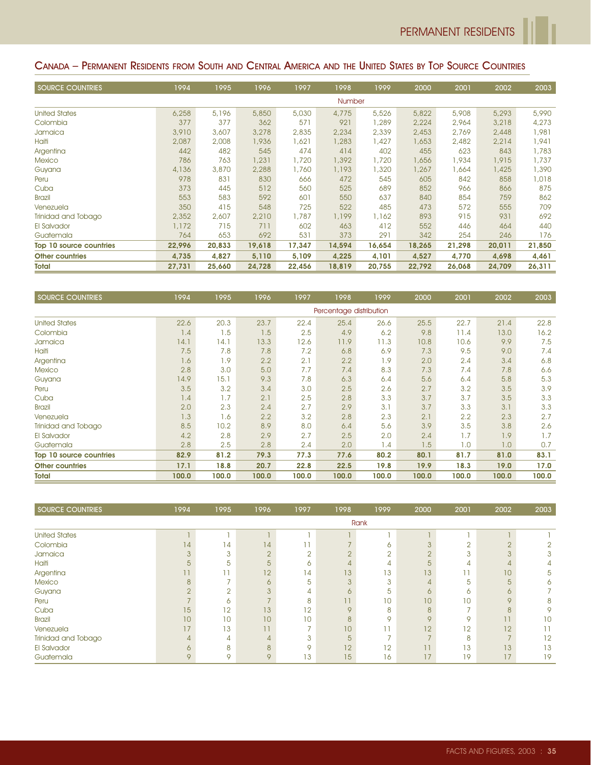## CANADA – PERMANENT RESIDENTS FROM SOUTH AND CENTRAL AMERICA AND THE UNITED STATES BY TOP SOURCE COUNTRIES

| <b>SOURCE COUNTRIES</b> | 1994   | 1995   | 1996   | 1997   | 1998          | 1999   | 2000   | 2001   | 2002   | 2003   |
|-------------------------|--------|--------|--------|--------|---------------|--------|--------|--------|--------|--------|
|                         |        |        |        |        | <b>Number</b> |        |        |        |        |        |
| <b>United States</b>    | 6,258  | 5,196  | 5,850  | 5,030  | 4,775         | 5,526  | 5,822  | 5,908  | 5,293  | 5,990  |
| Colombia                | 377    | 377    | 362    | 571    | 921           | 1,289  | 2,224  | 2,964  | 3,218  | 4,273  |
| Jamaica                 | 3,910  | 3,607  | 3,278  | 2,835  | 2,234         | 2,339  | 2,453  | 2,769  | 2,448  | 1,981  |
| Haiti                   | 2,087  | 2,008  | 1,936  | 1,621  | 1,283         | 1,427  | 1,653  | 2,482  | 2,214  | 1,941  |
| Argentina               | 442    | 482    | 545    | 474    | 414           | 402    | 455    | 623    | 843    | 1,783  |
| <b>Mexico</b>           | 786    | 763    | 1,231  | 1,720  | 1,392         | 1,720  | 1,656  | 1,934  | 1,915  | 1,737  |
| Guyana                  | 4,136  | 3,870  | 2,288  | 1,760  | 1,193         | 1,320  | 1,267  | .664   | 1,425  | 1,390  |
| Peru                    | 978    | 831    | 830    | 666    | 472           | 545    | 605    | 842    | 858    | 1,018  |
| Cuba                    | 373    | 445    | 512    | 560    | 525           | 689    | 852    | 966    | 866    | 875    |
| <b>Brazil</b>           | 553    | 583    | 592    | 601    | 550           | 637    | 840    | 854    | 759    | 862    |
| Venezuela               | 350    | 415    | 548    | 725    | 522           | 485    | 473    | 572    | 555    | 709    |
| Trinidad and Tobago     | 2,352  | 2,607  | 2,210  | 1,787  | 1,199         | 1,162  | 893    | 915    | 931    | 692    |
| El Salvador             | 1,172  | 715    | 711    | 602    | 463           | 412    | 552    | 446    | 464    | 440    |
| Guatemala               | 764    | 653    | 692    | 531    | 373           | 291    | 342    | 254    | 246    | 176    |
| Top 10 source countries | 22,996 | 20,833 | 19,618 | 17,347 | 14,594        | 16,654 | 18,265 | 21,298 | 20,011 | 21,850 |
| <b>Other countries</b>  | 4,735  | 4,827  | 5,110  | 5,109  | 4,225         | 4,101  | 4,527  | 4,770  | 4,698  | 4,461  |
| Total                   | 27,731 | 25,660 | 24,728 | 22,456 | 18.819        | 20,755 | 22,792 | 26,068 | 24,709 | 26,311 |

| <b>SOURCE COUNTRIES</b> | 1994  | 1995  | 1996  | 1997  | 1998                    | 1999  | 2000  | 2001  | 2002  | 2003  |
|-------------------------|-------|-------|-------|-------|-------------------------|-------|-------|-------|-------|-------|
|                         |       |       |       |       | Percentage distribution |       |       |       |       |       |
| <b>United States</b>    | 22.6  | 20.3  | 23.7  | 22.4  | 25.4                    | 26.6  | 25.5  | 22.7  | 21.4  | 22.8  |
| Colombia                | 1.4   | 1.5   | 1.5   | 2.5   | 4.9                     | 6.2   | 9.8   | 11.4  | 13.0  | 16.2  |
| Jamaica                 | 14.1  | 14.1  | 13.3  | 12.6  | 11.9                    | 11.3  | 10.8  | 10.6  | 9.9   | 7.5   |
| Haiti                   | 7.5   | 7.8   | 7.8   | 7.2   | 6.8                     | 6.9   | 7.3   | 9.5   | 9.0   | 7.4   |
| Argentina               | 1.6   | 1.9   | 2.2   | 2.1   | 2.2                     | 1.9   | 2.0   | 2.4   | 3.4   | 6.8   |
| <b>Mexico</b>           | 2.8   | 3.0   | 5.0   | 7.7   | 7.4                     | 8.3   | 7.3   | 7.4   | 7.8   | 6.6   |
| Guyana                  | 14.9  | 15.1  | 9.3   | 7.8   | 6.3                     | 6.4   | 5.6   | 6.4   | 5.8   | 5.3   |
| Peru                    | 3.5   | 3.2   | 3.4   | 3.0   | 2.5                     | 2.6   | 2.7   | 3.2   | 3.5   | 3.9   |
| Cuba                    | 1.4   | 1.7   | 2.1   | 2.5   | 2.8                     | 3.3   | 3.7   | 3.7   | 3.5   | 3.3   |
| <b>Brazil</b>           | 2.0   | 2.3   | 2.4   | 2.7   | 2.9                     | 3.1   | 3.7   | 3.3   | 3.1   | 3.3   |
| Venezuela               | 1.3   | 1.6   | 2.2   | 3.2   | 2.8                     | 2.3   | 2.1   | 2.2   | 2.3   | 2.7   |
| Trinidad and Tobago     | 8.5   | 10.2  | 8.9   | 8.0   | 6.4                     | 5.6   | 3.9   | 3.5   | 3.8   | 2.6   |
| El Salvador             | 4.2   | 2.8   | 2.9   | 2.7   | 2.5                     | 2.0   | 2.4   | 1.7   | 1.9   | 1.7   |
| Guatemala               | 2.8   | 2.5   | 2.8   | 2.4   | 2.0                     | 1.4   | 1.5   | 1.0   | 1.0   | 0.7   |
| Top 10 source countries | 82.9  | 81.2  | 79.3  | 77.3  | 77.6                    | 80.2  | 80.1  | 81.7  | 81.0  | 83.1  |
| <b>Other countries</b>  | 17.1  | 18.8  | 20.7  | 22.8  | 22.5                    | 19.8  | 19.9  | 18.3  | 19.0  | 17.0  |
| <b>Total</b>            | 100.0 | 100.0 | 100.0 | 100.0 | 100.0                   | 100.0 | 100.0 | 100.0 | 100.0 | 100.0 |

| SOURCE COUNTRIES     | 1994     | 1995   | 1996          | 1997   | 1998            | 1999   | 2000         | 2001           | 2002                     | 2003 |
|----------------------|----------|--------|---------------|--------|-----------------|--------|--------------|----------------|--------------------------|------|
|                      |          |        |               |        |                 | Rank   |              |                |                          |      |
| <b>United States</b> |          |        |               |        |                 |        |              |                |                          |      |
| Colombia             | 14       | 14     | 14            |        |                 | 6      |              | $\overline{2}$ | $\overline{2}$           | 2    |
| Jamaica              | 3        | 3      | $\cap$        | $\cap$ |                 | $\cap$ | $\cap$<br>∠  | 3              | 3                        | 3    |
| Haiti                | 5        | 5      | 5             | Ô      | 4               | 4      | 5            | 4              | 4                        |      |
| Argentina            |          |        | 12            | 14     | 13              | 13     | 13           | П              | 10                       | 5    |
| <b>Mexico</b>        | 8        |        | 6             | 5      | 3               | 3      | 4            | 5              | 5                        | 6    |
| Guyana               | $\Omega$ | $\cap$ | $\mathcal{S}$ | 4      | ∩               | 5      | 6            | 6              | 6                        |      |
| Peru                 |          | 6      |               | 8      |                 | 10     | 10           | 10             | 9                        | 8    |
| Cuba                 | 15       | 12     | 13            | 12     | $\Omega$        | 8      | 8            |                | 8                        | 9    |
| <b>Brazil</b>        | 10       | 10     | 10            | 10     | $\mathsf{B}$    | 9      | $\mathsf{Q}$ | 9              | 11                       | 10   |
| Venezuela            | 17       | 13     | 11            |        | 10 <sup>°</sup> |        | 12           | 12             | 12                       |      |
| Trinidad and Tobago  | 4        | 4      |               | 3      | 5               |        |              | 8              | $\overline{\phantom{0}}$ | 12   |
| El Salvador          | 6        | 8      | $\mathsf{B}$  | Q      | 12              | 12     | 11           | 13             | 13                       | 13   |
| Guatemala            | 9        | 9      | $\mathsf{Q}$  | 13     | 15              | 16     | 17           | 19             | 17                       | 19   |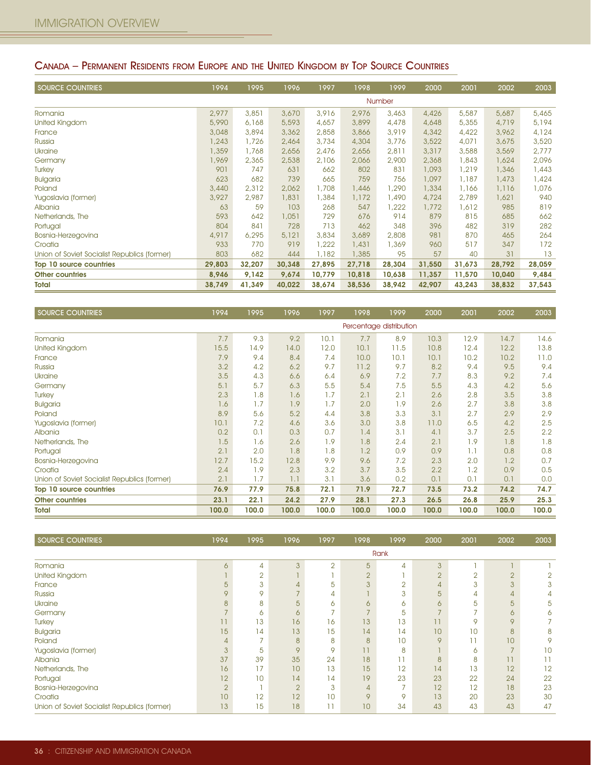## CANADA – PERMANENT RESIDENTS FROM EUROPE AND THE UNITED KINGDOM BY TOP SOURCE COUNTRIES

| <b>SOURCE COUNTRIES</b>                      | 1994   | 1995   | 1996   | 1997   | 1998   | 1999   | 2000   | 2001   | 2002   | 2003   |
|----------------------------------------------|--------|--------|--------|--------|--------|--------|--------|--------|--------|--------|
|                                              |        |        |        |        |        | Number |        |        |        |        |
| Romania                                      | 2,977  | 3,851  | 3,670  | 3,916  | 2,976  | 3,463  | 4,426  | 5,587  | 5,687  | 5,465  |
| United Kingdom                               | 5,990  | 6,168  | 5,593  | 4,657  | 3,899  | 4,478  | 4,648  | 5,355  | 4,719  | 5,194  |
| France                                       | 3,048  | 3,894  | 3,362  | 2,858  | 3,866  | 3,919  | 4,342  | 4,422  | 3,962  | 4,124  |
| Russia                                       | 1,243  | 1,726  | 2,464  | 3,734  | 4,304  | 3,776  | 3,522  | 4,071  | 3,675  | 3,520  |
| Ukraine                                      | 1,359  | 1,768  | 2,656  | 2,476  | 2,656  | 2,811  | 3,317  | 3,588  | 3,569  | 2,777  |
| Germany                                      | 1,969  | 2,365  | 2,538  | 2,106  | 2,066  | 2,900  | 2,368  | 1,843  | 1,624  | 2,096  |
| Turkey                                       | 901    | 747    | 631    | 662    | 802    | 831    | 1,093  | 1,219  | 1,346  | 1,443  |
| <b>Bulgaria</b>                              | 623    | 682    | 739    | 665    | 759    | 756    | 1,097  | 1,187  | 1,473  | 1,424  |
| Poland                                       | 3,440  | 2,312  | 2,062  | 1,708  | 1,446  | 1,290  | 1,334  | 1,166  | 1,116  | 1,076  |
| Yugoslavia (former)                          | 3,927  | 2,987  | 1,831  | 1,384  | 1,172  | 1,490  | 4,724  | 2,789  | 1,621  | 940    |
| Albania                                      | 63     | 59     | 103    | 268    | 547    | 1,222  | 1,772  | 1,612  | 985    | 819    |
| Netherlands, The                             | 593    | 642    | 1,051  | 729    | 676    | 914    | 879    | 815    | 685    | 662    |
| Portugal                                     | 804    | 841    | 728    | 713    | 462    | 348    | 396    | 482    | 319    | 282    |
| Bosnia-Herzegovina                           | 4,917  | 6,295  | 5,121  | 3,834  | 3,689  | 2,808  | 981    | 870    | 465    | 264    |
| Croatia                                      | 933    | 770    | 919    | 1,222  | 1,431  | 1,369  | 960    | 517    | 347    | 172    |
| Union of Soviet Socialist Republics (former) | 803    | 682    | 444    | 1,182  | 1,385  | 95     | 57     | 40     | 31     | 13     |
| Top 10 source countries                      | 29,803 | 32,207 | 30,348 | 27,895 | 27,718 | 28,304 | 31,550 | 31,673 | 28,792 | 28,059 |
| <b>Other countries</b>                       | 8,946  | 9,142  | 9,674  | 10,779 | 10,818 | 10,638 | 11,357 | 11,570 | 10,040 | 9,484  |
| <b>Total</b>                                 | 38,749 | 41,349 | 40,022 | 38,674 | 38,536 | 38,942 | 42,907 | 43,243 | 38,832 | 37,543 |

| <b>SOURCE COUNTRIES</b>                      | 1994  | 1995  | 1996  | 1997  | 1998                    | 1999  | 2000  | 2001  | 2002  | 2003  |
|----------------------------------------------|-------|-------|-------|-------|-------------------------|-------|-------|-------|-------|-------|
|                                              |       |       |       |       | Percentage distribution |       |       |       |       |       |
| Romania                                      | 7.7   | 9.3   | 9.2   | 10.1  | 7.7                     | 8.9   | 10.3  | 12.9  | 14.7  | 14.6  |
| <b>United Kingdom</b>                        | 15.5  | 14.9  | 14.0  | 12.0  | 10.1                    | 11.5  | 10.8  | 12.4  | 12.2  | 13.8  |
| France                                       | 7.9   | 9.4   | 8.4   | 7.4   | 10.0                    | 10.1  | 10.1  | 10.2  | 10.2  | 11.0  |
| Russia                                       | 3.2   | 4.2   | 6.2   | 9.7   | 11.2                    | 9.7   | 8.2   | 9.4   | 9.5   | 9.4   |
| <b>Ukraine</b>                               | 3.5   | 4.3   | 6.6   | 6.4   | 6.9                     | 7.2   | 7.7   | 8.3   | 9.2   | 7.4   |
| Germany                                      | 5.1   | 5.7   | 6,3   | 5.5   | 5.4                     | 7.5   | 5.5   | 4.3   | 4.2   | 5.6   |
| Turkey                                       | 2.3   | 1.8   | 1.6   | 1.7   | 2.1                     | 2.1   | 2.6   | 2.8   | 3.5   | 3.8   |
| <b>Bulgaria</b>                              | 1.6   | 1.7   | 1.9   | 1.7   | 2.0                     | 1.9   | 2.6   | 2.7   | 3.8   | 3.8   |
| Poland                                       | 8.9   | 5.6   | 5.2   | 4.4   | 3.8                     | 3.3   | 3.1   | 2.7   | 2.9   | 2.9   |
| Yugoslavia (former)                          | 10.1  | 7.2   | 4.6   | 3.6   | 3.0                     | 3.8   | 11.0  | 6.5   | 4.2   | 2.5   |
| Albania                                      | 0.2   | 0.1   | 0.3   | 0.7   | 1.4                     | 3.1   | 4.1   | 3.7   | 2.5   | 2.2   |
| Netherlands, The                             | 1.5   | 1.6   | 2.6   | 1.9   | 1.8                     | 2.4   | 2.1   | 1.9   | 1.8   | 1.8   |
| Portugal                                     | 2.1   | 2.0   | 1.8   | 1.8   | 1.2                     | 0.9   | 0.9   | 1.1   | 0.8   | 0.8   |
| Bosnia-Herzegovina                           | 12.7  | 15.2  | 12.8  | 9.9   | 9.6                     | 7.2   | 2.3   | 2.0   | 1.2   | 0.7   |
| Croatia                                      | 2.4   | 1.9   | 2.3   | 3.2   | 3.7                     | 3.5   | 2.2   | 1.2   | 0.9   | 0.5   |
| Union of Soviet Socialist Republics (former) | 2.1   | 1.7   | 1.1   | 3.1   | 3.6                     | 0.2   | 0.1   | 0.1   | 0.1   | 0.0   |
| Top 10 source countries                      | 76.9  | 77.9  | 75.8  | 72.1  | 71.9                    | 72.7  | 73.5  | 73.2  | 74.2  | 74.7  |
| <b>Other countries</b>                       | 23.1  | 22.1  | 24.2  | 27.9  | 28.1                    | 27.3  | 26.5  | 26.8  | 25.9  | 25.3  |
| Total                                        | 100.0 | 100.0 | 100.0 | 100.0 | 100.0                   | 100.0 | 100.0 | 100.0 | 100.0 | 100.0 |

| <b>SOURCE COUNTRIES</b>                      | 1994           | 1995           | 1996           | 1997           | 1998           | 1999 | 2000                     | 2001   | 2002           | 2003 |
|----------------------------------------------|----------------|----------------|----------------|----------------|----------------|------|--------------------------|--------|----------------|------|
|                                              |                |                |                |                |                | Rank |                          |        |                |      |
| Romania                                      | 6              | 4              | 3              | $\overline{2}$ | 5              | 4    | 3                        |        |                |      |
| United Kingdom                               |                | $\overline{2}$ |                |                | $\overline{2}$ |      | $\overline{2}$           | $\sim$ | $\overline{2}$ | 2    |
| France                                       | 5              | 3              |                | 5              | 3              | ∩    | $\overline{4}$           | 3      | 3              | 3    |
| Russia                                       | Q              | 9              |                | 4              |                | 3    | 5                        | 4      | 4              | 4    |
| <b>Ukraine</b>                               | 8              | 8              | 5              | 6              | 6              | Ō    | 6                        | 5      | 5              | 5    |
| Germany                                      |                | 6              | 6              |                |                | 5    | $\overline{\phantom{0}}$ |        | 6              | 6    |
| <b>Turkey</b>                                |                | 13             | 16             | 16             | 13             | 13   | 11                       | 9      | 9              |      |
| <b>Bulgaria</b>                              | 15             | 14             | 13             | 15             | 14             | 14   | 10                       | 10     | 8              | 8    |
| Poland                                       |                |                | 8              | 8              | 8              | 10   | 9                        |        | 10             | 9    |
| Yugoslavia (former)                          |                | 5              | 9              | 9              |                | 8    |                          | 6      |                | 10   |
| Albania                                      | 37             | 39             | 35             | 24             | 18             |      | 8                        | 8      | 11             |      |
| Netherlands, The                             | 16             | 17             | 10             | 13             | 15             | 12   | 14                       | 13     | 12             | 12   |
| Portugal                                     | 12             | 10             | 14             | 14             | 19             | 23   | 23                       | 22     | 24             | 22   |
| Bosnia-Herzegovina                           | $\overline{2}$ |                | $\overline{2}$ | 3              | 4              |      | 12                       | 12     | 18             | 23   |
| Croatia                                      | 10             | 12             | 12             | 10             | 9              | Q    | 13                       | 20     | 23             | 30   |
| Union of Soviet Socialist Republics (former) | 13             | 15             | 18             | ו ו            | 10             | 34   | 43                       | 43     | 43             | 47   |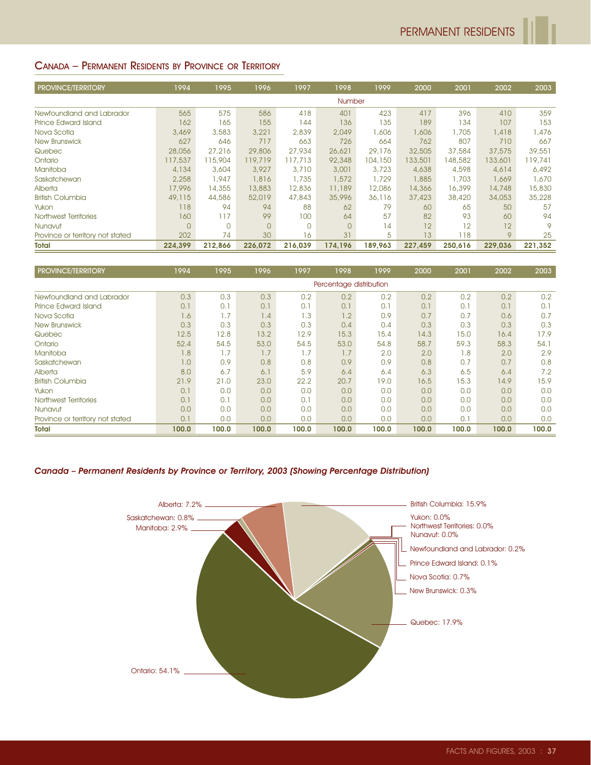## CANADA – PERMANENT RESIDENTS BY PROVINCE OR TERRITORY

| <b>PROVINCE/TERRITORY</b>        | 1994           | 1995    | 1996     | 1997     | 1998           | 1999    | 2000    | 2001    | 2002            | 2003    |
|----------------------------------|----------------|---------|----------|----------|----------------|---------|---------|---------|-----------------|---------|
|                                  |                |         |          |          | <b>Number</b>  |         |         |         |                 |         |
| Newfoundland and Labrador        | 565            | 575     | 586      | 418      | 401            | 423     | 417     | 396     | 410             | 359     |
| Prince Edward Island             | 162            | 165     | 155      | 144      | 136            | 135     | 189     | 134     | 107             | 153     |
| Nova Scotia                      | 3,469          | 3,583   | 3,221    | 2,839    | 2.049          | 606,    | 1,606   | 1,705   | 1,418           | 1,476   |
| <b>New Brunswick</b>             | 627            | 646     | 717      | 663      | 726            | 664     | 762     | 807     | 710             | 667     |
| Quebec                           | 28,056         | 27,216  | 29,806   | 27,934   | 26.621         | 29,176  | 32,505  | 37,584  | 37,575          | 39,551  |
| Ontario                          | 117,537        | 115,904 | 119,719  | 117,713  | 92,348         | 104,150 | 133,501 | 148,582 | 133,601         | 119,741 |
| Manitoba                         | 4,134          | 3,604   | 3,927    | 3,710    | 3,001          | 3,723   | 4,638   | 4,598   | 4,614           | 6,492   |
| Saskatchewan                     | 2,258          | 1,947   | 1,816    | 1,735    | 1,572          | 1,729   | 1,885   | 1,703   | 1,669           | 1,670   |
| Alberta                          | 17,996         | 14,355  | 13,883   | 12,836   | 11,189         | 12,086  | 14,366  | 16,399  | 14,748          | 15,830  |
| <b>British Columbia</b>          | 49,115         | 44,586  | 52,019   | 47,843   | 35,996         | 36,116  | 37,423  | 38,420  | 34,053          | 35,228  |
| Yukon                            | 118            | 94      | 94       | 88       | 62             | 79      | 60      | 65      | 50              | 57      |
| Northwest Territories            | 160            | 117     | 99       | 100      | 64             | 57      | 82      | 93      | 60              | 94      |
| Nunavut                          | $\overline{0}$ |         | $\Omega$ | $\Omega$ | $\overline{0}$ | 14      | 12      | 12      | 12 <sup>1</sup> | 9       |
| Province or territory not stated | 202            | 74      | 30       | 16       | 31             | 5       | 13      | 118     | 9               | 25      |
| <b>Total</b>                     | 224,399        | 212,866 | 226,072  | 216,039  | 174,196        | 189,963 | 227,459 | 250,616 | 229,036         | 221,352 |

| <b>PROVINCE/TERRITORY</b>        | 1994  | 1995  | 1996  | 1997  | 1998                    | 1999  | 2000  | 2001  | 2002  | 2003  |
|----------------------------------|-------|-------|-------|-------|-------------------------|-------|-------|-------|-------|-------|
|                                  |       |       |       |       | Percentage distribution |       |       |       |       |       |
| Newfoundland and Labrador        | 0.3   | 0.3   | 0.3   | 0.2   | 0.2                     | 0.2   | 0.2   | 0.2   | 0.2   | 0.2   |
| Prince Edward Island             | 0.1   | 0.1   | 0.1   | 0.1   | 0.1                     | 0.1   | 0.1   | 0.1   | 0.1   | 0.1   |
| Nova Scotia                      | 1.6   | 1.7   | 1.4   | 1.3   | 1.2                     | 0.9   | 0.7   | 0.7   | 0.6   | 0.7   |
| <b>New Brunswick</b>             | 0.3   | 0.3   | 0.3   | 0.3   | 0.4                     | 0.4   | 0.3   | 0.3   | 0.3   | 0.3   |
| Quebec                           | 12.5  | 12.8  | 13.2  | 12.9  | 15.3                    | 15.4  | 14.3  | 15.0  | 16.4  | 17.9  |
| Ontario                          | 52.4  | 54.5  | 53.0  | 54.5  | 53.0                    | 54.8  | 58.7  | 59.3  | 58.3  | 54.1  |
| Manitoba                         | 1.8   | 1.7   | 1.7   | 1.7   | 1.7                     | 2.0   | 2.0   | 1.8   | 2.0   | 2.9   |
| Saskatchewan                     | 1.0   | 0.9   | 0.8   | 0.8   | 0.9                     | 0.9   | 0.8   | 0.7   | 0.7   | 0.8   |
| Alberta                          | 8.0   | 6.7   | 6.1   | 5.9   | 6.4                     | 6.4   | 6,3   | 6.5   | 6.4   | 7.2   |
| <b>British Columbia</b>          | 21.9  | 21.0  | 23.0  | 22.2  | 20.7                    | 19.0  | 16.5  | 15.3  | 14.9  | 15.9  |
| Yukon                            | 0.1   | 0,0   | 0.0   | 0.0   | 0.0                     | 0,0   | 0,0   | 0.0   | 0.0   | 0.0   |
| Northwest Territories            | 0.1   | 0.1   | 0.0   | 0.1   | 0.0                     | 0,0   | 0.0   | 0.0   | 0.0   | 0.0   |
| Nunavut                          | 0.0   | 0.0   | 0.0   | 0.0   | 0.0                     | 0,0   | 0.0   | 0.0   | 0.0   | 0.0   |
| Province or territory not stated | 0.1   | 0.0   | 0.0   | 0.0   | 0.0                     | 0.0   | 0,0   | 0.1   | 0.0   | 0.0   |
| <b>Total</b>                     | 100.0 | 100.0 | 100.0 | 100.0 | 100.0                   | 100.0 | 100.0 | 100.0 | 100.0 | 100.0 |

#### Canada – Permanent Residents by Province or Territory, 2003 (Showing Percentage Distribution)

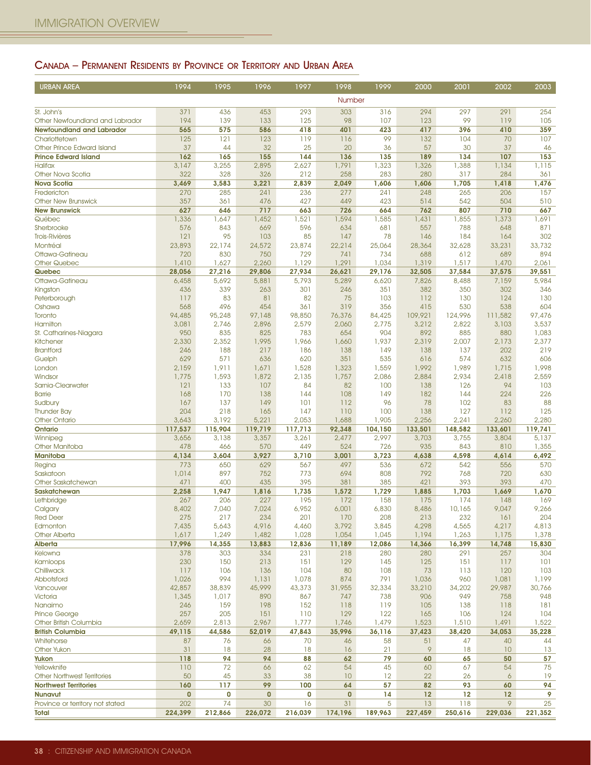## CANADA – PERMANENT RESIDENTS BY PROVINCE OR TERRITORY AND URBAN AREA

| <b>URBAN AREA</b>                                         | 1994            | 1995            | 1996            | 1997            | 1998            | 1999            | 2000             | 2001             | 2002                 | 2003            |
|-----------------------------------------------------------|-----------------|-----------------|-----------------|-----------------|-----------------|-----------------|------------------|------------------|----------------------|-----------------|
|                                                           |                 |                 |                 |                 | Number          |                 |                  |                  |                      |                 |
| St. John's                                                | 371             | 436             | 453             | 293             | 303             | 316             | 294              | 297              | 291                  | 254             |
| Other Newfoundland and Labrador                           | 194             | 139             | 133             | 125             | 98              | 107             | 123              | 99               | 119                  | 105             |
| <b>Newfoundland and Labrador</b>                          | 565             | 575             | 586             | 418             | 401             | 423             | 417              | 396              | 410                  | 359             |
| Charlottetown                                             | 125             | 121             | 123             | 119             | 116             | 99              | 132              | 104              | 70                   | 107             |
| Other Prince Edward Island<br><b>Prince Edward Island</b> | 37<br>162       | 44<br>165       | 32<br>155       | 25<br>144       | 20<br>136       | 36<br>135       | 57<br>189        | 30<br>134        | 37<br>107            | 46<br>153       |
| <b>Halifax</b>                                            | 3,147           | 3,255           | 2,895           | 2,627           | 1,791           | 1,323           | 1,326            | 1,388            | 1,134                | 1,115           |
| Other Nova Scotia                                         | 322             | 328             | 326             | 212             | 258             | 283             | 280              | 317              | 284                  | 361             |
| <b>Nova Scotia</b>                                        | 3,469           | 3,583           | 3,221           | 2,839           | 2,049           | 1,606           | 1,606            | 1,705            | 1,418                | 1,476           |
| Fredericton                                               | 270             | 285             | 241             | 236             | 277             | 241             | 248              | 265              | 206                  | 157             |
| <b>Other New Brunswick</b><br><b>New Brunswick</b>        | 357<br>627      | 361<br>646      | 476<br>717      | 427<br>663      | 449<br>726      | 423<br>664      | 514<br>762       | 542<br>807       | 504<br>710           | 510<br>667      |
| Québec                                                    | 1,336           | 1,647           | 1,452           | 1,521           | 1,594           | 1,585           | 1,431            | 1,855            | 1,373                | 1,691           |
| Sherbrooke                                                | 576             | 843             | 669             | 596             | 634             | 681             | 557              | 788              | 648                  | 871             |
| <b>Trois-Rivières</b>                                     | 121             | 95              | 103             | 85              | 147             | 78              | 146              | 184              | 164                  | 302             |
| Montréal                                                  | 23,893          | 22,174          | 24,572          | 23,874          | 22,214          | 25,064          | 28,364           | 32,628           | 33,231               | 33,732          |
| Ottawa-Gatineau<br><b>Other Quebec</b>                    | 720             | 830             | 750             | 729             | 741<br>1,291    | 734             | 688              | 612              | 689                  | 894<br>2,061    |
| Quebec                                                    | 1,410<br>28,056 | 1,627<br>27,216 | 2,260<br>29,806 | 1,129<br>27,934 | 26,621          | 1,034<br>29,176 | 1,319<br>32,505  | 1,517<br>37,584  | 1,470<br>37,575      | 39,551          |
| Ottawa-Gatineau                                           | 6,458           | 5,692           | 5,881           | 5,793           | 5,289           | 6,620           | 7,826            | 8,488            | 7,159                | 5,984           |
| Kingston                                                  | 436             | 339             | 263             | 301             | 246             | 351             | 382              | 350              | 302                  | 346             |
| Peterborough                                              | 117             | 83              | 81              | 82              | 75              | 103             | 112              | 130              | 124                  | 130             |
| Oshawa                                                    | 568             | 496             | 454             | 361             | 319             | 356             | 415              | 530              | 538                  | 604             |
| Toronto<br>Hamilton                                       | 94,485<br>3,081 | 95,248<br>2,746 | 97,148<br>2,896 | 98,850<br>2,579 | 76,376<br>2,060 | 84,425<br>2,775 | 109,921<br>3,212 | 124,996<br>2,822 | 111,582<br>3,103     | 97,476<br>3,537 |
| St. Catharines-Niagara                                    | 950             | 835             | 825             | 783             | 654             | 904             | 892              | 885              | 880                  | 1,083           |
| Kitchener                                                 | 2,330           | 2,352           | 1,995           | 1,966           | 1,660           | 1,937           | 2,319            | 2,007            | 2,173                | 2,377           |
| <b>Brantford</b>                                          | 246             | 188             | 217             | 186             | 138             | 149             | 138              | 137              | 202                  | 219             |
| Guelph                                                    | 629             | 571             | 636             | 620             | 351             | 535             | 616<br>1,992     | 574<br>1,989     | 632                  | 606<br>1,998    |
| London<br>Windsor                                         | 2,159<br>1,775  | 1,911<br>1,593  | 1,671<br>1,872  | 1,528<br>2,135  | 1,323<br>1,757  | 1,559<br>2,086  | 2,884            | 2,934            | 1,715<br>2,418       | 2,559           |
| Sarnia-Clearwater                                         | 121             | 133             | 107             | 84              | 82              | 100             | 138              | 126              | 94                   | 103             |
| <b>Barrie</b>                                             | 168             | 170             | 138             | 144             | 108             | 149             | 182              | 144              | 224                  | 226             |
| Sudbury                                                   | 167             | 137             | 149             | 101             | 112             | 96              | 78               | 102              | 83                   | 88              |
| <b>Thunder Bay</b><br><b>Other Ontario</b>                | 204<br>3,643    | 218<br>3,192    | 165<br>5,221    | 147<br>2,053    | 110<br>1,688    | 100<br>1,905    | 138<br>2,256     | 127<br>2,241     | 112<br>2,260         | 125<br>2,280    |
| Ontario                                                   | 117,537         | 115,904         | 119,719         | 117,713         | 92,348          | 104,150         | 133,501          | 148,582          | 133,601              | 119,741         |
| Winnipeg                                                  | 3,656           | 3,138           | 3,357           | 3,261           | 2,477           | 2,997           | 3,703            | 3,755            | 3,804                | 5,137           |
| <b>Other Manitoba</b>                                     | 478             | 466             | 570             | 449             | 524             | 726             | 935              | 843              | 810                  | 1,355           |
| Manitoba                                                  | 4,134           | 3,604           | 3,927           | 3,710           | 3,001           | 3,723           | 4,638            | 4,598            | 4,614                | 6,492           |
| Regina<br>Saskatoon                                       | 773<br>1,014    | 650<br>897      | 629<br>752      | 567<br>773      | 497<br>694      | 536<br>808      | 672<br>792       | 542<br>768       | 556<br>720           | 570<br>630      |
| Other Saskatchewan                                        | 471             | 400             | 435             | 395             | 381             | 385             | 421              | 393              | 393                  | 470             |
| Saskatchewan                                              | 2,258           | 1,947           | 1,816           | 1,735           | 1,572           | 1,729           | 1,885            | 1,703            | 1,669                | 1,670           |
| Lethbridge                                                | 267             | 206             | 227             | 195             | 172             | 158             | 175              | 174              | 148                  | 169             |
| Calgary                                                   | 8,402           | 7,040           | 7,024           | 6,952           | 6,001           | 6,830           | 8,486            | 10,165           | 9,047                | 9,266           |
| <b>Red Deer</b><br>Edmonton                               | 275<br>7,435    | 217<br>5,643    | 234<br>4,916    | 201<br>4,460    | 170<br>3,792    | 208<br>3,845    | 213<br>4,298     | 232<br>4,565     | 161<br>4,217         | 204<br>4,813    |
| <b>Other Alberta</b>                                      | 1,617           | 1,249           | 1,482           | 1,028           | 1,054           | 1,045           | 1,194            | 1,263            | 1,175                | 1,378           |
| <b>Alberta</b>                                            | 17,996          | 14,355          | 13,883          | 12,836          | 11,189          | 12,086          | 14,366           | 16,399           | 14,748               | 15,830          |
| Kelowna                                                   | 378             | 303             | 334             | 231             | 218             | 280             | 280              | 291              | 257                  | 304             |
| Kamloops                                                  | 230             | 150             | 213             | 151             | 129             | 145             | 125              | 151              | 117                  | 101             |
| Chilliwack<br>Abbotsford                                  | 117<br>1,026    | 106<br>994      | 136<br>1,131    | 104<br>1,078    | 80<br>874       | 108<br>791      | 73<br>1,036      | 113<br>960       | 120<br>1,081         | 103<br>1,199    |
| Vancouver                                                 | 42,857          | 38,839          | 45,999          | 43,373          | 31,955          | 32,334          | 33,210           | 34,202           | 29,987               | 30,766          |
| Victoria                                                  | 1,345           | 1,017           | 890             | 867             | 747             | 738             | 906              | 949              | 758                  | 948             |
| Nanaimo                                                   | 246             | 159             | 198             | 152             | 118             | 119             | 105              | 138              | 118                  | 181             |
| <b>Prince George</b>                                      | 257             | 205             | 151             | 110             | 129             | 122             | 165              | 106              | 124                  | 104             |
| Other British Columbia<br><b>British Columbia</b>         | 2,659<br>49,115 | 2,813<br>44,586 | 2,967<br>52,019 | 1,777<br>47,843 | 1,746<br>35,996 | 1,479<br>36,116 | 1,523<br>37,423  | 1,510<br>38,420  | 1,491<br>34,053      | 1,522<br>35,228 |
| Whitehorse                                                | 87              | 76              | 66              | 70              | 46              | 58              | 51               | 47               | 40                   | 44              |
| <b>Other Yukon</b>                                        | 31              | 18              | 28              | 18              | 16              | 21              | 9                | 18               | 10                   | 13              |
| Yukon                                                     | 118             | 94              | 94              | 88              | 62              | 79              | 60               | 65               | 50                   | 57              |
| Yellowknife                                               | 110             | 72              | 66              | 62              | 54              | 45              | 60               | 67               | 54                   | 75              |
| <b>Other Northwest Territories</b>                        | 50<br>160       | 45<br>117       | 33<br>99        | 38<br>100       | 10<br>64        | 12<br>57        | 22<br>82         | 26<br>93         | $\ddot{\circ}$<br>60 | 19<br>94        |
| <b>Northwest Territories</b><br><b>Nunavut</b>            | $\bf{0}$        | 0               | $\pmb{0}$       | 0               | $\mathbf 0$     | 14              | 12               | 12               | 12                   | 9               |
| Province or territory not stated                          | 202             | 74              | 30              | 16              | 31              | 5               | 13               | 118              | 9                    | 25              |
| Total                                                     | 224,399         | 212,866         | 226,072         | 216,039         | 174,196         | 189,963         | 227,459          | 250,616          | 229,036              | 221,352         |
|                                                           |                 |                 |                 |                 |                 |                 |                  |                  |                      |                 |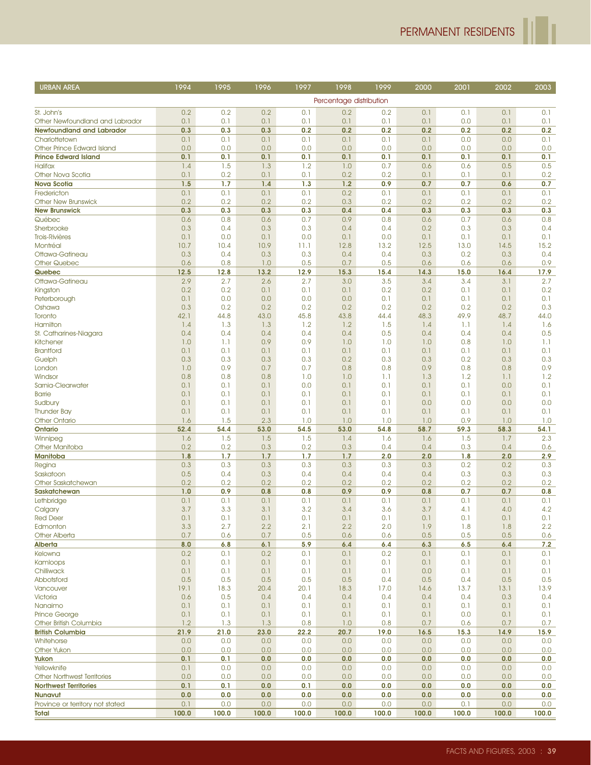| <b>URBAN AREA</b>                      | 1994       | 1995       | 1996       | 1997       | 1998                    | 1999       | 2000       | 2001       | 2002       | 2003       |
|----------------------------------------|------------|------------|------------|------------|-------------------------|------------|------------|------------|------------|------------|
|                                        |            |            |            |            | Percentage distribution |            |            |            |            |            |
| St. John's                             | 0.2        | 0.2        | 0.2        | 0.1        | 0.2                     | 0.2        | 0.1        | 0.1        | 0.1        | 0.1        |
| Other Newfoundland and Labrador        | 0.1        | 0.1        | 0.1        | 0.1        | 0.1                     | 0.1        | 0.1        | 0.0        | 0.1        | 0.1        |
| <b>Newfoundland and Labrador</b>       | 0.3        | 0.3        | 0.3        | 0.2        | 0.2                     | 0.2        | 0.2        | 0.2        | 0.2        | 0.2        |
| Charlottetown                          | 0.1        | 0.1        | 0.1        | 0.1        | 0.1                     | 0.1        | 0.1        | 0.0        | 0.0        | 0.1        |
| Other Prince Edward Island             | 0.0        | 0.0        | 0.0        | 0.0        | 0.0                     | 0.0        | 0.0        | 0.0        | 0.0        | 0.0        |
| <b>Prince Edward Island</b>            | 0.1        | 0.1        | 0.1        | 0.1        | 0.1                     | 0.1        | 0.1        | 0.1        | 0.1        | 0.1        |
| <b>Halifax</b>                         | 1.4        | 1.5        | 1.3        | 1.2        | 1.0                     | 0.7        | 0.6        | 0.6        | 0.5        | 0.5        |
| Other Nova Scotia                      | 0.1        | 0.2        | 0.1        | 0.1        | 0.2                     | 0.2        | 0.1        | 0.1        | 0.1        | 0.2        |
| <b>Nova Scotia</b>                     | 1.5        | 1.7        | 1.4        | 1.3        | 1.2                     | 0.9        | 0.7        | 0.7        | 0.6        | 0.7        |
| Fredericton                            | 0.1        | 0.1        | 0.1        | 0.1        | 0.2                     | 0.1        | 0.1        | 0.1        | 0.1        | 0.1        |
| <b>Other New Brunswick</b>             | 0.2        | 0.2        | 0.2        | 0.2        | 0.3                     | 0.2        | 0.2        | 0.2        | 0.2        | 0.2        |
| <b>New Brunswick</b>                   | 0.3<br>0.6 | 0.3<br>0.8 | 0.3        | 0.3<br>0.7 | 0.4<br>0.9              | 0.4<br>0.8 | 0.3        | 0.3<br>0.7 | 0.3<br>0.6 | 0.3<br>0.8 |
| Québec<br>Sherbrooke                   | 0.3        | 0.4        | 0.6<br>0.3 | 0.3        | 0.4                     | 0.4        | 0.6<br>0.2 | 0.3        | 0.3        | 0.4        |
| <b>Trois-Rivières</b>                  | 0.1        | 0.0        | 0.1        | 0.0        | 0.1                     | 0.0        | 0.1        | 0.1        | 0.1        | 0.1        |
| Montréal                               | 10.7       | 10.4       | 10.9       | 11.1       | 12.8                    | 13.2       | 12.5       | 13.0       | 14.5       | 15.2       |
| Ottawa-Gatineau                        | 0.3        | 0.4        | 0.3        | 0.3        | 0.4                     | 0.4        | 0.3        | 0.2        | 0.3        | 0.4        |
| <b>Other Quebec</b>                    | 0.6        | 0.8        | 1.0        | 0.5        | 0.7                     | 0.5        | 0.6        | 0.6        | 0.6        | 0.9        |
| Quebec                                 | 12.5       | 12.8       | 13.2       | 12.9       | 15.3                    | 15.4       | 14.3       | 15.0       | 16.4       | 17.9       |
| Ottawa-Gatineau                        | 2.9        | 2.7        | 2.6        | 2.7        | 3.0                     | 3.5        | 3.4        | 3.4        | 3.1        | 2.7        |
| Kingston                               | 0.2        | 0.2        | 0.1        | 0.1        | 0.1                     | 0.2        | 0.2        | 0.1        | 0.1        | 0.2        |
| Peterborough                           | 0.1        | 0.0        | 0.0        | 0.0        | 0.0                     | 0.1        | 0.1        | 0.1        | 0.1        | 0.1        |
| Oshawa                                 | 0.3        | 0.2        | 0.2        | 0.2        | 0.2                     | 0.2        | 0.2        | 0.2        | 0.2        | 0.3        |
| Toronto<br>Hamilton                    | 42.1       | 44.8       | 43.0       | 45.8       | 43.8                    | 44.4       | 48.3       | 49.9       | 48.7       | 44.0       |
| St. Catharines-Niagara                 | 1.4<br>0.4 | 1.3<br>0.4 | 1.3<br>0.4 | 1.2<br>0.4 | 1.2<br>0.4              | 1.5<br>0.5 | 1.4<br>0.4 | 1.1<br>0.4 | 1.4<br>0.4 | 1.6<br>0.5 |
| Kitchener                              | 1.0        | 1.1        | 0.9        | 0.9        | 1.0                     | 1.0        | 1.0        | 0.8        | 1.0        | 1.1        |
| <b>Brantford</b>                       | 0.1        | 0.1        | 0.1        | 0.1        | 0.1                     | 0.1        | 0.1        | 0.1        | 0.1        | 0.1        |
| Guelph                                 | 0.3        | 0.3        | 0.3        | 0.3        | 0.2                     | 0.3        | 0.3        | 0.2        | 0.3        | 0.3        |
| London                                 | 1.0        | 0.9        | 0.7        | 0.7        | 0.8                     | 0.8        | 0.9        | 0.8        | 0.8        | 0.9        |
| Windsor                                | 0.8        | 0.8        | 0.8        | 1.0        | 1.0                     | 1.1        | 1.3        | 1.2        | 1.1        | 1.2        |
| Sarnia-Clearwater                      | 0.1        | 0.1        | 0.1        | 0.0        | 0.1                     | 0.1        | 0.1        | 0.1        | 0.0        | 0.1        |
| <b>Barrie</b>                          | 0.1        | 0.1        | 0.1        | 0.1        | 0.1                     | 0.1        | 0.1        | 0.1        | 0.1        | 0.1        |
| Sudbury                                | 0.1        | 0.1        | 0.1        | 0.1        | 0.1                     | 0.1        | 0.0        | 0.0        | 0.0        | 0.0        |
| <b>Thunder Bay</b>                     | 0.1<br>1.6 | 0.1<br>1.5 | 0.1<br>2.3 | 0.1<br>1.0 | 0.1<br>1.0              | 0.1<br>1.0 | 0.1<br>1.0 | 0.1<br>0.9 | 0.1<br>1.0 | 0.1<br>1.0 |
| <b>Other Ontario</b><br><b>Ontario</b> | 52.4       | 54.4       | 53.0       | 54.5       | 53.0                    | 54.8       | 58.7       | 59.3       | 58.3       | 54.1       |
| Winnipeg                               | 1.6        | 1.5        | 1.5        | 1.5        | 1.4                     | 1.6        | 1.6        | 1.5        | 1.7        | 2.3        |
| <b>Other Manitoba</b>                  | 0.2        | 0.2        | 0.3        | 0.2        | 0.3                     | 0.4        | 0.4        | 0.3        | 0.4        | 0.6        |
| Manitoba                               | 1.8        | 1.7        | 1.7        | 1.7        | 1.7                     | 2.0        | 2.0        | 1.8        | 2.0        | 2.9        |
| Regina                                 | 0.3        | 0.3        | 0.3        | 0.3        | 0.3                     | 0.3        | 0.3        | 0.2        | 0.2        | 0.3        |
| Saskatoon                              | 0.5        | 0.4        | 0.3        | 0.4        | 0.4                     | 0.4        | 0.4        | 0.3        | 0.3        | 0.3        |
| Other Saskatchewan                     | 0.2        | 0.2        | 0.2        | 0.2        | 0.2                     | 0.2        | 0.2        | 0.2        | 0.2        | 0.2        |
| <b>Saskatchewan</b>                    | 1.0        | 0.9        | 0.8        | 0.8        | 0.9                     | 0.9        | 0.8        | 0.7        | 0.7        | 0.8        |
| Lethbridge                             | 0.1        | 0.1        | 0.1        | 0.1        | 0.1                     | 0.1        | 0.1        | 0.1        | 0.1        | 0.1        |
| Calgary<br><b>Red Deer</b>             | 3.7<br>0.1 | 3.3<br>0.1 | 3.1<br>0.1 | 3.2<br>0.1 | 3.4<br>0.1              | 3.6<br>0.1 | 3.7<br>0.1 | 4.1<br>0.1 | 4.0<br>0.1 | 4.2<br>0.1 |
| Edmonton                               | 3.3        | 2.7        | 2.2        | 2.1        | 2.2                     | 2.0        | 1.9        | 1.8        | 1.8        | 2.2        |
| <b>Other Alberta</b>                   | 0.7        | 0.6        | 0.7        | 0.5        | 0.6                     | 0.6        | 0.5        | 0.5        | 0.5        | 0.6        |
| Alberta                                | 8.0        | 6.8        | 6.1        | 5.9        | 6.4                     | 6.4        | 6.3        | 6.5        | 6.4        | 7.2        |
| Kelowna                                | 0.2        | 0.1        | 0.2        | 0.1        | 0.1                     | 0.2        | 0.1        | 0.1        | 0.1        | 0.1        |
| Kamloops                               | 0.1        | 0.1        | 0.1        | 0.1        | 0.1                     | 0.1        | 0.1        | 0.1        | 0.1        | 0.1        |
| Chilliwack                             | 0.1        | 0.1        | 0.1        | 0.1        | 0.1                     | 0.1        | 0.0        | 0.1        | 0.1        | 0.1        |
| Abbotsford                             | 0.5        | 0.5        | 0.5        | 0.5        | 0.5                     | 0.4        | 0.5        | 0.4        | 0.5        | 0.5        |
| Vancouver                              | 19.1       | 18.3       | 20.4       | 20.1       | 18.3                    | 17.0       | 14.6       | 13.7       | 13.1       | 13.9       |
| Victoria                               | 0.6        | 0.5        | 0.4        | 0.4        | 0.4                     | 0.4        | 0.4        | 0.4        | 0.3        | 0.4        |
| Nanaimo<br>Prince George               | 0.1<br>0.1 | 0.1<br>0.1 | 0.1        | 0.1<br>0.1 | 0.1                     | 0.1<br>0.1 | 0.1        | 0.1<br>0.0 | 0.1        | 0.1<br>0.1 |
| Other British Columbia                 | 1.2        | 1.3        | 0.1<br>1.3 | 0.8        | 0.1<br>1.0              | 0.8        | 0.1<br>0.7 | 0.6        | 0.1<br>0.7 | 0.7        |
| <b>British Columbia</b>                | 21.9       | 21.0       | 23.0       | 22.2       | 20.7                    | 19.0       | 16.5       | 15.3       | 14.9       | 15.9       |
| Whitehorse                             | 0.0        | 0.0        | 0.0        | 0.0        | 0.0                     | 0.0        | 0.0        | 0.0        | 0.0        | 0.0        |
| <b>Other Yukon</b>                     | 0.0        | 0.0        | 0.0        | 0.0        | 0.0                     | 0.0        | 0.0        | 0.0        | 0.0        | 0.0        |
| Yukon                                  | 0.1        | 0.1        | 0.0        | 0.0        | 0.0                     | 0.0        | 0.0        | 0.0        | 0.0        | 0.0        |
| Yellowknife                            | 0.1        | 0.0        | 0.0        | 0.0        | 0.0                     | 0.0        | 0.0        | 0.0        | 0.0        | 0.0        |
| <b>Other Northwest Territories</b>     | 0.0        | 0.0        | 0.0        | 0.0        | 0.0                     | 0.0        | 0.0        | 0.0        | 0.0        | 0.0        |
| <b>Northwest Territories</b>           | 0.1        | 0.1        | 0.0        | 0.1        | 0.0                     | 0.0        | 0.0        | 0.0        | 0.0        | 0.0        |
| <b>Nunavut</b>                         | 0.0        | 0.0        | 0.0        | 0.0        | 0.0                     | 0.0        | 0.0        | 0.0        | 0.0        | 0.0        |
| Province or territory not stated       | 0.1        | 0.0        | 0.0        | 0.0        | 0.0                     | 0.0        | 0.0        | 0.1        | 0.0        | 0.0        |
| Total                                  | 100.0      | 100.0      | 100.0      | 100.0      | 100.0                   | 100.0      | 100.0      | 100.0      | 100.0      | 100.0      |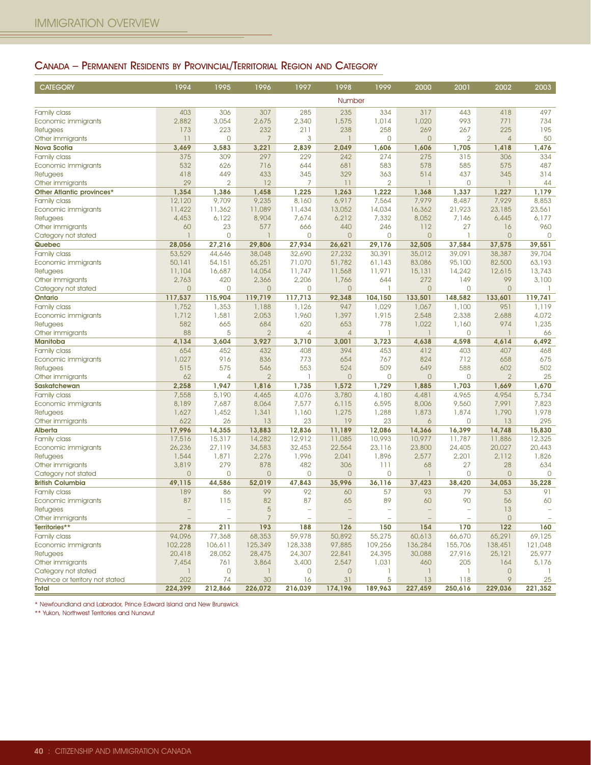## CANADA – PERMANENT RESIDENTS BY PROVINCIAL/TERRITORIAL REGION AND CATEGORY

| <b>CATEGORY</b>                        | 1994           | 1995           | 1996                  | 1997                     | 1998           | 1999           | 2000           | 2001           | 2002           | 2003           |
|----------------------------------------|----------------|----------------|-----------------------|--------------------------|----------------|----------------|----------------|----------------|----------------|----------------|
|                                        |                |                |                       |                          | Number         |                |                |                |                |                |
| Family class                           | 403            | 306            | 307                   | 285                      | 235            | 334            | 317            | 443            | 418            | 497            |
| Economic immigrants                    | 2,882          | 3,054          | 2,675                 | 2,340                    | 1,575          | 1,014          | 1,020          | 993            | 771            | 734            |
| <b>Refugees</b>                        | 173            | 223            | 232                   | 211                      | 238            | 258            | 269            | 267            | 225            | 195            |
| Other immigrants                       | 11             | $\Omega$       | $\overline{7}$        | 3                        |                | 0              | $\overline{0}$ | 2              | $\overline{4}$ | 50             |
| <b>Nova Scotia</b>                     | 3,469          | 3,583          | 3,221                 | 2,839                    | 2,049          | 1,606          | 1,606          | 1,705          | 1,418          | 1,476          |
| Family class                           | 375            | 309            | 297                   | 229                      | 242            | 274            | 275            | 315            | 306            | 334            |
| Economic immigrants                    | 532            | 626            | 716                   | 644                      | 681            | 583            | 578            | 585            | 575            | 487            |
| <b>Refugees</b>                        | 418            | 449            | 433                   | 345                      | 329            | 363            | 514            | 437            | 345            | 314            |
| Other immigrants                       | 29             | $\overline{2}$ | 12                    | 7                        | 11             | $\overline{2}$ | ı.             | $\mathbf{0}$   | 1              | 44             |
| Other Atlantic provinces*              | 1,354          | 1,386          | 1,458                 | 1,225                    | 1,263          | 1,222          | 1,368          | 1,337          | 1,227          | 1,179          |
| <b>Family class</b>                    | 12,120         | 9,709          | 9,235                 | 8,160                    | 6,917          | 7,564          | 7,979          | 8,487          | 7,929          | 8,853          |
| Economic immigrants                    | 11,422         | 11,362         | 11,089                | 11,434                   | 13,052         | 14,034         | 16,362         | 21,923         | 23,185         | 23,561         |
| <b>Refugees</b>                        | 4,453          | 6,122          | 8,904                 | 7,674                    | 6,212          | 7,332          | 8,052          | 7,146          | 6,445          | 6,177          |
| Other immigrants                       | 60             | 23             | 577                   | 666                      | 440            | 246            | 112            | 27             | 16             | 960            |
| Category not stated                    | $\mathbf{1}$   | $\mathbf 0$    | $\mathbf{1}$          | $\mathbf{0}$             | $\overline{0}$ | $\mathbf 0$    | $\overline{0}$ | $\mathbf{1}$   | $\overline{0}$ | $\overline{0}$ |
| Quebec                                 | 28,056         | 27,216         | 29,806                | 27,934                   | 26,621         | 29,176         | 32,505         | 37,584         | 37,575         | 39,551         |
| Family class                           | 53,529         | 44,646         | 38,048                | 32,690                   | 27,232         | 30,391         | 35,012         | 39,091         | 38,387         | 39,704         |
| Economic immigrants                    | 50,141         | 54,151         | 65,251                | 71,070                   | 51,782         | 61,143         | 83,086         | 95,100         | 82,500         | 63,193         |
| Refugees                               | 11,104         | 16,687         | 14,054                | 11,747                   | 11,568         | 11,971         | 15,131         | 14,242         | 12,615         | 13,743         |
| Other immigrants                       | 2,763          | 420            | 2,366                 | 2,206                    | 1,766          | 644            | 272            | 149            | 99             | 3,100          |
| Category not stated                    | $\overline{0}$ | $\overline{0}$ | $\mathbf 0$           | 0                        | $\circ$        | $\mathbf{I}$   | $\overline{0}$ | $\overline{0}$ | $\overline{0}$ | -1             |
| Ontario                                | 117,537        | 115,904        | 119,719               | 117,713                  | 92,348         | 104,150        | 133,501        | 148,582        | 133,601        | 119,741        |
| Family class                           | 1,752          | 1,353          | 1,188                 | 1,126                    | 947            | 1,029          | 1,067          | 1,100          | 951            | 1,119          |
| Economic immigrants                    | 1,712          | 1,581          | 2,053                 | 1,960                    | 1,397          | 1,915          | 2,548          | 2,338          | 2,688          | 4,072          |
| <b>Refugees</b>                        | 582            | 665            | 684                   | 620                      | 653            | 778            | 1,022          | 1,160          | 974            | 1,235          |
| Other immigrants                       | 88             | 5              | $\overline{2}$        | $\overline{4}$           | $\overline{4}$ |                | $\mathbf{1}$   | $\overline{0}$ |                | 66             |
| <b>Manitoba</b>                        | 4,134          | 3,604          | 3,927                 | 3,710                    | 3,001          | 3,723          | 4,638          | 4,598          | 4,614          | 6,492          |
| Family class                           | 654            | 452            | 432                   | 408                      | 394            | 453            | 412            | 403            | 407            | 468            |
| Economic immigrants                    | 1,027          | 916            | 836                   | 773                      | 654            | 767            | 824            | 712            | 658            | 675            |
| <b>Refugees</b>                        | 515            | 575            | 546<br>$\overline{2}$ | 553                      | 524            | 509<br>0       | 649            | 588<br>0       | 602            | 502            |
| Other immigrants                       | 62             | 4              |                       |                          | $\overline{0}$ |                | $\overline{0}$ |                | $\overline{2}$ | 25             |
| Saskatchewan<br>Family class           | 2,258<br>7,558 | 1,947<br>5,190 | 1,816<br>4,465        | 1,735<br>4,076           | 1,572<br>3,780 | 1,729<br>4,180 | 1,885<br>4,481 | 1,703<br>4,965 | 1,669<br>4,954 | 1,670<br>5,734 |
|                                        | 8,189          | 7,687          | 8,064                 | 7,577                    | 6,115          | 6,595          | 8,006          | 9,560          | 7,991          | 7,823          |
| Economic immigrants<br><b>Refugees</b> | 1,627          | 1,452          | 1,341                 | 1,160                    | 1,275          | 1,288          | 1,873          | 1,874          | 1,790          | 1,978          |
| Other immigrants                       | 622            | 26             | 13                    | 23                       | 19             | 23             | 6              | $\overline{0}$ | 13             | 295            |
| <b>Alberta</b>                         | 17,996         | 14,355         | 13,883                | 12,836                   | 11,189         | 12,086         | 14,366         | 16,399         | 14,748         | 15,830         |
| Family class                           | 17,516         | 15,317         | 14,282                | 12,912                   | 11,085         | 10,993         | 10,977         | 11,787         | 11,886         | 12,325         |
| Economic immigrants                    | 26,236         | 27,119         | 34,583                | 32,453                   | 22,564         | 23,116         | 23,800         | 24,405         | 20,027         | 20,443         |
| <b>Refugees</b>                        | 1,544          | 1,871          | 2,276                 | 1,996                    | 2,041          | 1,896          | 2,577          | 2,201          | 2,112          | 1,826          |
| Other immigrants                       | 3,819          | 279            | 878                   | 482                      | 306            | 111            | 68             | 27             | 28             | 634            |
| Category not stated                    | $\overline{0}$ | $\mathbf{O}$   | $\overline{0}$        | 0                        | $\circ$        | 0              | $\mathbf{1}$   | $\overline{0}$ | $\overline{0}$ | $\overline{0}$ |
| <b>British Columbia</b>                | 49,115         | 44,586         | 52,019                | 47,843                   | 35,996         | 36,116         | 37,423         | 38,420         | 34,053         | 35.228         |
| Family class                           | 189            | 86             | 99                    | 92                       | 60             | 57             | 93             | 79             | 53             | 91             |
| Economic immigrants                    | 87             | 115            | 82                    | 87                       | 65             | 89             | 60             | 90             | 56             | 60             |
| <b>Refugees</b>                        |                |                | 5                     | à.                       |                |                |                |                | 13             |                |
| Other immigrants                       |                |                | $\overline{7}$        | $\overline{\phantom{a}}$ |                |                |                |                | $\overline{0}$ |                |
| Territories**                          | 278            | 211            | 193                   | 188                      | 126            | 150            | 154            | 170            | 122            | 160            |
| Family class                           | 94,096         | 77,368         | 68,353                | 59,978                   | 50,892         | 55,275         | 60,613         | 66,670         | 65,291         | 69,125         |
| Economic immigrants                    | 102,228        | 106,611        | 125,349               | 128,338                  | 97,885         | 109,256        | 136,284        | 155,706        | 138,451        | 121,048        |
| <b>Refugees</b>                        | 20,418         | 28,052         | 28,475                | 24,307                   | 22,841         | 24,395         | 30,088         | 27,916         | 25,121         | 25,977         |
| Other immigrants                       | 7,454          | 761            | 3,864                 | 3,400                    | 2,547          | 1,031          | 460            | 205            | 164            | 5,176          |
| Category not stated                    | -1             | $\circ$        | -1                    | 0                        | $\mathbf{0}$   |                | -1             | -1             | 0              |                |
| Province or territory not stated       | 202            | 74             | 30                    | 16                       | 31             | 5              | 13             | 118            | 9              | 25             |
| Total                                  | 224,399        | 212,866        | 226,072               | 216,039                  | 174,196        | 189,963        | 227,459        | 250,616        | 229,036        | 221,352        |

\* Newfoundland and Labrador, Prince Edward Island and New Brunswick

\*\* Yukon, Northwest Territories and Nunavut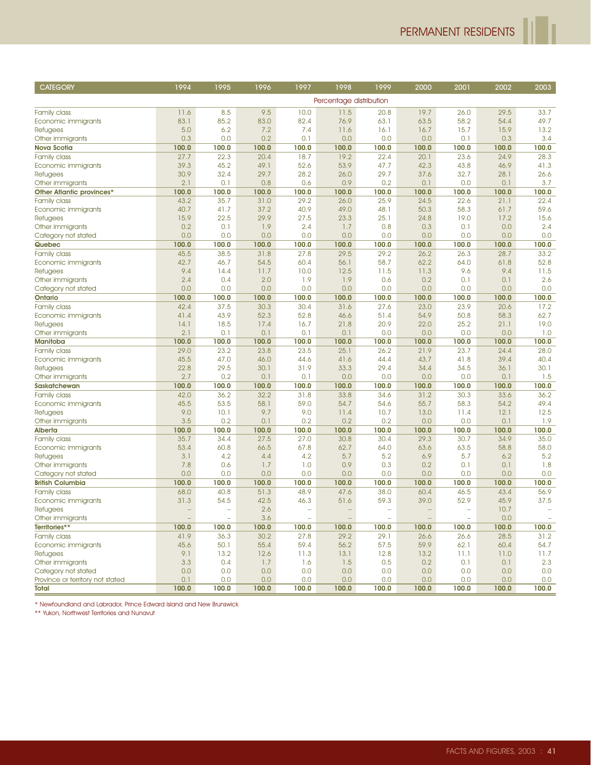| Percentage distribution<br>11.6<br>8.5<br>9.5<br>10.0<br>11.5<br>20.8<br>19.7<br>26.0<br>29.5<br>33.7<br><b>Family class</b><br>83.1<br>85.2<br>83.0<br>82.4<br>76.9<br>63.1<br>63.5<br>58.2<br>54.4<br>49.7<br>Economic immigrants<br>5.0<br>6.2<br>7.2<br>7.4<br>11.6<br>16.1<br>15.7<br>15.9<br>13.2<br><b>Refugees</b><br>16.7<br>0.3<br>0.0<br>0.2<br>0.1<br>0.0<br>0.0<br>0.0<br>0.1<br>0.3<br>3.4<br>Other immigrants<br>100.0<br>100.0<br>100.0<br>100.0<br>100.0<br>100.0<br>100.0<br>100.0<br>100.0<br><b>Nova Scotia</b><br>100.0<br>27.7<br>22.3<br>19.2<br>23.6<br>28.3<br>20.4<br>18.7<br>22.4<br>20.1<br>24.9<br><b>Family class</b><br>41.3<br>39.3<br>45.2<br>49.1<br>52.6<br>53.9<br>47.7<br>42.3<br>43.8<br>46.9<br>Economic immigrants<br>30.9<br>32.4<br>29.7<br>28.2<br>29.7<br>37.6<br>32.7<br>28.1<br>26.6<br>26.0<br><b>Refugees</b><br>2.1<br>0.1<br>0.0<br>0.8<br>0.6<br>0.9<br>0.2<br>0.1<br>0.1<br>3.7<br>Other immigrants<br>100.0<br>100.0<br>100.0<br>100.0<br>100.0<br>100.0<br>100.0<br>100.0<br>100.0<br>100.0<br>Other Atlantic provinces*<br>43.2<br>35.7<br>31.0<br>29.2<br>26.0<br>25.9<br>24.5<br>22.6<br>21.1<br>22.4<br><b>Family class</b><br>40.7<br>41.7<br>37.2<br>40.9<br>49.0<br>48.1<br>50.3<br>58.3<br>61.7<br>59.6<br>Economic immigrants<br>15.9<br>22.5<br>29.9<br>27.5<br>23.3<br>25.1<br>24.8<br>19.0<br>17.2<br>15.6<br><b>Refugees</b><br>0.2<br>0.1<br>1.9<br>2.4<br>0.8<br>0.1<br>0.0<br>2.4<br>Other immigrants<br>1.7<br>0.3<br>0.0<br>0.0<br>0.0<br>0.0<br>0.0<br>0.0<br>0.0<br>0.0<br>0.0<br>0.0<br>Category not stated<br>100.0<br>100.0<br>100.0<br>100.0<br>100.0<br>100.0<br>100.0<br>100.0<br>100.0<br>100.0<br>Quebec<br>45.5<br>38.5<br>31.8<br>27.8<br>29.5<br>29.2<br>26.2<br>28.7<br>33.2<br>26.3<br><b>Family class</b><br>42.7<br>46.7<br>54.5<br>60.4<br>56.1<br>58.7<br>62.2<br>64.0<br>61.8<br>52.8<br>Economic immigrants<br>9.4<br>9.4<br>14.4<br>11.7<br>10.0<br>12.5<br>11.3<br>9.6<br>11.5<br>11.5<br><b>Refugees</b><br>2.6<br>2.4<br>0.4<br>2.0<br>1.9<br>1.9<br>0.6<br>0.2<br>0.1<br>0.1<br>Other immigrants<br>0.0<br>0.0<br>0.0<br>0.0<br>0.0<br>0.0<br>0.0<br>0.0<br>0.0<br>0.0<br>Category not stated<br>100.0<br>100.0<br>100.0<br>100.0<br>100.0<br>100.0<br>100.0<br>100.0<br>100.0<br>100.0<br><b>Ontario</b><br>42.4<br>37.5<br>30.3<br>30.4<br>31.6<br>27.6<br>23.0<br>23.9<br>20.6<br>17.2<br><b>Family class</b><br>41.4<br>43.9<br>52.3<br>52.8<br>51.4<br>54.9<br>50.8<br>58.3<br>62.7<br>Economic immigrants<br>46.6<br>18.5<br>21.8<br>20.9<br>22.0<br>25.2<br>19.0<br>14.1<br>17.4<br>16.7<br>21.1<br><b>Refugees</b><br>2.1<br>0.1<br>0.1<br>0.0<br>0.0<br>0.0<br>1.0<br>0.1<br>0.1<br>0.0<br>Other immigrants<br>100.0<br>100.0<br>100.0<br>100.0<br>100.0<br>100.0<br>100.0<br>100.0<br>100.0<br>100.0<br><b>Manitoba</b><br>29.0<br>23.2<br>28.0<br>23.8<br>23.5<br>25.1<br>26.2<br>21.9<br>23.7<br>24.4<br><b>Family class</b><br>40.4<br>45.5<br>47.0<br>46.0<br>44.6<br>41.6<br>44.4<br>43.7<br>41.8<br>39.4<br>Economic immigrants<br>29.5<br>31.9<br>29.4<br>30.1<br>22.8<br>30.1<br>33.3<br>34.4<br>34.5<br>36.1<br><b>Refugees</b><br>2.7<br>0.2<br>0.1<br>0.1<br>0.0<br>1.5<br>0.0<br>0.0<br>0.0<br>0.1<br>Other immigrants<br>100.0<br>100.0<br>100.0<br>100.0<br>100.0<br>100.0<br>100.0<br>100.0<br>100.0<br>100.0<br><b>Saskatchewan</b><br>33.6<br>36.2<br>42.0<br>36.2<br>32.2<br>31.8<br>33.8<br>34.6<br>31.2<br>30.3<br><b>Family class</b><br>45.5<br>53.5<br>58.1<br>59.0<br>54.7<br>54.6<br>55.7<br>58.3<br>54.2<br>49.4<br>Economic immigrants<br>9.0<br>10.1<br>9.7<br>9.0<br>10.7<br>11.4<br>12.1<br>12.5<br>11.4<br>13.0<br><b>Refugees</b><br>3.5<br>0.2<br>0.2<br>0.2<br>0.2<br>0.0<br>0.0<br>0.1<br>1.9<br>0.1<br>Other immigrants<br>100.0<br>100.0<br>100.0<br>100.0<br>100.0<br>100.0<br>100.0<br>100.0<br>100.0<br>100.0<br><b>Alberta</b><br>35.7<br>27.5<br>30.8<br>29.3<br>30.7<br>34.9<br>35.0<br>34.4<br>27.0<br>30.4<br><b>Family class</b><br>53.4<br>60.8<br>66.5<br>67.8<br>62.7<br>64.0<br>63.5<br>58.8<br>58.0<br>Economic immigrants<br>63.6<br>3.1<br>4.2<br>4.4<br>4.2<br>5.7<br>5.2<br>6.9<br>5.7<br>6.2<br>5.2<br><b>Refugees</b><br>7.8<br>0.6<br>1.0<br>0.9<br>0.3<br>0.1<br>0.1<br>1.8<br>1.7<br>0.2<br>Other immigrants<br>0.0<br>0.0<br>0.0<br>0.0<br>0.0<br>0.0<br>0.0<br>0.0<br>0.0<br>0.0<br>Category not stated<br>100.0<br>100.0<br>100.0<br>100.0<br>100.0<br>100.0<br>100.0<br>100.0<br>100.0<br>100.0<br><b>British Columbia</b><br>68.0<br>40.8<br>51.3<br>48.9<br>47.6<br>38.0<br>46.5<br>43.4<br>56.9<br><b>Family class</b><br>60.4<br>31.3<br>54.5<br>42.5<br>46.3<br>59.3<br>39.0<br>52.9<br>45.9<br>37.5<br>Economic immigrants<br>51.6<br>2.6<br>10.7<br><b>Refugees</b><br>÷,<br>$\overline{\phantom{a}}$<br>L,<br>۰<br>Other immigrants<br>3.6<br>$\overline{\phantom{a}}$<br>$\equiv$<br>$\equiv$<br>0.0<br>$\overline{\phantom{a}}$<br>$\overline{\phantom{a}}$<br>$\overline{\phantom{a}}$<br>$\overline{\phantom{a}}$<br>$\sim$<br>Territories**<br>100.0<br>100.0<br>100.0<br>100.0<br>100.0<br>100.0<br>100.0<br>100.0<br>100.0<br>100.0<br>31.2<br>41.9<br>36.3<br>30.2<br>27.8<br>29.2<br>29.1<br>26.6<br>28.5<br>Family class<br>26.6<br>Economic immigrants<br>45.6<br>50.1<br>55.4<br>59.4<br>56.2<br>57.5<br>59.9<br>62.1<br>54.7<br>60.4<br>11.7<br>9.1<br>13.2<br>12.6<br>11.3<br>12.8<br>13.2<br>11.1<br>Refugees<br>13.1<br>11.0<br>Other immigrants<br>3.3<br>0.4<br>1.7<br>1.6<br>1.5<br>0.5<br>0.2<br>0.1<br>0.1<br>2.3<br>Category not stated<br>0.0<br>0.0<br>0.0<br>0.0<br>0.0<br>0.0<br>0.0<br>0.0<br>0.0<br>0.0<br>Province or territory not stated<br>0.1<br>0.0<br>0.0<br>0.0<br>0.0<br>0.0<br>0.0<br>0.0<br>0.0<br>0.0<br>Total<br>100.0<br>100.0<br>100.0<br>100.0<br>100.0<br>100.0<br>100.0<br>100.0<br>100.0<br>100.0 | <b>CATEGORY</b> | 1994 | 1995 | 1996 | 1997 | 1998 | 1999 | 2000 | 2001 | 2002 | 2003 |
|--------------------------------------------------------------------------------------------------------------------------------------------------------------------------------------------------------------------------------------------------------------------------------------------------------------------------------------------------------------------------------------------------------------------------------------------------------------------------------------------------------------------------------------------------------------------------------------------------------------------------------------------------------------------------------------------------------------------------------------------------------------------------------------------------------------------------------------------------------------------------------------------------------------------------------------------------------------------------------------------------------------------------------------------------------------------------------------------------------------------------------------------------------------------------------------------------------------------------------------------------------------------------------------------------------------------------------------------------------------------------------------------------------------------------------------------------------------------------------------------------------------------------------------------------------------------------------------------------------------------------------------------------------------------------------------------------------------------------------------------------------------------------------------------------------------------------------------------------------------------------------------------------------------------------------------------------------------------------------------------------------------------------------------------------------------------------------------------------------------------------------------------------------------------------------------------------------------------------------------------------------------------------------------------------------------------------------------------------------------------------------------------------------------------------------------------------------------------------------------------------------------------------------------------------------------------------------------------------------------------------------------------------------------------------------------------------------------------------------------------------------------------------------------------------------------------------------------------------------------------------------------------------------------------------------------------------------------------------------------------------------------------------------------------------------------------------------------------------------------------------------------------------------------------------------------------------------------------------------------------------------------------------------------------------------------------------------------------------------------------------------------------------------------------------------------------------------------------------------------------------------------------------------------------------------------------------------------------------------------------------------------------------------------------------------------------------------------------------------------------------------------------------------------------------------------------------------------------------------------------------------------------------------------------------------------------------------------------------------------------------------------------------------------------------------------------------------------------------------------------------------------------------------------------------------------------------------------------------------------------------------------------------------------------------------------------------------------------------------------------------------------------------------------------------------------------------------------------------------------------------------------------------------------------------------------------------------------------------------------------------------------------------------------------------------------------------------------------------------------------------------------------------------------------------------------------------------------------------------------------------------------------------------------------------------------------------------------------------------------------------------------------------------------------------------------------------------------------------------------------------------------------------------------------------------------------------------------------------------------------------------------------------------------------------------------------------------------------------------------------------------------------------------------------------------------------------------------------------------------------------------------------------------------------------------------------------------------------------------------------------------------------------------------------------------------------------------------------------------------------------------------------------------------------------------------------------------------|-----------------|------|------|------|------|------|------|------|------|------|------|
|                                                                                                                                                                                                                                                                                                                                                                                                                                                                                                                                                                                                                                                                                                                                                                                                                                                                                                                                                                                                                                                                                                                                                                                                                                                                                                                                                                                                                                                                                                                                                                                                                                                                                                                                                                                                                                                                                                                                                                                                                                                                                                                                                                                                                                                                                                                                                                                                                                                                                                                                                                                                                                                                                                                                                                                                                                                                                                                                                                                                                                                                                                                                                                                                                                                                                                                                                                                                                                                                                                                                                                                                                                                                                                                                                                                                                                                                                                                                                                                                                                                                                                                                                                                                                                                                                                                                                                                                                                                                                                                                                                                                                                                                                                                                                                                                                                                                                                                                                                                                                                                                                                                                                                                                                                                                                                                                                                                                                                                                                                                                                                                                                                                                                                                                                                                                                                      |                 |      |      |      |      |      |      |      |      |      |      |
|                                                                                                                                                                                                                                                                                                                                                                                                                                                                                                                                                                                                                                                                                                                                                                                                                                                                                                                                                                                                                                                                                                                                                                                                                                                                                                                                                                                                                                                                                                                                                                                                                                                                                                                                                                                                                                                                                                                                                                                                                                                                                                                                                                                                                                                                                                                                                                                                                                                                                                                                                                                                                                                                                                                                                                                                                                                                                                                                                                                                                                                                                                                                                                                                                                                                                                                                                                                                                                                                                                                                                                                                                                                                                                                                                                                                                                                                                                                                                                                                                                                                                                                                                                                                                                                                                                                                                                                                                                                                                                                                                                                                                                                                                                                                                                                                                                                                                                                                                                                                                                                                                                                                                                                                                                                                                                                                                                                                                                                                                                                                                                                                                                                                                                                                                                                                                                      |                 |      |      |      |      |      |      |      |      |      |      |
|                                                                                                                                                                                                                                                                                                                                                                                                                                                                                                                                                                                                                                                                                                                                                                                                                                                                                                                                                                                                                                                                                                                                                                                                                                                                                                                                                                                                                                                                                                                                                                                                                                                                                                                                                                                                                                                                                                                                                                                                                                                                                                                                                                                                                                                                                                                                                                                                                                                                                                                                                                                                                                                                                                                                                                                                                                                                                                                                                                                                                                                                                                                                                                                                                                                                                                                                                                                                                                                                                                                                                                                                                                                                                                                                                                                                                                                                                                                                                                                                                                                                                                                                                                                                                                                                                                                                                                                                                                                                                                                                                                                                                                                                                                                                                                                                                                                                                                                                                                                                                                                                                                                                                                                                                                                                                                                                                                                                                                                                                                                                                                                                                                                                                                                                                                                                                                      |                 |      |      |      |      |      |      |      |      |      |      |
|                                                                                                                                                                                                                                                                                                                                                                                                                                                                                                                                                                                                                                                                                                                                                                                                                                                                                                                                                                                                                                                                                                                                                                                                                                                                                                                                                                                                                                                                                                                                                                                                                                                                                                                                                                                                                                                                                                                                                                                                                                                                                                                                                                                                                                                                                                                                                                                                                                                                                                                                                                                                                                                                                                                                                                                                                                                                                                                                                                                                                                                                                                                                                                                                                                                                                                                                                                                                                                                                                                                                                                                                                                                                                                                                                                                                                                                                                                                                                                                                                                                                                                                                                                                                                                                                                                                                                                                                                                                                                                                                                                                                                                                                                                                                                                                                                                                                                                                                                                                                                                                                                                                                                                                                                                                                                                                                                                                                                                                                                                                                                                                                                                                                                                                                                                                                                                      |                 |      |      |      |      |      |      |      |      |      |      |
|                                                                                                                                                                                                                                                                                                                                                                                                                                                                                                                                                                                                                                                                                                                                                                                                                                                                                                                                                                                                                                                                                                                                                                                                                                                                                                                                                                                                                                                                                                                                                                                                                                                                                                                                                                                                                                                                                                                                                                                                                                                                                                                                                                                                                                                                                                                                                                                                                                                                                                                                                                                                                                                                                                                                                                                                                                                                                                                                                                                                                                                                                                                                                                                                                                                                                                                                                                                                                                                                                                                                                                                                                                                                                                                                                                                                                                                                                                                                                                                                                                                                                                                                                                                                                                                                                                                                                                                                                                                                                                                                                                                                                                                                                                                                                                                                                                                                                                                                                                                                                                                                                                                                                                                                                                                                                                                                                                                                                                                                                                                                                                                                                                                                                                                                                                                                                                      |                 |      |      |      |      |      |      |      |      |      |      |
|                                                                                                                                                                                                                                                                                                                                                                                                                                                                                                                                                                                                                                                                                                                                                                                                                                                                                                                                                                                                                                                                                                                                                                                                                                                                                                                                                                                                                                                                                                                                                                                                                                                                                                                                                                                                                                                                                                                                                                                                                                                                                                                                                                                                                                                                                                                                                                                                                                                                                                                                                                                                                                                                                                                                                                                                                                                                                                                                                                                                                                                                                                                                                                                                                                                                                                                                                                                                                                                                                                                                                                                                                                                                                                                                                                                                                                                                                                                                                                                                                                                                                                                                                                                                                                                                                                                                                                                                                                                                                                                                                                                                                                                                                                                                                                                                                                                                                                                                                                                                                                                                                                                                                                                                                                                                                                                                                                                                                                                                                                                                                                                                                                                                                                                                                                                                                                      |                 |      |      |      |      |      |      |      |      |      |      |
|                                                                                                                                                                                                                                                                                                                                                                                                                                                                                                                                                                                                                                                                                                                                                                                                                                                                                                                                                                                                                                                                                                                                                                                                                                                                                                                                                                                                                                                                                                                                                                                                                                                                                                                                                                                                                                                                                                                                                                                                                                                                                                                                                                                                                                                                                                                                                                                                                                                                                                                                                                                                                                                                                                                                                                                                                                                                                                                                                                                                                                                                                                                                                                                                                                                                                                                                                                                                                                                                                                                                                                                                                                                                                                                                                                                                                                                                                                                                                                                                                                                                                                                                                                                                                                                                                                                                                                                                                                                                                                                                                                                                                                                                                                                                                                                                                                                                                                                                                                                                                                                                                                                                                                                                                                                                                                                                                                                                                                                                                                                                                                                                                                                                                                                                                                                                                                      |                 |      |      |      |      |      |      |      |      |      |      |
|                                                                                                                                                                                                                                                                                                                                                                                                                                                                                                                                                                                                                                                                                                                                                                                                                                                                                                                                                                                                                                                                                                                                                                                                                                                                                                                                                                                                                                                                                                                                                                                                                                                                                                                                                                                                                                                                                                                                                                                                                                                                                                                                                                                                                                                                                                                                                                                                                                                                                                                                                                                                                                                                                                                                                                                                                                                                                                                                                                                                                                                                                                                                                                                                                                                                                                                                                                                                                                                                                                                                                                                                                                                                                                                                                                                                                                                                                                                                                                                                                                                                                                                                                                                                                                                                                                                                                                                                                                                                                                                                                                                                                                                                                                                                                                                                                                                                                                                                                                                                                                                                                                                                                                                                                                                                                                                                                                                                                                                                                                                                                                                                                                                                                                                                                                                                                                      |                 |      |      |      |      |      |      |      |      |      |      |
|                                                                                                                                                                                                                                                                                                                                                                                                                                                                                                                                                                                                                                                                                                                                                                                                                                                                                                                                                                                                                                                                                                                                                                                                                                                                                                                                                                                                                                                                                                                                                                                                                                                                                                                                                                                                                                                                                                                                                                                                                                                                                                                                                                                                                                                                                                                                                                                                                                                                                                                                                                                                                                                                                                                                                                                                                                                                                                                                                                                                                                                                                                                                                                                                                                                                                                                                                                                                                                                                                                                                                                                                                                                                                                                                                                                                                                                                                                                                                                                                                                                                                                                                                                                                                                                                                                                                                                                                                                                                                                                                                                                                                                                                                                                                                                                                                                                                                                                                                                                                                                                                                                                                                                                                                                                                                                                                                                                                                                                                                                                                                                                                                                                                                                                                                                                                                                      |                 |      |      |      |      |      |      |      |      |      |      |
|                                                                                                                                                                                                                                                                                                                                                                                                                                                                                                                                                                                                                                                                                                                                                                                                                                                                                                                                                                                                                                                                                                                                                                                                                                                                                                                                                                                                                                                                                                                                                                                                                                                                                                                                                                                                                                                                                                                                                                                                                                                                                                                                                                                                                                                                                                                                                                                                                                                                                                                                                                                                                                                                                                                                                                                                                                                                                                                                                                                                                                                                                                                                                                                                                                                                                                                                                                                                                                                                                                                                                                                                                                                                                                                                                                                                                                                                                                                                                                                                                                                                                                                                                                                                                                                                                                                                                                                                                                                                                                                                                                                                                                                                                                                                                                                                                                                                                                                                                                                                                                                                                                                                                                                                                                                                                                                                                                                                                                                                                                                                                                                                                                                                                                                                                                                                                                      |                 |      |      |      |      |      |      |      |      |      |      |
|                                                                                                                                                                                                                                                                                                                                                                                                                                                                                                                                                                                                                                                                                                                                                                                                                                                                                                                                                                                                                                                                                                                                                                                                                                                                                                                                                                                                                                                                                                                                                                                                                                                                                                                                                                                                                                                                                                                                                                                                                                                                                                                                                                                                                                                                                                                                                                                                                                                                                                                                                                                                                                                                                                                                                                                                                                                                                                                                                                                                                                                                                                                                                                                                                                                                                                                                                                                                                                                                                                                                                                                                                                                                                                                                                                                                                                                                                                                                                                                                                                                                                                                                                                                                                                                                                                                                                                                                                                                                                                                                                                                                                                                                                                                                                                                                                                                                                                                                                                                                                                                                                                                                                                                                                                                                                                                                                                                                                                                                                                                                                                                                                                                                                                                                                                                                                                      |                 |      |      |      |      |      |      |      |      |      |      |
|                                                                                                                                                                                                                                                                                                                                                                                                                                                                                                                                                                                                                                                                                                                                                                                                                                                                                                                                                                                                                                                                                                                                                                                                                                                                                                                                                                                                                                                                                                                                                                                                                                                                                                                                                                                                                                                                                                                                                                                                                                                                                                                                                                                                                                                                                                                                                                                                                                                                                                                                                                                                                                                                                                                                                                                                                                                                                                                                                                                                                                                                                                                                                                                                                                                                                                                                                                                                                                                                                                                                                                                                                                                                                                                                                                                                                                                                                                                                                                                                                                                                                                                                                                                                                                                                                                                                                                                                                                                                                                                                                                                                                                                                                                                                                                                                                                                                                                                                                                                                                                                                                                                                                                                                                                                                                                                                                                                                                                                                                                                                                                                                                                                                                                                                                                                                                                      |                 |      |      |      |      |      |      |      |      |      |      |
|                                                                                                                                                                                                                                                                                                                                                                                                                                                                                                                                                                                                                                                                                                                                                                                                                                                                                                                                                                                                                                                                                                                                                                                                                                                                                                                                                                                                                                                                                                                                                                                                                                                                                                                                                                                                                                                                                                                                                                                                                                                                                                                                                                                                                                                                                                                                                                                                                                                                                                                                                                                                                                                                                                                                                                                                                                                                                                                                                                                                                                                                                                                                                                                                                                                                                                                                                                                                                                                                                                                                                                                                                                                                                                                                                                                                                                                                                                                                                                                                                                                                                                                                                                                                                                                                                                                                                                                                                                                                                                                                                                                                                                                                                                                                                                                                                                                                                                                                                                                                                                                                                                                                                                                                                                                                                                                                                                                                                                                                                                                                                                                                                                                                                                                                                                                                                                      |                 |      |      |      |      |      |      |      |      |      |      |
|                                                                                                                                                                                                                                                                                                                                                                                                                                                                                                                                                                                                                                                                                                                                                                                                                                                                                                                                                                                                                                                                                                                                                                                                                                                                                                                                                                                                                                                                                                                                                                                                                                                                                                                                                                                                                                                                                                                                                                                                                                                                                                                                                                                                                                                                                                                                                                                                                                                                                                                                                                                                                                                                                                                                                                                                                                                                                                                                                                                                                                                                                                                                                                                                                                                                                                                                                                                                                                                                                                                                                                                                                                                                                                                                                                                                                                                                                                                                                                                                                                                                                                                                                                                                                                                                                                                                                                                                                                                                                                                                                                                                                                                                                                                                                                                                                                                                                                                                                                                                                                                                                                                                                                                                                                                                                                                                                                                                                                                                                                                                                                                                                                                                                                                                                                                                                                      |                 |      |      |      |      |      |      |      |      |      |      |
|                                                                                                                                                                                                                                                                                                                                                                                                                                                                                                                                                                                                                                                                                                                                                                                                                                                                                                                                                                                                                                                                                                                                                                                                                                                                                                                                                                                                                                                                                                                                                                                                                                                                                                                                                                                                                                                                                                                                                                                                                                                                                                                                                                                                                                                                                                                                                                                                                                                                                                                                                                                                                                                                                                                                                                                                                                                                                                                                                                                                                                                                                                                                                                                                                                                                                                                                                                                                                                                                                                                                                                                                                                                                                                                                                                                                                                                                                                                                                                                                                                                                                                                                                                                                                                                                                                                                                                                                                                                                                                                                                                                                                                                                                                                                                                                                                                                                                                                                                                                                                                                                                                                                                                                                                                                                                                                                                                                                                                                                                                                                                                                                                                                                                                                                                                                                                                      |                 |      |      |      |      |      |      |      |      |      |      |
|                                                                                                                                                                                                                                                                                                                                                                                                                                                                                                                                                                                                                                                                                                                                                                                                                                                                                                                                                                                                                                                                                                                                                                                                                                                                                                                                                                                                                                                                                                                                                                                                                                                                                                                                                                                                                                                                                                                                                                                                                                                                                                                                                                                                                                                                                                                                                                                                                                                                                                                                                                                                                                                                                                                                                                                                                                                                                                                                                                                                                                                                                                                                                                                                                                                                                                                                                                                                                                                                                                                                                                                                                                                                                                                                                                                                                                                                                                                                                                                                                                                                                                                                                                                                                                                                                                                                                                                                                                                                                                                                                                                                                                                                                                                                                                                                                                                                                                                                                                                                                                                                                                                                                                                                                                                                                                                                                                                                                                                                                                                                                                                                                                                                                                                                                                                                                                      |                 |      |      |      |      |      |      |      |      |      |      |
|                                                                                                                                                                                                                                                                                                                                                                                                                                                                                                                                                                                                                                                                                                                                                                                                                                                                                                                                                                                                                                                                                                                                                                                                                                                                                                                                                                                                                                                                                                                                                                                                                                                                                                                                                                                                                                                                                                                                                                                                                                                                                                                                                                                                                                                                                                                                                                                                                                                                                                                                                                                                                                                                                                                                                                                                                                                                                                                                                                                                                                                                                                                                                                                                                                                                                                                                                                                                                                                                                                                                                                                                                                                                                                                                                                                                                                                                                                                                                                                                                                                                                                                                                                                                                                                                                                                                                                                                                                                                                                                                                                                                                                                                                                                                                                                                                                                                                                                                                                                                                                                                                                                                                                                                                                                                                                                                                                                                                                                                                                                                                                                                                                                                                                                                                                                                                                      |                 |      |      |      |      |      |      |      |      |      |      |
|                                                                                                                                                                                                                                                                                                                                                                                                                                                                                                                                                                                                                                                                                                                                                                                                                                                                                                                                                                                                                                                                                                                                                                                                                                                                                                                                                                                                                                                                                                                                                                                                                                                                                                                                                                                                                                                                                                                                                                                                                                                                                                                                                                                                                                                                                                                                                                                                                                                                                                                                                                                                                                                                                                                                                                                                                                                                                                                                                                                                                                                                                                                                                                                                                                                                                                                                                                                                                                                                                                                                                                                                                                                                                                                                                                                                                                                                                                                                                                                                                                                                                                                                                                                                                                                                                                                                                                                                                                                                                                                                                                                                                                                                                                                                                                                                                                                                                                                                                                                                                                                                                                                                                                                                                                                                                                                                                                                                                                                                                                                                                                                                                                                                                                                                                                                                                                      |                 |      |      |      |      |      |      |      |      |      |      |
|                                                                                                                                                                                                                                                                                                                                                                                                                                                                                                                                                                                                                                                                                                                                                                                                                                                                                                                                                                                                                                                                                                                                                                                                                                                                                                                                                                                                                                                                                                                                                                                                                                                                                                                                                                                                                                                                                                                                                                                                                                                                                                                                                                                                                                                                                                                                                                                                                                                                                                                                                                                                                                                                                                                                                                                                                                                                                                                                                                                                                                                                                                                                                                                                                                                                                                                                                                                                                                                                                                                                                                                                                                                                                                                                                                                                                                                                                                                                                                                                                                                                                                                                                                                                                                                                                                                                                                                                                                                                                                                                                                                                                                                                                                                                                                                                                                                                                                                                                                                                                                                                                                                                                                                                                                                                                                                                                                                                                                                                                                                                                                                                                                                                                                                                                                                                                                      |                 |      |      |      |      |      |      |      |      |      |      |
|                                                                                                                                                                                                                                                                                                                                                                                                                                                                                                                                                                                                                                                                                                                                                                                                                                                                                                                                                                                                                                                                                                                                                                                                                                                                                                                                                                                                                                                                                                                                                                                                                                                                                                                                                                                                                                                                                                                                                                                                                                                                                                                                                                                                                                                                                                                                                                                                                                                                                                                                                                                                                                                                                                                                                                                                                                                                                                                                                                                                                                                                                                                                                                                                                                                                                                                                                                                                                                                                                                                                                                                                                                                                                                                                                                                                                                                                                                                                                                                                                                                                                                                                                                                                                                                                                                                                                                                                                                                                                                                                                                                                                                                                                                                                                                                                                                                                                                                                                                                                                                                                                                                                                                                                                                                                                                                                                                                                                                                                                                                                                                                                                                                                                                                                                                                                                                      |                 |      |      |      |      |      |      |      |      |      |      |
|                                                                                                                                                                                                                                                                                                                                                                                                                                                                                                                                                                                                                                                                                                                                                                                                                                                                                                                                                                                                                                                                                                                                                                                                                                                                                                                                                                                                                                                                                                                                                                                                                                                                                                                                                                                                                                                                                                                                                                                                                                                                                                                                                                                                                                                                                                                                                                                                                                                                                                                                                                                                                                                                                                                                                                                                                                                                                                                                                                                                                                                                                                                                                                                                                                                                                                                                                                                                                                                                                                                                                                                                                                                                                                                                                                                                                                                                                                                                                                                                                                                                                                                                                                                                                                                                                                                                                                                                                                                                                                                                                                                                                                                                                                                                                                                                                                                                                                                                                                                                                                                                                                                                                                                                                                                                                                                                                                                                                                                                                                                                                                                                                                                                                                                                                                                                                                      |                 |      |      |      |      |      |      |      |      |      |      |
|                                                                                                                                                                                                                                                                                                                                                                                                                                                                                                                                                                                                                                                                                                                                                                                                                                                                                                                                                                                                                                                                                                                                                                                                                                                                                                                                                                                                                                                                                                                                                                                                                                                                                                                                                                                                                                                                                                                                                                                                                                                                                                                                                                                                                                                                                                                                                                                                                                                                                                                                                                                                                                                                                                                                                                                                                                                                                                                                                                                                                                                                                                                                                                                                                                                                                                                                                                                                                                                                                                                                                                                                                                                                                                                                                                                                                                                                                                                                                                                                                                                                                                                                                                                                                                                                                                                                                                                                                                                                                                                                                                                                                                                                                                                                                                                                                                                                                                                                                                                                                                                                                                                                                                                                                                                                                                                                                                                                                                                                                                                                                                                                                                                                                                                                                                                                                                      |                 |      |      |      |      |      |      |      |      |      |      |
|                                                                                                                                                                                                                                                                                                                                                                                                                                                                                                                                                                                                                                                                                                                                                                                                                                                                                                                                                                                                                                                                                                                                                                                                                                                                                                                                                                                                                                                                                                                                                                                                                                                                                                                                                                                                                                                                                                                                                                                                                                                                                                                                                                                                                                                                                                                                                                                                                                                                                                                                                                                                                                                                                                                                                                                                                                                                                                                                                                                                                                                                                                                                                                                                                                                                                                                                                                                                                                                                                                                                                                                                                                                                                                                                                                                                                                                                                                                                                                                                                                                                                                                                                                                                                                                                                                                                                                                                                                                                                                                                                                                                                                                                                                                                                                                                                                                                                                                                                                                                                                                                                                                                                                                                                                                                                                                                                                                                                                                                                                                                                                                                                                                                                                                                                                                                                                      |                 |      |      |      |      |      |      |      |      |      |      |
|                                                                                                                                                                                                                                                                                                                                                                                                                                                                                                                                                                                                                                                                                                                                                                                                                                                                                                                                                                                                                                                                                                                                                                                                                                                                                                                                                                                                                                                                                                                                                                                                                                                                                                                                                                                                                                                                                                                                                                                                                                                                                                                                                                                                                                                                                                                                                                                                                                                                                                                                                                                                                                                                                                                                                                                                                                                                                                                                                                                                                                                                                                                                                                                                                                                                                                                                                                                                                                                                                                                                                                                                                                                                                                                                                                                                                                                                                                                                                                                                                                                                                                                                                                                                                                                                                                                                                                                                                                                                                                                                                                                                                                                                                                                                                                                                                                                                                                                                                                                                                                                                                                                                                                                                                                                                                                                                                                                                                                                                                                                                                                                                                                                                                                                                                                                                                                      |                 |      |      |      |      |      |      |      |      |      |      |
|                                                                                                                                                                                                                                                                                                                                                                                                                                                                                                                                                                                                                                                                                                                                                                                                                                                                                                                                                                                                                                                                                                                                                                                                                                                                                                                                                                                                                                                                                                                                                                                                                                                                                                                                                                                                                                                                                                                                                                                                                                                                                                                                                                                                                                                                                                                                                                                                                                                                                                                                                                                                                                                                                                                                                                                                                                                                                                                                                                                                                                                                                                                                                                                                                                                                                                                                                                                                                                                                                                                                                                                                                                                                                                                                                                                                                                                                                                                                                                                                                                                                                                                                                                                                                                                                                                                                                                                                                                                                                                                                                                                                                                                                                                                                                                                                                                                                                                                                                                                                                                                                                                                                                                                                                                                                                                                                                                                                                                                                                                                                                                                                                                                                                                                                                                                                                                      |                 |      |      |      |      |      |      |      |      |      |      |
|                                                                                                                                                                                                                                                                                                                                                                                                                                                                                                                                                                                                                                                                                                                                                                                                                                                                                                                                                                                                                                                                                                                                                                                                                                                                                                                                                                                                                                                                                                                                                                                                                                                                                                                                                                                                                                                                                                                                                                                                                                                                                                                                                                                                                                                                                                                                                                                                                                                                                                                                                                                                                                                                                                                                                                                                                                                                                                                                                                                                                                                                                                                                                                                                                                                                                                                                                                                                                                                                                                                                                                                                                                                                                                                                                                                                                                                                                                                                                                                                                                                                                                                                                                                                                                                                                                                                                                                                                                                                                                                                                                                                                                                                                                                                                                                                                                                                                                                                                                                                                                                                                                                                                                                                                                                                                                                                                                                                                                                                                                                                                                                                                                                                                                                                                                                                                                      |                 |      |      |      |      |      |      |      |      |      |      |
|                                                                                                                                                                                                                                                                                                                                                                                                                                                                                                                                                                                                                                                                                                                                                                                                                                                                                                                                                                                                                                                                                                                                                                                                                                                                                                                                                                                                                                                                                                                                                                                                                                                                                                                                                                                                                                                                                                                                                                                                                                                                                                                                                                                                                                                                                                                                                                                                                                                                                                                                                                                                                                                                                                                                                                                                                                                                                                                                                                                                                                                                                                                                                                                                                                                                                                                                                                                                                                                                                                                                                                                                                                                                                                                                                                                                                                                                                                                                                                                                                                                                                                                                                                                                                                                                                                                                                                                                                                                                                                                                                                                                                                                                                                                                                                                                                                                                                                                                                                                                                                                                                                                                                                                                                                                                                                                                                                                                                                                                                                                                                                                                                                                                                                                                                                                                                                      |                 |      |      |      |      |      |      |      |      |      |      |
|                                                                                                                                                                                                                                                                                                                                                                                                                                                                                                                                                                                                                                                                                                                                                                                                                                                                                                                                                                                                                                                                                                                                                                                                                                                                                                                                                                                                                                                                                                                                                                                                                                                                                                                                                                                                                                                                                                                                                                                                                                                                                                                                                                                                                                                                                                                                                                                                                                                                                                                                                                                                                                                                                                                                                                                                                                                                                                                                                                                                                                                                                                                                                                                                                                                                                                                                                                                                                                                                                                                                                                                                                                                                                                                                                                                                                                                                                                                                                                                                                                                                                                                                                                                                                                                                                                                                                                                                                                                                                                                                                                                                                                                                                                                                                                                                                                                                                                                                                                                                                                                                                                                                                                                                                                                                                                                                                                                                                                                                                                                                                                                                                                                                                                                                                                                                                                      |                 |      |      |      |      |      |      |      |      |      |      |
|                                                                                                                                                                                                                                                                                                                                                                                                                                                                                                                                                                                                                                                                                                                                                                                                                                                                                                                                                                                                                                                                                                                                                                                                                                                                                                                                                                                                                                                                                                                                                                                                                                                                                                                                                                                                                                                                                                                                                                                                                                                                                                                                                                                                                                                                                                                                                                                                                                                                                                                                                                                                                                                                                                                                                                                                                                                                                                                                                                                                                                                                                                                                                                                                                                                                                                                                                                                                                                                                                                                                                                                                                                                                                                                                                                                                                                                                                                                                                                                                                                                                                                                                                                                                                                                                                                                                                                                                                                                                                                                                                                                                                                                                                                                                                                                                                                                                                                                                                                                                                                                                                                                                                                                                                                                                                                                                                                                                                                                                                                                                                                                                                                                                                                                                                                                                                                      |                 |      |      |      |      |      |      |      |      |      |      |
|                                                                                                                                                                                                                                                                                                                                                                                                                                                                                                                                                                                                                                                                                                                                                                                                                                                                                                                                                                                                                                                                                                                                                                                                                                                                                                                                                                                                                                                                                                                                                                                                                                                                                                                                                                                                                                                                                                                                                                                                                                                                                                                                                                                                                                                                                                                                                                                                                                                                                                                                                                                                                                                                                                                                                                                                                                                                                                                                                                                                                                                                                                                                                                                                                                                                                                                                                                                                                                                                                                                                                                                                                                                                                                                                                                                                                                                                                                                                                                                                                                                                                                                                                                                                                                                                                                                                                                                                                                                                                                                                                                                                                                                                                                                                                                                                                                                                                                                                                                                                                                                                                                                                                                                                                                                                                                                                                                                                                                                                                                                                                                                                                                                                                                                                                                                                                                      |                 |      |      |      |      |      |      |      |      |      |      |
|                                                                                                                                                                                                                                                                                                                                                                                                                                                                                                                                                                                                                                                                                                                                                                                                                                                                                                                                                                                                                                                                                                                                                                                                                                                                                                                                                                                                                                                                                                                                                                                                                                                                                                                                                                                                                                                                                                                                                                                                                                                                                                                                                                                                                                                                                                                                                                                                                                                                                                                                                                                                                                                                                                                                                                                                                                                                                                                                                                                                                                                                                                                                                                                                                                                                                                                                                                                                                                                                                                                                                                                                                                                                                                                                                                                                                                                                                                                                                                                                                                                                                                                                                                                                                                                                                                                                                                                                                                                                                                                                                                                                                                                                                                                                                                                                                                                                                                                                                                                                                                                                                                                                                                                                                                                                                                                                                                                                                                                                                                                                                                                                                                                                                                                                                                                                                                      |                 |      |      |      |      |      |      |      |      |      |      |
|                                                                                                                                                                                                                                                                                                                                                                                                                                                                                                                                                                                                                                                                                                                                                                                                                                                                                                                                                                                                                                                                                                                                                                                                                                                                                                                                                                                                                                                                                                                                                                                                                                                                                                                                                                                                                                                                                                                                                                                                                                                                                                                                                                                                                                                                                                                                                                                                                                                                                                                                                                                                                                                                                                                                                                                                                                                                                                                                                                                                                                                                                                                                                                                                                                                                                                                                                                                                                                                                                                                                                                                                                                                                                                                                                                                                                                                                                                                                                                                                                                                                                                                                                                                                                                                                                                                                                                                                                                                                                                                                                                                                                                                                                                                                                                                                                                                                                                                                                                                                                                                                                                                                                                                                                                                                                                                                                                                                                                                                                                                                                                                                                                                                                                                                                                                                                                      |                 |      |      |      |      |      |      |      |      |      |      |
|                                                                                                                                                                                                                                                                                                                                                                                                                                                                                                                                                                                                                                                                                                                                                                                                                                                                                                                                                                                                                                                                                                                                                                                                                                                                                                                                                                                                                                                                                                                                                                                                                                                                                                                                                                                                                                                                                                                                                                                                                                                                                                                                                                                                                                                                                                                                                                                                                                                                                                                                                                                                                                                                                                                                                                                                                                                                                                                                                                                                                                                                                                                                                                                                                                                                                                                                                                                                                                                                                                                                                                                                                                                                                                                                                                                                                                                                                                                                                                                                                                                                                                                                                                                                                                                                                                                                                                                                                                                                                                                                                                                                                                                                                                                                                                                                                                                                                                                                                                                                                                                                                                                                                                                                                                                                                                                                                                                                                                                                                                                                                                                                                                                                                                                                                                                                                                      |                 |      |      |      |      |      |      |      |      |      |      |
|                                                                                                                                                                                                                                                                                                                                                                                                                                                                                                                                                                                                                                                                                                                                                                                                                                                                                                                                                                                                                                                                                                                                                                                                                                                                                                                                                                                                                                                                                                                                                                                                                                                                                                                                                                                                                                                                                                                                                                                                                                                                                                                                                                                                                                                                                                                                                                                                                                                                                                                                                                                                                                                                                                                                                                                                                                                                                                                                                                                                                                                                                                                                                                                                                                                                                                                                                                                                                                                                                                                                                                                                                                                                                                                                                                                                                                                                                                                                                                                                                                                                                                                                                                                                                                                                                                                                                                                                                                                                                                                                                                                                                                                                                                                                                                                                                                                                                                                                                                                                                                                                                                                                                                                                                                                                                                                                                                                                                                                                                                                                                                                                                                                                                                                                                                                                                                      |                 |      |      |      |      |      |      |      |      |      |      |
|                                                                                                                                                                                                                                                                                                                                                                                                                                                                                                                                                                                                                                                                                                                                                                                                                                                                                                                                                                                                                                                                                                                                                                                                                                                                                                                                                                                                                                                                                                                                                                                                                                                                                                                                                                                                                                                                                                                                                                                                                                                                                                                                                                                                                                                                                                                                                                                                                                                                                                                                                                                                                                                                                                                                                                                                                                                                                                                                                                                                                                                                                                                                                                                                                                                                                                                                                                                                                                                                                                                                                                                                                                                                                                                                                                                                                                                                                                                                                                                                                                                                                                                                                                                                                                                                                                                                                                                                                                                                                                                                                                                                                                                                                                                                                                                                                                                                                                                                                                                                                                                                                                                                                                                                                                                                                                                                                                                                                                                                                                                                                                                                                                                                                                                                                                                                                                      |                 |      |      |      |      |      |      |      |      |      |      |
|                                                                                                                                                                                                                                                                                                                                                                                                                                                                                                                                                                                                                                                                                                                                                                                                                                                                                                                                                                                                                                                                                                                                                                                                                                                                                                                                                                                                                                                                                                                                                                                                                                                                                                                                                                                                                                                                                                                                                                                                                                                                                                                                                                                                                                                                                                                                                                                                                                                                                                                                                                                                                                                                                                                                                                                                                                                                                                                                                                                                                                                                                                                                                                                                                                                                                                                                                                                                                                                                                                                                                                                                                                                                                                                                                                                                                                                                                                                                                                                                                                                                                                                                                                                                                                                                                                                                                                                                                                                                                                                                                                                                                                                                                                                                                                                                                                                                                                                                                                                                                                                                                                                                                                                                                                                                                                                                                                                                                                                                                                                                                                                                                                                                                                                                                                                                                                      |                 |      |      |      |      |      |      |      |      |      |      |
|                                                                                                                                                                                                                                                                                                                                                                                                                                                                                                                                                                                                                                                                                                                                                                                                                                                                                                                                                                                                                                                                                                                                                                                                                                                                                                                                                                                                                                                                                                                                                                                                                                                                                                                                                                                                                                                                                                                                                                                                                                                                                                                                                                                                                                                                                                                                                                                                                                                                                                                                                                                                                                                                                                                                                                                                                                                                                                                                                                                                                                                                                                                                                                                                                                                                                                                                                                                                                                                                                                                                                                                                                                                                                                                                                                                                                                                                                                                                                                                                                                                                                                                                                                                                                                                                                                                                                                                                                                                                                                                                                                                                                                                                                                                                                                                                                                                                                                                                                                                                                                                                                                                                                                                                                                                                                                                                                                                                                                                                                                                                                                                                                                                                                                                                                                                                                                      |                 |      |      |      |      |      |      |      |      |      |      |
|                                                                                                                                                                                                                                                                                                                                                                                                                                                                                                                                                                                                                                                                                                                                                                                                                                                                                                                                                                                                                                                                                                                                                                                                                                                                                                                                                                                                                                                                                                                                                                                                                                                                                                                                                                                                                                                                                                                                                                                                                                                                                                                                                                                                                                                                                                                                                                                                                                                                                                                                                                                                                                                                                                                                                                                                                                                                                                                                                                                                                                                                                                                                                                                                                                                                                                                                                                                                                                                                                                                                                                                                                                                                                                                                                                                                                                                                                                                                                                                                                                                                                                                                                                                                                                                                                                                                                                                                                                                                                                                                                                                                                                                                                                                                                                                                                                                                                                                                                                                                                                                                                                                                                                                                                                                                                                                                                                                                                                                                                                                                                                                                                                                                                                                                                                                                                                      |                 |      |      |      |      |      |      |      |      |      |      |
|                                                                                                                                                                                                                                                                                                                                                                                                                                                                                                                                                                                                                                                                                                                                                                                                                                                                                                                                                                                                                                                                                                                                                                                                                                                                                                                                                                                                                                                                                                                                                                                                                                                                                                                                                                                                                                                                                                                                                                                                                                                                                                                                                                                                                                                                                                                                                                                                                                                                                                                                                                                                                                                                                                                                                                                                                                                                                                                                                                                                                                                                                                                                                                                                                                                                                                                                                                                                                                                                                                                                                                                                                                                                                                                                                                                                                                                                                                                                                                                                                                                                                                                                                                                                                                                                                                                                                                                                                                                                                                                                                                                                                                                                                                                                                                                                                                                                                                                                                                                                                                                                                                                                                                                                                                                                                                                                                                                                                                                                                                                                                                                                                                                                                                                                                                                                                                      |                 |      |      |      |      |      |      |      |      |      |      |
|                                                                                                                                                                                                                                                                                                                                                                                                                                                                                                                                                                                                                                                                                                                                                                                                                                                                                                                                                                                                                                                                                                                                                                                                                                                                                                                                                                                                                                                                                                                                                                                                                                                                                                                                                                                                                                                                                                                                                                                                                                                                                                                                                                                                                                                                                                                                                                                                                                                                                                                                                                                                                                                                                                                                                                                                                                                                                                                                                                                                                                                                                                                                                                                                                                                                                                                                                                                                                                                                                                                                                                                                                                                                                                                                                                                                                                                                                                                                                                                                                                                                                                                                                                                                                                                                                                                                                                                                                                                                                                                                                                                                                                                                                                                                                                                                                                                                                                                                                                                                                                                                                                                                                                                                                                                                                                                                                                                                                                                                                                                                                                                                                                                                                                                                                                                                                                      |                 |      |      |      |      |      |      |      |      |      |      |
|                                                                                                                                                                                                                                                                                                                                                                                                                                                                                                                                                                                                                                                                                                                                                                                                                                                                                                                                                                                                                                                                                                                                                                                                                                                                                                                                                                                                                                                                                                                                                                                                                                                                                                                                                                                                                                                                                                                                                                                                                                                                                                                                                                                                                                                                                                                                                                                                                                                                                                                                                                                                                                                                                                                                                                                                                                                                                                                                                                                                                                                                                                                                                                                                                                                                                                                                                                                                                                                                                                                                                                                                                                                                                                                                                                                                                                                                                                                                                                                                                                                                                                                                                                                                                                                                                                                                                                                                                                                                                                                                                                                                                                                                                                                                                                                                                                                                                                                                                                                                                                                                                                                                                                                                                                                                                                                                                                                                                                                                                                                                                                                                                                                                                                                                                                                                                                      |                 |      |      |      |      |      |      |      |      |      |      |
|                                                                                                                                                                                                                                                                                                                                                                                                                                                                                                                                                                                                                                                                                                                                                                                                                                                                                                                                                                                                                                                                                                                                                                                                                                                                                                                                                                                                                                                                                                                                                                                                                                                                                                                                                                                                                                                                                                                                                                                                                                                                                                                                                                                                                                                                                                                                                                                                                                                                                                                                                                                                                                                                                                                                                                                                                                                                                                                                                                                                                                                                                                                                                                                                                                                                                                                                                                                                                                                                                                                                                                                                                                                                                                                                                                                                                                                                                                                                                                                                                                                                                                                                                                                                                                                                                                                                                                                                                                                                                                                                                                                                                                                                                                                                                                                                                                                                                                                                                                                                                                                                                                                                                                                                                                                                                                                                                                                                                                                                                                                                                                                                                                                                                                                                                                                                                                      |                 |      |      |      |      |      |      |      |      |      |      |
|                                                                                                                                                                                                                                                                                                                                                                                                                                                                                                                                                                                                                                                                                                                                                                                                                                                                                                                                                                                                                                                                                                                                                                                                                                                                                                                                                                                                                                                                                                                                                                                                                                                                                                                                                                                                                                                                                                                                                                                                                                                                                                                                                                                                                                                                                                                                                                                                                                                                                                                                                                                                                                                                                                                                                                                                                                                                                                                                                                                                                                                                                                                                                                                                                                                                                                                                                                                                                                                                                                                                                                                                                                                                                                                                                                                                                                                                                                                                                                                                                                                                                                                                                                                                                                                                                                                                                                                                                                                                                                                                                                                                                                                                                                                                                                                                                                                                                                                                                                                                                                                                                                                                                                                                                                                                                                                                                                                                                                                                                                                                                                                                                                                                                                                                                                                                                                      |                 |      |      |      |      |      |      |      |      |      |      |
|                                                                                                                                                                                                                                                                                                                                                                                                                                                                                                                                                                                                                                                                                                                                                                                                                                                                                                                                                                                                                                                                                                                                                                                                                                                                                                                                                                                                                                                                                                                                                                                                                                                                                                                                                                                                                                                                                                                                                                                                                                                                                                                                                                                                                                                                                                                                                                                                                                                                                                                                                                                                                                                                                                                                                                                                                                                                                                                                                                                                                                                                                                                                                                                                                                                                                                                                                                                                                                                                                                                                                                                                                                                                                                                                                                                                                                                                                                                                                                                                                                                                                                                                                                                                                                                                                                                                                                                                                                                                                                                                                                                                                                                                                                                                                                                                                                                                                                                                                                                                                                                                                                                                                                                                                                                                                                                                                                                                                                                                                                                                                                                                                                                                                                                                                                                                                                      |                 |      |      |      |      |      |      |      |      |      |      |
|                                                                                                                                                                                                                                                                                                                                                                                                                                                                                                                                                                                                                                                                                                                                                                                                                                                                                                                                                                                                                                                                                                                                                                                                                                                                                                                                                                                                                                                                                                                                                                                                                                                                                                                                                                                                                                                                                                                                                                                                                                                                                                                                                                                                                                                                                                                                                                                                                                                                                                                                                                                                                                                                                                                                                                                                                                                                                                                                                                                                                                                                                                                                                                                                                                                                                                                                                                                                                                                                                                                                                                                                                                                                                                                                                                                                                                                                                                                                                                                                                                                                                                                                                                                                                                                                                                                                                                                                                                                                                                                                                                                                                                                                                                                                                                                                                                                                                                                                                                                                                                                                                                                                                                                                                                                                                                                                                                                                                                                                                                                                                                                                                                                                                                                                                                                                                                      |                 |      |      |      |      |      |      |      |      |      |      |
|                                                                                                                                                                                                                                                                                                                                                                                                                                                                                                                                                                                                                                                                                                                                                                                                                                                                                                                                                                                                                                                                                                                                                                                                                                                                                                                                                                                                                                                                                                                                                                                                                                                                                                                                                                                                                                                                                                                                                                                                                                                                                                                                                                                                                                                                                                                                                                                                                                                                                                                                                                                                                                                                                                                                                                                                                                                                                                                                                                                                                                                                                                                                                                                                                                                                                                                                                                                                                                                                                                                                                                                                                                                                                                                                                                                                                                                                                                                                                                                                                                                                                                                                                                                                                                                                                                                                                                                                                                                                                                                                                                                                                                                                                                                                                                                                                                                                                                                                                                                                                                                                                                                                                                                                                                                                                                                                                                                                                                                                                                                                                                                                                                                                                                                                                                                                                                      |                 |      |      |      |      |      |      |      |      |      |      |
|                                                                                                                                                                                                                                                                                                                                                                                                                                                                                                                                                                                                                                                                                                                                                                                                                                                                                                                                                                                                                                                                                                                                                                                                                                                                                                                                                                                                                                                                                                                                                                                                                                                                                                                                                                                                                                                                                                                                                                                                                                                                                                                                                                                                                                                                                                                                                                                                                                                                                                                                                                                                                                                                                                                                                                                                                                                                                                                                                                                                                                                                                                                                                                                                                                                                                                                                                                                                                                                                                                                                                                                                                                                                                                                                                                                                                                                                                                                                                                                                                                                                                                                                                                                                                                                                                                                                                                                                                                                                                                                                                                                                                                                                                                                                                                                                                                                                                                                                                                                                                                                                                                                                                                                                                                                                                                                                                                                                                                                                                                                                                                                                                                                                                                                                                                                                                                      |                 |      |      |      |      |      |      |      |      |      |      |
|                                                                                                                                                                                                                                                                                                                                                                                                                                                                                                                                                                                                                                                                                                                                                                                                                                                                                                                                                                                                                                                                                                                                                                                                                                                                                                                                                                                                                                                                                                                                                                                                                                                                                                                                                                                                                                                                                                                                                                                                                                                                                                                                                                                                                                                                                                                                                                                                                                                                                                                                                                                                                                                                                                                                                                                                                                                                                                                                                                                                                                                                                                                                                                                                                                                                                                                                                                                                                                                                                                                                                                                                                                                                                                                                                                                                                                                                                                                                                                                                                                                                                                                                                                                                                                                                                                                                                                                                                                                                                                                                                                                                                                                                                                                                                                                                                                                                                                                                                                                                                                                                                                                                                                                                                                                                                                                                                                                                                                                                                                                                                                                                                                                                                                                                                                                                                                      |                 |      |      |      |      |      |      |      |      |      |      |
|                                                                                                                                                                                                                                                                                                                                                                                                                                                                                                                                                                                                                                                                                                                                                                                                                                                                                                                                                                                                                                                                                                                                                                                                                                                                                                                                                                                                                                                                                                                                                                                                                                                                                                                                                                                                                                                                                                                                                                                                                                                                                                                                                                                                                                                                                                                                                                                                                                                                                                                                                                                                                                                                                                                                                                                                                                                                                                                                                                                                                                                                                                                                                                                                                                                                                                                                                                                                                                                                                                                                                                                                                                                                                                                                                                                                                                                                                                                                                                                                                                                                                                                                                                                                                                                                                                                                                                                                                                                                                                                                                                                                                                                                                                                                                                                                                                                                                                                                                                                                                                                                                                                                                                                                                                                                                                                                                                                                                                                                                                                                                                                                                                                                                                                                                                                                                                      |                 |      |      |      |      |      |      |      |      |      |      |
|                                                                                                                                                                                                                                                                                                                                                                                                                                                                                                                                                                                                                                                                                                                                                                                                                                                                                                                                                                                                                                                                                                                                                                                                                                                                                                                                                                                                                                                                                                                                                                                                                                                                                                                                                                                                                                                                                                                                                                                                                                                                                                                                                                                                                                                                                                                                                                                                                                                                                                                                                                                                                                                                                                                                                                                                                                                                                                                                                                                                                                                                                                                                                                                                                                                                                                                                                                                                                                                                                                                                                                                                                                                                                                                                                                                                                                                                                                                                                                                                                                                                                                                                                                                                                                                                                                                                                                                                                                                                                                                                                                                                                                                                                                                                                                                                                                                                                                                                                                                                                                                                                                                                                                                                                                                                                                                                                                                                                                                                                                                                                                                                                                                                                                                                                                                                                                      |                 |      |      |      |      |      |      |      |      |      |      |
|                                                                                                                                                                                                                                                                                                                                                                                                                                                                                                                                                                                                                                                                                                                                                                                                                                                                                                                                                                                                                                                                                                                                                                                                                                                                                                                                                                                                                                                                                                                                                                                                                                                                                                                                                                                                                                                                                                                                                                                                                                                                                                                                                                                                                                                                                                                                                                                                                                                                                                                                                                                                                                                                                                                                                                                                                                                                                                                                                                                                                                                                                                                                                                                                                                                                                                                                                                                                                                                                                                                                                                                                                                                                                                                                                                                                                                                                                                                                                                                                                                                                                                                                                                                                                                                                                                                                                                                                                                                                                                                                                                                                                                                                                                                                                                                                                                                                                                                                                                                                                                                                                                                                                                                                                                                                                                                                                                                                                                                                                                                                                                                                                                                                                                                                                                                                                                      |                 |      |      |      |      |      |      |      |      |      |      |
|                                                                                                                                                                                                                                                                                                                                                                                                                                                                                                                                                                                                                                                                                                                                                                                                                                                                                                                                                                                                                                                                                                                                                                                                                                                                                                                                                                                                                                                                                                                                                                                                                                                                                                                                                                                                                                                                                                                                                                                                                                                                                                                                                                                                                                                                                                                                                                                                                                                                                                                                                                                                                                                                                                                                                                                                                                                                                                                                                                                                                                                                                                                                                                                                                                                                                                                                                                                                                                                                                                                                                                                                                                                                                                                                                                                                                                                                                                                                                                                                                                                                                                                                                                                                                                                                                                                                                                                                                                                                                                                                                                                                                                                                                                                                                                                                                                                                                                                                                                                                                                                                                                                                                                                                                                                                                                                                                                                                                                                                                                                                                                                                                                                                                                                                                                                                                                      |                 |      |      |      |      |      |      |      |      |      |      |
|                                                                                                                                                                                                                                                                                                                                                                                                                                                                                                                                                                                                                                                                                                                                                                                                                                                                                                                                                                                                                                                                                                                                                                                                                                                                                                                                                                                                                                                                                                                                                                                                                                                                                                                                                                                                                                                                                                                                                                                                                                                                                                                                                                                                                                                                                                                                                                                                                                                                                                                                                                                                                                                                                                                                                                                                                                                                                                                                                                                                                                                                                                                                                                                                                                                                                                                                                                                                                                                                                                                                                                                                                                                                                                                                                                                                                                                                                                                                                                                                                                                                                                                                                                                                                                                                                                                                                                                                                                                                                                                                                                                                                                                                                                                                                                                                                                                                                                                                                                                                                                                                                                                                                                                                                                                                                                                                                                                                                                                                                                                                                                                                                                                                                                                                                                                                                                      |                 |      |      |      |      |      |      |      |      |      |      |
|                                                                                                                                                                                                                                                                                                                                                                                                                                                                                                                                                                                                                                                                                                                                                                                                                                                                                                                                                                                                                                                                                                                                                                                                                                                                                                                                                                                                                                                                                                                                                                                                                                                                                                                                                                                                                                                                                                                                                                                                                                                                                                                                                                                                                                                                                                                                                                                                                                                                                                                                                                                                                                                                                                                                                                                                                                                                                                                                                                                                                                                                                                                                                                                                                                                                                                                                                                                                                                                                                                                                                                                                                                                                                                                                                                                                                                                                                                                                                                                                                                                                                                                                                                                                                                                                                                                                                                                                                                                                                                                                                                                                                                                                                                                                                                                                                                                                                                                                                                                                                                                                                                                                                                                                                                                                                                                                                                                                                                                                                                                                                                                                                                                                                                                                                                                                                                      |                 |      |      |      |      |      |      |      |      |      |      |
|                                                                                                                                                                                                                                                                                                                                                                                                                                                                                                                                                                                                                                                                                                                                                                                                                                                                                                                                                                                                                                                                                                                                                                                                                                                                                                                                                                                                                                                                                                                                                                                                                                                                                                                                                                                                                                                                                                                                                                                                                                                                                                                                                                                                                                                                                                                                                                                                                                                                                                                                                                                                                                                                                                                                                                                                                                                                                                                                                                                                                                                                                                                                                                                                                                                                                                                                                                                                                                                                                                                                                                                                                                                                                                                                                                                                                                                                                                                                                                                                                                                                                                                                                                                                                                                                                                                                                                                                                                                                                                                                                                                                                                                                                                                                                                                                                                                                                                                                                                                                                                                                                                                                                                                                                                                                                                                                                                                                                                                                                                                                                                                                                                                                                                                                                                                                                                      |                 |      |      |      |      |      |      |      |      |      |      |

\* Newfoundland and Labrador, Prince Edward Island and New Brunswick

\*\* Yukon, Northwest Territories and Nunavut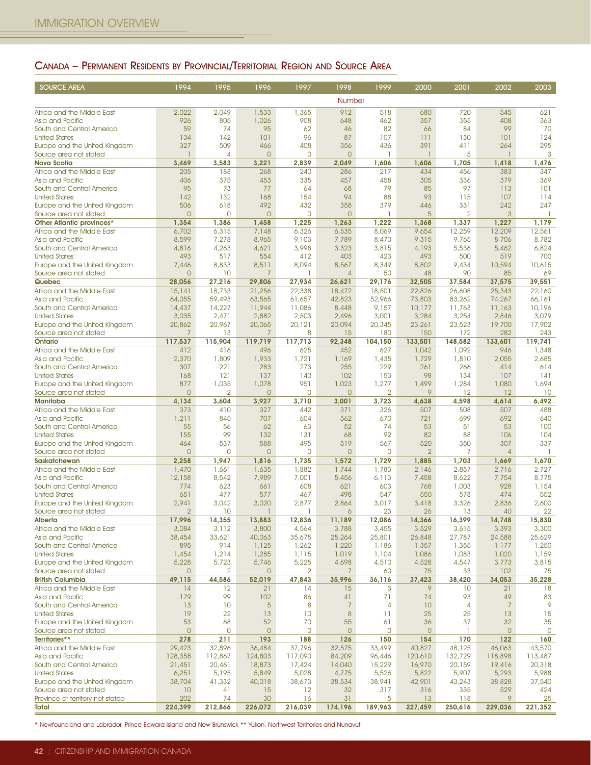## CANADA – PERMANENT RESIDENTS BY PROVINCIAL/TERRITORIAL REGION AND SOURCE AREA

| <b>SOURCE AREA</b>                                      | 1994                    | 1995                     | 1996                    | 1997                     | 1998                      | 1999                 | 2000                  | 2001              | 2002                  | 2003              |
|---------------------------------------------------------|-------------------------|--------------------------|-------------------------|--------------------------|---------------------------|----------------------|-----------------------|-------------------|-----------------------|-------------------|
|                                                         |                         |                          |                         |                          | Number                    |                      |                       |                   |                       |                   |
| Africa and the Middle East                              | 2,022                   | 2,049                    | 1,533                   | 1,365                    | 912                       | 518                  | 680                   | 720               | 545                   | 621               |
| Asia and Pacific<br>South and Central America           | 926<br>59               | 805<br>74                | 1,026<br>95             | 908<br>62                | 648<br>46                 | 462<br>82            | 357<br>66             | 355<br>84         | 408<br>99             | 363<br>70         |
| <b>United States</b>                                    | 134                     | 142                      | 101                     | 96                       | 87                        | 107                  | 111                   | 130               | 101                   | 124               |
| Europe and the United Kingdom                           | 327                     | 509                      | 466                     | 408                      | 356                       | 436                  | 391                   | 411               | 264                   | 295               |
| Source area not stated<br><b>Nova Scotia</b>            | $\mathbf{1}$<br>3,469   | 4<br>3,583               | $\overline{0}$<br>3,221 | 0<br>2,839               | $\overline{0}$<br>2,049   | -1<br>1,606          | $\mathbf{1}$<br>1,606 | 5<br>1,705        | $\mathbf{1}$<br>1,418 | 3<br>1,476        |
| Africa and the Middle East                              | 205                     | 188                      | 268                     | 240                      | 286                       | 217                  | 434                   | 456               | 383                   | 347               |
| Asia and Pacific                                        | 406                     | 375                      | 453                     | 335                      | 457                       | 458                  | 305                   | 336               | 379                   | 369               |
| South and Central America<br><b>United States</b>       | 95<br>142               | 73<br>132                | 77                      | 64<br>154                | 68<br>94                  | 79<br>88             | 85                    | 97                | 113<br>107            | 101               |
| Europe and the United Kingdom                           | 506                     | 618                      | 168<br>492              | 432                      | 358                       | 379                  | 93<br>446             | 115<br>331        | 242                   | 114<br>247        |
| Source area not stated                                  | $\overline{0}$          | $\Omega$                 | $\overline{0}$          | $\Omega$                 | $\overline{0}$            |                      | 5                     | $\overline{2}$    | 3                     |                   |
| Other Atlantic provinces*                               | 1,354                   | 1,386                    | 1,458                   | 1,225                    | 1,263                     | 1,222                | 1,368                 | 1,337             | 1,227                 | 1,179             |
| Africa and the Middle East<br>Asia and Pacific          | 6,702<br>8,599          | 6,315<br>7,278           | 7,148<br>8,965          | 6,326<br>9,103           | 6,535<br>7,789            | 8,069<br>8,470       | 9,654<br>9,315        | 12,259<br>9,765   | 12,209<br>8,706       | 12,561<br>8,782   |
| South and Central America                               | 4,816                   | 4,263                    | 4,621                   | 3,998                    | 3,323                     | 3,815                | 4,193                 | 5,536             | 5,462                 | 6,824             |
| <b>United States</b>                                    | 493                     | 517                      | 554                     | 412                      | 403                       | 423                  | 493                   | 500               | 519                   | 700               |
| Europe and the United Kingdom<br>Source area not stated | 7,446<br>$\overline{0}$ | 8,833<br>10              | 8,511<br>$\overline{7}$ | 8,094<br>1               | 8,567<br>$\overline{4}$   | 8,349<br>50          | 8,802<br>48           | 9,434<br>90       | 10,594<br>85          | 10,615<br>69      |
| Quebec                                                  | 28.056                  | 27,216                   | 29,806                  | 27,934                   | 26,621                    | 29,176               | 32,505                | 37,584            | 37,575                | 39,551            |
| Africa and the Middle East                              | 15,141                  | 18,733                   | 21,256                  | 22,338                   | 18,472                    | 18,501               | 22,826                | 26,608            | 25,343                | 22,160            |
| Asia and Pacific<br>South and Central America           | 64,055<br>14,437        | 59,493<br>14,227         | 63,565<br>11,944        | 61,657<br>11,086         | 42,823<br>8,448           | 52,966<br>9,157      | 73,803<br>10,177      | 83,262<br>11,763  | 74,267<br>11,163      | 66,161<br>10,196  |
| <b>United States</b>                                    | 3,035                   | 2,471                    | 2,882                   | 2,503                    | 2,496                     | 3,001                | 3,284                 | 3,254             | 2,846                 | 3,079             |
| Europe and the United Kingdom                           | 20,862                  | 20,967                   | 20,065                  | 20,121                   | 20,094                    | 20,345               | 23,261                | 23,523            | 19,700                | 17,902            |
| Source area not stated<br>Ontario                       | 7<br>117,537            | 13<br>115,904            | 7<br>119,719            | 8<br>117,713             | 15<br>92,348              | 180<br>104,150       | 150<br>133,501        | 172<br>148,582    | 282<br>133,601        | 243<br>119,741    |
| Africa and the Middle East                              | 412                     | 416                      | 496                     | 625                      | 452                       | 627                  | 1,042                 | 1,092             | 946                   | 1,348             |
| Asia and Pacific                                        | 2,370                   | 1,809                    | 1,933                   | 1,721                    | 1,169                     | 1,435                | 1,729                 | 1,810             | 2,055                 | 2,685             |
| South and Central America<br><b>United States</b>       | 307<br>168              | 221<br>121               | 283<br>137              | 273<br>140               | 255<br>102                | 229<br>153           | 261<br>98             | 266<br>134        | 414<br>107            | 614<br>141        |
| Europe and the United Kingdom                           | 877                     | 1,035                    | 1,078                   | 951                      | 1,023                     | 1,277                | 1,499                 | 1,284             | 1,080                 | 1,694             |
| Source area not stated                                  | $\overline{O}$          | $\overline{2}$           | $\mathbf 0$             | 0                        | $\circ$                   | $\overline{2}$       | 9                     | 12                | 12                    | 10                |
| <b>Manitoba</b><br>Africa and the Middle East           | 4,134<br>373            | 3,604<br>410             | 3,927<br>327            | 3,710<br>442             | 3,001<br>371              | 3,723<br>326         | 4,638<br>507          | 4,598<br>508      | 4,614<br>507          | 6,492<br>488      |
| Asia and Pacific                                        | 1,211                   | 845                      | 707                     | 604                      | 562                       | 670                  | 721                   | 699               | 692                   | 640               |
| South and Central America                               | 55                      | 56                       | 62                      | 63                       | 52                        | 74                   | 53                    | 51                | 53                    | 100               |
| <b>United States</b><br>Europe and the United Kingdom   | 155<br>464              | 99<br>537                | 132<br>588              | 131<br>495               | 68<br>519                 | 92<br>567            | 82<br>520             | 88<br>350         | 106<br>307            | 104<br>337        |
| Source area not stated                                  | $\overline{0}$          | 0                        | $\mathbf 0$             | 0                        | $\circ$                   | 0                    | $\overline{2}$        | 7                 | $\overline{4}$        | ı                 |
| Saskatchewan                                            | 2,258                   | 1,947                    | 1,816                   | 1,735                    | 1,572                     | 1,729                | 1,885                 | 1,703             | 1,669                 | 1,670             |
| Africa and the Middle East<br>Asia and Pacific          | 1,470<br>12,158         | 1,661<br>8,542           | 1,635<br>7,989          | 1,882<br>7,001           | 1,744<br>5,456            | 1,783<br>6,113       | 2,146<br>7,458        | 2,857<br>8,622    | 2,716<br>7,754        | 2,727<br>8,775    |
| South and Central America                               | 774                     | 623                      | 661                     | 608                      | 621                       | 603                  | 768                   | 1,003             | 928                   | 1,154             |
| <b>United States</b>                                    | 651                     | 477                      | 577                     | 467                      | 498                       | 547                  | 550                   | 578               | 474                   | 552               |
| Europe and the United Kingdom<br>Source area not stated | 2,941<br>$\overline{2}$ | 3,042<br>10              | 3,020<br>1              | 2,877                    | 2,864                     | 3,017<br>23          | 3,418<br>26           | 3,326<br>13       | 2,836<br>40           | 2,600<br>22       |
| Alberta                                                 | 17,996                  | 14,355                   | 13,883                  | 12,836                   | 11,189                    | 12,086               | 14,366                | 16,399            | 14,748                | 15,830            |
| Africa and the Middle East                              | 3,084                   | 3,112                    | 3,800                   | 4,564                    | 3,788                     | 3,455                | 3,529                 | 3,615             | 3,393                 | 3,300             |
| Asia and Pacific<br>South and Central America           | 38,454<br>895           | 33,621<br>914            | 40,063<br>1,125         | 35,675<br>1,262          | 25,264<br>1,220           | 25,801<br>1,186      | 26,848<br>1,357       | 27,787<br>1,355   | 24,588<br>1,177       | 25,629<br>1,250   |
| <b>United States</b>                                    | 1,454                   | 1,214                    | 1,285                   | 1,115                    | 1,019                     | 1,104                | 1,086                 | 1,083             | 1,020                 | 1,159             |
| Europe and the United Kingdom                           | 5,228                   | 5,723                    | 5,746                   | 5,225                    | 4,698                     | 4,510                | 4,528                 | 4,547             | 3,773                 | 3,815             |
| Source area not stated<br><b>British Columbia</b>       | $\mathbf{0}$<br>49,115  | $\overline{2}$<br>44,586 | $\circ$<br>52,019       | $\overline{2}$<br>47,843 | 7<br>35,996               | 60<br>36,116         | 75<br>37,423          | 33<br>38,420      | 102<br>34,053         | 75<br>35,228      |
| Africa and the Middle East                              | 14                      | 12                       | 21                      | 14                       | 15                        | 3                    | 9                     | 10                | 21                    | 18                |
| Asia and Pacific                                        | 179                     | 99                       | 102                     | 86                       | 41                        | 71                   | 74                    | 93                | 49                    | 83                |
| South and Central America                               | 13<br>19                | 10<br>22                 | $\overline{5}$          | 8<br>10                  | $\overline{7}$<br>$\,8\,$ | $\overline{4}$<br>11 | 10                    | $\overline{4}$    | $\overline{7}$        | 9                 |
| <b>United States</b><br>Europe and the United Kingdom   | 53                      | 68                       | 13<br>52                | 70                       | 55                        | 61                   | 25<br>36              | 25<br>37          | 13<br>32              | 15<br>35          |
| Source area not stated                                  | $\overline{0}$          | $\circ$                  | $\overline{0}$          | 0                        | $\circ$                   | 0                    | $\overline{0}$        |                   | $\overline{0}$        | 0                 |
| Territories**                                           | 278                     | 211                      | 193                     | 188                      | 126                       | 150                  | 154                   | 170               | 122                   | 160               |
| Africa and the Middle East<br>Asia and Pacific          | 29,423<br>128,358       | 32,896<br>112,867        | 36,484<br>124,803       | 37,796<br>117,090        | 32,575<br>84,209          | 33,499<br>96,446     | 40,827<br>120,610     | 48,125<br>132,729 | 46,063<br>118,898     | 43,570<br>113,487 |
| South and Central America                               | 21,451                  | 20,461                   | 18,873                  | 17,424                   | 14,040                    | 15,229               | 16,970                | 20,159            | 19,416                | 20,318            |
| <b>United States</b>                                    | 6,251                   | 5,195                    | 5,849                   | 5,028                    | 4,775                     | 5,526                | 5,822                 | 5,907             | 5,293                 | 5,988             |
| Europe and the United Kingdom<br>Source area not stated | 38,704<br>10            | 41,332<br>41             | 40,018<br>15            | 38,673<br>12             | 38,534<br>32              | 38,941<br>317        | 42,901<br>316         | 43,243<br>335     | 38,828<br>529         | 37,540<br>424     |
| Province or territory not stated                        | 202                     | 74                       | 30                      | 16                       | 31                        | 5                    | 13                    | 118               | 9                     | 25                |
| Total                                                   | 224,399                 | 212,866                  | 226,072                 | 216,039                  | 174,196                   | 189,963              | 227,459               | 250,616           | 229,036               | 221,352           |

\* Newfoundland and Labrador, Prince Edward Island and New Brunswick \*\* Yukon, Northwest Territories and Nunavut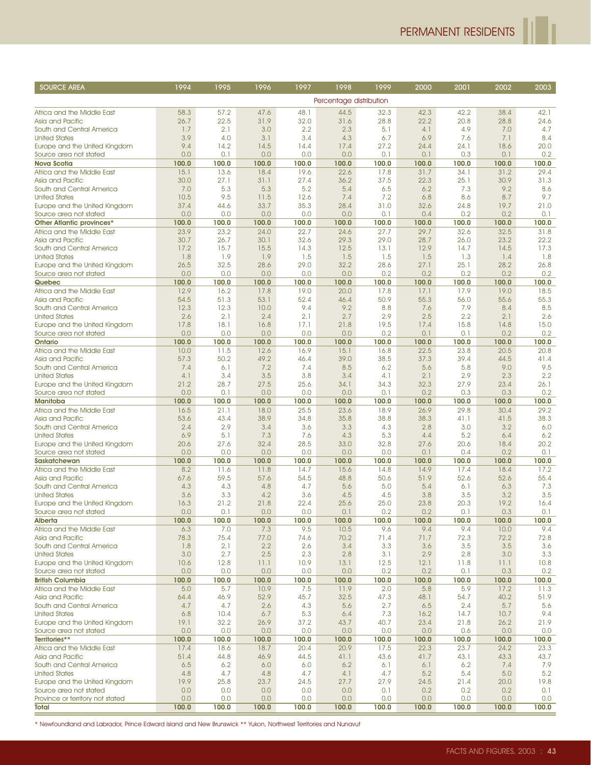h

| <b>SOURCE AREA</b>                                      | 1994          | 1995          | 1996          | 1997          | 1998                    | 1999          | 2000          | 2001          | 2002          | 2003          |
|---------------------------------------------------------|---------------|---------------|---------------|---------------|-------------------------|---------------|---------------|---------------|---------------|---------------|
|                                                         |               |               |               |               | Percentage distribution |               |               |               |               |               |
| Africa and the Middle East                              | 58.3          | 57.2          | 47.6          | 48.1          | 44.5                    | 32.3          | 42.3          | 42.2          | 38.4          | 42.1          |
| Asia and Pacific                                        | 26.7          | 22.5          | 31.9          | 32.0          | 31.6                    | 28.8          | 22.2          | 20.8          | 28.8          | 24.6          |
| South and Central America                               | 1.7           | 2.1           | 3.0           | 2.2           | 2.3                     | 5.1           | 4.1           | 4.9           | 7.0           | 4.7           |
| <b>United States</b>                                    | 3.9           | 4.0           | 3.1           | 3.4           | 4.3                     | 6.7           | 6.9           | 7.6           | 7.1           | 8.4           |
| Europe and the United Kingdom                           | 9.4           | 14.2          | 14.5          | 14.4          | 17.4                    | 27.2          | 24.4          | 24.1          | 18.6          | 20.0          |
| Source area not stated                                  | 0.0           | 0.1           | 0.0           | 0.0           | 0.0                     | 0.1           | 0.1           | 0.3           | 0.1           | 0.2           |
| <b>Nova Scotia</b><br>Africa and the Middle East        | 100.0<br>15.1 | 100.0<br>13.6 | 100.0<br>18.4 | 100.0<br>19.6 | 100.0<br>22.6           | 100.0<br>17.8 | 100.0<br>31.7 | 100.0<br>34.1 | 100.0<br>31.2 | 100.0<br>29.4 |
| Asia and Pacific                                        | 30.0          | 27.1          | 31.1          | 27.4          | 36.2                    | 37.5          | 22.3          | 25.1          | 30.9          | 31.3          |
| South and Central America                               | 7.0           | 5.3           | 5.3           | 5.2           | 5.4                     | 6.5           | 6.2           | 7.3           | 9.2           | 8.6           |
| <b>United States</b>                                    | 10.5          | 9.5           | 11.5          | 12.6          | 7.4                     | 7.2           | 6.8           | 8.6           | 8.7           | 9.7           |
| Europe and the United Kingdom                           | 37.4          | 44.6          | 33.7          | 35.3          | 28.4                    | 31.0          | 32.6          | 24.8          | 19.7          | 21.0          |
| Source area not stated                                  | 0.0           | 0.0           | 0.0           | 0.0           | 0.0                     | 0.1           | 0.4           | 0.2           | 0.2           | 0.1           |
| Other Atlantic provinces*<br>Africa and the Middle East | 100.0<br>23.9 | 100.0<br>23.2 | 100.0<br>24.0 | 100.0<br>22.7 | 100.0<br>24.6           | 100.0<br>27.7 | 100.0<br>29.7 | 100.0<br>32.6 | 100.0<br>32.5 | 100.0<br>31.8 |
| Asia and Pacific                                        | 30.7          | 26.7          | 30.1          | 32.6          | 29.3                    | 29.0          | 28.7          | 26.0          | 23.2          | 22.2          |
| South and Central America                               | 17.2          | 15.7          | 15.5          | 14.3          | 12.5                    | 13.1          | 12.9          | 14.7          | 14.5          | 17.3          |
| <b>United States</b>                                    | 1.8           | 1.9           | 1.9           | 1.5           | 1.5                     | 1.5           | 1.5           | 1.3           | 1.4           | 1.8           |
| Europe and the United Kingdom                           | 26.5          | 32.5          | 28.6          | 29.0          | 32.2                    | 28.6          | 27.1          | 25.1          | 28.2          | 26.8          |
| Source area not stated                                  | 0.0           | 0.0           | 0.0           | 0.0           | 0.0                     | 0.2           | 0.2           | 0.2           | 0.2           | 0.2           |
| Quebec                                                  | 100.0         | 100.0         | 100.0         | 100.0         | 100.0                   | 100.0         | 100.0         | 100.0         | 100.0         | 100.0         |
| Africa and the Middle East                              | 12.9          | 16.2<br>51.3  | 17.8<br>53.1  | 19.0<br>52.4  | 20.0                    | 17.8<br>50.9  | 17.1          | 17.9<br>56.0  | 19.0          | 18.5<br>55.3  |
| Asia and Pacific<br>South and Central America           | 54.5<br>12.3  | 12.3          | 10.0          | 9.4           | 46.4<br>9.2             | 8.8           | 55.3<br>7.6   | 7.9           | 55.6<br>8.4   | 8.5           |
| <b>United States</b>                                    | 2.6           | 2.1           | 2.4           | 2.1           | 2.7                     | 2.9           | 2.5           | 2.2           | 2.1           | 2.6           |
| Europe and the United Kingdom                           | 17.8          | 18.1          | 16.8          | 17.1          | 21.8                    | 19.5          | 17.4          | 15.8          | 14.8          | 15.0          |
| Source area not stated                                  | 0.0           | 0.0           | 0.0           | 0.0           | 0.0                     | 0.2           | 0.1           | 0.1           | 0.2           | 0.2           |
| Ontario                                                 | 100.0         | 100.0         | 100.0         | 100.0         | 100.0                   | 100.0         | 100.0         | 100.0         | 100.0         | 100.0         |
| Africa and the Middle East                              | 10.0          | 11.5          | 12.6          | 16.9          | 15.1                    | 16.8          | 22.5          | 23.8          | 20.5          | 20.8          |
| Asia and Pacific<br>South and Central America           | 57.3<br>7.4   | 50.2<br>6.1   | 49.2<br>7.2   | 46.4<br>7.4   | 39.0<br>8.5             | 38.5<br>6.2   | 37.3<br>5.6   | 39.4<br>5.8   | 44.5<br>9.0   | 41.4<br>9.5   |
| <b>United States</b>                                    | 4.1           | 3.4           | 3.5           | 3.8           | 3.4                     | 4.1           | 2.1           | 2.9           | 2.3           | 2.2           |
| Europe and the United Kingdom                           | 21.2          | 28.7          | 27.5          | 25.6          | 34.1                    | 34.3          | 32.3          | 27.9          | 23.4          | 26.1          |
| Source area not stated                                  | 0.0           | 0.1           | 0.0           | 0.0           | 0.0                     | 0.1           | 0.2           | 0.3           | 0.3           | 0.2           |
| <b>Manitoba</b>                                         | 100.0         | 100.0         | 100.0         | 100.0         | 100.0                   | 100.0         | 100.0         | 100.0         | 100.0         | 100.0         |
| Africa and the Middle East                              | 16.5          | 21.1          | 18.0          | 25.5          | 23.6                    | 18.9          | 26.9          | 29.8          | 30.4          | 29.2          |
| Asia and Pacific<br>South and Central America           | 53.6<br>2.4   | 43.4<br>2.9   | 38.9<br>3.4   | 34.8<br>3.6   | 35.8<br>3.3             | 38.8<br>4.3   | 38.3<br>2.8   | 41.1<br>3.0   | 41.5<br>3.2   | 38.3<br>6.0   |
| <b>United States</b>                                    | 6.9           | 5.1           | 7.3           | 7.6           | 4.3                     | 5.3           | 4.4           | 5.2           | 6.4           | 6.2           |
| Europe and the United Kingdom                           | 20.6          | 27.6          | 32.4          | 28.5          | 33.0                    | 32.8          | 27.6          | 20.6          | 18.4          | 20.2          |
| Source area not stated                                  | 0.0           | 0.0           | 0.0           | 0.0           | 0.0                     | 0.0           | 0.1           | 0.4           | 0.2           | 0.1           |
| <b>Saskatchewan</b>                                     | 100.0         | 100.0         | 100.0         | 100.0         | 100.0                   | 100.0         | 100.0         | 100.0         | 100.0         | 100.0         |
| Africa and the Middle East                              | 8.2           | 11.6          | 11.8          | 14.7          | 15.6                    | 14.8          | 14.9          | 17.4          | 18.4          | 17.2          |
| Asia and Pacific<br>South and Central America           | 67.6<br>4.3   | 59.5<br>4.3   | 57.6<br>4.8   | 54.5<br>4.7   | 48.8<br>5.6             | 50.6<br>5.0   | 51.9<br>5.4   | 52.6<br>6.1   | 52.6<br>6.3   | 55.4<br>7.3   |
| <b>United States</b>                                    | 3.6           | 3.3           | 4.2           | 3.6           | 4.5                     | 4.5           | 3.8           | 3.5           | 3.2           | 3.5           |
| Europe and the United Kingdom                           | 16.3          | 21.2          | 21.8          | 22.4          | 25.6                    | 25.0          | 23.8          | 20.3          | 19.2          | 16.4          |
| Source area not stated                                  | 0.0           | 0.1           | 0.0           | 0.0           | 0.1                     | 0.2           | 0.2           | 0.1           | 0.3           | 0.1           |
| Alberta                                                 | 100.0         | 100.0         | 100.0         | 100.0         | 100.0                   | 100.0         | 100.0         | 100.0         | 100.0         | 100.0         |
| Africa and the Middle East                              | 6.3           | 7.0           | 7.3           | 9.5           | 10.5                    | 9.6           | 9.4           | 9.4           | 10.0          | 9.4           |
| Asia and Pacific<br>South and Central America           | 78.3<br>1.8   | 75.4<br>2.1   | 77.0<br>2.2   | 74.6<br>2.6   | 70.2<br>3.4             | 71.4<br>3.3   | 71.7<br>3.6   | 72.3<br>3.5   | 72.2<br>3.5   | 72.8<br>3.6   |
| <b>United States</b>                                    | 3.0           | 2.7           | 2.5           | 2.3           | 2.8                     | 3.1           | 2.9           | 2.8           | 3.0           | 3.3           |
| Europe and the United Kingdom                           | 10.6          | 12.8          | 11.1          | 10.9          | 13.1                    | 12.5          | 12.1          | 11.8          | 11.1          | 10.8          |
| Source area not stated                                  | 0.0           | 0.0           | 0.0           | 0.0           | 0.0                     | 0.2           | 0.2           | 0.1           | 0.3           | 0.2           |
| <b>British Columbia</b>                                 | 100.0         | 100.0         | 100.0         | 100.0         | 100.0                   | 100.0         | 100.0         | 100.0         | 100.0         | 100.0         |
| Africa and the Middle East                              | 5.0           | 5.7           | 10.9          | 7.5           | 11.9                    | 2.0           | 5.8           | 5.9           | 17.2          | 11.3          |
| Asia and Pacific                                        | 64.4          | 46.9          | 52.9          | 45.7          | 32.5                    | 47.3          | 48.1          | 54.7          | 40.2          | 51.9          |
| South and Central America<br><b>United States</b>       | 4.7<br>6.8    | 4.7<br>10.4   | 2.6<br>6.7    | 4.3<br>5.3    | 5.6<br>6.4              | 2.7<br>7.3    | 6.5<br>16.2   | 2.4<br>14.7   | 5.7<br>10.7   | 5.6<br>9.4    |
| Europe and the United Kingdom                           | 19.1          | 32.2          | 26.9          | 37.2          | 43.7                    | 40.7          | 23.4          | 21.8          | 26.2          | 21.9          |
| Source area not stated                                  | 0.0           | 0.0           | 0.0           | 0.0           | 0.0                     | 0.0           | 0.0           | 0.6           | 0.0           | 0.0           |
| Territories**                                           | 100.0         | 100.0         | 100.0         | 100.0         | 100.0                   | 100.0         | 100.0         | 100.0         | 100.0         | 100.0         |
| Africa and the Middle East                              | 17.4          | 18.6          | 18.7          | 20.4          | 20.9                    | 17.5          | 22.3          | 23.7          | 24.2          | 23.3          |
| Asia and Pacific                                        | 51.4          | 44.8          | 46.9          | 44.5          | 41.1                    | 43.6          | 41.7          | 43.1          | 43.3          | 43.7          |
| South and Central America<br><b>United States</b>       | 6.5<br>4.8    | 6.2<br>4.7    | 6.0<br>4.8    | 6.0<br>4.7    | 6.2<br>4.1              | 6.1<br>4.7    | 6.1<br>5.2    | 6.2<br>5.4    | 7.4<br>5.0    | 7.9<br>5.2    |
| Europe and the United Kingdom                           | 19.9          | 25.8          | 23.7          | 24.5          | 27.7                    | 27.9          | 24.5          | 21.4          | 20.0          | 19.8          |
| Source area not stated                                  | 0.0           | 0.0           | 0.0           | 0.0           | 0.0                     | 0.1           | 0.2           | 0.2           | 0.2           | 0.1           |
| Province or territory not stated                        | 0.0           | 0.0           | 0.0           | 0.0           | 0.0                     | 0.0           | 0.0           | 0.0           | 0.0           | 0.0           |
| Total                                                   | 100.0         | 100.0         | 100.0         | 100.0         | 100.0                   | 100.0         | 100.0         | 100.0         | 100.0         | 100.0         |

\* Newfoundland and Labrador, Prince Edward Island and New Brunswick \*\* Yukon, Northwest Territories and Nunavut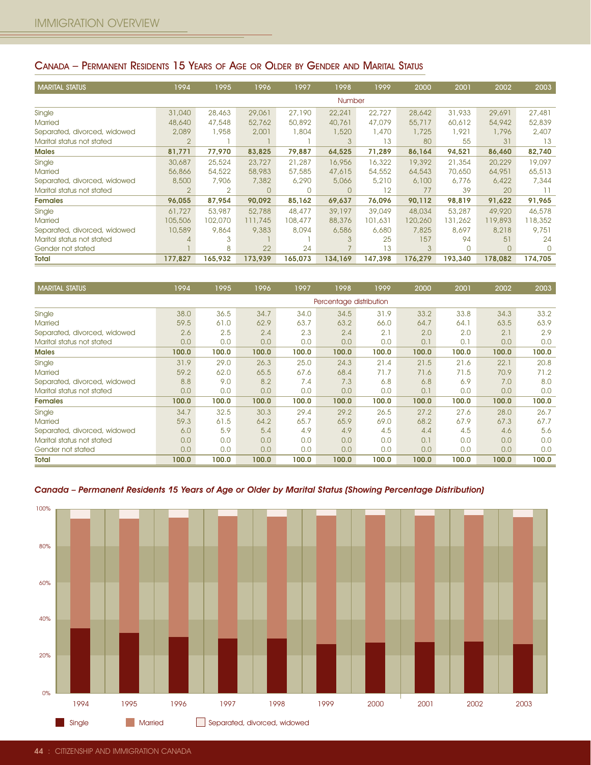### CANADA – PERMANENT RESIDENTS 15 YEARS OF AGE OR OLDER BY GENDER AND MARITAL STATUS

| <b>MARITAL STATUS</b>        | 1994           | 1995           | 1996     | 1997     | 1998          | 1999    | 2000    | 2001        | 2002    | 2003    |
|------------------------------|----------------|----------------|----------|----------|---------------|---------|---------|-------------|---------|---------|
|                              |                |                |          |          | <b>Number</b> |         |         |             |         |         |
| Single                       | 31,040         | 28,463         | 29,061   | 27,190   | 22,241        | 22,727  | 28,642  | 31,933      | 29,691  | 27,481  |
| <b>Married</b>               | 48,640         | 47,548         | 52,762   | 50,892   | 40,761        | 47,079  | 55,717  | 60,612      | 54,942  | 52,839  |
| Separated, divorced, widowed | 2,089          | 1,958          | 2,001    | 1,804    | 1,520         | 1,470   | 1,725   | 1,921       | 1,796   | 2,407   |
| Marital status not stated    | $\overline{2}$ |                |          |          | 3             | 13      | 80      | 55          | 31      | 13      |
| <b>Males</b>                 | 81,771         | 77,970         | 83,825   | 79,887   | 64,525        | 71,289  | 86,164  | 94,521      | 86,460  | 82,740  |
| Single                       | 30,687         | 25,524         | 23,727   | 21,287   | 16,956        | 16,322  | 19,392  | 21,354      | 20,229  | 19,097  |
| <b>Married</b>               | 56,866         | 54,522         | 58,983   | 57,585   | 47,615        | 54,552  | 64,543  | 70,650      | 64,951  | 65,513  |
| Separated, divorced, widowed | 8,500          | 7,906          | 7,382    | 6,290    | 5,066         | 5,210   | 6,100   | 6,776       | 6,422   | 7,344   |
| Marital status not stated    | $\overline{2}$ | $\overline{2}$ | $\Omega$ | $\Omega$ | $\Omega$      | 12      | 77      | 39          | 20      |         |
| <b>Females</b>               | 96,055         | 87,954         | 90,092   | 85,162   | 69,637        | 76,096  | 90,112  | 98,819      | 91,622  | 91,965  |
| Single                       | 61,727         | 53,987         | 52,788   | 48,477   | 39,197        | 39,049  | 48,034  | 53,287      | 49,920  | 46,578  |
| <b>Married</b>               | 105,506        | 102,070        | 111,745  | 108,477  | 88,376        | 101,631 | 120,260 | 131,262     | 119,893 | 118,352 |
| Separated, divorced, widowed | 10,589         | 9,864          | 9,383    | 8,094    | 6,586         | 6,680   | 7,825   | 8,697       | 8,218   | 9,751   |
| Marital status not stated    |                | 3              |          |          | 3             | 25      | 157     | 94          | 51      | 24      |
| Gender not stated            |                | 8              | 22       | 24       |               | 13      | 3       | $\mathbf 0$ | 0       |         |
| Total                        | 177,827        | 165,932        | 173,939  | 165,073  | 134,169       | 147,398 | 176,279 | 193,340     | 178,082 | 174,705 |

| <b>MARITAL STATUS</b>        | 1994  | 1995  | 1996  | 1997  | 1998                    | 1999  | 2000  | 2001  | 2002  | 2003  |
|------------------------------|-------|-------|-------|-------|-------------------------|-------|-------|-------|-------|-------|
|                              |       |       |       |       | Percentage distribution |       |       |       |       |       |
| Single                       | 38.0  | 36.5  | 34.7  | 34.0  | 34.5                    | 31.9  | 33.2  | 33.8  | 34.3  | 33.2  |
| <b>Married</b>               | 59.5  | 61.0  | 62.9  | 63.7  | 63.2                    | 66.0  | 64.7  | 64.1  | 63.5  | 63.9  |
| Separated, divorced, widowed | 2.6   | 2.5   | 2.4   | 2.3   | 2.4                     | 2.1   | 2.0   | 2.0   | 2.1   | 2.9   |
| Marital status not stated    | 0.0   | 0.0   | 0.0   | 0.0   | 0.0                     | 0.0   | 0.1   | 0.1   | 0.0   | 0.0   |
| <b>Males</b>                 | 100.0 | 100.0 | 100.0 | 100.0 | 100.0                   | 100.0 | 100.0 | 100.0 | 100.0 | 100.0 |
| Single                       | 31.9  | 29.0  | 26.3  | 25.0  | 24.3                    | 21.4  | 21.5  | 21.6  | 22.1  | 20.8  |
| <b>Married</b>               | 59.2  | 62.0  | 65.5  | 67.6  | 68.4                    | 71.7  | 71.6  | 71.5  | 70.9  | 71.2  |
| Separated, divorced, widowed | 8.8   | 9.0   | 8.2   | 7.4   | 7.3                     | 6.8   | 6,8   | 6.9   | 7.0   | 8.0   |
| Marital status not stated    | 0.0   | 0.0   | 0.0   | 0.0   | 0.0                     | 0.0   | 0.1   | 0.0   | 0.0   | 0.0   |
| <b>Females</b>               | 100.0 | 100.0 | 100.0 | 100.0 | 100.0                   | 100.0 | 100.0 | 100.0 | 100.0 | 100.0 |
| Single                       | 34.7  | 32.5  | 30.3  | 29.4  | 29.2                    | 26.5  | 27.2  | 27.6  | 28.0  | 26.7  |
| <b>Married</b>               | 59.3  | 61.5  | 64.2  | 65.7  | 65.9                    | 69.0  | 68.2  | 67.9  | 67.3  | 67.7  |
| Separated, divorced, widowed | 6.0   | 5.9   | 5.4   | 4.9   | 4.9                     | 4.5   | 4,4   | 4.5   | 4.6   | 5.6   |
| Marital status not stated    | 0.0   | 0.0   | 0.0   | 0.0   | 0.0                     | 0.0   | 0.1   | 0.0   | 0.0   | 0.0   |
| Gender not stated            | 0.0   | 0.0   | 0.0   | 0.0   | 0.0                     | 0.0   | 0.0   | 0.0   | 0.0   | 0.0   |
| <b>Total</b>                 | 100.0 | 100.0 | 100.0 | 100.0 | 100.0                   | 100.0 | 100.0 | 100.0 | 100.0 | 100.0 |

### Canada – Permanent Residents 15 Years of Age or Older by Marital Status (Showing Percentage Distribution)

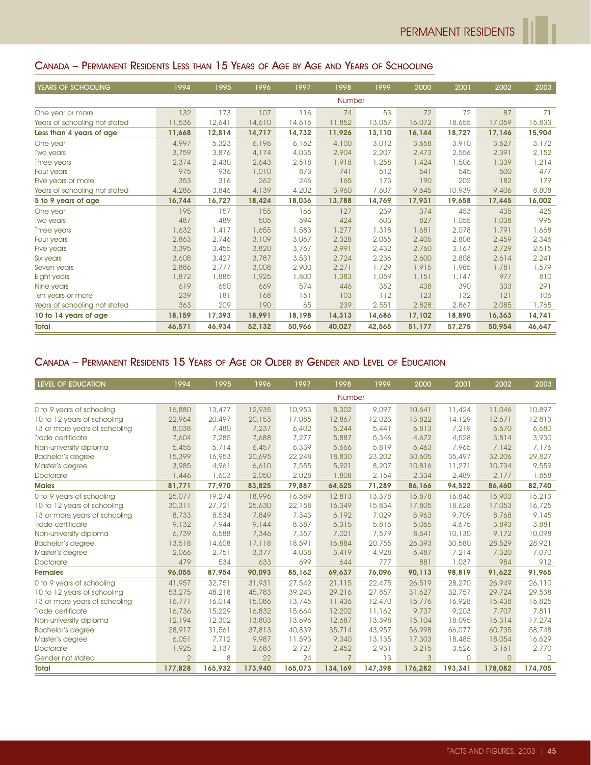## CANADA – PERMANENT RESIDENTS LESS THAN 15 YEARS OF AGE BY AGE AND YEARS OF SCHOOLING

| YEARS OF SCHOOLING            | 1994   | 1995   | 1996   | 1997   | 1998          | 1999   | 2000   | 2001   | 2002   | 2003   |
|-------------------------------|--------|--------|--------|--------|---------------|--------|--------|--------|--------|--------|
|                               |        |        |        |        | <b>Number</b> |        |        |        |        |        |
| One year or more              | 132    | 173    | 107    | 116    | 74            | 53     | 72     | 72     | 87     | 71     |
| Years of schooling not stated | 11,536 | 12,641 | 14,610 | 14,616 | 11,852        | 13,057 | 16,072 | 18,655 | 17,059 | 15,833 |
| Less than 4 years of age      | 11,668 | 12,814 | 14,717 | 14,732 | 11,926        | 13,110 | 16,144 | 18,727 | 17,146 | 15,904 |
| One year                      | 4,997  | 5,323  | 6,196  | 6,162  | 4,100         | 3,012  | 3,658  | 3,910  | 3,627  | 3,172  |
| Two years                     | 3,759  | 3,876  | 4,174  | 4,035  | 2,904         | 2,207  | 2,473  | 2,556  | 2,391  | 2,152  |
| Three years                   | 2,374  | 2,430  | 2,643  | 2,518  | 1,918         | 1,258  | 1,424  | 1,506  | 1,339  | 1,214  |
| Four years                    | 975    | 936    | 1,010  | 873    | 741           | 512    | 541    | 545    | 500    | 477    |
| Five years or more            | 353    | 316    | 262    | 246    | 165           | 173    | 190    | 202    | 182    | 179    |
| Years of schooling not stated | 4,286  | 3,846  | 4,139  | 4,202  | 3,960         | 7,607  | 9,645  | 10,939 | 9,406  | 8,808  |
| 5 to 9 years of age           | 16,744 | 16,727 | 18,424 | 18,036 | 13,788        | 14,769 | 17,931 | 19,658 | 17,445 | 16,002 |
| One year                      | 195    | 157    | 155    | 166    | 127           | 239    | 374    | 453    | 435    | 425    |
| Two years                     | 487    | 489    | 505    | 594    | 424           | 603    | 827    | 1,055  | 1,038  | 995    |
| Three years                   | 1,632  | 1,417  | 1,655  | 1,583  | 1,277         | 1,318  | 1,681  | 2,078  | 1,791  | 1,668  |
| Four years                    | 2,863  | 2,746  | 3,109  | 3,067  | 2,328         | 2,055  | 2,405  | 2,808  | 2,459  | 2,346  |
| Five years                    | 3,395  | 3,455  | 3,820  | 3,767  | 2,991         | 2,432  | 2,760  | 3,167  | 2,729  | 2,515  |
| Six years                     | 3,608  | 3,427  | 3,787  | 3,531  | 2,724         | 2,236  | 2,600  | 2,808  | 2,614  | 2,241  |
| Seven years                   | 2,886  | 2.777  | 3,008  | 2,900  | 2,271         | 1,729  | 1,915  | 1,985  | 1,781  | 1,579  |
| Eight years                   | 1,872  | 1,885  | 1,925  | 1,800  | 1,383         | 1,059  | 1,151  | 1,147  | 977    | 810    |
| Nine years                    | 619    | 650    | 669    | 574    | 446           | 352    | 438    | 390    | 333    | 291    |
| Ten years or more             | 239    | 181    | 168    | 151    | 103           | 112    | 123    | 132    | 121    | 106    |
| Years of schooling not stated | 363    | 209    | 190    | 65     | 239           | 2,551  | 2,828  | 2,867  | 2,085  | 1,765  |
| 10 to 14 years of age         | 18,159 | 17,393 | 18,991 | 18,198 | 14,313        | 14,686 | 17,102 | 18,890 | 16,363 | 14,741 |
| <b>Total</b>                  | 46,571 | 46,934 | 52,132 | 50,966 | 40,027        | 42,565 | 51,177 | 57,275 | 50,954 | 46,647 |

## CANADA – PERMANENT RESIDENTS 15 YEARS OF AGE OR OLDER BY GENDER AND LEVEL OF EDUCATION

| <b>LEVEL OF EDUCATION</b>     | 1994          | 1995    | 1996    | 1997    | 1998            | 1999    | 2000          | 2001        | 2002     | 2003     |
|-------------------------------|---------------|---------|---------|---------|-----------------|---------|---------------|-------------|----------|----------|
|                               |               |         |         |         | Number          |         |               |             |          |          |
| 0 to 9 years of schooling     | 16,880        | 13,477  | 12,935  | 10,953  | 8,302           | 9,097   | 10,641        | 11,424      | 11,046   | 10,897   |
| 10 to 12 years of schooling   | 22,964        | 20,497  | 20,153  | 17,085  | 12,867          | 12,023  | 13,822        | 14,129      | 12,671   | 12,813   |
| 13 or more years of schooling | 8,038         | 7,480   | 7,237   | 6,402   | 5,244           | 5,441   | 6,813         | 7,219       | 6,670    | 6,680    |
| Trade certificate             | 7,604         | 7,285   | 7,688   | 7,277   | 5,887           | 5,346   | 4,672         | 4,528       | 3,814    | 3,930    |
| Non-university diploma        | 5,455         | 5,714   | 6,457   | 6,339   | 5,666           | 5,819   | 6,463         | 7,965       | 7,142    | 7,176    |
| <b>Bachelor's degree</b>      | 15,399        | 16,953  | 20,695  | 22,248  | 18,830          | 23,202  | 30,605        | 35,497      | 32,206   | 29,827   |
| Master's degree               | 3,985         | 4,961   | 6,610   | 7,555   | 5,921           | 8,207   | 10,816        | 11,271      | 10,734   | 9,559    |
| Doctorate                     | 1,446         | 1,603   | 2,050   | 2,028   | 1,808           | 2,154   | 2,334         | 2,489       | 2,177    | 1,858    |
| <b>Males</b>                  | 81,771        | 77,970  | 83,825  | 79,887  | 64,525          | 71,289  | 86,166        | 94,522      | 86,460   | 82,740   |
| 0 to 9 years of schooling     | 25,077        | 19,274  | 18,996  | 16,589  | 12,813          | 13,378  | 15,878        | 16,846      | 15,903   | 15,213   |
| 10 to 12 years of schooling   | 30,311        | 27,721  | 25,630  | 22,158  | 16,349          | 15,834  | 17,805        | 18,628      | 17,053   | 16,725   |
| 13 or more years of schooling | 8,733         | 8,534   | 7,849   | 7,343   | 6,192           | 7,029   | 8,963         | 9.709       | 8,768    | 9,145    |
| Trade certificate             | 9,132         | 7,944   | 9,144   | 8,387   | 6,315           | 5,816   | 5,065         | 4,675       | 3,893    | 3,881    |
| Non-university diploma        | 6,739         | 6,588   | 7,346   | 7,357   | 7,021           | 7,579   | 8,641         | 10,130      | 9,172    | 10,098   |
| <b>Bachelor's degree</b>      | 13,518        | 14,608  | 17,118  | 18,591  | 16,884          | 20,755  | 26,393        | 30,580      | 28,529   | 28,921   |
| Master's degree               | 2,066         | 2,751   | 3,377   | 4,038   | 3,419           | 4,928   | 6,487         | 7,214       | 7,320    | 7,070    |
| Doctorate                     | 479           | 534     | 633     | 699     | 644             | 777     | 881           | 1,037       | 984      | 912      |
| <b>Females</b>                | 96,055        | 87,954  | 90,093  | 85,162  | 69,637          | 76,096  | 90,113        | 98,819      | 91,622   | 91,965   |
| 0 to 9 years of schooling     | 41,957        | 32,751  | 31,931  | 27,542  | 21,115          | 22,475  | 26,519        | 28,270      | 26,949   | 26,110   |
| 10 to 12 years of schooling   | 53,275        | 48,218  | 45,783  | 39,243  | 29,216          | 27,857  | 31,627        | 32,757      | 29,724   | 29,538   |
| 13 or more years of schooling | 16,771        | 16,014  | 15,086  | 13,745  | 11,436          | 12,470  | 15,776        | 16,928      | 15,438   | 15,825   |
| Trade certificate             | 16,736        | 15,229  | 16,832  | 15,664  | 12,202          | 11,162  | 9,737         | 9,203       | 7,707    | 7,811    |
| Non-university diploma        | 12,194        | 12,302  | 13,803  | 13,696  | 12,687          | 13,398  | 15,104        | 18,095      | 16,314   | 17,274   |
| <b>Bachelor's degree</b>      | 28,917        | 31,561  | 37,813  | 40,839  | 35,714          | 43,957  | 56,998        | 66,077      | 60,735   | 58,748   |
| Master's degree               | 6,051         | 7,712   | 9,987   | 11,593  | 9,340           | 13,135  | 17,303        | 18,485      | 18,054   | 16,629   |
| <b>Doctorate</b>              | 1,925         | 2,137   | 2,683   | 2,727   | 2,452           | 2,931   | 3,215         | 3,526       | 3,161    | 2,770    |
| Gender not stated             | $\mathcal{P}$ | 8       | 22      | 24      | $7\overline{ }$ | 13      | $\mathcal{A}$ | $\mathbf 0$ | $\Omega$ | $\Omega$ |
| <b>Total</b>                  | 177,828       | 165,932 | 173,940 | 165,073 | 134,169         | 147,398 | 176,282       | 193,341     | 178,082  | 174,705  |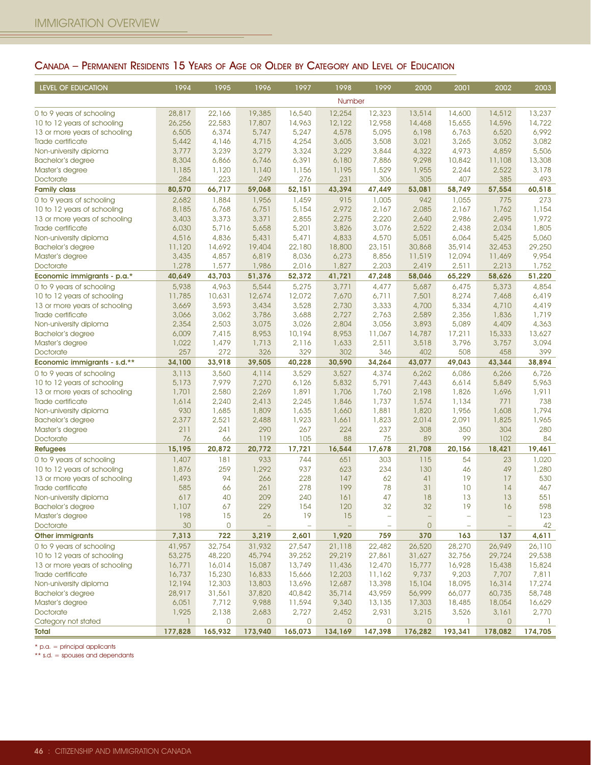## CANADA – PERMANENT RESIDENTS 15 YEARS OF AGE OR OLDER BY CATEGORY AND LEVEL OF EDUCATION

| LEVEL OF EDUCATION            | 1994    | 1995         | 1996           | 1997    | 1998         | 1999         | 2000              | 2001                     | 2002           | 2003    |
|-------------------------------|---------|--------------|----------------|---------|--------------|--------------|-------------------|--------------------------|----------------|---------|
|                               |         |              |                |         | Number       |              |                   |                          |                |         |
| 0 to 9 years of schooling     | 28,817  | 22,166       | 19,385         | 16,540  | 12,254       | 12,323       | 13,514            | 14,600                   | 14,512         | 13,237  |
| 10 to 12 years of schooling   | 26,256  | 22,583       | 17,807         | 14,963  | 12,122       | 12,958       | 14,468            | 15,655                   | 14,596         | 14,722  |
| 13 or more years of schooling | 6,505   | 6,374        | 5,747          | 5,247   | 4,578        | 5,095        | 6,198             | 6,763                    | 6,520          | 6,992   |
| Trade certificate             | 5,442   | 4,146        | 4,715          | 4,254   | 3,605        | 3,508        | 3,021             | 3,265                    | 3,052          | 3,082   |
| Non-university diploma        | 3,777   | 3,239        | 3,279          | 3,324   | 3,229        | 3,844        | 4,322             | 4,973                    | 4,859          | 5,506   |
| <b>Bachelor's degree</b>      | 8,304   | 6,866        | 6,746          | 6,391   | 6,180        | 7,886        | 9,298             | 10,842                   | 11,108         | 13,308  |
| Master's degree               | 1,185   | 1,120        | 1,140          | 1,156   | 1,195        | 1,529        | 1,955             | 2,244                    | 2,522          | 3,178   |
| Doctorate                     | 284     | 223          | 249            | 276     | 231          | 306          | 305               | 407                      | 385            | 493     |
| <b>Family class</b>           | 80,570  | 66,717       | 59,068         | 52,151  | 43,394       | 47,449       | 53,081            | 58,749                   | 57,554         | 60,518  |
| 0 to 9 years of schooling     | 2,682   | 1,884        | 1,956          | 1,459   | 915          | 1,005        | 942               | 1,055                    | 775            | 273     |
| 10 to 12 years of schooling   | 8,185   | 6,768        | 6,751          | 5,154   | 2,972        | 2,167        | 2,085             | 2,167                    | 1,762          | 1,154   |
| 13 or more years of schooling | 3,403   | 3,373        | 3,371          | 2,855   | 2,275        | 2,220        | 2,640             | 2,986                    | 2,495          | 1,972   |
| Trade certificate             | 6,030   | 5,716        | 5,658          | 5,201   | 3,826        | 3,076        | 2,522             | 2,438                    | 2,034          | 1,805   |
| Non-university diploma        | 4,516   | 4,836        | 5,431          | 5,471   | 4,833        | 4,570        | 5,051             | 6,064                    | 5,425          | 5,060   |
| <b>Bachelor's degree</b>      | 11,120  | 14,692       | 19,404         | 22,180  | 18,800       | 23,151       | 30,868            | 35,914                   | 32,453         | 29,250  |
| Master's degree               | 3,435   | 4,857        | 6,819          | 8,036   | 6,273        | 8,856        | 11,519            | 12,094                   | 11,469         | 9,954   |
| Doctorate                     | 1,278   | 1,577        | 1,986          | 2,016   | 1,827        | 2,203        | 2,419             | 2,511                    | 2,213          | 1,752   |
| Economic immigrants - p.a.*   | 40.649  | 43,703       | 51,376         | 52,372  | 41,721       | 47,248       | 58,046            | 65,229                   | 58,626         | 51,220  |
| 0 to 9 years of schooling     | 5,938   | 4,963        | 5,544          | 5,275   | 3,771        | 4,477        | 5,687             | 6,475                    | 5,373          | 4,854   |
| 10 to 12 years of schooling   | 11,785  | 10,631       | 12,674         | 12,072  | 7,670        | 6,711        | 7,501             | 8,274                    | 7,468          | 6,419   |
| 13 or more years of schooling | 3,669   | 3,593        | 3,434          | 3,528   | 2,730        | 3,333        | 4,700             | 5,334                    | 4,710          | 4,419   |
| Trade certificate             | 3,066   | 3,062        | 3,786          | 3,688   | 2,727        | 2,763        | 2,589             | 2,356                    | 1,836          | 1,719   |
| Non-university diploma        | 2,354   | 2,503        | 3,075          | 3,026   | 2,804        | 3,056        | 3,893             | 5,089                    | 4,409          | 4,363   |
| <b>Bachelor's degree</b>      | 6,009   | 7,415        | 8,953          | 10,194  | 8,953        | 11,067       | 14,787            | 17,211                   | 15,333         | 13,627  |
| Master's degree               | 1,022   | 1,479        | 1,713          | 2,116   | 1,633        | 2,511        | 3,518             | 3,796                    | 3,757          | 3,094   |
| Doctorate                     | 257     | 272          | 326            | 329     | 302          | 346          | 402               | 508                      | 458            | 399     |
| Economic immigrants - s.d.**  | 34,100  | 33,918       | 39,505         | 40,228  | 30,590       | 34,264       | 43,077            | 49,043                   | 43,344         | 38,894  |
| 0 to 9 years of schooling     | 3,113   | 3,560        | 4,114          | 3,529   | 3,527        | 4,374        | 6,262             | 6,086                    | 6,266          | 6,726   |
| 10 to 12 years of schooling   | 5,173   | 7,979        | 7,270          | 6,126   | 5,832        | 5,791        | 7,443             | 6,614                    | 5,849          | 5,963   |
| 13 or more years of schooling | 1,701   | 2,580        | 2,269          | 1,891   | 1,706        | 1,760        | 2,198             | 1,826                    | 1,696          | 1,911   |
| Trade certificate             | 1,614   | 2,240        | 2,413          | 2,245   | 1,846        | 1,737        | 1,574             | 1,134                    | 771            | 738     |
| Non-university diploma        | 930     | 1,685        | 1,809          | 1,635   | 1,660        | 1,881        | 1,820             | 1,956                    | 1,608          | 1,794   |
| Bachelor's degree             | 2,377   | 2,521        | 2,488          | 1,923   | 1,661        | 1,823        | 2,014             | 2,091                    | 1,825          | 1,965   |
| Master's degree               | 211     | 241          | 290            | 267     | 224          | 237          | 308               | 350                      | 304            | 280     |
| Doctorate                     | 76      | 66           | 119            | 105     | 88           | 75           | 89                | 99                       | 102            | 84      |
| <b>Refugees</b>               | 15,195  | 20,872       | 20,772         | 17,721  | 16,544       | 17,678       | 21,708            | 20,156                   | 18,421         | 19,461  |
| 0 to 9 years of schooling     | 1,407   | 181          | 933            | 744     | 651          | 303          | 115               | 54                       | 23             | 1,020   |
| 10 to 12 years of schooling   | 1,876   | 259          | 1,292          | 937     | 623          | 234          | 130               | 46                       | 49             | 1,280   |
| 13 or more years of schooling | 1,493   | 94           | 266            | 228     | 147          | 62           | 41                | 19                       | 17             | 530     |
| Trade certificate             | 585     | 66           | 261            | 278     | 199          | 78           | 31                | 10                       | 14             | 467     |
| Non-university diploma        | 617     | 40           | 209            | 240     | 161          | 47           | 18                | 13                       | 13             | 551     |
| <b>Bachelor's degree</b>      | 1,107   | 67           | 229            | 154     | 120          | 32           | 32                | 19                       | 16             | 598     |
| Master's degree               | 198     | 15           | 26             | 19      | 15           |              | $\qquad \qquad -$ | $\overline{\phantom{0}}$ | -              | 123     |
| Doctorate                     | 30      | 0            |                |         |              |              | 0                 |                          |                | 42      |
| <b>Other immigrants</b>       | 7,313   | 722          | 3,219          | 2,601   | 1,920        | 759          | 370               | 163                      | 137            | 4,611   |
| 0 to 9 years of schooling     | 41,957  | 32,754       | 31,932         | 27,547  | 21,118       | 22,482       | 26,520            | 28,270                   | 26,949         | 26,110  |
| 10 to 12 years of schooling   | 53,275  | 48,220       | 45,794         | 39,252  | 29,219       | 27,861       | 31,627            | 32,756                   | 29,724         | 29,538  |
| 13 or more years of schooling | 16,771  | 16,014       | 15,087         | 13,749  | 11,436       | 12,470       | 15,777            | 16,928                   | 15,438         | 15,824  |
| Trade certificate             | 16,737  | 15,230       | 16,833         | 15,666  | 12,203       | 11,162       | 9,737             | 9,203                    | 7,707          | 7,811   |
| Non-university diploma        | 12,194  | 12,303       | 13,803         | 13,696  | 12,687       | 13,398       | 15,104            | 18,095                   | 16,314         | 17,274  |
| <b>Bachelor's degree</b>      | 28,917  | 31,561       | 37,820         | 40,842  | 35,714       | 43,959       | 56,999            | 66,077                   | 60,735         | 58,748  |
| Master's degree               | 6,051   | 7,712        | 9,988          | 11,594  | 9,340        | 13,135       | 17,303            | 18,485                   | 18,054         | 16,629  |
| Doctorate                     | 1,925   | 2,138        | 2,683          | 2,727   | 2,452        | 2,931        | 3,215             | 3,526                    | 3,161          | 2,770   |
| Category not stated           |         | $\mathsf{O}$ | $\overline{O}$ | 0       | $\mathbf{0}$ | $\mathsf{O}$ | $\mathbf{0}$      | ı.                       | $\overline{0}$ |         |
| <b>Total</b>                  | 177,828 | 165,932      | 173,940        | 165,073 | 134,169      | 147,398      | 176,282           | 193,341                  | 178,082        | 174,705 |

\* p.a. = principal applicants

\*\* s.d. = spouses and dependants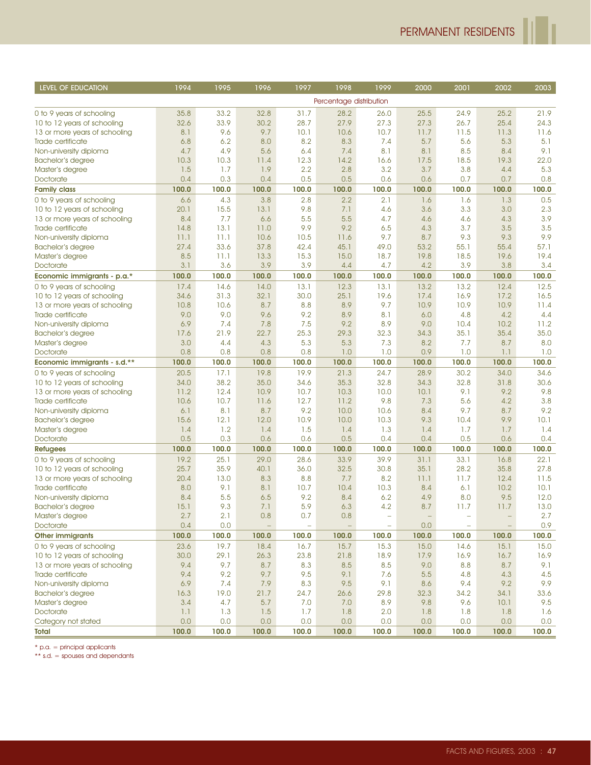r

| LEVEL OF EDUCATION            | 1994        | 1995        | 1996                     | 1997                     | 1998                     | 1999                     | 2000       | 2001                     | 2002                     | 2003        |
|-------------------------------|-------------|-------------|--------------------------|--------------------------|--------------------------|--------------------------|------------|--------------------------|--------------------------|-------------|
|                               |             |             |                          |                          | Percentage distribution  |                          |            |                          |                          |             |
| 0 to 9 years of schooling     | 35.8        | 33.2        | 32.8                     | 31.7                     | 28.2                     | 26.0                     | 25.5       | 24.9                     | 25.2                     | 21.9        |
| 10 to 12 years of schooling   | 32.6        | 33.9        | 30.2                     | 28.7                     | 27.9                     | 27.3                     | 27.3       | 26.7                     | 25.4                     | 24.3        |
| 13 or more years of schooling | 8.1         | 9.6         | 9.7                      | 10.1                     | 10.6                     | 10.7                     | 11.7       | 11.5                     | 11.3                     | 11.6        |
| Trade certificate             | 6.8         | 6.2         | 8.0                      | 8.2                      | 8.3                      | 7.4                      | 5.7        | 5.6                      | 5.3                      | 5.1         |
| Non-university diploma        | 4.7         | 4.9         | 5.6                      | 6.4                      | 7.4                      | 8.1                      | 8.1        | 8.5                      | 8.4                      | 9.1         |
| <b>Bachelor's degree</b>      | 10.3        | 10.3        | 11.4                     | 12.3                     | 14.2                     | 16.6                     | 17.5       | 18.5                     | 19.3                     | 22.0        |
| Master's degree               | 1.5         | 1.7         | 1.9                      | 2.2                      | 2.8                      | 3.2                      | 3.7        | 3.8                      | 4.4                      | 5.3         |
| Doctorate                     | 0.4         | 0.3         | 0.4                      | 0.5                      | 0.5                      | 0.6                      | 0.6        | 0.7                      | 0.7                      | 0.8         |
| <b>Family class</b>           | 100.0       | 100.0       | 100.0                    | 100.0                    | 100.0                    | 100.0                    | 100.0      | 100.0                    | 100.0                    | 100.0       |
| 0 to 9 years of schooling     | 6.6         | 4.3         | 3.8                      | 2.8                      | 2.2                      | 2.1                      | 1.6        | 1.6                      | 1.3                      | 0.5         |
| 10 to 12 years of schooling   | 20.1        | 15.5        | 13.1                     | 9.8                      | 7.1                      | 4.6                      | 3.6        | 3.3                      | 3.0                      | 2.3         |
| 13 or more years of schooling | 8.4         | 7.7         | 6.6                      | 5.5                      | 5.5                      | 4.7                      | 4.6        | 4.6                      | 4.3                      | 3.9         |
| Trade certificate             | 14.8        | 13.1        | 11.0                     | 9.9                      | 9.2                      | 6.5                      | 4.3        | 3.7                      | 3.5                      | 3.5         |
| Non-university diploma        | 11.1        | 11.1        | 10.6                     | 10.5                     | 11.6                     | 9.7                      | 8.7        | 9.3                      | 9.3                      | 9.9         |
| Bachelor's degree             | 27.4        | 33.6        | 37.8                     | 42.4                     | 45.1                     | 49.0                     | 53.2       | 55.1                     | 55.4                     | 57.1        |
| Master's degree               | 8.5         | 11.1        | 13.3                     | 15.3                     | 15.0                     | 18.7                     | 19.8       | 18.5                     | 19.6                     | 19.4        |
| Doctorate                     | 3.1         | 3.6         | 3.9                      | 3.9                      | 4.4                      | 4.7                      | 4.2        | 3.9                      | 3.8                      | 3.4         |
| Economic immigrants - p.a.*   | 100.0       | 100.0       | 100.0                    | 100.0                    | 100.0                    | 100.0                    | 100.0      | 100.0                    | 100.0                    | 100.0       |
| 0 to 9 years of schooling     | 17.4        | 14.6        | 14.0                     | 13.1                     | 12.3                     | 13.1                     | 13.2       | 13.2                     | 12.4                     | 12.5        |
| 10 to 12 years of schooling   | 34.6        | 31.3        | 32.1                     | 30.0                     | 25.1                     | 19.6                     | 17.4       | 16.9                     | 17.2                     | 16.5        |
| 13 or more years of schooling | 10.8        | 10.6        | 8.7                      | 8.8                      | 8.9                      | 9.7                      | 10.9       | 10.9                     | 10.9                     | 11.4        |
| Trade certificate             | 9.0         | 9.0         | 9.6                      | 9.2                      | 8.9                      | 8.1                      | 6.0        | 4.8                      | 4.2                      | 4.4         |
| Non-university diploma        | 6.9         | 7.4         | 7.8                      | 7.5                      | 9.2                      | 8.9                      | 9.0        | 10.4                     | 10.2                     | 11.2        |
| <b>Bachelor's degree</b>      | 17.6        | 21.9        | 22.7                     | 25.3                     | 29.3                     | 32.3                     | 34.3       | 35.1                     | 35.4                     | 35.0        |
| Master's degree               | 3.0         | 4.4         | 4.3                      | 5.3                      | 5.3                      | 7.3                      | 8.2        | 7.7                      | 8.7                      | 8.0         |
| Doctorate                     | 0.8         | 0.8         | 0.8                      | 0.8                      | 1.0                      | 1.0                      | 0.9        | 1.0                      | 1.1                      | 1.0         |
| Economic immigrants - s.d.**  | 100.0       | 100.0       | 100.0                    | 100.0                    | 100.0                    | 100.0                    | 100.0      | 100.0                    | 100.0                    | 100.0       |
| 0 to 9 years of schooling     | 20.5        | 17.1        | 19.8                     | 19.9                     | 21.3                     | 24.7                     | 28.9       | 30.2                     | 34.0                     | 34.6        |
| 10 to 12 years of schooling   | 34.0        | 38.2        | 35.0                     | 34.6                     | 35.3                     | 32.8                     | 34.3       | 32.8                     | 31.8                     | 30.6        |
| 13 or more years of schooling | 11.2        | 12.4        | 10.9                     | 10.7                     | 10.3                     | 10.0                     | 10.1       | 9.1                      | 9.2                      | 9.8         |
| Trade certificate             | 10.6        | 10.7        | 11.6                     | 12.7                     | 11.2                     | 9.8                      | 7.3        | 5.6                      | 4.2                      | 3.8         |
| Non-university diploma        | 6.1         | 8.1         | 8.7                      | 9.2                      | 10.0                     | 10.6                     | 8.4        | 9.7                      | 8.7                      | 9.2         |
| <b>Bachelor's degree</b>      | 15.6<br>1.4 | 12.1<br>1.2 | 12.0<br>1.4              | 10.9<br>1.5              | 10.0<br>1.4              | 10.3<br>1.3              | 9.3        | 10.4<br>1.7              | 9.9<br>1.7               | 10.1<br>1.4 |
| Master's degree<br>Doctorate  | 0.5         | 0.3         | 0.6                      | 0.6                      | 0.5                      | 0.4                      | 1.4<br>0.4 | 0.5                      | 0.6                      | 0.4         |
| <b>Refugees</b>               | 100.0       | 100.0       | 100.0                    | 100.0                    | 100.0                    | 100.0                    | 100.0      | 100.0                    | 100.0                    | 100.0       |
| 0 to 9 years of schooling     | 19.2        | 25.1        | 29.0                     | 28.6                     | 33.9                     | 39.9                     | 31.1       | 33.1                     | 16.8                     | 22.1        |
| 10 to 12 years of schooling   | 25.7        | 35.9        | 40.1                     | 36.0                     | 32.5                     | 30.8                     | 35.1       | 28.2                     | 35.8                     | 27.8        |
| 13 or more years of schooling | 20.4        | 13.0        | 8.3                      | 8.8                      | 7.7                      | 8.2                      | 11.1       | 11.7                     | 12.4                     | 11.5        |
| Trade certificate             | 8.0         | 9.1         | 8.1                      | 10.7                     | 10.4                     | 10.3                     | 8.4        | 6.1                      | 10.2                     | 10.1        |
| Non-university diploma        | 8.4         | 5.5         | 6.5                      | 9.2                      | 8.4                      | 6.2                      | 4.9        | 8.0                      | 9.5                      | 12.0        |
| <b>Bachelor's degree</b>      | 15.1        | 9.3         | 7.1                      | 5.9                      | 6.3                      | 4.2                      | 8.7        | 11.7                     | 11.7                     | 13.0        |
| Master's degree               | 2.7         | 2.1         | 0.8                      | 0.7                      | 0.8                      |                          |            |                          |                          | 2.7         |
| Doctorate                     | 0.4         | 0.0         | $\overline{\phantom{m}}$ | $\overline{\phantom{a}}$ | $\overline{\phantom{a}}$ | $\overline{\phantom{a}}$ | 0.0        | $\overline{\phantom{m}}$ | $\overline{\phantom{m}}$ | 0.9         |
| <b>Other immigrants</b>       | 100.0       | 100.0       | 100.0                    | 100.0                    | 100.0                    | 100.0                    | 100.0      | 100.0                    | 100.0                    | 100.0       |
| 0 to 9 years of schooling     | 23.6        | 19.7        | 18.4                     | 16.7                     | 15.7                     | 15.3                     | 15.0       | 14.6                     | 15.1                     | 15.0        |
| 10 to 12 years of schooling   | 30.0        | 29.1        | 26.3                     | 23.8                     | 21.8                     | 18.9                     | 17.9       | 16.9                     | 16.7                     | 16.9        |
| 13 or more years of schooling | 9.4         | 9.7         | 8.7                      | 8.3                      | 8.5                      | 8.5                      | 9.0        | 8.8                      | 8.7                      | 9.1         |
| Trade certificate             | 9.4         | 9.2         | 9.7                      | 9.5                      | 9.1                      | 7.6                      | 5.5        | 4.8                      | 4.3                      | 4.5         |
| Non-university diploma        | 6.9         | 7.4         | 7.9                      | 8.3                      | 9.5                      | 9.1                      | 8.6        | 9.4                      | 9.2                      | 9.9         |
| <b>Bachelor's degree</b>      | 16.3        | 19.0        | 21.7                     | 24.7                     | 26.6                     | 29.8                     | 32.3       | 34.2                     | 34.1                     | 33.6        |
| Master's degree               | 3.4         | 4.7         | 5.7                      | 7.0                      | 7.0                      | 8.9                      | 9.8        | 9.6                      | 10.1                     | 9.5         |
| Doctorate                     | 1.1         | 1.3         | 1.5                      | 1.7                      | 1.8                      | 2.0                      | 1.8        | 1.8                      | 1.8                      | 1.6         |
| Category not stated           | 0.0         | 0.0         | 0.0                      | 0.0                      | 0.0                      | 0.0                      | 0.0        | 0.0                      | 0.0                      | 0.0         |
| Total                         | 100.0       | 100.0       | 100.0                    | 100.0                    | 100.0                    | 100.0                    | 100.0      | 100.0                    | 100.0                    | 100.0       |

 $*$  p.a. = principal applicants

\*\* s.d. = spouses and dependants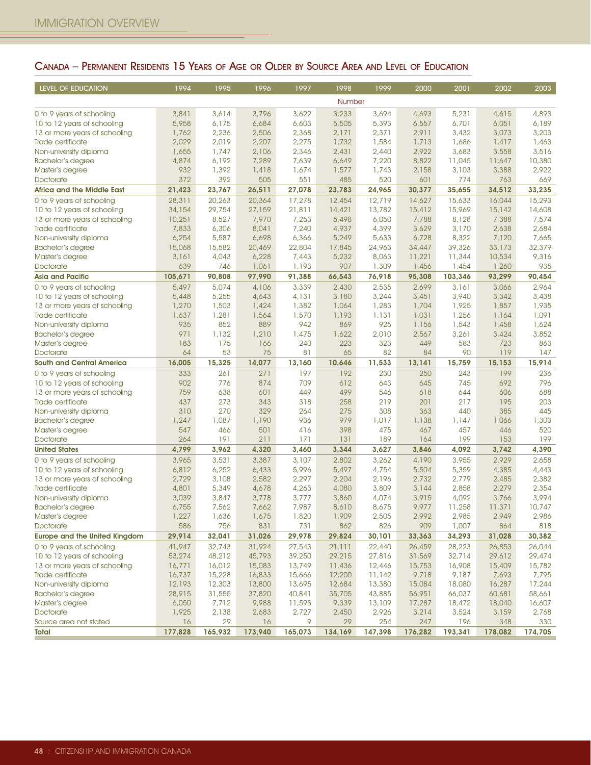## CANADA – PERMANENT RESIDENTS 15 YEARS OF AGE OR OLDER BY SOURCE AREA AND LEVEL OF EDUCATION

| LEVEL OF EDUCATION                          | 1994       | 1995       | 1996       | 1997       | 1998       | 1999         | 2000         | 2001         | 2002       | 2003       |
|---------------------------------------------|------------|------------|------------|------------|------------|--------------|--------------|--------------|------------|------------|
|                                             |            |            |            |            | Number     |              |              |              |            |            |
| 0 to 9 years of schooling                   | 3,841      | 3,614      | 3,796      | 3,622      | 3,233      | 3,694        | 4,693        | 5,231        | 4,615      | 4,893      |
| 10 to 12 years of schooling                 | 5,958      | 6,175      | 6,684      | 6,603      | 5,505      | 5,393        | 6,557        | 6,701        | 6,051      | 6,189      |
| 13 or more years of schooling               | 1,762      | 2,236      | 2,506      | 2,368      | 2,171      | 2,371        | 2,911        | 3,432        | 3,073      | 3,203      |
| Trade certificate                           | 2,029      | 2,019      | 2,207      | 2,275      | 1,732      | 1,584        | 1,713        | 1,686        | 1,417      | 1,463      |
| Non-university diploma                      | 1,655      | 1,747      | 2,106      | 2,346      | 2,431      | 2,440        | 2,922        | 3,683        | 3,558      | 3,516      |
| <b>Bachelor's degree</b>                    | 4,874      | 6,192      | 7,289      | 7,639      | 6,649      | 7,220        | 8,822        | 11,045       | 11,647     | 10,380     |
| Master's degree                             | 932        | 1,392      | 1,418      | 1,674      | 1,577      | 1,743        | 2,158        | 3,103        | 3,388      | 2,922      |
| Doctorate                                   | 372        | 392        | 505        | 551        | 485        | 520          | 601          | 774          | 763        | 669        |
| <b>Africa and the Middle East</b>           | 21,423     | 23,767     | 26,511     | 27,078     | 23,783     | 24,965       | 30,377       | 35,655       | 34,512     | 33,235     |
| 0 to 9 years of schooling                   | 28,311     | 20,263     | 20,364     | 17,278     | 12,454     | 12,719       | 14,627       | 15,633       | 16,044     | 15,293     |
| 10 to 12 years of schooling                 | 34,154     | 29,754     | 27,159     | 21,811     | 14,421     | 13,782       | 15,412       | 15,969       | 15,142     | 14,608     |
| 13 or more years of schooling               | 10,251     | 8,527      | 7,970      | 7,253      | 5,498      | 6,050        | 7,788        | 8,128        | 7,388      | 7,574      |
| Trade certificate                           | 7,833      | 6,306      | 8,041      | 7,240      | 4,937      | 4,399        | 3,629        | 3,170        | 2,638      | 2,684      |
| Non-university diploma                      | 6,254      | 5,587      | 6,698      | 6,366      | 5,249      | 5,633        | 6,728        | 8,322        | 7,120      | 7,665      |
| Bachelor's degree                           | 15,068     | 15,582     | 20,469     | 22,804     | 17,845     | 24,963       | 34,447       | 39,326       | 33,173     | 32,379     |
| Master's degree                             | 3,161      | 4,043      | 6,228      | 7,443      | 5,232      | 8,063        | 11,221       | 11,344       | 10,534     | 9,316      |
| Doctorate                                   | 639        | 746        | 1,061      | 1,193      | 907        | 1,309        | 1,456        | 1,454        | 1,260      | 935        |
| <b>Asia and Pacific</b>                     | 105,671    | 90,808     | 97,990     | 91,388     | 66,543     | 76,918       | 95,308       | 103,346      | 93,299     | 90,454     |
| 0 to 9 years of schooling                   | 5,497      | 5,074      | 4,106      | 3,339      | 2,430      | 2,535        | 2,699        | 3,161        | 3,066      | 2,964      |
| 10 to 12 years of schooling                 | 5,448      | 5,255      | 4,643      | 4,131      | 3,180      | 3,244        | 3,451        | 3,940        | 3,342      | 3,438      |
| 13 or more years of schooling               | 1,270      | 1,503      | 1,424      | 1,382      | 1,064      | 1,283        | 1,704        | 1,925        | 1,857      | 1,935      |
| Trade certificate                           | 1,637      | 1,281      | 1,564      | 1,570      | 1,193      | 1,131        | 1,031        | 1,256        | 1,164      | 1,091      |
| Non-university diploma                      | 935        | 852        | 889        | 942        | 869        | 925          | 1,156        | 1,543        | 1,458      | 1,624      |
| Bachelor's degree                           | 971        | 1,132      | 1,210      | 1,475      | 1,622      | 2,010        | 2,567        | 3,261        | 3,424      | 3,852      |
| Master's degree                             | 183        | 175        | 166        | 240        | 223        | 323          | 449          | 583          | 723        | 863        |
| Doctorate                                   | 64         | 53         | 75         | 81         | 65         | 82           | 84           | 90           | 119        | 147        |
| <b>South and Central America</b>            | 16,005     | 15,325     | 14,077     | 13,160     | 10,646     | 11,533       | 13,141       | 15,759       | 15,153     | 15,914     |
| 0 to 9 years of schooling                   | 333        | 261        | 271        | 197        | 192        | 230          | 250          | 243          | 199        | 236        |
| 10 to 12 years of schooling                 | 902        | 776        | 874        | 709        | 612        | 643          | 645          | 745          | 692        | 796        |
| 13 or more years of schooling               | 759        | 638        | 601        | 449        | 499        | 546          | 618          | 644          | 606        | 688        |
| Trade certificate                           | 437<br>310 | 273<br>270 | 343<br>329 | 318        | 258<br>275 | 219          | 201          | 217          | 195<br>385 | 203<br>445 |
| Non-university diploma                      | 1,247      | 1,087      | 1,190      | 264<br>936 | 979        | 308<br>1,017 | 363<br>1,138 | 440<br>1,147 | 1,066      | 1,303      |
| <b>Bachelor's degree</b><br>Master's degree | 547        | 466        | 501        | 416        | 398        | 475          | 467          | 457          | 446        | 520        |
| Doctorate                                   | 264        | 191        | 211        | 171        | 131        | 189          | 164          | 199          | 153        | 199        |
| <b>United States</b>                        | 4,799      | 3,962      | 4,320      | 3,460      | 3,344      | 3,627        | 3,846        | 4,092        | 3,742      | 4,390      |
| 0 to 9 years of schooling                   | 3,965      | 3,531      | 3,387      | 3,107      | 2,802      | 3,262        | 4,190        | 3,955        | 2,929      | 2,658      |
| 10 to 12 years of schooling                 | 6,812      | 6,252      | 6,433      | 5,996      | 5,497      | 4,754        | 5,504        | 5,359        | 4,385      | 4,443      |
| 13 or more years of schooling               | 2,729      | 3,108      | 2,582      | 2,297      | 2,204      | 2,196        | 2,732        | 2,779        | 2,485      | 2,382      |
| Trade certificate                           | 4,801      | 5,349      | 4,678      | 4,263      | 4,080      | 3,809        | 3,144        | 2,858        | 2,279      | 2,354      |
| Non-university diploma                      | 3,039      | 3,847      | 3,778      | 3,777      | 3,860      | 4,074        | 3,915        | 4,092        | 3,766      | 3,994      |
| <b>Bachelor's degree</b>                    | 6,755      | 7,562      | 7,662      | 7,987      | 8,610      | 8,675        | 9,977        | 11,258       | 11,371     | 10,747     |
| Master's degree                             | 1,227      | 1,636      | 1,675      | 1,820      | 1,909      | 2,505        | 2,992        | 2,985        | 2,949      | 2,986      |
| Doctorate                                   | 586        | 756        | 831        | 731        | 862        | 826          | 909          | 1,007        | 864        | 818        |
| <b>Europe and the United Kingdom</b>        | 29,914     | 32,041     | 31,026     | 29,978     | 29,824     | 30,101       | 33,363       | 34,293       | 31,028     | 30,382     |
| 0 to 9 years of schooling                   | 41,947     | 32,743     | 31,924     | 27,543     | 21,111     | 22,440       | 26,459       | 28,223       | 26,853     | 26,044     |
| 10 to 12 years of schooling                 | 53,274     | 48,212     | 45,793     | 39,250     | 29,215     | 27,816       | 31,569       | 32,714       | 29,612     | 29,474     |
| 13 or more years of schooling               | 16,771     | 16,012     | 15,083     | 13,749     | 11,436     | 12,446       | 15,753       | 16,908       | 15,409     | 15,782     |
| Trade certificate                           | 16,737     | 15,228     | 16,833     | 15,666     | 12,200     | 11,142       | 9,718        | 9,187        | 7,693      | 7,795      |
| Non-university diploma                      | 12,193     | 12,303     | 13,800     | 13,695     | 12,684     | 13,380       | 15,084       | 18,080       | 16,287     | 17,244     |
| <b>Bachelor's degree</b>                    | 28,915     | 31,555     | 37,820     | 40,841     | 35,705     | 43,885       | 56,951       | 66,037       | 60,681     | 58,661     |
| Master's degree                             | 6,050      | 7,712      | 9,988      | 11,593     | 9,339      | 13,109       | 17,287       | 18,472       | 18,040     | 16,607     |
| Doctorate                                   | 1,925      | 2,138      | 2,683      | 2,727      | 2,450      | 2,926        | 3,214        | 3,524        | 3,159      | 2,768      |
| Source area not stated                      | 16         | 29         | 16         | 9          | 29         | 254          | 247          | 196          | 348        | 330        |
| <b>Total</b>                                | 177,828    | 165,932    | 173,940    | 165,073    | 134,169    | 147,398      | 176,282      | 193,341      | 178,082    | 174,705    |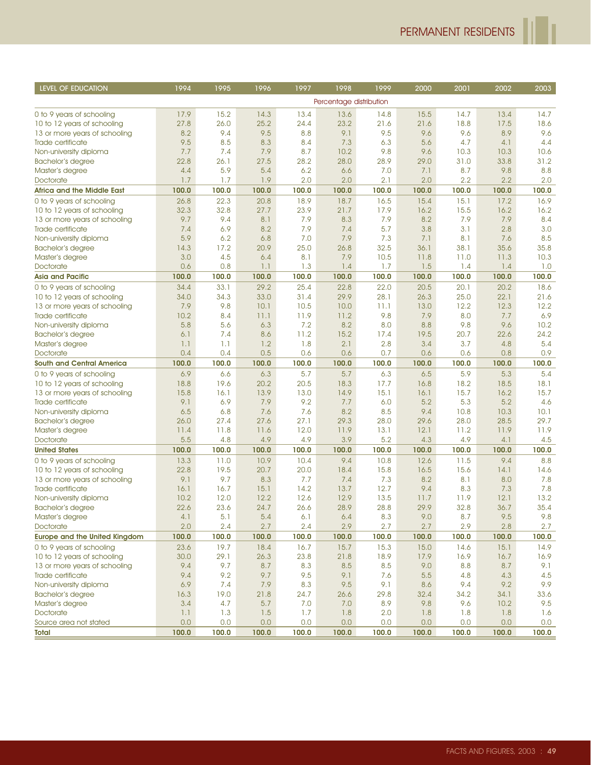ľ

| <b>LEVEL OF EDUCATION</b>            | 1994        | 1995        | 1996        | 1997        | 1998                    | 1999        | 2000        | 2001         | 2002         | 2003         |
|--------------------------------------|-------------|-------------|-------------|-------------|-------------------------|-------------|-------------|--------------|--------------|--------------|
|                                      |             |             |             |             | Percentage distribution |             |             |              |              |              |
| 0 to 9 years of schooling            | 17.9        | 15.2        | 14.3        | 13.4        | 13.6                    | 14.8        | 15.5        | 14.7         | 13.4         | 14.7         |
| 10 to 12 years of schooling          | 27.8        | 26.0        | 25.2        | 24.4        | 23.2                    | 21.6        | 21.6        | 18.8         | 17.5         | 18.6         |
| 13 or more years of schooling        | 8.2         | 9.4         | 9.5         | 8.8         | 9.1                     | 9.5         | 9.6         | 9.6          | 8.9          | 9.6          |
| Trade certificate                    | 9.5         | 8.5         | 8.3         | 8.4         | 7.3                     | 6.3         | 5.6         | 4.7          | 4.1          | 4.4          |
| Non-university diploma               | 7.7         | 7.4         | 7.9         | 8.7         | 10.2                    | 9.8         | 9.6         | 10.3         | 10.3         | 10.6         |
| Bachelor's degree                    | 22.8        | 26.1        | 27.5        | 28.2        | 28.0                    | 28.9        | 29.0        | 31.0         | 33.8         | 31.2         |
| Master's degree                      | 4.4         | 5.9         | 5.4         | 6.2         | 6.6                     | 7.0         | 7.1         | 8.7          | 9.8          | 8.8          |
| Doctorate                            | 1.7         | 1.7         | 1.9         | 2.0         | 2.0                     | 2.1         | 2.0         | 2.2          | 2.2          | 2.0          |
| <b>Africa and the Middle East</b>    | 100.0       | 100.0       | 100.0       | 100.0       | 100.0                   | 100.0       | 100.0       | 100.0        | 100.0        | 100.0        |
| 0 to 9 years of schooling            | 26.8        | 22.3        | 20.8        | 18.9        | 18.7                    | 16.5        | 15.4        | 15.1         | 17.2         | 16.9         |
| 10 to 12 years of schooling          | 32.3        | 32.8        | 27.7        | 23.9        | 21.7                    | 17.9        | 16.2        | 15.5         | 16.2         | 16.2         |
| 13 or more years of schooling        | 9.7         | 9.4         | 8.1         | 7.9         | 8.3                     | 7.9         | 8.2         | 7.9          | 7.9          | 8.4          |
| Trade certificate                    | 7.4         | 6.9         | 8.2         | 7.9         | 7.4                     | 5.7         | 3.8         | 3.1          | 2.8          | 3.0          |
| Non-university diploma               | 5.9         | 6.2         | 6.8         | 7.0         | 7.9                     | 7.3         | 7.1         | 8.1          | 7.6          | 8.5          |
| <b>Bachelor's degree</b>             | 14.3        | 17.2        | 20.9        | 25.0        | 26.8                    | 32.5        | 36.1        | 38.1         | 35.6         | 35.8         |
| Master's degree                      | 3.0         | 4.5         | 6.4         | 8.1         | 7.9                     | 10.5        | 11.8        | 11.0         | 11.3         | 10.3         |
| Doctorate                            | 0.6         | 0.8         | 1.1         | 1.3         | 1.4                     | 1.7         | 1.5         | 1.4          | 1.4          | 1.0          |
| <b>Asia and Pacific</b>              | 100.0       | 100.0       | 100.0       | 100.0       | 100.0                   | 100.0       | 100.0       | 100.0        | 100.0        | 100.0        |
| 0 to 9 years of schooling            | 34.4        | 33.1        | 29.2        | 25.4        | 22.8                    | 22.0        | 20.5        | 20.1         | 20.2         | 18.6         |
| 10 to 12 years of schooling          | 34.0        | 34.3        | 33.0        | 31.4        | 29.9                    | 28.1        | 26.3        | 25.0         | 22.1         | 21.6         |
| 13 or more years of schooling        | 7.9         | 9.8         | 10.1        | 10.5        | 10.0                    | 11.1        | 13.0        | 12.2         | 12.3         | 12.2         |
| Trade certificate                    | 10.2        | 8.4         | 11.1        | 11.9        | 11.2                    | 9.8         | 7.9         | 8.0          | 7.7          | 6.9          |
| Non-university diploma               | 5.8         | 5.6         | 6.3         | 7.2         | 8.2                     | 0.8         | 8.8         | 9.8          | 9.6          | 10.2         |
| Bachelor's degree                    | 6.1         | 7.4         | 8.6         | 11.2        | 15.2                    | 17.4        | 19.5        | 20.7         | 22.6         | 24.2         |
| Master's degree                      | 1.1         | 1.1         | 1.2         | 1.8         | 2.1                     | 2.8         | 3.4         | 3.7          | 4.8          | 5.4          |
| Doctorate                            | 0.4         | 0.4         | 0.5         | 0.6         | 0.6                     | 0.7         | 0.6         | 0.6          | 0.8          | 0.9          |
| <b>South and Central America</b>     | 100.0       | 100.0       | 100.0       | 100.0       | 100.0                   | 100.0       | 100.0       | 100.0        | 100.0        | 100.0        |
| 0 to 9 years of schooling            | 6.9         | 6.6         | 6.3         | 5.7         | 5.7                     | 6.3         | 6.5         | 5.9          | 5.3          | 5.4          |
| 10 to 12 years of schooling          | 18.8        | 19.6        | 20.2        | 20.5        | 18.3                    | 17.7        | 16.8        | 18.2         | 18.5         | 18.1         |
| 13 or more years of schooling        | 15.8        | 16.1<br>6.9 | 13.9<br>7.9 | 13.0        | 14.9                    | 15.1        | 16.1        | 15.7         | 16.2         | 15.7         |
| Trade certificate                    | 9.1         |             |             | 9.2         | 7.7                     | 6.0         | 5.2         | 5.3          | 5.2          | 4.6          |
| Non-university diploma               | 6.5<br>26.0 | 6.8<br>27.4 | 7.6<br>27.6 | 7.6<br>27.1 | 8.2<br>29.3             | 8.5<br>28.0 | 9.4<br>29.6 | 10.8<br>28.0 | 10.3<br>28.5 | 10.1<br>29.7 |
| Bachelor's degree<br>Master's degree | 11.4        | 11.8        | 11.6        | 12.0        | 11.9                    | 13.1        | 12.1        | 11.2         | 11.9         | 11.9         |
| Doctorate                            | 5.5         | 4.8         | 4.9         | 4.9         | 3.9                     | 5.2         | 4.3         | 4.9          | 4.1          | 4.5          |
| <b>United States</b>                 | 100.0       | 100.0       | 100.0       | 100.0       | 100.0                   | 100.0       | 100.0       | 100.0        | 100.0        | 100.0        |
| 0 to 9 years of schooling            | 13.3        | 11.0        | 10.9        | 10.4        | 9.4                     | 10.8        | 12.6        | 11.5         | 9.4          | 8.8          |
| 10 to 12 years of schooling          | 22.8        | 19.5        | 20.7        | 20.0        | 18.4                    | 15.8        | 16.5        | 15.6         | 14.1         | 14.6         |
| 13 or more years of schooling        | 9.1         | 9.7         | 8.3         | 7.7         | 7.4                     | 7.3         | 8.2         | 8.1          | 8.0          | 7.8          |
| Trade certificate                    | 16.1        | 16.7        | 15.1        | 14.2        | 13.7                    | 12.7        | 9.4         | 8.3          | 7.3          | 7.8          |
| Non-university diploma               | 10.2        | 12.0        | 12.2        | 12.6        | 12.9                    | 13.5        | 11.7        | 11.9         | 12.1         | 13.2         |
| Bachelor's degree                    | 22.6        | 23.6        | 24.7        | 26.6        | 28.9                    | 28.8        | 29.9        | 32.8         | 36.7         | 35.4         |
| Master's degree                      | 4.1         | 5.1         | $5.4$       | 6.1         | 6.4                     | 8.3         | 9.0         | 8.7          | 9.5          | 9.8          |
| Doctorate                            | 2.0         | 2.4         | 2.7         | 2.4         | 2.9                     | 2.7         | 2.7         | 2.9          | 2.8          | 2.7          |
| <b>Europe and the United Kingdom</b> | 100.0       | 100.0       | 100.0       | 100.0       | 100.0                   | 100.0       | 100.0       | 100.0        | 100.0        | 100.0        |
| 0 to 9 years of schooling            | 23.6        | 19.7        | 18.4        | 16.7        | 15.7                    | 15.3        | 15.0        | 14.6         | 15.1         | 14.9         |
| 10 to 12 years of schooling          | 30.0        | 29.1        | 26.3        | 23.8        | 21.8                    | 18.9        | 17.9        | 16.9         | 16.7         | 16.9         |
| 13 or more years of schooling        | 9.4         | 9.7         | 8.7         | 8.3         | 8.5                     | 8.5         | 9.0         | 8.8          | 8.7          | 9.1          |
| Trade certificate                    | 9.4         | 9.2         | 9.7         | 9.5         | 9.1                     | 7.6         | $5.5$       | 4.8          | 4.3          | 4.5          |
| Non-university diploma               | 6.9         | 7.4         | 7.9         | 8.3         | 9.5                     | 9.1         | 8.6         | 9.4          | 9.2          | 9.9          |
| <b>Bachelor's degree</b>             | 16.3        | 19.0        | 21.8        | 24.7        | 26.6                    | 29.8        | 32.4        | 34.2         | 34.1         | 33.6         |
| Master's degree                      | 3.4         | 4.7         | 5.7         | 7.0         | 7.0                     | 8.9         | 9.8         | 9.6          | 10.2         | 9.5          |
| Doctorate                            | 1.1         | 1.3         | 1.5         | 1.7         | 1.8                     | 2.0         | 1.8         | 1.8          | 1.8          | 1.6          |
| Source area not stated               | 0.0         | 0.0         | 0.0         | 0.0         | 0.0                     | 0.0         | 0.0         | 0.0          | 0.0          | 0.0          |
| <b>Total</b>                         | 100.0       | 100.0       | 100.0       | 100.0       | 100.0                   | 100.0       | 100.0       | 100.0        | 100.0        | 100.0        |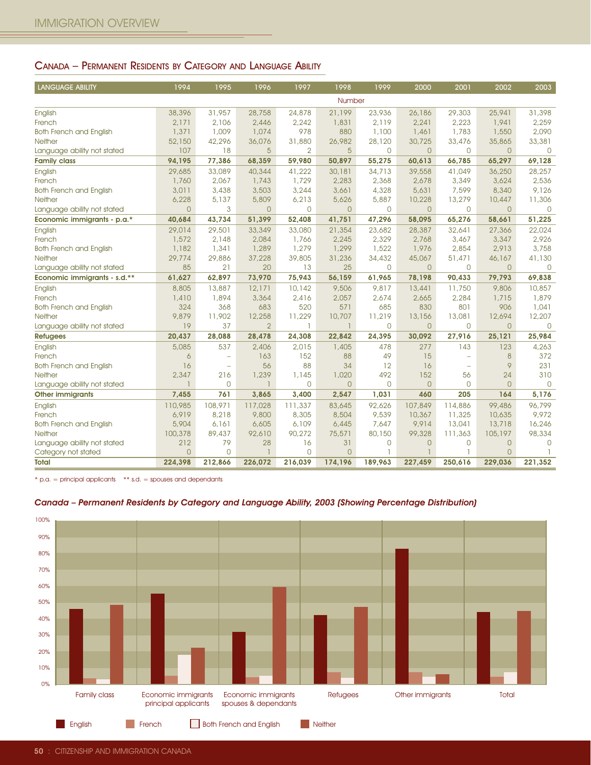## CANADA – PERMANENT RESIDENTS BY CATEGORY AND LANGUAGE ABILITY

| <b>LANGUAGE ABILITY</b>                                                                                                                                                             | 1994                                        | 1995                           | 1996                                        | 1997            | 1998                     | 1999                   | 2000             | 2001                                                 | 2002             | 2003                     |
|-------------------------------------------------------------------------------------------------------------------------------------------------------------------------------------|---------------------------------------------|--------------------------------|---------------------------------------------|-----------------|--------------------------|------------------------|------------------|------------------------------------------------------|------------------|--------------------------|
|                                                                                                                                                                                     |                                             |                                |                                             |                 | Number                   |                        |                  |                                                      |                  |                          |
| English                                                                                                                                                                             | 38,396                                      | 31,957                         | 28,758                                      | 24,878          | 21,199                   | 23,936                 | 26,186           | 29,303                                               | 25,941           | 31,398                   |
| French                                                                                                                                                                              | 2,171                                       | 2,106                          | 2,446                                       | 2,242           | 1,831                    | 2,119                  | 2,241            | 2,223                                                | 1,941            | 2.259                    |
| <b>Both French and English</b>                                                                                                                                                      | 1,371                                       | 1,009                          | 1,074                                       | 978             | 880                      | 1,100                  | 1,461            | 1,783                                                | 1,550            | 2,090                    |
| Neither                                                                                                                                                                             | 52,150<br>107                               | 42,296<br>18                   | 36,076<br>5                                 | 31,880<br>2     | 26,982<br>$5\phantom{.}$ | 28,120<br>0            | 30,725<br>0      | 33,476<br>0                                          | 35,865<br>0      | 33,381<br>$\overline{0}$ |
| Language ability not stated<br><b>Family class</b>                                                                                                                                  | 94,195                                      | 77,386                         | 68,359                                      | 59,980          | 50,897                   | 55,275                 | 60,613           | 66,785                                               | 65,297           | 69,128                   |
| English                                                                                                                                                                             | 29,685                                      | 33,089                         | 40,344                                      | 41,222          | 30,181                   | 34,713                 | 39,558           | 41,049                                               | 36,250           | 28,257                   |
| French                                                                                                                                                                              | 1,760                                       | 2,067                          | 1,743                                       | 1,729           | 2,283                    | 2,368                  | 2,678            | 3,349                                                | 3,624            | 2,536                    |
| <b>Both French and English</b>                                                                                                                                                      | 3,011                                       | 3,438                          | 3,503                                       | 3,244           | 3,661                    | 4,328                  | 5,631            | 7,599                                                | 8,340            | 9,126                    |
| <b>Neither</b>                                                                                                                                                                      | 6,228                                       | 5,137                          | 5,809                                       | 6,213           | 5,626                    | 5,887                  | 10,228           | 13,279                                               | 10,447           | 11,306                   |
| Language ability not stated<br>Economic immigrants - p.a.*                                                                                                                          | 0<br>40,684                                 | 3<br>43,734                    | 0<br>51,399                                 | 0<br>52,408     | $\mathsf{O}$<br>41,751   | $\mathsf{O}$<br>47,296 | 0<br>58,095      | 0<br>65,276                                          | 0<br>58,661      | $\overline{0}$<br>51,225 |
| English                                                                                                                                                                             | 29,014                                      | 29,501                         | 33,349                                      | 33,080          | 21,354                   | 23,682                 | 28,387           | 32,641                                               | 27,366           | 22,024                   |
| French                                                                                                                                                                              | 1,572                                       | 2,148                          | 2,084                                       | 1,766           | 2,245                    | 2,329                  | 2,768            | 3,467                                                | 3,347            | 2,926                    |
| <b>Both French and English</b>                                                                                                                                                      | 1,182                                       | 1,341                          | 1,289                                       | 1,279           | 1,299                    | 1,522                  | 1,976            | 2,854                                                | 2,913            | 3,758                    |
| Neither                                                                                                                                                                             | 29,774                                      | 29,886                         | 37,228                                      | 39,805          | 31,236                   | 34,432                 | 45,067           | 51,471                                               | 46,167           | 41,130                   |
| Language ability not stated                                                                                                                                                         | 85                                          | 21                             | 20                                          | 13              | 25                       | $\mathsf{O}$           | $\overline{0}$   | $\mathbf 0$                                          | $\overline{0}$   | $\overline{0}$           |
| Economic immigrants - s.d.**                                                                                                                                                        | 61,627                                      | 62,897                         | 73,970                                      | 75,943          | 56,159                   | 61,965                 | 78,198           | 90,433                                               | 79,793           | 69,838                   |
| English<br>French                                                                                                                                                                   | 8,805<br>1,410                              | 13,887<br>1,894                | 12,171<br>3,364                             | 10,142<br>2,416 | 9,506<br>2,057           | 9,817<br>2,674         | 13,441<br>2,665  | 11,750<br>2,284                                      | 9,806<br>1,715   | 10,857<br>1,879          |
| <b>Both French and English</b>                                                                                                                                                      | 324                                         | 368                            | 683                                         | 520             | 571                      | 685                    | 830              | 801                                                  | 906              | 1,041                    |
| Neither                                                                                                                                                                             | 9,879                                       | 11,902                         | 12,258                                      | 11,229          | 10,707                   | 11,219                 | 13,156           | 13,081                                               | 12,694           | 12,207                   |
| Language ability not stated                                                                                                                                                         | 19                                          | 37                             | $\overline{2}$                              | 1               | $\mathbf{1}$             | $\mathbf 0$            | $\overline{0}$   | $\mathbf 0$                                          | $\overline{0}$   | $\mathbf 0$              |
| <b>Refugees</b>                                                                                                                                                                     | 20,437                                      | 28,088                         | 28,478                                      | 24,308          | 22,842                   | 24,395                 | 30,092           | 27,916                                               | 25.121           | 25,984                   |
| English                                                                                                                                                                             | 5,085                                       | 537                            | 2,406                                       | 2,015           | 1,405                    | 478                    | 277              | 143                                                  | 123              | 4,263                    |
| French<br><b>Both French and English</b>                                                                                                                                            | 6<br>16                                     | L,<br>$\overline{\phantom{a}}$ | 163<br>56                                   | 152<br>88       | 88<br>34                 | 49<br>12               | 15<br>16         | $\overline{\phantom{a}}$<br>$\overline{\phantom{a}}$ | 8<br>9           | 372<br>231               |
| Neither                                                                                                                                                                             | 2,347                                       | 216                            | 1,239                                       | 1,145           | 1,020                    | 492                    | 152              | 56                                                   | 24               | 310                      |
| Language ability not stated                                                                                                                                                         | 1                                           | $\overline{0}$                 | $\mathbf{1}$                                | 0               | $\overline{O}$           | $\mathbf{0}$           | 0                | 0                                                    | $\overline{0}$   | $\mathbf{0}$             |
| <b>Other immigrants</b>                                                                                                                                                             | 7,455                                       | 761                            | 3,865                                       | 3,400           | 2,547                    | 1,031                  | 460              | 205                                                  | 164              | 5,176                    |
| English                                                                                                                                                                             | 110,985                                     | 108,971                        | 117,028                                     | 111,337         | 83,645                   | 92,626                 | 107,849          | 114,886                                              | 99,486           | 96,799                   |
| French<br><b>Both French and English</b>                                                                                                                                            | 6,919<br>5,904                              | 8,218<br>6,161                 | 9,800<br>6,605                              | 8,305<br>6,109  | 8,504<br>6,445           | 9,539<br>7,647         | 10,367<br>9,914  | 11,325<br>13,041                                     | 10,635<br>13,718 | 9,972<br>16,246          |
| Neither                                                                                                                                                                             | 100,378                                     | 89,437                         | 92,610                                      | 90,272          | 75,571                   | 80,150                 | 99,328           | 111,363                                              | 105,197          | 98,334                   |
| Language ability not stated                                                                                                                                                         | 212                                         | 79                             | 28                                          | 16              | 31                       | $\overline{0}$         | $\overline{0}$   | $\mathbf 0$                                          | $\overline{0}$   | $\circ$                  |
| Category not stated                                                                                                                                                                 | $\overline{0}$                              | 0                              | 1                                           | $\mathbf{O}$    | $\overline{0}$           | ٦                      |                  | 1                                                    | $\overline{0}$   | -1                       |
| Total                                                                                                                                                                               | 224,398                                     | 212,866                        | 226,072                                     | 216,039         | 174,196                  | 189,963                | 227,459          | 250,616                                              | 229,036          | 221,352                  |
| $*$ p.a. = principal applicants $**$ s.d. = spouses and dependants<br>Canada - Permanent Residents by Category and Language Ability, 2003 (Showing Percentage Distribution)<br>100% |                                             |                                |                                             |                 |                          |                        |                  |                                                      |                  |                          |
| 90%                                                                                                                                                                                 |                                             |                                |                                             |                 |                          |                        |                  |                                                      |                  |                          |
| 80%                                                                                                                                                                                 |                                             |                                |                                             |                 |                          |                        |                  |                                                      |                  |                          |
| 70%                                                                                                                                                                                 |                                             |                                |                                             |                 |                          |                        |                  |                                                      |                  |                          |
|                                                                                                                                                                                     |                                             |                                |                                             |                 |                          |                        |                  |                                                      |                  |                          |
| 60%                                                                                                                                                                                 |                                             |                                |                                             |                 |                          |                        |                  |                                                      |                  |                          |
| 50%                                                                                                                                                                                 |                                             |                                |                                             |                 |                          |                        |                  |                                                      |                  |                          |
| 40%                                                                                                                                                                                 |                                             |                                |                                             |                 |                          |                        |                  |                                                      |                  |                          |
| 30%                                                                                                                                                                                 |                                             |                                |                                             |                 |                          |                        |                  |                                                      |                  |                          |
| 20%                                                                                                                                                                                 |                                             |                                |                                             |                 |                          |                        |                  |                                                      |                  |                          |
| 10%                                                                                                                                                                                 |                                             |                                |                                             |                 |                          |                        |                  |                                                      |                  |                          |
| 0%                                                                                                                                                                                  |                                             |                                |                                             |                 |                          |                        |                  |                                                      |                  |                          |
| <b>Family class</b>                                                                                                                                                                 | Economic immigrants<br>principal applicants |                                | Economic immigrants<br>spouses & dependants |                 | <b>Refugees</b>          |                        | Other immigrants |                                                      | Total            |                          |

#### Canada – Permanent Residents by Category and Language Ability, 2003 (Showing Percentage Distribution)

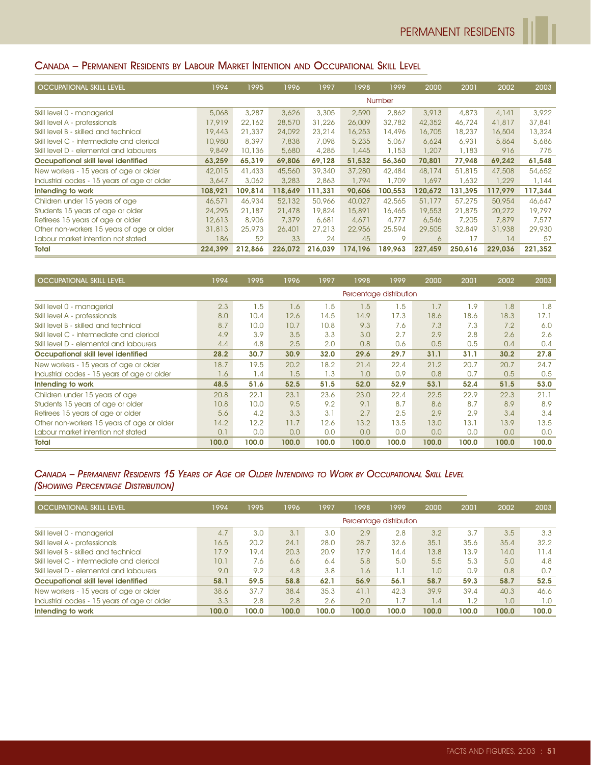# CANADA – PERMANENT RESIDENTS BY LABOUR MARKET INTENTION AND OCCUPATIONAL SKILL LEVEL

| <b>OCCUPATIONAL SKILL LEVEL</b>             | 1994    | 1995    | 1996    | 1997    | 1998    | 1999    | 2000    | 2001    | 2002    | 2003    |
|---------------------------------------------|---------|---------|---------|---------|---------|---------|---------|---------|---------|---------|
|                                             |         |         |         |         |         | Number  |         |         |         |         |
| Skill level 0 - managerial                  | 5,068   | 3,287   | 3,626   | 3,305   | 2,590   | 2,862   | 3,913   | 4,873   | 4,141   | 3,922   |
| Skill level A - professionals               | 17,919  | 22,162  | 28,570  | 31,226  | 26,009  | 32,782  | 42,352  | 46,724  | 41,817  | 37,841  |
| Skill level B - skilled and technical       | 19,443  | 21,337  | 24,092  | 23,214  | 16,253  | 14,496  | 16,705  | 18,237  | 16,504  | 13,324  |
| Skill level C - intermediate and clerical   | 10,980  | 8,397   | 7,838   | 7,098   | 5,235   | 5,067   | 6,624   | 6,931   | 5,864   | 5,686   |
| Skill level D - elemental and labourers     | 9,849   | 10,136  | 5,680   | 4,285   | 1,445   | 1,153   | 1,207   | 1,183   | 916     | 775     |
| Occupational skill level identified         | 63,259  | 65,319  | 69,806  | 69,128  | 51,532  | 56,360  | 70,801  | 77,948  | 69,242  | 61,548  |
| New workers - 15 years of age or older      | 42,015  | 41,433  | 45,560  | 39,340  | 37,280  | 42,484  | 48,174  | 51,815  | 47,508  | 54,652  |
| Industrial codes - 15 years of age or older | 3,647   | 3,062   | 3,283   | 2,863   | 1,794   | 1,709   | 1,697   | 1,632   | 1,229   | 1,144   |
| Intending to work                           | 108,921 | 109,814 | 118,649 | 111,331 | 90,606  | 100,553 | 120,672 | 131,395 | 117,979 | 117,344 |
| Children under 15 years of age              | 46,571  | 46,934  | 52,132  | 50,966  | 40,027  | 42,565  | 51,177  | 57,275  | 50,954  | 46,647  |
| Students 15 years of age or older           | 24,295  | 21,187  | 21,478  | 19,824  | 15,891  | 16,465  | 19,553  | 21,875  | 20,272  | 19,797  |
| Retirees 15 years of age or older           | 12,613  | 8,906   | 7,379   | 6,681   | 4,671   | 4,777   | 6,546   | 7,205   | 7,879   | 7.577   |
| Other non-workers 15 years of age or older  | 31,813  | 25,973  | 26,401  | 27,213  | 22,956  | 25,594  | 29,505  | 32,849  | 31,938  | 29,930  |
| Labour market intention not stated          | 186     | 52      | 33      | 24      | 45      | 9       | 6       | 17      | 14      | 57      |
| Total                                       | 224.399 | 212.866 | 226.072 | 216.039 | 174.196 | 189.963 | 227.459 | 250.616 | 229.036 | 221,352 |

| <b>OCCUPATIONAL SKILL LEVEL</b>             | 1994  | 1995            | 1996  | 1997  | 1998  | 1999                    | 2000  | 2001            | 2002  | 2003  |
|---------------------------------------------|-------|-----------------|-------|-------|-------|-------------------------|-------|-----------------|-------|-------|
|                                             |       |                 |       |       |       | Percentage distribution |       |                 |       |       |
| Skill level 0 - managerial                  | 2.3   | .5              | 1.6   | 1.5   | 1.5   | 1.5                     | 1.7   | .9 <sub>1</sub> | 1.8   | 1.8   |
| Skill level A - professionals               | 8.0   | 10.4            | 12.6  | 14.5  | 14.9  | 17.3                    | 18.6  | 18.6            | 18.3  | 17.1  |
| Skill level B - skilled and technical       | 8.7   | 10.0            | 10.7  | 10.8  | 9.3   | 7.6                     | 7.3   | 7.3             | 7.2   | 6.0   |
| Skill level C - intermediate and clerical   | 4.9   | 3.9             | 3.5   | 3.3   | 3.0   | 2.7                     | 2.9   | 2.8             | 2.6   | 2.6   |
| Skill level D - elemental and labourers     | 4.4   | 4.8             | 2.5   | 2.0   | 0.8   | 0.6                     | 0.5   | 0.5             | 0.4   | 0.4   |
| Occupational skill level identified         | 28.2  | 30.7            | 30.9  | 32.0  | 29.6  | 29.7                    | 31.1  | 31.1            | 30.2  | 27.8  |
| New workers - 15 years of age or older      | 18.7  | 19.5            | 20.2  | 18.2  | 21.4  | 22.4                    | 21.2  | 20.7            | 20.7  | 24.7  |
| Industrial codes - 15 years of age or older | 1.6   | $\mathsf{I}$ .4 | 1.5   | 1.3   | 1.0   | 0.9                     | 0.8   | 0.7             | 0.5   | 0.5   |
| Intending to work                           | 48.5  | 51.6            | 52.5  | 51.5  | 52.0  | 52.9                    | 53.1  | 52.4            | 51.5  | 53.0  |
| Children under 15 years of age              | 20.8  | 22.1            | 23.1  | 23.6  | 23.0  | 22.4                    | 22.5  | 22.9            | 22.3  | 21.1  |
| Students 15 years of age or older           | 10.8  | 10.0            | 9.5   | 9.2   | 9.1   | 8.7                     | 8.6   | 8.7             | 8.9   | 8.9   |
| Retirees 15 years of age or older           | 5.6   | 4.2             | 3.3   | 3.1   | 2.7   | 2.5                     | 2.9   | 2.9             | 3,4   | 3.4   |
| Other non-workers 15 years of age or older  | 14.2  | 12.2            | 11.7  | 12.6  | 13.2  | 13.5                    | 13.0  | 13.1            | 13.9  | 13.5  |
| Labour market intention not stated          | 0.1   | 0.0             | 0.0   | 0.0   | 0.0   | 0.0                     | 0.0   | 0.0             | 0.0   | 0.0   |
| <b>Total</b>                                | 100.0 | 100.0           | 100.0 | 100.0 | 100.0 | 100.0                   | 100.0 | 100.0           | 100.0 | 100.0 |

## CANADA – PERMANENT RESIDENTS 15 YEARS OF AGE OR OLDER INTENDING TO WORK BY OCCUPATIONAL SKILL LEVEL (SHOWING PERCENTAGE DISTRIBUTION)

| <b>OCCUPATIONAL SKILL LEVEL</b>             | 1994  | 1995  | 1996  | 1997  | 1998                    | 1999  | 2000  | 2001  | 2002  | 2003  |
|---------------------------------------------|-------|-------|-------|-------|-------------------------|-------|-------|-------|-------|-------|
|                                             |       |       |       |       | Percentage distribution |       |       |       |       |       |
| Skill level 0 - managerial                  | 4.7   | 3.0   | 3.1   | 3.0   | 2.9                     | 2.8   | 3.2   | 3.7   | 3.5   | 3.3   |
| Skill level A - professionals               | 16.5  | 20.2  | 24.1  | 28.0  | 28.7                    | 32.6  | 35.1  | 35.6  | 35.4  | 32.2  |
| Skill level B - skilled and technical       | 17.9  | 19.4  | 20.3  | 20.9  | 17.9                    | 14.4  | 13.8  | 13.9  | 14.0  | 11.4  |
| Skill level C - intermediate and clerical   | 10.1  | 7.6   | 6.6   | 6.4   | 5.8                     | 5.0   | 5.5   | 5.3   | 5.0   | 4.8   |
| Skill level D - elemental and labourers     | 9.0   | 9.2   | 4.8   | 3.8   | 1.6                     | 1.1   | 0.1   | 0.9   | 0,8   | 0.7   |
| Occupational skill level identified         | 58.1  | 59.5  | 58.8  | 62.1  | 56.9                    | 56.1  | 58.7  | 59.3  | 58.7  | 52.5  |
| New workers - 15 years of age or older      | 38.6  | 37.7  | 38.4  | 35.3  | 41.1                    | 42.3  | 39.9  | 39.4  | 40.3  | 46.6  |
| Industrial codes - 15 years of age or older | 3.3   | 2.8   | 2.8   | 2.6   | 2.0                     | 1.7   | 1.4   | 1.2   | 1.0   | 1.0   |
| Intending to work                           | 100.0 | 100.0 | 100.0 | 100.0 | 100.0                   | 100.0 | 100.0 | 100.0 | 100.0 | 100.0 |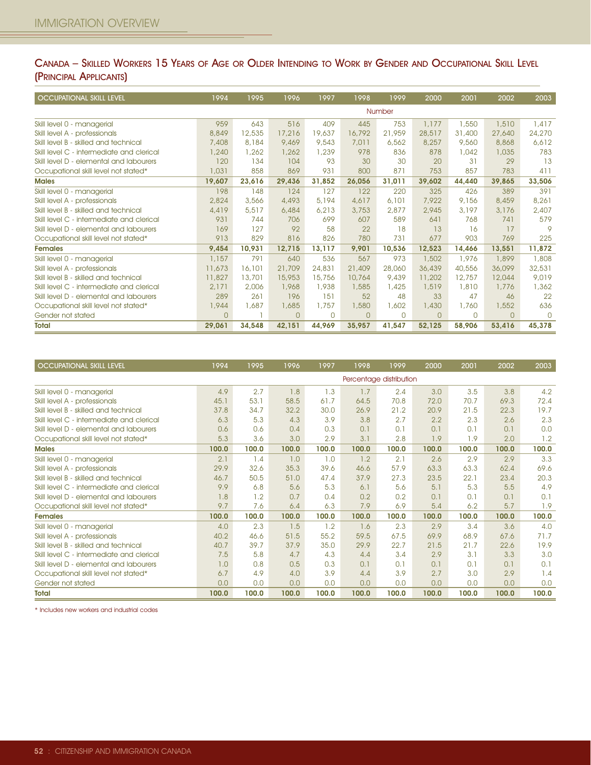## CANADA – SKILLED WORKERS 15 YEARS OF AGE OR OLDER INTENDING TO WORK BY GENDER AND OCCUPATIONAL SKILL LEVEL (PRINCIPAL APPLICANTS)

| <b>OCCUPATIONAL SKILL LEVEL</b>           | 1994     | 1995   | 1996     | 1997     | 1998     | 1999   | 2000     | 2001     | 2002     | 2003   |
|-------------------------------------------|----------|--------|----------|----------|----------|--------|----------|----------|----------|--------|
|                                           |          |        |          |          |          | Number |          |          |          |        |
| Skill level 0 - managerial                | 959      | 643    | 516      | 409      | 445      | 753    | 1,177    | 1,550    | 1,510    | 1,417  |
| Skill level A - professionals             | 8,849    | 12,535 | 17,216   | 19,637   | 16,792   | 21,959 | 28,517   | 31,400   | 27,640   | 24,270 |
| Skill level B - skilled and technical     | 7,408    | 8,184  | 9.469    | 9,543    | 7.011    | 6,562  | 8,257    | 9,560    | 8,868    | 6,612  |
| Skill level C - intermediate and clerical | 1,240    | 1,262  | 1,262    | 1,239    | 978      | 836    | 878      | 1,042    | 1,035    | 783    |
| Skill level D - elemental and labourers   | 120      | 134    | 104      | 93       | 30       | 30     | 20       | 31       | 29       | 13     |
| Occupational skill level not stated*      | 1,031    | 858    | 869      | 931      | 800      | 871    | 753      | 857      | 783      | 411    |
| <b>Males</b>                              | 19,607   | 23,616 | 29,436   | 31,852   | 26,056   | 31,011 | 39,602   | 44,440   | 39,865   | 33,506 |
| Skill level 0 - managerial                | 198      | 148    | 124      | 127      | 122      | 220    | 325      | 426      | 389      | 391    |
| Skill level A - professionals             | 2,824    | 3,566  | 4,493    | 5,194    | 4,617    | 6,101  | 7,922    | 9.156    | 8,459    | 8,261  |
| Skill level B - skilled and technical     | 4,419    | 5,517  | 6,484    | 6.213    | 3,753    | 2,877  | 2,945    | 3.197    | 3,176    | 2,407  |
| Skill level C - intermediate and clerical | 931      | 744    | 706      | 699      | 607      | 589    | 641      | 768      | 741      | 579    |
| Skill level D - elemental and labourers   | 169      | 127    | 92       | 58       | 22       | 18     | 13       | 16       | 17       | 9      |
| Occupational skill level not stated*      | 913      | 829    | 816      | 826      | 780      | 731    | 677      | 903      | 769      | 225    |
| <b>Females</b>                            | 9,454    | 10,931 | 12,715   | 13,117   | 9,901    | 10,536 | 12,523   | 14,466   | 13,551   | 11,872 |
| Skill level 0 - managerial                | 1,157    | 791    | 640      | 536      | 567      | 973    | 1,502    | 1,976    | 1,899    | 1,808  |
| Skill level A - professionals             | 11,673   | 16,101 | 21,709   | 24,831   | 21,409   | 28,060 | 36,439   | 40,556   | 36,099   | 32,531 |
| Skill level B - skilled and technical     | 11,827   | 13,701 | 15,953   | 15,756   | 10,764   | 9,439  | 11,202   | 12,757   | 12,044   | 9,019  |
| Skill level C - intermediate and clerical | 2.171    | 2,006  | 1,968    | 1,938    | 1,585    | 1,425  | 1,519    | 1,810    | 1,776    | 1,362  |
| Skill level D - elemental and labourers   | 289      | 261    | 196      | 151      | 52       | 48     | 33       | 47       | 46       | 22     |
| Occupational skill level not stated*      | 1,944    | 1,687  | 1,685    | 1,757    | 1,580    | 1,602  | 1,430    | 1,760    | 1,552    | 636    |
| Gender not stated                         | $\Omega$ |        | $\Omega$ | $\Omega$ | $\Omega$ | O.     | $\Omega$ | $\Omega$ | $\Omega$ | $\cap$ |
| <b>Total</b>                              | 29,061   | 34,548 | 42,151   | 44.969   | 35,957   | 41,547 | 52,125   | 58,906   | 53,416   | 45,378 |

| <b>OCCUPATIONAL SKILL LEVEL</b>           | 1994  | 1995  | 1996  | 1997  | 1998  | 1999                    | 2000  | 2001  | 2002  | 2003  |
|-------------------------------------------|-------|-------|-------|-------|-------|-------------------------|-------|-------|-------|-------|
|                                           |       |       |       |       |       | Percentage distribution |       |       |       |       |
| Skill level 0 - managerial                | 4.9   | 2.7   | 1.8   | 1.3   | 1.7   | 2.4                     | 3.0   | 3.5   | 3.8   | 4.2   |
| Skill level A - professionals             | 45.1  | 53.1  | 58.5  | 61.7  | 64.5  | 70.8                    | 72.0  | 70.7  | 69.3  | 72.4  |
| Skill level B - skilled and technical     | 37.8  | 34.7  | 32.2  | 30.0  | 26.9  | 21.2                    | 20.9  | 21.5  | 22.3  | 19.7  |
| Skill level C - intermediate and clerical | 6.3   | 5.3   | 4.3   | 3.9   | 3.8   | 2.7                     | 2.2   | 2.3   | 2.6   | 2.3   |
| Skill level D - elemental and labourers   | 0.6   | 0.6   | 0.4   | 0.3   | 0.1   | 0.1                     | 0.1   | 0.1   | 0.1   | 0.0   |
| Occupational skill level not stated*      | 5.3   | 3.6   | 3.0   | 2.9   | 3.1   | 2.8                     | 1.9   | 1.9   | 2.0   | 1.2   |
| <b>Males</b>                              | 100.0 | 100.0 | 100.0 | 100.0 | 100.0 | 100.0                   | 100.0 | 100.0 | 100.0 | 100.0 |
| Skill level 0 - managerial                | 2.1   | 1.4   | 1.0   | 1.0   | 1.2   | 2.1                     | 2.6   | 2.9   | 2.9   | 3.3   |
| Skill level A - professionals             | 29.9  | 32.6  | 35.3  | 39.6  | 46.6  | 57.9                    | 63.3  | 63.3  | 62.4  | 69.6  |
| Skill level B - skilled and technical     | 46.7  | 50.5  | 51.0  | 47.4  | 37.9  | 27.3                    | 23.5  | 22.1  | 23.4  | 20.3  |
| Skill level C - intermediate and clerical | 9.9   | 6.8   | 5.6   | 5.3   | 6.1   | 5.6                     | 5.1   | 5.3   | 5.5   | 4.9   |
| Skill level D - elemental and labourers   | 1.8   | 1.2   | 0.7   | 0.4   | 0.2   | 0.2                     | 0.1   | 0.1   | 0.1   | 0.1   |
| Occupational skill level not stated*      | 9.7   | 7.6   | 6.4   | 6.3   | 7.9   | 6.9                     | 5.4   | 6.2   | 5.7   | 1.9   |
| <b>Females</b>                            | 100.0 | 100.0 | 100.0 | 100.0 | 100.0 | 100.0                   | 100.0 | 100.0 | 100.0 | 100.0 |
| Skill level 0 - managerial                | 4.0   | 2.3   | 1.5   | 1.2   | 1.6   | 2.3                     | 2.9   | 3.4   | 3.6   | 4.0   |
| Skill level A - professionals             | 40.2  | 46.6  | 51.5  | 55.2  | 59.5  | 67.5                    | 69.9  | 68.9  | 67.6  | 71.7  |
| Skill level B - skilled and technical     | 40.7  | 39.7  | 37.9  | 35.0  | 29.9  | 22.7                    | 21.5  | 21.7  | 22.6  | 19.9  |
| Skill level C - intermediate and clerical | 7.5   | 5.8   | 4.7   | 4.3   | 4.4   | 3.4                     | 2.9   | 3.1   | 3.3   | 3.0   |
| Skill level D - elemental and labourers   | 1.0   | 0.8   | 0.5   | 0.3   | 0.1   | 0.1                     | 0.1   | 0.1   | 0.1   | 0.1   |
| Occupational skill level not stated*      | 6.7   | 4.9   | 4.0   | 3.9   | 4.4   | 3.9                     | 2.7   | 3.0   | 2.9   | 1.4   |
| Gender not stated                         | 0.0   | 0.0   | 0.0   | 0.0   | 0.0   | 0.0                     | 0.0   | 0.0   | 0.0   | 0.0   |
| <b>Total</b>                              | 100.0 | 100.0 | 100.0 | 100.0 | 100.0 | 100.0                   | 100.0 | 100.0 | 100.0 | 100.0 |

\* Includes new workers and industrial codes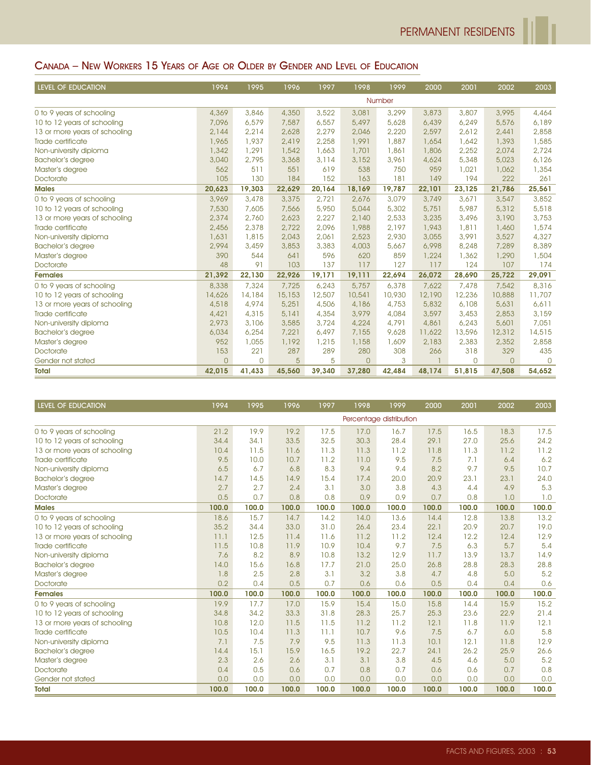## CANADA – NEW WORKERS 15 YEARS OF AGE OR OLDER BY GENDER AND LEVEL OF EDUCATION

| LEVEL OF EDUCATION            | 1994     | 1995         | 1996   | 1997   | 1998     | 1999   | 2000   | 2001     | 2002     | 2003     |
|-------------------------------|----------|--------------|--------|--------|----------|--------|--------|----------|----------|----------|
|                               |          |              |        |        |          | Number |        |          |          |          |
| 0 to 9 years of schooling     | 4,369    | 3,846        | 4,350  | 3,522  | 3,081    | 3,299  | 3,873  | 3,807    | 3,995    | 4,464    |
| 10 to 12 years of schooling   | 7,096    | 6,579        | 7,587  | 6,557  | 5,497    | 5,628  | 6,439  | 6,249    | 5,576    | 6,189    |
| 13 or more years of schooling | 2,144    | 2,214        | 2,628  | 2,279  | 2,046    | 2,220  | 2,597  | 2,612    | 2,441    | 2,858    |
| Trade certificate             | 1,965    | 1,937        | 2,419  | 2,258  | 1,991    | 1,887  | 1,654  | 1,642    | 1,393    | 1,585    |
| Non-university diploma        | 1,342    | 1,291        | 1,542  | 1,663  | 1,701    | 1,861  | 1,806  | 2,252    | 2,074    | 2,724    |
| <b>Bachelor's degree</b>      | 3,040    | 2,795        | 3,368  | 3,114  | 3,152    | 3,961  | 4,624  | 5,348    | 5,023    | 6,126    |
| Master's degree               | 562      | 511          | 551    | 619    | 538      | 750    | 959    | 1,021    | 1,062    | 1,354    |
| Doctorate                     | 105      | 130          | 184    | 152    | 163      | 181    | 149    | 194      | 222      | 261      |
| <b>Males</b>                  | 20,623   | 19,303       | 22,629 | 20,164 | 18,169   | 19,787 | 22,101 | 23,125   | 21,786   | 25,561   |
| 0 to 9 years of schooling     | 3,969    | 3,478        | 3,375  | 2.721  | 2,676    | 3,079  | 3,749  | 3.671    | 3,547    | 3,852    |
| 10 to 12 years of schooling   | 7,530    | 7,605        | 7,566  | 5,950  | 5,044    | 5,302  | 5,751  | 5,987    | 5,312    | 5,518    |
| 13 or more years of schooling | 2,374    | 2,760        | 2,623  | 2,227  | 2,140    | 2,533  | 3,235  | 3,496    | 3,190    | 3,753    |
| Trade certificate             | 2,456    | 2,378        | 2,722  | 2.096  | 1,988    | 2.197  | 1,943  | 1,811    | 1,460    | 1,574    |
| Non-university diploma        | 1,631    | 1,815        | 2,043  | 2,061  | 2,523    | 2,930  | 3,055  | 3,991    | 3,527    | 4,327    |
| <b>Bachelor's degree</b>      | 2,994    | 3,459        | 3,853  | 3,383  | 4,003    | 5,667  | 6,998  | 8,248    | 7,289    | 8,389    |
| Master's degree               | 390      | 544          | 641    | 596    | 620      | 859    | 1,224  | 1,362    | 1,290    | 1,504    |
| Doctorate                     | 48       | 91           | 103    | 137    | 117      | 127    | 117    | 124      | 107      | 174      |
| <b>Females</b>                | 21,392   | 22,130       | 22,926 | 19,171 | 19,111   | 22,694 | 26,072 | 28,690   | 25,722   | 29,091   |
| 0 to 9 years of schooling     | 8,338    | 7,324        | 7,725  | 6,243  | 5,757    | 6,378  | 7.622  | 7,478    | 7,542    | 8,316    |
| 10 to 12 years of schooling   | 14,626   | 14,184       | 15,153 | 12,507 | 10,541   | 10,930 | 12,190 | 12,236   | 10,888   | 11,707   |
| 13 or more years of schooling | 4,518    | 4,974        | 5,251  | 4,506  | 4,186    | 4,753  | 5,832  | 6.108    | 5,631    | 6,611    |
| Trade certificate             | 4,421    | 4,315        | 5,141  | 4,354  | 3,979    | 4,084  | 3,597  | 3,453    | 2,853    | 3,159    |
| Non-university diploma        | 2,973    | 3,106        | 3,585  | 3,724  | 4,224    | 4,791  | 4,861  | 6,243    | 5,601    | 7,051    |
| <b>Bachelor's degree</b>      | 6,034    | 6,254        | 7,221  | 6,497  | 7,155    | 9,628  | 11,622 | 13,596   | 12,312   | 14,515   |
| Master's degree               | 952      | 1,055        | 1,192  | 1,215  | 1,158    | 1,609  | 2,183  | 2,383    | 2,352    | 2,858    |
| Doctorate                     | 153      | 221          | 287    | 289    | 280      | 308    | 266    | 318      | 329      | 435      |
| Gender not stated             | $\Omega$ | $\mathbf{O}$ | 5      | 5      | $\Omega$ | 3      |        | $\Omega$ | $\Omega$ | $\Omega$ |
| <b>Total</b>                  | 42,015   | 41,433       | 45,560 | 39,340 | 37,280   | 42,484 | 48,174 | 51,815   | 47,508   | 54,652   |

| LEVEL OF EDUCATION            | 1994  | 1995  | 1996  | 1997  | 1998  | 1999                    | 2000  | 2001  | 2002  | 2003  |
|-------------------------------|-------|-------|-------|-------|-------|-------------------------|-------|-------|-------|-------|
|                               |       |       |       |       |       | Percentage distribution |       |       |       |       |
| 0 to 9 years of schooling     | 21.2  | 19.9  | 19.2  | 17.5  | 17.0  | 16.7                    | 17.5  | 16.5  | 18.3  | 17.5  |
| 10 to 12 years of schooling   | 34.4  | 34.1  | 33.5  | 32.5  | 30.3  | 28.4                    | 29.1  | 27.0  | 25.6  | 24.2  |
| 13 or more years of schooling | 10.4  | 11.5  | 11.6  | 11.3  | 11.3  | 11.2                    | 11.8  | 11.3  | 11.2  | 11.2  |
| Trade certificate             | 9.5   | 10.0  | 10.7  | 11.2  | 11.0  | 9.5                     | 7.5   | 7.1   | 6,4   | 6.2   |
| Non-university diploma        | 6.5   | 6.7   | 6.8   | 8.3   | 9.4   | 9.4                     | 8.2   | 9.7   | 9.5   | 10.7  |
| <b>Bachelor's degree</b>      | 14.7  | 14.5  | 14.9  | 15.4  | 17.4  | 20.0                    | 20.9  | 23.1  | 23.1  | 24.0  |
| Master's degree               | 2.7   | 2.7   | 2.4   | 3.1   | 3.0   | 3.8                     | 4.3   | 4.4   | 4.9   | 5.3   |
| <b>Doctorate</b>              | 0.5   | 0.7   | 0.8   | 0.8   | 0.9   | 0.9                     | 0.7   | 0.8   | 1.0   | 1.0   |
| <b>Males</b>                  | 100.0 | 100.0 | 100.0 | 100.0 | 100.0 | 100.0                   | 100.0 | 100.0 | 100.0 | 100.0 |
| 0 to 9 years of schooling     | 18.6  | 15.7  | 14.7  | 14.2  | 14.0  | 13.6                    | 14.4  | 12.8  | 13.8  | 13.2  |
| 10 to 12 years of schooling   | 35.2  | 34.4  | 33.0  | 31.0  | 26.4  | 23.4                    | 22.1  | 20.9  | 20.7  | 19.0  |
| 13 or more years of schooling | 11.1  | 12.5  | 11.4  | 11.6  | 11.2  | 11.2                    | 12.4  | 12.2  | 12.4  | 12.9  |
| Trade certificate             | 11.5  | 10.8  | 11.9  | 10.9  | 10.4  | 9.7                     | 7.5   | 6.3   | 5.7   | 5.4   |
| Non-university diploma        | 7.6   | 8.2   | 8.9   | 10.8  | 13.2  | 12.9                    | 11.7  | 13.9  | 13.7  | 14.9  |
| <b>Bachelor's degree</b>      | 14.0  | 15.6  | 16.8  | 17.7  | 21.0  | 25.0                    | 26.8  | 28.8  | 28.3  | 28.8  |
| Master's degree               | 1.8   | 2.5   | 2.8   | 3.1   | 3.2   | 3.8                     | 4.7   | 4.8   | 5.0   | 5.2   |
| <b>Doctorate</b>              | 0.2   | 0.4   | 0.5   | 0.7   | 0.6   | 0.6                     | 0.5   | 0.4   | 0.4   | 0.6   |
| <b>Females</b>                | 100.0 | 100.0 | 100.0 | 100.0 | 100.0 | 100.0                   | 100.0 | 100.0 | 100.0 | 100.0 |
| 0 to 9 years of schooling     | 19.9  | 17.7  | 17.0  | 15.9  | 15.4  | 15.0                    | 15.8  | 14.4  | 15.9  | 15.2  |
| 10 to 12 years of schooling   | 34.8  | 34.2  | 33.3  | 31.8  | 28.3  | 25.7                    | 25.3  | 23.6  | 22.9  | 21.4  |
| 13 or more years of schooling | 10.8  | 12.0  | 11.5  | 11.5  | 11.2  | 11.2                    | 12.1  | 11.8  | 11.9  | 12.1  |
| Trade certificate             | 10.5  | 10.4  | 11.3  | 11.1  | 10.7  | 9.6                     | 7.5   | 6.7   | 6.0   | 5.8   |
| Non-university diploma        | 7.1   | 7.5   | 7.9   | 9.5   | 11.3  | 11.3                    | 10.1  | 12.1  | 11.8  | 12.9  |
| <b>Bachelor's degree</b>      | 14.4  | 15.1  | 15.9  | 16.5  | 19.2  | 22.7                    | 24.1  | 26.2  | 25.9  | 26.6  |
| Master's degree               | 2.3   | 2.6   | 2.6   | 3.1   | 3.1   | 3.8                     | 4.5   | 4.6   | 5.0   | 5.2   |
| <b>Doctorate</b>              | 0.4   | 0.5   | 0.6   | 0.7   | 0.8   | 0.7                     | 0.6   | 0.6   | 0.7   | 0.8   |
| Gender not stated             | 0.0   | 0.0   | 0.0   | 0.0   | 0.0   | 0.0                     | 0.0   | 0.0   | 0.0   | 0.0   |
| <b>Total</b>                  | 100.0 | 100.0 | 100.0 | 100.0 | 100.0 | 100.0                   | 100.0 | 100.0 | 100.0 | 100.0 |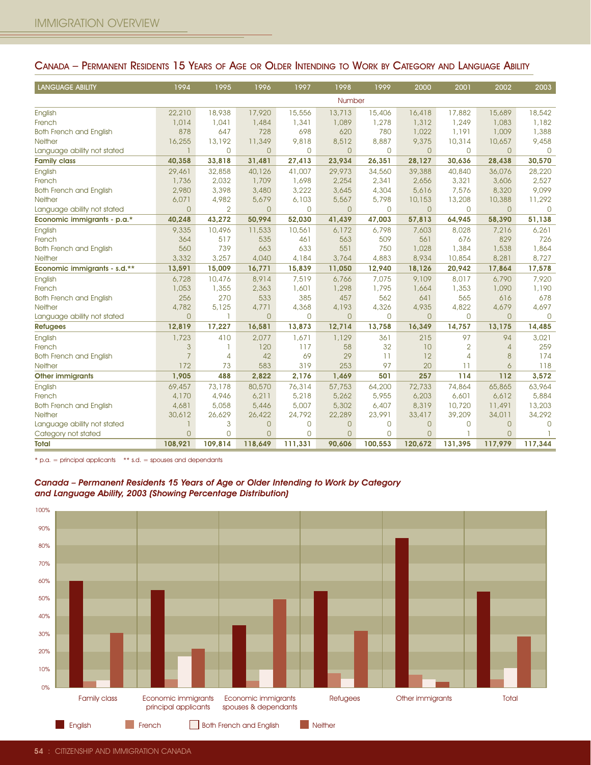| <b>LANGUAGE ABILITY</b>                                                                                                                                        | 1994                                        | 1995              | 1996                                        | 1997         | 1998                  | 1999         | 2000                       | 2001                  | 2002           | 2003                 |
|----------------------------------------------------------------------------------------------------------------------------------------------------------------|---------------------------------------------|-------------------|---------------------------------------------|--------------|-----------------------|--------------|----------------------------|-----------------------|----------------|----------------------|
|                                                                                                                                                                |                                             |                   |                                             |              | Number                |              |                            |                       |                |                      |
| English                                                                                                                                                        | 22,210                                      | 18,938            | 17,920                                      | 15,556       | 13,713                | 15,406       | 16,418                     | 17,882                | 15,689         | 18,542               |
| French                                                                                                                                                         | 1,014                                       | 1,041             | 1,484                                       | 1,341        | 1,089                 | 1,278        | 1,312                      | 1,249                 | 1,083          | 1,182                |
| <b>Both French and English</b>                                                                                                                                 | 878                                         | 647               | 728                                         | 698          | 620                   | 780          | 1,022                      | 1,191                 | 1,009          | 1,388                |
| Neither<br>Language ability not stated                                                                                                                         | 16,255<br>1                                 | 13,192<br>0       | 11,349<br>$\mathbf{O}$                      | 9,818<br>0   | 8,512<br>$\mathbf{0}$ | 8,887<br>0   | 9,375<br>$\overline{0}$    | 10,314<br>$\mathbf 0$ | 10,657<br>0    | 9,458<br>$\mathbf 0$ |
| <b>Family class</b>                                                                                                                                            | 40,358                                      | 33,818            | 31,481                                      | 27,413       | 23,934                | 26,351       | 28,127                     | 30,636                | 28,438         | 30,570               |
| English                                                                                                                                                        | 29,461                                      | 32,858            | 40,126                                      | 41,007       | 29,973                | 34,560       | 39,388                     | 40,840                | 36,076         | 28,220               |
| French                                                                                                                                                         | 1,736                                       | 2,032             | 1,709                                       | 1,698        | 2,254                 | 2,341        | 2,656                      | 3,321                 | 3,606          | 2,527                |
| <b>Both French and English</b>                                                                                                                                 | 2,980                                       | 3,398             | 3,480                                       | 3,222        | 3,645                 | 4,304        | 5,616                      | 7,576                 | 8,320          | 9,099                |
| Neither                                                                                                                                                        | 6,071                                       | 4,982             | 5,679                                       | 6,103        | 5,567                 | 5,798        | 10,153                     | 13,208                | 10,388         | 11,292               |
| Language ability not stated                                                                                                                                    | $\overline{0}$                              | $\overline{2}$    | 0                                           | 0            | $\mathbf{0}$          | 0            | $\overline{0}$             | $\mathbf 0$           | 0              | $\mathbf 0$          |
| Economic immigrants - p.a.*                                                                                                                                    | 40,248                                      | 43,272            | 50,994                                      | 52,030       | 41,439                | 47,003       | 57,813                     | 64,945                | 58,390         | 51,138               |
| English                                                                                                                                                        | 9,335                                       | 10,496            | 11,533                                      | 10,561       | 6,172                 | 6,798        | 7,603                      | 8,028                 | 7,216          | 6,261                |
| French<br><b>Both French and English</b>                                                                                                                       | 364<br>560                                  | 517<br>739        | 535<br>663                                  | 461<br>633   | 563<br>551            | 509<br>750   | 561<br>1,028               | 676<br>1,384          | 829<br>1,538   | 726<br>1,864         |
| Neither                                                                                                                                                        | 3,332                                       | 3,257             | 4,040                                       | 4,184        | 3,764                 | 4,883        | 8,934                      | 10,854                | 8,281          | 8,727                |
| Economic immigrants - s.d.**                                                                                                                                   | 13,591                                      | 15,009            | 16,771                                      | 15,839       | 11,050                | 12,940       | 18,126                     | 20,942                | 17,864         | 17,578               |
| English                                                                                                                                                        | 6,728                                       | 10,476            | 8,914                                       | 7,519        | 6,766                 | 7,075        | 9,109                      | 8,017                 | 6,790          | 7,920                |
| French                                                                                                                                                         | 1,053                                       | 1,355             | 2,363                                       | 1,601        | 1,298                 | 1,795        | 1,664                      | 1,353                 | 1,090          | 1,190                |
| <b>Both French and English</b>                                                                                                                                 | 256                                         | 270               | 533                                         | 385          | 457                   | 562          | 641                        | 565                   | 616            | 678                  |
| Neither                                                                                                                                                        | 4,782                                       | 5,125             | 4,771                                       | 4,368        | 4,193                 | 4,326        | 4,935                      | 4,822                 | 4,679          | 4,697                |
| Language ability not stated                                                                                                                                    | $\overline{O}$                              | ı                 | $\mathbf{O}$                                | 0            | $\mathbf{0}$          | $\mathsf{O}$ | $\mathbf{0}$               | $\mathbf 0$           | $\overline{0}$ | $\mathbf{0}$         |
| <b>Refugees</b>                                                                                                                                                | 12,819                                      | 17,227            | 16,581                                      | 13,873       | 12,714                | 13,758       | 16,349                     | 14,757                | 13,175         | 14,485               |
| English<br>French                                                                                                                                              | 1,723<br>$\mathfrak{S}$                     | 410<br>-1         | 2,077<br>120                                | 1,671<br>117 | 1,129<br>58           | 361<br>32    | 215<br>10                  | 97<br>$\overline{2}$  | 94<br>4        | 3,021<br>259         |
| <b>Both French and English</b>                                                                                                                                 | $\overline{7}$                              | $\overline{4}$    | 42                                          | 69           | 29                    | 11           | 12                         | $\overline{4}$        | 8              | 174                  |
| Neither                                                                                                                                                        | 172                                         | 73                | 583                                         | 319          | 253                   | 97           | 20                         | 11                    | 6              | 118                  |
| <b>Other immigrants</b>                                                                                                                                        | 1,905                                       | 488               | 2,822                                       | 2,176        | 1,469                 | 501          | 257                        | 114                   | 112            | 3,572                |
| English                                                                                                                                                        | 69,457                                      | 73,178            | 80,570                                      | 76,314       | 57,753                | 64,200       | 72,733                     | 74,864                | 65,865         | 63,964               |
| French                                                                                                                                                         | 4,170                                       | 4,946             | 6,211                                       | 5,218        | 5,262                 | 5,955        | 6,203                      | 6,601                 | 6,612          | 5,884                |
| <b>Both French and English</b>                                                                                                                                 | 4,681                                       | 5,058             | 5,446                                       | 5,007        | 5,302                 | 6,407        | 8,319                      | 10,720                | 11,491         | 13,203               |
| Neither                                                                                                                                                        | 30,612                                      | 26,629            | 26,422                                      | 24,792       | 22,289                | 23,991       | 33,417                     | 39,209                | 34,011         | 34,292               |
| Language ability not stated<br>Category not stated                                                                                                             | 1<br>$\mathsf{O}\xspace$                    | 3<br>$\mathsf{O}$ | $\theta$<br>$\theta$                        | 0<br>0       | $\circ$<br>$\circ$    | 0<br>0       | $\theta$<br>$\overline{0}$ | $\mathbf 0$<br>-1     | 0<br>0         | $\mathbf 0$          |
| <b>Total</b>                                                                                                                                                   | 108,921                                     | 109,814           | 118,649                                     | 111,331      | 90,606                | 100,553      | 120,672                    | 131,395               | 117,979        | 117,344              |
|                                                                                                                                                                |                                             |                   |                                             |              |                       |              |                            |                       |                |                      |
| Canada - Permanent Residents 15 Years of Age or Older Intending to Work by Category<br>and Language Ability, 2003 (Showing Percentage Distribution)<br>$100\%$ |                                             |                   |                                             |              |                       |              |                            |                       |                |                      |
| 90%                                                                                                                                                            |                                             |                   |                                             |              |                       |              |                            |                       |                |                      |
| 80%                                                                                                                                                            |                                             |                   |                                             |              |                       |              |                            |                       |                |                      |
| 70%                                                                                                                                                            |                                             |                   |                                             |              |                       |              |                            |                       |                |                      |
| 60%<br>50%                                                                                                                                                     |                                             |                   |                                             |              |                       |              |                            |                       |                |                      |
| 40%                                                                                                                                                            |                                             |                   |                                             |              |                       |              |                            |                       |                |                      |
| 30%                                                                                                                                                            |                                             |                   |                                             |              |                       |              |                            |                       |                |                      |
| 20%                                                                                                                                                            |                                             |                   |                                             |              |                       |              |                            |                       |                |                      |
| 10%                                                                                                                                                            |                                             |                   |                                             |              |                       |              |                            |                       |                |                      |
| 0%                                                                                                                                                             |                                             |                   |                                             |              |                       |              |                            |                       |                |                      |
| <b>Family class</b>                                                                                                                                            | Economic immigrants<br>principal applicants |                   | Economic immigrants<br>spouses & dependants |              | <b>Refugees</b>       |              | Other immigrants           |                       | Total          |                      |

#### CANADA – PERMANENT RESIDENTS 15 YEARS OF AGE OR OLDER INTENDING TO WORK BY CATEGORY AND LANGUAGE ABILITY



#### Canada – Permanent Residents 15 Years of Age or Older Intending to Work by Category and Language Ability, 2003 (Showing Percentage Distribution)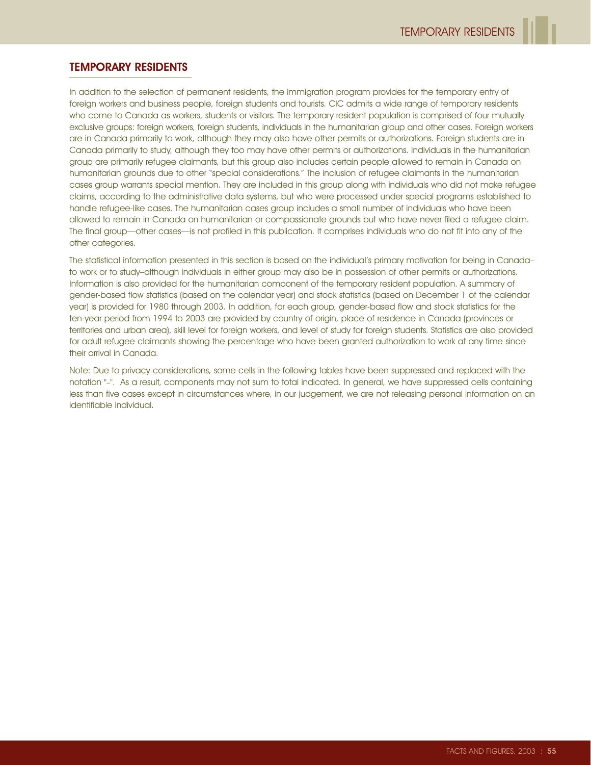### TEMPORARY RESIDENTS

In addition to the selection of permanent residents, the immigration program provides for the temporary entry of foreign workers and business people, foreign students and tourists. CIC admits a wide range of temporary residents who come to Canada as workers, students or visitors. The temporary resident population is comprised of four mutually exclusive groups: foreign workers, foreign students, individuals in the humanitarian group and other cases. Foreign workers are in Canada primarily to work, although they may also have other permits or authorizations. Foreign students are in Canada primarily to study, although they too may have other permits or authorizations. Individuals in the humanitarian group are primarily refugee claimants, but this group also includes certain people allowed to remain in Canada on humanitarian grounds due to other "special considerations." The inclusion of refugee claimants in the humanitarian cases group warrants special mention. They are included in this group along with individuals who did not make refugee claims, according to the administrative data systems, but who were processed under special programs established to handle refugee-like cases. The humanitarian cases group includes a small number of individuals who have been allowed to remain in Canada on humanitarian or compassionate grounds but who have never filed a refugee claim. The final group—other cases—is not profiled in this publication. It comprises individuals who do not fit into any of the other categories.

The statistical information presented in this section is based on the individual's primary motivation for being in Canada– to work or to study–although individuals in either group may also be in possession of other permits or authorizations. Information is also provided for the humanitarian component of the temporary resident population. A summary of gender-based flow statistics (based on the calendar year) and stock statistics (based on December 1 of the calendar year) is provided for 1980 through 2003. In addition, for each group, gender-based flow and stock statistics for the ten-year period from 1994 to 2003 are provided by country of origin, place of residence in Canada (provinces or territories and urban area), skill level for foreign workers, and level of study for foreign students. Statistics are also provided for adult refugee claimants showing the percentage who have been granted authorization to work at any time since their arrival in Canada.

Note: Due to privacy considerations, some cells in the following tables have been suppressed and replaced with the notation "–". As a result, components may not sum to total indicated. In general, we have suppressed cells containing less than five cases except in circumstances where, in our judgement, we are not releasing personal information on an identifiable individual.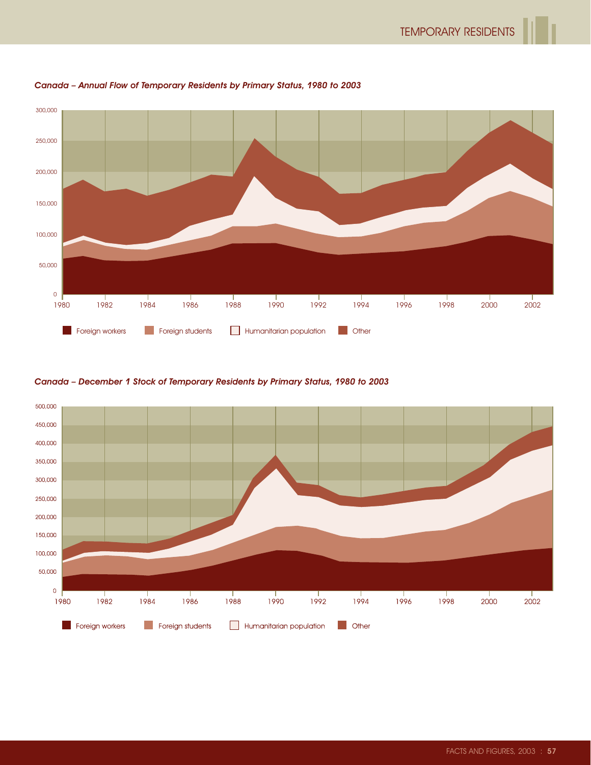

Canada – Annual Flow of Temporary Residents by Primary Status, 1980 to 2003

Canada – December 1 Stock of Temporary Residents by Primary Status, 1980 to 2003

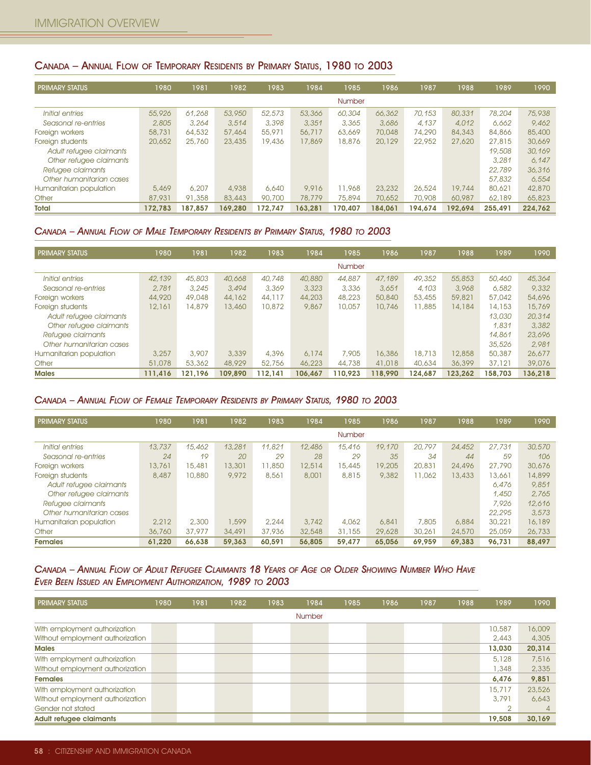### CANADA – ANNUAL FLOW OF TEMPORARY RESIDENTS BY PRIMARY STATUS, 1980 TO 2003

| <b>PRIMARY STATUS</b>    | 1980    | 1981    | 1982    | 1983    | 1984    | 1985    | 1986    | 1987    | 1988    | 1989    | 1990    |
|--------------------------|---------|---------|---------|---------|---------|---------|---------|---------|---------|---------|---------|
|                          |         |         |         |         |         | Number  |         |         |         |         |         |
| Initial entries          | 55,926  | 61,268  | 53,950  | 52,573  | 53,366  | 60,304  | 66,362  | 70,153  | 80,331  | 78,204  | 75,938  |
| Seasonal re-entries      | 2,805   | 3.264   | 3.514   | 3,398   | 3,351   | 3,365   | 3.686   | 4.137   | 4.012   | 6.662   | 9,462   |
| Foreign workers          | 58,731  | 64,532  | 57,464  | 55,971  | 56,717  | 63,669  | 70,048  | 74,290  | 84,343  | 84,866  | 85,400  |
| Foreign students         | 20,652  | 25,760  | 23,435  | 19,436  | 17,869  | 18,876  | 20,129  | 22,952  | 27,620  | 27,815  | 30,669  |
| Adult refugee claimants  |         |         |         |         |         |         |         |         |         | 19,508  | 30,169  |
| Other refugee claimants  |         |         |         |         |         |         |         |         |         | 3.281   | 6.147   |
| Refugee claimants        |         |         |         |         |         |         |         |         |         | 22,789  | 36,316  |
| Other humanitarian cases |         |         |         |         |         |         |         |         |         | 57,832  | 6.554   |
| Humanitarian population  | 5,469   | 6,207   | 4,938   | 6,640   | 9.916   | 11,968  | 23,232  | 26,524  | 19,744  | 80,621  | 42,870  |
| Other                    | 87,931  | 91,358  | 83,443  | 90,700  | 78,779  | 75,894  | 70,652  | 70,908  | 60,987  | 62,189  | 65,823  |
| <b>Total</b>             | 172.783 | 187.857 | 169.280 | 172.747 | 163.281 | 170.407 | 184.061 | 194.674 | 192.694 | 255.491 | 224.762 |

### CANADA – ANNUAL FLOW OF MALE TEMPORARY RESIDENTS BY PRIMARY STATUS, 1980 TO 2003

| <b>PRIMARY STATUS</b>    | 1980    | 1981    | 1982    | 1983    | 1984    | 1985          | 1986    | 1987    | 1988    | 1989    | 1990    |
|--------------------------|---------|---------|---------|---------|---------|---------------|---------|---------|---------|---------|---------|
|                          |         |         |         |         |         | <b>Number</b> |         |         |         |         |         |
| Initial entries          | 42,139  | 45,803  | 40,668  | 40,748  | 40,880  | 44,887        | 47,189  | 49,352  | 55,853  | 50,460  | 45,364  |
| Seasonal re-entries      | 2.781   | 3.245   | 3,494   | 3,369   | 3.323   | 3,336         | 3.651   | 4.103   | 3,968   | 6.582   | 9,332   |
| Foreign workers          | 44,920  | 49,048  | 44,162  | 44,117  | 44,203  | 48,223        | 50,840  | 53,455  | 59,821  | 57,042  | 54,696  |
| Foreign students         | 12,161  | 14,879  | 13,460  | 10,872  | 9,867   | 10,057        | 10,746  | 11,885  | 14,184  | 14,153  | 15,769  |
| Adult refugee claimants  |         |         |         |         |         |               |         |         |         | 13,030  | 20,314  |
| Other refugee claimants  |         |         |         |         |         |               |         |         |         | 1.831   | 3,382   |
| Refugee claimants        |         |         |         |         |         |               |         |         |         | 14,861  | 23,696  |
| Other humanitarian cases |         |         |         |         |         |               |         |         |         | 35,526  | 2.981   |
| Humanitarian population  | 3,257   | 3,907   | 3,339   | 4,396   | 6.174   | 7,905         | 16,386  | 18,713  | 12,858  | 50,387  | 26,677  |
| Other                    | 51,078  | 53,362  | 48,929  | 52,756  | 46,223  | 44,738        | 41,018  | 40,634  | 36,399  | 37,121  | 39,076  |
| <b>Males</b>             | 111.416 | 121.196 | 109.890 | 112.141 | 106,467 | 110.923       | 118,990 | 124.687 | 123.262 | 158.703 | 136.218 |

#### CANADA – ANNUAL FLOW OF FEMALE TEMPORARY RESIDENTS BY PRIMARY STATUS, 1980 TO 2003

| <b>PRIMARY STATUS</b>    | 1980   | 1981   | 1982   | 1983   | 1984   | 1985          | 1986   | 1987   | 1988   | 1989   | 1990   |
|--------------------------|--------|--------|--------|--------|--------|---------------|--------|--------|--------|--------|--------|
|                          |        |        |        |        |        | <b>Number</b> |        |        |        |        |        |
| Initial entries          | 13,737 | 15,462 | 13,281 | 11.821 | 12,486 | 15,416        | 19,170 | 20,797 | 24,452 | 27,731 | 30,570 |
| Seasonal re-entries      | 24     | 19     | 20     | 29     | 28     | 29            | 35     | 34     | 44     | 59     | 106    |
| Foreign workers          | 13,761 | 15,481 | 13,301 | 11,850 | 12,514 | 15,445        | 19,205 | 20,831 | 24,496 | 27,790 | 30,676 |
| Foreign students         | 8,487  | 10,880 | 9.972  | 8,561  | 8,001  | 8,815         | 9,382  | 11,062 | 13,433 | 13,661 | 14,899 |
| Adult refugee claimants  |        |        |        |        |        |               |        |        |        | 6.476  | 9,851  |
| Other refugee claimants  |        |        |        |        |        |               |        |        |        | 1.450  | 2.765  |
| Refugee claimants        |        |        |        |        |        |               |        |        |        | 7.926  | 12,616 |
| Other humanitarian cases |        |        |        |        |        |               |        |        |        | 22,295 | 3.573  |
| Humanitarian population  | 2.212  | 2,300  | 1,599  | 2,244  | 3,742  | 4,062         | 6,841  | 7,805  | 6,884  | 30,221 | 16,189 |
| Other                    | 36,760 | 37,977 | 34,491 | 37,936 | 32,548 | 31,155        | 29,628 | 30,261 | 24,570 | 25,059 | 26,733 |
| <b>Females</b>           | 61.220 | 66.638 | 59.363 | 60.591 | 56,805 | 59,477        | 65,056 | 69.959 | 69.383 | 96.731 | 88.497 |

### CANADA – ANNUAL FLOW OF ADULT REFUGEE CLAIMANTS 18 YEARS OF AGE OR OLDER SHOWING NUMBER WHO HAVE EVER BEEN ISSUED AN EMPLOYMENT AUTHORIZATION, 1989 TO 2003

| <b>PRIMARY STATUS</b>            | 1980 | 1981 | 1982 | 1983 | 1984   | 1985 | 1986 | 1987 | 1988 | 1989           | 1990     |
|----------------------------------|------|------|------|------|--------|------|------|------|------|----------------|----------|
|                                  |      |      |      |      | Number |      |      |      |      |                |          |
| With employment authorization    |      |      |      |      |        |      |      |      |      | 10,587         | 16,009   |
| Without employment authorization |      |      |      |      |        |      |      |      |      | 2,443          | 4,305    |
| <b>Males</b>                     |      |      |      |      |        |      |      |      |      | 13.030         | 20,314   |
| With employment authorization    |      |      |      |      |        |      |      |      |      | 5,128          | 7,516    |
| Without employment authorization |      |      |      |      |        |      |      |      |      | 1,348          | 2,335    |
| <b>Females</b>                   |      |      |      |      |        |      |      |      |      | 6.476          | 9,851    |
| With employment authorization    |      |      |      |      |        |      |      |      |      | 15,717         | 23,526   |
| Without employment authorization |      |      |      |      |        |      |      |      |      | 3,791          | 6,643    |
| Gender not stated                |      |      |      |      |        |      |      |      |      | $\overline{2}$ | $\Delta$ |
| <b>Adult refugee claimants</b>   |      |      |      |      |        |      |      |      |      | 19,508         | 30,169   |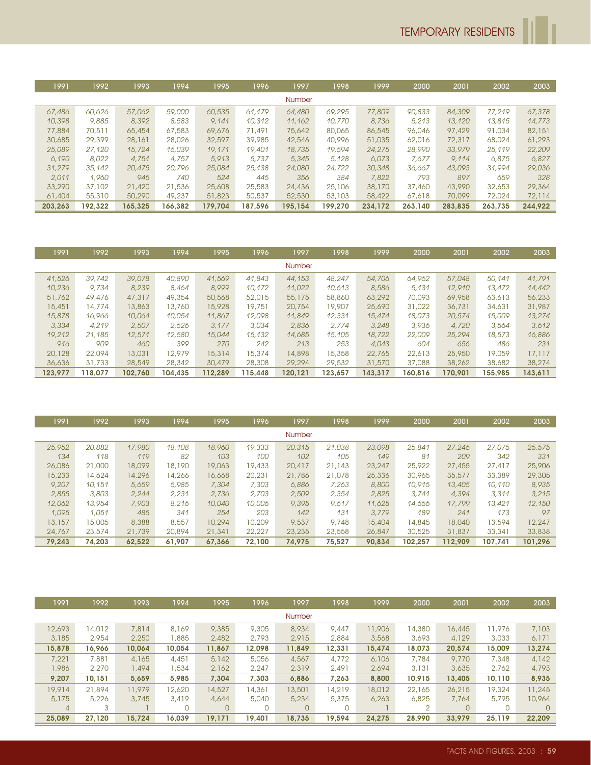| 1991    | 1992    | 1993    | 1994    | 1995    | 1996    | 1997          | 1998    | 1999    | 2000    | 2001    | 2002    | 2003    |
|---------|---------|---------|---------|---------|---------|---------------|---------|---------|---------|---------|---------|---------|
|         |         |         |         |         |         | <b>Number</b> |         |         |         |         |         |         |
| 67,486  | 60,626  | 57,062  | 59,000  | 60,535  | 61.179  | 64,480        | 69,295  | 77,809  | 90,833  | 84,309  | 77.219  | 67,378  |
| 10,398  | 9,885   | 8,392   | 8,583   | 9.141   | 10,312  | 11.162        | 10,770  | 8,736   | 5.213   | 13,120  | 13,815  | 14,773  |
| 77,884  | 70,511  | 65,454  | 67,583  | 69,676  | 71,491  | 75,642        | 80,065  | 86,545  | 96,046  | 97,429  | 91,034  | 82,151  |
| 30,685  | 29,399  | 28,161  | 28,026  | 32,597  | 39,985  | 42,546        | 40,996  | 51,035  | 62,016  | 72,317  | 68,024  | 61,293  |
| 25,089  | 27,120  | 15,724  | 16,039  | 19,171  | 19,401  | 18,735        | 19,594  | 24,275  | 28,990  | 33,979  | 25,119  | 22,209  |
| 6.190   | 8.022   | 4.751   | 4.757   | 5,913   | 5.737   | 5,345         | 5.128   | 6.073   | 7.677   | 9.114   | 6.875   | 6.827   |
| 31,279  | 35,142  | 20,475  | 20,796  | 25,084  | 25,138  | 24,080        | 24,722  | 30,348  | 36.667  | 43,093  | 31,994  | 29,036  |
| 2.011   | 1.960   | 945     | 740     | 524     | 445     | 356           | 384     | 7,822   | 793     | 897     | 659     | 328     |
| 33,290  | 37,102  | 21,420  | 21,536  | 25,608  | 25,583  | 24,436        | 25,106  | 38,170  | 37,460  | 43,990  | 32,653  | 29,364  |
| 61,404  | 55,310  | 50,290  | 49,237  | 51,823  | 50,537  | 52,530        | 53,103  | 58,422  | 67,618  | 70,099  | 72,024  | 72,114  |
| 203.263 | 192.322 | 165.325 | 166.382 | 179.704 | 187.596 | 195.154       | 199.270 | 234.172 | 263.140 | 283.835 | 263.735 | 244.922 |

| 1991    | 1992    | 1993    | 1994    | 1995    | 1996    | 1997          | 1998    | 1999    | 2000    | 2001    | 2002    | 2003    |
|---------|---------|---------|---------|---------|---------|---------------|---------|---------|---------|---------|---------|---------|
|         |         |         |         |         |         | <b>Number</b> |         |         |         |         |         |         |
| 41,526  | 39,742  | 39,078  | 40,890  | 41,569  | 41,843  | 44,153        | 48,247  | 54,706  | 64,962  | 57,048  | 50,141  | 41,791  |
| 10,236  | 9.734   | 8.239   | 8,464   | 8.999   | 10.172  | 11,022        | 10.613  | 8,586   | 5.131   | 12,910  | 13,472  | 14,442  |
| 51,762  | 49,476  | 47,317  | 49,354  | 50,568  | 52,015  | 55,175        | 58,860  | 63,292  | 70,093  | 69,958  | 63,613  | 56,233  |
| 15,451  | 14,774  | 13,863  | 13,760  | 15,928  | 19,751  | 20,754        | 19,907  | 25,690  | 31,022  | 36,731  | 34,631  | 31,987  |
| 15,878  | 16,966  | 10,064  | 10,054  | 11,867  | 12,098  | 11,849        | 12,331  | 15,474  | 18,073  | 20,574  | 15,009  | 13,274  |
| 3,334   | 4.219   | 2.507   | 2.526   | 3.177   | 3.034   | 2.836         | 2.774   | 3.248   | 3,936   | 4,720   | 3.564   | 3.612   |
| 19,212  | 21,185  | 12,571  | 12,580  | 15,044  | 15,132  | 14,685        | 15,105  | 18,722  | 22,009  | 25,294  | 18,573  | 16,886  |
| 916     | 909     | 460     | 399     | 270     | 242     | 213           | 253     | 4.043   | 604     | 656     | 486     | 231     |
| 20,128  | 22,094  | 13,031  | 12,979  | 15,314  | 15,374  | 14,898        | 15,358  | 22,765  | 22,613  | 25,950  | 19,059  | 17,117  |
| 36,636  | 31,733  | 28,549  | 28,342  | 30,479  | 28,308  | 29,294        | 29,532  | 31,570  | 37,088  | 38,262  | 38,682  | 38,274  |
| 123.977 | 118.077 | 102.760 | 104.435 | 112.289 | 115.448 | 120.121       | 123.657 | 143.317 | 160.816 | 170.901 | 155.985 | 143.611 |

| 1991   | 1992   | 1993   | 1994   | 1995   | 1996   | 1997   | 1998   | 1999   | 2000    | 2001    | 2002    | 2003    |
|--------|--------|--------|--------|--------|--------|--------|--------|--------|---------|---------|---------|---------|
|        |        |        |        |        |        | Number |        |        |         |         |         |         |
| 25,952 | 20,882 | 17,980 | 18,108 | 18,960 | 19,333 | 20,315 | 21,038 | 23,098 | 25,841  | 27,246  | 27,075  | 25,575  |
| 134    | 118    | 119    | 82     | 103    | 100    | 102    | 105    | 149    | 81      | 209     | 342     | 331     |
| 26,086 | 21,000 | 18,099 | 18,190 | 19,063 | 19,433 | 20,417 | 21,143 | 23,247 | 25,922  | 27,455  | 27,417  | 25,906  |
| 15,233 | 14,624 | 14,296 | 14,266 | 16,668 | 20,231 | 21,786 | 21,078 | 25,336 | 30,965  | 35,577  | 33,389  | 29,305  |
| 9,207  | 10.151 | 5.659  | 5,985  | 7,304  | 7,303  | 6,886  | 7.263  | 8,800  | 10,915  | 13,405  | 10.110  | 8,935   |
| 2.855  | 3,803  | 2.244  | 2.231  | 2.736  | 2.703  | 2.509  | 2.354  | 2,825  | 3.741   | 4,394   | 3.311   | 3.215   |
| 12,062 | 13,954 | 7,903  | 8.216  | 10,040 | 10,006 | 9,395  | 9.617  | 11.625 | 14,656  | 17,799  | 13,421  | 12,150  |
| 1.095  | 1.051  | 485    | 341    | 254    | 203    | 142    | 131    | 3.779  | 189     | 241     | 173     | 97      |
| 13,157 | 15,005 | 8,388  | 8,557  | 10,294 | 10,209 | 9,537  | 9,748  | 15,404 | 14,845  | 18,040  | 13,594  | 12,247  |
| 24,767 | 23,574 | 21,739 | 20,894 | 21,341 | 22,227 | 23,235 | 23,558 | 26,847 | 30,525  | 31,837  | 33,341  | 33,838  |
| 79,243 | 74.203 | 62.522 | 61.907 | 67.366 | 72,100 | 74.975 | 75,527 | 90,834 | 102.257 | 112.909 | 107.741 | 101.296 |

| 1991.  | 1992   | 1993   | 1994   | 1995     | 1996     | 1997     | 1998     | 1999   | 2000           | 2001     | 2002   | 2003   |
|--------|--------|--------|--------|----------|----------|----------|----------|--------|----------------|----------|--------|--------|
|        |        |        |        |          |          | Number   |          |        |                |          |        |        |
| 12,693 | 14,012 | 7,814  | 8,169  | 9,385    | 9,305    | 8,934    | 9,447    | 11,906 | 14,380         | 16,445   | 11,976 | 7,103  |
| 3,185  | 2.954  | 2,250  | 1,885  | 2,482    | 2.793    | 2,915    | 2,884    | 3,568  | 3,693          | 4,129    | 3,033  | 6,171  |
| 15,878 | 16,966 | 10,064 | 10,054 | 11,867   | 12.098   | 11,849   | 12,331   | 15,474 | 18,073         | 20,574   | 15,009 | 13,274 |
| 7,221  | 7,881  | 4,165  | 4,451  | 5,142    | 5,056    | 4,567    | 4,772    | 6,106  | 7.784          | 9,770    | 7,348  | 4,142  |
| 1,986  | 2,270  | 1,494  | 1,534  | 2,162    | 2,247    | 2,319    | 2.491    | 2,694  | 3,131          | 3,635    | 2,762  | 4,793  |
| 9,207  | 10.151 | 5,659  | 5.985  | 7,304    | 7.303    | 6,886    | 7,263    | 8,800  | 10,915         | 13,405   | 10,110 | 8,935  |
| 19,914 | 21,894 | 11,979 | 12,620 | 14,527   | 14,361   | 13,501   | 14,219   | 18,012 | 22,165         | 26,215   | 19,324 | 11,245 |
| 5,175  | 5,226  | 3,745  | 3,419  | 4,644    | 5,040    | 5,234    | 5,375    | 6.263  | 6,825          | 7,764    | 5,795  | 10,964 |
| 4      | 3      |        |        | $\Omega$ | $\Omega$ | $\Omega$ | $\Omega$ |        | $\overline{2}$ | $\Omega$ |        |        |
| 25,089 | 27.120 | 15.724 | 16.039 | 19.171   | 19.401   | 18.735   | 19.594   | 24.275 | 28.990         | 33.979   | 25.119 | 22,209 |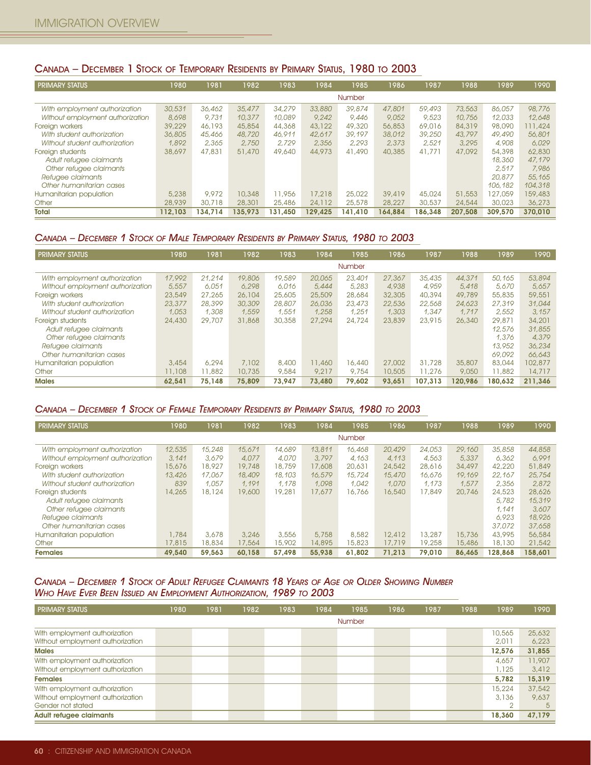### CANADA – DECEMBER 1 STOCK OF TEMPORARY RESIDENTS BY PRIMARY STATUS, 1980 TO 2003

| <b>PRIMARY STATUS</b>            | 1980    | 1981    | 1982    | 1983    | 1984    | 1985          | 1986    | 1987    | 1988    | 1989    | 1990    |
|----------------------------------|---------|---------|---------|---------|---------|---------------|---------|---------|---------|---------|---------|
|                                  |         |         |         |         |         | <b>Number</b> |         |         |         |         |         |
| With employment authorization    | 30,531  | 36,462  | 35,477  | 34,279  | 33,880  | 39,874        | 47,801  | 59,493  | 73,563  | 86.057  | 98,776  |
| Without employment authorization | 8.698   | 9.731   | 10,377  | 10,089  | 9.242   | 9.446         | 9.052   | 9.523   | 10.756  | 12.033  | 12.648  |
| Foreign workers                  | 39,229  | 46,193  | 45,854  | 44,368  | 43,122  | 49,320        | 56,853  | 69,016  | 84,319  | 98,090  | 111,424 |
| With student authorization       | 36,805  | 45,466  | 48,720  | 46.911  | 42,617  | 39.197        | 38,012  | 39,250  | 43,797  | 49,490  | 56,801  |
| Without student authorization    | 1.892   | 2.365   | 2,750   | 2.729   | 2.356   | 2.293         | 2.373   | 2.521   | 3,295   | 4.908   | 6.029   |
| Foreign students                 | 38,697  | 47,831  | 51,470  | 49,640  | 44,973  | 41,490        | 40,385  | 41,771  | 47,092  | 54,398  | 62,830  |
| Adult refugee claimants          |         |         |         |         |         |               |         |         |         | 18,360  | 47,179  |
| Other refugee claimants          |         |         |         |         |         |               |         |         |         | 2.517   | 7.986   |
| Refugee claimants                |         |         |         |         |         |               |         |         |         | 20,877  | 55,165  |
| Other humanitarian cases         |         |         |         |         |         |               |         |         |         | 106,182 | 104,318 |
| Humanitarian population          | 5,238   | 9,972   | 10,348  | 11,956  | 17,218  | 25,022        | 39,419  | 45,024  | 51,553  | 127,059 | 159,483 |
| Other                            | 28,939  | 30,718  | 28,301  | 25,486  | 24,112  | 25,578        | 28,227  | 30,537  | 24,544  | 30,023  | 36,273  |
| Total                            | 112.103 | 134.714 | 135.973 | 131.450 | 129.425 | 141.410       | 164.884 | 186.348 | 207.508 | 309.570 | 370,010 |

#### CANADA – DECEMBER 1 STOCK OF MALE TEMPORARY RESIDENTS BY PRIMARY STATUS, 1980 TO 2003

| <b>PRIMARY STATUS</b>            | 1980   | 1981   | 1982   | 1983   | 1984   | 1985          | 1986   | 1987    | 1988    | 1989    | 1990    |
|----------------------------------|--------|--------|--------|--------|--------|---------------|--------|---------|---------|---------|---------|
|                                  |        |        |        |        |        | <b>Number</b> |        |         |         |         |         |
| With employment authorization    | 17,992 | 21.214 | 19,806 | 19,589 | 20,065 | 23,401        | 27,367 | 35,435  | 44,371  | 50.165  | 53,894  |
| Without employment authorization | 5.557  | 6.051  | 6.298  | 6.016  | 5,444  | 5.283         | 4.938  | 4.959   | 5.418   | 5.670   | 5.657   |
| Foreign workers                  | 23,549 | 27,265 | 26,104 | 25,605 | 25,509 | 28,684        | 32,305 | 40,394  | 49,789  | 55,835  | 59,551  |
| With student authorization       | 23,377 | 28,399 | 30,309 | 28,807 | 26,036 | 23,473        | 22,536 | 22,568  | 24,623  | 27,319  | 31,044  |
| Without student authorization    | 1.053  | 1.308  | 1.559  | 1.551  | 1.258  | 1.251         | 1.303  | 1.347   | 1.717   | 2.552   | 3.157   |
| Foreign students                 | 24,430 | 29,707 | 31,868 | 30,358 | 27,294 | 24,724        | 23,839 | 23,915  | 26,340  | 29,871  | 34,201  |
| Adult refugee claimants          |        |        |        |        |        |               |        |         |         | 12.576  | 31,855  |
| Other refugee claimants          |        |        |        |        |        |               |        |         |         | 1.376   | 4.379   |
| Refugee claimants                |        |        |        |        |        |               |        |         |         | 13,952  | 36,234  |
| Other humanitarian cases         |        |        |        |        |        |               |        |         |         | 69,092  | 66,643  |
| Humanitarian population          | 3,454  | 6,294  | 7,102  | 8,400  | 11,460 | 16,440        | 27,002 | 31,728  | 35,807  | 83,044  | 102,877 |
| Other                            | 11,108 | 11,882 | 10,735 | 9,584  | 9,217  | 9,754         | 10,505 | 11,276  | 9,050   | 11,882  | 14,717  |
| <b>Males</b>                     | 62.541 | 75.148 | 75,809 | 73.947 | 73,480 | 79.602        | 93.651 | 107.313 | 120.986 | 180.632 | 211.346 |

### CANADA – DECEMBER 1 STOCK OF FEMALE TEMPORARY RESIDENTS BY PRIMARY STATUS, 1980 TO 2003

| <b>PRIMARY STATUS</b>            | 1980   | 1981   | 1982   | 1983   | 1984   | 1985   | 1986   | 1987   | 1988   | 1989    | 1990    |
|----------------------------------|--------|--------|--------|--------|--------|--------|--------|--------|--------|---------|---------|
|                                  |        |        |        |        |        | Number |        |        |        |         |         |
| With employment authorization    | 12,535 | 15,248 | 15,671 | 14.689 | 13,811 | 16,468 | 20,429 | 24,053 | 29,160 | 35,858  | 44,858  |
| Without employment authorization | 3.141  | 3.679  | 4.077  | 4.070  | 3.797  | 4.163  | 4.113  | 4.563  | 5,337  | 6.362   | 6.991   |
| Foreign workers                  | 15,676 | 18,927 | 19,748 | 18,759 | 17,608 | 20,631 | 24,542 | 28,616 | 34,497 | 42,220  | 51,849  |
| With student authorization       | 13,426 | 17,067 | 18,409 | 18,103 | 16,579 | 15,724 | 15,470 | 16.676 | 19,169 | 22,167  | 25,754  |
| Without student authorization    | 839    | 1.057  | 1.191  | 1.178  | 1.098  | 1.042  | 1.070  | 1.173  | 1.577  | 2.356   | 2,872   |
| Foreign students                 | 14,265 | 18,124 | 19,600 | 19,281 | 17,677 | 16,766 | 16,540 | 17,849 | 20,746 | 24,523  | 28,626  |
| Adult refugee claimants          |        |        |        |        |        |        |        |        |        | 5.782   | 15,319  |
| Other refugee claimants          |        |        |        |        |        |        |        |        |        | 1.141   | 3.607   |
| Refugee claimants                |        |        |        |        |        |        |        |        |        | 6.923   | 18,926  |
| Other humanitarian cases         |        |        |        |        |        |        |        |        |        | 37,072  | 37,658  |
| Humanitarian population          | .784   | 3,678  | 3,246  | 3,556  | 5,758  | 8,582  | 12,412 | 13,287 | 15,736 | 43,995  | 56,584  |
| Other                            | 17,815 | 18,834 | 17,564 | 15,902 | 14,895 | 15,823 | 17,719 | 19,258 | 15,486 | 18,130  | 21,542  |
| <b>Females</b>                   | 49.540 | 59.563 | 60.158 | 57.498 | 55,938 | 61.802 | 71.213 | 79.010 | 86.465 | 128.868 | 158.601 |

### CANADA – DECEMBER 1 STOCK OF ADULT REFUGEE CLAIMANTS 18 YEARS OF AGE OR OLDER SHOWING NUMBER WHO HAVE EVER BEEN ISSUED AN EMPLOYMENT AUTHORIZATION, 1989 TO 2003

| <b>PRIMARY STATUS</b>            | 1980 | 1981 | 1982 | 1983 | 1984 | 1985   | 1986 | 1987 | 1988 | 1989   | 1990   |
|----------------------------------|------|------|------|------|------|--------|------|------|------|--------|--------|
|                                  |      |      |      |      |      | Number |      |      |      |        |        |
| With employment authorization    |      |      |      |      |      |        |      |      |      | 10,565 | 25,632 |
| Without employment authorization |      |      |      |      |      |        |      |      |      | 2.011  | 6,223  |
| <b>Males</b>                     |      |      |      |      |      |        |      |      |      | 12,576 | 31,855 |
| With employment authorization    |      |      |      |      |      |        |      |      |      | 4,657  | 11,907 |
| Without employment authorization |      |      |      |      |      |        |      |      |      | .125   | 3.412  |
| <b>Females</b>                   |      |      |      |      |      |        |      |      |      | 5,782  | 15,319 |
| With employment authorization    |      |      |      |      |      |        |      |      |      | 15,224 | 37,542 |
| Without employment authorization |      |      |      |      |      |        |      |      |      | 3,136  | 9.637  |
| Gender not stated                |      |      |      |      |      |        |      |      |      | ◠      | -5     |
| <b>Adult refugee claimants</b>   |      |      |      |      |      |        |      |      |      | 18,360 | 47,179 |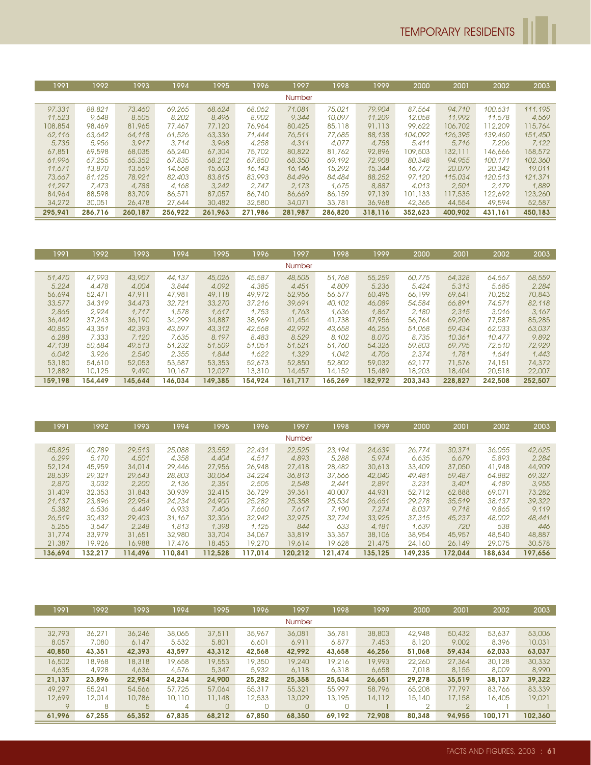| 1991    | 1992    | 1993    | 1994    | 1995    | 1996    | 1997          | 1998    | 1999    | 2000    | 2001    | 2002    | 2003    |
|---------|---------|---------|---------|---------|---------|---------------|---------|---------|---------|---------|---------|---------|
|         |         |         |         |         |         | <b>Number</b> |         |         |         |         |         |         |
| 97,331  | 88,821  | 73,460  | 69,265  | 68,624  | 68,062  | 71,081        | 75,021  | 79,904  | 87.564  | 94,710  | 100.631 | 111.195 |
| 11,523  | 9.648   | 8,505   | 8,202   | 8,496   | 8,902   | 9.344         | 10.097  | 11,209  | 12,058  | 11.992  | 11.578  | 4.569   |
| 108,854 | 98,469  | 81,965  | 77,467  | 77,120  | 76,964  | 80,425        | 85,118  | 91,113  | 99,622  | 106,702 | 112,209 | 115,764 |
| 62,116  | 63.642  | 64,118  | 61,526  | 63,336  | 71.444  | 76,511        | 77.685  | 88,138  | 104,092 | 126,395 | 139,460 | 151,450 |
| 5.735   | 5.956   | 3.917   | 3.714   | 3.968   | 4.258   | 4.311         | 4.077   | 4.758   | 5.411   | 5.716   | 7,206   | 7.122   |
| 67,851  | 69,598  | 68,035  | 65,240  | 67,304  | 75,702  | 80,822        | 81,762  | 92,896  | 109,503 | 132,111 | 146,666 | 158,572 |
| 61,996  | 67,255  | 65,352  | 67,835  | 68,212  | 67,850  | 68,350        | 69,192  | 72,908  | 80,348  | 94,955  | 100.171 | 102,360 |
| 11.671  | 13,870  | 13,569  | 14,568  | 15,603  | 16.143  | 16,146        | 15,292  | 15,344  | 16,772  | 20,079  | 20,342  | 19,011  |
| 73.667  | 81.125  | 78,921  | 82,403  | 83,815  | 83,993  | 84,496        | 84,484  | 88,252  | 97.120  | 115,034 | 120,513 | 121,371 |
| 11,297  | 7.473   | 4.788   | 4.168   | 3.242   | 2.747   | 2.173         | 1.675   | 8,887   | 4.013   | 2.501   | 2.179   | 1,889   |
| 84,964  | 88,598  | 83,709  | 86,571  | 87,057  | 86,740  | 86,669        | 86,159  | 97,139  | 101,133 | 117,535 | 122,692 | 123,260 |
| 34,272  | 30,051  | 26,478  | 27,644  | 30,482  | 32,580  | 34,071        | 33,781  | 36,968  | 42,365  | 44,554  | 49,594  | 52,587  |
| 295.941 | 286.716 | 260.187 | 256.922 | 261.963 | 271.986 | 281.987       | 286,820 | 318.116 | 352.623 | 400,902 | 431.161 | 450.183 |

| 1991    | 1992    | 1993    | 1994    | 1995    | 1996    | 1997          | 1998    | 1999    | 2000    | 2001    | 2002    | 2003    |
|---------|---------|---------|---------|---------|---------|---------------|---------|---------|---------|---------|---------|---------|
|         |         |         |         |         |         | <b>Number</b> |         |         |         |         |         |         |
| 51,470  | 47.993  | 43,907  | 44.137  | 45,026  | 45,587  | 48,505        | 51,768  | 55,259  | 60,775  | 64,328  | 64.567  | 68,559  |
| 5,224   | 4.478   | 4.004   | 3,844   | 4.092   | 4,385   | 4.451         | 4.809   | 5.236   | 5.424   | 5.313   | 5,685   | 2.284   |
| 56,694  | 52,471  | 47,911  | 47,981  | 49,118  | 49,972  | 52,956        | 56,577  | 60,495  | 66,199  | 69,641  | 70,252  | 70,843  |
| 33,577  | 34,319  | 34,473  | 32,721  | 33,270  | 37,216  | 39,691        | 40.102  | 46,089  | 54,584  | 66,891  | 74,571  | 82,118  |
| 2.865   | 2.924   | 1.717   | 1.578   | 1.617   | 1.753   | 1.763         | 1.636   | 1.867   | 2.180   | 2.315   | 3.016   | 3.167   |
| 36,442  | 37,243  | 36,190  | 34,299  | 34,887  | 38,969  | 41,454        | 41,738  | 47,956  | 56,764  | 69,206  | 77,587  | 85,285  |
| 40,850  | 43,351  | 42,393  | 43,597  | 43,312  | 42,568  | 42,992        | 43.658  | 46,256  | 51,068  | 59,434  | 62,033  | 63,037  |
| 6.288   | 7.333   | 7.120   | 7.635   | 8.197   | 8,483   | 8.529         | 8.102   | 8,070   | 8.735   | 10,361  | 10,477  | 9,892   |
| 47,138  | 50.684  | 49,513  | 51,232  | 51,509  | 51.051  | 51,521        | 51,760  | 54,326  | 59,803  | 69,795  | 72,510  | 72,929  |
| 6,042   | 3.926   | 2.540   | 2.355   | 1.844   | 1,622   | 1.329         | 1.042   | 4,706   | 2.374   | 1.781   | 1.641   | 1,443   |
| 53,180  | 54,610  | 52,053  | 53,587  | 53,353  | 52,673  | 52,850        | 52,802  | 59,032  | 62,177  | 71,576  | 74,151  | 74,372  |
| 12,882  | 10,125  | 9,490   | 10,167  | 12,027  | 13,310  | 14,457        | 14,152  | 15,489  | 18,203  | 18,404  | 20,518  | 22,007  |
| 159.198 | 154.449 | 145.644 | 146.034 | 149.385 | 154.924 | 161,717       | 165.269 | 182.972 | 203.343 | 228,827 | 242.508 | 252.507 |

| 1991    | 1992    | 1993    | 1994    | 1995    | 1996    | 1997    | 1998    | 1999    | 2000    | 2001    | 2002    | 2003    |
|---------|---------|---------|---------|---------|---------|---------|---------|---------|---------|---------|---------|---------|
|         |         |         |         |         |         | Number  |         |         |         |         |         |         |
| 45,825  | 40,789  | 29,513  | 25,088  | 23,552  | 22,431  | 22,525  | 23,194  | 24,639  | 26,774  | 30,371  | 36,055  | 42,625  |
| 6.299   | 5.170   | 4,501   | 4.358   | 4,404   | 4.517   | 4.893   | 5,288   | 5.974   | 6.635   | 6.679   | 5,893   | 2.284   |
| 52,124  | 45,959  | 34,014  | 29,446  | 27,956  | 26,948  | 27,418  | 28,482  | 30,613  | 33,409  | 37,050  | 41,948  | 44,909  |
| 28,539  | 29,321  | 29,643  | 28,803  | 30,064  | 34,224  | 36,813  | 37,566  | 42,040  | 49,481  | 59,487  | 64,882  | 69,327  |
| 2,870   | 3.032   | 2,200   | 2.136   | 2.351   | 2.505   | 2.548   | 2.441   | 2.891   | 3.231   | 3,401   | 4.189   | 3.955   |
| 31,409  | 32,353  | 31,843  | 30,939  | 32,415  | 36,729  | 39,361  | 40,007  | 44,931  | 52,712  | 62,888  | 69,071  | 73,282  |
| 21.137  | 23,896  | 22,954  | 24,234  | 24,900  | 25,282  | 25,358  | 25,534  | 26.651  | 29,278  | 35,519  | 38,137  | 39,322  |
| 5,382   | 6.536   | 6.449   | 6.933   | 7,406   | 7.660   | 7.617   | 7.190   | 7.274   | 8.037   | 9.718   | 9,865   | 9.119   |
| 26,519  | 30,432  | 29,403  | 31.167  | 32,306  | 32,942  | 32,975  | 32,724  | 33,925  | 37,315  | 45,237  | 48,002  | 48,441  |
| 5.255   | 3.547   | 2.248   | 1.813   | 1.398   | 1.125   | 844     | 633     | 4.181   | 1.639   | 720     | 538     | 446     |
| 31,774  | 33.979  | 31,651  | 32,980  | 33,704  | 34,067  | 33,819  | 33,357  | 38,106  | 38,954  | 45,957  | 48,540  | 48,887  |
| 21,387  | 19,926  | 16,988  | 17,476  | 18,453  | 19,270  | 19,614  | 19,628  | 21,475  | 24,160  | 26,149  | 29,075  | 30,578  |
| 136.694 | 132.217 | 114.496 | 110.841 | 112.528 | 117.014 | 120.212 | 121.474 | 135.125 | 149.235 | 172.044 | 188.634 | 197.656 |

| 1991        | 1992   | 1993   | 1994   | 1995   | 1996   | 1997          | 1998   | 1999   | 2000   | 2001           | 2002    | 2003    |
|-------------|--------|--------|--------|--------|--------|---------------|--------|--------|--------|----------------|---------|---------|
|             |        |        |        |        |        | <b>Number</b> |        |        |        |                |         |         |
| 32,793      | 36,271 | 36,246 | 38,065 | 37,511 | 35,967 | 36,081        | 36,781 | 38,803 | 42,948 | 50,432         | 53,637  | 53,006  |
| 8,057       | 7,080  | 6.147  | 5,532  | 5,801  | 6,601  | 6,911         | 6,877  | 7,453  | 8,120  | 9,002          | 8,396   | 10,031  |
| 40,850      | 43,351 | 42,393 | 43.597 | 43,312 | 42,568 | 42,992        | 43,658 | 46,256 | 51,068 | 59,434         | 62,033  | 63,037  |
| 16,502      | 18,968 | 18,318 | 19,658 | 19,553 | 19,350 | 19,240        | 19,216 | 19,993 | 22,260 | 27,364         | 30,128  | 30,332  |
| 4,635       | 4,928  | 4,636  | 4,576  | 5,347  | 5,932  | 6.118         | 6,318  | 6,658  | 7,018  | 8,155          | 8,009   | 8,990   |
| 21,137      | 23,896 | 22,954 | 24.234 | 24,900 | 25,282 | 25,358        | 25,534 | 26,651 | 29,278 | 35,519         | 38,137  | 39,322  |
| 49,297      | 55,241 | 54,566 | 57,725 | 57,064 | 55,317 | 55,321        | 55,997 | 58,796 | 65,208 | 77.797         | 83,766  | 83,339  |
| 12,699      | 12,014 | 10,786 | 10,110 | 11,148 | 12,533 | 3,029         | 13,195 | 14,112 | 15,140 | 17,158         | 16,405  | 19,021  |
| $\mathsf Q$ | 8      | 5      | 4      |        |        |               |        |        | ◠      | $\overline{2}$ |         |         |
| 61,996      | 67.255 | 65.352 | 67.835 | 68.212 | 67.850 | 68.350        | 69.192 | 72.908 | 80.348 | 94.955         | 100.171 | 102.360 |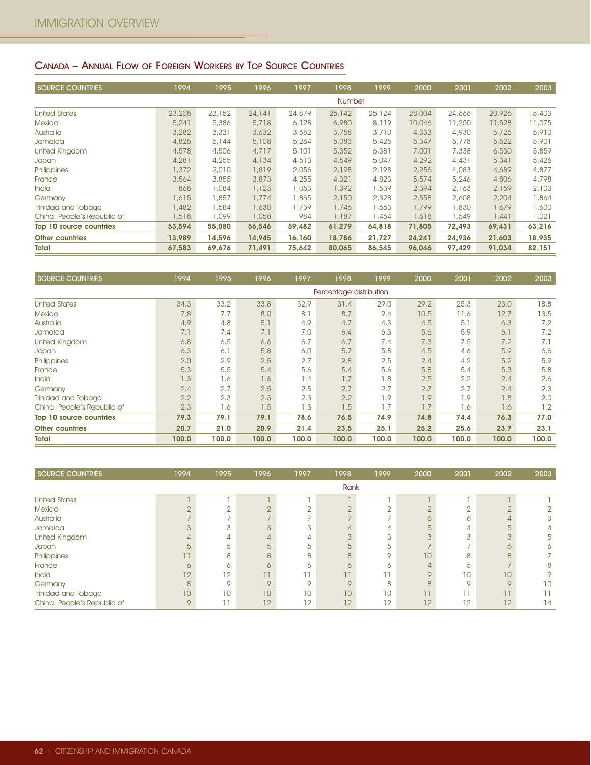# CANADA – ANNUAL FLOW OF FOREIGN WORKERS BY TOP SOURCE COUNTRIES

| <b>SOURCE COUNTRIES</b>     | 1994   | 1995   | 1996   | 1997   | 1998          | 1999   | 2000   | 2001   | 2002   | 2003   |
|-----------------------------|--------|--------|--------|--------|---------------|--------|--------|--------|--------|--------|
|                             |        |        |        |        | <b>Number</b> |        |        |        |        |        |
| <b>United States</b>        | 23,208 | 23,152 | 24,141 | 24,879 | 25,142        | 25,124 | 28,004 | 24,666 | 20,926 | 15,403 |
| Mexico                      | 5,241  | 5,386  | 5,718  | 6.128  | 6,980         | 8.119  | 10,046 | 11,250 | 11,528 | 11,075 |
| Australia                   | 3,282  | 3,331  | 3,632  | 3,682  | 3,758         | 3,710  | 4,333  | 4,930  | 5,726  | 5,910  |
| Jamaica                     | 4,825  | 5,144  | 5,108  | 5,264  | 5,083         | 5,425  | 5,347  | 5,778  | 5,522  | 5,901  |
| <b>United Kingdom</b>       | 4,578  | 4,506  | 4,717  | 5,101  | 5,352         | 6,381  | 7,001  | 7,338  | 6,530  | 5,859  |
| <b>Japan</b>                | 4,281  | 4,255  | 4,134  | 4,513  | 4,549         | 5,047  | 4,292  | 4,431  | 5,341  | 5,426  |
| Philippines                 | 1,372  | 2,010  | 1,819  | 2,056  | 2,198         | 2,198  | 2,256  | 4,083  | 4,689  | 4,877  |
| France                      | 3,564  | 3,855  | 3,873  | 4,255  | 4,321         | 4,823  | 5,574  | 5,246  | 4,806  | 4,798  |
| India                       | 868    | 1,084  | 1,123  | 1,053  | 1,392         | 1,539  | 2,394  | 2,163  | 2,159  | 2,103  |
| Germany                     | 1,615  | 1,857  | 1,774  | 865, ا | 2,150         | 2,328  | 2,558  | 2,608  | 2,204  | 1,864  |
| Trinidad and Tobago         | 1,482  | 1,584  | 1,630  | 1,739  | 1,746         | 1,663  | 1,799  | ,830   | 1,679  | 1,600  |
| China, People's Republic of | 1,518  | 1,099  | 1,058  | 984    | 1,187         | 1,464  | 1,618  | 1,549  | 1,441  | 1,021  |
| Top 10 source countries     | 53,594 | 55,080 | 56,546 | 59,482 | 61,279        | 64,818 | 71,805 | 72,493 | 69,431 | 63,216 |
| <b>Other countries</b>      | 13,989 | 14,596 | 14,945 | 16,160 | 18,786        | 21,727 | 24,241 | 24,936 | 21,603 | 18,935 |
| <b>Total</b>                | 67,583 | 69,676 | 71,491 | 75,642 | 80,065        | 86,545 | 96,046 | 97,429 | 91,034 | 82,151 |

| <b>SOURCE COUNTRIES</b>     | 1994  | 1995  | 1996  | 1997  | 1998                    | 1999  | 2000  | 2001  | 2002  | 2003  |
|-----------------------------|-------|-------|-------|-------|-------------------------|-------|-------|-------|-------|-------|
|                             |       |       |       |       | Percentage distribution |       |       |       |       |       |
| <b>United States</b>        | 34.3  | 33.2  | 33.8  | 32.9  | 31.4                    | 29.0  | 29.2  | 25.3  | 23.0  | 18.8  |
| <b>Mexico</b>               | 7.8   | 7.7   | 8.0   | 8.1   | 8.7                     | 9.4   | 10.5  | 11.6  | 12.7  | 13.5  |
| Australia                   | 4.9   | 4.8   | 5.1   | 4.9   | 4.7                     | 4.3   | 4.5   | 5.1   | 6.3   | 7.2   |
| Jamaica                     | 7.1   | 7.4   | 7.1   | 7.0   | 6.4                     | 6.3   | 5.6   | 5.9   | 6.1   | 7.2   |
| United Kingdom              | 6.8   | 6.5   | 6.6   | 6.7   | 6.7                     | 7.4   | 7.3   | 7.5   | 7.2   | 7.1   |
| Japan                       | 6.3   | 6.1   | 5.8   | 6.0   | 5.7                     | 5.8   | 4.5   | 4.6   | 5.9   | 6.6   |
| Philippines                 | 2.0   | 2.9   | 2.5   | 2.7   | 2.8                     | 2.5   | 2.4   | 4.2   | 5.2   | 5.9   |
| France                      | 5.3   | 5.5   | 5.4   | 5.6   | 5.4                     | 5.6   | 5.8   | 5.4   | 5.3   | 5.8   |
| <b>India</b>                | 1.3   | 1.6   | 1.6   | 1.4   | 1.7                     | 1.8   | 2.5   | 2.2   | 2.4   | 2.6   |
| Germany                     | 2.4   | 2.7   | 2.5   | 2.5   | 2.7                     | 2.7   | 2.7   | 2.7   | 2.4   | 2.3   |
| Trinidad and Tobago         | 2.2   | 2.3   | 2.3   | 2.3   | 2.2                     | 1.9   | 1.9   | 1.9   | 1.8   | 2.0   |
| China, People's Republic of | 2.3   | 1.6   | 1.5   | 1.3   | 1.5                     | 1.7   | 1.7   | 1.6   | .6    | 1.2   |
| Top 10 source countries     | 79.3  | 79.1  | 79.1  | 78.6  | 76.5                    | 74.9  | 74.8  | 74.4  | 76.3  | 77.0  |
| <b>Other countries</b>      | 20.7  | 21.0  | 20.9  | 21.4  | 23.5                    | 25.1  | 25.2  | 25.6  | 23.7  | 23.1  |
| <b>Total</b>                | 100.0 | 100.0 | 100.0 | 100.0 | 100.0                   | 100.0 | 100.0 | 100.0 | 100.0 | 100.0 |

| SOURCE COUNTRIES            | 1994            | 1995            | 1996    | 1997    | 1998     | 1999 | 2000     | 2001    | 2002            | 2003 |
|-----------------------------|-----------------|-----------------|---------|---------|----------|------|----------|---------|-----------------|------|
|                             |                 |                 |         |         | Rank     |      |          |         |                 |      |
| <b>United States</b>        |                 |                 |         |         |          |      |          |         |                 |      |
| <b>Mexico</b>               |                 |                 |         |         |          |      |          |         | $\cap$          |      |
| Australia                   |                 |                 |         |         |          |      | $\sigma$ | ∩       |                 |      |
| Jamaica                     |                 | $\sim$          |         | $\sim$  |          |      |          |         | 5               |      |
| United Kingdom              |                 |                 |         |         |          |      |          |         | 3               |      |
| Japan                       |                 | 5               |         | 5       |          | 5    |          |         |                 |      |
| Philippines                 |                 | 8               | 8       | 8       | 8        |      | 10       | 8       | 8               |      |
| France                      | Ô               | 6.              |         | Α       | Α        |      |          | 5       |                 |      |
| India                       | 12 <sup>7</sup> | 12 <sup>7</sup> | ר ד     |         | 11       |      | $\circ$  | 10      | 10 <sup>°</sup> |      |
| Germany                     | 8               | $\circ$         | $\circ$ | $\circ$ | $\Omega$ | 8    | 8        | $\circ$ | $\circ$         | 10   |
| Trinidad and Tobago         | 10 <sup>°</sup> | 10              | 10      | 10      | 10       | 10   | 11       | ٠ī,     | $\overline{1}$  |      |
| China, People's Republic of | 9               |                 | 12      | 12      | 12       | 12   | 12       | 12      | 12              | 14   |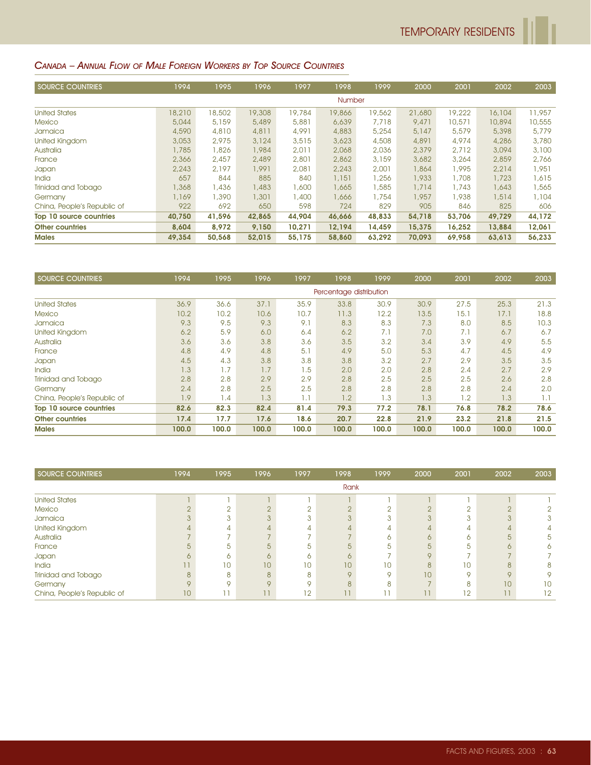### CANADA – ANNUAL FLOW OF MALE FOREIGN WORKERS BY TOP SOURCE COUNTRIES

| <b>SOURCE COUNTRIES</b>     | 1994   | 1995   | 1996   | 1997   | 1998          | 1999   | 2000   | 2001   | 2002   | 2003   |
|-----------------------------|--------|--------|--------|--------|---------------|--------|--------|--------|--------|--------|
|                             |        |        |        |        | <b>Number</b> |        |        |        |        |        |
| <b>United States</b>        | 18,210 | 18,502 | 19,308 | 19,784 | 19,866        | 19,562 | 21,680 | 19,222 | 16,104 | 11,957 |
| <b>Mexico</b>               | 5,044  | 5,159  | 5,489  | 5,881  | 6,639         | 7.718  | 9,471  | 10,571 | 10,894 | 10,555 |
| Jamaica                     | 4,590  | 4,810  | 4,811  | 4,991  | 4,883         | 5,254  | 5,147  | 5,579  | 5,398  | 5,779  |
| United Kingdom              | 3,053  | 2,975  | 3,124  | 3,515  | 3,623         | 4,508  | 4,891  | 4,974  | 4,286  | 3,780  |
| Australia                   | 1,785  | 1,826  | 1,984  | 2,011  | 2,068         | 2,036  | 2,379  | 2,712  | 3,094  | 3,100  |
| France                      | 2,366  | 2,457  | 2,489  | 2,801  | 2,862         | 3,159  | 3,682  | 3,264  | 2,859  | 2,766  |
| Japan                       | 2,243  | 2,197  | 1,991  | 2,081  | 2,243         | 2,001  | 1,864  | 1,995  | 2,214  | 1,951  |
| <b>India</b>                | 657    | 844    | 885    | 840    | 1,151         | 1,256  | 1,933  | 1,708  | 1,723  | 1,615  |
| Trinidad and Tobago         | 1,368  | 1,436  | ,483   | 1,600  | 1,665         | 1,585  | 1,714  | 1,743  | 1,643  | 1,565  |
| Germany                     | 1,169  | 1,390  | 1,301  | 1,400  | 1,666         | 1,754  | 1,957  | 1,938  | 1,514  | 1,104  |
| China, People's Republic of | 922    | 692    | 650    | 598    | 724           | 829    | 905    | 846    | 825    | 606    |
| Top 10 source countries     | 40,750 | 41,596 | 42,865 | 44,904 | 46,666        | 48,833 | 54,718 | 53,706 | 49,729 | 44,172 |
| <b>Other countries</b>      | 8,604  | 8,972  | 9,150  | 10,271 | 12,194        | 14,459 | 15,375 | 16,252 | 13,884 | 12,061 |
| <b>Males</b>                | 49,354 | 50,568 | 52,015 | 55,175 | 58,860        | 63,292 | 70,093 | 69,958 | 63,613 | 56,233 |

| <b>SOURCE COUNTRIES</b>     | 1994              | 1995  | 1996  | 1997  | 1998                    | 1999  | 2000  | 2001  | 2002  | 2003  |
|-----------------------------|-------------------|-------|-------|-------|-------------------------|-------|-------|-------|-------|-------|
|                             |                   |       |       |       | Percentage distribution |       |       |       |       |       |
| <b>United States</b>        | 36.9              | 36.6  | 37.1  | 35.9  | 33.8                    | 30.9  | 30.9  | 27.5  | 25.3  | 21.3  |
| <b>Mexico</b>               | 10.2 <sub>1</sub> | 10.2  | 10.6  | 10.7  | 11.3                    | 12.2  | 13.5  | 15.1  | 17.1  | 18.8  |
| Jamaica                     | 9.3               | 9.5   | 9.3   | 9.1   | 8.3                     | 8.3   | 7.3   | 8.0   | 8.5   | 10.3  |
| United Kingdom              | 6.2               | 5.9   | 6.0   | 6.4   | 6.2                     | 7.1   | 7.0   | 7.1   | 6.7   | 6.7   |
| Australia                   | 3.6               | 3.6   | 3.8   | 3.6   | 3.5                     | 3.2   | 3.4   | 3.9   | 4.9   | 5.5   |
| France                      | 4.8               | 4.9   | 4.8   | 5.1   | 4.9                     | 5.0   | 5.3   | 4.7   | 4.5   | 4.9   |
| Japan                       | 4.5               | 4.3   | 3.8   | 3.8   | 3.8                     | 3.2   | 2.7   | 2.9   | 3.5   | 3.5   |
| India                       | 1.3               | 1.7   | 1.7   | 1.5   | 2.0                     | 2.0   | 2.8   | 2.4   | 2.7   | 2.9   |
| Trinidad and Tobago         | 2.8               | 2.8   | 2.9   | 2.9   | 2.8                     | 2.5   | 2.5   | 2.5   | 2.6   | 2.8   |
| Germany                     | 2.4               | 2.8   | 2.5   | 2.5   | 2.8                     | 2.8   | 2.8   | 2.8   | 2.4   | 2.0   |
| China, People's Republic of | 1.9               | 1.4   | 1.3   | 1.1   | 1.2                     | 1.3   | 1.3   | 1.2   | 1.3   | 1.1   |
| Top 10 source countries     | 82.6              | 82.3  | 82.4  | 81.4  | 79.3                    | 77.2  | 78.1  | 76.8  | 78.2  | 78.6  |
| <b>Other countries</b>      | 17.4              | 17.7  | 17.6  | 18.6  | 20.7                    | 22.8  | 21.9  | 23.2  | 21.8  | 21.5  |
| <b>Males</b>                | 100.0             | 100.0 | 100.0 | 100.0 | 100.0                   | 100.0 | 100.0 | 100.0 | 100.0 | 100.0 |

| SOURCE COUNTRIES            | 1994    | 1995 | 1996         | 1997            | 1998     | 1999 | 2000            | 2001    | 2002            | 2003 |
|-----------------------------|---------|------|--------------|-----------------|----------|------|-----------------|---------|-----------------|------|
|                             |         |      |              |                 | Rank     |      |                 |         |                 |      |
| <b>United States</b>        |         |      |              |                 |          |      |                 |         |                 |      |
| <b>Mexico</b>               |         |      |              |                 |          |      |                 |         | $\cap$          |      |
| Jamaica                     |         |      |              |                 |          |      |                 |         | 3               |      |
| United Kingdom              |         |      |              |                 |          |      |                 |         |                 |      |
| Australia                   |         |      |              |                 |          |      |                 |         | д               | 5    |
| France                      |         | 5    | 片            | 5               |          | 5.   | $\overline{5}$  | 5       |                 |      |
| Japan                       | ∩       | 6.   |              | ∩               | ∩        |      |                 |         |                 |      |
| India                       |         | 10   | 10           | 10 <sup>°</sup> | 10       | 10   | $\mathcal{B}$   | 10      | 8               |      |
| Trinidad and Tobago         | 8       | 8    | $\mathsf{R}$ | 8               | $\Omega$ |      | 10              | $\circ$ | $\circ$         |      |
| Germany                     | $\circ$ |      | $\Omega$     | O               | 8        | я    |                 | 8       | 10 <sup>°</sup> | 10   |
| China, People's Republic of | 10      |      | 11           | 12              | 11       |      | $\overline{11}$ | 12      | $\mathbf{1}$    | 12   |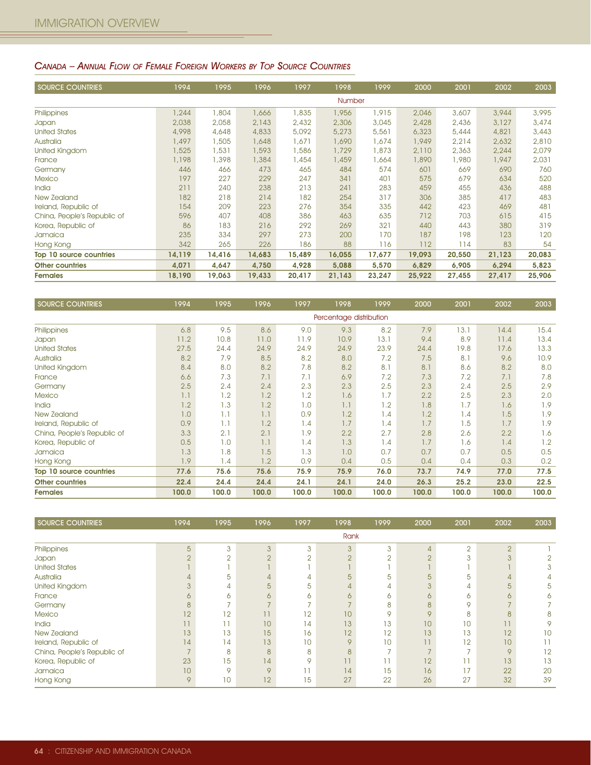### CANADA – ANNUAL FLOW OF FEMALE FOREIGN WORKERS BY TOP SOURCE COUNTRIES

| <b>SOURCE COUNTRIES</b>     | 1994   | 1995   | 1996   | 1997   | 1998   | 1999   | 2000   | 2001   | 2002   | 2003   |
|-----------------------------|--------|--------|--------|--------|--------|--------|--------|--------|--------|--------|
|                             |        |        |        |        | Number |        |        |        |        |        |
| Philippines                 | 1,244  | 1,804  | 1,666  | 1,835  | 1,956  | 1,915  | 2,046  | 3,607  | 3,944  | 3,995  |
| Japan                       | 2,038  | 2,058  | 2,143  | 2,432  | 2,306  | 3,045  | 2,428  | 2,436  | 3,127  | 3,474  |
| <b>United States</b>        | 4,998  | 4,648  | 4,833  | 5,092  | 5,273  | 5,561  | 6,323  | 5,444  | 4,821  | 3,443  |
| Australia                   | 1,497  | 1,505  | 1,648  | 1,671  | 1,690  | 1,674  | 1,949  | 2,214  | 2,632  | 2,810  |
| United Kingdom              | 1,525  | 1,531  | 1,593  | 1,586  | 1,729  | 1,873  | 2,110  | 2,363  | 2,244  | 2,079  |
| France                      | 1,198  | 1,398  | 1,384  | 1,454  | 1,459  | 1,664  | 1,890  | 1,980  | 1,947  | 2,031  |
| Germany                     | 446    | 466    | 473    | 465    | 484    | 574    | 601    | 669    | 690    | 760    |
| <b>Mexico</b>               | 197    | 227    | 229    | 247    | 341    | 401    | 575    | 679    | 634    | 520    |
| India                       | 211    | 240    | 238    | 213    | 241    | 283    | 459    | 455    | 436    | 488    |
| New Zealand                 | 182    | 218    | 214    | 182    | 254    | 317    | 306    | 385    | 417    | 483    |
| Ireland, Republic of        | 154    | 209    | 223    | 276    | 354    | 335    | 442    | 423    | 469    | 481    |
| China, People's Republic of | 596    | 407    | 408    | 386    | 463    | 635    | 712    | 703    | 615    | 415    |
| Korea, Republic of          | 86     | 183    | 216    | 292    | 269    | 321    | 440    | 443    | 380    | 319    |
| Jamaica                     | 235    | 334    | 297    | 273    | 200    | 170    | 187    | 198    | 123    | 120    |
| Hong Kong                   | 342    | 265    | 226    | 186    | 88     | 116    | 112    | 114    | 83     | 54     |
| Top 10 source countries     | 14,119 | 14,416 | 14,683 | 15,489 | 16,055 | 17,677 | 19,093 | 20,550 | 21,123 | 20,083 |
| <b>Other countries</b>      | 4,071  | 4,647  | 4,750  | 4,928  | 5,088  | 5,570  | 6,829  | 6,905  | 6,294  | 5,823  |
| <b>Females</b>              | 18,190 | 19,063 | 19,433 | 20,417 | 21,143 | 23,247 | 25,922 | 27,455 | 27,417 | 25,906 |

| <b>SOURCE COUNTRIES</b>     | 1994                    | 1995  | 1996  | 1997  | 1998  | 1999  | 2000  | 2001  | 2002  | 2003  |
|-----------------------------|-------------------------|-------|-------|-------|-------|-------|-------|-------|-------|-------|
|                             | Percentage distribution |       |       |       |       |       |       |       |       |       |
| Philippines                 | 6.8                     | 9.5   | 8.6   | 9.0   | 9.3   | 8.2   | 7.9   | 13.1  | 14.4  | 15.4  |
| Japan                       | 11.2                    | 10.8  | 11.0  | 11.9  | 10.9  | 13.1  | 9.4   | 8.9   | 11.4  | 13.4  |
| <b>United States</b>        | 27.5                    | 24.4  | 24.9  | 24.9  | 24.9  | 23.9  | 24.4  | 19.8  | 17.6  | 13.3  |
| <b>Australia</b>            | 8.2                     | 7.9   | 8.5   | 8.2   | 8.0   | 7.2   | 7.5   | 8.1   | 9.6   | 10.9  |
| United Kingdom              | 8.4                     | 0.8   | 8.2   | 7.8   | 8.2   | 8.1   | 8.1   | 8.6   | 8.2   | 8.0   |
| France                      | 6.6                     | 7.3   | 7.1   | 7.1   | 6.9   | 7.2   | 7.3   | 7.2   | 7.1   | 7.8   |
| Germany                     | 2.5                     | 2.4   | 2.4   | 2.3   | 2.3   | 2.5   | 2.3   | 2.4   | 2.5   | 2.9   |
| <b>Mexico</b>               | 1.1                     | 1.2   | 1.2   | 1.2   | 1.6   | 1.7   | 2.2   | 2.5   | 2.3   | 2.0   |
| India                       | 1.2                     | 1.3   | 1.2   | 1.0   | 1.1   | 1.2   | 1.8   | 1.7   | 1.6   | 1.9   |
| New Zealand                 | 1.0                     | 1.1   | 1.1   | 0.9   | 1.2   | 1.4   | 1.2   | 1.4   | 1.5   | 1.9   |
| Ireland, Republic of        | 0.9                     | 1.1   | 1.2   | 1.4   | 1.7   | 1.4   | 1.7   | 1.5   | 1.7   | 1.9   |
| China, People's Republic of | 3.3                     | 2.1   | 2.1   | 1.9   | 2.2   | 2.7   | 2.8   | 2.6   | 2.2   | 1.6   |
| Korea, Republic of          | 0.5                     | 1.0   | 1.1   | 1.4   | 1.3   | 1.4   | 1.7   | 1.6   | 1.4   | 1.2   |
| Jamaica                     | 1.3                     | 1.8   | 1.5   | 1.3   | 1.0   | 0.7   | 0.7   | 0.7   | 0.5   | 0.5   |
| Hong Kong                   | .9                      | 1.4   | 1.2   | 0.9   | 0.4   | 0.5   | 0.4   | 0.4   | 0.3   | 0.2   |
| Top 10 source countries     | 77.6                    | 75.6  | 75.6  | 75.9  | 75.9  | 76.0  | 73.7  | 74.9  | 77.0  | 77.5  |
| <b>Other countries</b>      | 22.4                    | 24.4  | 24.4  | 24.1  | 24.1  | 24.0  | 26.3  | 25.2  | 23.0  | 22.5  |
| <b>Females</b>              | 100.0                   | 100.0 | 100.0 | 100.0 | 100.0 | 100.0 | 100.0 | 100.0 | 100.0 | 100.0 |

| SOURCE COUNTRIES            | 1994                     | 1995     | 1996          | 1997   | 1998            | 1999     | 2000    | 2001           | 2002           | 2003 |
|-----------------------------|--------------------------|----------|---------------|--------|-----------------|----------|---------|----------------|----------------|------|
|                             |                          |          |               |        | Rank            |          |         |                |                |      |
| Philippines                 | 5                        | 3        | 3             | 3      | 3               | 3        | 4       | $\overline{2}$ | $\overline{2}$ |      |
| Japan                       | $\cap$                   | $\Omega$ | $\cap$        | $\cap$ | $\cap$          | $\Omega$ | $\cap$  | 3              | 3              |      |
| <b>United States</b>        |                          |          |               |        |                 |          |         |                |                |      |
| Australia                   |                          | 5        |               |        | 5               | 5        | 5       | 5              | 4              |      |
| United Kingdom              |                          | 4        | 5             | 5      | 4               | 4        |         | 4              | 5              | 5    |
| France                      | 6                        | 6        | 6             | 6      | 6               | ∩        | 6       | 6              | 6              | 6    |
| Germany                     | 8                        |          |               |        |                 | 8        | 8       | 9              |                |      |
| <b>Mexico</b>               | 12                       | 12       | 11            | 12     | 10 <sup>°</sup> | $\circ$  | $\circ$ | 8              | 8              |      |
| India                       |                          |          | 10            | 14     | 13              | 13       | 10      | 10             | 11             | 9    |
| <b>New Zealand</b>          | 13                       | 13       | 15            | 16     | 12              | 12       | 13      | 13             | 12             | 10   |
| Ireland, Republic of        | 14                       | 14       | 13            | 10     | 9               | 10       | 11      | 12             | 10             |      |
| China, People's Republic of | $\overline{\phantom{0}}$ | 8        | $\mathcal{B}$ | 8      | 8               |          |         |                | 9              | 12   |
| Korea, Republic of          | 23                       | 15       | 14            | Q      | 11              |          | 12      | Ĥ              | 13             | 13   |
| Jamaica                     | 10                       | $\circ$  | $\mathsf Q$   | 11     | 14              | 15       | 16      | 17             | 22             | 20   |
| Hong Kong                   | 9                        | 10       | 12            | 15     | 27              | 22       | 26      | 27             | 32             | 39   |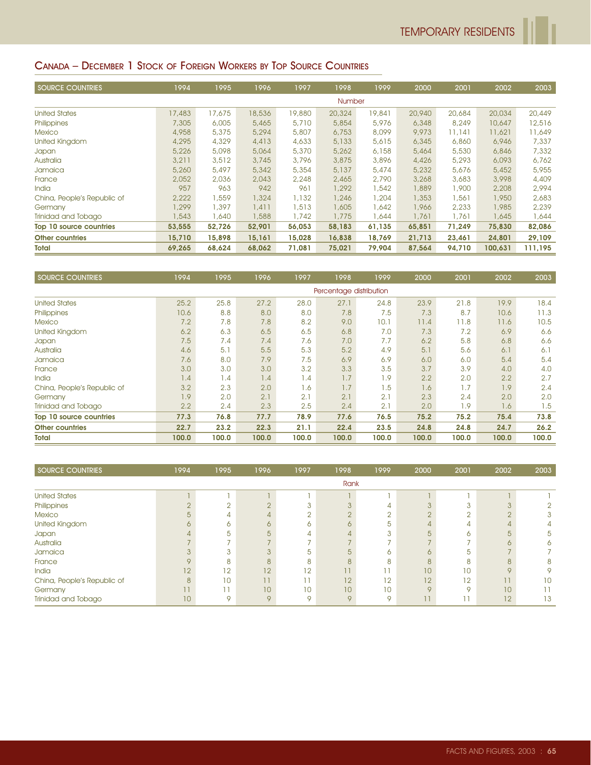#### CANADA – DECEMBER 1 STOCK OF FOREIGN WORKERS BY TOP SOURCE COUNTRIES

| <b>SOURCE COUNTRIES</b>     | 1994   | 1995   | 1996   | 1997   | 1998          | 1999   | 2000   | 2001   | 2002    | 2003    |
|-----------------------------|--------|--------|--------|--------|---------------|--------|--------|--------|---------|---------|
|                             |        |        |        |        | <b>Number</b> |        |        |        |         |         |
| <b>United States</b>        | 17,483 | 17,675 | 18,536 | 19,880 | 20,324        | 19,841 | 20,940 | 20,684 | 20,034  | 20,449  |
| Philippines                 | 7,305  | 6,005  | 5,465  | 5,710  | 5,854         | 5,976  | 6,348  | 8,249  | 10,647  | 12,516  |
| <b>Mexico</b>               | 4,958  | 5,375  | 5,294  | 5,807  | 6,753         | 8,099  | 9,973  | 11,141 | 11,621  | 11,649  |
| United Kingdom              | 4,295  | 4,329  | 4,413  | 4,633  | 5,133         | 5,615  | 6,345  | 6,860  | 6,946   | 7,337   |
| Japan                       | 5,226  | 5,098  | 5,064  | 5,370  | 5,262         | 6,158  | 5,464  | 5,530  | 6,846   | 7,332   |
| Australia                   | 3,211  | 3,512  | 3,745  | 3,796  | 3,875         | 3,896  | 4,426  | 5,293  | 6,093   | 6,762   |
| Jamaica                     | 5,260  | 5,497  | 5,342  | 5,354  | 5,137         | 5,474  | 5,232  | 5,676  | 5,452   | 5,955   |
| France                      | 2,052  | 2,036  | 2,043  | 2,248  | 2,465         | 2,790  | 3,268  | 3,683  | 3,998   | 4,409   |
| <b>India</b>                | 957    | 963    | 942    | 961    | 1,292         | 1,542  | 1,889  | 1,900  | 2,208   | 2,994   |
| China, People's Republic of | 2,222  | 1,559  | 1,324  | 1,132  | 1,246         | 1,204  | 1,353  | 1,561  | 1,950   | 2,683   |
| Germany                     | 1,299  | 1,397  | 1,411  | 1,513  | 1,605         | 1,642  | 1,966  | 2,233  | 1,985   | 2,239   |
| Trinidad and Tobago         | 1,543  | 1,640  | 1,588  | 1,742  | 1,775         | 1,644  | 1,761  | 1,761  | 1,645   | 1,644   |
| Top 10 source countries     | 53,555 | 52,726 | 52,901 | 56,053 | 58,183        | 61,135 | 65,851 | 71,249 | 75,830  | 82,086  |
| <b>Other countries</b>      | 15,710 | 15,898 | 15,161 | 15,028 | 16,838        | 18,769 | 21,713 | 23,461 | 24,801  | 29,109  |
| Total                       | 69,265 | 68,624 | 68,062 | 71,081 | 75,021        | 79,904 | 87,564 | 94,710 | 100,631 | 111,195 |

| <b>SOURCE COUNTRIES</b>     | 1994  | 1995  | 1996  | 1997  | 1998                    | 1999  | 2000  | 2001  | 2002  | 2003  |
|-----------------------------|-------|-------|-------|-------|-------------------------|-------|-------|-------|-------|-------|
|                             |       |       |       |       | Percentage distribution |       |       |       |       |       |
| <b>United States</b>        | 25.2  | 25.8  | 27.2  | 28.0  | 27.1                    | 24.8  | 23.9  | 21.8  | 19.9  | 18.4  |
| Philippines                 | 10.6  | 8.8   | 8.0   | 8.0   | 7.8                     | 7.5   | 7.3   | 8.7   | 10.6  | 11.3  |
| <b>Mexico</b>               | 7.2   | 7.8   | 7.8   | 8.2   | 9.0                     | 10.1  | 11.4  | 11.8  | 11.6  | 10.5  |
| <b>United Kingdom</b>       | 6.2   | 6.3   | 6.5   | 6.5   | 6.8                     | 7.0   | 7.3   | 7.2   | 6.9   | 6.6   |
| Japan                       | 7.5   | 7.4   | 7.4   | 7.6   | 7.0                     | 7.7   | 6.2   | 5.8   | 6.8   | 6.6   |
| Australia                   | 4.6   | 5.1   | 5.5   | 5.3   | 5.2                     | 4.9   | 5.1   | 5.6   | 6.1   | 6.1   |
| Jamaica                     | 7.6   | 8,0   | 7.9   | 7.5   | 6.9                     | 6.9   | 6.0   | 6.0   | 5.4   | 5.4   |
| France                      | 3.0   | 3.0   | 3.0   | 3.2   | 3.3                     | 3.5   | 3.7   | 3.9   | 4.0   | 4.0   |
| <b>India</b>                | 1.4   | 1.4   | 1.4   | 1.4   | 1.7                     | 1.9   | 2.2   | 2.0   | 2.2   | 2.7   |
| China, People's Republic of | 3.2   | 2.3   | 2.0   | 1.6   | 1.7                     | 1.5   | 1.6   | 1.7   | 1.9   | 2.4   |
| Germany                     | 1.9   | 2.0   | 2.1   | 2.1   | 2.1                     | 2.1   | 2.3   | 2.4   | 2.0   | 2.0   |
| Trinidad and Tobago         | 2.2   | 2.4   | 2.3   | 2.5   | 2.4                     | 2.1   | 2.0   | 1.9   | 1.6   | 1.5   |
| Top 10 source countries     | 77.3  | 76.8  | 77.7  | 78.9  | 77.6                    | 76.5  | 75.2  | 75.2  | 75.4  | 73.8  |
| <b>Other countries</b>      | 22.7  | 23.2  | 22.3  | 21.1  | 22.4                    | 23.5  | 24.8  | 24.8  | 24.7  | 26.2  |
| Total                       | 100.0 | 100.0 | 100.0 | 100.0 | 100.0                   | 100.0 | 100.0 | 100.0 | 100.0 | 100.0 |

| SOURCE COUNTRIES            | 1994    | 1995   | 1996            | 1997 | 1998    | 1999 | 2000            | 2001    | 2002            | 2003 |
|-----------------------------|---------|--------|-----------------|------|---------|------|-----------------|---------|-----------------|------|
|                             |         |        |                 |      | Rank    |      |                 |         |                 |      |
| <b>United States</b>        |         |        |                 |      |         |      |                 |         |                 |      |
| Philippines                 |         | $\sim$ |                 |      |         |      |                 |         | 3               |      |
| <b>Mexico</b>               |         | 4      |                 |      |         |      |                 |         | $\Omega$        |      |
| United Kingdom              | 6       | 6      | 6               | 6    |         | 5    |                 |         | 4               |      |
| Japan                       |         | 5      | 5               | 4    |         | 3    | $\overline{5}$  | 6       | 5               | 5    |
| Australia                   |         |        |                 |      |         |      |                 |         | ∩               |      |
| Jamaica                     |         | 3      |                 | 5    | 5       | ∩    | $\circ$         | h       |                 |      |
| France                      | $\circ$ | 8      | $\mathsf{B}$    | 8    |         | R    | $\mathcal{B}$   | 8       | 8               |      |
| India                       | 12      | 12     | 12              | 12   |         |      | 10              | 10      | $\overline{Q}$  |      |
| China, People's Republic of | 8       | 10     | $\overline{11}$ |      | 12      | 12   | 12              | 12      | П               | 10   |
| Germany                     | 11      |        | 10              | 10   | 10      | 10   | $\circ$         | $\circ$ | 10 <sup>°</sup> |      |
| Trinidad and Tobago         | 10      | 9      | $\circ$         | Q    | $\circ$ | Q    | $\overline{11}$ |         | 12              | 13   |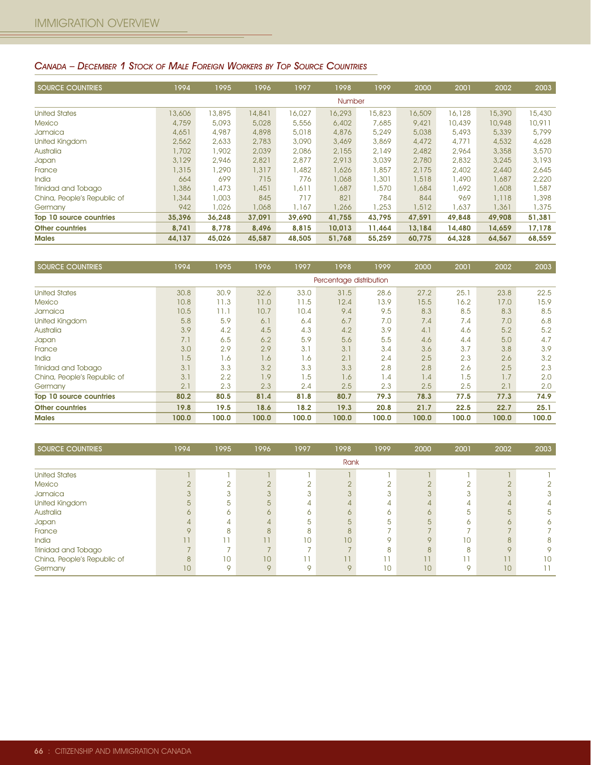#### CANADA – DECEMBER 1 STOCK OF MALE FOREIGN WORKERS BY TOP SOURCE COUNTRIES

| <b>SOURCE COUNTRIES</b>     | 1994   | 1995   | 1996   | 1997   | 1998          | 1999   | 2000   | 2001   | 2002   | 2003   |
|-----------------------------|--------|--------|--------|--------|---------------|--------|--------|--------|--------|--------|
|                             |        |        |        |        | <b>Number</b> |        |        |        |        |        |
| <b>United States</b>        | 13,606 | 13,895 | 14,841 | 16,027 | 16,293        | 15,823 | 16,509 | 16,128 | 15,390 | 15,430 |
| <b>Mexico</b>               | 4,759  | 5,093  | 5,028  | 5,556  | 6,402         | 7,685  | 9,421  | 10,439 | 10,948 | 10,911 |
| Jamaica                     | 4,651  | 4,987  | 4,898  | 5,018  | 4,876         | 5,249  | 5,038  | 5,493  | 5,339  | 5,799  |
| United Kingdom              | 2,562  | 2,633  | 2,783  | 3,090  | 3,469         | 3,869  | 4,472  | 4,771  | 4,532  | 4,628  |
| Australia                   | 1,702  | 1,902  | 2,039  | 2,086  | 2,155         | 2,149  | 2,482  | 2,964  | 3,358  | 3,570  |
| Japan                       | 3,129  | 2,946  | 2,821  | 2,877  | 2.913         | 3,039  | 2,780  | 2,832  | 3,245  | 3,193  |
| France                      | 1,315  | 1,290  | 1,317  | 1,482  | 1,626         | 1,857  | 2.175  | 2,402  | 2,440  | 2,645  |
| <b>India</b>                | 664    | 699    | 715    | 776    | 1,068         | 1,301  | 1,518  | 1,490  | 1,687  | 2,220  |
| Trinidad and Tobago         | ,386   | 1,473  | 1,451  | 1,611  | 1,687         | 1.570  | 1,684  | 1,692  | 1,608  | 1,587  |
| China, People's Republic of | 1,344  | 1,003  | 845    | 717    | 821           | 784    | 844    | 969    | 1,118  | 1,398  |
| Germany                     | 942    | 1,026  | 1,068  | 1,167  | 1,266         | 1,253  | 1,512  | 1,637  | 1,361  | 1,375  |
| Top 10 source countries     | 35,396 | 36,248 | 37,091 | 39.690 | 41,755        | 43,795 | 47,591 | 49,848 | 49,908 | 51,381 |
| <b>Other countries</b>      | 8,741  | 8.778  | 8,496  | 8.815  | 10.013        | 11.464 | 13,184 | 14,480 | 14,659 | 17,178 |
| <b>Males</b>                | 44,137 | 45,026 | 45,587 | 48,505 | 51,768        | 55,259 | 60,775 | 64,328 | 64,567 | 68,559 |

| <b>SOURCE COUNTRIES</b>     | 1994  | 1995  | 1996  | 1997  | 1998                    | 1999  | 2000  | 2001  | 2002  | 2003  |
|-----------------------------|-------|-------|-------|-------|-------------------------|-------|-------|-------|-------|-------|
|                             |       |       |       |       | Percentage distribution |       |       |       |       |       |
| <b>United States</b>        | 30.8  | 30.9  | 32.6  | 33.0  | 31.5                    | 28.6  | 27.2  | 25.1  | 23.8  | 22.5  |
| Mexico                      | 10.8  | 11.3  | 11.0  | 11.5  | 12.4                    | 13.9  | 15.5  | 16.2  | 17.0  | 15.9  |
| Jamaica                     | 10.5  | 11.1  | 10.7  | 10.4  | 9.4                     | 9.5   | 8.3   | 8.5   | 8.3   | 8.5   |
| United Kingdom              | 5.8   | 5.9   | 6.1   | 6.4   | 6.7                     | 7.0   | 7.4   | 7.4   | 7.0   | 6,8   |
| Australia                   | 3.9   | 4.2   | 4.5   | 4.3   | 4.2                     | 3.9   | 4.1   | 4.6   | 5.2   | 5.2   |
| Japan                       | 7.1   | 6.5   | 6.2   | 5.9   | 5.6                     | 5.5   | 4.6   | 4.4   | 5.0   | 4.7   |
| France                      | 3.0   | 2.9   | 2.9   | 3.1   | 3.1                     | 3.4   | 3.6   | 3.7   | 3.8   | 3.9   |
| <b>India</b>                | 1.5   | 1.6   | 1.6   | 1.6   | 2.1                     | 2.4   | 2.5   | 2.3   | 2.6   | 3.2   |
| Trinidad and Tobago         | 3.1   | 3.3   | 3.2   | 3.3   | 3.3                     | 2.8   | 2.8   | 2.6   | 2.5   | 2.3   |
| China, People's Republic of | 3.1   | 2.2   | 1.9   | 1.5   | 1.6                     | 1.4   | 1.4   | 1.5   | 1.7   | 2.0   |
| Germany                     | 2.1   | 2.3   | 2.3   | 2.4   | 2.5                     | 2.3   | 2.5   | 2.5   | 2.1   | 2.0   |
| Top 10 source countries     | 80.2  | 80.5  | 81.4  | 81.8  | 80.7                    | 79.3  | 78.3  | 77.5  | 77.3  | 74.9  |
| <b>Other countries</b>      | 19.8  | 19.5  | 18.6  | 18.2  | 19.3                    | 20.8  | 21.7  | 22.5  | 22.7  | 25.1  |
| <b>Males</b>                | 100.0 | 100.0 | 100.0 | 100.0 | 100.0                   | 100.0 | 100.0 | 100.0 | 100.0 | 100.0 |

| SOURCE COUNTRIES            | 1994            | 1995            | 1996    | 1997 | 1998         | 1999 | 2000      | 2001       | 2002    | 2003 |
|-----------------------------|-----------------|-----------------|---------|------|--------------|------|-----------|------------|---------|------|
|                             |                 |                 |         |      | Rank         |      |           |            |         |      |
| <b>United States</b>        |                 |                 |         |      |              |      |           |            |         |      |
| <b>Mexico</b>               |                 |                 |         |      |              |      |           | $\cap$     | $\cap$  |      |
| Jamaica                     |                 |                 |         |      |              |      |           | $\sqrt{2}$ |         |      |
| United Kingdom              |                 | h               |         |      |              |      |           | 4          |         |      |
| Australia                   |                 |                 |         |      |              |      |           | 5          | 5       |      |
| Japan                       |                 | 4               |         |      |              | h    |           | 6          |         |      |
| France                      |                 |                 |         |      |              |      |           |            |         |      |
| India                       |                 |                 |         | 10   | 10           |      | $\subset$ | 10         | 8       | 8    |
| Trinidad and Tobago         |                 |                 |         |      |              |      |           | 8          | $\circ$ |      |
| China, People's Republic of | 8               | 10 <sup>°</sup> | 10      |      | $\mathbf{I}$ |      | 77        |            |         | 10   |
| Germany                     | 10 <sup>°</sup> | $\circ$         | $\circ$ |      | $\circ$      | 10   | 10        | 9          | 10      |      |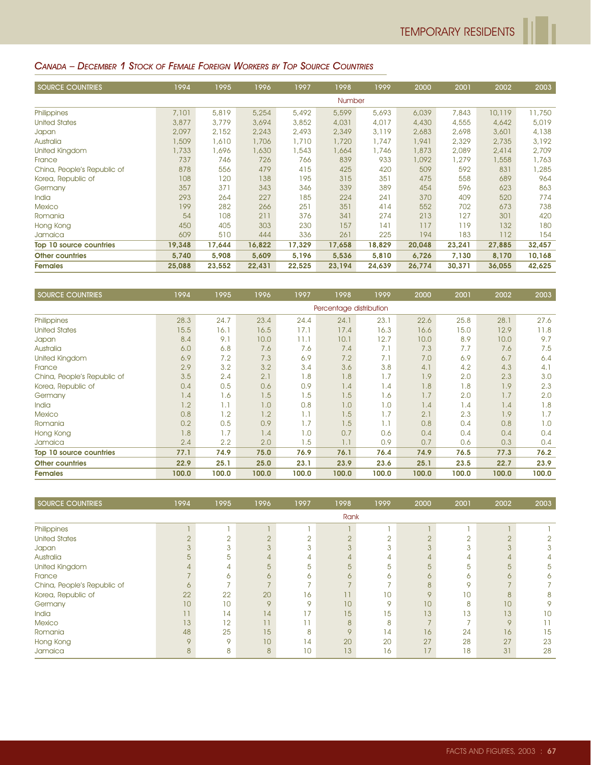#### CANADA – DECEMBER 1 STOCK OF FEMALE FOREIGN WORKERS BY TOP SOURCE COUNTRIES

| SOURCE COUNTRIES            | 1994   | 1995   | 1996   | 1997   | 1998   | 1999   | 2000   | 2001   | 2002   | 2003   |
|-----------------------------|--------|--------|--------|--------|--------|--------|--------|--------|--------|--------|
|                             |        |        |        |        | Number |        |        |        |        |        |
| Philippines                 | 7,101  | 5,819  | 5,254  | 5,492  | 5,599  | 5,693  | 6,039  | 7,843  | 10,119 | 11,750 |
| <b>United States</b>        | 3,877  | 3,779  | 3,694  | 3,852  | 4,031  | 4,017  | 4,430  | 4,555  | 4,642  | 5,019  |
| Japan                       | 2,097  | 2,152  | 2,243  | 2,493  | 2,349  | 3,119  | 2,683  | 2,698  | 3,601  | 4,138  |
| Australia                   | 1,509  | 1,610  | 1,706  | 1,710  | 1,720  | 1,747  | 1,941  | 2,329  | 2,735  | 3,192  |
| United Kingdom              | 1,733  | 1,696  | 1,630  | 1,543  | ,664   | 1,746  | 1,873  | 2,089  | 2,414  | 2,709  |
| France                      | 737    | 746    | 726    | 766    | 839    | 933    | 1,092  | 1,279  | 1,558  | 1,763  |
| China, People's Republic of | 878    | 556    | 479    | 415    | 425    | 420    | 509    | 592    | 831    | 1,285  |
| Korea, Republic of          | 108    | 120    | 138    | 195    | 315    | 351    | 475    | 558    | 689    | 964    |
| Germany                     | 357    | 371    | 343    | 346    | 339    | 389    | 454    | 596    | 623    | 863    |
| India                       | 293    | 264    | 227    | 185    | 224    | 241    | 370    | 409    | 520    | 774    |
| <b>Mexico</b>               | 199    | 282    | 266    | 251    | 351    | 414    | 552    | 702    | 673    | 738    |
| Romania                     | 54     | 108    | 211    | 376    | 341    | 274    | 213    | 127    | 301    | 420    |
| Hong Kong                   | 450    | 405    | 303    | 230    | 157    | 141    | 117    | 119    | 132    | 180    |
| Jamaica                     | 609    | 510    | 444    | 336    | 261    | 225    | 194    | 183    | 112    | 154    |
| Top 10 source countries     | 19,348 | 17,644 | 16,822 | 17,329 | 17,658 | 18,829 | 20,048 | 23,241 | 27,885 | 32,457 |
| <b>Other countries</b>      | 5,740  | 5,908  | 5,609  | 5,196  | 5,536  | 5,810  | 6,726  | 7,130  | 8,170  | 10,168 |
| <b>Females</b>              | 25,088 | 23,552 | 22,431 | 22,525 | 23,194 | 24,639 | 26,774 | 30,371 | 36,055 | 42,625 |

| <b>SOURCE COUNTRIES</b>     | 1994  | 1995          | 1996  | 1997  | 1998                    | 1999  | 2000  | 2001  | 2002  | 2003  |
|-----------------------------|-------|---------------|-------|-------|-------------------------|-------|-------|-------|-------|-------|
|                             |       |               |       |       | Percentage distribution |       |       |       |       |       |
| Philippines                 | 28.3  | 24.7          | 23.4  | 24.4  | 24.1                    | 23.1  | 22.6  | 25.8  | 28.1  | 27.6  |
| <b>United States</b>        | 15.5  | 16.1          | 16.5  | 17.1  | 17.4                    | 16.3  | 16.6  | 15.0  | 12.9  | 11.8  |
| Japan                       | 8.4   | 9.1           | 10.0  | 11.1  | 10.1                    | 12.7  | 10.0  | 8.9   | 10.0  | 9.7   |
| Australia                   | 6.0   | 6.8           | 7.6   | 7.6   | 7.4                     | 7.1   | 7.3   | 7.7   | 7.6   | 7.5   |
| United Kingdom              | 6.9   | 7.2           | 7.3   | 6.9   | 7.2                     | 7.1   | 7.0   | 6.9   | 6.7   | 6.4   |
| France                      | 2.9   | 3.2           | 3.2   | 3.4   | 3.6                     | 3.8   | 4.1   | 4.2   | 4.3   | 4.1   |
| China, People's Republic of | 3.5   | 2.4           | 2.1   | 1.8   | 1.8                     | 1.7   | 1.9   | 2.0   | 2.3   | 3.0   |
| Korea, Republic of          | 0.4   | 0.5           | 0.6   | 0.9   | 1.4                     | 1.4   | 1.8   | 1.8   | 1.9   | 2.3   |
| Germany                     | 1.4   | 1.6           | 1.5   | 1.5   | 1.5                     | 1.6   | 1.7   | 2.0   | 1.7   | 2.0   |
| <b>India</b>                | 1.2   | 1.1           | 1.0   | 0.8   | 1.0                     | 1.0   | 1.4   | 1.4   | 1.4   | 1.8   |
| <b>Mexico</b>               | 0.8   | 1.2           | 1.2   | 1.1   | 1.5                     | 1.7   | 2.1   | 2.3   | 1.9   | 1.7   |
| Romania                     | 0.2   | 0.5           | 0.9   | 1.7   | 1.5                     | 1.1   | 0.8   | 0.4   | 0.8   | 1.0   |
| Hong Kong                   | 1.8   | 1.7           | 1.4   | 1.0   | 0.7                     | 0.6   | 0.4   | 0.4   | 0.4   | 0.4   |
| Jamaica                     | 2.4   | $2.2^{\circ}$ | 2.0   | 1.5   | 1.1                     | 0.9   | 0.7   | 0.6   | 0.3   | 0.4   |
| Top 10 source countries     | 77.1  | 74.9          | 75.0  | 76.9  | 76.1                    | 76.4  | 74.9  | 76.5  | 77.3  | 76.2  |
| <b>Other countries</b>      | 22.9  | 25.1          | 25.0  | 23.1  | 23.9                    | 23.6  | 25.1  | 23.5  | 22.7  | 23.9  |
| <b>Females</b>              | 100.0 | 100.0         | 100.0 | 100.0 | 100.0                   | 100.0 | 100.0 | 100.0 | 100.0 | 100.0 |

| <b>SOURCE COUNTRIES</b>     | 1994           | 1995          | 1996    | 1997            | 1998    | 1999     | 2000         | 2001   | 2002           | 2003 |
|-----------------------------|----------------|---------------|---------|-----------------|---------|----------|--------------|--------|----------------|------|
|                             |                |               |         |                 | Rank    |          |              |        |                |      |
| Philippines                 |                |               |         |                 |         |          |              |        |                |      |
| <b>United States</b>        | $\overline{2}$ | $\sim$<br>∠   | $\cap$  | C               | $\cap$  | $\Omega$ | $\cap$       | $\cap$ | $\overline{2}$ |      |
| Japan                       | 3              | 3             | 3       | 3               | 3       | 3        | 3            | 3      | 3              | 3    |
| Australia                   | 5              | 5             | 4       | 4               | 4       | 4        | 4            | 4      | $\overline{4}$ |      |
| United Kingdom              | 4              | 4             | 5       | 5               | 5       | 5        | 5            | 5      | 5              | 5    |
| France                      |                | 6             | 6       | 6               | 6       | 6        | $\sigma$     | 6      | 6              |      |
| China, People's Republic of | 6              | $\rightarrow$ |         |                 |         |          | $\mathsf{R}$ | 9      |                |      |
| Korea, Republic of          | 22             | 22            | 20      | 16              | 11      | 10       | $\mathsf Q$  | 10     | 8              | 8    |
| Germany                     | 10             | 10            | $\circ$ | $\mathsf Q$     | 10      | 9        | 10           | 8      | 10             | 9    |
| India                       | 11             | 14            | 14      | 17              | 15      | 15       | 13           | 13     | 13             | 10   |
| <b>Mexico</b>               | 13             | 12            | 11      |                 | 8       | 8        |              |        | 9              | 11   |
| Romania                     | 48             | 25            | 15      | 8               | $\circ$ | 14       | 16           | 24     | 16             | 15   |
| Hong Kong                   | 9              | 9             | 10      | 14              | 20      | 20       | 27           | 28     | 27             | 23   |
| Jamaica                     | 8              | 8             | 8       | 10 <sup>°</sup> | 13      | 16       | 17           | 18     | 31             | 28   |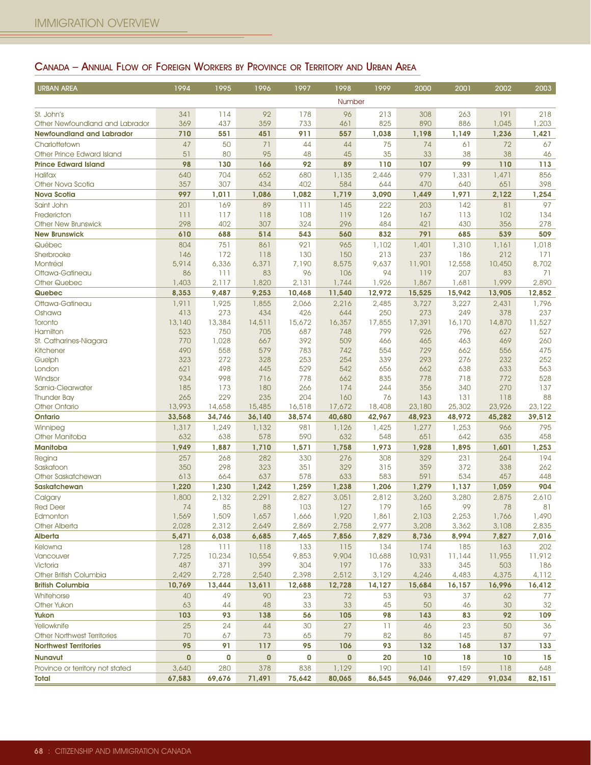# CANADA – ANNUAL FLOW OF FOREIGN WORKERS BY PROVINCE OR TERRITORY AND URBAN AREA

| <b>URBAN AREA</b>                                 | 1994         | 1995         | 1996         | 1997         | 1998         | 1999         | 2000         | 2001         | 2002         | 2003         |
|---------------------------------------------------|--------------|--------------|--------------|--------------|--------------|--------------|--------------|--------------|--------------|--------------|
|                                                   |              |              |              |              | Number       |              |              |              |              |              |
| St. John's                                        | 341          | 114          | 92           | 178          | 96           | 213          | 308          | 263          | 191          | 218          |
| Other Newfoundland and Labrador                   | 369          | 437          | 359          | 733          | 461          | 825          | 890          | 886          | 1,045        | 1,203        |
| <b>Newfoundland and Labrador</b>                  | 710          | 551          | 451          | 911          | 557          | 1,038        | 1,198        | 1,149        | 1,236        | 1,421        |
| Charlottetown                                     | 47           | 50           | 71           | 44           | 44           | 75           | 74           | 61           | 72           | 67           |
| Other Prince Edward Island                        | 51           | 80           | 95           | 48           | 45           | 35           | 33           | 38           | 38           | 46           |
| <b>Prince Edward Island</b>                       | 98           | 130          | 166          | 92           | 89           | 110          | 107          | 99           | 110          | 113          |
| <b>Halifax</b>                                    | 640          | 704          | 652          | 680          | 1,135        | 2,446        | 979          | 1,331        | 1,471        | 856          |
| Other Nova Scotia                                 | 357          | 307          | 434          | 402          | 584          | 644          | 470          | 640          | 651          | 398          |
| <b>Nova Scotia</b>                                | 997          | 1,011        | 1,086        | 1,082        | 1,719        | 3,090        | 1,449        | 1,971        | 2,122        | 1,254        |
| Saint John<br>Fredericton                         | 201<br>111   | 169<br>117   | 89<br>118    | 111<br>108   | 145<br>119   | 222<br>126   | 203<br>167   | 142<br>113   | 81<br>102    | 97<br>134    |
| <b>Other New Brunswick</b>                        | 298          | 402          | 307          | 324          | 296          | 484          | 421          | 430          | 356          | 278          |
| <b>New Brunswick</b>                              | 610          | 688          | 514          | 543          | 560          | 832          | 791          | 685          | 539          | 509          |
| Québec                                            | 804          | 751          | 861          | 921          | 965          | 1,102        | 1,401        | 1,310        | 1,161        | 1,018        |
| Sherbrooke                                        | 146          | 172          | 118          | 130          | 150          | 213          | 237          | 186          | 212          | 171          |
| Montréal                                          | 5,914        | 6,336        | 6,371        | 7,190        | 8,575        | 9,637        | 11,901       | 12,558       | 10,450       | 8,702        |
| Ottawa-Gatineau                                   | 86           | 111          | 83           | 96           | 106          | 94           | 119          | 207          | 83           | 71           |
| <b>Other Quebec</b>                               | 1,403        | 2,117        | 1,820        | 2,131        | 1,744        | 1,926        | 1,867        | 1,681        | 1,999        | 2,890        |
| Quebec                                            | 8,353        | 9,487        | 9,253        | 10,468       | 11,540       | 12,972       | 15,525       | 15,942       | 13,905       | 12,852       |
| Ottawa-Gatineau                                   | 1,911        | 1,925        | 1,855        | 2,066        | 2,216        | 2,485        | 3,727        | 3,227        | 2,431        | 1,796        |
| Oshawa                                            | 413          | 273          | 434          | 426          | 644          | 250          | 273          | 249          | 378          | 237          |
| Toronto                                           | 13,140       | 13,384       | 14,511       | 15,672       | 16,357       | 17,855       | 17,391       | 16,170       | 14,870       | 11,527       |
| Hamilton                                          | 523<br>770   | 750<br>1,028 | 705<br>667   | 687<br>392   | 748<br>509   | 799<br>466   | 926          | 796<br>463   | 627<br>469   | 527<br>260   |
| St. Catharines-Niagara<br><b>Kitchener</b>        | 490          | 558          | 579          | 783          | 742          | 554          | 465<br>729   | 662          | 556          | 475          |
| Guelph                                            | 323          | 272          | 328          | 253          | 254          | 339          | 293          | 276          | 232          | 252          |
| London                                            | 621          | 498          | 445          | 529          | 542          | 656          | 662          | 638          | 633          | 563          |
| Windsor                                           | 934          | 998          | 716          | 778          | 662          | 835          | 778          | 718          | 772          | 528          |
| Sarnia-Clearwater                                 | 185          | 173          | 180          | 266          | 174          | 244          | 356          | 340          | 270          | 137          |
| <b>Thunder Bay</b>                                | 265          | 229          | 235          | 204          | 160          | 76           | 143          | 131          | 118          | 88           |
| <b>Other Ontario</b>                              | 13,993       | 14,658       | 15,485       | 16,518       | 17,672       | 18,408       | 23,180       | 25,302       | 23,926       | 23,122       |
| Ontario                                           | 33,568       | 34,746       | 36,140       | 38,574       | 40,680       | 42,967       | 48,923       | 48,972       | 45,282       | 39,512       |
| Winnipeg                                          | 1,317        | 1,249        | 1,132        | 981          | 1,126        | 1,425        | 1,277        | 1,253        | 966          | 795          |
| <b>Other Manitoba</b><br><b>Manitoba</b>          | 632<br>1,949 | 638<br>1,887 | 578<br>1,710 | 590<br>1,571 | 632<br>1,758 | 548<br>1,973 | 651<br>1,928 | 642<br>1,895 | 635<br>1,601 | 458<br>1,253 |
|                                                   | 257          |              |              |              |              |              |              |              |              |              |
| Regina<br>Saskatoon                               | 350          | 268<br>298   | 282<br>323   | 330<br>351   | 276<br>329   | 308<br>315   | 329<br>359   | 231<br>372   | 264<br>338   | 194<br>262   |
| Other Saskatchewan                                | 613          | 664          | 637          | 578          | 633          | 583          | 591          | 534          | 457          | 448          |
| <b>Saskatchewan</b>                               | 1,220        | 1,230        | 1,242        | 1,259        | 1,238        | 1,206        | 1,279        | 1,137        | 1,059        | 904          |
| Calgary                                           | 1,800        | 2,132        | 2,291        | 2,827        | 3,051        | 2,812        | 3,260        | 3,280        | 2,875        | 2,610        |
| <b>Red Deer</b>                                   | 74           | 85           | 88           | 103          | 127          | 179          | 165          | 99           | 78           | 81           |
| Edmonton                                          | 1,569        | 1,509        | 1,657        | 1,666        | 1,920        | 1,861        | 2,103        | 2,253        | 1,766        | 1,490        |
| <b>Other Alberta</b>                              | 2,028        | 2,312        | 2,649        | 2,869        | 2,758        | 2,977        | 3,208        | 3,362        | 3,108        | 2,835        |
| <b>Alberta</b>                                    | 5,471        | 6,038        | 6,685        | 7,465        | 7,856        | 7,829        | 8,736        | 8,994        | 7,827        | 7,016        |
| Kelowna                                           | 128          | 111          | 118          | 133          | 115          | 134          | 174          | 185          | 163          | 202          |
| Vancouver                                         | 7,725        | 10,234       | 10,554       | 9,853        | 9,904        | 10,688       | 10,931       | 11,144       | 11,955       | 11,912       |
| Victoria                                          | 487          | 371          | 399          | 304          | 197          | 176          | 333          | 345          | 503          | 186          |
| Other British Columbia                            | 2,429        | 2,728        | 2,540        | 2,398        | 2,512        | 3,129        | 4,246        | 4,483        | 4,375        | 4,112        |
| <b>British Columbia</b>                           | 10,769       | 13,444       | 13,611       | 12,688       | 12,728       | 14,127       | 15,684       | 16,157       | 16,996       | 16,412       |
| Whitehorse<br>Other Yukon                         | 40<br>63     | 49<br>44     | 90<br>48     | 23<br>33     | 72<br>33     | 53<br>45     | 93<br>50     | 37<br>46     | 62<br>30     | 77<br>32     |
|                                                   | 103          | 93           |              | 56           |              | 98           |              |              | 92           |              |
| Yukon                                             | 25           |              | 138          |              | 105<br>27    |              | 143          | 83           |              | 109          |
| Yellowknife<br><b>Other Northwest Territories</b> | 70           | 24<br>67     | 44<br>73     | 30<br>65     | 79           | 11<br>82     | 46<br>86     | 23<br>145    | 50<br>87     | 36<br>97     |
| <b>Northwest Territories</b>                      | 95           | 91           | 117          | 95           | 106          | 93           | 132          | 168          | 137          | 133          |
| <b>Nunavut</b>                                    | $\mathbf{0}$ | 0            | $\bf{0}$     | 0            | $\mathbf{0}$ | 20           | 10           | 18           | 10           | 15           |
| Province or territory not stated                  | 3,640        | 280          | 378          | 838          | 1,129        | 190          | 141          | 159          | 118          | 648          |
| Total                                             | 67,583       | 69,676       | 71,491       | 75,642       | 80,065       | 86,545       | 96,046       | 97,429       | 91,034       | 82,151       |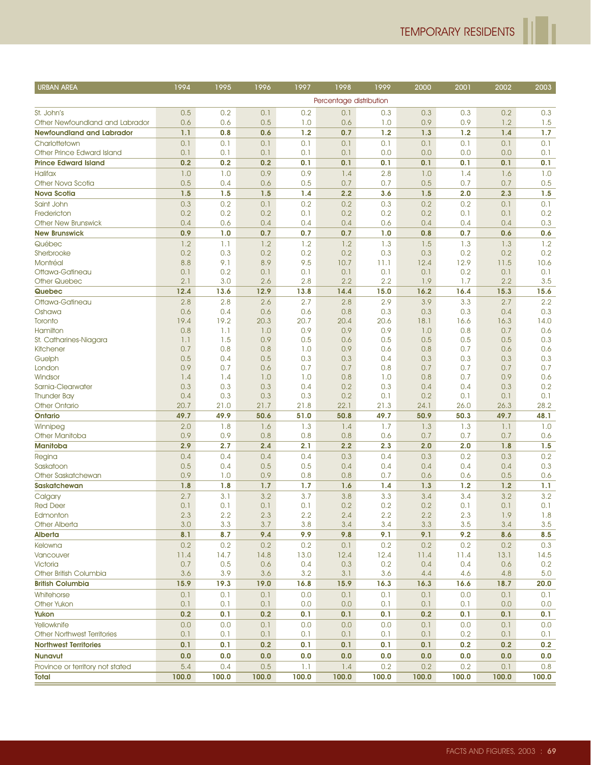ľ

| <b>URBAN AREA</b>                  | 1994       | 1995       | 1996       | 1997       | 1998                    | 1999       | 2000       | 2001       | 2002       | 2003       |
|------------------------------------|------------|------------|------------|------------|-------------------------|------------|------------|------------|------------|------------|
|                                    |            |            |            |            | Percentage distribution |            |            |            |            |            |
| St. John's                         | 0.5        | 0.2        | 0.1        | 0.2        | 0.1                     | 0.3        | 0.3        | 0.3        | 0.2        | 0.3        |
| Other Newfoundland and Labrador    | 0.6        | 0.6        | 0.5        | 1.0        | 0.6                     | 1.0        | 0.9        | 0.9        | 1.2        | 1.5        |
| <b>Newfoundland and Labrador</b>   | 1.1        | 0.8        | 0.6        | 1.2        | 0.7                     | 1.2        | 1.3        | 1.2        | 1.4        | 1.7        |
| Charlottetown                      | 0.1        | 0.1        | 0.1        | 0.1        | 0.1                     | 0.1        | 0.1        | 0.1        | 0.1        | 0.1        |
| Other Prince Edward Island         | 0.1        | 0.1        | 0.1        | 0.1        | 0.1                     | 0.0        | 0.0        | 0.0        | 0.0        | 0.1        |
| <b>Prince Edward Island</b>        | 0.2        | 0.2        | 0.2        | 0.1        | 0.1                     | 0.1        | 0.1        | 0.1        | 0.1        | 0.1        |
| <b>Halifax</b>                     | 1.0        | 1.0        | 0.9        | 0.9        | 1.4                     | 2.8        | 1.0        | 1.4        | 1.6        | 1.0        |
| <b>Other Nova Scotia</b>           | 0.5        | 0.4        | 0.6        | 0.5        | 0.7                     | 0.7        | 0.5        | 0.7        | 0.7        | 0.5        |
| <b>Nova Scotia</b>                 | 1.5        | 1.5        | 1.5        | 1.4        | 2.2                     | 3.6        | 1.5        | 2.0        | 2.3        | 1.5        |
| Saint John                         | 0.3        | 0.2        | 0.1        | 0.2        | 0.2                     | 0.3        | 0.2        | 0.2        | 0.1        | 0.1        |
| Fredericton                        | 0.2        | 0.2        | 0.2        | 0.1        | 0.2                     | 0.2        | 0.2        | 0.1        | 0.1        | 0.2        |
| <b>Other New Brunswick</b>         | 0.4<br>0.9 | 0.6        | 0.4        | 0.4<br>0.7 | 0.4<br>0.7              | 0.6        | 0.4        | 0.4        | 0.4        | 0.3        |
| <b>New Brunswick</b>               |            | 1.0        | 0.7        |            |                         | 1.0        | 0.8        | 0.7        | 0.6        | 0.6        |
| Québec<br>Sherbrooke               | 1.2<br>0.2 | 1.1<br>0.3 | 1.2<br>0.2 | 1.2<br>0.2 | 1.2<br>0.2              | 1.3<br>0.3 | 1.5<br>0.3 | 1.3<br>0.2 | 1.3<br>0.2 | 1.2<br>0.2 |
| Montréal                           | 8.8        | 9.1        | 8.9        | 9.5        | 10.7                    | 11.1       | 12.4       | 12.9       | 11.5       | 10.6       |
| Ottawa-Gatineau                    | 0.1        | 0.2        | 0.1        | 0.1        | 0.1                     | 0.1        | 0.1        | 0.2        | 0.1        | 0.1        |
| Other Quebec                       | 2.1        | 3.0        | 2.6        | 2.8        | 2.2                     | 2.2        | 1.9        | 1.7        | 2.2        | 3.5        |
| Quebec                             | 12.4       | 13.6       | 12.9       | 13.8       | 14.4                    | 15.0       | 16.2       | 16.4       | 15.3       | 15.6       |
| Ottawa-Gatineau                    | 2.8        | 2.8        | 2.6        | 2.7        | 2.8                     | 2.9        | 3.9        | 3.3        | 2.7        | 2.2        |
| Oshawa                             | 0.6        | 0.4        | 0.6        | 0.6        | 0.8                     | 0.3        | 0.3        | 0.3        | 0.4        | 0.3        |
| Toronto                            | 19.4       | 19.2       | 20.3       | 20.7       | 20.4                    | 20.6       | 18.1       | 16.6       | 16.3       | 14.0       |
| Hamilton                           | 0.8        | 1.1        | 1.0        | 0.9        | 0.9                     | 0.9        | 1.0        | 0.8        | 0.7        | 0.6        |
| St. Catharines-Niagara             | 1.1        | 1.5        | 0.9        | 0.5        | 0.6                     | 0.5        | 0.5        | 0.5        | 0.5        | 0.3        |
| Kitchener                          | 0.7        | 0.8        | 0.8        | 1.0        | 0.9                     | 0.6        | 0.8        | 0.7        | 0.6        | 0.6        |
| Guelph                             | 0.5<br>0.9 | 0.4<br>0.7 | 0.5        | 0.3<br>0.7 | 0.3                     | 0.4<br>0.8 | 0.3        | 0.3<br>0.7 | 0.3        | 0.3<br>0.7 |
| London<br>Windsor                  | 1.4        | 1.4        | 0.6<br>1.0 | 1.0        | 0.7<br>0.8              | 1.0        | 0.7<br>0.8 | 0.7        | 0.7<br>0.9 | 0.6        |
| Sarnia-Clearwater                  | 0.3        | 0.3        | 0.3        | 0.4        | 0.2                     | 0.3        | 0.4        | 0.4        | 0.3        | 0.2        |
| <b>Thunder Bay</b>                 | 0.4        | 0.3        | 0.3        | 0.3        | 0.2                     | 0.1        | 0.2        | 0.1        | 0.1        | 0.1        |
| <b>Other Ontario</b>               | 20.7       | 21.0       | 21.7       | 21.8       | 22.1                    | 21.3       | 24.1       | 26.0       | 26.3       | 28.2       |
| Ontario                            | 49.7       | 49.9       | 50.6       | 51.0       | 50.8                    | 49.7       | 50.9       | 50.3       | 49.7       | 48.1       |
| Winnipeg                           | 2.0        | 1.8        | 1.6        | 1.3        | 1.4                     | 1.7        | 1.3        | 1.3        | 1.1        | 1.0        |
| Other Manitoba                     | 0.9        | 0.9        | 0.8        | 0.8        | 0.8                     | 0.6        | 0.7        | 0.7        | 0.7        | 0.6        |
| <b>Manitoba</b>                    | 2.9        | 2.7        | 2.4        | 2.1        | 2.2                     | 2.3        | 2.0        | 2.0        | 1.8        | 1.5        |
| Regina                             | 0.4        | 0.4        | 0.4        | 0.4        | 0.3                     | 0.4        | 0.3        | 0.2        | 0.3        | 0.2        |
| Saskatoon                          | 0.5        | 0.4        | 0.5        | 0.5        | 0.4                     | 0.4        | 0.4        | 0.4        | 0.4        | 0.3        |
| Other Saskatchewan                 | 0.9        | 1.0        | 0.9        | 0.8        | 0.8                     | 0.7        | 0.6        | 0.6        | 0.5        | 0.6        |
| <b>Saskatchewan</b>                | 1.8        | 1.8        | 1.7        | 1.7        | 1.6                     | 1.4        | 1.3        | 1.2        | 1.2        | 1.1        |
| Calgary                            | 2.7        | 3.1        | 3.2        | 3.7        | 3.8                     | 3.3        | 3.4        | 3.4        | 3.2        | 3.2        |
| <b>Red Deer</b><br>Edmonton        | 0.1<br>2.3 | 0.1<br>2.2 | 0.1<br>2.3 | 0.1<br>2.2 | 0.2<br>2.4              | 0.2<br>2.2 | 0.2<br>2.2 | 0.1<br>2.3 | 0.1<br>1.9 | 0.1<br>1.8 |
| <b>Other Alberta</b>               | 3.0        | 3.3        | 3.7        | 3.8        | 3.4                     | 3.4        | 3.3        | 3.5        | 3.4        | 3.5        |
| Alberta                            | 8.1        | 8.7        | 9.4        | 9.9        | 9.8                     | 9.1        | 9.1        | 9.2        | 8.6        | 8.5        |
| Kelowna                            | 0.2        | 0.2        | 0.2        | 0.2        | 0.1                     | 0.2        | 0.2        | 0.2        | 0.2        | 0.3        |
| Vancouver                          | 11.4       | 14.7       | 14.8       | 13.0       | 12.4                    | 12.4       | 11.4       | 11.4       | 13.1       | 14.5       |
| Victoria                           | 0.7        | 0.5        | 0.6        | 0.4        | 0.3                     | 0.2        | 0.4        | 0.4        | 0.6        | 0.2        |
| Other British Columbia             | 3.6        | 3.9        | 3.6        | 3.2        | 3.1                     | 3.6        | 4.4        | 4.6        | 4.8        | 5.0        |
| <b>British Columbia</b>            | 15.9       | 19.3       | 19.0       | 16.8       | 15.9                    | 16.3       | 16.3       | 16.6       | 18.7       | 20.0       |
| Whitehorse                         | 0.1        | 0.1        | 0.1        | 0.0        | 0.1                     | 0.1        | 0.1        | 0.0        | 0.1        | 0.1        |
| <b>Other Yukon</b>                 | 0.1        | 0.1        | 0.1        | 0.0        | 0.0                     | 0.1        | 0.1        | 0.1        | 0.0        | 0.0        |
| Yukon                              | 0.2        | 0.1        | 0.2        | 0.1        | 0.1                     | 0.1        | 0.2        | 0.1        | 0.1        | 0.1        |
| Yellowknife                        | 0.0        | 0.0        | 0.1        | 0.0        | 0.0                     | 0.0        | 0.1        | 0.0        | 0.1        | 0.0        |
| <b>Other Northwest Territories</b> | 0.1        | 0.1        | 0.1        | 0.1        | 0.1                     | 0.1        | 0.1        | 0.2        | 0.1        | 0.1        |
| <b>Northwest Territories</b>       | 0.1        | 0.1        | 0.2        | 0.1        | 0.1                     | 0.1        | 0.1        | 0.2        | 0.2        | 0.2        |
| <b>Nunavut</b>                     | 0.0        | 0.0        | 0.0        | 0.0        | 0.0                     | 0.0        | 0.0        | 0.0        | 0.0        | 0.0        |
| Province or territory not stated   | 5.4        | 0.4        | 0.5        | 1.1        | 1.4                     | 0.2        | 0.2        | 0.2        | 0.1        | 0.8        |
| Total                              | 100.0      | 100.0      | 100.0      | 100.0      | 100.0                   | 100.0      | 100.0      | 100.0      | 100.0      | 100.0      |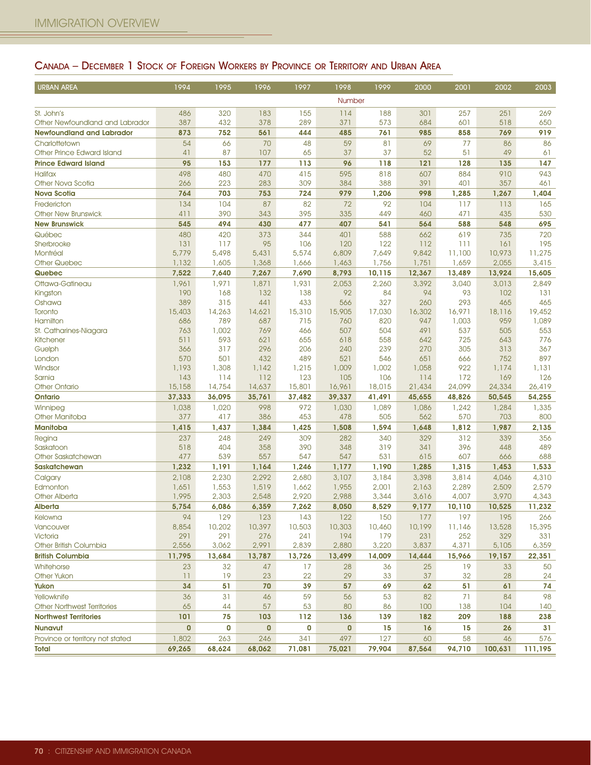# CANADA – DECEMBER 1 STOCK OF FOREIGN WORKERS BY PROVINCE OR TERRITORY AND URBAN AREA

| <b>URBAN AREA</b>                  | 1994         | 1995         | 1996         | 1997         | 1998         | 1999         | 2000         | 2001         | 2002         | 2003         |
|------------------------------------|--------------|--------------|--------------|--------------|--------------|--------------|--------------|--------------|--------------|--------------|
|                                    |              |              |              |              | Number       |              |              |              |              |              |
| St. John's                         | 486          | 320          | 183          | 155          | 114          | 188          | 301          | 257          | 251          | 269          |
| Other Newfoundland and Labrador    | 387          | 432          | 378          | 289          | 371          | 573          | 684          | 601          | 518          | 650          |
| <b>Newfoundland and Labrador</b>   | 873          | 752          | 561          | 444          | 485          | 761          | 985          | 858          | 769          | 919          |
| Charlottetown                      | 54           | 66           | 70           | 48           | 59           | 81           | 69           | 77           | 86           | 86           |
| Other Prince Edward Island         | 41           | 87           | 107          | 65           | 37           | 37           | 52           | 51           | 49           | 61           |
| <b>Prince Edward Island</b>        | 95           | 153          | 177          | 113          | 96           | 118          | 121          | 128          | 135          | 147          |
| <b>Halifax</b>                     | 498          | 480          | 470          | 415          | 595          | 818          | 607          | 884          | 910          | 943          |
| Other Nova Scotia                  | 266          | 223          | 283          | 309          | 384          | 388          | 391          | 401          | 357          | 461          |
| <b>Nova Scotia</b>                 | 764          | 703          | 753          | 724          | 979          | 1,206        | 998          | 1,285        | 1,267        | 1,404        |
| Fredericton                        | 134          | 104          | 87           | 82           | 72           | 92           | 104          | 117          | 113          | 165          |
| <b>Other New Brunswick</b>         | 411          | 390          | 343          | 395          | 335          | 449          | 460          | 471          | 435          | 530          |
| <b>New Brunswick</b>               | 545          | 494          | 430          | 477          | 407          | 541          | 564          | 588          | 548          | 695          |
| Québec                             | 480          | 420          | 373          | 344          | 401          | 588          | 662          | 619          | 735          | 720          |
| Sherbrooke                         | 131          | 117          | 95           | 106          | 120          | 122          | 112          | 111          | 161          | 195          |
| Montréal                           | 5,779        | 5,498        | 5,431        | 5,574        | 6,809        | 7,649        | 9,842        | 11,100       | 10,973       | 11,275       |
| <b>Other Quebec</b>                | 1,132        | 1,605        | 1,368        | 1,666        | 1,463        | 1,756        | 1,751        | 1,659        | 2,055        | 3,415        |
| Quebec                             | 7,522        | 7,640        | 7,267        | 7,690        | 8,793        | 10,115       | 12,367       | 13,489       | 13,924       | 15,605       |
| Ottawa-Gatineau                    | 1,961        | 1,971        | 1,871        | 1,931        | 2,053        | 2,260        | 3,392        | 3,040        | 3,013        | 2,849        |
| Kingston                           | 190          | 168          | 132          | 138          | 92           | 84           | 94           | 93           | 102          | 131          |
| Oshawa                             | 389          | 315          | 441          | 433          | 566          | 327          | 260          | 293          | 465          | 465          |
| Toronto                            | 15,403       | 14,263       | 14,621       | 15,310       | 15,905       | 17,030       | 16,302       | 16,971       | 18,116       | 19,452       |
| Hamilton                           | 686          | 789          | 687          | 715          | 760          | 820          | 947          | 1,003        | 959          | 1,089        |
| St. Catharines-Niagara             | 763          | 1,002        | 769          | 466          | 507          | 504          | 491          | 537          | 505          | 553          |
| Kitchener                          | 511          | 593          | 621          | 655          | 618          | 558          | 642          | 725          | 643          | 776          |
| Guelph                             | 366          | 317          | 296          | 206          | 240          | 239          | 270          | 305          | 313          | 367          |
| London                             | 570          | 501          | 432          | 489          | 521          | 546          | 651          | 666          | 752          | 897          |
| Windsor                            | 1,193        | 1,308        | 1,142        | 1,215        | 1,009        | 1,002        | 1,058        | 922          | 1,174        | 1,131        |
| Sarnia                             | 143          | 114          | 112          | 123          | 105          | 106          | 114          | 172          | 169          | 126          |
| <b>Other Ontario</b>               | 15,158       | 14,754       | 14,637       | 15,801       | 16,961       | 18,015       | 21,434       | 24,099       | 24,334       | 26,419       |
| Ontario                            | 37,333       | 36,095       | 35,761       | 37,482       | 39,337       | 41,491       | 45,655       | 48,826       | 50,545       | 54,255       |
| Winnipeg                           | 1,038        | 1,020        | 998          | 972          | 1,030        | 1,089        | 1,086        | 1,242        | 1,284        | 1,335        |
| <b>Other Manitoba</b>              | 377          | 417          | 386          | 453          | 478          | 505          | 562          | 570          | 703          | 800          |
| <b>Manitoba</b>                    | 1,415        | 1,437        | 1,384        | 1,425        | 1,508        | 1,594        | 1,648        | 1,812        | 1,987        | 2,135        |
| Regina                             | 237          | 248          | 249          | 309          | 282          | 340          | 329          | 312          | 339          | 356          |
| Saskatoon                          | 518          | 404          | 358          | 390          | 348          | 319          | 341          | 396          | 448          | 489          |
| Other Saskatchewan                 | 477          | 539          | 557          | 547          | 547          | 531          | 615          | 607          | 666          | 688          |
| Saskatchewan                       | 1,232        | 1,191        | 1,164        | 1,246        | 1,177        | 1,190        | 1,285        | 1,315        | 1,453        | 1,533        |
| Calgary                            | 2,108        | 2,230        | 2,292        | 2,680        | 3,107        | 3,184        | 3,398        | 3,814        | 4,046        | 4,310        |
| Edmonton                           | 1,651        | 1,553        | 1,519        | 1,662        | 1,955        | 2,001        | 2,163        | 2,289        | 2,509        | 2,579        |
| <b>Other Alberta</b>               | 1,995        | 2,303        | 2,548        | 2,920        | 2,988        | 3,344        | 3,616        | 4,007        | 3,970        | 4,343        |
| <b>Alberta</b>                     | 5,754        | 6,086        | 6,359        | 7,262        | 8,050        | 8,529        | 9,177        | 10,110       | 10,525       | 11,232       |
| Kelowna                            | 94           | 129          | 123          | 143          | 122          | 150          | 177          | 197          | 195          | 266          |
| Vancouver                          | 8,854        | 10,202       | 10,397       | 10,503       | 10,303       | 10,460       | 10,199       | 11,146       | 13,528       | 15,395       |
| Victoria<br>Other British Columbia | 291<br>2,556 | 291<br>3,062 | 276<br>2,991 | 241<br>2,839 | 194<br>2,880 | 179<br>3,220 | 231<br>3,837 | 252<br>4,371 | 329<br>5,105 | 331<br>6,359 |
|                                    | 11,795       |              |              |              |              |              |              |              |              |              |
| <b>British Columbia</b>            |              | 13,684       | 13,787       | 13,726       | 13,499       | 14,009       | 14,444       | 15,966       | 19,157       | 22,351       |
| Whitehorse<br>Other Yukon          | 23<br>11     | 32<br>19     | 47<br>23     | 17<br>22     | 28<br>29     | 36<br>33     | 25<br>37     | 19<br>32     | 33<br>28     | 50<br>24     |
|                                    |              |              |              |              |              |              |              |              |              |              |
| Yukon                              | 34           | 51           | 70           | 39           | 57           | 69           | 62           | 51           | 61           | 74           |
| Yellowknife                        | 36           | 31           | 46           | 59           | 56           | 53           | 82           | 71           | 84           | 98           |
| <b>Other Northwest Territories</b> | 65           | 44           | 57           | 53           | 80           | 86           | 100          | 138          | 104          | 140          |
| <b>Northwest Territories</b>       | 101          | 75           | 103          | 112          | 136          | 139          | 182          | 209          | 188          | 238          |
| <b>Nunavut</b>                     | $\bf{0}$     | 0            | $\mathbf 0$  | 0            | $\mathbf 0$  | 15           | 16           | 15           | 26           | 31           |
| Province or territory not stated   | 1,802        | 263          | 246          | 341          | 497          | 127          | 60           | 58           | 46           | 576          |
| <b>Total</b>                       | 69,265       | 68,624       | 68,062       | 71,081       | 75,021       | 79,904       | 87,564       | 94,710       | 100,631      | 111,195      |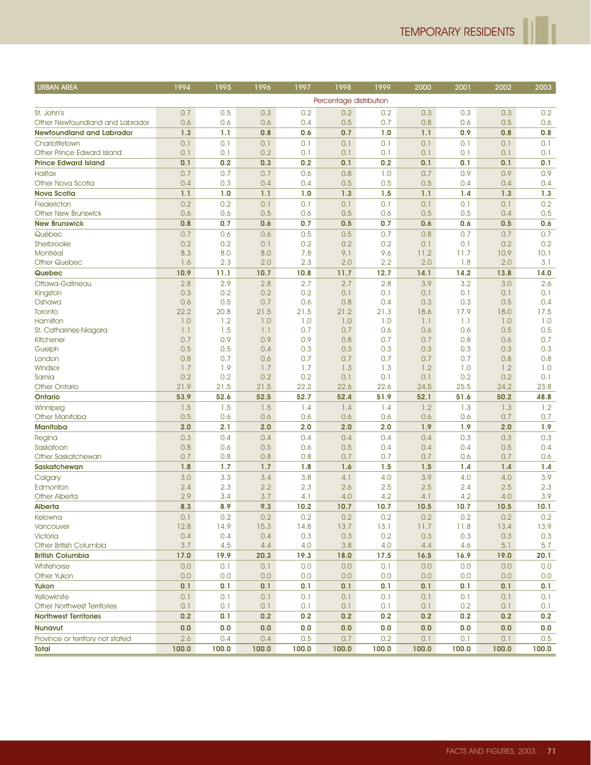ľ

| <b>URBAN AREA</b>                                 | 1994        | 1995        | 1996        | 1997       | 1998                    | 1999        | 2000        | 2001        | 2002        | 2003        |
|---------------------------------------------------|-------------|-------------|-------------|------------|-------------------------|-------------|-------------|-------------|-------------|-------------|
|                                                   |             |             |             |            | Percentage distribution |             |             |             |             |             |
| St. John's                                        | 0.7         | 0.5         | 0.3         | 0.2        | 0.2                     | 0.2         | 0.3         | 0.3         | 0.3         | 0.2         |
| Other Newfoundland and Labrador                   | 0.6         | 0.6         | 0.6         | 0.4        | 0.5                     | 0.7         | 0.8         | 0.6         | 0.5         | 0.6         |
| <b>Newfoundland and Labrador</b>                  | 1.3         | 1.1         | 0.8         | 0.6        | 0.7                     | 1.0         | 1.1         | 0.9         | 0.8         | 0.8         |
| Charlottetown                                     | 0.1         | 0.1         | 0.1         | 0.1        | 0.1                     | 0.1         | 0.1         | 0.1         | 0.1         | 0.1         |
| Other Prince Edward Island                        | 0.1         | 0.1         | 0.2         | 0.1        | 0.1                     | 0.1         | 0.1         | 0.1         | 0.1         | 0.1         |
| <b>Prince Edward Island</b>                       | 0.1         | 0.2         | 0.3         | 0.2        | 0.1                     | 0.2         | 0.1         | 0.1         | 0.1         | 0.1         |
| <b>Halifax</b>                                    | 0.7         | 0.7         | 0.7         | 0.6        | 0.8                     | 1.0         | 0.7         | 0.9         | 0.9         | 0.9         |
| Other Nova Scotia                                 | 0.4         | 0.3         | 0.4         | 0.4        | 0.5                     | 0.5         | 0.5         | 0.4         | 0.4         | 0.4         |
| <b>Nova Scotia</b>                                | 1.1         | 1.0         | 1.1         | 1.0        | 1.3                     | 1.5         | 1.1         | 1.4         | 1.3         | 1.3         |
| Fredericton                                       | 0.2         | 0.2         | 0.1         | 0.1        | 0.1                     | 0.1         | 0.1         | 0.1         | 0.1         | 0.2         |
| <b>Other New Brunswick</b>                        | 0.6         | 0.6         | 0.5         | 0.6        | 0.5                     | 0.6         | 0.5         | 0.5         | 0.4         | 0.5         |
| <b>New Brunswick</b>                              | 0.8         | 0.7         | 0.6         | 0.7        | 0.5                     | 0.7         | 0.6         | 0.6         | 0.5         | 0.6         |
| Québec                                            | 0.7         | 0.6         | 0.6         | 0.5        | 0.5                     | 0.7         | 0.8         | 0.7         | 0.7         | 0.7         |
| Sherbrooke                                        | 0.2         | 0.2         | 0.1         | 0.2        | 0.2                     | 0.2         | 0.1         | 0.1         | 0.2         | 0.2         |
| Montréal                                          | 8.3         | 8.0         | 8.0         | 7.8<br>2.3 | 9.1                     | 9.6         | 11.2<br>2.0 | 11.7        | 10.9<br>2.0 | 10.1        |
| <b>Other Quebec</b><br>Quebec                     | 1.6<br>10.9 | 2.3<br>11.1 | 2.0<br>10.7 | 10.8       | 2.0<br>11.7             | 2.2<br>12.7 | 14.1        | 1.8<br>14.2 | 13.8        | 3.1<br>14.0 |
|                                                   |             |             |             |            |                         |             |             |             |             |             |
| Ottawa-Gatineau                                   | 2.8<br>0.3  | 2.9<br>0.2  | 2.8<br>0.2  | 2.7<br>0.2 | 2.7<br>0.1              | 2.8<br>0.1  | 3.9<br>0.1  | 3.2<br>0.1  | 3.0<br>0.1  | 2.6<br>0.1  |
| Kingston<br>Oshawa                                | 0.6         | 0.5         | 0.7         | 0.6        | 0.8                     | 0.4         | 0.3         | 0.3         | 0.5         | 0.4         |
| Toronto                                           | 22.2        | 20.8        | 21.5        | 21.5       | 21.2                    | 21.3        | 18.6        | 17.9        | 18.0        | 17.5        |
| Hamilton                                          | 1.0         | 1.2         | 1.0         | 1.0        | 1.0                     | 1.0         | 1.1         | 1.1         | 1.0         | 1.0         |
| St. Catharines-Niagara                            | 1.1         | 1.5         | 1.1         | 0.7        | 0.7                     | 0.6         | 0.6         | 0.6         | 0.5         | 0.5         |
| Kitchener                                         | 0.7         | 0.9         | 0.9         | 0.9        | 0.8                     | 0.7         | 0.7         | 0.8         | 0.6         | 0.7         |
| Guelph                                            | 0.5         | 0.5         | 0.4         | 0.3        | 0.3                     | 0.3         | 0.3         | 0.3         | 0.3         | 0.3         |
| London                                            | 0.8         | 0.7         | 0.6         | 0.7        | 0.7                     | 0.7         | 0.7         | 0.7         | 0.8         | 0.8         |
| Windsor                                           | 1.7         | 1.9         | 1.7         | 1.7        | 1.3                     | 1.3         | 1.2         | 1.0         | 1.2         | 1.0         |
| Sarnia                                            | 0.2         | 0.2         | 0.2         | 0.2        | 0.1                     | 0.1         | 0.1         | 0.2         | 0.2         | 0.1         |
| <b>Other Ontario</b>                              | 21.9        | 21.5        | 21.5        | 22.2       | 22.6                    | 22.6        | 24.5        | 25.5        | 24.2        | 23.8        |
| <b>Ontario</b>                                    | 53.9        | 52.6        | 52.5        | 52.7       | 52.4                    | 51.9        | 52.1        | 51.6        | 50.2        | 48.8        |
| Winnipeg<br><b>Other Manitoba</b>                 | 1.5<br>0.5  | 1.5<br>0.6  | 1.5<br>0.6  | 1.4<br>0.6 | 1.4<br>0.6              | 1.4<br>0.6  | 1.2<br>0.6  | 1.3<br>0.6  | 1.3<br>0.7  | 1.2<br>0.7  |
| <b>Manitoba</b>                                   | 2.0         | 2.1         | 2.0         | 2.0        | 2.0                     | 2.0         | 1.9         | 1.9         | 2.0         | 1.9         |
| Regina                                            | 0.3         | 0.4         | 0.4         | 0.4        | 0.4                     | 0.4         | 0.4         | 0.3         | 0.3         | 0.3         |
| Saskatoon                                         | 0.8         | 0.6         | 0.5         | 0.6        | 0.5                     | 0.4         | 0.4         | 0.4         | 0.5         | 0.4         |
| Other Saskatchewan                                | 0.7         | 0.8         | 0.8         | 0.8        | 0.7                     | 0.7         | 0.7         | 0.6         | 0.7         | 0.6         |
| <b>Saskatchewan</b>                               | 1.8         | 1.7         | 1.7         | 1.8        | 1.6                     | 1.5         | 1.5         | 1.4         | 1.4         | 1.4         |
| Calgary                                           | 3.0         | 3.3         | 3.4         | 3.8        | 4.1                     | 4.0         | 3.9         | 4.0         | 4.0         | 3.9         |
| Edmonton                                          | 2.4         | 2.3         | 2.2         | 2.3        | 2.6                     | 2.5         | 2.5         | 2.4         | 2.5         | 2.3         |
| <b>Other Alberta</b>                              | 2.9         | 3.4         | 3.7         | 4.1        | 4.0                     | 4.2         | 4.1         | 4.2         | 4.0         | 3.9         |
| Alberta                                           | 8.3         | 8.9         | 9.3         | 10.2       | 10.7                    | 10.7        | 10.5        | 10.7        | 10.5        | 10.1        |
| Kelowna                                           | 0.1         | 0.2         | 0.2         | 0.2        | 0.2                     | 0.2         | 0.2         | 0.2         | 0.2         | 0.2         |
| Vancouver                                         | 12.8        | 14.9        | 15.3        | 14.8       | 13.7                    | 13.1        | 11.7        | 11.8        | 13.4        | 13.9        |
| Victoria                                          | 0.4         | 0.4         | 0.4         | 0.3        | 0.3                     | 0.2         | 0.3         | 0.3         | 0.3         | 0.3         |
| Other British Columbia                            | 3.7         | 4.5         | 4.4         | 4.0        | 3.8                     | 4.0         | 4.4         | 4.6         | 5.1         | 5.7         |
| <b>British Columbia</b>                           | 17.0        | 19.9        | 20.3        | 19.3       | 18.0                    | 17.5        | 16.5        | 16.9        | 19.0        | 20.1        |
| Whitehorse                                        | 0.0         | 0.1         | 0.1         | 0.0        | 0.0                     | 0.1         | 0.0         | 0.0         | 0.0         | 0.0         |
| <b>Other Yukon</b><br>Yukon                       | 0.0<br>0.1  | 0.0<br>0.1  | 0.0<br>0.1  | 0.0<br>0.1 | 0.0<br>0.1              | 0.0<br>0.1  | 0.0<br>0.1  | 0.0<br>0.1  | 0.0<br>0.1  | 0.0<br>0.1  |
|                                                   |             |             |             |            |                         |             |             |             |             |             |
| Yellowknife<br><b>Other Northwest Territories</b> | 0.1<br>0.1  | 0.1<br>0.1  | 0.1<br>0.1  | 0.1<br>0.1 | 0.1<br>0.1              | 0.1<br>0.1  | 0.1<br>0.1  | 0.1<br>0.2  | 0.1<br>0.1  | 0.1<br>0.1  |
| <b>Northwest Territories</b>                      | 0.2         | 0.1         | 0.2         | 0.2        | 0.2                     | 0.2         | 0.2         | 0.2         | 0.2         | 0.2         |
| <b>Nunavut</b>                                    | 0.0         | 0.0         | 0.0         | 0.0        | 0.0                     | 0.0         | 0.0         | 0.0         | 0.0         | 0.0         |
| Province or territory not stated                  | 2.6         | 0.4         | 0.4         | 0.5        | 0.7                     | 0.2         | 0.1         | 0.1         | 0.1         | 0.5         |
| Total                                             | 100.0       | 100.0       | 100.0       | 100.0      | 100.0                   | 100.0       | 100.0       | 100.0       | 100.0       | 100.0       |
|                                                   |             |             |             |            |                         |             |             |             |             |             |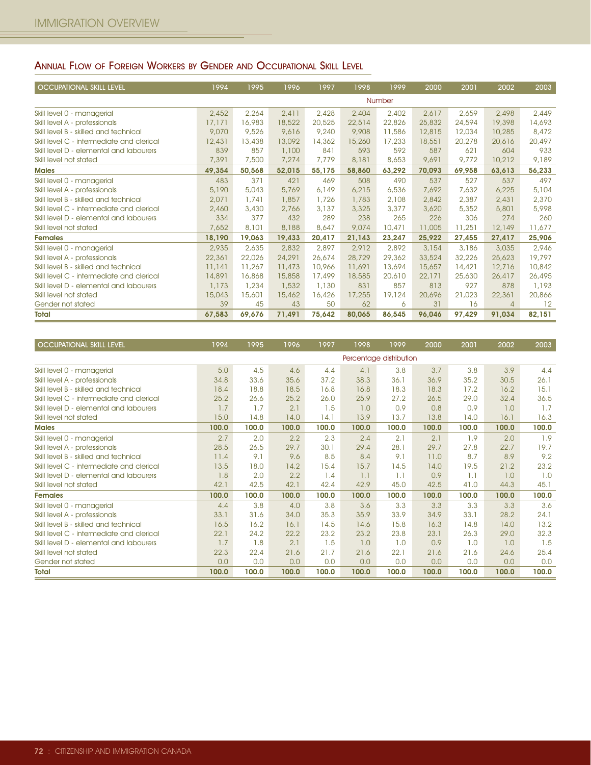## ANNUAL FLOW OF FOREIGN WORKERS BY GENDER AND OCCUPATIONAL SKILL LEVEL

| <b>OCCUPATIONAL SKILL LEVEL</b>           | 1994   | 1995   | 1996   | 1997   | 1998   | 1999   | 2000   | 2001   | 2002   | 2003   |
|-------------------------------------------|--------|--------|--------|--------|--------|--------|--------|--------|--------|--------|
|                                           |        |        |        |        |        | Number |        |        |        |        |
| Skill level 0 - managerial                | 2,452  | 2,264  | 2,411  | 2,428  | 2,404  | 2,402  | 2,617  | 2,659  | 2,498  | 2,449  |
| Skill level A - professionals             | 17,171 | 16,983 | 18,522 | 20,525 | 22,514 | 22,826 | 25,832 | 24,594 | 19,398 | 14,693 |
| Skill level B - skilled and technical     | 9,070  | 9,526  | 9,616  | 9,240  | 9,908  | 11,586 | 12,815 | 12,034 | 10,285 | 8,472  |
| Skill level C - intermediate and clerical | 12,431 | 13,438 | 13,092 | 14,362 | 15,260 | 17,233 | 18,551 | 20,278 | 20,616 | 20,497 |
| Skill level D - elemental and labourers   | 839    | 857    | 1,100  | 841    | 593    | 592    | 587    | 621    | 604    | 933    |
| Skill level not stated                    | 7,391  | 7,500  | 7,274  | 7.779  | 8,181  | 8,653  | 9,691  | 9,772  | 10,212 | 9,189  |
| <b>Males</b>                              | 49,354 | 50,568 | 52,015 | 55,175 | 58,860 | 63,292 | 70,093 | 69,958 | 63,613 | 56,233 |
| Skill level 0 - managerial                | 483    | 371    | 421    | 469    | 508    | 490    | 537    | 527    | 537    | 497    |
| Skill level A - professionals             | 5,190  | 5,043  | 5,769  | 6,149  | 6,215  | 6,536  | 7,692  | 7,632  | 6,225  | 5,104  |
| Skill level B - skilled and technical     | 2,071  | 1,741  | 1,857  | 1,726  | 1,783  | 2,108  | 2,842  | 2,387  | 2,431  | 2,370  |
| Skill level C - intermediate and clerical | 2,460  | 3,430  | 2,766  | 3,137  | 3,325  | 3,377  | 3,620  | 5,352  | 5,801  | 5,998  |
| Skill level D - elemental and labourers   | 334    | 377    | 432    | 289    | 238    | 265    | 226    | 306    | 274    | 260    |
| Skill level not stated                    | 7,652  | 8,101  | 8,188  | 8,647  | 9,074  | 10,471 | 11,005 | 11,251 | 12,149 | 11,677 |
| <b>Females</b>                            | 18,190 | 19,063 | 19,433 | 20,417 | 21,143 | 23,247 | 25,922 | 27,455 | 27,417 | 25,906 |
| Skill level 0 - managerial                | 2,935  | 2,635  | 2,832  | 2,897  | 2,912  | 2,892  | 3,154  | 3,186  | 3,035  | 2,946  |
| Skill level A - professionals             | 22,361 | 22,026 | 24,291 | 26,674 | 28,729 | 29,362 | 33,524 | 32,226 | 25,623 | 19,797 |
| Skill level B - skilled and technical     | 11,141 | 11,267 | 11,473 | 10,966 | 11,691 | 13,694 | 15,657 | 14,421 | 12,716 | 10,842 |
| Skill level C - intermediate and clerical | 14,891 | 16,868 | 15,858 | 17,499 | 18,585 | 20,610 | 22,171 | 25,630 | 26,417 | 26,495 |
| Skill level D - elemental and labourers   | 1,173  | 1,234  | 1,532  | 1,130  | 831    | 857    | 813    | 927    | 878    | 1,193  |
| Skill level not stated                    | 15,043 | 15,601 | 15,462 | 16,426 | 17,255 | 19,124 | 20,696 | 21,023 | 22,361 | 20,866 |
| Gender not stated                         | 39     | 45     | 43     | 50     | 62     | 6      | 31     | 16     | 4      | 12     |
| <b>Total</b>                              | 67,583 | 69,676 | 71,491 | 75,642 | 80,065 | 86,545 | 96,046 | 97,429 | 91,034 | 82,151 |

| <b>OCCUPATIONAL SKILL LEVEL</b>           | 1994  | 1995  | 1996  | 1997  | 1998  | 1999                    | 2000  | 2001  | 2002  | 2003  |
|-------------------------------------------|-------|-------|-------|-------|-------|-------------------------|-------|-------|-------|-------|
|                                           |       |       |       |       |       | Percentage distribution |       |       |       |       |
| Skill level 0 - managerial                | 5.0   | 4.5   | 4.6   | 4.4   | 4.1   | 3.8                     | 3.7   | 3.8   | 3.9   | 4.4   |
| Skill level A - professionals             | 34.8  | 33.6  | 35.6  | 37.2  | 38.3  | 36.1                    | 36.9  | 35.2  | 30.5  | 26.1  |
| Skill level B - skilled and technical     | 18.4  | 18.8  | 18.5  | 16.8  | 16.8  | 18.3                    | 18.3  | 17.2  | 16.2  | 15.1  |
| Skill level C - intermediate and clerical | 25.2  | 26.6  | 25.2  | 26.0  | 25.9  | 27.2                    | 26.5  | 29.0  | 32.4  | 36.5  |
| Skill level D - elemental and labourers   | 1.7   | 1.7   | 2.1   | 1.5   | 1.0   | 0.9                     | 0.8   | 0.9   | 1.0   | 1.7   |
| Skill level not stated                    | 15.0  | 14.8  | 14.0  | 14.1  | 13.9  | 13.7                    | 13.8  | 14.0  | 16.1  | 16.3  |
| <b>Males</b>                              | 100.0 | 100.0 | 100.0 | 100.0 | 100.0 | 100.0                   | 100.0 | 100.0 | 100.0 | 100.0 |
| Skill level 0 - managerial                | 2.7   | 2.0   | 2.2   | 2.3   | 2.4   | 2.1                     | 2.1   | 1.9   | 2.0   | 1.9   |
| Skill level A - professionals             | 28.5  | 26.5  | 29.7  | 30.1  | 29.4  | 28.1                    | 29.7  | 27.8  | 22.7  | 19.7  |
| Skill level B - skilled and technical     | 11.4  | 9.1   | 9.6   | 8.5   | 8.4   | 9.1                     | 11.0  | 8.7   | 8.9   | 9.2   |
| Skill level C - intermediate and clerical | 13.5  | 18.0  | 14.2  | 15.4  | 15.7  | 14.5                    | 14.0  | 19.5  | 21.2  | 23.2  |
| Skill level D - elemental and labourers   | 1.8   | 2.0   | 2.2   | 1.4   | 1.1   | 1.1                     | 0.9   | 1.1   | 1.0   | 1.0   |
| Skill level not stated                    | 42.1  | 42.5  | 42.1  | 42.4  | 42.9  | 45.0                    | 42.5  | 41.0  | 44.3  | 45.1  |
| <b>Females</b>                            | 100.0 | 100.0 | 100.0 | 100.0 | 100.0 | 100.0                   | 100.0 | 100.0 | 100.0 | 100.0 |
| Skill level 0 - managerial                | 4.4   | 3.8   | 4.0   | 3.8   | 3.6   | 3.3                     | 3.3   | 3.3   | 3.3   | 3.6   |
| Skill level A - professionals             | 33.1  | 31.6  | 34.0  | 35.3  | 35.9  | 33.9                    | 34.9  | 33.1  | 28.2  | 24.1  |
| Skill level B - skilled and technical     | 16.5  | 16.2  | 16.1  | 14.5  | 14.6  | 15.8                    | 16.3  | 14.8  | 14.0  | 13.2  |
| Skill level C - intermediate and clerical | 22.1  | 24.2  | 22.2  | 23.2  | 23.2  | 23.8                    | 23.1  | 26.3  | 29.0  | 32.3  |
| Skill level D - elemental and labourers   | 1.7   | 1.8   | 2.1   | 1.5   | 1.0   | 1.0                     | 0.9   | 1.0   | 1.0   | 1.5   |
| Skill level not stated                    | 22.3  | 22.4  | 21.6  | 21.7  | 21.6  | 22.1                    | 21.6  | 21.6  | 24.6  | 25.4  |
| Gender not stated                         | 0.0   | 0.0   | 0.0   | 0.0   | 0.0   | 0.0                     | 0.0   | 0.0   | 0.0   | 0.0   |
| <b>Total</b>                              | 100.0 | 100.0 | 100.0 | 100.0 | 100.0 | 100.0                   | 100.0 | 100.0 | 100.0 | 100.0 |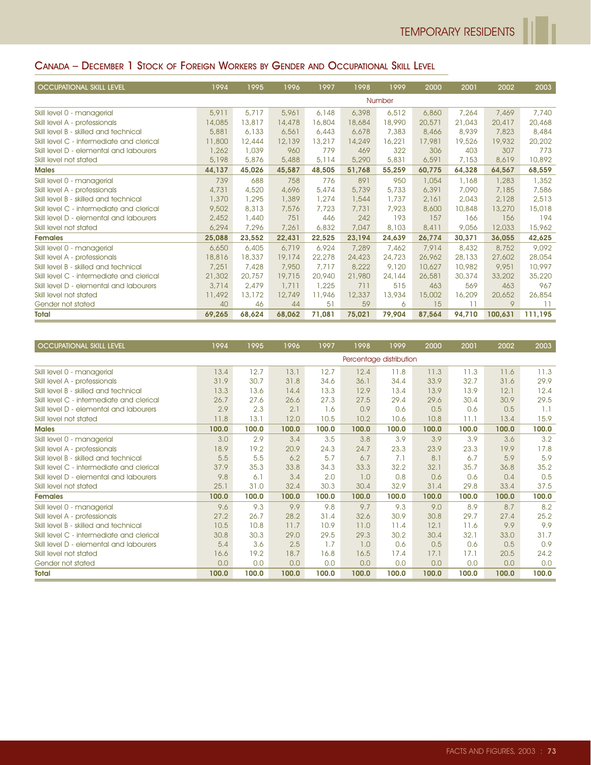# CANADA – DECEMBER 1 STOCK OF FOREIGN WORKERS BY GENDER AND OCCUPATIONAL SKILL LEVEL

| <b>OCCUPATIONAL SKILL LEVEL</b>           | 1994   | 1995   | 1996   | 1997   | 1998   | 1999   | 2000   | 2001   | 2002    | 2003    |
|-------------------------------------------|--------|--------|--------|--------|--------|--------|--------|--------|---------|---------|
|                                           |        |        |        |        |        | Number |        |        |         |         |
| Skill level 0 - managerial                | 5,911  | 5,717  | 5,961  | 6,148  | 6,398  | 6,512  | 6,860  | 7,264  | 7,469   | 7,740   |
| Skill level A - professionals             | 14,085 | 13,817 | 14,478 | 16,804 | 18,684 | 18,990 | 20,571 | 21,043 | 20,417  | 20,468  |
| Skill level B - skilled and technical     | 5,881  | 6,133  | 6,561  | 6,443  | 6,678  | 7,383  | 8,466  | 8,939  | 7,823   | 8,484   |
| Skill level C - intermediate and clerical | 11,800 | 12,444 | 12,139 | 13,217 | 14,249 | 16,221 | 17,981 | 19,526 | 19,932  | 20,202  |
| Skill level D - elemental and labourers   | 1,262  | 1,039  | 960    | 779    | 469    | 322    | 306    | 403    | 307     | 773     |
| Skill level not stated                    | 5,198  | 5,876  | 5,488  | 5,114  | 5,290  | 5,831  | 6,591  | 7.153  | 8,619   | 10,892  |
| <b>Males</b>                              | 44,137 | 45,026 | 45,587 | 48,505 | 51,768 | 55,259 | 60,775 | 64,328 | 64,567  | 68,559  |
| Skill level 0 - managerial                | 739    | 688    | 758    | 776    | 891    | 950    | 1,054  | 1,168  | 1,283   | 1,352   |
| Skill level A - professionals             | 4,731  | 4,520  | 4,696  | 5,474  | 5,739  | 5,733  | 6,391  | 7,090  | 7,185   | 7,586   |
| Skill level B - skilled and technical     | 1,370  | 1,295  | 1,389  | 1,274  | 1,544  | 1,737  | 2,161  | 2,043  | 2,128   | 2,513   |
| Skill level C - intermediate and clerical | 9,502  | 8,313  | 7,576  | 7,723  | 7,731  | 7,923  | 8,600  | 10,848 | 13,270  | 15,018  |
| Skill level D - elemental and labourers   | 2,452  | 1,440  | 751    | 446    | 242    | 193    | 157    | 166    | 156     | 194     |
| Skill level not stated                    | 6,294  | 7,296  | 7,261  | 6,832  | 7,047  | 8,103  | 8,411  | 9,056  | 12,033  | 15,962  |
| <b>Females</b>                            | 25,088 | 23,552 | 22,431 | 22,525 | 23,194 | 24,639 | 26,774 | 30,371 | 36,055  | 42,625  |
| Skill level 0 - managerial                | 6,650  | 6,405  | 6,719  | 6,924  | 7,289  | 7,462  | 7,914  | 8,432  | 8,752   | 9,092   |
| Skill level A - professionals             | 18,816 | 18,337 | 19,174 | 22,278 | 24,423 | 24,723 | 26,962 | 28,133 | 27,602  | 28,054  |
| Skill level B - skilled and technical     | 7,251  | 7,428  | 7,950  | 7.717  | 8,222  | 9,120  | 10,627 | 10,982 | 9,951   | 10,997  |
| Skill level C - intermediate and clerical | 21,302 | 20,757 | 19,715 | 20,940 | 21,980 | 24,144 | 26,581 | 30,374 | 33,202  | 35,220  |
| Skill level D - elemental and labourers   | 3,714  | 2,479  | 1,711  | 1,225  | 711    | 515    | 463    | 569    | 463     | 967     |
| Skill level not stated                    | 11,492 | 13,172 | 12,749 | 11,946 | 12,337 | 13,934 | 15,002 | 16,209 | 20,652  | 26,854  |
| Gender not stated                         | 40     | 46     | 44     | 51     | 59     | 6      | 15     | 11     | 9       | 11      |
| <b>Total</b>                              | 69,265 | 68,624 | 68,062 | 71,081 | 75,021 | 79,904 | 87,564 | 94,710 | 100,631 | 111,195 |

| <b>OCCUPATIONAL SKILL LEVEL</b>           | 1994  | 1995  | 1996  | 1997  | 1998                    | 1999  | 2000  | 2001  | 2002  | 2003  |
|-------------------------------------------|-------|-------|-------|-------|-------------------------|-------|-------|-------|-------|-------|
|                                           |       |       |       |       | Percentage distribution |       |       |       |       |       |
| Skill level 0 - managerial                | 13.4  | 12.7  | 13.1  | 12.7  | 12.4                    | 11.8  | 11.3  | 11.3  | 11.6  | 11.3  |
| Skill level A - professionals             | 31.9  | 30.7  | 31.8  | 34.6  | 36.1                    | 34.4  | 33.9  | 32.7  | 31.6  | 29.9  |
| Skill level B - skilled and technical     | 13.3  | 13.6  | 14.4  | 13.3  | 12.9                    | 13.4  | 13.9  | 13.9  | 12.1  | 12.4  |
| Skill level C - intermediate and clerical | 26.7  | 27.6  | 26.6  | 27.3  | 27.5                    | 29.4  | 29.6  | 30.4  | 30.9  | 29.5  |
| Skill level D - elemental and labourers   | 2.9   | 2.3   | 2.1   | 1.6   | 0.9                     | 0.6   | 0.5   | 0.6   | 0.5   | 1.1   |
| Skill level not stated                    | 11.8  | 13.1  | 12.0  | 10.5  | 10.2                    | 10.6  | 10.8  | 11.1  | 13.4  | 15.9  |
| <b>Males</b>                              | 100.0 | 100.0 | 100.0 | 100.0 | 100.0                   | 100.0 | 100.0 | 100.0 | 100.0 | 100.0 |
| Skill level 0 - managerial                | 3.0   | 2.9   | 3.4   | 3.5   | 3.8                     | 3.9   | 3.9   | 3.9   | 3.6   | 3.2   |
| Skill level A - professionals             | 18.9  | 19.2  | 20.9  | 24.3  | 24.7                    | 23.3  | 23.9  | 23.3  | 19.9  | 17.8  |
| Skill level B - skilled and technical     | 5.5   | 5.5   | 6.2   | 5.7   | 6.7                     | 7.1   | 8.1   | 6.7   | 5.9   | 5.9   |
| Skill level C - intermediate and clerical | 37.9  | 35.3  | 33.8  | 34.3  | 33.3                    | 32.2  | 32.1  | 35.7  | 36.8  | 35.2  |
| Skill level D - elemental and labourers   | 9.8   | 6.1   | 3.4   | 2.0   | 1.0                     | 0.8   | 0.6   | 0.6   | 0.4   | 0.5   |
| Skill level not stated                    | 25.1  | 31.0  | 32.4  | 30.3  | 30.4                    | 32.9  | 31.4  | 29.8  | 33.4  | 37.5  |
| <b>Females</b>                            | 100.0 | 100.0 | 100.0 | 100.0 | 100.0                   | 100.0 | 100.0 | 100.0 | 100.0 | 100.0 |
| Skill level 0 - managerial                | 9.6   | 9.3   | 9.9   | 9.8   | 9.7                     | 9.3   | 9.0   | 8.9   | 8.7   | 8.2   |
| Skill level A - professionals             | 27.2  | 26.7  | 28.2  | 31.4  | 32.6                    | 30.9  | 30.8  | 29.7  | 27.4  | 25.2  |
| Skill level B - skilled and technical     | 10.5  | 10.8  | 11.7  | 10.9  | 11.0                    | 11.4  | 12.1  | 11.6  | 9.9   | 9.9   |
| Skill level C - intermediate and clerical | 30.8  | 30.3  | 29.0  | 29.5  | 29.3                    | 30.2  | 30.4  | 32.1  | 33.0  | 31.7  |
| Skill level D - elemental and labourers   | 5.4   | 3.6   | 2.5   | 1.7   | 1.0                     | 0.6   | 0.5   | 0.6   | 0.5   | 0.9   |
| Skill level not stated                    | 16.6  | 19.2  | 18.7  | 16.8  | 16.5                    | 17.4  | 17.1  | 17.1  | 20.5  | 24.2  |
| Gender not stated                         | 0.0   | 0.0   | 0.0   | 0.0   | 0.0                     | 0.0   | 0.0   | 0.0   | 0.0   | 0.0   |
| <b>Total</b>                              | 100.0 | 100.0 | 100.0 | 100.0 | 100.0                   | 100.0 | 100.0 | 100.0 | 100.0 | 100.0 |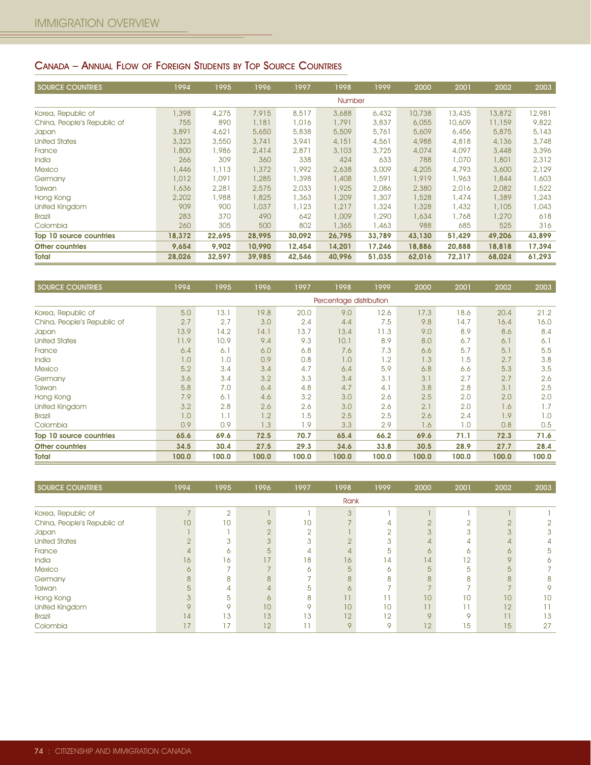# CANADA – ANNUAL FLOW OF FOREIGN STUDENTS BY TOP SOURCE COUNTRIES

| <b>SOURCE COUNTRIES</b>     | 1994   | 1995   | 1996   | 1997   | 1998   | 1999   | 2000   | 2001   | 2002   | 2003   |
|-----------------------------|--------|--------|--------|--------|--------|--------|--------|--------|--------|--------|
|                             |        |        |        |        | Number |        |        |        |        |        |
| Korea, Republic of          | 1,398  | 4,275  | 7.915  | 8,517  | 3,688  | 6,432  | 10,738 | 13,435 | 13,872 | 12,981 |
| China, People's Republic of | 755    | 890    | 1,181  | 1,016  | 1,791  | 3,837  | 6,055  | 10,609 | 11,159 | 9,822  |
| Japan                       | 3,891  | 4,621  | 5,650  | 5,838  | 5,509  | 5,761  | 5,609  | 6,456  | 5,875  | 5,143  |
| <b>United States</b>        | 3,323  | 3,550  | 3,741  | 3,941  | 4,151  | 4,561  | 4,988  | 4,818  | 4,136  | 3,748  |
| France                      | 1,800  | 1,986  | 2,414  | 2,871  | 3,103  | 3,725  | 4,074  | 4,097  | 3,448  | 3,396  |
| India                       | 266    | 309    | 360    | 338    | 424    | 633    | 788    | 1,070  | 1,801  | 2,312  |
| <b>Mexico</b>               | 1,446  | 1,113  | 1,372  | 1,992  | 2,638  | 3,009  | 4,205  | 4,793  | 3,600  | 2,129  |
| Germany                     | 1,012  | 1,091  | 1,285  | 1,398  | 1,408  | 1,591  | 1,919  | 1,963  | 1,844  | 1,603  |
| <b>Taiwan</b>               | 1,636  | 2,281  | 2,575  | 2,033  | 1,925  | 2,086  | 2,380  | 2,016  | 2,082  | 1,522  |
| Hong Kong                   | 2,202  | 1,988  | 1,825  | 1,363  | 1,209  | 1,307  | 1,528  | 1,474  | 1,389  | 1,243  |
| United Kingdom              | 909    | 900    | 1,037  | 1,123  | 1,217  | 1,324  | 1,328  | 1,432  | 1,105  | 1,043  |
| <b>Brazil</b>               | 283    | 370    | 490    | 642    | 1,009  | 1,290  | 1,634  | 1,768  | 1,270  | 618    |
| Colombia                    | 260    | 305    | 500    | 802    | 1,365  | 1,463  | 988    | 685    | 525    | 316    |
| Top 10 source countries     | 18,372 | 22,695 | 28,995 | 30,092 | 26,795 | 33,789 | 43,130 | 51,429 | 49,206 | 43,899 |
| <b>Other countries</b>      | 9,654  | 9.902  | 10,990 | 12,454 | 14,201 | 17.246 | 18,886 | 20,888 | 18,818 | 17,394 |
| <b>Total</b>                | 28,026 | 32,597 | 39,985 | 42,546 | 40,996 | 51,035 | 62,016 | 72,317 | 68,024 | 61,293 |

| <b>SOURCE COUNTRIES</b>     | 1994  | 1995  | 1996  | 1997  | 1998                    | 1999  | 2000  | 2001  | 2002  | 2003  |
|-----------------------------|-------|-------|-------|-------|-------------------------|-------|-------|-------|-------|-------|
|                             |       |       |       |       | Percentage distribution |       |       |       |       |       |
| Korea, Republic of          | 5.0   | 13.1  | 19.8  | 20.0  | 9.0                     | 12.6  | 17.3  | 18.6  | 20.4  | 21.2  |
| China, People's Republic of | 2.7   | 2.7   | 3.0   | 2.4   | 4.4                     | 7.5   | 9.8   | 14.7  | 16.4  | 16.0  |
| Japan                       | 13.9  | 14.2  | 14.1  | 13.7  | 13.4                    | 11.3  | 9.0   | 8.9   | 8.6   | 8.4   |
| <b>United States</b>        | 11.9  | 10.9  | 9.4   | 9.3   | 10.1                    | 8.9   | 8.0   | 6.7   | 6.1   | 6.1   |
| France                      | 6.4   | 6.1   | 6.0   | 6.8   | 7.6                     | 7.3   | 6.6   | 5.7   | 5.1   | 5.5   |
| India                       | 1.0   | 1.0   | 0.9   | 0.8   | 1.0                     | 1.2   | 1.3   | 1.5   | 2.7   | 3.8   |
| <b>Mexico</b>               | 5.2   | 3.4   | 3.4   | 4.7   | 6.4                     | 5.9   | 6.8   | 6.6   | 5.3   | 3.5   |
| Germany                     | 3.6   | 3.4   | 3.2   | 3.3   | 3.4                     | 3.1   | 3.1   | 2.7   | 2.7   | 2.6   |
| Taiwan                      | 5.8   | 7.0   | 6.4   | 4.8   | 4.7                     | 4.1   | 3.8   | 2.8   | 3.1   | 2.5   |
| Hong Kong                   | 7.9   | 6.1   | 4.6   | 3.2   | 3.0                     | 2.6   | 2.5   | 2.0   | 2.0   | 2.0   |
| <b>United Kingdom</b>       | 3.2   | 2.8   | 2.6   | 2.6   | 3.0                     | 2.6   | 2.1   | 2.0   | 1.6   | 1.7   |
| <b>Brazil</b>               | 1.0   | 1.1   | 1.2   | 1.5   | 2.5                     | 2.5   | 2.6   | 2.4   | 1.9   | 1.0   |
| Colombia                    | 0.9   | 0.9   | 1.3   | 1.9   | 3.3                     | 2.9   | 1.6   | 1.0   | 0.8   | 0.5   |
| Top 10 source countries     | 65.6  | 69.6  | 72.5  | 70.7  | 65.4                    | 66.2  | 69.6  | 71.1  | 72.3  | 71.6  |
| <b>Other countries</b>      | 34.5  | 30.4  | 27.5  | 29.3  | 34.6                    | 33.8  | 30.5  | 28.9  | 27.7  | 28.4  |
| <b>Total</b>                | 100.0 | 100.0 | 100.0 | 100.0 | 100.0                   | 100.0 | 100.0 | 100.0 | 100.0 | 100.0 |

| SOURCE COUNTRIES            | 1994    | 1995   | 1996    | 1997    | 1998    | 1999           | 2000          | 2001    | 2002            | 2003 |
|-----------------------------|---------|--------|---------|---------|---------|----------------|---------------|---------|-----------------|------|
|                             |         |        |         |         | Rank    |                |               |         |                 |      |
| Korea, Republic of          |         | $\sim$ |         |         | 3       |                |               |         |                 |      |
| China, People's Republic of | 10      | 10     | $\circ$ | 10      |         |                |               |         | $\cap$          |      |
| Japan                       |         |        | $\cap$  | $\cap$  |         | $\Omega$       | $\sim$        | 3       | 3               |      |
| <b>United States</b>        | $\cap$  | 3      |         |         |         | 3              |               | 4       |                 |      |
| France                      | 4       | 6      | 5       | 4       |         | 5              | $\sigma$      | 6       | 6               | 5    |
| India                       | 16      | 16     | 17      | 18      | 16      | $\overline{4}$ | 14            | 12      | 9               |      |
| <b>Mexico</b>               | 6       |        |         | 6       | 5       | 6              | 5             | 5       | 5               |      |
| Germany                     | 8       | 8      | 8       |         | 8       | 8              | $\mathcal{B}$ | 8       | 8               | 8    |
| Taiwan                      | 5       | 4      |         | 5       | ∩       |                |               |         |                 | 9    |
| Hong Kong                   |         | 5      | 6       | 8       |         |                | 10            | 10      | 10 <sup>°</sup> | 10   |
| <b>United Kingdom</b>       | $\circ$ | Q      | 10      | $\circ$ | 10      | 10             | 11            |         | 12              |      |
| <b>Brazil</b>               | 4       | 13     | 13      | 13      | 12      | 12             | $\circ$       | $\circ$ | 11              | 13   |
| Colombia                    | 17      | ד ו    | 12      |         | $\circ$ | Q              | 12            | 15      | 15              | 27   |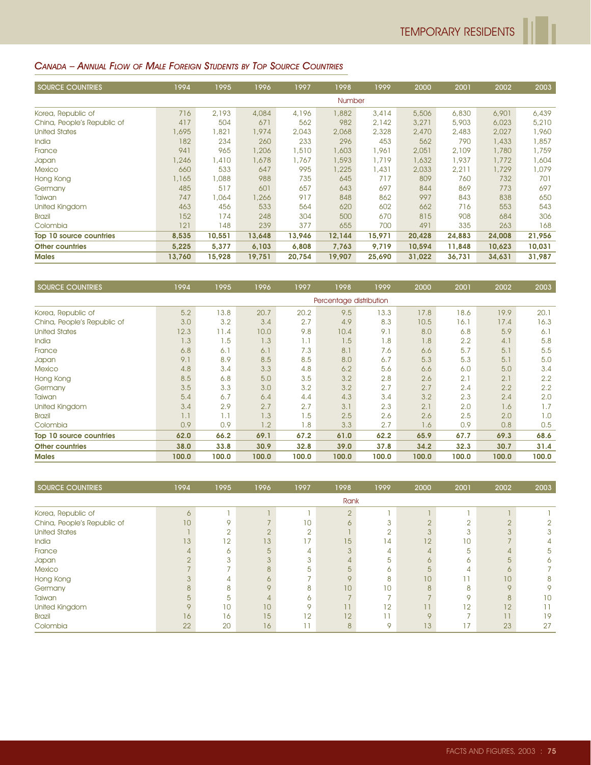# CANADA – ANNUAL FLOW OF MALE FOREIGN STUDENTS BY TOP SOURCE COUNTRIES

| <b>SOURCE COUNTRIES</b>     | 1994   | 1995   | 1996   | 1997   | 1998   | 1999   | 2000   | 2001   | 2002   | 2003   |
|-----------------------------|--------|--------|--------|--------|--------|--------|--------|--------|--------|--------|
|                             |        |        |        |        | Number |        |        |        |        |        |
| Korea, Republic of          | 716    | 2,193  | 4,084  | 4,196  | 1,882  | 3,414  | 5,506  | 6,830  | 6,901  | 6,439  |
| China, People's Republic of | 417    | 504    | 671    | 562    | 982    | 2,142  | 3,271  | 5,903  | 6,023  | 5,210  |
| <b>United States</b>        | 1,695  | ,821   | 1,974  | 2,043  | 2,068  | 2,328  | 2,470  | 2,483  | 2,027  | 1,960  |
| India                       | 182    | 234    | 260    | 233    | 296    | 453    | 562    | 790    | 1,433  | 1,857  |
| France                      | 941    | 965    | 1,206  | 1,510  | ,603   | 1,961  | 2,051  | 2,109  | 1,780  | 1,759  |
| Japan                       | 1,246  | .410   | 1,678  | 1,767  | 1.593  | 1,719  | 1,632  | 1,937  | 1,772  | 1,604  |
| <b>Mexico</b>               | 660    | 533    | 647    | 995    | 1,225  | 1,431  | 2,033  | 2,211  | 1,729  | 1,079  |
| Hong Kong                   | 1,165  | 880,1  | 988    | 735    | 645    | 717    | 809    | 760    | 732    | 701    |
| Germany                     | 485    | 517    | 601    | 657    | 643    | 697    | 844    | 869    | 773    | 697    |
| Taiwan                      | 747    | 1,064  | 1,266  | 917    | 848    | 862    | 997    | 843    | 838    | 650    |
| United Kingdom              | 463    | 456    | 533    | 564    | 620    | 602    | 662    | 716    | 553    | 543    |
| <b>Brazil</b>               | 152    | 174    | 248    | 304    | 500    | 670    | 815    | 908    | 684    | 306    |
| Colombia                    | 121    | 148    | 239    | 377    | 655    | 700    | 491    | 335    | 263    | 168    |
| Top 10 source countries     | 8,535  | 10,551 | 13,648 | 13,946 | 12,144 | 15,971 | 20,428 | 24,883 | 24,008 | 21,956 |
| <b>Other countries</b>      | 5,225  | 5,377  | 6,103  | 6,808  | 7,763  | 9,719  | 10,594 | 11,848 | 10,623 | 10,031 |
| <b>Males</b>                | 13,760 | 15,928 | 19,751 | 20,754 | 19,907 | 25,690 | 31,022 | 36,731 | 34,631 | 31,987 |

| <b>SOURCE COUNTRIES</b>     | 1994  | 1995  | 1996  | 1997  | 1998                    | 1999  | 2000  | 2001  | 2002  | 2003  |
|-----------------------------|-------|-------|-------|-------|-------------------------|-------|-------|-------|-------|-------|
|                             |       |       |       |       | Percentage distribution |       |       |       |       |       |
| Korea, Republic of          | 5.2   | 13.8  | 20.7  | 20.2  | 9.5                     | 13.3  | 17.8  | 18.6  | 19.9  | 20.1  |
| China, People's Republic of | 3.0   | 3.2   | 3.4   | 2.7   | 4.9                     | 8.3   | 10.5  | 16.1  | 17.4  | 16.3  |
| <b>United States</b>        | 12.3  | 11.4  | 10.0  | 9.8   | 10.4                    | 9.1   | 8.0   | 6.8   | 5.9   | 6.1   |
| <b>India</b>                | 1.3   | 1.5   | 1.3   | 1.1   | 1.5                     | 1.8   | 1.8   | 2.2   | 4.1   | 5.8   |
| France                      | 6.8   | 6.1   | 6.1   | 7.3   | 8.1                     | 7.6   | 6.6   | 5.7   | 5.1   | 5.5   |
| Japan                       | 9.1   | 8.9   | 8.5   | 8.5   | 8.0                     | 6.7   | 5.3   | 5.3   | 5.1   | 5.0   |
| <b>Mexico</b>               | 4.8   | 3.4   | 3.3   | 4.8   | 6.2                     | 5.6   | 6.6   | 6.0   | 5.0   | 3.4   |
| Hong Kong                   | 8.5   | 6,8   | 5.0   | 3.5   | 3.2                     | 2.8   | 2.6   | 2.1   | 2.1   | 2.2   |
| Germany                     | 3.5   | 3.3   | 3.0   | 3.2   | 3.2                     | 2.7   | 2.7   | 2.4   | 2.2   | 2.2   |
| Taiwan                      | 5.4   | 6.7   | 6.4   | 4.4   | 4.3                     | 3.4   | 3.2   | 2.3   | 2.4   | 2.0   |
| United Kingdom              | 3.4   | 2.9   | 2.7   | 2.7   | 3.1                     | 2.3   | 2.1   | 2.0   | 1.6   | 1.7   |
| <b>Brazil</b>               | 1.1   | 1.1   | 1.3   | 1.5   | 2.5                     | 2.6   | 2.6   | 2.5   | 2.0   | 1.0   |
| Colombia                    | 0.9   | 0.9   | 1.2   | 1.8   | 3.3                     | 2.7   | 1.6   | 0.9   | 0.8   | 0.5   |
| Top 10 source countries     | 62.0  | 66.2  | 69.1  | 67.2  | 61.0                    | 62.2  | 65.9  | 67.7  | 69.3  | 68.6  |
| <b>Other countries</b>      | 38.0  | 33.8  | 30.9  | 32.8  | 39.0                    | 37.8  | 34.2  | 32.3  | 30.7  | 31.4  |
| <b>Males</b>                | 100.0 | 100.0 | 100.0 | 100.0 | 100.0                   | 100.0 | 100.0 | 100.0 | 100.0 | 100.0 |

| SOURCE COUNTRIES            | 1994    | 1995 | 1996     | 1997            | 1998     | 1999           | 2000          | 2001            | 2002            | 2003 |
|-----------------------------|---------|------|----------|-----------------|----------|----------------|---------------|-----------------|-----------------|------|
|                             |         |      |          |                 | Rank     |                |               |                 |                 |      |
| Korea, Republic of          | 6       |      |          |                 | $\Omega$ |                |               |                 |                 |      |
| China, People's Republic of | 10      | 9    |          | 10 <sup>°</sup> | 6        |                | $\cap$        |                 | $\Omega$<br>۷   |      |
| <b>United States</b>        |         | C    |          | $\cap$          |          |                | $\Omega$      |                 | 3               | 3    |
| <b>India</b>                | 13      | 12   | 13       | 77              | 15       | $\overline{4}$ | 12            | 10              |                 |      |
| France                      | 4       | 6    | 5        | Δ               |          |                |               | 5               | 4               | 5    |
| Japan                       | $\cap$  | 3    |          | 3               |          | 5              | $\sigma$      | 6               | 5               |      |
| <b>Mexico</b>               |         |      | 8        | 5               | 5        | 6.             | 5             | 4               | 6               |      |
| Hong Kong                   |         | 4    | $\wedge$ |                 | $\Omega$ | 8              | 10            |                 | 10              | 8    |
| Germany                     | 8       | 8    | $\circ$  | 8               | 10       | 10             | $\mathcal{B}$ | 8               | $\circ$         |      |
| Taiwan                      | 5       | 5    |          | 6               |          |                |               | Q               | 8               | 10   |
| United Kingdom              | $\circ$ | 10   | 10       | O               | ו ו      | 12             | 11            | 12              | 12 <sup>°</sup> |      |
| <b>Brazil</b>               | 16      | 16   | 15       | 12              | 12       |                | $\Omega$      |                 | 1               | 19   |
| Colombia                    | 22      | 20   | 16       |                 | 8        | Q              | 13            | $\overline{17}$ | 23              | 27   |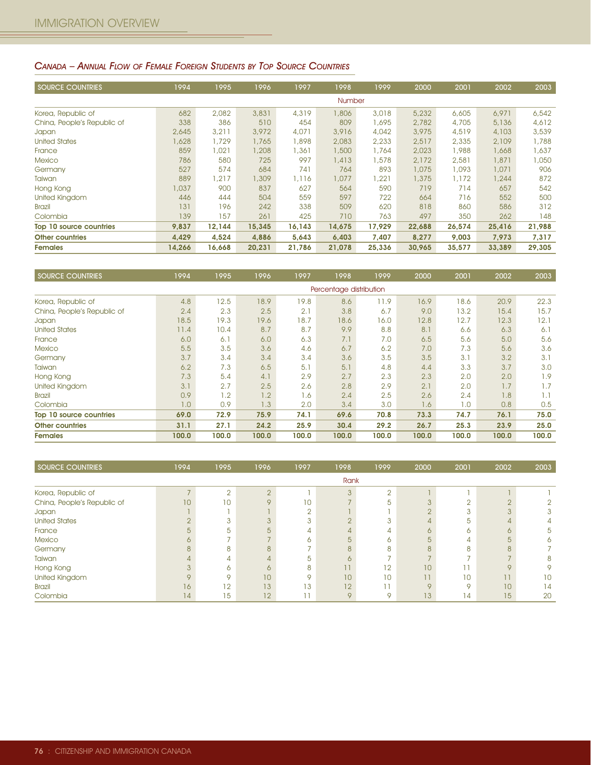# CANADA – ANNUAL FLOW OF FEMALE FOREIGN STUDENTS BY TOP SOURCE COUNTRIES

| <b>SOURCE COUNTRIES</b>     | 1994   | 1995   | 1996   | 1997   | 1998          | 1999   | 2000   | 2001   | 2002   | 2003   |
|-----------------------------|--------|--------|--------|--------|---------------|--------|--------|--------|--------|--------|
|                             |        |        |        |        | <b>Number</b> |        |        |        |        |        |
| Korea, Republic of          | 682    | 2,082  | 3,831  | 4,319  | 1,806         | 3,018  | 5,232  | 6,605  | 6,971  | 6,542  |
| China, People's Republic of | 338    | 386    | 510    | 454    | 809           | 1,695  | 2,782  | 4,705  | 5,136  | 4,612  |
| Japan                       | 2,645  | 3,211  | 3,972  | 4,071  | 3,916         | 4,042  | 3,975  | 4,519  | 4,103  | 3,539  |
| <b>United States</b>        | 1,628  | 1,729  | 1,765  | 1,898  | 2,083         | 2,233  | 2,517  | 2,335  | 2,109  | 1,788  |
| France                      | 859    | 1,021  | 1,208  | 1,361  | 1,500         | 1,764  | 2,023  | 1,988  | 1,668  | 1,637  |
| <b>Mexico</b>               | 786    | 580    | 725    | 997    | 1,413         | 1,578  | 2,172  | 2,581  | 1,871  | 1,050  |
| Germany                     | 527    | 574    | 684    | 741    | 764           | 893    | 1,075  | 1,093  | 1,071  | 906    |
| Taiwan                      | 889    | 1,217  | 1,309  | 1,116  | 1,077         | 1,221  | 1,375  | 1,172  | 1,244  | 872    |
| Hong Kong                   | 1,037  | 900    | 837    | 627    | 564           | 590    | 719    | 714    | 657    | 542    |
| United Kingdom              | 446    | 444    | 504    | 559    | 597           | 722    | 664    | 716    | 552    | 500    |
| <b>Brazil</b>               | 131    | 196    | 242    | 338    | 509           | 620    | 818    | 860    | 586    | 312    |
| Colombia                    | 139    | 157    | 261    | 425    | 710           | 763    | 497    | 350    | 262    | 148    |
| Top 10 source countries     | 9,837  | 12,144 | 15,345 | 16,143 | 14,675        | 17,929 | 22,688 | 26,574 | 25,416 | 21,988 |
| <b>Other countries</b>      | 4,429  | 4,524  | 4.886  | 5,643  | 6,403         | 7,407  | 8,277  | 9,003  | 7,973  | 7,317  |
| <b>Females</b>              | 14,266 | 16,668 | 20,231 | 21,786 | 21,078        | 25,336 | 30,965 | 35,577 | 33,389 | 29,305 |

| <b>SOURCE COUNTRIES</b>     | 1994  | 1995  | 1996  | 1997  | 1998                    | 1999  | 2000  | 2001  | 2002  | 2003  |
|-----------------------------|-------|-------|-------|-------|-------------------------|-------|-------|-------|-------|-------|
|                             |       |       |       |       | Percentage distribution |       |       |       |       |       |
| Korea, Republic of          | 4.8   | 12.5  | 18.9  | 19.8  | 8.6                     | 11.9  | 16.9  | 18.6  | 20.9  | 22.3  |
| China, People's Republic of | 2.4   | 2.3   | 2.5   | 2.1   | 3.8                     | 6.7   | 9.0   | 13.2  | 15.4  | 15.7  |
| Japan                       | 18.5  | 19.3  | 19.6  | 18.7  | 18.6                    | 16.0  | 12.8  | 12.7  | 12.3  | 12.1  |
| <b>United States</b>        | 11.4  | 10.4  | 8.7   | 8.7   | 9.9                     | 8.8   | 8.1   | 6.6   | 6.3   | 6.1   |
| France                      | 6.0   | 6.1   | 6.0   | 6.3   | 7.1                     | 7.0   | 6.5   | 5.6   | 5.0   | 5.6   |
| <b>Mexico</b>               | 5.5   | 3.5   | 3.6   | 4.6   | 6.7                     | 6.2   | 7.0   | 7.3   | 5.6   | 3.6   |
| Germany                     | 3.7   | 3.4   | 3.4   | 3.4   | 3.6                     | 3.5   | 3.5   | 3.1   | 3.2   | 3.1   |
| Taiwan                      | 6.2   | 7.3   | 6.5   | 5.1   | 5.1                     | 4.8   | 4.4   | 3.3   | 3.7   | 3.0   |
| Hong Kong                   | 7.3   | 5.4   | 4.1   | 2.9   | 2.7                     | 2.3   | 2.3   | 2.0   | 2.0   | 1.9   |
| <b>United Kingdom</b>       | 3.1   | 2.7   | 2.5   | 2.6   | 2.8                     | 2.9   | 2.1   | 2.0   | 1.7   | 1.7   |
| <b>Brazil</b>               | 0.9   | 1.2   | 1.2   | 1.6   | 2.4                     | 2.5   | 2.6   | 2.4   | 1.8   | 1.1   |
| Colombia                    | 1.0   | 0.9   | 1.3   | 2.0   | 3.4                     | 3.0   | 1.6   | 1.0   | 0.8   | 0.5   |
| Top 10 source countries     | 69.0  | 72.9  | 75.9  | 74.1  | 69.6                    | 70.8  | 73.3  | 74.7  | 76.1  | 75.0  |
| <b>Other countries</b>      | 31.1  | 27.1  | 24.2  | 25.9  | 30.4                    | 29.2  | 26.7  | 25.3  | 23.9  | 25.0  |
| <b>Females</b>              | 100.0 | 100.0 | 100.0 | 100.0 | 100.0                   | 100.0 | 100.0 | 100.0 | 100.0 | 100.0 |

| SOURCE COUNTRIES            | 1994            | 1995   | 1996            | 1997            | 1998            | 1999     | 2000          | 2001    | 2002            | 2003 |
|-----------------------------|-----------------|--------|-----------------|-----------------|-----------------|----------|---------------|---------|-----------------|------|
|                             |                 |        |                 |                 | Rank            |          |               |         |                 |      |
| Korea, Republic of          |                 | $\sim$ | $\Omega$        |                 | 3               | $\Omega$ |               |         |                 |      |
| China, People's Republic of | 10 <sup>1</sup> | 10     | $\circ$         | 10 <sup>°</sup> |                 | 5        |               |         | $\cap$<br>۷     |      |
| Japan                       |                 |        |                 | ⌒               |                 |          |               | $\sim$  | 3               | 3    |
| <b>United States</b>        |                 | 3      |                 |                 |                 | 3        |               | 5       |                 |      |
| France                      | 5               | 5      | $5\overline{5}$ |                 |                 |          | $\sigma$      | Ô       | 6               | 5    |
| <b>Mexico</b>               | $\circ$         |        |                 | ∩               | 5               | 6        |               | 4       | 5               |      |
| Germany                     | 8               | 8      | $\mathsf{B}$    |                 |                 | R        | $\mathcal{B}$ | 8       | 8               |      |
| Taiwan                      |                 | 4      |                 | 5               |                 |          |               |         |                 | 8    |
| Hong Kong                   |                 | ∩      | 6               | 8               |                 | 12       | 10            |         | $\circ$         |      |
| United Kingdom              | $\circ$         | O      | 10              | O               | 10 <sup>°</sup> | 10       | 11            | 10      |                 | 10   |
| <b>Brazil</b>               | 16              | 12     | 13              | 13              | 12              |          | $\circ$       | $\circ$ | 10              | 14   |
| Colombia                    | $\overline{14}$ | 15     | 12              |                 | $\circ$         | Q        | 13            | 14      | 15 <sub>1</sub> | 20   |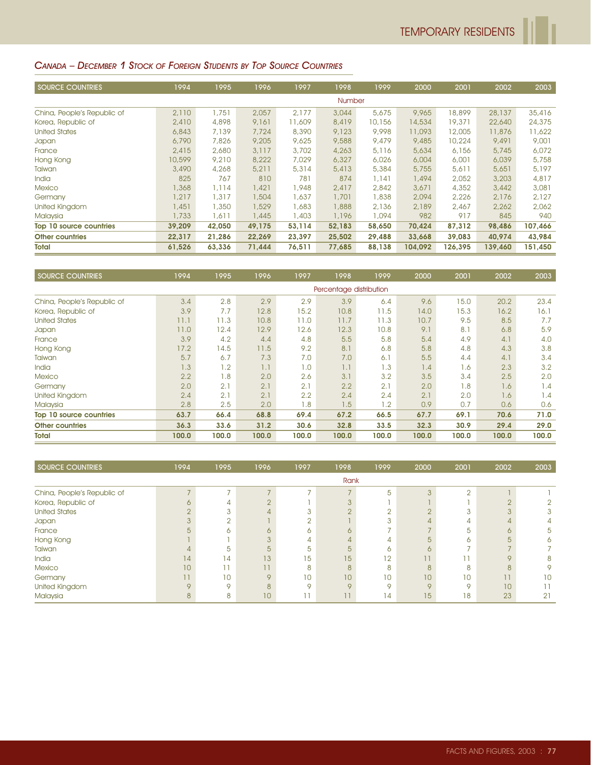# CANADA – DECEMBER 1 STOCK OF FOREIGN STUDENTS BY TOP SOURCE COUNTRIES

| <b>SOURCE COUNTRIES</b>     | 1994   | 1995   | 1996   | 1997   | 1998          | 1999   | 2000    | 2001    | 2002    | 2003    |
|-----------------------------|--------|--------|--------|--------|---------------|--------|---------|---------|---------|---------|
|                             |        |        |        |        | <b>Number</b> |        |         |         |         |         |
| China, People's Republic of | 2,110  | 1,751  | 2,057  | 2,177  | 3,044         | 5,675  | 9,965   | 18,899  | 28,137  | 35,416  |
| Korea, Republic of          | 2,410  | 4,898  | 9,161  | 11,609 | 8,419         | 10,156 | 14,534  | 19,371  | 22,640  | 24,375  |
| <b>United States</b>        | 6,843  | 7,139  | 7,724  | 8,390  | 9,123         | 9,998  | 11,093  | 12,005  | 11,876  | 11,622  |
| <b>Japan</b>                | 6,790  | 7,826  | 9,205  | 9,625  | 9,588         | 9,479  | 9,485   | 10,224  | 9,491   | 9,001   |
| France                      | 2,415  | 2,680  | 3,117  | 3,702  | 4,263         | 5,116  | 5,634   | 6,156   | 5,745   | 6,072   |
| Hong Kong                   | 10,599 | 9,210  | 8,222  | 7,029  | 6,327         | 6,026  | 6,004   | 6,001   | 6,039   | 5,758   |
| Taiwan                      | 3,490  | 4,268  | 5,211  | 5,314  | 5,413         | 5,384  | 5,755   | 5,611   | 5,651   | 5,197   |
| <b>India</b>                | 825    | 767    | 810    | 781    | 874           | 1,141  | 1,494   | 2,052   | 3,203   | 4,817   |
| <b>Mexico</b>               | 1,368  | 1,114  | 1,421  | 1,948  | 2.417         | 2,842  | 3,671   | 4,352   | 3,442   | 3,081   |
| Germany                     | 1,217  | 1,317  | 1,504  | 1,637  | 1,701         | 1,838  | 2,094   | 2,226   | 2,176   | 2,127   |
| United Kingdom              | 1,451  | 1,350  | 1,529  | 1,683  | 1,888         | 2,136  | 2,189   | 2,467   | 2,262   | 2,062   |
| Malaysia                    | 1,733  | 1,611  | 1,445  | 1,403  | 1,196         | 1,094  | 982     | 917     | 845     | 940     |
| Top 10 source countries     | 39,209 | 42,050 | 49,175 | 53,114 | 52,183        | 58,650 | 70,424  | 87,312  | 98,486  | 107,466 |
| <b>Other countries</b>      | 22,317 | 21,286 | 22,269 | 23,397 | 25,502        | 29,488 | 33,668  | 39,083  | 40,974  | 43,984  |
| <b>Total</b>                | 61,526 | 63,336 | 71,444 | 76,511 | 77,685        | 88,138 | 104.092 | 126,395 | 139,460 | 151,450 |

| <b>SOURCE COUNTRIES</b>     | 1994  | 1995  | 1996  | 1997  | 1998                    | 1999  | 2000  | 2001  | 2002  | 2003  |
|-----------------------------|-------|-------|-------|-------|-------------------------|-------|-------|-------|-------|-------|
|                             |       |       |       |       | Percentage distribution |       |       |       |       |       |
| China, People's Republic of | 3.4   | 2.8   | 2.9   | 2.9   | 3.9                     | 6.4   | 9.6   | 15.0  | 20.2  | 23.4  |
| Korea, Republic of          | 3.9   | 7.7   | 12.8  | 15.2  | 10.8                    | 11.5  | 14.0  | 15.3  | 16.2  | 16.1  |
| <b>United States</b>        | 11.1  | 11.3  | 10.8  | 11.0  | 11.7                    | 11.3  | 10.7  | 9.5   | 8.5   | 7.7   |
| Japan                       | 11.0  | 12.4  | 12.9  | 12.6  | 12.3                    | 10.8  | 9.1   | 8.1   | 6.8   | 5.9   |
| France                      | 3.9   | 4.2   | 4.4   | 4.8   | 5.5                     | 5.8   | 5.4   | 4.9   | 4.1   | 4.0   |
| Hong Kong                   | 17.2  | 14.5  | 11.5  | 9.2   | 8.1                     | 6.8   | 5.8   | 4.8   | 4.3   | 3.8   |
| Taiwan                      | 5.7   | 6.7   | 7.3   | 7.0   | 7.0                     | 6.1   | 5.5   | 4.4   | 4.1   | 3.4   |
| <b>India</b>                | 1.3   | 1.2   | 1.1   | 1.0   | 1.1                     | 1.3   | 1.4   | 1.6   | 2.3   | 3.2   |
| <b>Mexico</b>               | 2.2   | 1.8   | 2.0   | 2.6   | 3.1                     | 3.2   | 3.5   | 3.4   | 2.5   | 2.0   |
| Germany                     | 2.0   | 2.1   | 2.1   | 2.1   | 2.2                     | 2.1   | 2.0   | 1.8   | 1.6   | 1.4   |
| <b>United Kingdom</b>       | 2.4   | 2.1   | 2.1   | 2.2   | 2.4                     | 2.4   | 2.1   | 2.0   | 1.6   | 1.4   |
| Malaysia                    | 2.8   | 2.5   | 2.0   | 1.8   | 1.5                     | 1.2   | 0.9   | 0.7   | 0.6   | 0.6   |
| Top 10 source countries     | 63.7  | 66.4  | 68.8  | 69.4  | 67.2                    | 66.5  | 67.7  | 69.1  | 70.6  | 71.0  |
| <b>Other countries</b>      | 36.3  | 33.6  | 31.2  | 30.6  | 32.8                    | 33.5  | 32.3  | 30.9  | 29.4  | 29.0  |
| <b>Total</b>                | 100.0 | 100.0 | 100.0 | 100.0 | 100.0                   | 100.0 | 100.0 | 100.0 | 100.0 | 100.0 |

| <b>SOURCE COUNTRIES</b>     | 1994    | 1995          | 1996    | 1997    | 1998     | 1999    | 2000     | 2001     | 2002           | 2003 |
|-----------------------------|---------|---------------|---------|---------|----------|---------|----------|----------|----------------|------|
|                             |         |               |         |         | Rank     |         |          |          |                |      |
| China, People's Republic of | -       | -             |         | -       |          | 5       | 3        | $\Omega$ |                |      |
| Korea, Republic of          | 6       | 4             |         |         |          |         |          |          | $\cap$<br>∠    |      |
| <b>United States</b>        | $\cap$  | 3             |         | ◠       |          |         |          |          | 3              | 3    |
| Japan                       |         | $\Omega$<br>∠ |         | $\sim$  |          | 3       |          | 4        | 4              |      |
| France                      |         | ∼             | $\circ$ | ∩       |          |         |          | 5        | 6              | 5    |
| Hong Kong                   |         |               |         | 4       |          |         | 5        | ∩        | 5              |      |
| Taiwan                      |         | 5             | 5       | 5       | 5        | ∩       | $\sigma$ |          |                |      |
| India                       | 4       | 14            | 13      | 15      | 15       | 12      | 11       |          | $\circ$        | 8    |
| <b>Mexico</b>               | 10      |               | 11      | 8       | 8        | 8       | 8        | 8        | 8              | 9    |
| Germany                     | 11      | 10            | $\circ$ | 10      | 10       | 10      | 10       | 10       | $\overline{1}$ | 10   |
| United Kingdom              | $\circ$ | Q             | 8       | $\circ$ | $\Omega$ | $\circ$ | $\circ$  | $\circ$  | 10             |      |
| Malaysia                    | 8       | 8             | 10      |         | 11       | 14      | 15       | 18       | 23             | 21   |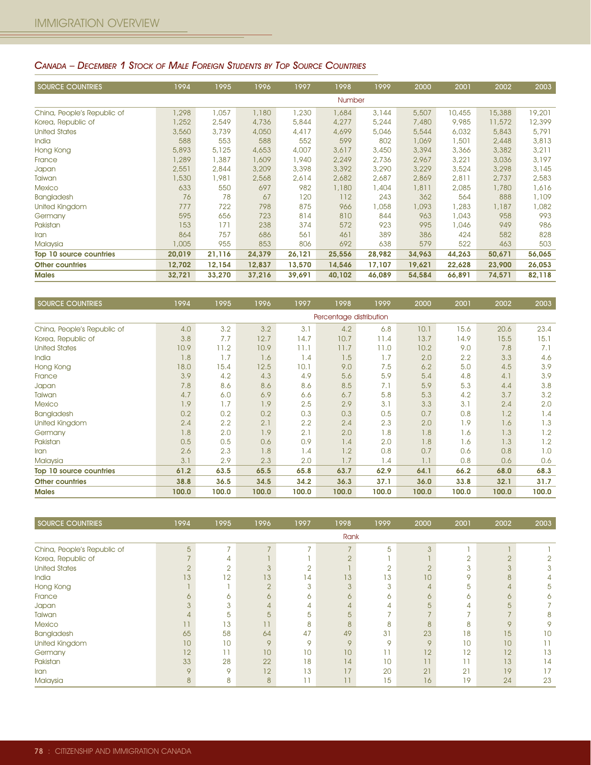#### CANADA – DECEMBER 1 STOCK OF MALE FOREIGN STUDENTS BY TOP SOURCE COUNTRIES

| <b>SOURCE COUNTRIES</b>     | 1994   | 1995   | 1996   | 1997   | 1998   | 1999   | 2000   | 2001   | 2002   | 2003   |
|-----------------------------|--------|--------|--------|--------|--------|--------|--------|--------|--------|--------|
|                             |        |        |        |        | Number |        |        |        |        |        |
| China, People's Republic of | .298   | 1,057  | 1,180  | 1,230  | 1,684  | 3,144  | 5,507  | 10,455 | 15,388 | 19,201 |
| Korea, Republic of          | 1,252  | 2,549  | 4,736  | 5,844  | 4,277  | 5,244  | 7,480  | 9,985  | 11,572 | 12,399 |
| <b>United States</b>        | 3,560  | 3,739  | 4,050  | 4,417  | 4,699  | 5,046  | 5,544  | 6,032  | 5,843  | 5,791  |
| India                       | 588    | 553    | 588    | 552    | 599    | 802    | 1,069  | , 501  | 2,448  | 3,813  |
| Hong Kong                   | 5,893  | 5,125  | 4,653  | 4,007  | 3,617  | 3,450  | 3,394  | 3,366  | 3,382  | 3,211  |
| France                      | 1,289  | 1,387  | 1,609  | 1,940  | 2,249  | 2,736  | 2,967  | 3,221  | 3,036  | 3,197  |
| Japan                       | 2,551  | 2,844  | 3,209  | 3,398  | 3,392  | 3,290  | 3,229  | 3,524  | 3,298  | 3,145  |
| Taiwan                      | 1,530  | 1,981  | 2,568  | 2,614  | 2,682  | 2,687  | 2,869  | 2,811  | 2,737  | 2,583  |
| <b>Mexico</b>               | 633    | 550    | 697    | 982    | 1,180  | 1,404  | 1,811  | 2,085  | 1,780  | 1,616  |
| Bangladesh                  | 76     | 78     | 67     | 120    | 112    | 243    | 362    | 564    | 888    | 1,109  |
| United Kingdom              | 777    | 722    | 798    | 875    | 966    | 1,058  | 1,093  | ,283   | 1,187  | 1,082  |
| Germany                     | 595    | 656    | 723    | 814    | 810    | 844    | 963    | 0.043  | 958    | 993    |
| Pakistan                    | 153    | 171    | 238    | 374    | 572    | 923    | 995    | ,046   | 949    | 986    |
| <b>Iran</b>                 | 864    | 757    | 686    | 561    | 461    | 389    | 386    | 424    | 582    | 828    |
| Malaysia                    | 1,005  | 955    | 853    | 806    | 692    | 638    | 579    | 522    | 463    | 503    |
| Top 10 source countries     | 20,019 | 21,116 | 24,379 | 26,121 | 25,556 | 28,982 | 34,963 | 44,263 | 50,671 | 56,065 |
| <b>Other countries</b>      | 12,702 | 12,154 | 12,837 | 13,570 | 14,546 | 17,107 | 19,621 | 22,628 | 23,900 | 26,053 |
| <b>Males</b>                | 32,721 | 33,270 | 37,216 | 39,691 | 40,102 | 46,089 | 54,584 | 66,891 | 74,571 | 82,118 |

| <b>SOURCE COUNTRIES</b>     | 1994  | 1995  | 1996  | 1997  | 1998                    | 1999  | 2000  | 2001  | 2002  | 2003  |
|-----------------------------|-------|-------|-------|-------|-------------------------|-------|-------|-------|-------|-------|
|                             |       |       |       |       | Percentage distribution |       |       |       |       |       |
| China, People's Republic of | 4.0   | 3.2   | 3.2   | 3.1   | 4.2                     | 6.8   | 10.1  | 15.6  | 20.6  | 23.4  |
| Korea, Republic of          | 3.8   | 7.7   | 12.7  | 14.7  | 10.7                    | 11.4  | 13.7  | 14.9  | 15.5  | 15.1  |
| <b>United States</b>        | 10.9  | 11.2  | 10.9  | 11.1  | 11.7                    | 11.0  | 10.2  | 9.0   | 7.8   | 7.1   |
| India                       | 1.8   | 1.7   | 1.6   | 1.4   | 1.5                     | 1.7   | 2.0   | 2.2   | 3.3   | 4.6   |
| Hong Kong                   | 18.0  | 15.4  | 12.5  | 10.1  | 9.0                     | 7.5   | 6.2   | 5.0   | 4.5   | 3.9   |
| France                      | 3.9   | 4.2   | 4.3   | 4.9   | 5.6                     | 5.9   | 5.4   | 4.8   | 4.1   | 3.9   |
| Japan                       | 7.8   | 8.6   | 8.6   | 8.6   | 8.5                     | 7.1   | 5.9   | 5.3   | 4,4   | 3.8   |
| Taiwan                      | 4.7   | 6.0   | 6.9   | 6.6   | 6.7                     | 5.8   | 5.3   | 4.2   | 3.7   | 3.2   |
| <b>Mexico</b>               | 1.9   | 1.7   | 1.9   | 2.5   | 2.9                     | 3.1   | 3.3   | 3.1   | 2.4   | 2.0   |
| <b>Bangladesh</b>           | 0.2   | 0.2   | 0.2   | 0.3   | 0.3                     | 0.5   | 0.7   | 0.8   | 1.2   | 1.4   |
| United Kingdom              | 2.4   | 2.2   | 2.1   | 2.2   | 2.4                     | 2.3   | 2.0   | 1.9   | 1.6   | 1.3   |
| Germany                     | 1.8   | 2.0   | 1.9   | 2.1   | 2.0                     | 1.8   | 1.8   | 1.6   | 1.3   | 1.2   |
| Pakistan                    | 0.5   | 0.5   | 0.6   | 0.9   | 1.4                     | 2.0   | 1.8   | 1.6   | 1.3   | 1.2   |
| <b>Iran</b>                 | 2.6   | 2.3   | 1.8   | 1.4   | 1.2                     | 0.8   | 0.7   | 0.6   | 0.8   | 1.0   |
| Malaysia                    | 3.1   | 2.9   | 2.3   | 2.0   | 1.7                     | 1.4   | 1.1   | 0.8   | 0.6   | 0.6   |
| Top 10 source countries     | 61.2  | 63.5  | 65.5  | 65.8  | 63.7                    | 62.9  | 64.1  | 66.2  | 68.0  | 68.3  |
| <b>Other countries</b>      | 38.8  | 36.5  | 34.5  | 34.2  | 36.3                    | 37.1  | 36.0  | 33.8  | 32.1  | 31.7  |
| <b>Males</b>                | 100.0 | 100.0 | 100.0 | 100.0 | 100.0                   | 100.0 | 100.0 | 100.0 | 100.0 | 100.0 |

| SOURCE COUNTRIES            | 1994            | 1995    | 1996    | 1997          | 1998                     | 1999    | 2000         | 2001   | 2002           | 2003 |
|-----------------------------|-----------------|---------|---------|---------------|--------------------------|---------|--------------|--------|----------------|------|
|                             |                 |         |         |               | Rank                     |         |              |        |                |      |
| China, People's Republic of | $5\overline{)}$ | -       | -       | $\rightarrow$ | $\overline{\phantom{0}}$ | 5       | 3            |        |                |      |
| Korea, Republic of          |                 | 4       |         |               | $\cap$                   |         |              | $\sim$ | $\overline{2}$ |      |
| <b>United States</b>        |                 | $\cap$  |         |               |                          |         | $\sqrt{2}$   | 3      | 3              | 3    |
| India                       | 3               | 12      | 13      | 14            | 13                       | ۱3      | 10           | 9      | 8              |      |
| Hong Kong                   |                 |         |         | 3             |                          | 3       |              | 5      | 4              | 5    |
| France                      |                 | 6       | ∩       | 6             | ∩                        | 6       | $\circ$      | 6      | 6              | 6    |
| Japan                       |                 | 3       |         |               |                          | 4       | 5            | 4      | 5              |      |
| Taiwan                      |                 | 5       | 5       | 5             | 5                        |         |              |        |                |      |
| Mexico                      | 11              | 13      | 11      | 8             | 8                        | 8       | 8            | 8      | 9              |      |
| Bangladesh                  | 65              | 58      | 64      | 47            | 49                       | 31      | 23           | 18     | 15             | 10   |
| United Kingdom              | 10 <sup>°</sup> | 10      | $\circ$ | $\circ$       | $\mathsf{Q}$             | $\circ$ | $\mathsf{Q}$ | 10     | 10             |      |
| Germany                     | 12              |         | 10      | 10            | 10                       |         | 12           | 12     | 12             | 13   |
| Pakistan                    | 33              | 28      | 22      | 18            | 14                       | 10      | 11           | 11     | 13             | 14   |
| Iran                        | $\circ$         | $\circ$ | 12      | 13            | 17                       | 20      | 21           | 21     | 19             |      |
| Malaysia                    | 8               | 8       | 8       | ш             | 11                       | 15      | 16           | 19     | 24             | 23   |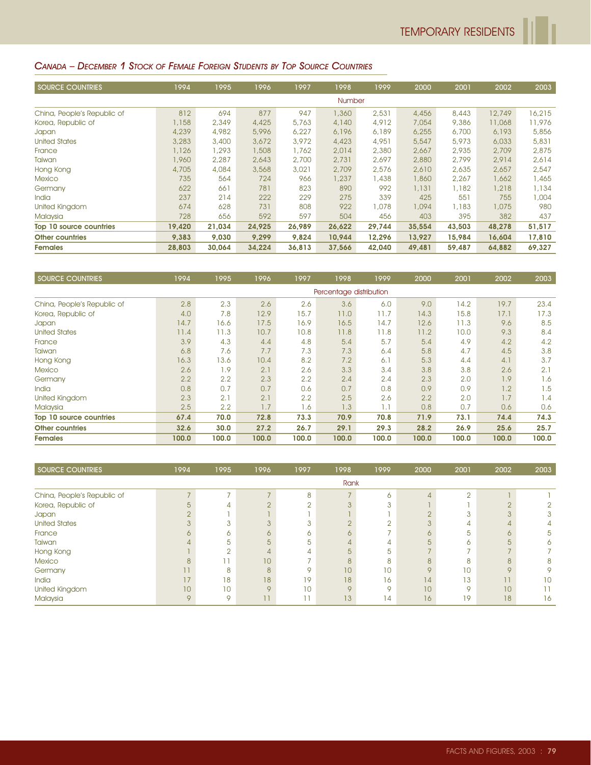#### CANADA – DECEMBER 1 STOCK OF FEMALE FOREIGN STUDENTS BY TOP SOURCE COUNTRIES

| <b>SOURCE COUNTRIES</b>     | 1994   | 1995   | 1996   | 1997   | 1998          | 1999   | 2000   | 2001   | 2002   | 2003   |
|-----------------------------|--------|--------|--------|--------|---------------|--------|--------|--------|--------|--------|
|                             |        |        |        |        | <b>Number</b> |        |        |        |        |        |
| China, People's Republic of | 812    | 694    | 877    | 947    | 1,360         | 2,531  | 4,456  | 8,443  | 12,749 | 16,215 |
| Korea, Republic of          | 1,158  | 2,349  | 4,425  | 5,763  | 4,140         | 4,912  | 7,054  | 9,386  | 11,068 | 11,976 |
| Japan                       | 4,239  | 4,982  | 5,996  | 6,227  | 6,196         | 6,189  | 6,255  | 6,700  | 6,193  | 5,856  |
| <b>United States</b>        | 3,283  | 3,400  | 3,672  | 3,972  | 4,423         | 4,951  | 5,547  | 5,973  | 6,033  | 5,831  |
| France                      | 1,126  | 1,293  | 1,508  | 1,762  | 2,014         | 2,380  | 2,667  | 2,935  | 2,709  | 2,875  |
| Taiwan                      | 1,960  | 2,287  | 2,643  | 2,700  | 2.731         | 2,697  | 2,880  | 2.799  | 2,914  | 2,614  |
| Hong Kong                   | 4,705  | 4,084  | 3,568  | 3,021  | 2,709         | 2,576  | 2,610  | 2,635  | 2,657  | 2,547  |
| <b>Mexico</b>               | 735    | 564    | 724    | 966    | 1,237         | 1,438  | 1,860  | 2,267  | 1,662  | 1,465  |
| Germany                     | 622    | 661    | 781    | 823    | 890           | 992    | 1,131  | 1,182  | 1,218  | 1,134  |
| <b>India</b>                | 237    | 214    | 222    | 229    | 275           | 339    | 425    | 551    | 755    | 1,004  |
| <b>United Kingdom</b>       | 674    | 628    | 731    | 808    | 922           | 1,078  | 1,094  | 1,183  | 1,075  | 980    |
| Malaysia                    | 728    | 656    | 592    | 597    | 504           | 456    | 403    | 395    | 382    | 437    |
| Top 10 source countries     | 19,420 | 21,034 | 24,925 | 26,989 | 26,622        | 29,744 | 35,554 | 43,503 | 48,278 | 51,517 |
| <b>Other countries</b>      | 9,383  | 9,030  | 9.299  | 9.824  | 10.944        | 12,296 | 13,927 | 15,984 | 16,604 | 17,810 |
| <b>Females</b>              | 28,803 | 30,064 | 34,224 | 36,813 | 37.566        | 42,040 | 49,481 | 59,487 | 64,882 | 69,327 |

| <b>SOURCE COUNTRIES</b>     | 1994  | 1995  | 1996  | 1997  | 1998                    | 1999  | 2000  | 2001  | 2002  | 2003  |
|-----------------------------|-------|-------|-------|-------|-------------------------|-------|-------|-------|-------|-------|
|                             |       |       |       |       | Percentage distribution |       |       |       |       |       |
| China, People's Republic of | 2.8   | 2.3   | 2.6   | 2.6   | 3.6                     | 6.0   | 9.0   | 14.2  | 19.7  | 23.4  |
| Korea, Republic of          | 4.0   | 7.8   | 12.9  | 15.7  | 11.0                    | 11.7  | 14.3  | 15.8  | 17.1  | 17.3  |
| <b>Japan</b>                | 14.7  | 16.6  | 17.5  | 16.9  | 16.5                    | 14.7  | 12.6  | 11.3  | 9.6   | 8.5   |
| <b>United States</b>        | 11.4  | 11.3  | 10.7  | 10.8  | 11.8                    | 11.8  | 11.2  | 10.0  | 9.3   | 8.4   |
| France                      | 3.9   | 4.3   | 4.4   | 4.8   | 5.4                     | 5.7   | 5.4   | 4.9   | 4.2   | 4.2   |
| Taiwan                      | 6.8   | 7.6   | 7.7   | 7.3   | 7.3                     | 6.4   | 5.8   | 4.7   | 4.5   | 3.8   |
| Hong Kong                   | 16.3  | 13.6  | 10.4  | 8.2   | 7.2                     | 6.1   | 5.3   | 4.4   | 4.1   | 3.7   |
| <b>Mexico</b>               | 2.6   | 1.9   | 2.1   | 2.6   | 3.3                     | 3.4   | 3.8   | 3.8   | 2.6   | 2.1   |
| Germany                     | 2.2   | 2.2   | 2.3   | 2.2   | 2.4                     | 2.4   | 2.3   | 2.0   | 1.9   | 1.6   |
| <b>India</b>                | 0.8   | 0.7   | 0.7   | 0.6   | 0.7                     | 0.8   | 0.9   | 0.9   | 1.2   | 1.5   |
| United Kingdom              | 2.3   | 2.1   | 2.1   | 2.2   | 2.5                     | 2.6   | 2.2   | 2.0   | 1.7   | 1.4   |
| Malaysia                    | 2.5   | 2.2   | 1.7   | 1.6   | 1.3                     | 1.1   | 0.8   | 0.7   | 0.6   | 0.6   |
| Top 10 source countries     | 67.4  | 70.0  | 72.8  | 73.3  | 70.9                    | 70.8  | 71.9  | 73.1  | 74.4  | 74.3  |
| <b>Other countries</b>      | 32.6  | 30.0  | 27.2  | 26.7  | 29.1                    | 29.3  | 28.2  | 26.9  | 25.6  | 25.7  |
| <b>Females</b>              | 100.0 | 100.0 | 100.0 | 100.0 | 100.0                   | 100.0 | 100.0 | 100.0 | 100.0 | 100.0 |

| SOURCE COUNTRIES            | 1994   | 1995        | 1996          | 1997             | 1998         | 1999            | 2000     | 2001    | 2002            | 2003 |
|-----------------------------|--------|-------------|---------------|------------------|--------------|-----------------|----------|---------|-----------------|------|
|                             |        |             |               |                  | Rank         |                 |          |         |                 |      |
| China, People's Republic of |        |             |               | 8                |              | ∩               |          | $\cap$  |                 |      |
| Korea, Republic of          | 5      |             |               |                  |              |                 |          |         | $\cap$          |      |
| Japan                       | $\cap$ |             |               |                  |              |                 |          |         | 3               |      |
| <b>United States</b>        |        |             |               |                  |              |                 |          | 4       |                 |      |
| France                      |        | 6.          |               | ∩                | ∩            |                 | $\sigma$ | 5       | 6               | 5    |
| Taiwan                      |        | 5           | 5             | 5                |              |                 | 5        |         | 5               |      |
| Hong Kong                   |        |             |               |                  |              | 5               |          |         |                 |      |
| <b>Mexico</b>               | 8      |             | 10            |                  | $\mathsf{R}$ | R               | 8        | ρ       | 8               | 8    |
| Germany                     |        | 8           | $\mathcal{B}$ | O                | 10           | 10 <sup>°</sup> | $\circ$  | 10      | $\circ$         |      |
| India                       | 17     | 18          | 18            | 19               | 18           | 16              | 14       | 13      | 11              | 10   |
| United Kingdom              | 10     | 10          | $\circ$       | 10 <sup>1</sup>  | $\circ$      | $\circ$         | 10       | $\circ$ | 10 <sup>°</sup> |      |
| Malaysia                    | 9      | $\mathsf Q$ | 11            | <b>11 T</b><br>ш | 13           | 14              | 16       | 19      | 18              | 16   |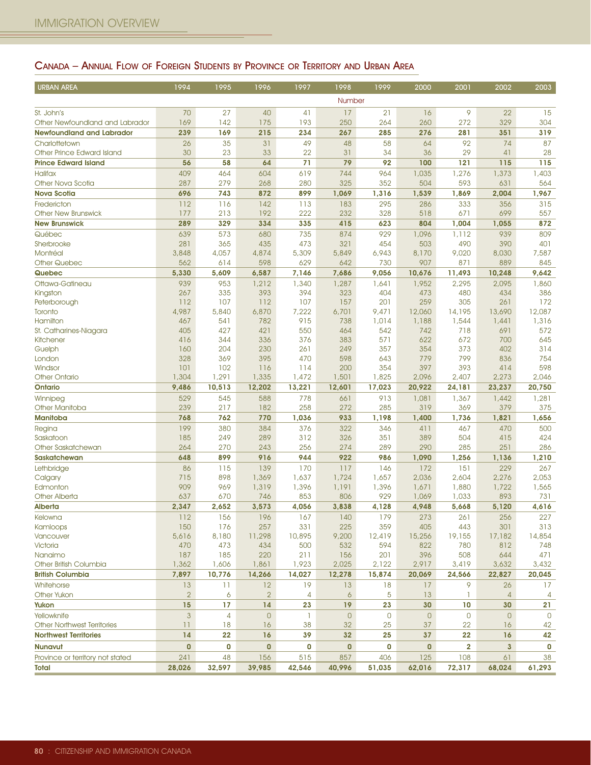# CANADA – ANNUAL FLOW OF FOREIGN STUDENTS BY PROVINCE OR TERRITORY AND URBAN AREA

| <b>URBAN AREA</b>                                 | 1994                 | 1995                 | 1996                 | 1997               | 1998                 | 1999                 | 2000                 | 2001                    | 2002                 | 2003               |
|---------------------------------------------------|----------------------|----------------------|----------------------|--------------------|----------------------|----------------------|----------------------|-------------------------|----------------------|--------------------|
|                                                   |                      |                      |                      |                    | Number               |                      |                      |                         |                      |                    |
| St. John's                                        | 70                   | 27                   | 40                   | 41                 | 17                   | 21                   | 16                   | 9                       | 22                   | 15                 |
| Other Newfoundland and Labrador                   | 169                  | 142                  | 175                  | 193                | 250                  | 264                  | 260                  | 272                     | 329                  | 304                |
| <b>Newfoundland and Labrador</b>                  | 239                  | 169                  | 215                  | 234                | 267                  | 285                  | 276                  | 281                     | 351                  | 319                |
| Charlottetown                                     | 26                   | 35                   | 31                   | 49                 | 48                   | 58                   | 64                   | 92                      | 74                   | 87                 |
| Other Prince Edward Island                        | 30                   | 23                   | 33                   | 22                 | 31                   | 34                   | 36                   | 29                      | 41                   | 28                 |
| <b>Prince Edward Island</b>                       | 56                   | 58                   | 64                   | 71                 | 79                   | 92                   | 100                  | 121                     | 115                  | 115                |
| <b>Halifax</b>                                    | 409                  | 464                  | 604                  | 619                | 744                  | 964                  | 1,035                | 1,276                   | 1,373                | 1,403              |
| Other Nova Scotia                                 | 287                  | 279                  | 268                  | 280                | 325                  | 352                  | 504                  | 593                     | 631                  | 564                |
| <b>Nova Scotia</b>                                | 696                  | 743                  | 872                  | 899                | 1,069                | 1,316                | 1,539                | 1,869                   | 2,004                | 1,967              |
| Fredericton                                       | 112                  | 116                  | 142                  | 113                | 183                  | 295                  | 286                  | 333                     | 356                  | 315                |
| <b>Other New Brunswick</b>                        | 177<br>289           | 213<br>329           | 192                  | 222                | 232                  | 328                  | 518                  | 671                     | 699                  | 557                |
| <b>New Brunswick</b>                              |                      |                      | 334                  | 335                | 415                  | 623                  | 804                  | 1,004                   | 1,055                | 872                |
| Québec<br>Sherbrooke                              | 639<br>281           | 573<br>365           | 680<br>435           | 735<br>473         | 874<br>321           | 929<br>454           | 1,096<br>503         | 1,112<br>490            | 939<br>390           | 809<br>401         |
| Montréal                                          | 3,848                | 4,057                | 4,874                | 5,309              | 5,849                | 6,943                | 8,170                | 9,020                   | 8,030                | 7,587              |
| <b>Other Quebec</b>                               | 562                  | 614                  | 598                  | 629                | 642                  | 730                  | 907                  | 871                     | 889                  | 845                |
| Quebec                                            | 5,330                | 5,609                | 6,587                | 7,146              | 7,686                | 9,056                | 10,676               | 11,493                  | 10,248               | 9,642              |
| Ottawa-Gatineau                                   | 939                  | 953                  | 1,212                | 1,340              | 1,287                | 1,641                | 1,952                | 2,295                   | 2,095                | 1,860              |
| Kingston                                          | 267                  | 335                  | 393                  | 394                | 323                  | 404                  | 473                  | 480                     | 434                  | 386                |
| Peterborough                                      | 112                  | 107                  | 112                  | 107                | 157                  | 201                  | 259                  | 305                     | 261                  | 172                |
| Toronto                                           | 4,987                | 5,840                | 6,870                | 7,222              | 6,701                | 9,471                | 12,060               | 14,195                  | 13,690               | 12,087             |
| <b>Hamilton</b>                                   | 467                  | 541                  | 782                  | 915                | 738                  | 1,014                | 1,188                | 1,544                   | 1,441                | 1,316              |
| St. Catharines-Niagara                            | 405                  | 427                  | 421                  | 550                | 464                  | 542                  | 742                  | 718                     | 691                  | 572                |
| <b>Kitchener</b><br>Guelph                        | 416<br>160           | 344<br>204           | 336<br>230           | 376<br>261         | 383<br>249           | 571<br>357           | 622<br>354           | 672<br>373              | 700<br>402           | 645<br>314         |
| London                                            | 328                  | 369                  | 395                  | 470                | 598                  | 643                  | 779                  | 799                     | 836                  | 754                |
| Windsor                                           | 101                  | 102                  | 116                  | 114                | 200                  | 354                  | 397                  | 393                     | 414                  | 598                |
| <b>Other Ontario</b>                              | 1,304                | 1,291                | 1,335                | 1,472              | 1,501                | 1,825                | 2,096                | 2,407                   | 2,273                | 2,046              |
| Ontario                                           | 9,486                | 10,513               | 12,202               | 13,221             | 12,601               | 17,023               | 20,922               | 24,181                  | 23,237               | 20,750             |
| Winnipeg                                          | 529                  | 545                  | 588                  | 778                | 661                  | 913                  | 1,081                | 1,367                   | 1,442                | 1,281              |
| Other Manitoba                                    | 239                  | 217                  | 182                  | 258                | 272                  | 285                  | 319                  | 369                     | 379                  | 375                |
| <b>Manitoba</b>                                   | 768                  | 762                  | 770                  | 1,036              | 933                  | 1,198                | 1,400                | 1,736                   | 1,821                | 1,656              |
| Regina                                            | 199                  | 380                  | 384                  | 376                | 322                  | 346                  | 411                  | 467                     | 470                  | 500                |
| Saskatoon                                         | 185                  | 249                  | 289                  | 312                | 326                  | 351                  | 389                  | 504                     | 415                  | 424                |
| Other Saskatchewan                                | 264                  | 270                  | 243                  | 256                | 274                  | 289                  | 290                  | 285                     | 251                  | 286                |
| <b>Saskatchewan</b>                               | 648                  | 899                  | 916                  | 944                | 922                  | 986                  | 1,090                | 1,256                   | 1,136                | 1,210              |
| Lethbridge                                        | 86                   | 115                  | 139                  | 170                | 117                  | 146                  | 172                  | 151                     | 229                  | 267                |
| Calgary<br>Edmonton                               | 715<br>909           | 898<br>969           | 1,369<br>1,319       | 1,637<br>1,396     | 1,724<br>1,191       | 1,657<br>1,396       | 2,036<br>1,671       | 2,604<br>1,880          | 2,276<br>1,722       | 2,053<br>1,565     |
| <b>Other Alberta</b>                              | 637                  | 670                  | 746                  | 853                | 806                  | 929                  | 1,069                | 1,033                   | 893                  | 731                |
| <b>Alberta</b>                                    | 2.347                | 2,652                | 3,573                | 4,056              | 3,838                | 4,128                | 4,948                | 5,668                   | 5,120                | 4,616              |
| Kelowna                                           | 112                  | 156                  | 196                  | 167                | 140                  | 179                  | 273                  | 261                     | 256                  | 227                |
| Kamloops                                          | 150                  | 176                  | 257                  | 331                | 225                  | 359                  | 405                  | 443                     | 301                  | 313                |
| Vancouver                                         | 5,616                | 8,180                | 11,298               | 10,895             | 9,200                | 12,419               | 15,256               | 19,155                  | 17,182               | 14,854             |
| Victoria                                          | 470                  | 473                  | 434                  | 500                | 532                  | 594                  | 822                  | 780                     | 812                  | 748                |
| Nanaimo                                           | 187                  | 185                  | 220                  | 211                | 156                  | 201                  | 396                  | 508                     | 644                  | 471                |
| Other British Columbia                            | 1,362                | 1,606                | 1,861                | 1,923              | 2,025                | 2,122                | 2,917                | 3,419                   | 3,632                | 3,432              |
| <b>British Columbia</b>                           | 7,897                | 10,776               | 14,266               | 14,027             | 12,278               | 15,874               | 20,069               | 24,566                  | 22,827               | 20,045             |
| Whitehorse                                        | 13                   | 11                   | 12                   | 19                 | 13                   | 18                   | 17                   | 9                       | 26                   | 17                 |
| Other Yukon                                       | $\overline{2}$<br>15 | 6<br>17              | $\overline{2}$<br>14 | 4<br>23            | $\ddot{\circ}$<br>19 | 5<br>23              | 13<br>30             | 1<br>10                 | $\overline{4}$       | 4<br>21            |
| Yukon                                             | $\mathbf{3}$         |                      |                      |                    |                      |                      |                      |                         | 30                   |                    |
| Yellowknife<br><b>Other Northwest Territories</b> | 11                   | $\overline{4}$<br>18 | $\mathsf{O}$<br>16   | $\mathbf{1}$<br>38 | $\mathsf{O}$<br>32   | $\overline{0}$<br>25 | $\overline{0}$<br>37 | $\overline{0}$<br>22    | $\overline{0}$<br>16 | $\mathbf{0}$<br>42 |
| <b>Northwest Territories</b>                      | 14                   | 22                   | 16                   | 39                 | 32                   | 25                   | 37                   | 22                      | 16                   | 42                 |
| <b>Nunavut</b>                                    | $\mathbf 0$          | 0                    | $\mathbf{0}$         | 0                  | $\mathbf 0$          | 0                    | $\bf{0}$             | $\overline{\mathbf{2}}$ | $\mathbf{3}$         | 0                  |
| Province or territory not stated                  | 241                  | 48                   | 156                  | 515                | 857                  | 406                  | 125                  | 108                     | 61                   | 38                 |
| <b>Total</b>                                      | 28,026               | 32,597               | 39,985               | 42,546             | 40,996               | 51,035               | 62,016               | 72,317                  | 68,024               | 61,293             |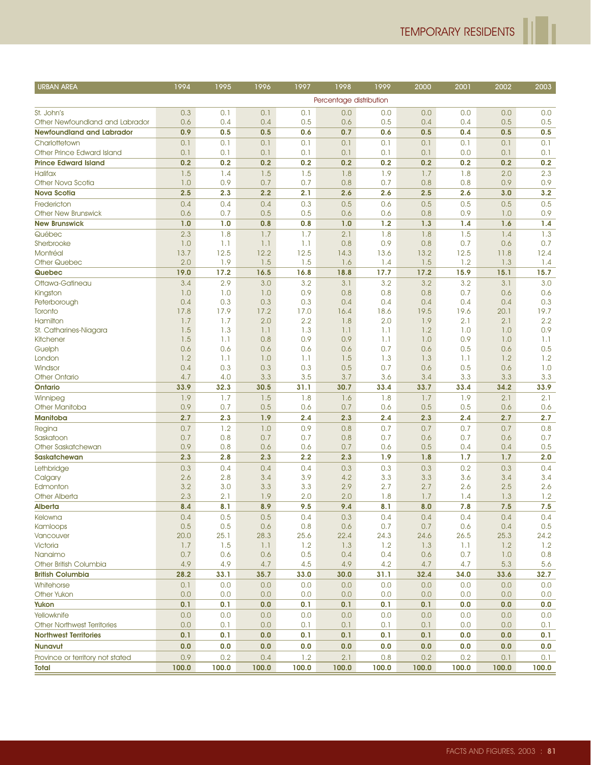ľ

| <b>URBAN AREA</b>                         | 1994         | 1995         | 1996         | 1997         | 1998                    | 1999         | 2000         | 2001         | 2002         | 2003         |
|-------------------------------------------|--------------|--------------|--------------|--------------|-------------------------|--------------|--------------|--------------|--------------|--------------|
|                                           |              |              |              |              | Percentage distribution |              |              |              |              |              |
| St. John's                                | 0.3          | 0.1          | 0.1          | 0.1          | 0.0                     | 0.0          | 0.0          | 0.0          | 0.0          | 0.0          |
| Other Newfoundland and Labrador           | 0.6          | 0.4          | 0.4          | 0.5          | 0.6                     | 0.5          | 0.4          | 0.4          | 0.5          | 0.5          |
| <b>Newfoundland and Labrador</b>          | 0.9          | 0.5          | 0.5          | 0.6          | 0.7                     | 0.6          | 0.5          | 0.4          | 0.5          | 0.5          |
| Charlottetown                             | 0.1          | 0.1          | 0.1          | 0.1          | 0.1                     | 0.1          | 0.1          | 0.1          | 0.1          | 0.1          |
| Other Prince Edward Island                | 0.1          | 0.1          | 0.1          | 0.1          | 0.1                     | 0.1          | 0.1          | 0.0          | 0.1          | 0.1          |
| <b>Prince Edward Island</b>               | 0.2          | 0.2          | 0.2          | 0.2          | 0.2                     | 0.2          | 0.2          | 0.2          | 0.2          | 0.2          |
| <b>Halifax</b>                            | 1.5          | 1.4          | 1.5          | 1.5          | 1.8                     | 1.9          | 1.7          | 1.8          | 2.0          | 2.3          |
| Other Nova Scotia                         | 1.0          | 0.9          | 0.7          | 0.7          | 0.8                     | 0.7          | 0.8          | 0.8          | 0.9          | 0.9          |
| <b>Nova Scotia</b>                        | 2.5          | 2.3          | 2.2          | 2.1          | 2.6                     | 2.6          | 2.5          | 2.6          | 3.0          | 3.2          |
| Fredericton                               | 0.4          | 0.4          | 0.4          | 0.3          | 0.5                     | 0.6          | 0.5          | 0.5          | 0.5          | 0.5          |
| <b>Other New Brunswick</b>                | 0.6          | 0.7          | 0.5          | 0.5          | 0.6                     | 0.6          | 0.8          | 0.9          | 1.0          | 0.9          |
| <b>New Brunswick</b>                      | 1.0          | 1.0          | 0.8          | 0.8          | 1.0                     | 1.2          | 1.3          | 1.4          | 1.6          | 1.4          |
| Québec                                    | 2.3          | 1.8          | 1.7          | 1.7          | 2.1                     | 1.8          | 1.8          | 1.5          | 1.4          | 1.3          |
| Sherbrooke                                | 1.0          | 1.1          | 1.1          | 1.1          | 0.8                     | 0.9          | 0.8          | 0.7          | 0.6          | 0.7          |
| Montréal                                  | 13.7         | 12.5         | 12.2         | 12.5         | 14.3                    | 13.6         | 13.2         | 12.5         | 11.8         | 12.4         |
| <b>Other Quebec</b>                       | 2.0          | 1.9          | 1.5          | 1.5          | 1.6                     | 1.4          | 1.5          | 1.2          | 1.3          | 1.4          |
| Quebec                                    | 19.0         | 17.2         | 16.5         | 16.8         | 18.8                    | 17.7         | 17.2         | 15.9         | 15.1         | 15.7         |
| Ottawa-Gatineau                           | 3.4          | 2.9          | 3.0          | 3.2          | 3.1                     | 3.2          | 3.2          | 3.2          | 3.1          | 3.0          |
| Kingston<br>Peterborough                  | 1.0<br>0.4   | 1.0<br>0.3   | 1.0<br>0.3   | 0.9<br>0.3   | 0.8<br>0.4              | 0.8<br>0.4   | 0.8<br>0.4   | 0.7<br>0.4   | 0.6<br>0.4   | 0.6<br>0.3   |
| Toronto                                   | 17.8         | 17.9         | 17.2         | 17.0         | 16.4                    | 18.6         | 19.5         | 19.6         | 20.1         | 19.7         |
| Hamilton                                  | 1.7          | 1.7          | 2.0          | 2.2          | 1.8                     | 2.0          | 1.9          | 2.1          | 2.1          | 2.2          |
| St. Catharines-Niagara                    | 1.5          | 1.3          | 1.1          | 1.3          | 1.1                     | 1.1          | 1.2          | 1.0          | 1.0          | 0.9          |
| Kitchener                                 | 1.5          | 1.1          | 0.8          | 0.9          | 0.9                     | 1.1          | 1.0          | 0.9          | 1.0          | 1.1          |
| Guelph                                    | 0.6          | 0.6          | 0.6          | 0.6          | 0.6                     | 0.7          | 0.6          | 0.5          | 0.6          | 0.5          |
| London                                    | 1.2          | 1.1          | 1.0          | 1.1          | 1.5                     | 1.3          | 1.3          | 1.1          | 1.2          | 1.2          |
| Windsor                                   | 0.4          | 0.3          | 0.3          | 0.3          | 0.5                     | 0.7          | 0.6          | 0.5          | 0.6          | 1.0          |
| <b>Other Ontario</b>                      | 4.7          | 4.0          | 3.3          | 3.5          | 3.7                     | 3.6          | 3.4          | 3.3          | 3.3          | 3.3          |
| <b>Ontario</b>                            | 33.9         | 32.3         | 30.5         | 31.1         | 30.7                    | 33.4         | 33.7         | 33.4         | 34.2         | 33.9         |
| Winnipeg                                  | 1.9          | 1.7          | 1.5          | 1.8          | 1.6                     | 1.8          | 1.7          | 1.9          | 2.1          | 2.1          |
| Other Manitoba                            | 0.9          | 0.7          | 0.5          | 0.6          | 0.7                     | 0.6          | 0.5          | 0.5          | 0.6          | 0.6          |
| <b>Manitoba</b>                           | 2.7          | 2.3          | 1.9          | 2.4          | 2.3                     | 2.4          | 2.3          | 2.4          | 2.7          | 2.7          |
| Regina                                    | 0.7          | 1.2          | 1.0          | 0.9          | 0.8                     | 0.7          | 0.7          | 0.7          | 0.7          | 0.8          |
| Saskatoon                                 | 0.7          | 0.8          | 0.7          | 0.7          | 0.8                     | 0.7          | 0.6          | 0.7          | 0.6          | 0.7          |
| Other Saskatchewan<br><b>Saskatchewan</b> | 0.9<br>2.3   | 0.8<br>2.8   | 0.6<br>2.3   | 0.6<br>2.2   | 0.7<br>2.3              | 0.6<br>1.9   | 0.5<br>1.8   | 0.4<br>1.7   | 0.4<br>1.7   | 0.5<br>2.0   |
| Lethbridge                                | 0.3          | 0.4          | 0.4          | 0.4          | 0.3                     | 0.3          | 0.3          | 0.2          | 0.3          | 0.4          |
| Calgary                                   | 2.6          | 2.8          | 3.4          | 3.9          | 4.2                     | 3.3          | 3.3          | 3.6          | 3.4          | 3.4          |
| Edmonton                                  | 3.2          | 3.0          | 3.3          | 3.3          | 2.9                     | 2.7          | 2.7          | 2.6          | 2.5          | 2.6          |
| <b>Other Alberta</b>                      | 2.3          | 2.1          | 1.9          | 2.0          | 2.0                     | 1.8          | 1.7          | 1.4          | 1.3          | 1.2          |
| Alberta                                   | 8.4          | 8.1          | 8.9          | 9.5          | 9.4                     | 8.1          | 8.0          | 7.8          | 7.5          | 7.5          |
| Kelowna                                   | 0.4          | 0.5          | 0.5          | 0.4          | 0.3                     | 0.4          | 0.4          | 0.4          | 0.4          | 0.4          |
| Kamloops                                  | 0.5          | 0.5          | 0.6          | 0.8          | 0.6                     | 0.7          | 0.7          | 0.6          | 0.4          | 0.5          |
| Vancouver                                 | 20.0         | 25.1         | 28.3         | 25.6         | 22.4                    | 24.3         | 24.6         | 26.5         | 25.3         | 24.2         |
| Victoria                                  | 1.7          | 1.5          | 1.1          | 1.2          | 1.3                     | 1.2          | 1.3          | 1.1          | 1.2          | 1.2          |
| Nanaimo                                   | 0.7          | 0.6          | 0.6          | 0.5          | 0.4                     | 0.4          | 0.6          | 0.7          | 1.0          | 0.8          |
| Other British Columbia                    | 4.9          | 4.9          | 4.7          | 4.5          | 4.9                     | 4.2          | 4.7          | 4.7          | 5.3          | 5.6          |
| <b>British Columbia</b>                   | 28.2         | 33.1         | 35.7         | 33.0         | 30.0                    | 31.1         | 32.4         | 34.0         | 33.6         | 32.7         |
| Whitehorse                                | 0.1          | 0.0          | 0.0          | 0.0          | 0.0                     | 0.0          | 0.0          | 0.0          | 0.0          | 0.0          |
| Other Yukon                               | 0.0          | 0.0          | 0.0          | 0.0          | 0.0                     | 0.0          | 0.0          | 0.0          | 0.0          | 0.0          |
| Yukon                                     | 0.1          | 0.1          | 0.0          | 0.1          | 0.1                     | 0.1          | 0.1          | 0.0          | 0.0          | 0.0          |
| Yellowknife                               | 0.0          | 0.0          | 0.0          | 0.0          | 0.0                     | 0.0          | 0.0          | 0.0          | 0.0          | 0.0          |
| <b>Other Northwest Territories</b>        | 0.0          | 0.1          | 0.0          | 0.1          | 0.1                     | 0.1          | 0.1          | 0.0          | 0.0          | 0.1          |
| <b>Northwest Territories</b>              | 0.1          | 0.1          | 0.0          | 0.1          | 0.1                     | 0.1          | 0.1          | 0.0          | 0.0          | 0.1          |
| <b>Nunavut</b>                            | 0.0          | 0.0          | 0.0          | 0.0          | 0.0                     | 0.0          | 0.0          | 0.0          | 0.0          | 0.0          |
| Province or territory not stated<br>Total | 0.9<br>100.0 | 0.2<br>100.0 | 0.4<br>100.0 | 1.2<br>100.0 | 2.1<br>100.0            | 0.8<br>100.0 | 0.2<br>100.0 | 0.2<br>100.0 | 0.1<br>100.0 | 0.1<br>100.0 |
|                                           |              |              |              |              |                         |              |              |              |              |              |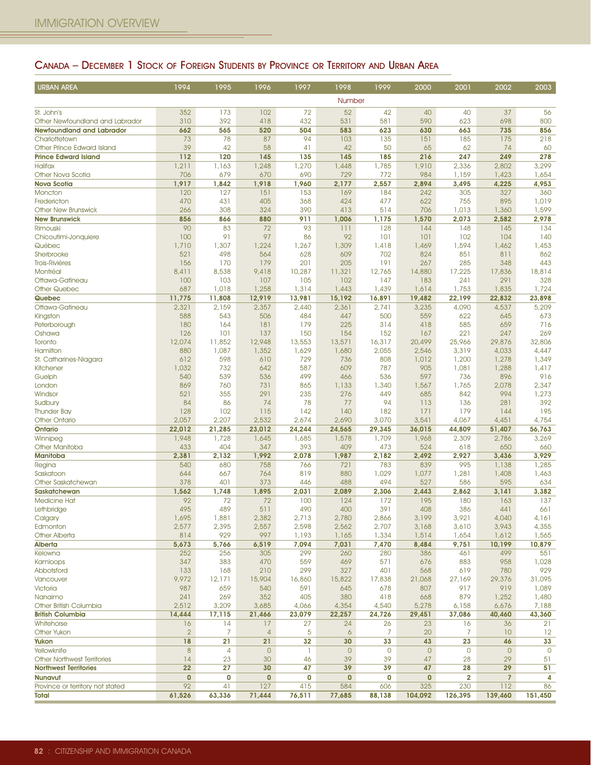## CANADA – DECEMBER 1 STOCK OF FOREIGN STUDENTS BY PROVINCE OR TERRITORY AND URBAN AREA

| <b>URBAN AREA</b>                             | 1994            | 1995            | 1996            | 1997            | 1998            | 1999            | 2000            | 2001                    | 2002            | 2003            |
|-----------------------------------------------|-----------------|-----------------|-----------------|-----------------|-----------------|-----------------|-----------------|-------------------------|-----------------|-----------------|
|                                               |                 |                 |                 |                 | Number          |                 |                 |                         |                 |                 |
| St. John's                                    | 352             | 173             | 102             | 72              | 52              | 42              | 40              | 40                      | 37              | 56              |
| Other Newfoundland and Labrador               | 310             | 392             | 418             | 432             | 531             | 581             | 590             | 623                     | 698             | 800             |
| <b>Newfoundland and Labrador</b>              | 662             | 565             | 520             | 504             | 583             | 623             | 630             | 663                     | 735             | 856             |
| Charlottetown                                 | 73              | 78              | 87              | 94              | 103             | 135             | 151             | 185                     | 175             | 218             |
| Other Prince Edward Island                    | 39              | 42              | 58              | 41              | 42              | 50              | 65              | 62                      | 74              | 60              |
| <b>Prince Edward Island</b><br><b>Halifax</b> | 112             | 120             | 145             | 135             | 145             | 185             | 216             | 247                     | 249             | 278<br>3,299    |
| Other Nova Scotia                             | 1,211<br>706    | 1,163<br>679    | 1,248<br>670    | 1,270<br>690    | 1,448<br>729    | 1,785<br>772    | 1,910<br>984    | 2,336<br>1,159          | 2,802<br>1,423  | 1,654           |
| <b>Nova Scotia</b>                            | 1,917           | 1,842           | 1,918           | 1,960           | 2,177           | 2,557           | 2,894           | 3,495                   | 4,225           | 4,953           |
| Moncton                                       | 120             | 127             | 151             | 153             | 169             | 184             | 242             | 305                     | 327             | 360             |
| Fredericton                                   | 470             | 431             | 405             | 368             | 424             | 477             | 622             | 755                     | 895             | 1,019           |
| <b>Other New Brunswick</b>                    | 266             | 308             | 324             | 390             | 413             | 514             | 706             | 1,013                   | 1,360           | 1,599           |
| <b>New Brunswick</b>                          | 856             | 866             | 880             | 911             | 1,006           | 1,175           | 1,570           | 2,073                   | 2,582           | 2,978           |
| Rimouski                                      | 90              | 83              | 72              | 93              | 111             | 128             | 144             | 148                     | 145             | 134             |
| Chicoutimi-Jonquiere                          | 100             | 91              | 97              | 86              | 92              | 101             | 101             | 102                     | 104             | 140             |
| Québec<br>Sherbrooke                          | 1,710<br>521    | 1,307<br>498    | 1,224           | 1,267<br>628    | 1,309<br>609    | 1,418<br>702    | 1,469<br>824    | 1,594<br>851            | 1,462<br>811    | 1,453<br>862    |
| <b>Trois-Rivières</b>                         | 156             | 170             | 564<br>179      | 201             | 205             | 191             | 267             | 285                     | 348             | 443             |
| Montréal                                      | 8,411           | 8,538           | 9,418           | 10,287          | 11,321          | 12,765          | 14,880          | 17,225                  | 17,836          | 18,814          |
| Ottawa-Gatineau                               | 100             | 103             | 107             | 105             | 102             | 147             | 183             | 241                     | 291             | 328             |
| <b>Other Quebec</b>                           | 687             | 1,018           | 1,258           | 1,314           | 1,443           | 1,439           | 1,614           | 1,753                   | 1,835           | 1,724           |
| Quebec                                        | 11,775          | 11,808          | 12,919          | 13,981          | 15,192          | 16,891          | 19,482          | 22,199                  | 22,832          | 23,898          |
| Ottawa-Gatineau                               | 2,321           | 2,159           | 2,357           | 2,440           | 2,361           | 2,741           | 3,235           | 4,090                   | 4,537           | 5,209           |
| Kingston                                      | 588             | 543             | 506             | 484             | 447             | 500             | 559             | 622                     | 645             | 673             |
| Peterborough                                  | 180             | 164             | 181             | 179             | 225             | 314             | 418             | 585                     | 659             | 716             |
| Oshawa                                        | 126             | 101             | 137             | 150             | 154             | 152             | 167             | 221                     | 247             | 269             |
| Toronto<br>Hamilton                           | 12,074<br>880   | 11,852<br>1,087 | 12,948<br>1,352 | 13,553<br>1,629 | 13,571<br>1,680 | 16,317<br>2,055 | 20,499<br>2,546 | 25,966<br>3,319         | 29,876<br>4,033 | 32,806<br>4,447 |
| St. Catharines-Niagara                        | 612             | 598             | 610             | 729             | 736             | 808             | 1,012           | 1,200                   | 1,278           | 1,349           |
| Kitchener                                     | 1,032           | 732             | 642             | 587             | 609             | 787             | 905             | 1,081                   | 1,288           | 1,417           |
| Guelph                                        | 540             | 539             | 536             | 499             | 466             | 536             | 597             | 736                     | 896             | 916             |
| London                                        | 869             | 760             | 731             | 865             | 1,133           | 1,340           | 1,567           | 1,765                   | 2,078           | 2,347           |
| Windsor                                       | 521             | 355             | 291             | 235             | 276             | 449             | 685             | 842                     | 994             | 1,273           |
| Sudbury                                       | 84              | 86              | 74              | 78              | 77              | 94              | 113             | 136                     | 281             | 392             |
| <b>Thunder Bay</b>                            | 128             | 102             | 115             | 142             | 140             | 182             | 171             | 179                     | 144             | 195             |
| <b>Other Ontario</b><br>Ontario               | 2,057<br>22,012 | 2,207<br>21,285 | 2,532<br>23,012 | 2,674<br>24,244 | 2,690<br>24,565 | 3,070<br>29,345 | 3,541<br>36,015 | 4,067<br>44,809         | 4,451<br>51,407 | 4,754<br>56,763 |
| Winnipeg                                      | 1,948           | 1,728           | 1,645           | 1,685           | 1,578           | 1,709           | 1,968           | 2,309                   | 2,786           | 3,269           |
| Other Manitoba                                | 433             | 404             | 347             | 393             | 409             | 473             | 524             | 618                     | 650             | 660             |
| Manitoba                                      | 2,381           | 2,132           | 1,992           | 2,078           | 1,987           | 2,182           | 2,492           | 2,927                   | 3,436           | 3,929           |
| Regina                                        | 540             | 680             | 758             | 766             | 721             | 783             | 839             | 995                     | 1,138           | 1,285           |
| Saskatoon                                     | 644             | 667             | 764             | 819             | 880             | 1,029           | 1,077           | 1,281                   | 1,408           | 1,463           |
| Other Saskatchewan                            | 378             | 401             | 373             | 446             | 488             | 494             | 527             | 586                     | 595             | 634             |
| Saskatchewan                                  | 1,562           | 1,748           | 1,895           | 2,031           | 2,089           | 2,306           | 2,443           | 2,862                   | 3,141           | 3,382           |
| <b>Medicine Hat</b>                           | 92              | 72              | 72              | 100             | 124             | 172             | 195             | 180                     | 163             | 137             |
| Lethbridge<br>Calgary                         | 495             | 489<br>1,881    | 511<br>2,382    | 490             | 400<br>2,780    | 391<br>2,866    | 408<br>3,199    | 386<br>3,921            | 441<br>4,040    | 661<br>4,161    |
| Edmonton                                      | 1,695<br>2,577  | 2,395           | 2,557           | 2,713<br>2,598  | 2,562           | 2,707           | 3,168           | 3,610                   | 3,943           | 4,355           |
| <b>Other Alberta</b>                          | 814             | 929             | 997             | 1,193           | 1,165           | 1,334           | 1,514           | 1,654                   | 1,612           | 1,565           |
| <b>Alberta</b>                                | 5,673           | 5,766           | 6,519           | 7,094           | 7,031           | 7,470           | 8,484           | 9,751                   | 10,199          | 10,879          |
| Kelowna                                       | 252             | 256             | 305             | 299             | 260             | 280             | 386             | 461                     | 499             | 551             |
| Kamloops                                      | 347             | 383             | 470             | 559             | 469             | 571             | 676             | 883                     | 958             | 1,028           |
| Abbotsford                                    | 133             | 168             | 210             | 299             | 327             | 401             | 568             | 619                     | 780             | 929             |
| Vancouver                                     | 9,972           | 12,171          | 15,904          | 16,860          | 15,822          | 17,838          | 21,068          | 27,169                  | 29,376          | 31,095          |
| Victoria                                      | 987             | 659             | 540             | 591             | 645             | 678             | 807             | 917                     | 919             | 1,089           |
| Nanaimo<br>Other British Columbia             | 241<br>2,512    | 269<br>3,209    | 352<br>3,685    | 405<br>4,066    | 380<br>4,354    | 418<br>4,540    | 668<br>5,278    | 879<br>6,158            | 1,252<br>6,676  | 1,480<br>7,188  |
| <b>British Columbia</b>                       | 14,444          | 17,115          | 21,466          | 23,079          | 22,257          | 24,726          | 29,451          | 37,086                  | 40,460          | 43,360          |
| Whitehorse                                    | 16              | 14              | 17              | 27              | 24              | 26              | 23              | 16                      | 36              | 21              |
| Other Yukon                                   | $\overline{2}$  | $\overline{7}$  | $\overline{4}$  | 5               | $\ddot{\circ}$  | $\overline{7}$  | 20              | 7                       | 10              | 12              |
| Yukon                                         | 18              | 21              | 21              | 32              | 30              | 33              | 43              | 23                      | 46              | 33              |
| Yellowknife                                   | $\,8\,$         | $\overline{4}$  | $\circ$         | -1              | $\circ$         | $\mathbf 0$     | $\circ$         | $\mathbf 0$             | $\circ$         | $\overline{0}$  |
| <b>Other Northwest Territories</b>            | 14              | 23              | 30              | 46              | 39              | 39              | 47              | 28                      | 29              | 51              |
| <b>Northwest Territories</b>                  | $\overline{22}$ | 27              | 30              | 47              | 39              | 39              | 47              | 28                      | 29              | 51              |
| <b>Nunavut</b>                                | $\mathbf{0}$    | 0               | $\mathbf 0$     | 0               | $\bf{0}$        | 0               | 0               | $\overline{\mathbf{2}}$ | $\overline{7}$  | 4               |
| Province or territory not stated              | 92              | 41              | 127             | 415             | 584             | 606             | 325             | 230                     | 112             | 86              |
| Total                                         | 61,526          | 63,336          | 71,444          | 76,511          | 77,685          | 88,138          | 104,092         | 126,395                 | 139,460         | 151,450         |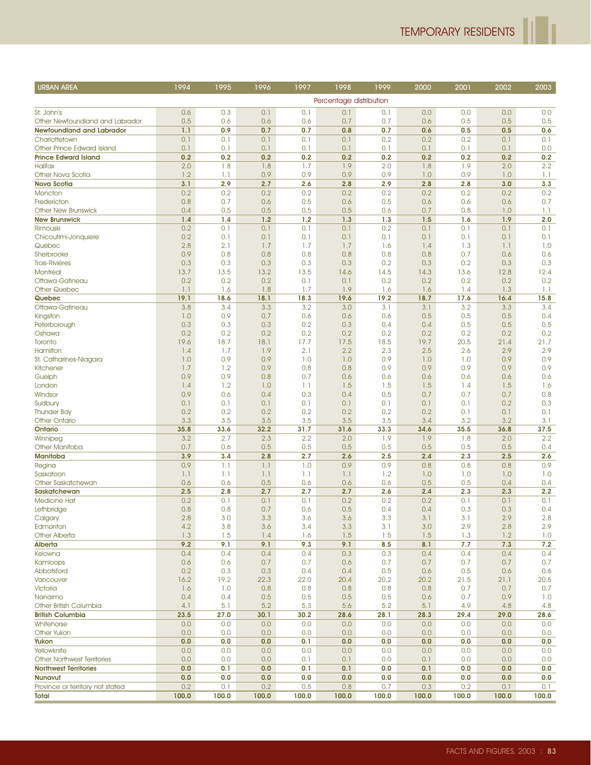| <b>URBAN AREA</b>                             | 1994       | 1995       | 1996       | 1997       | 1998                    | 1999       | 2000       | 2001       | 2002       | 2003       |
|-----------------------------------------------|------------|------------|------------|------------|-------------------------|------------|------------|------------|------------|------------|
|                                               |            |            |            |            | Percentage distribution |            |            |            |            |            |
|                                               |            |            |            |            |                         |            |            |            |            |            |
| St. John's<br>Other Newfoundland and Labrador | 0.6<br>0.5 | 0.3<br>0.6 | 0.1<br>0.6 | 0.1<br>0.6 | 0.1<br>0.7              | 0.1<br>0.7 | 0.0<br>0.6 | 0.0<br>0.5 | 0.0<br>0.5 | 0.0<br>0.5 |
| <b>Newfoundland and Labrador</b>              | 1.1        | 0.9        | 0.7        | 0.7        | 0.8                     | 0.7        | 0.6        | 0.5        | 0.5        | 0.6        |
| Charlottetown                                 | 0.1        | 0.1        | 0.1        | 0.1        | 0.1                     | 0.2        | 0.2        | 0.2        | 0.1        | 0.1        |
| Other Prince Edward Island                    | 0.1        | 0.1        | 0.1        | 0.1        | 0.1                     | 0.1        | 0.1        | 0.1        | 0.1        | 0.0        |
| <b>Prince Edward Island</b>                   | 0.2        | 0.2        | 0.2        | 0.2        | 0.2                     | 0.2        | 0.2        | 0.2        | 0.2        | 0.2        |
| <b>Halifax</b>                                | 2.0        | 1.8        | 1.8        | 1.7        | 1.9                     | 2.0        | 1.8        | 1.9        | 2.0        | 2.2        |
| Other Nova Scotia                             | 1.2        | 1.1        | 0.9        | 0.9        | 0.9                     | 0.9        | 1.0        | 0.9        | 1.0        | 1.1        |
| <b>Nova Scotia</b>                            | 3.1        | 2.9        | 2.7        | 2.6        | 2.8                     | 2.9        | 2.8        | 2.8        | 3.0        | 3.3        |
| Moncton                                       | 0.2        | 0.2        | 0.2        | 0.2        | 0.2                     | 0.2        | 0.2        | 0.2        | 0.2        | 0.2        |
| Fredericton                                   | 0.8        | 0.7        | 0.6        | 0.5        | 0.6                     | 0.5        | 0.6        | 0.6        | 0.6        | 0.7        |
| <b>Other New Brunswick</b>                    | 0.4        | 0.5        | 0.5        | 0.5        | 0.5                     | 0.6        | 0.7        | 0.8        | 1.0        | 1.1        |
| <b>New Brunswick</b>                          | 1.4        | 1.4        | 1.2        | 1.2        | 1.3                     | 1.3        | 1.5        | 1.6        | 1.9        | 2.0        |
| Rimouski                                      | 0.2        | 0.1        | 0.1        | 0.1        | 0.1                     | 0.2        | 0.1        | 0.1        | 0.1        | 0.1        |
| Chicoutimi-Jonquiere                          | 0.2        | 0.1        | 0.1        | 0.1        | 0.1                     | 0.1        | 0.1        | 0.1        | 0.1        | 0.1        |
| Québec                                        | 2.8        | 2.1        | 1.7        | 1.7        | 1.7                     | 1.6        | 1.4        | 1.3        | 1.1        | 1.0        |
| Sherbrooke                                    | 0.9        | 0.8        | 0.8        | 0.8        | 0.8                     | 0.8        | 0.8        | 0.7        | 0.6        | 0.6        |
| <b>Trois-Rivières</b>                         | 0.3        | 0.3        | 0.3        | 0.3        | 0.3                     | 0.2        | 0.3        | 0.2        | 0.3        | 0.3        |
| Montréal                                      | 13.7       | 13.5       | 13.2       | 13.5       | 14.6                    | 14.5       | 14.3       | 13.6       | 12.8       | 12.4       |
| Ottawa-Gatineau                               | 0.2        | 0.2        | 0.2        | 0.1        | 0.1                     | 0.2        | 0.2        | 0.2        | 0.2        | 0.2        |
| Other Quebec                                  | 1.1        | 1.6        | 1.8        | 1.7        | 1.9                     | 1.6        | 1.6        | 1.4        | 1.3        | 1.1        |
| Quebec                                        | 19.1       | 18.6       | 18.1       | 18.3       | 19.6                    | 19.2       | 18.7       | 17.6       | 16.4       | 15.8       |
| Ottawa-Gatineau                               | 3.8        | 3.4        | 3.3        | 3.2        | 3.0                     | 3.1        | 3.1        | 3.2        | 3.3        | 3.4        |
| Kingston                                      | 1.0        | 0.9        | 0.7        | 0.6        | 0.6                     | 0.6        | 0.5        | 0.5        | 0.5        | 0.4        |
| Peterborough<br>Oshawa                        | 0.3<br>0.2 | 0.3<br>0.2 | 0.3<br>0.2 | 0.2<br>0.2 | 0.3<br>0.2              | 0.4<br>0.2 | 0.4<br>0.2 | 0.5<br>0.2 | 0.5<br>0.2 | 0.5<br>0.2 |
| Toronto                                       | 19.6       | 18.7       | 18.1       | 17.7       | 17.5                    | 18.5       | 19.7       | 20.5       | 21.4       | 21.7       |
| Hamilton                                      | 1.4        | 1.7        | 1.9        | 2.1        | 2.2                     | 2.3        | 2.5        | 2.6        | 2.9        | 2.9        |
| St. Catharines-Niagara                        | 1.0        | 0.9        | 0.9        | 1.0        | 1.0                     | 0.9        | 1.0        | 1.0        | 0.9        | 0.9        |
| Kitchener                                     | 1.7        | 1.2        | 0.9        | 0.8        | 0.8                     | 0.9        | 0.9        | 0.9        | 0.9        | 0.9        |
| Guelph                                        | 0.9        | 0.9        | 0.8        | 0.7        | 0.6                     | 0.6        | 0.6        | 0.6        | 0.6        | 0.6        |
| London                                        | 1.4        | 1.2        | 1.0        | 1.1        | 1.5                     | 1.5        | 1.5        | 1.4        | 1.5        | 1.6        |
| Windsor                                       | 0.9        | 0.6        | 0.4        | 0.3        | 0.4                     | 0.5        | 0.7        | 0.7        | 0.7        | 0.8        |
| Sudbury                                       | 0.1        | 0.1        | 0.1        | 0.1        | 0.1                     | 0.1        | 0.1        | 0.1        | 0.2        | 0.3        |
| <b>Thunder Bay</b>                            | 0.2        | 0.2        | 0.2        | 0.2        | 0.2                     | 0.2        | 0.2        | 0.1        | 0.1        | 0.1        |
| <b>Other Ontario</b>                          | 3.3        | 3.5        | 3.5        | 3.5        | 3.5                     | 3.5        | 3.4        | 3.2        | 3.2        | 3.1        |
| Ontario                                       | 35.8       | 33.6       | 32.2       | 31.7       | 31.6                    | 33.3       | 34.6       | 35.5       | 36.8       | 37.5       |
| Winnipeg                                      | 3.2        | 2.7        | 2.3        | 2.2        | 2.0                     | 1.9        | 1.9        | 1.8        | 2.0        | 2.2        |
| Other Manitoba                                | 0.7        | 0.6        | 0.5        | 0.5        | 0.5                     | 0.5        | 0.5        | 0.5        | 0.5        | 0.4        |
| <b>Manitoba</b>                               | 3.9        | 3.4        | 2.8        | 2.7        | 2.6                     | 2.5        | 2.4        | 2.3        | 2.5        | 2.6        |
| Regina                                        | 0.9        | 1.1        | 1.1        | 1.0        | 0.9                     | 0.9        | 0.8        | 0.8        | 0.8        | 0.9        |
| Saskatoon                                     | 1.1        | 1.1        | 1.1        | 1.1        | 1.1                     | 1.2        | 1.0        | 1.0        | 1.0        | 1.0        |
| Other Saskatchewan                            | 0.6        | 0.6<br>2.8 | 0.5<br>2.7 | 0.6        | 0.6                     | 0.6        | 0.5        | 0.5        | 0.4        | 0.4<br>2.2 |
| Saskatchewan<br><b>Medicine Hat</b>           | 2.5<br>0.2 | 0.1        | 0.1        | 2.7<br>0.1 | 2.7                     | 2.6        | 2.4        | 2.3<br>0.1 | 2.3<br>0.1 | 0.1        |
| Lethbridge                                    | 0.8        | 0.8        | 0.7        | 0.6        | 0.2<br>0.5              | 0.2<br>0.4 | 0.2<br>0.4 | 0.3        | 0.3        | 0.4        |
| Calgary                                       | $2.8\,$    | 3.0        | 3.3        | 3.6        | 3.6                     | 3.3        | 3.1        | 3.1        | 2.9        | $2.8\,$    |
| Edmonton                                      | 4.2        | 3.8        | 3.6        | 3.4        | 3.3                     | 3.1        | 3.0        | 2.9        | 2.8        | 2.9        |
| <b>Other Alberta</b>                          | 1.3        | 1.5        | 1.4        | 1.6        | 1.5                     | 1.5        | 1.5        | 1.3        | 1.2        | 1.0        |
| Alberta                                       | 9.2        | 9.1        | 9.1        | 9.3        | 9.1                     | 8.5        | 8.1        | 7.7        | 7.3        | 7.2        |
| Kelowna                                       | 0.4        | 0.4        | 0.4        | 0.4        | 0.3                     | 0.3        | 0.4        | 0.4        | 0.4        | 0.4        |
| Kamloops                                      | 0.6        | 0.6        | 0.7        | 0.7        | 0.6                     | 0.7        | 0.7        | 0.7        | 0.7        | 0.7        |
| Abbotsford                                    | 0.2        | 0.3        | 0.3        | 0.4        | 0.4                     | 0.5        | 0.6        | 0.5        | 0.6        | 0.6        |
| Vancouver                                     | 16.2       | 19.2       | 22.3       | 22.0       | 20.4                    | 20.2       | 20.2       | 21.5       | 21.1       | 20.5       |
| Victoria                                      | 1.6        | 1.0        | 0.8        | 0.8        | 0.8                     | 0.8        | 0.8        | 0.7        | 0.7        | 0.7        |
| Nanaimo                                       | 0.4        | 0.4        | 0.5        | 0.5        | 0.5                     | 0.5        | 0.6        | 0.7        | 0.9        | 1.0        |
| Other British Columbia                        | 4.1        | 5.1        | 5.2        | 5.3        | 5.6                     | 5.2        | 5.1        | 4.9        | 4.8        | 4.8        |
| <b>British Columbia</b>                       | 23.5       | 27.0       | 30.1       | 30.2       | 28.6                    | 28.1       | 28.3       | 29.4       | 29.0       | 28.6       |
| Whitehorse                                    | 0.0        | 0.0        | 0.0        | 0.0        | 0.0                     | 0.0        | 0.0        | 0.0        | 0.0        | 0.0        |
| <b>Other Yukon</b>                            | 0.0        | 0.0        | 0.0        | 0.0        | 0.0                     | 0.0        | 0.0        | 0.0        | 0.0        | 0.0        |
| Yukon                                         | 0.0        | 0.0        | 0.0        | 0.1        | 0.0                     | 0.0        | 0.0        | 0.0        | 0.0        | 0.0        |
| Yellowknife                                   | 0.0        | 0.0        | 0.0        | 0.0        | 0.0                     | 0.0        | 0.0        | 0.0        | 0.0        | 0.0        |
| <b>Other Northwest Territories</b>            | 0.0        | 0.0        | 0.0        | 0.1        | 0.1                     | 0.0        | 0.1        | 0.0        | 0.0        | 0.0        |
| <b>Northwest Territories</b>                  | 0.0        | 0.1        | 0.0        | 0.1        | 0.1                     | 0.0        | 0.1        | 0.0        | 0.0        | 0.0        |
| Nunavut                                       | 0.0        | 0.0        | 0.0        | 0.0        | 0.0                     | 0.0        | 0.0        | 0.0        | 0.0        | 0.0        |
| Province or territory not stated              | 0.2        | 0.1        | 0.2        | 0.5        | 0.8                     | 0.7        | 0.3        | 0.2        | 0.1        | 0.1        |
| Total                                         | 100.0      | 100.0      | 100.0      | 100.0      | 100.0                   | 100.0      | 100.0      | 100.0      | 100.0      | 100.0      |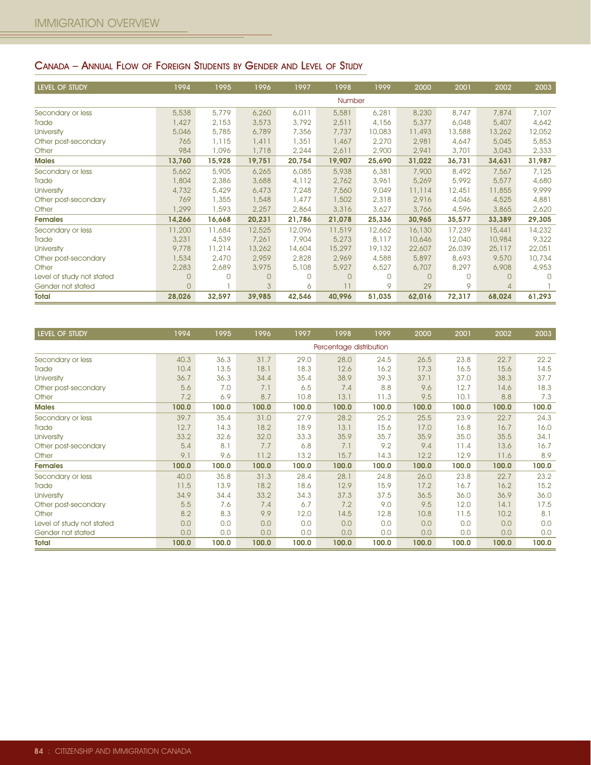## CANADA – ANNUAL FLOW OF FOREIGN STUDENTS BY GENDER AND LEVEL OF STUDY

| LEVEL OF STUDY            | 1994           | 1995   | 1996     | 1997     | 1998     | 1999     | 2000     | 2001        | 2002   | 2003     |
|---------------------------|----------------|--------|----------|----------|----------|----------|----------|-------------|--------|----------|
|                           |                |        |          |          | Number   |          |          |             |        |          |
| Secondary or less         | 5,538          | 5,779  | 6,260    | 6,011    | 5,581    | 6,281    | 8,230    | 8,747       | 7,874  | 7,107    |
| Trade                     | 1,427          | 2,153  | 3,573    | 3,792    | 2,511    | 4,156    | 5,377    | 6,048       | 5,407  | 4,642    |
| <b>University</b>         | 5,046          | 5,785  | 6,789    | 7,356    | 7,737    | 10,083   | 11,493   | 13,588      | 13,262 | 12,052   |
| Other post-secondary      | 765            | 1,115  | 1,411    | 1,351    | 1,467    | 2,270    | 2,981    | 4,647       | 5,045  | 5,853    |
| Other                     | 984            | 1,096  | 1,718    | 2,244    | 2,611    | 2,900    | 2,941    | 3,701       | 3,043  | 2,333    |
| <b>Males</b>              | 13,760         | 15,928 | 19,751   | 20,754   | 19,907   | 25,690   | 31,022   | 36,731      | 34,631 | 31,987   |
| Secondary or less         | 5,662          | 5,905  | 6,265    | 6,085    | 5,938    | 6,381    | 7,900    | 8,492       | 7,567  | 7,125    |
| Trade                     | 1,804          | 2,386  | 3,688    | 4,112    | 2,762    | 3,961    | 5,269    | 5,992       | 5,577  | 4,680    |
| <b>University</b>         | 4,732          | 5,429  | 6,473    | 7,248    | 7,560    | 9,049    | 11,114   | 12,451      | 11,855 | 9,999    |
| Other post-secondary      | 769            | 1,355  | 1,548    | 1,477    | 1,502    | 2,318    | 2,916    | 4,046       | 4,525  | 4,881    |
| Other                     | 1,299          | 1,593  | 2,257    | 2,864    | 3,316    | 3,627    | 3,766    | 4,596       | 3,865  | 2,620    |
| <b>Females</b>            | 14,266         | 16,668 | 20,231   | 21,786   | 21,078   | 25,336   | 30,965   | 35,577      | 33,389 | 29,305   |
| Secondary or less         | 11,200         | 11,684 | 12,525   | 12,096   | 11,519   | 12,662   | 16,130   | 17,239      | 15,441 | 14,232   |
| Trade                     | 3,231          | 4,539  | 7,261    | 7,904    | 5,273    | 8,117    | 10,646   | 12,040      | 10,984 | 9,322    |
| <b>University</b>         | 9,778          | 11,214 | 13,262   | 14,604   | 15,297   | 19,132   | 22,607   | 26,039      | 25,117 | 22,051   |
| Other post-secondary      | 1,534          | 2,470  | 2,959    | 2,828    | 2,969    | 4,588    | 5,897    | 8,693       | 9,570  | 10,734   |
| Other                     | 2,283          | 2,689  | 3,975    | 5,108    | 5,927    | 6,527    | 6,707    | 8,297       | 6,908  | 4,953    |
| Level of study not stated | $\overline{0}$ | O      | $\Omega$ | $\Omega$ | $\Omega$ | $\Omega$ | $\Omega$ | $\mathbf 0$ | 0      | $\Omega$ |
| Gender not stated         | $\Omega$       |        | 3        | 6        | 11       | 9        | 29       | 9           |        |          |
| <b>Total</b>              | 28,026         | 32,597 | 39,985   | 42,546   | 40,996   | 51,035   | 62,016   | 72,317      | 68,024 | 61,293   |

| <b>LEVEL OF STUDY</b>     | 1994  | 1995  | 1996  | 1997  | 1998                    | 1999  | 2000  | 2001  | 2002  | 2003  |
|---------------------------|-------|-------|-------|-------|-------------------------|-------|-------|-------|-------|-------|
|                           |       |       |       |       | Percentage distribution |       |       |       |       |       |
| Secondary or less         | 40.3  | 36.3  | 31.7  | 29.0  | 28.0                    | 24.5  | 26.5  | 23.8  | 22.7  | 22.2  |
| Trade                     | 10.4  | 13.5  | 18.1  | 18.3  | 12.6                    | 16.2  | 17.3  | 16.5  | 15.6  | 14.5  |
| <b>University</b>         | 36.7  | 36.3  | 34.4  | 35.4  | 38.9                    | 39.3  | 37.1  | 37.0  | 38.3  | 37.7  |
| Other post-secondary      | 5.6   | 7.0   | 7.1   | 6.5   | 7.4                     | 8.8   | 9.6   | 12.7  | 14.6  | 18.3  |
| Other                     | 7.2   | 6.9   | 8.7   | 10.8  | 13.1                    | 11.3  | 9.5   | 10.1  | 8.8   | 7.3   |
| <b>Males</b>              | 100.0 | 100.0 | 100.0 | 100.0 | 100.0                   | 100.0 | 100.0 | 100.0 | 100.0 | 100.0 |
| Secondary or less         | 39.7  | 35.4  | 31.0  | 27.9  | 28.2                    | 25.2  | 25.5  | 23.9  | 22.7  | 24.3  |
| Trade                     | 12.7  | 14.3  | 18.2  | 18.9  | 13.1                    | 15.6  | 17.0  | 16.8  | 16.7  | 16.0  |
| <b>University</b>         | 33.2  | 32.6  | 32.0  | 33.3  | 35.9                    | 35.7  | 35.9  | 35.0  | 35.5  | 34.1  |
| Other post-secondary      | 5.4   | 8.1   | 7.7   | 6.8   | 7.1                     | 9.2   | 9.4   | 11.4  | 13.6  | 16.7  |
| Other                     | 9.1   | 9.6   | 11.2  | 13.2  | 15.7                    | 14.3  | 12.2  | 12.9  | 11.6  | 8.9   |
| <b>Females</b>            | 100.0 | 100.0 | 100.0 | 100.0 | 100.0                   | 100.0 | 100.0 | 100.0 | 100.0 | 100.0 |
| Secondary or less         | 40.0  | 35.8  | 31.3  | 28.4  | 28.1                    | 24.8  | 26.0  | 23.8  | 22.7  | 23.2  |
| Trade                     | 11.5  | 13.9  | 18.2  | 18.6  | 12.9                    | 15.9  | 17.2  | 16.7  | 16.2  | 15.2  |
| University                | 34.9  | 34.4  | 33.2  | 34.3  | 37.3                    | 37.5  | 36.5  | 36.0  | 36.9  | 36.0  |
| Other post-secondary      | 5.5   | 7.6   | 7.4   | 6.7   | 7.2                     | 9.0   | 9.5   | 12.0  | 14.1  | 17.5  |
| Other                     | 8.2   | 8.3   | 9.9   | 12.0  | 14.5                    | 12.8  | 10.8  | 11.5  | 10.2  | 8.1   |
| Level of study not stated | 0.0   | 0.0   | 0.0   | 0.0   | 0.0                     | 0.0   | 0.0   | 0.0   | 0.0   | 0.0   |
| Gender not stated         | 0.0   | 0.0   | 0.0   | 0.0   | 0.0                     | 0.0   | 0.0   | 0.0   | 0.0   | 0.0   |
| <b>Total</b>              | 100.0 | 100.0 | 100.0 | 100.0 | 100.0                   | 100.0 | 100.0 | 100.0 | 100.0 | 100.0 |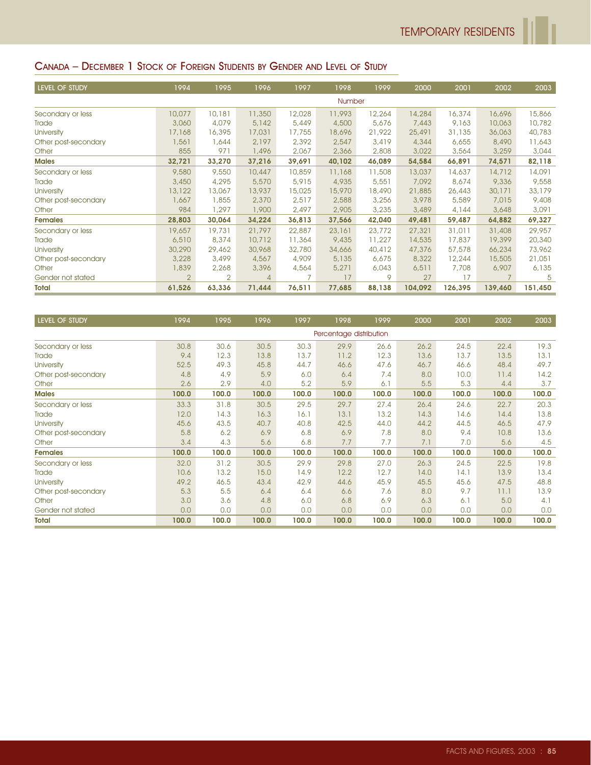# CANADA – DECEMBER 1 STOCK OF FOREIGN STUDENTS BY GENDER AND LEVEL OF STUDY

| <b>LEVEL OF STUDY</b> | 1994   | 1995   | 1996           | 1997   | 1998   | 1999   | 2000    | 2001    | 2002           | 2003    |
|-----------------------|--------|--------|----------------|--------|--------|--------|---------|---------|----------------|---------|
|                       |        |        |                |        | Number |        |         |         |                |         |
| Secondary or less     | 10,077 | 10,181 | 11,350         | 12,028 | 11,993 | 12,264 | 14,284  | 16,374  | 16,696         | 15,866  |
| Trade                 | 3,060  | 4,079  | 5,142          | 5,449  | 4,500  | 5,676  | 7,443   | 9,163   | 10,063         | 10,782  |
| <b>University</b>     | 17,168 | 16,395 | 17,031         | 17,755 | 18,696 | 21,922 | 25,491  | 31,135  | 36,063         | 40,783  |
| Other post-secondary  | 1,561  | 1,644  | 2,197          | 2,392  | 2,547  | 3,419  | 4,344   | 6,655   | 8,490          | 11,643  |
| Other                 | 855    | 971    | 1,496          | 2,067  | 2,366  | 2,808  | 3,022   | 3,564   | 3,259          | 3,044   |
| <b>Males</b>          | 32,721 | 33,270 | 37,216         | 39,691 | 40,102 | 46,089 | 54,584  | 66,891  | 74,571         | 82,118  |
| Secondary or less     | 9,580  | 9,550  | 10,447         | 10,859 | 11,168 | 11,508 | 13,037  | 14,637  | 14,712         | 14,091  |
| Trade                 | 3,450  | 4,295  | 5,570          | 5,915  | 4,935  | 5,551  | 7,092   | 8,674   | 9,336          | 9,558   |
| <b>University</b>     | 13,122 | 13,067 | 13,937         | 15,025 | 15,970 | 18,490 | 21,885  | 26,443  | 30,171         | 33,179  |
| Other post-secondary  | 1,667  | 1,855  | 2,370          | 2,517  | 2,588  | 3,256  | 3,978   | 5,589   | 7,015          | 9,408   |
| Other                 | 984    | 1,297  | 1,900          | 2,497  | 2,905  | 3,235  | 3,489   | 4,144   | 3,648          | 3,091   |
| <b>Females</b>        | 28,803 | 30,064 | 34,224         | 36,813 | 37,566 | 42,040 | 49,481  | 59,487  | 64,882         | 69,327  |
| Secondary or less     | 19,657 | 19,731 | 21,797         | 22,887 | 23,161 | 23,772 | 27,321  | 31,011  | 31,408         | 29,957  |
| Trade                 | 6,510  | 8,374  | 10,712         | 11,364 | 9,435  | 11,227 | 14,535  | 17,837  | 19,399         | 20,340  |
| <b>University</b>     | 30,290 | 29,462 | 30,968         | 32,780 | 34,666 | 40,412 | 47,376  | 57,578  | 66,234         | 73,962  |
| Other post-secondary  | 3,228  | 3,499  | 4,567          | 4,909  | 5,135  | 6,675  | 8,322   | 12,244  | 15,505         | 21,051  |
| Other                 | 1,839  | 2,268  | 3,396          | 4,564  | 5,271  | 6,043  | 6,511   | 7,708   | 6,907          | 6,135   |
| Gender not stated     | 2      | 2      | $\overline{4}$ | 7      | 17     | 9      | 27      | 17      | $\overline{7}$ | 5       |
| <b>Total</b>          | 61,526 | 63,336 | 71,444         | 76,511 | 77,685 | 88,138 | 104,092 | 126,395 | 139,460        | 151,450 |

| LEVEL OF STUDY       | 1994  | 1995  | 1996  | 1997  | 1998                    | 1999  | 2000  | 2001  | 2002  | 2003  |
|----------------------|-------|-------|-------|-------|-------------------------|-------|-------|-------|-------|-------|
|                      |       |       |       |       | Percentage distribution |       |       |       |       |       |
| Secondary or less    | 30.8  | 30.6  | 30.5  | 30.3  | 29.9                    | 26.6  | 26.2  | 24.5  | 22.4  | 19.3  |
| Trade                | 9.4   | 12.3  | 13.8  | 13.7  | 11.2                    | 12.3  | 13.6  | 13.7  | 13.5  | 13.1  |
| <b>University</b>    | 52.5  | 49.3  | 45.8  | 44.7  | 46.6                    | 47.6  | 46.7  | 46.6  | 48.4  | 49.7  |
| Other post-secondary | 4.8   | 4.9   | 5.9   | 6.0   | 6.4                     | 7.4   | 8.0   | 10.0  | 11.4  | 14.2  |
| Other                | 2.6   | 2.9   | 4.0   | 5.2   | 5.9                     | 6.1   | 5.5   | 5.3   | 4.4   | 3.7   |
| <b>Males</b>         | 100.0 | 100.0 | 100.0 | 100.0 | 100.0                   | 100.0 | 100.0 | 100.0 | 100.0 | 100.0 |
| Secondary or less    | 33.3  | 31.8  | 30.5  | 29.5  | 29.7                    | 27.4  | 26.4  | 24.6  | 22.7  | 20.3  |
| Trade                | 12.0  | 14.3  | 16.3  | 16.1  | 13.1                    | 13.2  | 14.3  | 14.6  | 14.4  | 13.8  |
| <b>University</b>    | 45.6  | 43.5  | 40.7  | 40.8  | 42.5                    | 44.0  | 44.2  | 44.5  | 46.5  | 47.9  |
| Other post-secondary | 5.8   | 6.2   | 6.9   | 6.8   | 6.9                     | 7.8   | 8.0   | 9.4   | 10.8  | 13.6  |
| Other                | 3.4   | 4.3   | 5.6   | 6.8   | 7.7                     | 7.7   | 7.1   | 7.0   | 5.6   | 4.5   |
| <b>Females</b>       | 100.0 | 100.0 | 100.0 | 100.0 | 100.0                   | 100.0 | 100.0 | 100.0 | 100.0 | 100.0 |
| Secondary or less    | 32.0  | 31.2  | 30.5  | 29.9  | 29.8                    | 27.0  | 26.3  | 24.5  | 22.5  | 19.8  |
| Trade                | 10.6  | 13.2  | 15.0  | 14.9  | 12.2                    | 12.7  | 14.0  | 14.1  | 13.9  | 13.4  |
| University           | 49.2  | 46.5  | 43.4  | 42.9  | 44.6                    | 45.9  | 45.5  | 45.6  | 47.5  | 48.8  |
| Other post-secondary | 5.3   | 5.5   | 6.4   | 6.4   | 6.6                     | 7.6   | 8.0   | 9.7   | 11.1  | 13.9  |
| Other                | 3.0   | 3.6   | 4.8   | 6.0   | 6.8                     | 6.9   | 6.3   | 6.1   | 5.0   | 4.1   |
| Gender not stated    | 0.0   | 0.0   | 0.0   | 0.0   | 0.0                     | 0.0   | 0.0   | 0.0   | 0.0   | 0.0   |
| <b>Total</b>         | 100.0 | 100.0 | 100.0 | 100.0 | 100.0                   | 100.0 | 100.0 | 100.0 | 100.0 | 100.0 |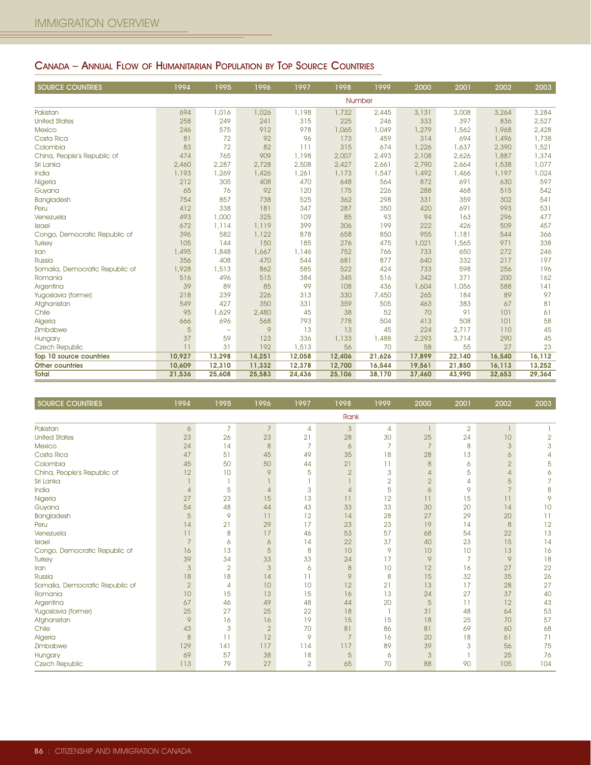## CANADA – ANNUAL FLOW OF HUMANITARIAN POPULATION BY TOP SOURCE COUNTRIES

| <b>SOURCE COUNTRIES</b>         | 1994   | 1995              | 1996   | 1997   | 1998   | 1999   | 2000   | 2001   | 2002   | 2003   |
|---------------------------------|--------|-------------------|--------|--------|--------|--------|--------|--------|--------|--------|
|                                 |        |                   |        |        |        | Number |        |        |        |        |
| Pakistan                        | 694    | 1,016             | 1,026  | 1,198  | 1,732  | 2,445  | 3,131  | 3,008  | 3,264  | 3,284  |
| <b>United States</b>            | 258    | 249               | 241    | 315    | 225    | 246    | 333    | 397    | 836    | 2,527  |
| <b>Mexico</b>                   | 246    | 575               | 912    | 978    | 1,065  | 1,049  | 1,279  | 1,562  | 1,968  | 2,428  |
| Costa Rica                      | 81     | 72                | 92     | 96     | 173    | 459    | 314    | 694    | 1,496  | 1,738  |
| Colombia                        | 83     | 72                | 82     | 111    | 315    | 674    | 1,226  | 1,637  | 2,390  | 1,521  |
| China, People's Republic of     | 474    | 765               | 909    | 1,198  | 2,007  | 2,493  | 2,108  | 2,626  | 1,887  | 1,374  |
| Sri Lanka                       | 2,460  | 2,287             | 2,728  | 2,508  | 2,427  | 2,661  | 2,790  | 2,664  | 1,538  | 1,077  |
| India                           | 1,193  | 1,269             | 1,426  | 1,261  | 1,173  | 1,547  | 1,492  | 1,466  | 1,197  | 1,024  |
| Nigeria                         | 212    | 305               | 408    | 470    | 648    | 564    | 872    | 691    | 630    | 597    |
| Guyana                          | 65     | 76                | 92     | 120    | 175    | 226    | 288    | 468    | 515    | 542    |
| Bangladesh                      | 754    | 857               | 738    | 525    | 362    | 298    | 331    | 359    | 302    | 541    |
| Peru                            | 412    | 338               | 181    | 347    | 287    | 350    | 420    | 691    | 993    | 531    |
| Venezuela                       | 493    | 1,000             | 325    | 109    | 85     | 93     | 94     | 163    | 296    | 477    |
| <b>Israel</b>                   | 672    | 1.114             | 1,119  | 399    | 306    | 199    | 222    | 426    | 509    | 457    |
| Congo, Democratic Republic of   | 396    | 582               | 1,122  | 878    | 658    | 850    | 955    | 1,181  | 544    | 366    |
| Turkey                          | 105    | 144               | 150    | 185    | 276    | 475    | 1,021  | 1,565  | 971    | 338    |
| Iran                            | 1,495  | 1,848             | 1,667  | 1,146  | 752    | 766    | 733    | 650    | 272    | 246    |
| Russia                          | 356    | 408               | 470    | 544    | 681    | 877    | 640    | 332    | 217    | 197    |
| Somalia, Democratic Republic of | 1,928  | 1,513             | 862    | 585    | 522    | 424    | 733    | 598    | 256    | 196    |
| Romania                         | 516    | 496               | 515    | 384    | 345    | 516    | 342    | 371    | 200    | 162    |
| Argentina                       | 39     | 89                | 85     | 99     | 108    | 436    | 1,604  | 1,056  | 588    | 141    |
| Yugoslavia (former)             | 218    | 239               | 226    | 313    | 330    | 7,450  | 265    | 184    | 89     | 97     |
| Afghanistan                     | 549    | 427               | 350    | 331    | 359    | 505    | 463    | 383    | 67     | 81     |
| Chile                           | 95     | 1,629             | 2,480  | 45     | 38     | 52     | 70     | 91     | 101    | 61     |
| Algeria                         | 666    | 696               | 568    | 793    | 778    | 504    | 413    | 508    | 101    | 58     |
| Zimbabwe                        | 5      | $\qquad \qquad -$ | 9      | 13     | 13     | 45     | 224    | 2,717  | 110    | 45     |
| Hungary                         | 37     | 59                | 123    | 336    | 1,133  | 1,488  | 2,293  | 3,714  | 290    | 45     |
| <b>Czech Republic</b>           | 11     | 31                | 192    | 1,513  | 56     | 70     | 58     | 55     | 27     | 23     |
| Top 10 source countries         | 10,927 | 13,298            | 14,251 | 12,058 | 12,406 | 21,626 | 17,899 | 22,140 | 16,540 | 16,112 |
| <b>Other countries</b>          | 10,609 | 12,310            | 11,332 | 12,378 | 12,700 | 16,544 | 19,561 | 21,850 | 16,113 | 13,252 |
| <b>Total</b>                    | 21,536 | 25,608            | 25,583 | 24,436 | 25,106 | 38,170 | 37,460 | 43,990 | 32,653 | 29,364 |

| <b>SOURCE COUNTRIES</b>         | 1994           | 1995           | 1996           | 1997           | 1998           | 1999           | 2000           | 2001           | 2002           | 2003           |
|---------------------------------|----------------|----------------|----------------|----------------|----------------|----------------|----------------|----------------|----------------|----------------|
|                                 |                |                |                |                | Rank           |                |                |                |                |                |
| Pakistan                        | $\ddot{\circ}$ | $\overline{7}$ | $\overline{7}$ | $\overline{4}$ | 3              | 4              |                | $\overline{2}$ |                |                |
| <b>United States</b>            | 23             | 26             | 23             | 21             | 28             | 30             | 25             | 24             | 10             | $\overline{2}$ |
| <b>Mexico</b>                   | 24             | 14             | 8              | $\overline{7}$ | 6              |                | $\overline{7}$ | 8              | 3              | 3              |
| Costa Rica                      | 47             | 51             | 45             | 49             | 35             | 18             | 28             | 13             | 6              | 4              |
| Colombia                        | 45             | 50             | 50             | 44             | 21             | 11             | 8              | 6              | $\overline{2}$ | 5              |
| China, People's Republic of     | 12             | 10             | 9              | 5              | $\overline{2}$ | 3              | $\overline{4}$ | 5              | 4              | 6              |
| Sri Lanka                       |                |                |                |                |                | $\overline{2}$ | $\overline{2}$ | 4              | 5              |                |
| India                           | $\overline{4}$ | 5              | $\overline{A}$ | 3              | $\overline{4}$ | 5              | 6              | 9              | $\overline{7}$ | 8              |
| Nigeria                         | 27             | 23             | 15             | 13             | 11             | 12             | 11             | 15             | 11             | 9              |
| Guyana                          | 54             | 48             | 44             | 43             | 33             | 33             | 30             | 20             | 14             | 10             |
| Bangladesh                      | 5              | 9              | 11             | 12             | 14             | 28             | 27             | 29             | 20             | 11             |
| Peru                            | 14             | 21             | 29             | 17             | 23             | 23             | 19             | 14             | 8              | 12             |
| Venezuela                       | 11             | 8              | 17             | 46             | 53             | 57             | 68             | 54             | 22             | 13             |
| Israel                          | $\overline{7}$ | 6              | 6              | 14             | 22             | 37             | 40             | 23             | 15             | 14             |
| Congo, Democratic Republic of   | 16             | 13             | 5              | 8              | 10             | 9              | 10             | 10             | 13             | 16             |
| <b>Turkey</b>                   | 39             | 34             | 33             | 33             | 24             | 17             | 9              | 7              | 9              | 18             |
| Iran                            | 3              | $\overline{2}$ | 3              | 6              | 8              | 10             | 12             | 16             | 27             | 22             |
| Russia                          | 18             | 18             | 14             | 11             | 9              | 8              | 15             | 32             | 35             | 26             |
| Somalia, Democratic Republic of | $\overline{2}$ | 4              | 10             | 10             | 12             | 21             | 13             | 17             | 28             | 27             |
| Romania                         | 10             | 15             | 13             | 15             | 16             | 13             | 24             | 27             | 37             | 40             |
| Argentina                       | 67             | 46             | 49             | 48             | 44             | 20             | 5              | 11             | 12             | 43             |
| Yugoslavia (former)             | 25             | 27             | 25             | 22             | 18             |                | 31             | 48             | 64             | 53             |
| Afghanistan                     | 9              | 16             | 16             | 19             | 15             | 15             | 18             | 25             | 70             | 57             |
| Chile                           | 43             | 3              | $\overline{2}$ | 70             | 81             | 86             | 81             | 69             | 60             | 68             |
| Algeria                         | 8              | 11             | 12             | 9              | $\overline{7}$ | 16             | 20             | 18             | 61             | 71             |
| Zimbabwe                        | 129            | 141            | 117            | 114            | 117            | 89             | 39             | 3              | 56             | 75             |
| Hungary                         | 69             | 57             | 38             | 18             | 5              | 6              | 3              |                | 25             | 76             |
| <b>Czech Republic</b>           | 113            | 79             | 27             | $\overline{2}$ | 65             | 70             | 88             | 90             | 105            | 104            |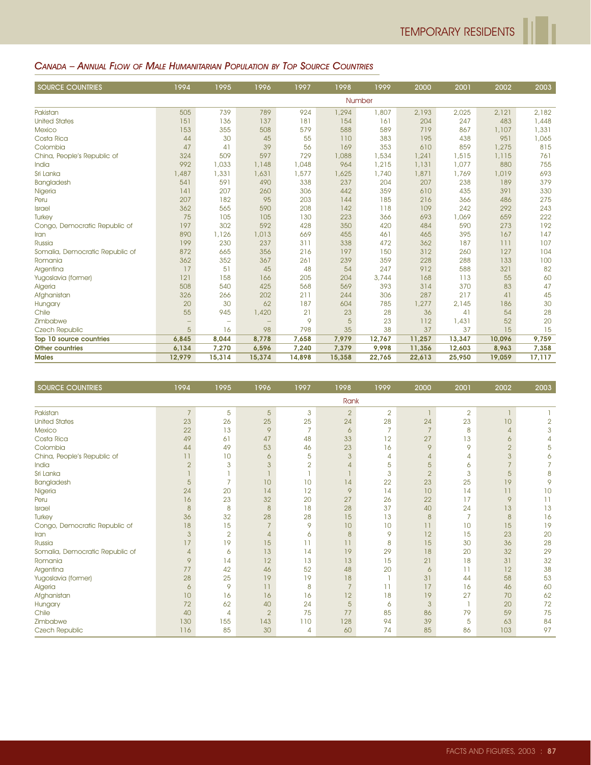#### CANADA – ANNUAL FLOW OF MALE HUMANITARIAN POPULATION BY TOP SOURCE COUNTRIES

| <b>SOURCE COUNTRIES</b>         | 1994   | 1995   | 1996   | 1997   | 1998   | 1999   | 2000   | 2001   | 2002   | 2003   |
|---------------------------------|--------|--------|--------|--------|--------|--------|--------|--------|--------|--------|
|                                 |        |        |        |        |        | Number |        |        |        |        |
| Pakistan                        | 505    | 739    | 789    | 924    | 1,294  | 1,807  | 2,193  | 2,025  | 2,121  | 2,182  |
| <b>United States</b>            | 151    | 136    | 137    | 181    | 154    | 161    | 204    | 247    | 483    | 1,448  |
| <b>Mexico</b>                   | 153    | 355    | 508    | 579    | 588    | 589    | 719    | 867    | 1,107  | 1,331  |
| Costa Rica                      | 44     | 30     | 45     | 55     | 110    | 383    | 195    | 438    | 951    | 1,065  |
| Colombia                        | 47     | 41     | 39     | 56     | 169    | 353    | 610    | 859    | 1,275  | 815    |
| China, People's Republic of     | 324    | 509    | 597    | 729    | 1,088  | 1,534  | 1,241  | 1,515  | 1,115  | 761    |
| India                           | 992    | 1,033  | 1,148  | 1,048  | 964    | 1,215  | 1,131  | 1,077  | 880    | 755    |
| Sri Lanka                       | 1,487  | 1,331  | 1,631  | 1,577  | 1,625  | 1,740  | 1,871  | 1,769  | 1,019  | 693    |
| Bangladesh                      | 541    | 591    | 490    | 338    | 237    | 204    | 207    | 238    | 189    | 379    |
| Nigeria                         | 141    | 207    | 260    | 306    | 442    | 359    | 610    | 435    | 391    | 330    |
| Peru                            | 207    | 182    | 95     | 203    | 144    | 185    | 216    | 366    | 486    | 275    |
| Israel                          | 362    | 565    | 590    | 208    | 142    | 118    | 109    | 242    | 292    | 243    |
| Turkey                          | 75     | 105    | 105    | 130    | 223    | 366    | 693    | 1,069  | 659    | 222    |
| Congo, Democratic Republic of   | 197    | 302    | 592    | 428    | 350    | 420    | 484    | 590    | 273    | 192    |
| Iran                            | 890    | 1,126  | 1,013  | 669    | 455    | 461    | 465    | 395    | 167    | 147    |
| Russia                          | 199    | 230    | 237    | 311    | 338    | 472    | 362    | 187    | 111    | 107    |
| Somalia, Democratic Republic of | 872    | 665    | 356    | 216    | 197    | 150    | 312    | 260    | 127    | 104    |
| Romania                         | 362    | 352    | 367    | 261    | 239    | 359    | 228    | 288    | 133    | 100    |
| Argentina                       | 17     | 51     | 45     | 48     | 54     | 247    | 912    | 588    | 321    | 82     |
| Yugoslavia (former)             | 121    | 158    | 166    | 205    | 204    | 3,744  | 168    | 113    | 55     | 60     |
| Algeria                         | 508    | 540    | 425    | 568    | 569    | 393    | 314    | 370    | 83     | 47     |
| Afghanistan                     | 326    | 266    | 202    | 211    | 244    | 306    | 287    | 217    | 41     | 45     |
| Hungary                         | 20     | 30     | 62     | 187    | 604    | 785    | 1,277  | 2,145  | 186    | 30     |
| Chile                           | 55     | 945    | 1,420  | 21     | 23     | 28     | 36     | 41     | 54     | 28     |
| Zimbabwe                        | -      | -      |        | 9      | 5      | 23     | 112    | 1,431  | 52     | 20     |
| <b>Czech Republic</b>           | 5      | 16     | 98     | 798    | 35     | 38     | 37     | 37     | 15     | 15     |
| Top 10 source countries         | 6,845  | 8,044  | 8,778  | 7,658  | 7,979  | 12,767 | 11,257 | 13,347 | 10,096 | 9,759  |
| <b>Other countries</b>          | 6,134  | 7,270  | 6,596  | 7,240  | 7,379  | 9,998  | 11,356 | 12,603 | 8,963  | 7,358  |
| <b>Males</b>                    | 12,979 | 15,314 | 15,374 | 14,898 | 15,358 | 22,765 | 22,613 | 25,950 | 19,059 | 17,117 |

| <b>SOURCE COUNTRIES</b>         | 1994           | 1995           | 1996           | 1997           | 1998           | 1999           | 2000           | 2001           | 2002           | 2003           |
|---------------------------------|----------------|----------------|----------------|----------------|----------------|----------------|----------------|----------------|----------------|----------------|
|                                 |                |                |                |                | Rank           |                |                |                |                |                |
| Pakistan                        | $\overline{7}$ | 5              | 5              | 3              | $\overline{2}$ | $\overline{2}$ |                | $\overline{2}$ |                |                |
| <b>United States</b>            | 23             | 26             | 25             | 25             | 24             | 28             | 24             | 23             | 10             | $\overline{2}$ |
| <b>Mexico</b>                   | 22             | 13             | 9              | 7              | 6              | 7              | $\overline{7}$ | 8              | $\overline{4}$ | 3              |
| Costa Rica                      | 49             | 61             | 47             | 48             | 33             | 12             | 27             | 13             | 6              | 4              |
| Colombia                        | 44             | 49             | 53             | 46             | 23             | 16             | 9              | 9              | $\overline{2}$ | 5              |
| China, People's Republic of     | 11             | 10             | 6              | 5              | 3              | 4              | $\overline{4}$ | 4              | 3              | 6              |
| India                           | $\overline{2}$ | 3              | 3              | $\overline{2}$ | Δ              | 5              | 5              | 6              | $\overline{7}$ | 7              |
| Sri Lanka                       |                |                |                |                |                | 3              | $\overline{2}$ | 3              | 5              | 8              |
| Bangladesh                      | 5              | $\overline{7}$ | 10             | 10             | 14             | 22             | 23             | 25             | 19             | 9              |
| Nigeria                         | 24             | 20             | 14             | 12             | 9              | 14             | 10             | 14             | 11             | 10             |
| Peru                            | 16             | 23             | 32             | 20             | 27             | 26             | 22             | 17             | 9              | 11             |
| Israel                          | 8              | 8              | 8              | 18             | 28             | 37             | 40             | 24             | 13             | 13             |
| <b>Turkey</b>                   | 36             | 32             | 28             | 28             | 15             | 13             | 8              | $\overline{7}$ | 8              | 16             |
| Congo, Democratic Republic of   | 18             | 15             |                | 9              | 10             | 10             | 11             | 10             | 15             | 19             |
| Iran                            | $\mathbf{3}$   | $\overline{2}$ | $\overline{4}$ | 6              | 8              | 9              | 12             | 15             | 23             | 20             |
| Russia                          | 17             | 19             | 15             | 11             | 11             | 8              | 15             | 30             | 36             | 28             |
| Somalia, Democratic Republic of | $\overline{4}$ | 6              | 13             | 14             | 19             | 29             | 18             | 20             | 32             | 29             |
| Romania                         | 9              | 14             | 12             | 13             | 13             | 15             | 21             | 18             | 31             | 32             |
| Argentina                       | 77             | 42             | 46             | 52             | 48             | 20             | 6              | 11             | 12             | 38             |
| Yugoslavia (former)             | 28             | 25             | 19             | 19             | 18             |                | 31             | 44             | 58             | 53             |
| Algeria                         | $\ddot{\circ}$ | 9              | 11             | 8              | $\overline{7}$ | 11             | 17             | 16             | 46             | 60             |
| Afghanistan                     | 10             | 16             | 16             | 16             | 12             | 18             | 19             | 27             | 70             | 62             |
| Hungary                         | 72             | 62             | 40             | 24             | 5              | 6              | 3              |                | 20             | 72             |
| Chile                           | 40             | 4              | $\overline{2}$ | 75             | 77             | 85             | 86             | 79             | 59             | 75             |
| Zimbabwe                        | 130            | 155            | 143            | 110            | 128            | 94             | 39             | 5              | 63             | 84             |
| Czech Republic                  | 116            | 85             | 30             | 4              | 60             | 74             | 85             | 86             | 103            | 97             |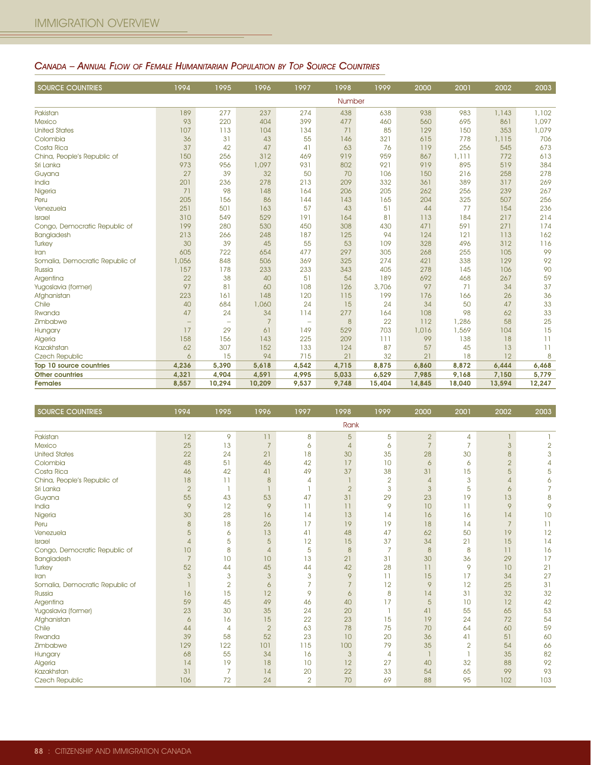#### CANADA – ANNUAL FLOW OF FEMALE HUMANITARIAN POPULATION BY TOP SOURCE COUNTRIES

| <b>SOURCE COUNTRIES</b>         | 1994              | 1995                     | 1996           | 1997                     | 1998             | 1999   | 2000   | 2001   | 2002   | 2003   |
|---------------------------------|-------------------|--------------------------|----------------|--------------------------|------------------|--------|--------|--------|--------|--------|
|                                 |                   |                          |                |                          | Number           |        |        |        |        |        |
| Pakistan                        | 189               | 277                      | 237            | 274                      | 438              | 638    | 938    | 983    | 1,143  | 1,102  |
| <b>Mexico</b>                   | 93                | 220                      | 404            | 399                      | 477              | 460    | 560    | 695    | 861    | 1,097  |
| <b>United States</b>            | 107               | 113                      | 104            | 134                      | 71               | 85     | 129    | 150    | 353    | 1,079  |
| Colombia                        | 36                | 31                       | 43             | 55                       | 146              | 321    | 615    | 778    | 1,115  | 706    |
| Costa Rica                      | 37                | 42                       | 47             | 41                       | 63               | 76     | 119    | 256    | 545    | 673    |
| China, People's Republic of     | 150               | 256                      | 312            | 469                      | 919              | 959    | 867    | 1,111  | 772    | 613    |
| Sri Lanka                       | 973               | 956                      | 1,097          | 931                      | 802              | 921    | 919    | 895    | 519    | 384    |
| Guyana                          | 27                | 39                       | 32             | 50                       | 70               | 106    | 150    | 216    | 258    | 278    |
| India                           | 201               | 236                      | 278            | 213                      | 209              | 332    | 361    | 389    | 317    | 269    |
| Nigeria                         | 71                | 98                       | 148            | 164                      | 206              | 205    | 262    | 256    | 239    | 267    |
| Peru                            | 205               | 156                      | 86             | 144                      | 143              | 165    | 204    | 325    | 507    | 256    |
| Venezuela                       | 251               | 501                      | 163            | 57                       | 43               | 51     | 44     | 77     | 154    | 236    |
| <b>Israel</b>                   | 310               | 549                      | 529            | 191                      | 164              | 81     | 113    | 184    | 217    | 214    |
| Congo, Democratic Republic of   | 199               | 280                      | 530            | 450                      | 308              | 430    | 471    | 591    | 271    | 174    |
| Bangladesh                      | 213               | 266                      | 248            | 187                      | 125              | 94     | 124    | 121    | 113    | 162    |
| Turkey                          | 30                | 39                       | 45             | 55                       | 53               | 109    | 328    | 496    | 312    | 116    |
| Iran                            | 605               | 722                      | 654            | 477                      | 297              | 305    | 268    | 255    | 105    | 99     |
| Somalia, Democratic Republic of | 1,056             | 848                      | 506            | 369                      | 325              | 274    | 421    | 338    | 129    | 92     |
| Russia                          | 157               | 178                      | 233            | 233                      | 343              | 405    | 278    | 145    | 106    | 90     |
| Argentina                       | 22                | 38                       | 40             | 51                       | 54               | 189    | 692    | 468    | 267    | 59     |
| Yugoslavia (former)             | 97                | 81                       | 60             | 108                      | 126              | 3,706  | 97     | 71     | 34     | 37     |
| Afghanistan                     | 223               | 161                      | 148            | 120                      | 115              | 199    | 176    | 166    | 26     | 36     |
| Chile                           | 40                | 684                      | 1,060          | 24                       | 15               | 24     | 34     | 50     | 47     | 33     |
| Rwanda                          | 47                | 24                       | 34             | 114                      | 277              | 164    | 108    | 98     | 62     | 33     |
| Zimbabwe                        | $\qquad \qquad -$ | $\overline{\phantom{a}}$ | $\overline{7}$ | $\overline{\phantom{m}}$ | $\boldsymbol{8}$ | 22     | 112    | 1,286  | 58     | 25     |
| Hungary                         | 17                | 29                       | 61             | 149                      | 529              | 703    | 1,016  | 1,569  | 104    | 15     |
| Algeria                         | 158               | 156                      | 143            | 225                      | 209              | 111    | 99     | 138    | 18     | 11     |
| Kazakhstan                      | 62                | 307                      | 152            | 133                      | 124              | 87     | 57     | 45     | 13     | 11     |
| <b>Czech Republic</b>           | 6                 | 15                       | 94             | 715                      | 21               | 32     | 21     | 18     | 12     | 8      |
| Top 10 source countries         | 4,236             | 5,390                    | 5,618          | 4,542                    | 4,715            | 8,875  | 6,860  | 8,872  | 6,444  | 6,468  |
| <b>Other countries</b>          | 4,321             | 4,904                    | 4,591          | 4,995                    | 5,033            | 6,529  | 7,985  | 9,168  | 7,150  | 5,779  |
| <b>Females</b>                  | 8,557             | 10,294                   | 10,209         | 9,537                    | 9,748            | 15,404 | 14,845 | 18,040 | 13,594 | 12,247 |

| <b>SOURCE COUNTRIES</b>         | 1994           | 1995           | 1996           | 1997           | 1998           | 1999           | 2000           | 2001           | 2002            | 2003           |
|---------------------------------|----------------|----------------|----------------|----------------|----------------|----------------|----------------|----------------|-----------------|----------------|
|                                 |                |                |                |                | Rank           |                |                |                |                 |                |
| Pakistan                        | 12             | 9              | 11             | 8              | 5              | 5              | $\overline{2}$ | 4              |                 |                |
| <b>Mexico</b>                   | 25             | 13             | $\overline{7}$ | 6              | $\overline{4}$ | 6              | $\overline{7}$ | $\overline{7}$ | 3               | $\overline{2}$ |
| <b>United States</b>            | 22             | 24             | 21             | 18             | 30             | 35             | 28             | 30             | 8               | 3              |
| Colombia                        | 48             | 51             | 46             | 42             | 17             | 10             | 6              | 6              | $\overline{2}$  | $\overline{A}$ |
| Costa Rica                      | 46             | 42             | 41             | 49             | 37             | 38             | 31             | 15             | 5               | 5              |
| China, People's Republic of     | 18             | 11             | 8              | 4              |                | $\overline{2}$ | $\overline{4}$ | 3              | $\overline{4}$  | 6              |
| Sri Lanka                       | $\overline{2}$ |                |                |                | $\overline{2}$ | 3              | 3              | 5              | 6               |                |
| Guyana                          | 55             | 43             | 53             | 47             | 31             | 29             | 23             | 19             | 13              | 8              |
| India                           | 9              | 12             | 9              | 11             | 11             | 9              | 10             | 11             | 9               | 9              |
| Nigeria                         | 30             | 28             | 16             | 14             | 13             | 14             | 16             | 16             | 14              | 10             |
| Peru                            | $\delta$       | 18             | 26             | 17             | 19             | 19             | 18             | 14             | $\overline{7}$  | 11             |
| Venezuela                       | 5              | 6              | 13             | 41             | 48             | 47             | 62             | 50             | 19              | 12             |
| <b>Israel</b>                   | $\overline{4}$ | 5              | 5              | 12             | 15             | 37             | 34             | 21             | 15              | 14             |
| Congo, Democratic Republic of   | 10             | 8              | $\overline{4}$ | 5              | 8              | 7              | 8              | 8              | $\overline{11}$ | 16             |
| <b>Bangladesh</b>               | $\overline{7}$ | 10             | 10             | 13             | 21             | 31             | 30             | 36             | 29              | 17             |
| <b>Turkey</b>                   | 52             | 44             | 45             | 44             | 42             | 28             | 11             | 9              | 10              | 21             |
| Iran                            | 3              | 3              | 3              | 3              | 9              | 11             | 15             | 17             | 34              | 27             |
| Somalia, Democratic Republic of |                | $\overline{2}$ | 6              | 7              | $\overline{7}$ | 12             | 9              | 12             | 25              | 31             |
| Russia                          | 16             | 15             | 12             | 9              | 6              | 8              | 14             | 31             | 32              | 32             |
| Argentina                       | 59             | 45             | 49             | 46             | 40             | 17             | 5              | 10             | 12              | 42             |
| Yugoslavia (former)             | 23             | 30             | 35             | 24             | 20             |                | 41             | 55             | 65              | 53             |
| Afghanistan                     | 6              | 16             | 15             | 22             | 23             | 15             | 19             | 24             | 72              | 54             |
| Chile                           | 44             | 4              | $\overline{2}$ | 63             | 78             | 75             | 70             | 64             | 60              | 59             |
| Rwanda                          | 39             | 58             | 52             | 23             | 10             | 20             | 36             | 41             | 51              | 60             |
| Zimbabwe                        | 129            | 122            | 101            | 115            | 100            | 79             | 35             | $\overline{2}$ | 54              | 66             |
| Hungary                         | 68             | 55             | 34             | 16             | $\mathbf{3}$   | $\overline{4}$ |                | Ī              | 35              | 82             |
| Algeria                         | 14             | 19             | 18             | 10             | 12             | 27             | 40             | 32             | 88              | 92             |
| Kazakhstan                      | 31             | $\overline{7}$ | 14             | 20             | 22             | 33             | 54             | 65             | 99              | 93             |
| Czech Republic                  | 106            | 72             | 24             | $\overline{2}$ | 70             | 69             | 88             | 95             | 102             | 103            |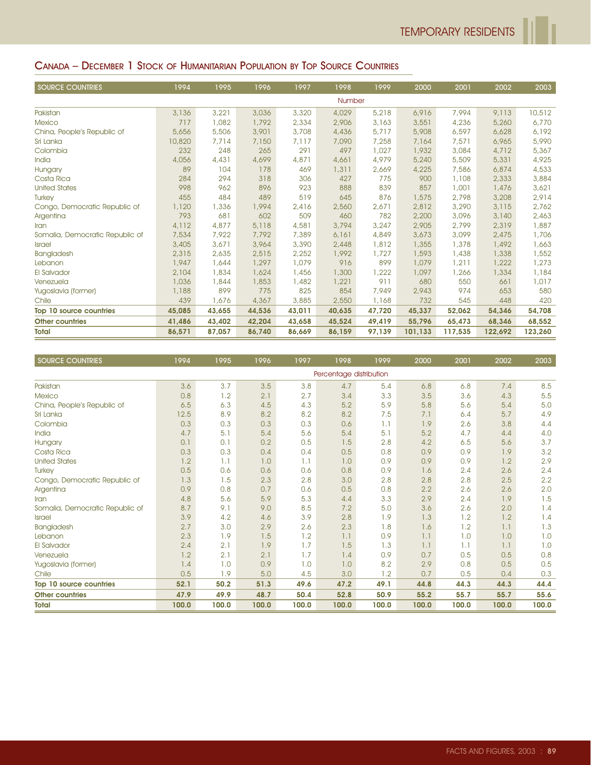#### CANADA – DECEMBER 1 STOCK OF HUMANITARIAN POPULATION BY TOP SOURCE COUNTRIES

| <b>SOURCE COUNTRIES</b>         | 1994   | 1995   | 1996   | 1997   | 1998   | 1999   | 2000    | 2001    | 2002    | 2003    |
|---------------------------------|--------|--------|--------|--------|--------|--------|---------|---------|---------|---------|
|                                 |        |        |        |        | Number |        |         |         |         |         |
| Pakistan                        | 3,136  | 3,221  | 3,036  | 3,320  | 4,029  | 5,218  | 6,916   | 7,994   | 9,113   | 10,512  |
| <b>Mexico</b>                   | 717    | 1,082  | 1,792  | 2,334  | 2,906  | 3,163  | 3,551   | 4,236   | 5,260   | 6,770   |
| China, People's Republic of     | 5,656  | 5,506  | 3,901  | 3,708  | 4,436  | 5,717  | 5,908   | 6,597   | 6,628   | 6,192   |
| Sri Lanka                       | 10,820 | 7,714  | 7,150  | 7,117  | 7,090  | 7,258  | 7,164   | 7,571   | 6,965   | 5,990   |
| Colombia                        | 232    | 248    | 265    | 291    | 497    | 1,027  | 1,932   | 3,084   | 4,712   | 5,367   |
| India                           | 4,056  | 4,431  | 4,699  | 4,871  | 4,661  | 4,979  | 5,240   | 5,509   | 5,331   | 4,925   |
| Hungary                         | 89     | 104    | 178    | 469    | 1,311  | 2,669  | 4,225   | 7,586   | 6,874   | 4,533   |
| Costa Rica                      | 284    | 294    | 318    | 306    | 427    | 775    | 900     | 1,108   | 2,333   | 3,884   |
| <b>United States</b>            | 998    | 962    | 896    | 923    | 888    | 839    | 857     | 1,001   | 1,476   | 3,621   |
| <b>Turkey</b>                   | 455    | 484    | 489    | 519    | 645    | 876    | 1,575   | 2,798   | 3,208   | 2,914   |
| Congo, Democratic Republic of   | 1,120  | 1,336  | 1,994  | 2,416  | 2,560  | 2,671  | 2,812   | 3,290   | 3,115   | 2,762   |
| Argentina                       | 793    | 681    | 602    | 509    | 460    | 782    | 2,200   | 3,096   | 3.140   | 2,463   |
| Iran                            | 4,112  | 4,877  | 5,118  | 4,581  | 3,794  | 3,247  | 2,905   | 2,799   | 2,319   | 1,887   |
| Somalia, Democratic Republic of | 7,534  | 7,922  | 7,792  | 7,389  | 6,161  | 4,849  | 3,673   | 3,099   | 2,475   | 1,706   |
| <b>Israel</b>                   | 3,405  | 3,671  | 3,964  | 3,390  | 2,448  | 1,812  | 1,355   | 1,378   | 1,492   | 1,663   |
| Bangladesh                      | 2,315  | 2,635  | 2,515  | 2,252  | 1,992  | 1,727  | 1,593   | 1,438   | 1,338   | 1,552   |
| Lebanon                         | 1,947  | 1,644  | 1,297  | 1,079  | 916    | 899    | 1,079   | 1,211   | 1,222   | 1,273   |
| El Salvador                     | 2,104  | 1,834  | 1,624  | 1,456  | 1,300  | 1,222  | 1,097   | 1,266   | 1,334   | 1,184   |
| Venezuela                       | 1,036  | 1,844  | 1,853  | 1,482  | 1,221  | 911    | 680     | 550     | 661     | 1,017   |
| Yugoslavia (former)             | 1,188  | 899    | 775    | 825    | 854    | 7,949  | 2,943   | 974     | 653     | 580     |
| Chile                           | 439    | 1,676  | 4,367  | 3,885  | 2,550  | 1,168  | 732     | 545     | 448     | 420     |
| Top 10 source countries         | 45,085 | 43,655 | 44,536 | 43,011 | 40,635 | 47,720 | 45,337  | 52,062  | 54,346  | 54,708  |
| <b>Other countries</b>          | 41,486 | 43,402 | 42,204 | 43,658 | 45,524 | 49,419 | 55,796  | 65,473  | 68,346  | 68,552  |
| <b>Total</b>                    | 86,571 | 87,057 | 86.740 | 86.669 | 86.159 | 97,139 | 101,133 | 117,535 | 122,692 | 123,260 |

| <b>SOURCE COUNTRIES</b>         | 1994  | 1995  | 1996  | 1997  | 1998                    | 1999  | 2000  | 2001  | 2002  | 2003  |
|---------------------------------|-------|-------|-------|-------|-------------------------|-------|-------|-------|-------|-------|
|                                 |       |       |       |       | Percentage distribution |       |       |       |       |       |
| Pakistan                        | 3.6   | 3.7   | 3.5   | 3.8   | 4.7                     | 5.4   | 6.8   | 6.8   | 7.4   | 8.5   |
| <b>Mexico</b>                   | 0.8   | 1.2   | 2.1   | 2.7   | 3.4                     | 3.3   | 3.5   | 3.6   | 4.3   | 5.5   |
| China, People's Republic of     | 6.5   | 6.3   | 4.5   | 4.3   | 5.2                     | 5.9   | 5.8   | 5.6   | 5.4   | 5.0   |
| Sri Lanka                       | 12.5  | 8.9   | 8.2   | 8.2   | 8.2                     | 7.5   | 7.1   | 6.4   | 5.7   | 4.9   |
| Colombia                        | 0.3   | 0.3   | 0.3   | 0.3   | 0.6                     | 1.1   | 1.9   | 2.6   | 3.8   | 4.4   |
| India                           | 4.7   | 5.1   | 5.4   | 5.6   | 5.4                     | 5.1   | 5.2   | 4.7   | 4.4   | 4.0   |
| Hungary                         | 0.1   | 0.1   | 0.2   | 0.5   | 1.5                     | 2.8   | 4.2   | 6.5   | 5.6   | 3.7   |
| Costa Rica                      | 0.3   | 0.3   | 0.4   | 0.4   | 0.5                     | 0.8   | 0.9   | 0.9   | 1.9   | 3.2   |
| <b>United States</b>            | 1.2   | 1.1   | 1.0   | 1.1   | 1.0                     | 0.9   | 0.9   | 0.9   | 1.2   | 2.9   |
| <b>Turkey</b>                   | 0.5   | 0.6   | 0.6   | 0.6   | 0.8                     | 0.9   | 1.6   | 2.4   | 2.6   | 2.4   |
| Congo, Democratic Republic of   | 1.3   | 1.5   | 2.3   | 2.8   | 3.0                     | 2.8   | 2.8   | 2.8   | 2.5   | 2.2   |
| Argentina                       | 0.9   | 0.8   | 0.7   | 0.6   | 0.5                     | 0.8   | 2.2   | 2.6   | 2.6   | 2.0   |
| Iran                            | 4.8   | 5.6   | 5.9   | 5.3   | 4.4                     | 3.3   | 2.9   | 2.4   | 1.9   | 1.5   |
| Somalia, Democratic Republic of | 8.7   | 9.1   | 9.0   | 8.5   | 7.2                     | 5.0   | 3.6   | 2.6   | 2.0   | 1.4   |
| <b>Israel</b>                   | 3.9   | 4.2   | 4.6   | 3.9   | 2.8                     | 1.9   | 1.3   | 1.2   | 1.2   | 1.4   |
| Bangladesh                      | 2.7   | 3.0   | 2.9   | 2.6   | 2.3                     | 1.8   | 1.6   | 1.2   | 1.1   | 1.3   |
| Lebanon                         | 2.3   | 1.9   | 1.5   | 1.2   | 1.1                     | 0.9   | 1.1   | 1.0   | 1.0   | 1.0   |
| <b>El Salvador</b>              | 2.4   | 2.1   | 1.9   | 1.7   | 1.5                     | 1.3   | 1.1   | 1.1   | 1.1   | 1.0   |
| Venezuela                       | 1.2   | 2.1   | 2.1   | 1.7   | 1.4                     | 0.9   | 0.7   | 0.5   | 0.5   | 0.8   |
| Yugoslavia (former)             | 1.4   | 1.0   | 0.9   | 1.0   | 1.0                     | 8.2   | 2.9   | 0.8   | 0.5   | 0.5   |
| Chile                           | 0.5   | 1.9   | 5.0   | 4.5   | 3.0                     | 1.2   | 0.7   | 0.5   | 0.4   | 0.3   |
| Top 10 source countries         | 52.1  | 50.2  | 51.3  | 49.6  | 47.2                    | 49.1  | 44.8  | 44.3  | 44.3  | 44.4  |
| <b>Other countries</b>          | 47.9  | 49.9  | 48.7  | 50.4  | 52.8                    | 50.9  | 55.2  | 55.7  | 55.7  | 55.6  |
| <b>Total</b>                    | 100.0 | 100.0 | 100.0 | 100.0 | 100.0                   | 100.0 | 100.0 | 100.0 | 100.0 | 100.0 |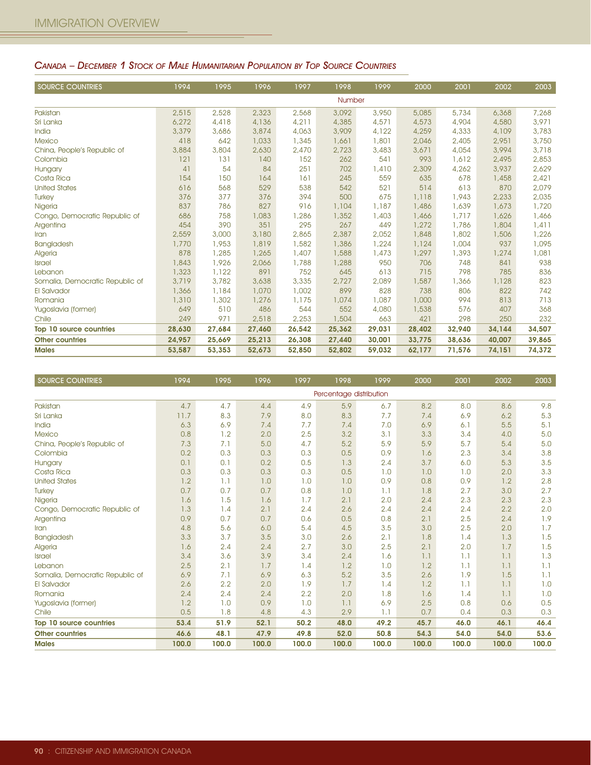| <b>SOURCE COUNTRIES</b>         | 1994   | 1995   | 1996   | 1997   | 1998   | 1999   | 2000   | 2001   | 2002   | 2003   |
|---------------------------------|--------|--------|--------|--------|--------|--------|--------|--------|--------|--------|
|                                 |        |        |        |        | Number |        |        |        |        |        |
| Pakistan                        | 2,515  | 2,528  | 2,323  | 2,568  | 3,092  | 3,950  | 5,085  | 5,734  | 6,368  | 7,268  |
| Sri Lanka                       | 6,272  | 4,418  | 4,136  | 4,211  | 4,385  | 4,571  | 4,573  | 4,904  | 4,580  | 3,971  |
| India                           | 3,379  | 3,686  | 3,874  | 4,063  | 3,909  | 4,122  | 4,259  | 4,333  | 4,109  | 3,783  |
| <b>Mexico</b>                   | 418    | 642    | 1,033  | 1,345  | 1,661  | 1,801  | 2,046  | 2,405  | 2,951  | 3,750  |
| China, People's Republic of     | 3,884  | 3,804  | 2,630  | 2,470  | 2,723  | 3,483  | 3,671  | 4,054  | 3,994  | 3,718  |
| Colombia                        | 121    | 131    | 140    | 152    | 262    | 541    | 993    | 1,612  | 2,495  | 2,853  |
| Hungary                         | 41     | 54     | 84     | 251    | 702    | 1,410  | 2,309  | 4,262  | 3,937  | 2,629  |
| Costa Rica                      | 154    | 150    | 164    | 161    | 245    | 559    | 635    | 678    | 1,458  | 2,421  |
| <b>United States</b>            | 616    | 568    | 529    | 538    | 542    | 521    | 514    | 613    | 870    | 2,079  |
| <b>Turkey</b>                   | 376    | 377    | 376    | 394    | 500    | 675    | 1,118  | 1,943  | 2,233  | 2,035  |
| Nigeria                         | 837    | 786    | 827    | 916    | 1,104  | 1,187  | 1,486  | 1,639  | 1,673  | 1,720  |
| Congo, Democratic Republic of   | 686    | 758    | 1,083  | 1,286  | 1,352  | 1,403  | 1,466  | 1,717  | 1,626  | 1,466  |
| Argentina                       | 454    | 390    | 351    | 295    | 267    | 449    | 1,272  | 1,786  | 1,804  | 1,411  |
| Iran                            | 2,559  | 3,000  | 3,180  | 2,865  | 2,387  | 2,052  | 1,848  | 1,802  | 1,506  | 1,226  |
| Bangladesh                      | 1,770  | 1,953  | 1,819  | 1,582  | 1,386  | 1,224  | 1,124  | 1,004  | 937    | 1,095  |
| Algeria                         | 878    | 1,285  | 1,265  | 1,407  | 1,588  | 1,473  | 1,297  | 1,393  | 1,274  | 1,081  |
| <b>Israel</b>                   | 1,843  | 1,926  | 2,066  | 1,788  | 1,288  | 950    | 706    | 748    | 841    | 938    |
| Lebanon                         | 1,323  | 1,122  | 891    | 752    | 645    | 613    | 715    | 798    | 785    | 836    |
| Somalia, Democratic Republic of | 3,719  | 3,782  | 3,638  | 3,335  | 2,727  | 2,089  | 1,587  | 1,366  | 1,128  | 823    |
| El Salvador                     | 1,366  | 1,184  | 1,070  | 1,002  | 899    | 828    | 738    | 806    | 822    | 742    |
| Romania                         | 1,310  | 1,302  | 1,276  | 1,175  | 1,074  | 1,087  | 1,000  | 994    | 813    | 713    |
| Yugoslavia (former)             | 649    | 510    | 486    | 544    | 552    | 4,080  | 1,538  | 576    | 407    | 368    |
| Chile                           | 249    | 971    | 2,518  | 2,253  | 1,504  | 663    | 421    | 298    | 250    | 232    |
| Top 10 source countries         | 28,630 | 27,684 | 27,460 | 26,542 | 25,362 | 29,031 | 28,402 | 32,940 | 34,144 | 34,507 |
| <b>Other countries</b>          | 24,957 | 25,669 | 25,213 | 26,308 | 27,440 | 30,001 | 33,775 | 38,636 | 40,007 | 39,865 |
| <b>Males</b>                    | 53,587 | 53,353 | 52,673 | 52,850 | 52,802 | 59,032 | 62,177 | 71,576 | 74,151 | 74,372 |

#### CANADA – DECEMBER 1 STOCK OF MALE HUMANITARIAN POPULATION BY TOP SOURCE COUNTRIES

| <b>SOURCE COUNTRIES</b>         | 1994  | 1995  | 1996  | 1997  | 1998                    | 1999  | 2000  | 2001  | 2002  | 2003  |
|---------------------------------|-------|-------|-------|-------|-------------------------|-------|-------|-------|-------|-------|
|                                 |       |       |       |       | Percentage distribution |       |       |       |       |       |
| Pakistan                        | 4.7   | 4.7   | 4.4   | 4.9   | 5.9                     | 6.7   | 8.2   | 8.0   | 8.6   | 9.8   |
| Sri Lanka                       | 11.7  | 8.3   | 7.9   | 8.0   | 8.3                     | 7.7   | 7.4   | 6.9   | 6.2   | 5.3   |
| India                           | 6.3   | 6.9   | 7.4   | 7.7   | 7.4                     | 7.0   | 6.9   | 6.1   | 5.5   | 5.1   |
| <b>Mexico</b>                   | 0.8   | 1.2   | 2.0   | 2.5   | 3.2                     | 3.1   | 3.3   | 3.4   | 4.0   | 5.0   |
| China, People's Republic of     | 7.3   | 7.1   | 5.0   | 4.7   | 5.2                     | 5.9   | 5.9   | 5.7   | 5.4   | 5.0   |
| Colombia                        | 0.2   | 0.3   | 0.3   | 0.3   | 0.5                     | 0.9   | 1.6   | 2.3   | 3.4   | 3.8   |
| Hungary                         | 0.1   | 0.1   | 0.2   | 0.5   | 1.3                     | 2.4   | 3.7   | 6.0   | 5.3   | 3.5   |
| Costa Rica                      | 0.3   | 0.3   | 0.3   | 0.3   | 0.5                     | 1.0   | 1.0   | 1.0   | 2.0   | 3.3   |
| <b>United States</b>            | 1.2   | 1.1   | 1.0   | 1.0   | 1.0                     | 0.9   | 0.8   | 0.9   | 1.2   | 2.8   |
| Turkey                          | 0.7   | 0.7   | 0.7   | 0.8   | 1.0                     | 1.1   | 1.8   | 2.7   | 3.0   | 2.7   |
| Nigeria                         | 1.6   | 1.5   | 1.6   | 1.7   | 2.1                     | 2.0   | 2.4   | 2.3   | 2.3   | 2.3   |
| Congo, Democratic Republic of   | 1.3   | 1.4   | 2.1   | 2.4   | 2.6                     | 2.4   | 2.4   | 2.4   | 2.2   | 2.0   |
| Argentina                       | 0.9   | 0.7   | 0.7   | 0.6   | 0.5                     | 0.8   | 2.1   | 2.5   | 2.4   | 1.9   |
| Iran                            | 4.8   | 5.6   | 6.0   | 5.4   | 4.5                     | 3.5   | 3.0   | 2.5   | 2.0   | 1.7   |
| <b>Bangladesh</b>               | 3.3   | 3.7   | 3.5   | 3.0   | 2.6                     | 2.1   | 1.8   | 1.4   | 1.3   | 1.5   |
| Algeria                         | 1.6   | 2.4   | 2.4   | 2.7   | 3.0                     | 2.5   | 2.1   | 2.0   | 1.7   | 1.5   |
| <b>Israel</b>                   | 3.4   | 3.6   | 3.9   | 3.4   | 2.4                     | 1.6   | 1.1   | 1.1   | 1.1   | 1.3   |
| Lebanon                         | 2.5   | 2.1   | 1.7   | 1.4   | 1.2                     | 1.0   | 1.2   | 1.1   | 1.1   | 1.1   |
| Somalia, Democratic Republic of | 6.9   | 7.1   | 6.9   | 6.3   | 5.2                     | 3.5   | 2.6   | 1.9   | 1.5   | 1.1   |
| El Salvador                     | 2.6   | 2.2   | 2.0   | 1.9   | 1.7                     | 1.4   | 1.2   | 1.1   | 1.1   | 1.0   |
| Romania                         | 2.4   | 2.4   | 2.4   | 2.2   | 2.0                     | 1.8   | 1.6   | 1.4   | 1.1   | 1.0   |
| Yugoslavia (former)             | 1.2   | 1.0   | 0.9   | 1.0   | 1.1                     | 6.9   | 2.5   | 0.8   | 0.6   | 0.5   |
| Chile                           | 0.5   | 1.8   | 4.8   | 4.3   | 2.9                     | 1.1   | 0.7   | 0.4   | 0.3   | 0.3   |
| Top 10 source countries         | 53.4  | 51.9  | 52.1  | 50.2  | 48.0                    | 49.2  | 45.7  | 46.0  | 46.1  | 46.4  |
| <b>Other countries</b>          | 46.6  | 48.1  | 47.9  | 49.8  | 52.0                    | 50.8  | 54.3  | 54.0  | 54.0  | 53.6  |
| <b>Males</b>                    | 100.0 | 100.0 | 100.0 | 100.0 | 100.0                   | 100.0 | 100.0 | 100.0 | 100.0 | 100.0 |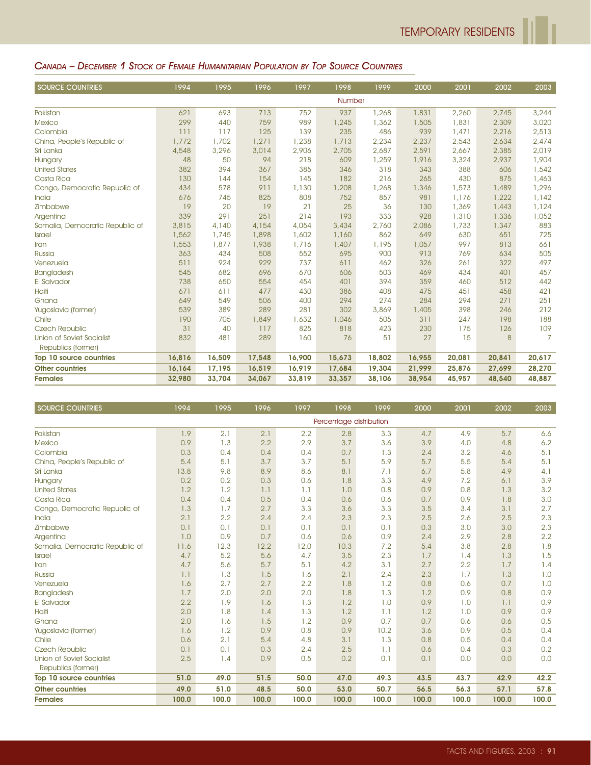#### CANADA – DECEMBER 1 STOCK OF FEMALE HUMANITARIAN POPULATION BY TOP SOURCE COUNTRIES

| <b>SOURCE COUNTRIES</b>          | 1994   | 1995   | 1996   | 1997   | 1998   | 1999   | 2000   | 2001   | 2002   | 2003           |
|----------------------------------|--------|--------|--------|--------|--------|--------|--------|--------|--------|----------------|
|                                  |        |        |        |        | Number |        |        |        |        |                |
| Pakistan                         | 621    | 693    | 713    | 752    | 937    | 1,268  | 1,831  | 2,260  | 2,745  | 3,244          |
| <b>Mexico</b>                    | 299    | 440    | 759    | 989    | 1,245  | 1,362  | 1,505  | 1,831  | 2,309  | 3,020          |
| Colombia                         | 111    | 117    | 125    | 139    | 235    | 486    | 939    | 1,471  | 2,216  | 2,513          |
| China, People's Republic of      | 1,772  | 1,702  | 1,271  | 1,238  | 1,713  | 2,234  | 2,237  | 2,543  | 2,634  | 2,474          |
| Sri Lanka                        | 4,548  | 3,296  | 3,014  | 2,906  | 2,705  | 2,687  | 2,591  | 2,667  | 2,385  | 2,019          |
| Hungary                          | 48     | 50     | 94     | 218    | 609    | 1,259  | 1,916  | 3,324  | 2,937  | 1,904          |
| <b>United States</b>             | 382    | 394    | 367    | 385    | 346    | 318    | 343    | 388    | 606    | 1,542          |
| Costa Rica                       | 130    | 144    | 154    | 145    | 182    | 216    | 265    | 430    | 875    | 1,463          |
| Congo, Democratic Republic of    | 434    | 578    | 911    | 1,130  | 1,208  | 1,268  | 1,346  | 1,573  | 1,489  | 1,296          |
| India                            | 676    | 745    | 825    | 808    | 752    | 857    | 981    | 1,176  | 1,222  | 1,142          |
| Zimbabwe                         | 19     | 20     | 19     | 21     | 25     | 36     | 130    | 1,369  | 1,443  | 1,124          |
| Argentina                        | 339    | 291    | 251    | 214    | 193    | 333    | 928    | 1,310  | 1,336  | 1,052          |
| Somalia, Democratic Republic of  | 3,815  | 4,140  | 4,154  | 4,054  | 3,434  | 2,760  | 2,086  | 1,733  | 1,347  | 883            |
| <b>Israel</b>                    | 1,562  | 1,745  | 1,898  | 1,602  | 1,160  | 862    | 649    | 630    | 651    | 725            |
| Iran                             | 1,553  | 1,877  | 1,938  | 1,716  | 1,407  | 1,195  | 1,057  | 997    | 813    | 661            |
| Russia                           | 363    | 434    | 508    | 552    | 695    | 900    | 913    | 769    | 634    | 505            |
| Venezuela                        | 511    | 924    | 929    | 737    | 611    | 462    | 326    | 261    | 322    | 497            |
| Bangladesh                       | 545    | 682    | 696    | 670    | 606    | 503    | 469    | 434    | 401    | 457            |
| El Salvador                      | 738    | 650    | 554    | 454    | 401    | 394    | 359    | 460    | 512    | 442            |
| Haiti                            | 671    | 611    | 477    | 430    | 386    | 408    | 475    | 451    | 458    | 421            |
| Ghana                            | 649    | 549    | 506    | 400    | 294    | 274    | 284    | 294    | 271    | 251            |
| Yugoslavia (former)              | 539    | 389    | 289    | 281    | 302    | 3,869  | 1,405  | 398    | 246    | 212            |
| Chile                            | 190    | 705    | 1,849  | 1,632  | 1,046  | 505    | 311    | 247    | 198    | 188            |
| <b>Czech Republic</b>            | 31     | 40     | 117    | 825    | 818    | 423    | 230    | 175    | 126    | 109            |
| <b>Union of Soviet Socialist</b> | 832    | 481    | 289    | 160    | 76     | 51     | 27     | 15     | 8      | $\overline{7}$ |
| Republics (former)               |        |        |        |        |        |        |        |        |        |                |
| Top 10 source countries          | 16,816 | 16,509 | 17,548 | 16,900 | 15,673 | 18,802 | 16,955 | 20,081 | 20,841 | 20,617         |
| <b>Other countries</b>           | 16,164 | 17,195 | 16,519 | 16,919 | 17,684 | 19,304 | 21,999 | 25,876 | 27,699 | 28,270         |
| <b>Females</b>                   | 32,980 | 33,704 | 34,067 | 33,819 | 33,357 | 38,106 | 38,954 | 45,957 | 48,540 | 48,887         |

| <b>SOURCE COUNTRIES</b>         | 1994  | 1995  | 1996  | 1997  | 1998                    | 1999  | 2000  | 2001  | 2002  | 2003  |
|---------------------------------|-------|-------|-------|-------|-------------------------|-------|-------|-------|-------|-------|
|                                 |       |       |       |       | Percentage distribution |       |       |       |       |       |
| Pakistan                        | 1.9   | 2.1   | 2.1   | 2.2   | 2.8                     | 3.3   | 4.7   | 4.9   | 5.7   | 6.6   |
| <b>Mexico</b>                   | 0.9   | 1.3   | 2.2   | 2.9   | 3.7                     | 3.6   | 3.9   | 4.0   | 4.8   | 6.2   |
| Colombia                        | 0.3   | 0.4   | 0.4   | 0.4   | 0.7                     | 1.3   | 2.4   | 3.2   | 4.6   | 5.1   |
| China, People's Republic of     | 5.4   | 5.1   | 3.7   | 3.7   | 5.1                     | 5.9   | 5.7   | 5.5   | 5.4   | 5.1   |
| Sri Lanka                       | 13.8  | 9.8   | 8.9   | 8.6   | 8.1                     | 7.1   | 6.7   | 5.8   | 4.9   | 4.1   |
| Hungary                         | 0.2   | 0.2   | 0.3   | 0.6   | 1.8                     | 3.3   | 4.9   | 7.2   | 6.1   | 3.9   |
| <b>United States</b>            | 1.2   | 1.2   | 1.1   | 1.1   | 1.0                     | 0.8   | 0.9   | 0.8   | 1.3   | 3.2   |
| Costa Rica                      | 0.4   | 0.4   | 0.5   | 0.4   | 0.6                     | 0.6   | 0.7   | 0.9   | 1.8   | 3.0   |
| Congo, Democratic Republic of   | 1.3   | 1.7   | 2.7   | 3.3   | 3.6                     | 3.3   | 3.5   | 3.4   | 3.1   | 2.7   |
| India                           | 2.1   | 2.2   | 2.4   | 2.4   | 2.3                     | 2.3   | 2.5   | 2.6   | 2.5   | 2.3   |
| Zimbabwe                        | 0.1   | 0.1   | 0.1   | 0.1   | 0.1                     | 0.1   | 0.3   | 3.0   | 3.0   | 2.3   |
| Argentina                       | 1.0   | 0.9   | 0.7   | 0.6   | 0.6                     | 0.9   | 2.4   | 2.9   | 2.8   | 2.2   |
| Somalia, Democratic Republic of | 11.6  | 12.3  | 12.2  | 12.0  | 10.3                    | 7.2   | 5.4   | 3.8   | 2.8   | 1.8   |
| <b>Israel</b>                   | 4.7   | 5.2   | 5.6   | 4.7   | 3.5                     | 2.3   | 1.7   | 1.4   | 1.3   | 1.5   |
| Iran                            | 4.7   | 5.6   | 5.7   | 5.1   | 4.2                     | 3.1   | 2.7   | 2.2   | 1.7   | 1.4   |
| <b>Russia</b>                   | 1.1   | 1.3   | 1.5   | 1.6   | 2.1                     | 2.4   | 2.3   | 1.7   | 1.3   | 1.0   |
| Venezuela                       | 1.6   | 2.7   | 2.7   | 2.2   | 1.8                     | 1.2   | 0.8   | 0.6   | 0.7   | 1.0   |
| Bangladesh                      | 1.7   | 2.0   | 2.0   | 2.0   | 1.8                     | 1.3   | 1.2   | 0.9   | 0.8   | 0.9   |
| <b>El Salvador</b>              | 2.2   | 1.9   | 1.6   | 1.3   | 1.2                     | 1.0   | 0.9   | 1.0   | 1.1   | 0.9   |
| <b>Haiti</b>                    | 2.0   | 1.8   | 1.4   | 1.3   | 1.2                     | 1.1   | 1.2   | 1.0   | 0.9   | 0.9   |
| Ghana                           | 2.0   | 1.6   | 1.5   | 1.2   | 0.9                     | 0.7   | 0.7   | 0.6   | 0.6   | 0.5   |
| Yugoslavia (former)             | 1.6   | 1.2   | 0.9   | 0.8   | 0.9                     | 10.2  | 3.6   | 0.9   | 0.5   | 0.4   |
| Chile                           | 0.6   | 2.1   | 5.4   | 4.8   | 3.1                     | 1.3   | 0.8   | 0.5   | 0.4   | 0.4   |
| <b>Czech Republic</b>           | 0.1   | 0.1   | 0.3   | 2.4   | 2.5                     | 1.1   | 0.6   | 0.4   | 0.3   | 0.2   |
| Union of Soviet Socialist       | 2.5   | 1.4   | 0.9   | 0.5   | 0.2                     | 0.1   | 0.1   | 0.0   | 0.0   | 0.0   |
| Republics (former)              |       |       |       |       |                         |       |       |       |       |       |
| Top 10 source countries         | 51.0  | 49.0  | 51.5  | 50.0  | 47.0                    | 49.3  | 43.5  | 43.7  | 42.9  | 42.2  |
| <b>Other countries</b>          | 49.0  | 51.0  | 48.5  | 50.0  | 53.0                    | 50.7  | 56.5  | 56.3  | 57.1  | 57.8  |
| <b>Females</b>                  | 100.0 | 100.0 | 100.0 | 100.0 | 100.0                   | 100.0 | 100.0 | 100.0 | 100.0 | 100.0 |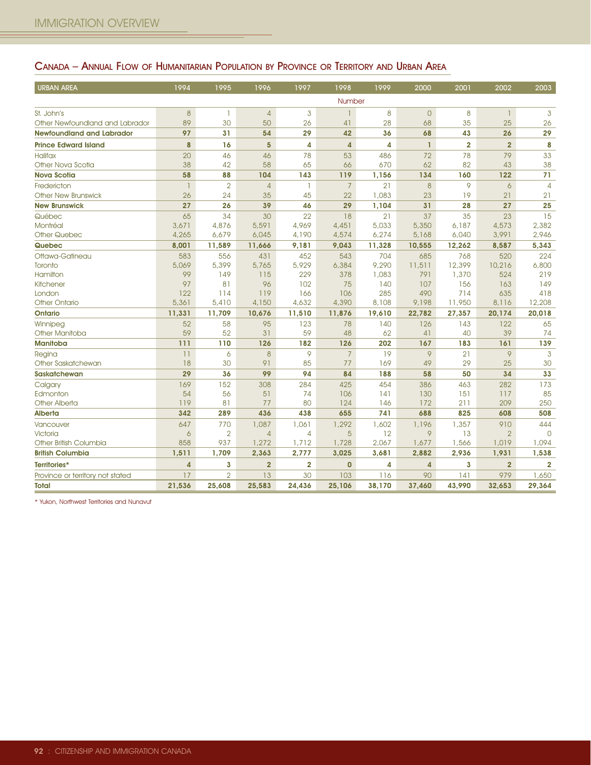## CANADA – ANNUAL FLOW OF HUMANITARIAN POPULATION BY PROVINCE OR TERRITORY AND URBAN AREA

| <b>URBAN AREA</b>                | 1994             | 1995           | 1996           | 1997           | 1998           | 1999   | 2000         | 2001                    | 2002           | 2003           |
|----------------------------------|------------------|----------------|----------------|----------------|----------------|--------|--------------|-------------------------|----------------|----------------|
|                                  |                  |                |                |                | Number         |        |              |                         |                |                |
| St. John's                       | $\boldsymbol{8}$ | $\mathbf{1}$   | $\overline{4}$ | 3              | $\mathbf{1}$   | 8      | $\theta$     | 8                       | $\mathbf{1}$   | 3              |
| Other Newfoundland and Labrador  | 89               | 30             | 50             | 26             | 41             | 28     | 68           | 35                      | 25             | 26             |
| <b>Newfoundland and Labrador</b> | 97               | 31             | 54             | 29             | 42             | 36     | 68           | 43                      | 26             | 29             |
| <b>Prince Edward Island</b>      | 8                | 16             | 5              | 4              | 4              | 4      | $\mathbf{I}$ | $\overline{\mathbf{2}}$ | $\overline{2}$ | 8              |
| <b>Halifax</b>                   | 20               | 46             | 46             | 78             | 53             | 486    | 72           | 78                      | 79             | 33             |
| Other Nova Scotia                | 38               | 42             | 58             | 65             | 66             | 670    | 62           | 82                      | 43             | 38             |
| <b>Nova Scotia</b>               | 58               | 88             | 104            | 143            | 119            | 1,156  | 134          | 160                     | 122            | 71             |
| Fredericton                      | $\mathbf{1}$     | $\overline{2}$ | $\overline{4}$ | 1              | $\overline{7}$ | 21     | 8            | 9                       | 6              | $\overline{4}$ |
| <b>Other New Brunswick</b>       | 26               | 24             | 35             | 45             | 22             | 1,083  | 23           | 19                      | 21             | 21             |
| <b>New Brunswick</b>             | 27               | 26             | 39             | 46             | 29             | 1,104  | 31           | 28                      | 27             | 25             |
| Québec                           | 65               | 34             | 30             | 22             | 18             | 21     | 37           | 35                      | 23             | 15             |
| Montréal                         | 3,671            | 4,876          | 5,591          | 4,969          | 4,451          | 5,033  | 5,350        | 6,187                   | 4,573          | 2,382          |
| <b>Other Quebec</b>              | 4,265            | 6,679          | 6,045          | 4,190          | 4,574          | 6,274  | 5,168        | 6,040                   | 3,991          | 2,946          |
| Quebec                           | 8,001            | 11,589         | 11,666         | 9,181          | 9,043          | 11,328 | 10,555       | 12,262                  | 8,587          | 5,343          |
| Ottawa-Gatineau                  | 583              | 556            | 431            | 452            | 543            | 704    | 685          | 768                     | 520            | 224            |
| Toronto                          | 5,069            | 5,399          | 5,765          | 5,929          | 6,384          | 9,290  | 11,511       | 12,399                  | 10,216         | 6,800          |
| Hamilton                         | 99               | 149            | 115            | 229            | 378            | 1,083  | 791          | 1,370                   | 524            | 219            |
| <b>Kitchener</b>                 | 97               | 81             | 96             | 102            | 75             | 140    | 107          | 156                     | 163            | 149            |
| London                           | 122              | 114            | 119            | 166            | 106            | 285    | 490          | 714                     | 635            | 418            |
| <b>Other Ontario</b>             | 5,361            | 5,410          | 4,150          | 4,632          | 4,390          | 8,108  | 9,198        | 11,950                  | 8,116          | 12,208         |
| <b>Ontario</b>                   | 11,331           | 11,709         | 10,676         | 11,510         | 11,876         | 19,610 | 22,782       | 27,357                  | 20,174         | 20,018         |
| Winnipeg                         | 52               | 58             | 95             | 123            | 78             | 140    | 126          | 143                     | 122            | 65             |
| Other Manitoba                   | 59               | 52             | 31             | 59             | 48             | 62     | 41           | 40                      | 39             | 74             |
| <b>Manitoba</b>                  | 111              | 110            | 126            | 182            | 126            | 202    | 167          | 183                     | 161            | 139            |
| Regina                           | 11               | 6              | 8              | 9              | $\overline{7}$ | 19     | 9            | 21                      | 9              | 3              |
| Other Saskatchewan               | 18               | 30             | 91             | 85             | 77             | 169    | 49           | 29                      | 25             | 30             |
| Saskatchewan                     | 29               | 36             | 99             | 94             | 84             | 188    | 58           | 50                      | 34             | 33             |
| Calgary                          | 169              | 152            | 308            | 284            | 425            | 454    | 386          | 463                     | 282            | 173            |
| Edmonton                         | 54               | 56             | 51             | 74             | 106            | 141    | 130          | 151                     | 117            | 85             |
| <b>Other Alberta</b>             | 119              | 81             | 77             | 80             | 124            | 146    | 172          | 211                     | 209            | 250            |
| <b>Alberta</b>                   | 342              | 289            | 436            | 438            | 655            | 741    | 688          | 825                     | 608            | 508            |
| Vancouver                        | 647              | 770            | 1,087          | 1,061          | 1,292          | 1,602  | 1,196        | 1,357                   | 910            | 444            |
| <b>Victoria</b>                  | 6                | $\overline{2}$ | $\overline{4}$ | $\overline{4}$ | 5              | 12     | 9            | 13                      | $\overline{2}$ | $\Omega$       |
| Other British Columbia           | 858              | 937            | 1,272          | 1,712          | 1,728          | 2,067  | 1,677        | 1,566                   | 1,019          | 1,094          |
| <b>British Columbia</b>          | 1,511            | 1,709          | 2,363          | 2,777          | 3,025          | 3,681  | 2,882        | 2,936                   | 1,931          | 1,538          |
| Territories*                     | $\overline{4}$   | 3              | $\overline{2}$ | $\overline{2}$ | $\overline{0}$ | 4      | 4            | 3                       | $\overline{2}$ | $\overline{2}$ |
| Province or territory not stated | 17               | $\overline{2}$ | 13             | 30             | 103            | 116    | 90           | 141                     | 979            | 1,650          |
| Total                            | 21,536           | 25,608         | 25,583         | 24,436         | 25,106         | 38,170 | 37,460       | 43,990                  | 32,653         | 29,364         |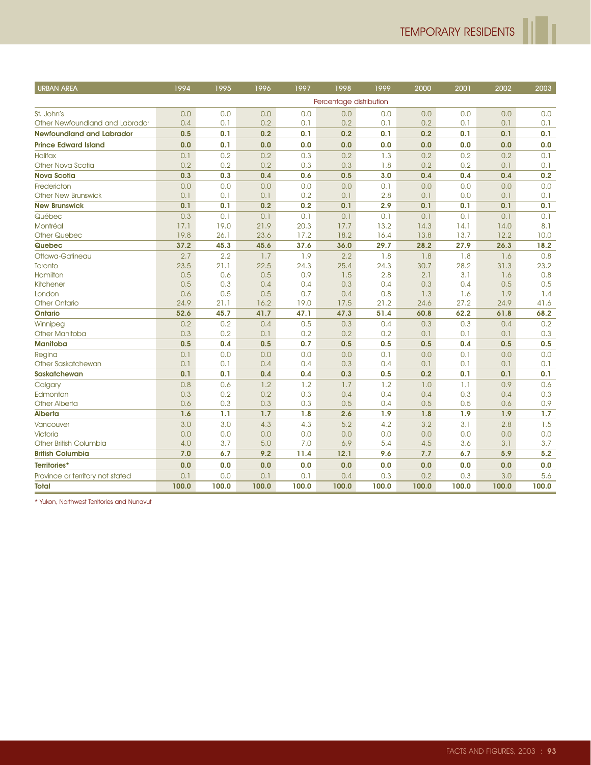| <b>URBAN AREA</b>                | 1994  | 1995  | 1996  | 1997  | 1998                    | 1999  | 2000  | 2001  | 2002  | 2003  |
|----------------------------------|-------|-------|-------|-------|-------------------------|-------|-------|-------|-------|-------|
|                                  |       |       |       |       | Percentage distribution |       |       |       |       |       |
| St. John's                       | 0.0   | 0.0   | 0.0   | 0.0   | 0.0                     | 0.0   | 0.0   | 0.0   | 0.0   | 0.0   |
| Other Newfoundland and Labrador  | 0.4   | 0.1   | 0.2   | 0.1   | 0.2                     | 0.1   | 0.2   | 0.1   | 0.1   | 0.1   |
| <b>Newfoundland and Labrador</b> | 0.5   | 0.1   | 0.2   | 0.1   | 0.2                     | 0.1   | 0.2   | 0.1   | 0.1   | 0.1   |
| <b>Prince Edward Island</b>      | 0.0   | 0.1   | 0.0   | 0.0   | 0.0                     | 0.0   | 0.0   | 0.0   | 0.0   | 0.0   |
| <b>Halifax</b>                   | 0.1   | 0.2   | 0.2   | 0.3   | 0.2                     | 1.3   | 0.2   | 0.2   | 0.2   | 0.1   |
| Other Nova Scotia                | 0.2   | 0.2   | 0.2   | 0.3   | 0.3                     | 1.8   | 0.2   | 0.2   | 0.1   | 0.1   |
| <b>Nova Scotia</b>               | 0.3   | 0.3   | 0.4   | 0.6   | 0.5                     | 3.0   | 0.4   | 0.4   | 0.4   | 0.2   |
| Fredericton                      | 0.0   | 0,0   | 0.0   | 0.0   | 0.0                     | 0.1   | 0.0   | 0.0   | 0.0   | 0.0   |
| <b>Other New Brunswick</b>       | 0.1   | 0.1   | 0.1   | 0.2   | 0.1                     | 2.8   | 0.1   | 0.0   | 0.1   | 0.1   |
| <b>New Brunswick</b>             | 0.1   | 0.1   | 0.2   | 0.2   | 0.1                     | 2.9   | 0.1   | 0.1   | 0.1   | 0.1   |
| Québec                           | 0.3   | 0.1   | 0.1   | 0.1   | 0.1                     | 0.1   | 0.1   | 0.1   | 0.1   | 0.1   |
| Montréal                         | 17.1  | 19.0  | 21.9  | 20.3  | 17.7                    | 13.2  | 14.3  | 14.1  | 14.0  | 8.1   |
| <b>Other Quebec</b>              | 19.8  | 26.1  | 23.6  | 17.2  | 18.2                    | 16.4  | 13.8  | 13.7  | 12.2  | 10.0  |
| Quebec                           | 37.2  | 45.3  | 45.6  | 37.6  | 36.0                    | 29.7  | 28.2  | 27.9  | 26.3  | 18.2  |
| Ottawa-Gatineau                  | 2.7   | 2.2   | 1.7   | 1.9   | 2.2                     | 1.8   | 1.8   | 1.8   | 1.6   | 0.8   |
| Toronto                          | 23.5  | 21.1  | 22.5  | 24.3  | 25.4                    | 24.3  | 30.7  | 28.2  | 31.3  | 23.2  |
| Hamilton                         | 0.5   | 0.6   | 0.5   | 0.9   | 1.5                     | 2.8   | 2.1   | 3.1   | 1.6   | 0.8   |
| <b>Kitchener</b>                 | 0.5   | 0.3   | 0.4   | 0.4   | 0.3                     | 0.4   | 0.3   | 0.4   | 0.5   | 0.5   |
| London                           | 0.6   | 0.5   | 0.5   | 0.7   | 0.4                     | 0.8   | 1.3   | 1.6   | 1.9   | 1.4   |
| <b>Other Ontario</b>             | 24.9  | 21.1  | 16.2  | 19.0  | 17.5                    | 21.2  | 24.6  | 27.2  | 24.9  | 41.6  |
| <b>Ontario</b>                   | 52.6  | 45.7  | 41.7  | 47.1  | 47.3                    | 51.4  | 60.8  | 62.2  | 61.8  | 68.2  |
| Winnipeg                         | 0.2   | 0.2   | 0.4   | 0.5   | 0.3                     | 0.4   | 0.3   | 0.3   | 0.4   | 0.2   |
| <b>Other Manitoba</b>            | 0.3   | 0.2   | 0.1   | 0.2   | 0.2                     | 0.2   | 0.1   | 0.1   | 0.1   | 0.3   |
| <b>Manitoba</b>                  | 0.5   | 0.4   | 0.5   | 0.7   | 0.5                     | 0.5   | 0.5   | 0.4   | 0.5   | 0.5   |
| Regina                           | 0.1   | 0.0   | 0.0   | 0.0   | 0.0                     | 0.1   | 0.0   | 0.1   | 0.0   | 0.0   |
| Other Saskatchewan               | 0.1   | 0.1   | 0.4   | 0.4   | 0.3                     | 0.4   | 0.1   | 0.1   | 0.1   | 0.1   |
| <b>Saskatchewan</b>              | 0.1   | 0.1   | 0.4   | 0.4   | 0.3                     | 0.5   | 0.2   | 0.1   | 0.1   | 0.1   |
| Calgary                          | 0.8   | 0.6   | 1.2   | 1.2   | 1.7                     | 1.2   | 1.0   | 1.1   | 0.9   | 0.6   |
| Edmonton                         | 0.3   | 0.2   | 0.2   | 0.3   | 0.4                     | 0.4   | 0.4   | 0.3   | 0.4   | 0.3   |
| <b>Other Alberta</b>             | 0.6   | 0.3   | 0.3   | 0.3   | 0.5                     | 0.4   | 0.5   | 0.5   | 0.6   | 0.9   |
| <b>Alberta</b>                   | 1.6   | 1.1   | 1.7   | 1.8   | 2.6                     | 1.9   | 1.8   | 1.9   | 1.9   | 1.7   |
| Vancouver                        | 3.0   | 3.0   | 4.3   | 4.3   | 5.2                     | 4.2   | 3.2   | 3.1   | 2.8   | 1.5   |
| Victoria                         | 0.0   | 0.0   | 0.0   | 0.0   | 0.0                     | 0.0   | 0.0   | 0.0   | 0.0   | 0.0   |
| Other British Columbia           | 4.0   | 3.7   | 5.0   | 7.0   | 6.9                     | 5.4   | 4.5   | 3.6   | 3.1   | 3.7   |
| <b>British Columbia</b>          | 7.0   | 6.7   | 9.2   | 11.4  | 12.1                    | 9.6   | 7.7   | 6.7   | 5.9   | 5.2   |
| Territories*                     | 0.0   | 0.0   | 0.0   | 0.0   | 0.0                     | 0.0   | 0.0   | 0.0   | 0.0   | 0.0   |
| Province or territory not stated | 0.1   | 0.0   | 0.1   | 0.1   | 0.4                     | 0.3   | 0.2   | 0.3   | 3.0   | 5.6   |
| <b>Total</b>                     | 100.0 | 100.0 | 100.0 | 100.0 | 100.0                   | 100.0 | 100.0 | 100.0 | 100.0 | 100.0 |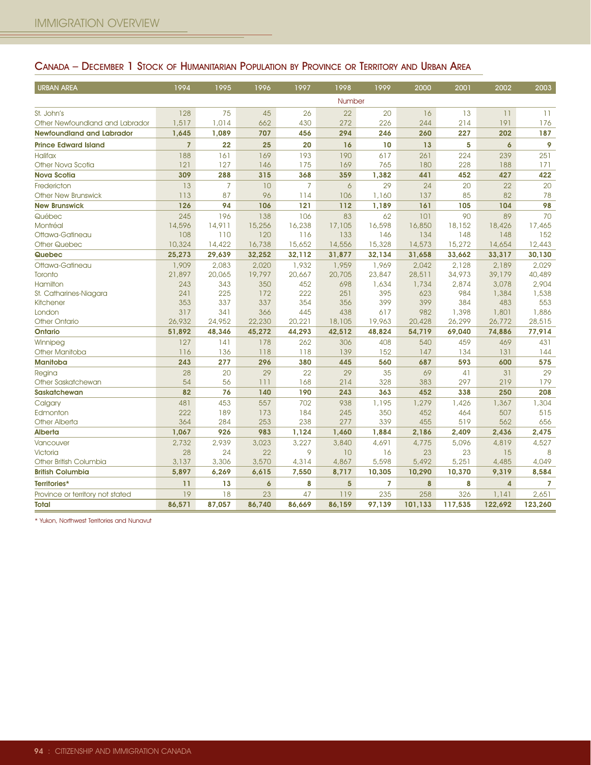## CANADA – DECEMBER 1 STOCK OF HUMANITARIAN POPULATION BY PROVINCE OR TERRITORY AND URBAN AREA

| <b>URBAN AREA</b>                | 1994           | 1995           | 1996                | 1997           | 1998     | 1999   | 2000    | 2001    | 2002                | 2003    |
|----------------------------------|----------------|----------------|---------------------|----------------|----------|--------|---------|---------|---------------------|---------|
|                                  |                |                |                     |                | Number   |        |         |         |                     |         |
| St. John's                       | 128            | 75             | 45                  | 26             | 22       | 20     | 16      | 13      | 11                  | 11      |
| Other Newfoundland and Labrador  | 1,517          | 1,014          | 662                 | 430            | 272      | 226    | 244     | 214     | 191                 | 176     |
| <b>Newfoundland and Labrador</b> | 1,645          | 1,089          | 707                 | 456            | 294      | 246    | 260     | 227     | 202                 | 187     |
| <b>Prince Edward Island</b>      | $\overline{7}$ | 22             | 25                  | 20             | 16       | 10     | 13      | 5       | $\ddot{\mathbf{6}}$ | 9       |
| <b>Halifax</b>                   | 188            | 161            | 169                 | 193            | 190      | 617    | 261     | 224     | 239                 | 251     |
| Other Nova Scotia                | 121            | 127            | 146                 | 175            | 169      | 765    | 180     | 228     | 188                 | 171     |
| <b>Nova Scotia</b>               | 309            | 288            | 315                 | 368            | 359      | 1,382  | 441     | 452     | 427                 | 422     |
| Fredericton                      | 13             | $\overline{7}$ | 10                  | $\overline{7}$ | $\delta$ | 29     | 24      | 20      | 22                  | 20      |
| <b>Other New Brunswick</b>       | 113            | 87             | 96                  | 114            | 106      | 1,160  | 137     | 85      | 82                  | 78      |
| <b>New Brunswick</b>             | 126            | 94             | 106                 | 121            | 112      | 1,189  | 161     | 105     | 104                 | 98      |
| Québec                           | 245            | 196            | 138                 | 106            | 83       | 62     | 101     | 90      | 89                  | 70      |
| Montréal                         | 14,596         | 14,911         | 15,256              | 16,238         | 17,105   | 16,598 | 16,850  | 18,152  | 18,426              | 17,465  |
| Ottawa-Gatineau                  | 108            | 110            | 120                 | 116            | 133      | 146    | 134     | 148     | 148                 | 152     |
| <b>Other Quebec</b>              | 10,324         | 14,422         | 16,738              | 15,652         | 14,556   | 15,328 | 14,573  | 15,272  | 14,654              | 12,443  |
| Quebec                           | 25,273         | 29,639         | 32,252              | 32,112         | 31,877   | 32,134 | 31,658  | 33,662  | 33,317              | 30,130  |
| Ottawa-Gatineau                  | 1,909          | 2,083          | 2,020               | 1,932          | 1,959    | 1,969  | 2,042   | 2,128   | 2,189               | 2.029   |
| Toronto                          | 21,897         | 20,065         | 19,797              | 20,667         | 20,705   | 23,847 | 28,511  | 34,973  | 39,179              | 40,489  |
| Hamilton                         | 243            | 343            | 350                 | 452            | 698      | 1,634  | 1,734   | 2,874   | 3,078               | 2.904   |
| St. Catharines-Niagara           | 241            | 225            | 172                 | 222            | 251      | 395    | 623     | 984     | 1,384               | 1,538   |
| <b>Kitchener</b>                 | 353            | 337            | 337                 | 354            | 356      | 399    | 399     | 384     | 483                 | 553     |
| London                           | 317            | 341            | 366                 | 445            | 438      | 617    | 982     | 1,398   | 1,801               | 1,886   |
| <b>Other Ontario</b>             | 26,932         | 24,952         | 22,230              | 20,221         | 18,105   | 19,963 | 20,428  | 26,299  | 26,772              | 28,515  |
| <b>Ontario</b>                   | 51,892         | 48,346         | 45,272              | 44,293         | 42,512   | 48,824 | 54,719  | 69,040  | 74,886              | 77,914  |
| Winnipeg                         | 127            | 141            | 178                 | 262            | 306      | 408    | 540     | 459     | 469                 | 431     |
| Other Manitoba                   | 116            | 136            | 118                 | 118            | 139      | 152    | 147     | 134     | 131                 | 144     |
| <b>Manitoba</b>                  | 243            | 277            | 296                 | 380            | 445      | 560    | 687     | 593     | 600                 | 575     |
| Regina                           | 28             | 20             | 29                  | 22             | 29       | 35     | 69      | 41      | 31                  | 29      |
| Other Saskatchewan               | 54             | 56             | 111                 | 168            | 214      | 328    | 383     | 297     | 219                 | 179     |
| <b>Saskatchewan</b>              | 82             | 76             | 140                 | 190            | 243      | 363    | 452     | 338     | 250                 | 208     |
| Calgary                          | 481            | 453            | 557                 | 702            | 938      | 1,195  | 1,279   | 1,426   | 1,367               | 1,304   |
| Edmonton                         | 222            | 189            | 173                 | 184            | 245      | 350    | 452     | 464     | 507                 | 515     |
| <b>Other Alberta</b>             | 364            | 284            | 253                 | 238            | 277      | 339    | 455     | 519     | 562                 | 656     |
| <b>Alberta</b>                   | 1,067          | 926            | 983                 | 1,124          | 1,460    | 1,884  | 2,186   | 2,409   | 2,436               | 2,475   |
| Vancouver                        | 2,732          | 2,939          | 3,023               | 3,227          | 3,840    | 4,691  | 4,775   | 5,096   | 4,819               | 4,527   |
| Victoria                         | 28             | 24             | 22                  | 9              | 10       | 16     | 23      | 23      | 15                  | 8       |
| Other British Columbia           | 3,137          | 3,306          | 3,570               | 4,314          | 4,867    | 5,598  | 5,492   | 5,251   | 4,485               | 4,049   |
| <b>British Columbia</b>          | 5,897          | 6,269          | 6,615               | 7,550          | 8,717    | 10,305 | 10,290  | 10,370  | 9,319               | 8,584   |
| Territories*                     | 11             | 13             | $\ddot{\mathbf{6}}$ | 8              | 5        | 7      | 8       | 8       | $\overline{4}$      | 7       |
| Province or territory not stated | 19             | 18             | 23                  | 47             | 119      | 235    | 258     | 326     | 1,141               | 2,651   |
| <b>Total</b>                     | 86,571         | 87,057         | 86,740              | 86,669         | 86,159   | 97,139 | 101,133 | 117,535 | 122,692             | 123,260 |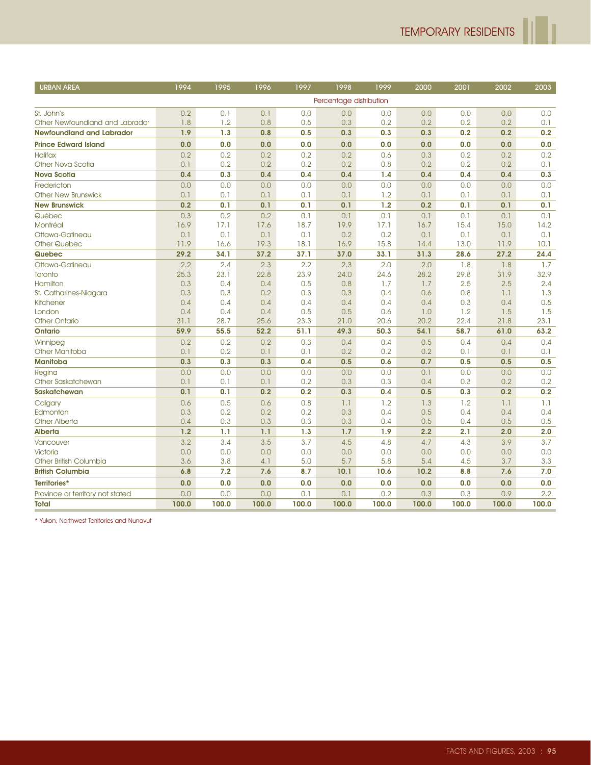h

| <b>URBAN AREA</b>                | 1994  | 1995  | 1996  | 1997  | 1998                    | 1999  | 2000  | 2001  | 2002  | 2003  |
|----------------------------------|-------|-------|-------|-------|-------------------------|-------|-------|-------|-------|-------|
|                                  |       |       |       |       | Percentage distribution |       |       |       |       |       |
| St. John's                       | 0.2   | 0.1   | 0.1   | 0.0   | 0.0                     | 0.0   | 0.0   | 0.0   | 0.0   | 0.0   |
| Other Newfoundland and Labrador  | 1.8   | 1.2   | 0.8   | 0.5   | 0.3                     | 0.2   | 0.2   | 0.2   | 0.2   | 0.1   |
| <b>Newfoundland and Labrador</b> | 1.9   | 1.3   | 0.8   | 0.5   | 0.3                     | 0.3   | 0.3   | 0.2   | 0.2   | 0.2   |
| <b>Prince Edward Island</b>      | 0.0   | 0.0   | 0.0   | 0.0   | 0.0                     | 0.0   | 0.0   | 0.0   | 0.0   | 0.0   |
| <b>Halifax</b>                   | 0.2   | 0.2   | 0.2   | 0.2   | 0.2                     | 0.6   | 0.3   | 0.2   | 0.2   | 0.2   |
| Other Nova Scotia                | 0.1   | 0.2   | 0.2   | 0.2   | 0.2                     | 0.8   | 0.2   | 0.2   | 0.2   | 0.1   |
| <b>Nova Scotia</b>               | 0.4   | 0.3   | 0.4   | 0.4   | 0.4                     | 1.4   | 0.4   | 0.4   | 0.4   | 0.3   |
| Fredericton                      | 0.0   | 0.0   | 0.0   | 0.0   | 0.0                     | 0.0   | 0.0   | 0.0   | 0.0   | 0.0   |
| <b>Other New Brunswick</b>       | 0.1   | 0.1   | 0.1   | 0.1   | 0.1                     | 1.2   | 0.1   | 0.1   | 0.1   | 0.1   |
| <b>New Brunswick</b>             | 0.2   | 0.1   | 0.1   | 0.1   | 0.1                     | 1.2   | 0.2   | 0.1   | 0.1   | 0.1   |
| Québec                           | 0.3   | 0.2   | 0.2   | 0.1   | 0.1                     | 0.1   | 0.1   | 0.1   | 0.1   | 0.1   |
| Montréal                         | 16.9  | 17.1  | 17.6  | 18.7  | 19.9                    | 17.1  | 16.7  | 15.4  | 15.0  | 14.2  |
| Ottawa-Gatineau                  | 0.1   | 0.1   | 0.1   | 0.1   | 0.2                     | 0.2   | 0.1   | 0.1   | 0.1   | 0.1   |
| <b>Other Quebec</b>              | 11.9  | 16.6  | 19.3  | 18.1  | 16.9                    | 15.8  | 14.4  | 13.0  | 11.9  | 10.1  |
| Quebec                           | 29.2  | 34.1  | 37.2  | 37.1  | 37.0                    | 33.1  | 31.3  | 28.6  | 27.2  | 24.4  |
| Ottawa-Gatineau                  | 2.2   | 2.4   | 2.3   | 2.2   | 2.3                     | 2.0   | 2.0   | 1.8   | 1.8   | 1.7   |
| Toronto                          | 25.3  | 23.1  | 22.8  | 23.9  | 24.0                    | 24.6  | 28.2  | 29.8  | 31.9  | 32.9  |
| Hamilton                         | 0.3   | 0.4   | 0.4   | 0.5   | 0.8                     | 1.7   | 1.7   | 2.5   | 2.5   | 2.4   |
| St. Catharines-Niagara           | 0.3   | 0.3   | 0.2   | 0.3   | 0.3                     | 0.4   | 0.6   | 0.8   | 1.1   | 1.3   |
| Kitchener                        | 0.4   | 0.4   | 0.4   | 0.4   | 0.4                     | 0.4   | 0.4   | 0.3   | 0.4   | 0.5   |
| London                           | 0.4   | 0.4   | 0.4   | 0.5   | 0.5                     | 0.6   | 1.0   | 1.2   | 1.5   | 1.5   |
| <b>Other Ontario</b>             | 31.1  | 28.7  | 25.6  | 23.3  | 21.0                    | 20.6  | 20.2  | 22.4  | 21.8  | 23.1  |
| <b>Ontario</b>                   | 59.9  | 55.5  | 52.2  | 51.1  | 49.3                    | 50.3  | 54.1  | 58.7  | 61.0  | 63.2  |
| Winnipeg                         | 0.2   | 0.2   | 0.2   | 0.3   | 0.4                     | 0.4   | 0.5   | 0.4   | 0.4   | 0.4   |
| Other Manitoba                   | 0.1   | 0.2   | 0.1   | 0.1   | 0.2                     | 0.2   | 0.2   | 0.1   | 0.1   | 0.1   |
| <b>Manitoba</b>                  | 0.3   | 0.3   | 0.3   | 0.4   | 0.5                     | 0.6   | 0.7   | 0.5   | 0.5   | 0.5   |
| Regina                           | 0.0   | 0.0   | 0.0   | 0.0   | 0.0                     | 0.0   | 0.1   | 0.0   | 0.0   | 0.0   |
| Other Saskatchewan               | 0.1   | 0.1   | 0.1   | 0.2   | 0.3                     | 0.3   | 0.4   | 0.3   | 0.2   | 0.2   |
| <b>Saskatchewan</b>              | 0.1   | 0.1   | 0.2   | 0.2   | 0.3                     | 0.4   | 0.5   | 0.3   | 0.2   | 0.2   |
| Calgary                          | 0.6   | 0.5   | 0.6   | 0.8   | 1.1                     | 1.2   | 1.3   | 1.2   | 1.1   | 1.1   |
| Edmonton                         | 0.3   | 0.2   | 0.2   | 0.2   | 0.3                     | 0.4   | 0.5   | 0.4   | 0.4   | 0.4   |
| <b>Other Alberta</b>             | 0.4   | 0.3   | 0.3   | 0.3   | 0.3                     | 0.4   | 0.5   | 0.4   | 0.5   | 0.5   |
| <b>Alberta</b>                   | 1.2   | 1.1   | 1.1   | 1.3   | 1.7                     | 1.9   | 2.2   | 2.1   | 2.0   | 2.0   |
| Vancouver                        | 3.2   | 3.4   | 3.5   | 3.7   | 4.5                     | 4.8   | 4.7   | 4.3   | 3.9   | 3.7   |
| Victoria                         | 0.0   | 0,0   | 0.0   | 0.0   | 0.0                     | 0.0   | 0.0   | 0.0   | 0.0   | 0.0   |
| Other British Columbia           | 3.6   | 3.8   | 4.1   | 5.0   | 5.7                     | 5.8   | 5.4   | 4.5   | 3.7   | 3.3   |
| <b>British Columbia</b>          | 6.8   | 7.2   | 7.6   | 8.7   | 10.1                    | 10.6  | 10.2  | 8.8   | 7.6   | 7.0   |
| Territories*                     | 0.0   | 0.0   | 0.0   | 0.0   | 0.0                     | 0.0   | 0.0   | 0.0   | 0.0   | 0.0   |
| Province or territory not stated | 0.0   | 0.0   | 0.0   | 0.1   | 0.1                     | 0.2   | 0.3   | 0.3   | 0.9   | 2.2   |
| <b>Total</b>                     | 100.0 | 100.0 | 100.0 | 100.0 | 100.0                   | 100.0 | 100.0 | 100.0 | 100.0 | 100.0 |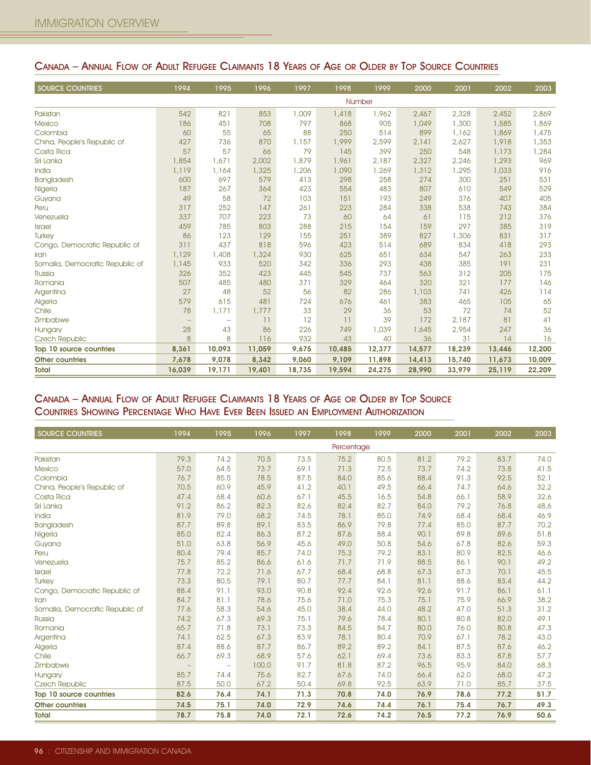| <b>SOURCE COUNTRIES</b>         | 1994              | 1995                     | 1996   | 1997   | 1998   | 1999   | 2000   | 2001   | 2002   | 2003   |
|---------------------------------|-------------------|--------------------------|--------|--------|--------|--------|--------|--------|--------|--------|
|                                 |                   |                          |        |        |        | Number |        |        |        |        |
| Pakistan                        | 542               | 821                      | 853    | 1,009  | 1,418  | 1,962  | 2,467  | 2,328  | 2,452  | 2,869  |
| <b>Mexico</b>                   | 186               | 451                      | 708    | 797    | 868    | 905    | 1,049  | 1,300  | 1,585  | 1,869  |
| Colombia                        | 60                | 55                       | 65     | 88     | 250    | 514    | 899    | 1,162  | 1,869  | 1,475  |
| China, People's Republic of     | 427               | 736                      | 870    | 1,157  | 1,999  | 2,599  | 2,141  | 2,627  | 1,918  | 1,353  |
| Costa Rica                      | 57                | 57                       | 66     | 79     | 145    | 399    | 250    | 548    | 1,173  | 1,284  |
| Sri Lanka                       | 1,854             | 1,671                    | 2,002  | 1,879  | 1,961  | 2,187  | 2,327  | 2,246  | 1,293  | 969    |
| India                           | 1,119             | 1,164                    | 1,325  | 1,206  | 1,090  | 1,269  | 1,312  | 1,295  | 1,033  | 916    |
| Bangladesh                      | 600               | 697                      | 579    | 413    | 298    | 258    | 274    | 300    | 251    | 531    |
| Nigeria                         | 187               | 267                      | 364    | 423    | 554    | 483    | 807    | 610    | 549    | 529    |
| Guyana                          | 49                | 58                       | 72     | 103    | 151    | 193    | 249    | 376    | 407    | 405    |
| Peru                            | 317               | 252                      | 147    | 261    | 223    | 284    | 338    | 538    | 743    | 384    |
| Venezuela                       | 337               | 707                      | 223    | 73     | 60     | 64     | 61     | 115    | 212    | 376    |
| <b>Israel</b>                   | 459               | 785                      | 803    | 288    | 215    | 154    | 159    | 297    | 385    | 319    |
| <b>Turkey</b>                   | 86                | 123                      | 129    | 155    | 251    | 389    | 827    | 1,306  | 831    | 317    |
| Congo, Democratic Republic of   | 311               | 437                      | 818    | 596    | 423    | 514    | 689    | 834    | 418    | 293    |
| Iran                            | 1,129             | 1,408                    | 1,324  | 930    | 625    | 651    | 634    | 547    | 263    | 233    |
| Somalia, Democratic Republic of | 1,145             | 933                      | 520    | 342    | 336    | 293    | 438    | 385    | 191    | 231    |
| Russia                          | 326               | 352                      | 423    | 445    | 545    | 737    | 563    | 312    | 205    | 175    |
| Romania                         | 507               | 485                      | 480    | 371    | 329    | 464    | 320    | 321    | 177    | 146    |
| Argentina                       | 27                | 48                       | 52     | 56     | 82     | 286    | 1,103  | 741    | 426    | 114    |
| Algeria                         | 579               | 615                      | 481    | 724    | 676    | 461    | 383    | 465    | 105    | 65     |
| Chile                           | 78                | 1,171                    | 1,777  | 33     | 29     | 36     | 53     | 72     | 74     | 52     |
| Zimbabwe                        | $\qquad \qquad -$ | $\overline{\phantom{0}}$ | 11     | 12     | 11     | 39     | 172    | 2,187  | 81     | 41     |
| Hungary                         | 28                | 43                       | 86     | 226    | 749    | 1,039  | 1,645  | 2,954  | 247    | 36     |
| <b>Czech Republic</b>           | 8                 | 8                        | 116    | 932    | 43     | 40     | 36     | 31     | 14     | 16     |
| Top 10 source countries         | 8,361             | 10,093                   | 11,059 | 9,675  | 10,485 | 12,377 | 14,577 | 18,239 | 13,446 | 12,200 |
| <b>Other countries</b>          | 7,678             | 9,078                    | 8,342  | 9,060  | 9.109  | 11,898 | 14,413 | 15,740 | 11,673 | 10,009 |
| <b>Total</b>                    | 16,039            | 19,171                   | 19,401 | 18,735 | 19,594 | 24,275 | 28,990 | 33,979 | 25,119 | 22,209 |

#### CANADA – ANNUAL FLOW OF ADULT REFUGEE CLAIMANTS 18 YEARS OF AGE OR OLDER BY TOP SOURCE COUNTRIES

#### CANADA – ANNUAL FLOW OF ADULT REFUGEE CLAIMANTS 18 YEARS OF AGE OR OLDER BY TOP SOURCE COUNTRIES SHOWING PERCENTAGE WHO HAVE EVER BEEN ISSUED AN EMPLOYMENT AUTHORIZATION

| <b>SOURCE COUNTRIES</b>         | 1994              | 1995                     | 1996  | 1997 | 1998       | 1999 | 2000 | 2001 | 2002 | 2003 |
|---------------------------------|-------------------|--------------------------|-------|------|------------|------|------|------|------|------|
|                                 |                   |                          |       |      | Percentage |      |      |      |      |      |
| Pakistan                        | 79.3              | 74.2                     | 70.5  | 73.5 | 75.2       | 80.5 | 81.2 | 79.2 | 83.7 | 74.0 |
| <b>Mexico</b>                   | 57.0              | 64.5                     | 73.7  | 69.1 | 71.3       | 72.5 | 73.7 | 74.2 | 73.8 | 41.5 |
| Colombia                        | 76.7              | 85.5                     | 78.5  | 87.5 | 84.0       | 85.6 | 88.4 | 91.3 | 92.5 | 52.1 |
| China, People's Republic of     | 70.5              | 60.9                     | 45.9  | 41.2 | 40.1       | 49.5 | 66.4 | 74.7 | 64.6 | 32.2 |
| Costa Rica                      | 47.4              | 68.4                     | 60.6  | 67.1 | 45.5       | 16.5 | 54.8 | 66.1 | 58.9 | 32.6 |
| Sri Lanka                       | 91.2              | 86.2                     | 82.3  | 82.6 | 82.4       | 82.7 | 84.0 | 79.2 | 76.8 | 48.6 |
| India                           | 81.9              | 79.0                     | 68.2  | 74.5 | 78.1       | 85.0 | 74.9 | 68.4 | 68.4 | 46.9 |
| Bangladesh                      | 87.7              | 89.8                     | 89.1  | 83.5 | 86.9       | 79.8 | 77.4 | 85.0 | 87.7 | 70.2 |
| Nigeria                         | 85.0              | 82.4                     | 86.3  | 87.2 | 87.6       | 88.4 | 90.1 | 89.8 | 89.6 | 51.8 |
| Guyana                          | 51.0              | 63.8                     | 56.9  | 45.6 | 49.0       | 50.8 | 54.6 | 67.8 | 82.6 | 59.3 |
| Peru                            | 80.4              | 79.4                     | 85.7  | 74.0 | 75.3       | 79.2 | 83.1 | 80.9 | 82.5 | 46.6 |
| Venezuela                       | 75.7              | 85.2                     | 86.6  | 61.6 | 71.7       | 71.9 | 88.5 | 86.1 | 90.1 | 49.2 |
| <b>Israel</b>                   | 77.8              | 72.2                     | 71.6  | 67.7 | 68.4       | 68.8 | 67.3 | 67.3 | 70.1 | 45.5 |
| Turkey                          | 73.3              | 80.5                     | 79.1  | 80.7 | 77.7       | 84.1 | 81.1 | 88.6 | 83.4 | 44.2 |
| Congo, Democratic Republic of   | 88.4              | 91.1                     | 93.0  | 90.8 | 92.4       | 92.6 | 92.6 | 91.7 | 86.1 | 61.1 |
| Iran                            | 84.7              | 81.1                     | 78.6  | 75.6 | 71.0       | 75.3 | 75.1 | 75.9 | 66.9 | 38.2 |
| Somalia, Democratic Republic of | 77.6              | 58.3                     | 54.6  | 45.0 | 38.4       | 44.0 | 48.2 | 47.0 | 51.3 | 31.2 |
| Russia                          | 74.2              | 67.3                     | 69.3  | 75.1 | 79.6       | 78.4 | 80.1 | 80.8 | 82.0 | 49.1 |
| Romania                         | 65.7              | 71.8                     | 73.1  | 73.3 | 84.5       | 84.7 | 80.0 | 76.0 | 80.8 | 47.3 |
| Argentina                       | 74.1              | 62.5                     | 67.3  | 83.9 | 78.1       | 80.4 | 70.9 | 67.1 | 78.2 | 43.0 |
| Algeria                         | 87.4              | 88.6                     | 87.7  | 86.7 | 89.2       | 89.2 | 84.1 | 87.5 | 87.6 | 46.2 |
| Chile                           | 66.7              | 69.3                     | 68.9  | 57.6 | 62.1       | 69.4 | 73.6 | 83.3 | 87.8 | 57.7 |
| Zimbabwe                        | $\qquad \qquad -$ | $\overline{\phantom{m}}$ | 100.0 | 91.7 | 81.8       | 87.2 | 96.5 | 95.9 | 84.0 | 68.3 |
| Hungary                         | 85.7              | 74.4                     | 75.6  | 82.7 | 67.6       | 74.0 | 66.4 | 62.0 | 68.0 | 47.2 |
| <b>Czech Republic</b>           | 87.5              | 50.0                     | 67.2  | 50.4 | 69.8       | 92.5 | 63.9 | 71.0 | 85.7 | 37.5 |
| Top 10 source countries         | 82.6              | 76.4                     | 74.1  | 71.3 | 70.8       | 74.0 | 76.9 | 78.6 | 77.2 | 51.7 |
| <b>Other countries</b>          | 74.5              | 75.1                     | 74.0  | 72.9 | 74.6       | 74.4 | 76.1 | 75.4 | 76.7 | 49.3 |
| <b>Total</b>                    | 78.7              | 75.8                     | 74.0  | 72.1 | 72.6       | 74.2 | 76.5 | 77.2 | 76.9 | 50.6 |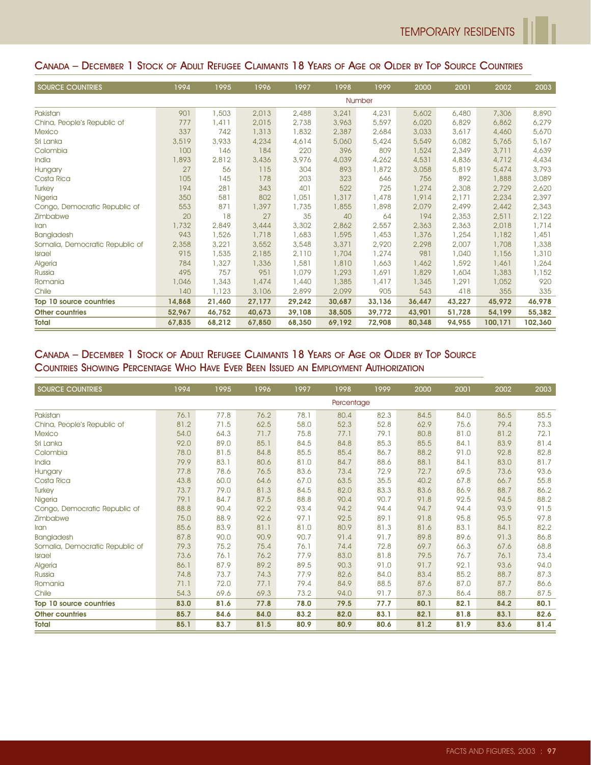#### CANADA – DECEMBER 1 STOCK OF ADULT REFUGEE CLAIMANTS 18 YEARS OF AGE OR OLDER BY TOP SOURCE COUNTRIES

| <b>SOURCE COUNTRIES</b>         | 1994   | 1995   | 1996   | 1997   | 1998   | 1999   | 2000   | 2001   | 2002    | 2003    |
|---------------------------------|--------|--------|--------|--------|--------|--------|--------|--------|---------|---------|
|                                 |        |        |        |        |        | Number |        |        |         |         |
| Pakistan                        | 901    | 1,503  | 2,013  | 2,488  | 3,241  | 4,231  | 5,602  | 6,480  | 7,306   | 8,890   |
| China, People's Republic of     | 777    | 1,411  | 2,015  | 2,738  | 3,963  | 5,597  | 6,020  | 6,829  | 6,862   | 6,279   |
| <b>Mexico</b>                   | 337    | 742    | 1,313  | 1,832  | 2,387  | 2,684  | 3,033  | 3,617  | 4,460   | 5,670   |
| Sri Lanka                       | 3,519  | 3,933  | 4,234  | 4,614  | 5,060  | 5,424  | 5,549  | 6,082  | 5,765   | 5,167   |
| Colombia                        | 100    | 146    | 184    | 220    | 396    | 809    | 1,524  | 2,349  | 3,711   | 4,639   |
| India                           | 1,893  | 2,812  | 3,436  | 3,976  | 4,039  | 4,262  | 4,531  | 4,836  | 4,712   | 4,434   |
| Hungary                         | 27     | 56     | 115    | 304    | 893    | 1,872  | 3,058  | 5,819  | 5,474   | 3,793   |
| Costa Rica                      | 105    | 145    | 178    | 203    | 323    | 646    | 756    | 892    | 1,888   | 3,089   |
| <b>Turkey</b>                   | 194    | 281    | 343    | 401    | 522    | 725    | 1,274  | 2,308  | 2,729   | 2,620   |
| Nigeria                         | 350    | 581    | 802    | 1,051  | 1,317  | 1,478  | 1,914  | 2,171  | 2,234   | 2,397   |
| Congo, Democratic Republic of   | 553    | 871    | 1,397  | 1,735  | 1,855  | 1,898  | 2,079  | 2,499  | 2,442   | 2,343   |
| Zimbabwe                        | 20     | 18     | 27     | 35     | 40     | 64     | 194    | 2,353  | 2,511   | 2,122   |
| Iran                            | 1,732  | 2,849  | 3,444  | 3,302  | 2,862  | 2,557  | 2,363  | 2,363  | 2,018   | 1,714   |
| <b>Bangladesh</b>               | 943    | 1,526  | 1,718  | 1,683  | 1,595  | 1,453  | 1,376  | 1,254  | 1,182   | 1,451   |
| Somalia, Democratic Republic of | 2,358  | 3,221  | 3,552  | 3,548  | 3,371  | 2,920  | 2,298  | 2,007  | 1,708   | 1,338   |
| <b>Israel</b>                   | 915    | 1,535  | 2,185  | 2,110  | 1,704  | 1,274  | 981    | 1,040  | 1,156   | 1,310   |
| Algeria                         | 784    | 1,327  | 1,336  | 1,581  | 1,810  | 1,663  | 1,462  | 1,592  | 1,461   | 1,264   |
| Russia                          | 495    | 757    | 951    | 1,079  | 1,293  | 1,691  | 1,829  | 1,604  | 1,383   | 1,152   |
| Romania                         | 1,046  | 1,343  | 1,474  | 1,440  | 1,385  | 1,417  | 1,345  | 1,291  | 1,052   | 920     |
| Chile                           | 140    | 1,123  | 3,106  | 2,899  | 2,099  | 905    | 543    | 418    | 355     | 335     |
| Top 10 source countries         | 14,868 | 21,460 | 27,177 | 29,242 | 30,687 | 33,136 | 36,447 | 43,227 | 45,972  | 46,978  |
| <b>Other countries</b>          | 52,967 | 46,752 | 40,673 | 39,108 | 38,505 | 39,772 | 43,901 | 51,728 | 54,199  | 55,382  |
| <b>Total</b>                    | 67,835 | 68,212 | 67,850 | 68,350 | 69,192 | 72,908 | 80,348 | 94,955 | 100,171 | 102,360 |

#### CANADA – DECEMBER 1 STOCK OF ADULT REFUGEE CLAIMANTS 18 YEARS OF AGE OR OLDER BY TOP SOURCE COUNTRIES SHOWING PERCENTAGE WHO HAVE EVER BEEN ISSUED AN EMPLOYMENT AUTHORIZATION

| <b>SOURCE COUNTRIES</b>         | 1994 | 1995 | 1996 | 1997 | 1998       | 1999 | 2000 | 2001 | 2002 | 2003 |
|---------------------------------|------|------|------|------|------------|------|------|------|------|------|
|                                 |      |      |      |      | Percentage |      |      |      |      |      |
| Pakistan                        | 76.1 | 77.8 | 76.2 | 78.1 | 80.4       | 82.3 | 84.5 | 84.0 | 86.5 | 85.5 |
| China, People's Republic of     | 81.2 | 71.5 | 62.5 | 58.0 | 52.3       | 52.8 | 62.9 | 75.6 | 79.4 | 73.3 |
| <b>Mexico</b>                   | 54.0 | 64.3 | 71.7 | 75.8 | 77.1       | 79.1 | 80.8 | 81.0 | 81.2 | 72.1 |
| Sri Lanka                       | 92.0 | 89.0 | 85.1 | 84.5 | 84.8       | 85.3 | 85.5 | 84.1 | 83.9 | 81.4 |
| Colombia                        | 78.0 | 81.5 | 84.8 | 85.5 | 85.4       | 86.7 | 88.2 | 91.0 | 92.8 | 82.8 |
| India                           | 79.9 | 83.1 | 80.6 | 81.0 | 84.7       | 88.6 | 88.1 | 84.1 | 83.0 | 81.7 |
| Hungary                         | 77.8 | 78.6 | 76.5 | 83.6 | 73.4       | 72.9 | 72.7 | 69.5 | 73.6 | 93.6 |
| Costa Rica                      | 43.8 | 60.0 | 64.6 | 67.0 | 63.5       | 35.5 | 40.2 | 67.8 | 66.7 | 55.8 |
| Turkey                          | 73.7 | 79.0 | 81.3 | 84.5 | 82.0       | 83.3 | 83.6 | 86.9 | 88.7 | 86.2 |
| Nigeria                         | 79.1 | 84.7 | 87.5 | 88.8 | 90.4       | 90.7 | 91.8 | 92.5 | 94.5 | 88.2 |
| Congo, Democratic Republic of   | 88.8 | 90.4 | 92.2 | 93.4 | 94.2       | 94.4 | 94.7 | 94.4 | 93.9 | 91.5 |
| Zimbabwe                        | 75.0 | 88.9 | 92.6 | 97.1 | 92.5       | 89.1 | 91.8 | 95.8 | 95.5 | 97.8 |
| Iran                            | 85.6 | 83.9 | 81.1 | 81.0 | 80.9       | 81.3 | 81.6 | 83.1 | 84.1 | 82.2 |
| <b>Bangladesh</b>               | 87.8 | 90.0 | 90.9 | 90.7 | 91.4       | 91.7 | 89.8 | 89.6 | 91.3 | 86.8 |
| Somalia, Democratic Republic of | 79.3 | 75.2 | 75.4 | 76.1 | 74.4       | 72.8 | 69.7 | 66.3 | 67.6 | 68.8 |
| <b>Israel</b>                   | 73.6 | 76.1 | 76.2 | 77.9 | 83.0       | 81.8 | 79.5 | 76.7 | 76.1 | 73.4 |
| Algeria                         | 86.1 | 87.9 | 89.2 | 89.5 | 90.3       | 91.0 | 91.7 | 92.1 | 93.6 | 94.0 |
| Russia                          | 74.8 | 73.7 | 74.3 | 77.9 | 82.6       | 84.0 | 83.4 | 85.2 | 88.7 | 87.3 |
| Romania                         | 71.1 | 72.0 | 77.1 | 79.4 | 84.9       | 88.5 | 87.6 | 87.0 | 87.7 | 86.6 |
| Chile                           | 54.3 | 69.6 | 69.3 | 73.2 | 94.0       | 91.7 | 87.3 | 86.4 | 88.7 | 87.5 |
| Top 10 source countries         | 83.0 | 81.6 | 77.8 | 78.0 | 79.5       | 77.7 | 80.1 | 82.1 | 84.2 | 80.1 |
| <b>Other countries</b>          | 85.7 | 84.6 | 84.0 | 83.2 | 82.0       | 83.1 | 82.1 | 81.8 | 83.1 | 82.6 |
| <b>Total</b>                    | 85.1 | 83.7 | 81.5 | 80.9 | 80.9       | 80.6 | 81.2 | 81.9 | 83.6 | 81.4 |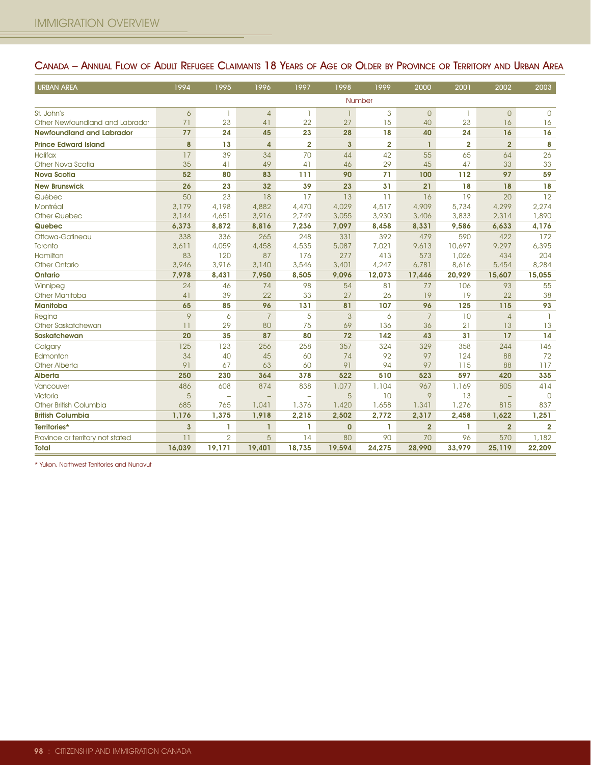| <b>URBAN AREA</b>                | 1994           | 1995                     | 1996              | 1997                     | 1998         | 1999           | 2000           | 2001           | 2002           | 2003           |
|----------------------------------|----------------|--------------------------|-------------------|--------------------------|--------------|----------------|----------------|----------------|----------------|----------------|
|                                  |                |                          |                   |                          |              | Number         |                |                |                |                |
| St. John's                       | 6              | $\overline{1}$           | $\overline{4}$    | 1                        | $\mathbf{1}$ | 3              | $\mathbf{0}$   | 1              | $\Omega$       | $\Omega$       |
| Other Newfoundland and Labrador  | 71             | 23                       | 41                | 22                       | 27           | 15             | 40             | 23             | 16             | 16             |
| <b>Newfoundland and Labrador</b> | 77             | 24                       | 45                | 23                       | 28           | 18             | 40             | 24             | 16             | 16             |
| <b>Prince Edward Island</b>      | 8              | 13                       | $\overline{a}$    | $\overline{2}$           | 3            | $\overline{2}$ | $\mathbf{I}$   | $\overline{2}$ | $\overline{2}$ | 8              |
| <b>Halifax</b>                   | 17             | 39                       | 34                | 70                       | 44           | 42             | 55             | 65             | 64             | 26             |
| Other Nova Scotia                | 35             | 41                       | 49                | 41                       | 46           | 29             | 45             | 47             | 33             | 33             |
| <b>Nova Scotia</b>               | 52             | 80                       | 83                | 111                      | 90           | 71             | 100            | 112            | 97             | 59             |
| <b>New Brunswick</b>             | 26             | 23                       | 32                | 39                       | 23           | 31             | 21             | 18             | 18             | 18             |
| Québec                           | 50             | 23                       | 18                | 17                       | 13           | 11             | 16             | 19             | 20             | 12             |
| Montréal                         | 3,179          | 4,198                    | 4,882             | 4,470                    | 4,029        | 4,517          | 4,909          | 5,734          | 4,299          | 2,274          |
| <b>Other Quebec</b>              | 3,144          | 4,651                    | 3,916             | 2,749                    | 3,055        | 3,930          | 3,406          | 3,833          | 2,314          | 1,890          |
| Quebec                           | 6,373          | 8,872                    | 8,816             | 7,236                    | 7,097        | 8,458          | 8,331          | 9,586          | 6,633          | 4,176          |
| Ottawa-Gatineau                  | 338            | 336                      | 265               | 248                      | 331          | 392            | 479            | 590            | 422            | 172            |
| Toronto                          | 3.611          | 4,059                    | 4,458             | 4,535                    | 5,087        | 7.021          | 9,613          | 10,697         | 9,297          | 6,395          |
| Hamilton                         | 83             | 120                      | 87                | 176                      | 277          | 413            | 573            | 1,026          | 434            | 204            |
| <b>Other Ontario</b>             | 3,946          | 3,916                    | 3,140             | 3,546                    | 3,401        | 4,247          | 6,781          | 8,616          | 5,454          | 8,284          |
| <b>Ontario</b>                   | 7,978          | 8,431                    | 7,950             | 8,505                    | 9,096        | 12,073         | 17,446         | 20,929         | 15,607         | 15,055         |
| Winnipeg                         | 24             | 46                       | 74                | 98                       | 54           | 81             | 77             | 106            | 93             | 55             |
| <b>Other Manitoba</b>            | 41             | 39                       | 22                | 33                       | 27           | 26             | 19             | 19             | 22             | 38             |
| <b>Manitoba</b>                  | 65             | 85                       | 96                | 131                      | 81           | 107            | 96             | 125            | 115            | 93             |
| Regina                           | 9              | 6                        | $\overline{7}$    | 5                        | $\mathbf{3}$ | 6              | $\overline{7}$ | 10             | $\overline{4}$ | -1.            |
| Other Saskatchewan               | 11             | 29                       | 80                | 75                       | 69           | 136            | 36             | 21             | 13             | 13             |
| <b>Saskatchewan</b>              | 20             | 35                       | 87                | 80                       | 72           | 142            | 43             | 31             | 17             | 14             |
| Calgary                          | 125            | 123                      | 256               | 258                      | 357          | 324            | 329            | 358            | 244            | 146            |
| Edmonton                         | 34             | 40                       | 45                | 60                       | 74           | 92             | 97             | 124            | 88             | 72             |
| Other Alberta                    | 91             | 67                       | 63                | 60                       | 91           | 94             | 97             | 115            | 88             | 117            |
| <b>Alberta</b>                   | 250            | 230                      | 364               | 378                      | 522          | 510            | 523            | 597            | 420            | 335            |
| Vancouver                        | 486            | 608                      | 874               | 838                      | 1,077        | 1,104          | 967            | 1,169          | 805            | 414            |
| <b>Victoria</b>                  | 5              | $\overline{\phantom{a}}$ | $\qquad \qquad -$ | $\overline{\phantom{0}}$ | 5            | 10             | 9              | 13             |                | $\Omega$       |
| Other British Columbia           | 685            | 765                      | 1,041             | 1,376                    | 1,420        | 1,658          | 1,341          | 1,276          | 815            | 837            |
| <b>British Columbia</b>          | 1,176          | 1,375                    | 1,918             | 2,215                    | 2,502        | 2,772          | 2,317          | 2,458          | 1,622          | 1,251          |
| Territories*                     | $\overline{3}$ | ı                        | ı                 | ı                        | $\mathbf{0}$ | ı              | $\overline{2}$ | ı              | $\overline{2}$ | $\overline{2}$ |
| Province or territory not stated | 11             | $\overline{2}$           | 5                 | 14                       | 80           | 90             | 70             | 96             | 570            | 1,182          |
| <b>Total</b>                     | 16,039         | 19,171                   | 19,401            | 18,735                   | 19,594       | 24,275         | 28,990         | 33,979         | 25,119         | 22,209         |

#### CANADA – ANNUAL FLOW OF ADULT REFUGEE CLAIMANTS 18 YEARS OF AGE OR OLDER BY PROVINCE OR TERRITORY AND URBAN AREA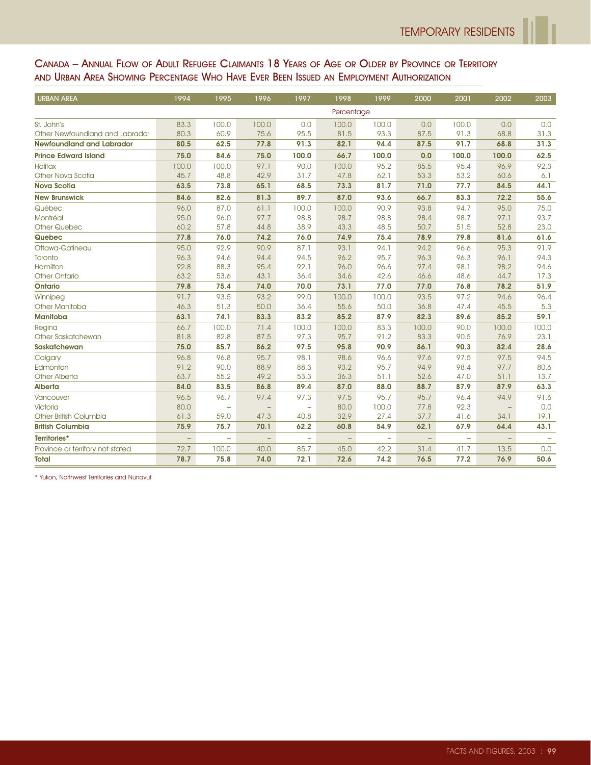#### CANADA – ANNUAL FLOW OF ADULT REFUGEE CLAIMANTS 18 YEARS OF AGE OR OLDER BY PROVINCE OR TERRITORY AND URBAN AREA SHOWING PERCENTAGE WHO HAVE EVER BEEN ISSUED AN EMPLOYMENT AUTHORIZATION

| <b>URBAN AREA</b>                | 1994     | 1995                     | 1996                     | 1997                     | 1998                     | 1999                     | 2000              | 2001                     | 2002                     | 2003  |
|----------------------------------|----------|--------------------------|--------------------------|--------------------------|--------------------------|--------------------------|-------------------|--------------------------|--------------------------|-------|
|                                  |          |                          |                          |                          | Percentage               |                          |                   |                          |                          |       |
| St. John's                       | 83.3     | 100.0                    | 100.0                    | 0.0                      | 100.0                    | 100.0                    | 0.0               | 100.0                    | 0.0                      | 0.0   |
| Other Newfoundland and Labrador  | 80.3     | 60.9                     | 75.6                     | 95.5                     | 81.5                     | 93.3                     | 87.5              | 91.3                     | 68.8                     | 31.3  |
| <b>Newfoundland and Labrador</b> | 80.5     | 62.5                     | 77.8                     | 91.3                     | 82.1                     | 94.4                     | 87.5              | 91.7                     | 68.8                     | 31.3  |
| <b>Prince Edward Island</b>      | 75.0     | 84.6                     | 75.0                     | 100.0                    | 66.7                     | 100.0                    | 0.0               | 100.0                    | 100.0                    | 62.5  |
| <b>Halifax</b>                   | 100.0    | 100.0                    | 97.1                     | 90.0                     | 100.0                    | 95.2                     | 85.5              | 95.4                     | 96.9                     | 92.3  |
| Other Nova Scotia                | 45.7     | 48.8                     | 42.9                     | 31.7                     | 47.8                     | 62.1                     | 53.3              | 53.2                     | 60.6                     | 6.1   |
| <b>Nova Scotia</b>               | 63.5     | 73.8                     | 65.1                     | 68.5                     | 73.3                     | 81.7                     | 71.0              | 77.7                     | 84.5                     | 44.1  |
| <b>New Brunswick</b>             | 84.6     | 82.6                     | 81.3                     | 89.7                     | 87.0                     | 93.6                     | 66.7              | 83.3                     | 72.2                     | 55.6  |
| Québec                           | 96.0     | 87.0                     | 61.1                     | 100.0                    | 100.0                    | 90.9                     | 93.8              | 94.7                     | 95.0                     | 75.0  |
| Montréal                         | 95.0     | 96.0                     | 97.7                     | 98.8                     | 98.7                     | 98.8                     | 98.4              | 98.7                     | 97.1                     | 93.7  |
| <b>Other Quebec</b>              | 60.2     | 57.8                     | 44.8                     | 38.9                     | 43.3                     | 48.5                     | 50.7              | 51.5                     | 52.8                     | 23.0  |
| Quebec                           | 77.8     | 76.0                     | 74.2                     | 76.0                     | 74.9                     | 75.4                     | 78.9              | 79.8                     | 81.6                     | 61.6  |
| Ottawa-Gatineau                  | 95.0     | 92.9                     | 90.9                     | 87.1                     | 93.1                     | 94.1                     | 94.2              | 96.6                     | 95.3                     | 91.9  |
| Toronto                          | 96.3     | 94.6                     | 94.4                     | 94.5                     | 96.2                     | 95.7                     | 96.3              | 96.3                     | 96.1                     | 94.3  |
| Hamilton                         | 92.8     | 88.3                     | 95.4                     | 92.1                     | 96.0                     | 96.6                     | 97.4              | 98.1                     | 98.2                     | 94.6  |
| <b>Other Ontario</b>             | 63.2     | 53.6                     | 43.1                     | 36.4                     | 34.6                     | 42.6                     | 46.6              | 48.6                     | 44.7                     | 17.3  |
| Ontario                          | 79.8     | 75.4                     | 74.0                     | 70.0                     | 73.1                     | 77.0                     | 77.0              | 76.8                     | 78.2                     | 51.9  |
| Winnipeg                         | 91.7     | 93.5                     | 93.2                     | 99.0                     | 100.0                    | 100.0                    | 93.5              | 97.2                     | 94.6                     | 96.4  |
| Other Manitoba                   | 46.3     | 51.3                     | 50.0                     | 36.4                     | 55.6                     | 50.0                     | 36.8              | 47.4                     | 45.5                     | 5.3   |
| <b>Manitoba</b>                  | 63.1     | 74.1                     | 83.3                     | 83.2                     | 85.2                     | 87.9                     | 82.3              | 89.6                     | 85.2                     | 59.1  |
| Regina                           | 66.7     | 100.0                    | 71.4                     | 100.0                    | 100.0                    | 83.3                     | 100.0             | 90.0                     | 100.0                    | 100.0 |
| Other Saskatchewan               | 81.8     | 82.8                     | 87.5                     | 97.3                     | 95.7                     | 91.2                     | 83.3              | 90.5                     | 76.9                     | 23.1  |
| <b>Saskatchewan</b>              | 75.0     | 85.7                     | 86.2                     | 97.5                     | 95.8                     | 90.9                     | 86.1              | 90.3                     | 82.4                     | 28.6  |
| Calgary                          | 96.8     | 96.8                     | 95.7                     | 98.1                     | 98.6                     | 96.6                     | 97.6              | 97.5                     | 97.5                     | 94.5  |
| Edmonton                         | 91.2     | 90.0                     | 88.9                     | 88.3                     | 93.2                     | 95.7                     | 94.9              | 98.4                     | 97.7                     | 80.6  |
| <b>Other Alberta</b>             | 63.7     | 55.2                     | 49.2                     | 53.3                     | 36.3                     | 51.1                     | 52.6              | 47.0                     | 51.1                     | 13.7  |
| <b>Alberta</b>                   | 84.0     | 83.5                     | 86.8                     | 89.4                     | 87.0                     | 88.0                     | 88.7              | 87.9                     | 87.9                     | 63.3  |
| Vancouver                        | 96.5     | 96.7                     | 97.4                     | 97.3                     | 97.5                     | 95.7                     | 95.7              | 96.4                     | 94.9                     | 91.6  |
| Victoria                         | 80.0     | $\overline{\phantom{0}}$ | $\overline{\phantom{0}}$ | $\overline{\phantom{0}}$ | 80.0                     | 100.0                    | 77.8              | 92.3                     | -                        | 0.0   |
| Other British Columbia           | 61.3     | 59.0                     | 47.3                     | 40.8                     | 32.9                     | 27.4                     | 37.7              | 41.6                     | 34.1                     | 19.1  |
| <b>British Columbia</b>          | 75.9     | 75.7                     | 70.1                     | 62.2                     | 60.8                     | 54.9                     | 62.1              | 67.9                     | 64.4                     | 43.1  |
| Territories*                     | $\equiv$ | $\overline{\phantom{0}}$ | $\qquad \qquad -$        | $\overline{\phantom{0}}$ | $\overline{\phantom{a}}$ | $\overline{\phantom{0}}$ | $\qquad \qquad -$ | $\overline{\phantom{0}}$ | $\overline{\phantom{0}}$ |       |
| Province or territory not stated | 72.7     | 100.0                    | 40.0                     | 85.7                     | 45.0                     | 42.2                     | 31.4              | 41.7                     | 13.5                     | 0.0   |
| <b>Total</b>                     | 78.7     | 75.8                     | 74.0                     | 72.1                     | 72.6                     | 74.2                     | 76.5              | 77.2                     | 76.9                     | 50.6  |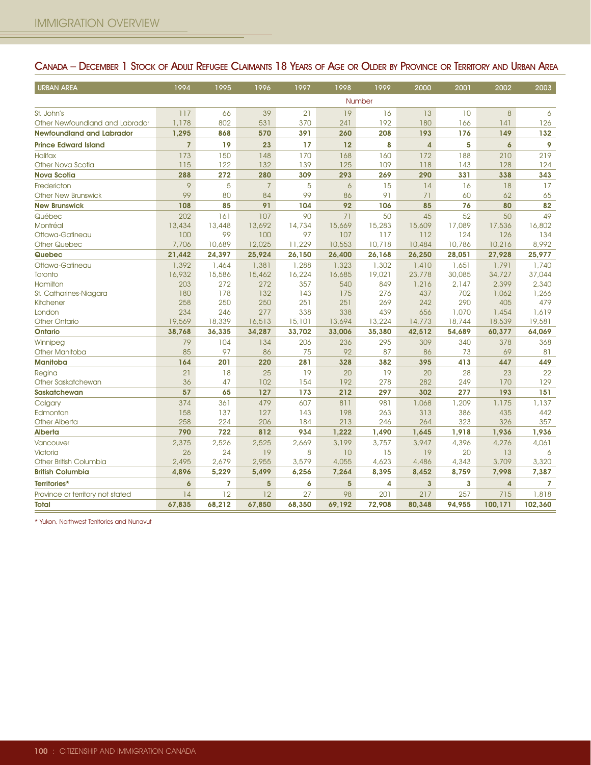| <b>URBAN AREA</b>                | 1994           | 1995           | 1996           | 1997   | 1998   | 1999   | 2000                    | 2001   | 2002           | 2003           |
|----------------------------------|----------------|----------------|----------------|--------|--------|--------|-------------------------|--------|----------------|----------------|
|                                  |                |                |                |        |        | Number |                         |        |                |                |
| St. John's                       | 117            | 66             | 39             | 21     | 19     | 16     | 13                      | 10     | 8              | 6              |
| Other Newfoundland and Labrador  | 1,178          | 802            | 531            | 370    | 241    | 192    | 180                     | 166    | 141            | 126            |
| <b>Newfoundland and Labrador</b> | 1,295          | 868            | 570            | 391    | 260    | 208    | 193                     | 176    | 149            | 132            |
| <b>Prince Edward Island</b>      | $\overline{7}$ | 19             | 23             | 17     | 12     | 8      | $\overline{4}$          | 5      | $\mathbf{6}$   | 9              |
| <b>Halifax</b>                   | 173            | 150            | 148            | 170    | 168    | 160    | 172                     | 188    | 210            | 219            |
| Other Nova Scotia                | 115            | 122            | 132            | 139    | 125    | 109    | 118                     | 143    | 128            | 124            |
| <b>Nova Scotia</b>               | 288            | 272            | 280            | 309    | 293    | 269    | 290                     | 331    | 338            | 343            |
| Fredericton                      | 9              | 5              | $\overline{7}$ | 5      | 6      | 15     | 14                      | 16     | 18             | 17             |
| <b>Other New Brunswick</b>       | 99             | 80             | 84             | 99     | 86     | 91     | 71                      | 60     | 62             | 65             |
| <b>New Brunswick</b>             | 108            | 85             | 91             | 104    | 92     | 106    | 85                      | 76     | 80             | 82             |
| Québec                           | 202            | 161            | 107            | 90     | 71     | 50     | 45                      | 52     | 50             | 49             |
| Montréal                         | 13,434         | 13,448         | 13,692         | 14,734 | 15,669 | 15,283 | 15,609                  | 17,089 | 17,536         | 16,802         |
| Ottawa-Gatineau                  | 100            | 99             | 100            | 97     | 107    | 117    | 112                     | 124    | 126            | 134            |
| <b>Other Quebec</b>              | 7,706          | 10,689         | 12,025         | 11,229 | 10,553 | 10,718 | 10,484                  | 10,786 | 10,216         | 8,992          |
| Quebec                           | 21,442         | 24,397         | 25,924         | 26,150 | 26,400 | 26,168 | 26,250                  | 28,051 | 27,928         | 25,977         |
| Ottawa-Gatineau                  | 1,392          | 1,464          | 1,381          | 1,288  | 1,323  | 1,302  | 1,410                   | 1,651  | 1,791          | 1,740          |
| Toronto                          | 16,932         | 15,586         | 15,462         | 16,224 | 16,685 | 19,021 | 23,778                  | 30,085 | 34,727         | 37,044         |
| Hamilton                         | 203            | 272            | 272            | 357    | 540    | 849    | 1,216                   | 2,147  | 2,399          | 2,340          |
| St. Catharines-Niagara           | 180            | 178            | 132            | 143    | 175    | 276    | 437                     | 702    | 1,062          | 1,266          |
| Kitchener                        | 258            | 250            | 250            | 251    | 251    | 269    | 242                     | 290    | 405            | 479            |
| London                           | 234            | 246            | 277            | 338    | 338    | 439    | 656                     | 1,070  | 1,454          | 1,619          |
| <b>Other Ontario</b>             | 19,569         | 18,339         | 16,513         | 15,101 | 13,694 | 13,224 | 14,773                  | 18,744 | 18,539         | 19,581         |
| <b>Ontario</b>                   | 38,768         | 36,335         | 34,287         | 33,702 | 33,006 | 35,380 | 42,512                  | 54,689 | 60,377         | 64,069         |
| Winnipeg                         | 79             | 104            | 134            | 206    | 236    | 295    | 309                     | 340    | 378            | 368            |
| <b>Other Manitoba</b>            | 85             | 97             | 86             | 75     | 92     | 87     | 86                      | 73     | 69             | 81             |
| <b>Manitoba</b>                  | 164            | 201            | 220            | 281    | 328    | 382    | 395                     | 413    | 447            | 449            |
| Regina                           | 21             | 18             | 25             | 19     | 20     | 19     | 20                      | 28     | 23             | 22             |
| Other Saskatchewan               | 36             | 47             | 102            | 154    | 192    | 278    | 282                     | 249    | 170            | 129            |
| <b>Saskatchewan</b>              | 57             | 65             | 127            | 173    | 212    | 297    | 302                     | 277    | 193            | 151            |
| Calgary                          | 374            | 361            | 479            | 607    | 811    | 981    | 1,068                   | 1,209  | 1,175          | 1,137          |
| Edmonton                         | 158            | 137            | 127            | 143    | 198    | 263    | 313                     | 386    | 435            | 442            |
| <b>Other Alberta</b>             | 258            | 224            | 206            | 184    | 213    | 246    | 264                     | 323    | 326            | 357            |
| Alberta                          | 790            | 722            | 812            | 934    | 1,222  | 1,490  | 1,645                   | 1,918  | 1,936          | 1,936          |
| Vancouver                        | 2,375          | 2,526          | 2,525          | 2,669  | 3,199  | 3,757  | 3,947                   | 4,396  | 4,276          | 4,061          |
| Victoria                         | 26             | 24             | 19             | 8      | 10     | 15     | 19                      | 20     | 13             | 6              |
| Other British Columbia           | 2,495          | 2,679          | 2,955          | 3,579  | 4,055  | 4,623  | 4,486                   | 4,343  | 3,709          | 3,320          |
| <b>British Columbia</b>          | 4,896          | 5,229          | 5,499          | 6,256  | 7,264  | 8,395  | 8,452                   | 8,759  | 7,998          | 7,387          |
| Territories*                     | 6              | $\overline{7}$ | $5\phantom{1}$ | 6      | 5      | 4      | $\overline{\mathbf{3}}$ | 3      | $\overline{4}$ | $\overline{7}$ |
| Province or territory not stated | 14             | 12             | 12             | 27     | 98     | 201    | 217                     | 257    | 715            | 1,818          |
| <b>Total</b>                     | 67,835         | 68,212         | 67,850         | 68,350 | 69,192 | 72,908 | 80,348                  | 94,955 | 100,171        | 102,360        |

## CANADA – DECEMBER 1 STOCK OF ADULT REFUGEE CLAIMANTS 18 YEARS OF AGE OR OLDER BY PROVINCE OR TERRITORY AND URBAN AREA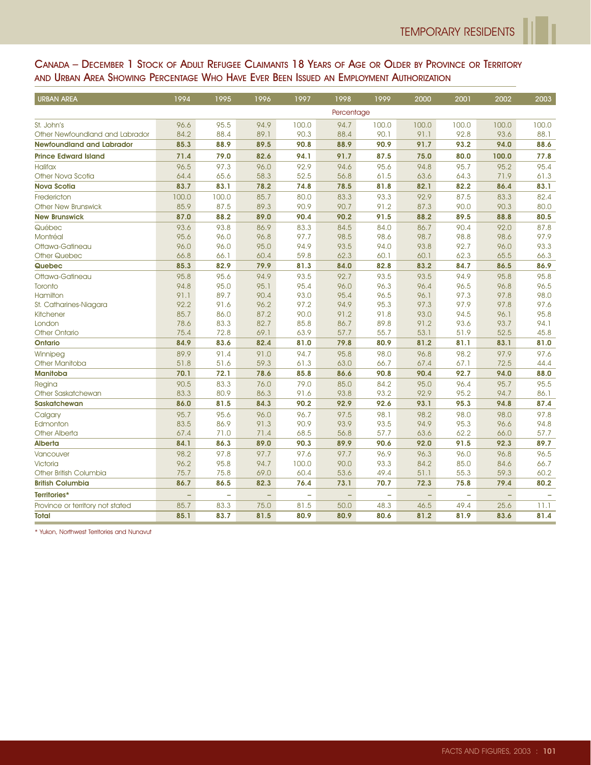## CANADA – DECEMBER 1 STOCK OF ADULT REFUGEE CLAIMANTS 18 YEARS OF AGE OR OLDER BY PROVINCE OR TERRITORY AND URBAN AREA SHOWING PERCENTAGE WHO HAVE EVER BEEN ISSUED AN EMPLOYMENT AUTHORIZATION

| <b>URBAN AREA</b>                  | 1994         | 1995         | 1996                     | 1997                     | 1998         | 1999                     | 2000                     | 2001         | 2002                     | 2003         |
|------------------------------------|--------------|--------------|--------------------------|--------------------------|--------------|--------------------------|--------------------------|--------------|--------------------------|--------------|
|                                    | Percentage   |              |                          |                          |              |                          |                          |              |                          |              |
| St. John's                         | 96.6         | 95.5         | 94.9                     | 100.0                    | 94.7         | 100.0                    | 100.0                    | 100.0        | 100.0                    | 100.0        |
| Other Newfoundland and Labrador    | 84.2         | 88.4         | 89.1                     | 90.3                     | 88.4         | 90.1                     | 91.1                     | 92.8         | 93.6                     | 88.1         |
| <b>Newfoundland and Labrador</b>   | 85.3         | 88.9         | 89.5                     | 90.8                     | 88.9         | 90.9                     | 91.7                     | 93.2         | 94.0                     | 88.6         |
| <b>Prince Edward Island</b>        | 71.4         | 79.0         | 82.6                     | 94.1                     | 91.7         | 87.5                     | 75.0                     | 80.0         | 100.0                    | 77.8         |
| <b>Halifax</b>                     | 96.5         | 97.3         | 96.0                     | 92.9                     | 94.6         | 95.6                     | 94.8                     | 95.7         | 95.2                     | 95.4         |
| Other Nova Scotia                  | 64.4         | 65.6         | 58.3                     | 52.5                     | 56.8         | 61.5                     | 63.6                     | 64.3         | 71.9                     | 61.3         |
| <b>Nova Scotia</b>                 | 83.7         | 83.1         | 78.2                     | 74.8                     | 78.5         | 81.8                     | 82.1                     | 82.2         | 86.4                     | 83.1         |
| Fredericton                        | 100.0        | 100.0        | 85.7                     | 80.0                     | 83.3         | 93.3                     | 92.9                     | 87.5         | 83.3                     | 82.4         |
| <b>Other New Brunswick</b>         | 85.9         | 87.5         | 89.3                     | 90.9                     | 90.7         | 91.2                     | 87.3                     | 90.0         | 90.3                     | 80.0         |
| <b>New Brunswick</b>               | 87.0         | 88.2         | 89.0                     | 90.4                     | 90.2         | 91.5                     | 88.2                     | 89.5         | 88.8                     | 80.5         |
| Québec                             | 93.6         | 93.8         | 86.9                     | 83.3                     | 84.5         | 84.0                     | 86.7                     | 90.4         | 92.0                     | 87.8         |
| Montréal                           | 95.6         | 96.0         | 96.8                     | 97.7                     | 98.5         | 98.6                     | 98.7                     | 98.8         | 98.6                     | 97.9         |
| Ottawa-Gatineau                    | 96.0         | 96.0         | 95.0                     | 94.9                     | 93.5         | 94.0                     | 93.8                     | 92.7         | 96.0                     | 93.3         |
| <b>Other Quebec</b>                | 66.8         | 66.1         | 60.4                     | 59.8                     | 62.3         | 60.1                     | 60.1                     | 62.3         | 65.5                     | 66.3         |
| Quebec                             | 85.3         | 82.9         | 79.9                     | 81.3                     | 84.0         | 82.8                     | 83.2                     | 84.7         | 86.5                     | 86.9         |
| Ottawa-Gatineau                    | 95.8         | 95.6         | 94.9                     | 93.5                     | 92.7         | 93.5                     | 93.5                     | 94.9         | 95.8                     | 95.8         |
| Toronto                            | 94.8         | 95.0         | 95.1                     | 95.4                     | 96.0         | 96.3                     | 96.4                     | 96.5         | 96.8                     | 96.5         |
| Hamilton                           | 91.1         | 89.7         | 90.4                     | 93.0                     | 95.4         | 96.5                     | 96.1                     | 97.3         | 97.8                     | 98.0         |
| St. Catharines-Niagara             | 92.2         | 91.6         | 96.2                     | 97.2                     | 94.9         | 95.3                     | 97.3                     | 97.9         | 97.8                     | 97.6         |
| <b>Kitchener</b>                   | 85.7         | 86.0         | 87.2                     | 90.0                     | 91.2         | 91.8                     | 93.0                     | 94.5         | 96.1                     | 95.8         |
| London                             | 78.6         | 83.3         | 82.7                     | 85.8                     | 86.7         | 89.8                     | 91.2                     | 93.6         | 93.7                     | 94.1         |
| <b>Other Ontario</b>               | 75.4         | 72.8         | 69.1                     | 63.9                     | 57.7         | 55.7                     | 53.1                     | 51.9         | 52.5                     | 45.8         |
| <b>Ontario</b>                     | 84.9         | 83.6         | 82.4                     | 81.0                     | 79.8         | 80.9                     | 81.2                     | 81.1         | 83.1                     | 81.0         |
| Winnipeg                           | 89.9         | 91.4         | 91.0                     | 94.7                     | 95.8         | 98.0                     | 96.8                     | 98.2         | 97.9                     | 97.6         |
| Other Manitoba                     | 51.8         | 51.6         | 59.3                     | 61.3                     | 63.0         | 66.7                     | 67.4                     | 67.1         | 72.5                     | 44.4         |
| <b>Manitoba</b>                    | 70.1         | 72.1         | 78.6                     | 85.8                     | 86.6         | 90.8                     | 90.4                     | 92.7         | 94.0                     | 88.0         |
| Regina                             | 90.5         | 83.3         | 76.0                     | 79.0                     | 85.0         | 84.2                     | 95.0                     | 96.4         | 95.7                     | 95.5         |
| Other Saskatchewan                 | 83.3         | 80.9         | 86.3                     | 91.6                     | 93.8         | 93.2                     | 92.9                     | 95.2         | 94.7                     | 86.1         |
| <b>Saskatchewan</b>                | 86.0         | 81.5         | 84.3                     | 90.2                     | 92.9         | 92.6                     | 93.1                     | 95.3         | 94.8                     | 87.4         |
| Calgary                            | 95.7         | 95.6         | 96.0                     | 96.7                     | 97.5         | 98.1                     | 98.2                     | 98.0         | 98.0                     | 97.8         |
| Edmonton                           | 83.5         | 86.9         | 91.3                     | 90.9                     | 93.9         | 93.5                     | 94.9                     | 95.3         | 96.6                     | 94.8         |
| <b>Other Alberta</b>               | 67.4         | 71.0         | 71.4                     | 68.5                     | 56.8         | 57.7                     | 63.6                     | 62.2         | 66.0                     | 57.7         |
| <b>Alberta</b>                     | 84.1         | 86.3         | 89.0                     | 90.3                     | 89.9         | 90.6                     | 92.0                     | 91.5         | 92.3                     | 89.7         |
| Vancouver                          | 98.2         | 97.8         | 97.7                     | 97.6                     | 97.7         | 96.9                     | 96.3                     | 96.0         | 96.8                     | 96.5         |
| Victoria<br>Other British Columbia | 96.2<br>75.7 | 95.8<br>75.8 | 94.7<br>69.0             | 100.0<br>60.4            | 90.0<br>53.6 | 93.3<br>49.4             | 84.2                     | 85.0<br>55.3 | 84.6<br>59.3             | 66.7         |
| <b>British Columbia</b>            | 86.7         | 86.5         | 82.3                     | 76.4                     | 73.1         | 70.7                     | 51.1<br>72.3             | 75.8         | 79.4                     | 60.2<br>80.2 |
|                                    |              |              |                          |                          |              |                          |                          |              |                          |              |
| Territories*                       | $\equiv$     | ÷,           | $\overline{\phantom{0}}$ | $\overline{\phantom{0}}$ | $\equiv$     | $\overline{\phantom{0}}$ | $\overline{\phantom{0}}$ | $\equiv$     | $\overline{\phantom{0}}$ |              |
| Province or territory not stated   | 85.7         | 83.3         | 75.0                     | 81.5                     | 50.0         | 48.3                     | 46.5                     | 49.4         | 25.6                     | 11.1         |
| <b>Total</b>                       | 85.1         | 83.7         | 81.5                     | 80.9                     | 80.9         | 80.6                     | 81.2                     | 81.9         | 83.6                     | 81.4         |

\* Yukon, Northwest Territories and Nunavut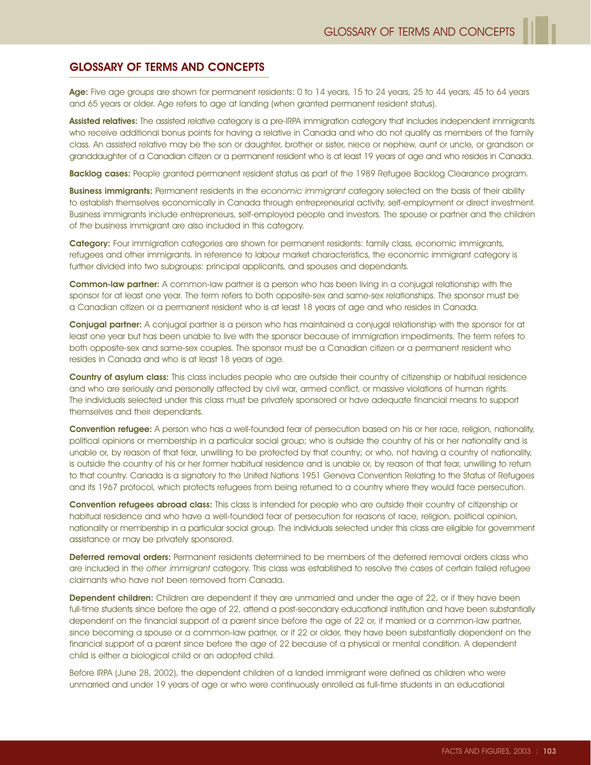## GLOSSARY OF TERMS AND CONCEPTS

Age: Five age groups are shown for permanent residents: 0 to 14 years, 15 to 24 years, 25 to 44 years, 45 to 64 years and 65 years or older. Age refers to age at landing (when granted permanent resident status).

Assisted relatives: The assisted relative category is a pre-IRPA immigration category that includes independent immigrants who receive additional bonus points for having a relative in Canada and who do not qualify as members of the family class. An assisted relative may be the son or daughter, brother or sister, niece or nephew, aunt or uncle, or grandson or granddaughter of a Canadian citizen or a permanent resident who is at least 19 years of age and who resides in Canada.

Backlog cases: People granted permanent resident status as part of the 1989 Refugee Backlog Clearance program.

**Business immigrants:** Permanent residents in the economic immigrant category selected on the basis of their ability to establish themselves economically in Canada through entrepreneurial activity, self-employment or direct investment. Business immigrants include entrepreneurs, self-employed people and investors. The spouse or partner and the children of the business immigrant are also included in this category.

Category: Four immigration categories are shown for permanent residents: family class, economic immigrants, refugees and other immigrants. In reference to labour market characteristics, the economic immigrant category is further divided into two subgroups: principal applicants, and spouses and dependants.

Common-law partner: A common-law partner is a person who has been living in a conjugal relationship with the sponsor for at least one year. The term refers to both opposite-sex and same-sex relationships. The sponsor must be a Canadian citizen or a permanent resident who is at least 18 years of age and who resides in Canada.

Conjugal partner: A conjugal partner is a person who has maintained a conjugal relationship with the sponsor for at least one year but has been unable to live with the sponsor because of immigration impediments. The term refers to both opposite-sex and same-sex couples. The sponsor must be a Canadian citizen or a permanent resident who resides in Canada and who is at least 18 years of age.

Country of asylum class: This class includes people who are outside their country of citizenship or habitual residence and who are seriously and personally affected by civil war, armed conflict, or massive violations of human rights. The individuals selected under this class must be privately sponsored or have adequate financial means to support themselves and their dependants.

Convention refugee: A person who has a well-founded fear of persecution based on his or her race, religion, nationality, political opinions or membership in a particular social group; who is outside the country of his or her nationality and is unable or, by reason of that fear, unwilling to be protected by that country; or who, not having a country of nationality, is outside the country of his or her former habitual residence and is unable or, by reason of that fear, unwilling to return to that country. Canada is a signatory to the United Nations 1951 Geneva Convention Relating to the Status of Refugees and its 1967 protocol, which protects refugees from being returned to a country where they would face persecution.

Convention refugees abroad class: This class is intended for people who are outside their country of citizenship or habitual residence and who have a well-founded fear of persecution for reasons of race, religion, political opinion, nationality or membership in a particular social group. The individuals selected under this class are eligible for government assistance or may be privately sponsored.

Deferred removal orders: Permanent residents determined to be members of the deferred removal orders class who are included in the other immigrant category. This class was established to resolve the cases of certain failed refugee claimants who have not been removed from Canada.

Dependent children: Children are dependent if they are unmarried and under the age of 22, or if they have been full-time students since before the age of 22, attend a post-secondary educational institution and have been substantially dependent on the financial support of a parent since before the age of 22 or, if married or a common-law partner, since becoming a spouse or a common-law partner, or if 22 or older, they have been substantially dependent on the financial support of a parent since before the age of 22 because of a physical or mental condition. A dependent child is either a biological child or an adopted child.

Before IRPA (June 28, 2002), the dependent children of a landed immigrant were defined as children who were unmarried and under 19 years of age or who were continuously enrolled as full-time students in an educational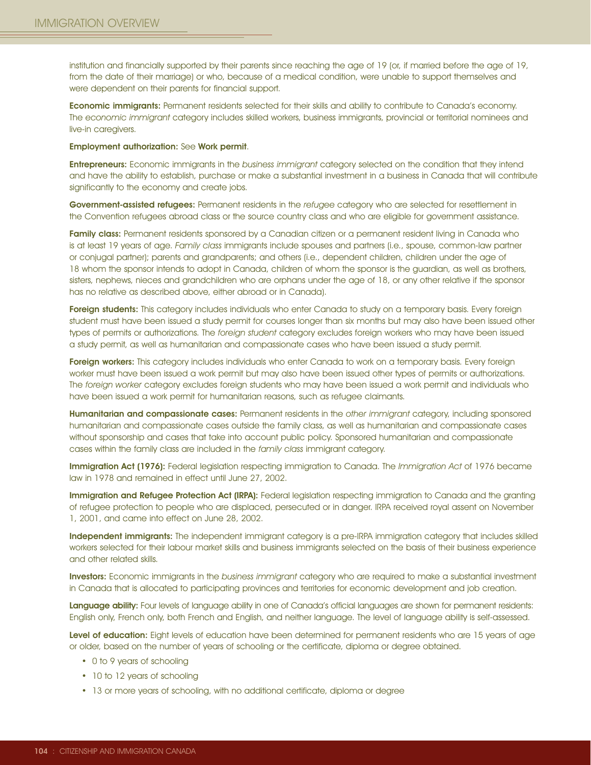institution and financially supported by their parents since reaching the age of 19 (or, if married before the age of 19, from the date of their marriage) or who, because of a medical condition, were unable to support themselves and were dependent on their parents for financial support.

Economic immigrants: Permanent residents selected for their skills and ability to contribute to Canada's economy. The economic immigrant category includes skilled workers, business immigrants, provincial or territorial nominees and live-in caregivers.

Employment authorization: See Work permit.

**Entrepreneurs:** Economic immigrants in the business immigrant category selected on the condition that they intend and have the ability to establish, purchase or make a substantial investment in a business in Canada that will contribute significantly to the economy and create jobs.

Government-assisted refugees: Permanent residents in the refugee category who are selected for resettlement in the Convention refugees abroad class or the source country class and who are eligible for government assistance.

Family class: Permanent residents sponsored by a Canadian citizen or a permanent resident living in Canada who is at least 19 years of age. Family class immigrants include spouses and partners (i.e., spouse, common-law partner or conjugal partner); parents and grandparents; and others (i.e., dependent children, children under the age of 18 whom the sponsor intends to adopt in Canada, children of whom the sponsor is the guardian, as well as brothers, sisters, nephews, nieces and grandchildren who are orphans under the age of 18, or any other relative if the sponsor has no relative as described above, either abroad or in Canada).

Foreign students: This category includes individuals who enter Canada to study on a temporary basis. Every foreign student must have been issued a study permit for courses longer than six months but may also have been issued other types of permits or authorizations. The foreign student category excludes foreign workers who may have been issued a study permit, as well as humanitarian and compassionate cases who have been issued a study permit.

Foreign workers: This category includes individuals who enter Canada to work on a temporary basis. Every foreign worker must have been issued a work permit but may also have been issued other types of permits or authorizations. The foreign worker category excludes foreign students who may have been issued a work permit and individuals who have been issued a work permit for humanitarian reasons, such as refugee claimants.

Humanitarian and compassionate cases: Permanent residents in the other immigrant category, including sponsored humanitarian and compassionate cases outside the family class, as well as humanitarian and compassionate cases without sponsorship and cases that take into account public policy. Sponsored humanitarian and compassionate cases within the family class are included in the family class immigrant category.

Immigration Act (1976): Federal legislation respecting immigration to Canada. The Immigration Act of 1976 became law in 1978 and remained in effect until June 27, 2002.

Immigration and Refugee Protection Act (IRPA): Federal legislation respecting immigration to Canada and the granting of refugee protection to people who are displaced, persecuted or in danger. IRPA received royal assent on November 1, 2001, and came into effect on June 28, 2002.

Independent immigrants: The independent immigrant category is a pre-IRPA immigration category that includes skilled workers selected for their labour market skills and business immigrants selected on the basis of their business experience and other related skills.

Investors: Economic immigrants in the business immigrant category who are required to make a substantial investment in Canada that is allocated to participating provinces and territories for economic development and job creation.

Language ability: Four levels of language ability in one of Canada's official languages are shown for permanent residents: English only, French only, both French and English, and neither language. The level of language ability is self-assessed.

Level of education: Eight levels of education have been determined for permanent residents who are 15 years of age or older, based on the number of years of schooling or the certificate, diploma or degree obtained.

- 0 to 9 years of schooling
- 10 to 12 years of schooling
- 13 or more years of schooling, with no additional certificate, diploma or degree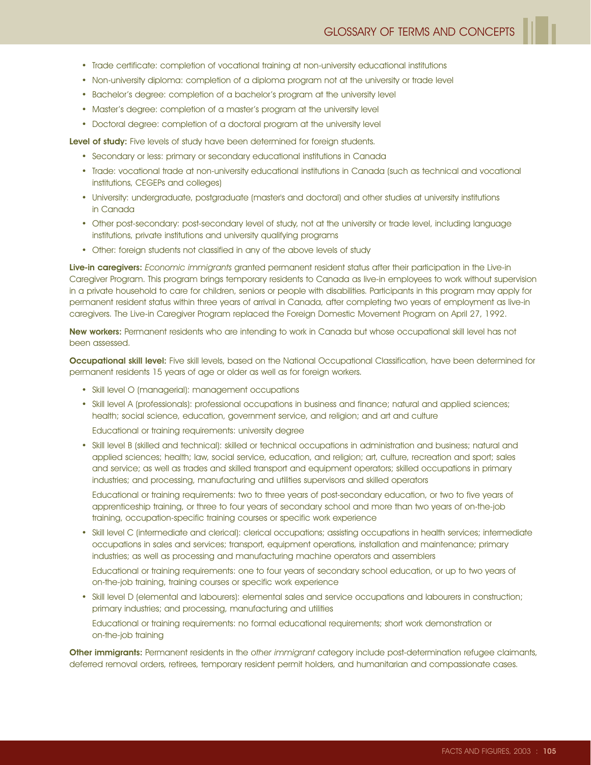- Trade certificate: completion of vocational training at non-university educational institutions
- Non-university diploma: completion of a diploma program not at the university or trade level
- Bachelor's degree: completion of a bachelor's program at the university level
- Master's degree: completion of a master's program at the university level
- Doctoral degree: completion of a doctoral program at the university level

Level of study: Five levels of study have been determined for foreign students.

- Secondary or less: primary or secondary educational institutions in Canada
- Trade: vocational trade at non-university educational institutions in Canada (such as technical and vocational institutions, CEGEPs and colleges)
- University: undergraduate, postgraduate (master's and doctoral) and other studies at university institutions in Canada
- Other post-secondary: post-secondary level of study, not at the university or trade level, including language institutions, private institutions and university qualifying programs
- Other: foreign students not classified in any of the above levels of study

Live-in caregivers: Economic immigrants granted permanent resident status after their participation in the Live-in Caregiver Program. This program brings temporary residents to Canada as live-in employees to work without supervision in a private household to care for children, seniors or people with disabilities. Participants in this program may apply for permanent resident status within three years of arrival in Canada, after completing two years of employment as live-in caregivers. The Live-in Caregiver Program replaced the Foreign Domestic Movement Program on April 27, 1992.

New workers: Permanent residents who are intending to work in Canada but whose occupational skill level has not been assessed.

Occupational skill level: Five skill levels, based on the National Occupational Classification, have been determined for permanent residents 15 years of age or older as well as for foreign workers.

- Skill level O (managerial): management occupations
- Skill level A (professionals): professional occupations in business and finance; natural and applied sciences; health; social science, education, government service, and religion; and art and culture

Educational or training requirements: university degree

• Skill level B (skilled and technical): skilled or technical occupations in administration and business; natural and applied sciences; health; law, social service, education, and religion; art, culture, recreation and sport; sales and service; as well as trades and skilled transport and equipment operators; skilled occupations in primary industries; and processing, manufacturing and utilities supervisors and skilled operators

Educational or training requirements: two to three years of post-secondary education, or two to five years of apprenticeship training, or three to four years of secondary school and more than two years of on-the-job training, occupation-specific training courses or specific work experience

• Skill level C (intermediate and clerical): clerical occupations; assisting occupations in health services; intermediate occupations in sales and services; transport, equipment operations, installation and maintenance; primary industries; as well as processing and manufacturing machine operators and assemblers

Educational or training requirements: one to four years of secondary school education, or up to two years of on-the-job training, training courses or specific work experience

• Skill level D (elemental and labourers): elemental sales and service occupations and labourers in construction; primary industries; and processing, manufacturing and utilities

Educational or training requirements: no formal educational requirements; short work demonstration or on-the-job training

Other immigrants: Permanent residents in the other immigrant category include post-determination refugee claimants, deferred removal orders, retirees, temporary resident permit holders, and humanitarian and compassionate cases.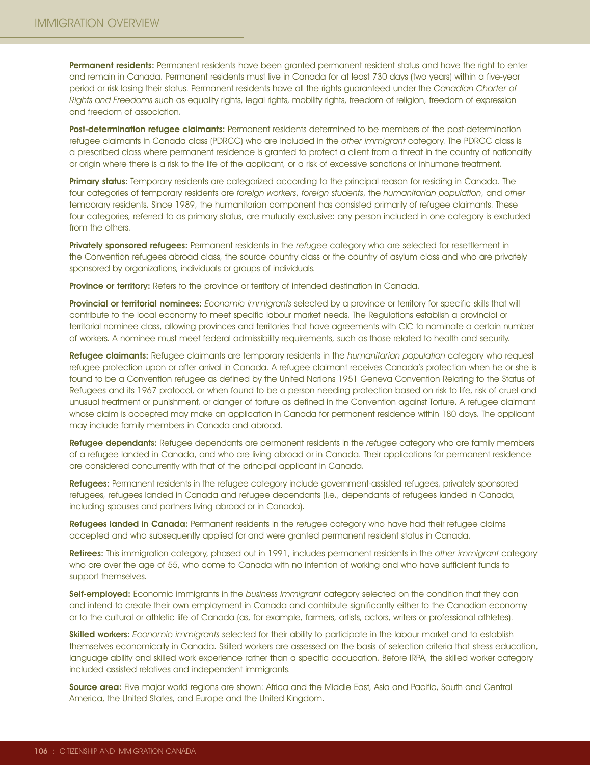Permanent residents: Permanent residents have been granted permanent resident status and have the right to enter and remain in Canada. Permanent residents must live in Canada for at least 730 days (two years) within a five-year period or risk losing their status. Permanent residents have all the rights guaranteed under the Canadian Charter of Rights and Freedoms such as equality rights, legal rights, mobility rights, freedom of religion, freedom of expression and freedom of association.

Post-determination refugee claimants: Permanent residents determined to be members of the post-determination refugee claimants in Canada class (PDRCC) who are included in the other immigrant category. The PDRCC class is a prescribed class where permanent residence is granted to protect a client from a threat in the country of nationality or origin where there is a risk to the life of the applicant, or a risk of excessive sanctions or inhumane treatment.

Primary status: Temporary residents are categorized according to the principal reason for residing in Canada. The four categories of temporary residents are foreign workers, foreign students, the humanitarian population, and other temporary residents. Since 1989, the humanitarian component has consisted primarily of refugee claimants. These four categories, referred to as primary status, are mutually exclusive: any person included in one category is excluded from the others.

Privately sponsored refugees: Permanent residents in the refugee category who are selected for resettlement in the Convention refugees abroad class, the source country class or the country of asylum class and who are privately sponsored by organizations, individuals or groups of individuals.

Province or territory: Refers to the province or territory of intended destination in Canada.

Provincial or territorial nominees: Economic immigrants selected by a province or territory for specific skills that will contribute to the local economy to meet specific labour market needs. The Regulations establish a provincial or territorial nominee class, allowing provinces and territories that have agreements with CIC to nominate a certain number of workers. A nominee must meet federal admissibility requirements, such as those related to health and security.

Refugee claimants: Refugee claimants are temporary residents in the humanitarian population category who request refugee protection upon or after arrival in Canada. A refugee claimant receives Canada's protection when he or she is found to be a Convention refugee as defined by the United Nations 1951 Geneva Convention Relating to the Status of Refugees and its 1967 protocol, or when found to be a person needing protection based on risk to life, risk of cruel and unusual treatment or punishment, or danger of torture as defined in the Convention against Torture. A refugee claimant whose claim is accepted may make an application in Canada for permanent residence within 180 days. The applicant may include family members in Canada and abroad.

Refugee dependants: Refugee dependants are permanent residents in the refugee category who are family members of a refugee landed in Canada, and who are living abroad or in Canada. Their applications for permanent residence are considered concurrently with that of the principal applicant in Canada.

Refugees: Permanent residents in the refugee category include government-assisted refugees, privately sponsored refugees, refugees landed in Canada and refugee dependants (i.e., dependants of refugees landed in Canada, including spouses and partners living abroad or in Canada).

Refugees landed in Canada: Permanent residents in the refugee category who have had their refugee claims accepted and who subsequently applied for and were granted permanent resident status in Canada.

Retirees: This immigration category, phased out in 1991, includes permanent residents in the other immigrant category who are over the age of 55, who come to Canada with no intention of working and who have sufficient funds to support themselves.

Self-employed: Economic immigrants in the business immigrant category selected on the condition that they can and intend to create their own employment in Canada and contribute significantly either to the Canadian economy or to the cultural or athletic life of Canada (as, for example, farmers, artists, actors, writers or professional athletes).

Skilled workers: Economic immigrants selected for their ability to participate in the labour market and to establish themselves economically in Canada. Skilled workers are assessed on the basis of selection criteria that stress education, language ability and skilled work experience rather than a specific occupation. Before IRPA, the skilled worker category included assisted relatives and independent immigrants.

Source area: Five major world regions are shown: Africa and the Middle East, Asia and Pacific, South and Central America, the United States, and Europe and the United Kingdom.